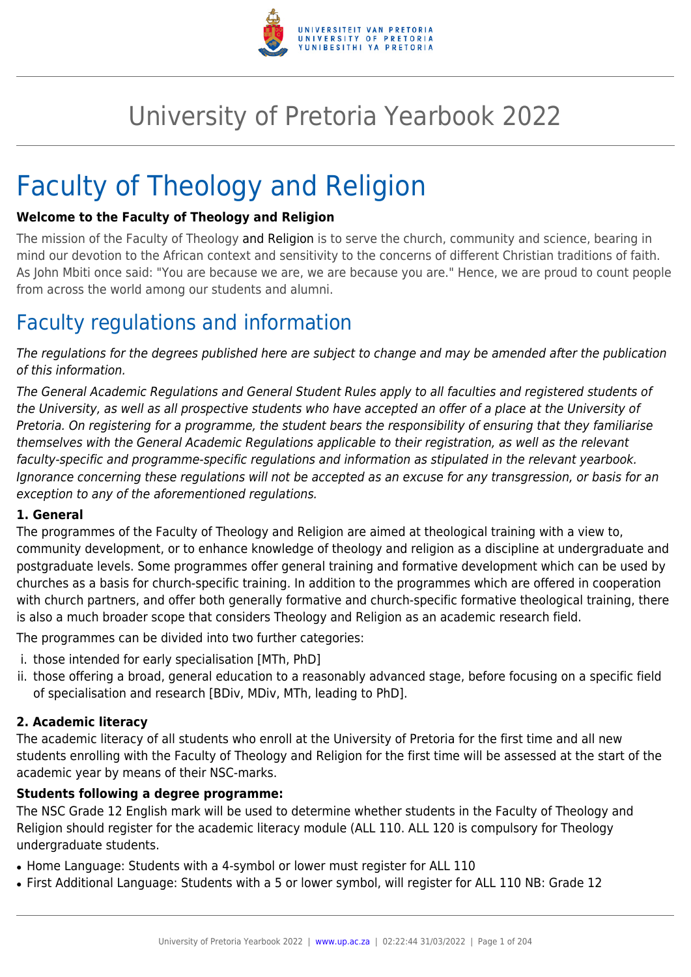

# University of Pretoria Yearbook 2022

# Faculty of Theology and Religion

### **Welcome to the Faculty of Theology and Religion**

The mission of the Faculty of Theology and Religion is to serve the church, community and science, bearing in mind our devotion to the African context and sensitivity to the concerns of different Christian traditions of faith. As John Mbiti once said: "You are because we are, we are because you are." Hence, we are proud to count people from across the world among our students and alumni.

# Faculty regulations and information

The regulations for the degrees published here are subject to change and may be amended after the publication of this information.

The General Academic Regulations and General Student Rules apply to all faculties and registered students of the University, as well as all prospective students who have accepted an offer of a place at the University of Pretoria. On registering for a programme, the student bears the responsibility of ensuring that they familiarise themselves with the General Academic Regulations applicable to their registration, as well as the relevant faculty-specific and programme-specific regulations and information as stipulated in the relevant yearbook. Ignorance concerning these regulations will not be accepted as an excuse for any transgression, or basis for an exception to any of the aforementioned regulations.

#### **1. General**

The programmes of the Faculty of Theology and Religion are aimed at theological training with a view to, community development, or to enhance knowledge of theology and religion as a discipline at undergraduate and postgraduate levels. Some programmes offer general training and formative development which can be used by churches as a basis for church-specific training. In addition to the programmes which are offered in cooperation with church partners, and offer both generally formative and church-specific formative theological training, there is also a much broader scope that considers Theology and Religion as an academic research field.

The programmes can be divided into two further categories:

- i. those intended for early specialisation [MTh, PhD]
- ii. those offering a broad, general education to a reasonably advanced stage, before focusing on a specific field of specialisation and research [BDiv, MDiv, MTh, leading to PhD].

#### **2. Academic literacy**

The academic literacy of all students who enroll at the University of Pretoria for the first time and all new students enrolling with the Faculty of Theology and Religion for the first time will be assessed at the start of the academic year by means of their NSC-marks.

#### **Students following a degree programme:**

The NSC Grade 12 English mark will be used to determine whether students in the Faculty of Theology and Religion should register for the academic literacy module (ALL 110. ALL 120 is compulsory for Theology undergraduate students.

- Home Language: Students with a 4-symbol or lower must register for ALL 110
- First Additional Language: Students with a 5 or lower symbol, will register for ALL 110 NB: Grade 12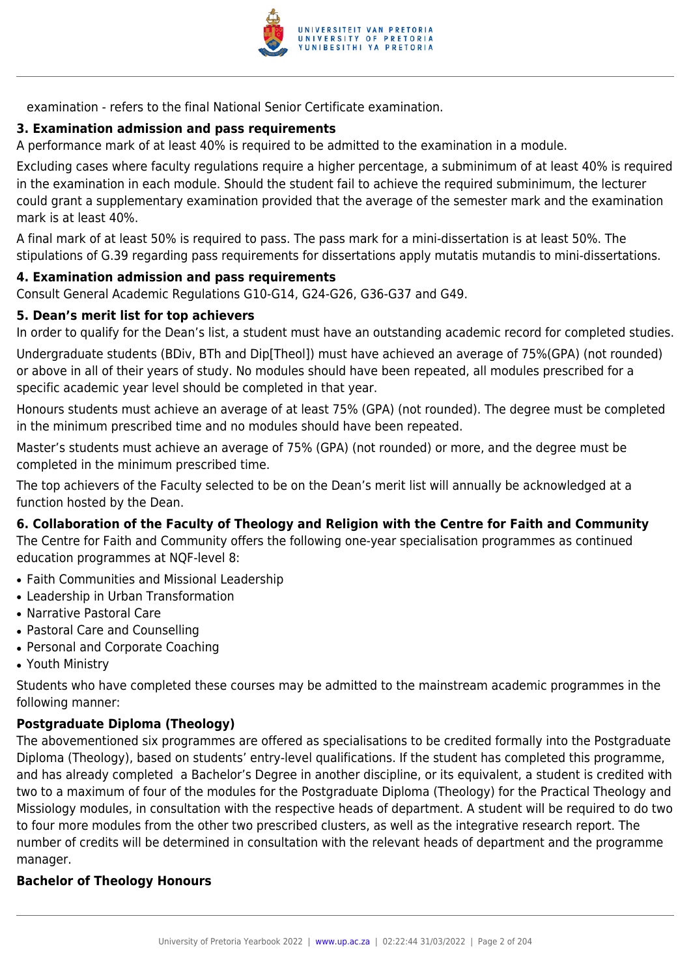

examination - refers to the final National Senior Certificate examination.

# **3. Examination admission and pass requirements**

A performance mark of at least 40% is required to be admitted to the examination in a module.

Excluding cases where faculty regulations require a higher percentage, a subminimum of at least 40% is required in the examination in each module. Should the student fail to achieve the required subminimum, the lecturer could grant a supplementary examination provided that the average of the semester mark and the examination mark is at least 40%.

A final mark of at least 50% is required to pass. The pass mark for a mini-dissertation is at least 50%. The stipulations of G.39 regarding pass requirements for dissertations apply mutatis mutandis to mini-dissertations.

#### **4. Examination admission and pass requirements**

Consult General Academic Regulations G10-G14, G24-G26, G36-G37 and G49.

#### **5. Dean's merit list for top achievers**

In order to qualify for the Dean's list, a student must have an outstanding academic record for completed studies.

Undergraduate students (BDiv, BTh and Dip[Theol]) must have achieved an average of 75%(GPA) (not rounded) or above in all of their years of study. No modules should have been repeated, all modules prescribed for a specific academic year level should be completed in that year.

Honours students must achieve an average of at least 75% (GPA) (not rounded). The degree must be completed in the minimum prescribed time and no modules should have been repeated.

Master's students must achieve an average of 75% (GPA) (not rounded) or more, and the degree must be completed in the minimum prescribed time.

The top achievers of the Faculty selected to be on the Dean's merit list will annually be acknowledged at a function hosted by the Dean.

#### **6. Collaboration of the Faculty of Theology and Religion with the Centre for Faith and Community**

The Centre for Faith and Community offers the following one-year specialisation programmes as continued education programmes at NQF-level 8:

- Faith Communities and Missional Leadership
- Leadership in Urban Transformation
- Narrative Pastoral Care
- Pastoral Care and Counselling
- Personal and Corporate Coaching
- Youth Ministry

Students who have completed these courses may be admitted to the mainstream academic programmes in the following manner:

#### **Postgraduate Diploma (Theology)**

The abovementioned six programmes are offered as specialisations to be credited formally into the Postgraduate Diploma (Theology), based on students' entry-level qualifications. If the student has completed this programme, and has already completed a Bachelor's Degree in another discipline, or its equivalent, a student is credited with two to a maximum of four of the modules for the Postgraduate Diploma (Theology) for the Practical Theology and Missiology modules, in consultation with the respective heads of department. A student will be required to do two to four more modules from the other two prescribed clusters, as well as the integrative research report. The number of credits will be determined in consultation with the relevant heads of department and the programme manager.

#### **Bachelor of Theology Honours**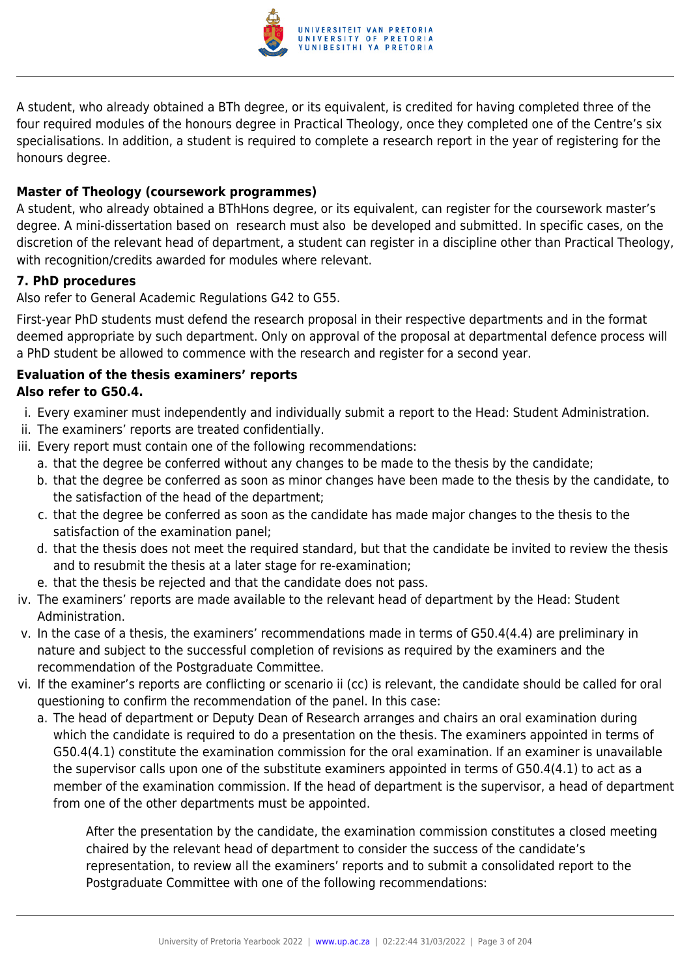

A student, who already obtained a BTh degree, or its equivalent, is credited for having completed three of the four required modules of the honours degree in Practical Theology, once they completed one of the Centre's six specialisations. In addition, a student is required to complete a research report in the year of registering for the honours degree.

# **Master of Theology (coursework programmes)**

A student, who already obtained a BThHons degree, or its equivalent, can register for the coursework master's degree. A mini-dissertation based on research must also be developed and submitted. In specific cases, on the discretion of the relevant head of department, a student can register in a discipline other than Practical Theology, with recognition/credits awarded for modules where relevant.

## **7. PhD procedures**

Also refer to General Academic Regulations G42 to G55.

First-year PhD students must defend the research proposal in their respective departments and in the format deemed appropriate by such department. Only on approval of the proposal at departmental defence process will a PhD student be allowed to commence with the research and register for a second year.

## **Evaluation of the thesis examiners' reports Also refer to G50.4.**

- i. Every examiner must independently and individually submit a report to the Head: Student Administration.
- ii. The examiners' reports are treated confidentially.
- iii. Every report must contain one of the following recommendations:
	- a. that the degree be conferred without any changes to be made to the thesis by the candidate;
	- b. that the degree be conferred as soon as minor changes have been made to the thesis by the candidate, to the satisfaction of the head of the department;
	- c. that the degree be conferred as soon as the candidate has made major changes to the thesis to the satisfaction of the examination panel;
	- d. that the thesis does not meet the required standard, but that the candidate be invited to review the thesis and to resubmit the thesis at a later stage for re-examination;
	- e. that the thesis be rejected and that the candidate does not pass.
- iv. The examiners' reports are made available to the relevant head of department by the Head: Student Administration.
- v. In the case of a thesis, the examiners' recommendations made in terms of G50.4(4.4) are preliminary in nature and subject to the successful completion of revisions as required by the examiners and the recommendation of the Postgraduate Committee.
- vi. If the examiner's reports are conflicting or scenario ii (cc) is relevant, the candidate should be called for oral questioning to confirm the recommendation of the panel. In this case:
	- a. The head of department or Deputy Dean of Research arranges and chairs an oral examination during which the candidate is required to do a presentation on the thesis. The examiners appointed in terms of G50.4(4.1) constitute the examination commission for the oral examination. If an examiner is unavailable the supervisor calls upon one of the substitute examiners appointed in terms of G50.4(4.1) to act as a member of the examination commission. If the head of department is the supervisor, a head of department from one of the other departments must be appointed.

After the presentation by the candidate, the examination commission constitutes a closed meeting chaired by the relevant head of department to consider the success of the candidate's representation, to review all the examiners' reports and to submit a consolidated report to the Postgraduate Committee with one of the following recommendations: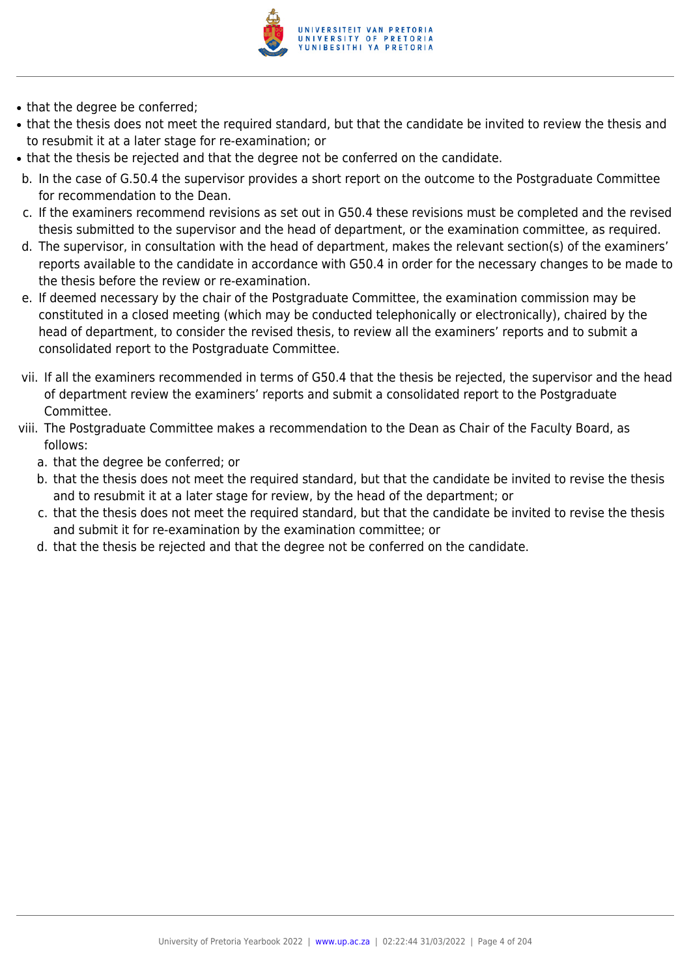

- that the degree be conferred;
- that the thesis does not meet the required standard, but that the candidate be invited to review the thesis and to resubmit it at a later stage for re-examination; or
- that the thesis be rejected and that the degree not be conferred on the candidate.
- b. In the case of G.50.4 the supervisor provides a short report on the outcome to the Postgraduate Committee for recommendation to the Dean.
- c. If the examiners recommend revisions as set out in G50.4 these revisions must be completed and the revised thesis submitted to the supervisor and the head of department, or the examination committee, as required.
- d. The supervisor, in consultation with the head of department, makes the relevant section(s) of the examiners' reports available to the candidate in accordance with G50.4 in order for the necessary changes to be made to the thesis before the review or re-examination.
- e. If deemed necessary by the chair of the Postgraduate Committee, the examination commission may be constituted in a closed meeting (which may be conducted telephonically or electronically), chaired by the head of department, to consider the revised thesis, to review all the examiners' reports and to submit a consolidated report to the Postgraduate Committee.
- vii. If all the examiners recommended in terms of G50.4 that the thesis be rejected, the supervisor and the head of department review the examiners' reports and submit a consolidated report to the Postgraduate Committee.
- viii. The Postgraduate Committee makes a recommendation to the Dean as Chair of the Faculty Board, as follows:
	- a. that the degree be conferred; or
	- b. that the thesis does not meet the required standard, but that the candidate be invited to revise the thesis and to resubmit it at a later stage for review, by the head of the department; or
	- c. that the thesis does not meet the required standard, but that the candidate be invited to revise the thesis and submit it for re-examination by the examination committee; or
	- d. that the thesis be rejected and that the degree not be conferred on the candidate.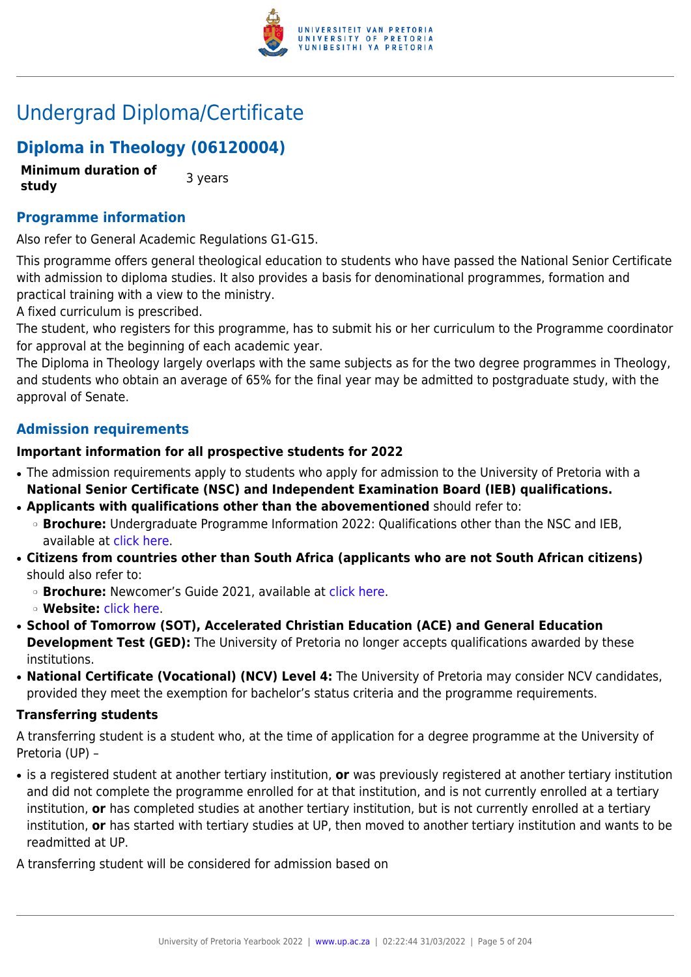

# Undergrad Diploma/Certificate

# **Diploma in Theology (06120004)**

**Minimum duration of study 3** years

# **Programme information**

Also refer to General Academic Regulations G1-G15.

This programme offers general theological education to students who have passed the National Senior Certificate with admission to diploma studies. It also provides a basis for denominational programmes, formation and practical training with a view to the ministry.

A fixed curriculum is prescribed.

The student, who registers for this programme, has to submit his or her curriculum to the Programme coordinator for approval at the beginning of each academic year.

The Diploma in Theology largely overlaps with the same subjects as for the two degree programmes in Theology, and students who obtain an average of 65% for the final year may be admitted to postgraduate study, with the approval of Senate.

# **Admission requirements**

#### **Important information for all prospective students for 2022**

- The admission requirements apply to students who apply for admission to the University of Pretoria with a **National Senior Certificate (NSC) and Independent Examination Board (IEB) qualifications.**
- **Applicants with qualifications other than the abovementioned** should refer to: ❍ **Brochure:** Undergraduate Programme Information 2022: Qualifications other than the NSC and IEB, available at [click here.](https://www.up.ac.za/students/article/2749263/admission-information)
- **Citizens from countries other than South Africa (applicants who are not South African citizens)** should also refer to:
	- ❍ **Brochure:** Newcomer's Guide 2021, available at [click here.](https://www.up.ac.za/students/article/2749263/admission-information)
	- ❍ **Website:** [click here](http://www.up.ac.za/international-cooperation-division).
- **School of Tomorrow (SOT), Accelerated Christian Education (ACE) and General Education Development Test (GED):** The University of Pretoria no longer accepts qualifications awarded by these institutions.
- **National Certificate (Vocational) (NCV) Level 4:** The University of Pretoria may consider NCV candidates, provided they meet the exemption for bachelor's status criteria and the programme requirements.

#### **Transferring students**

A transferring student is a student who, at the time of application for a degree programme at the University of Pretoria (UP) –

● is a registered student at another tertiary institution, **or** was previously registered at another tertiary institution and did not complete the programme enrolled for at that institution, and is not currently enrolled at a tertiary institution, **or** has completed studies at another tertiary institution, but is not currently enrolled at a tertiary institution, **or** has started with tertiary studies at UP, then moved to another tertiary institution and wants to be readmitted at UP.

A transferring student will be considered for admission based on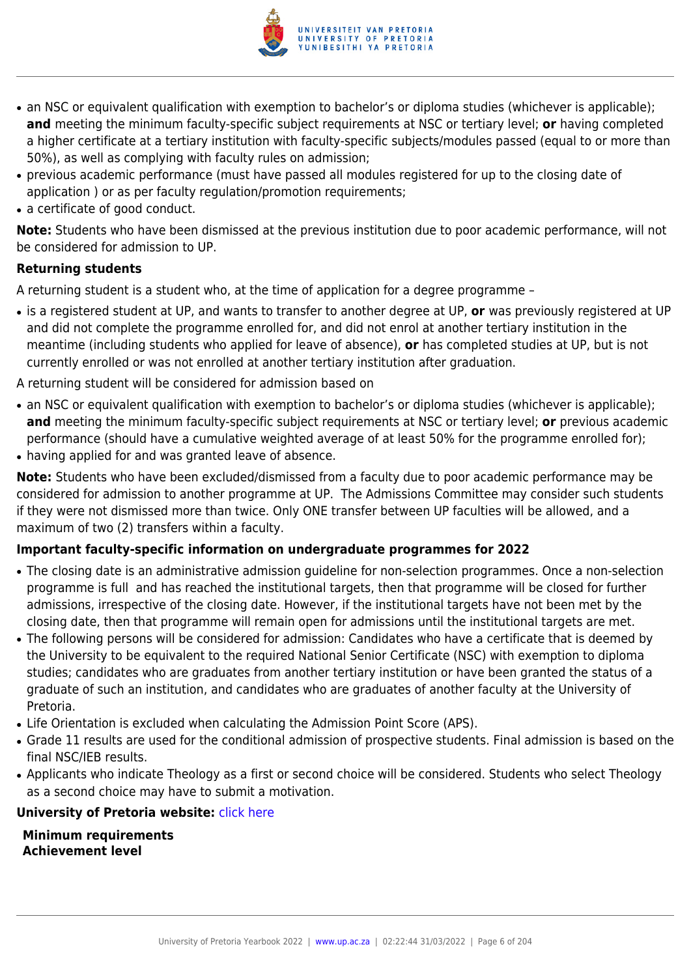

- an NSC or equivalent qualification with exemption to bachelor's or diploma studies (whichever is applicable); **and** meeting the minimum faculty-specific subject requirements at NSC or tertiary level; **or** having completed a higher certificate at a tertiary institution with faculty-specific subjects/modules passed (equal to or more than 50%), as well as complying with faculty rules on admission;
- previous academic performance (must have passed all modules registered for up to the closing date of application ) or as per faculty regulation/promotion requirements;
- a certificate of good conduct.

**Note:** Students who have been dismissed at the previous institution due to poor academic performance, will not be considered for admission to UP.

# **Returning students**

A returning student is a student who, at the time of application for a degree programme –

- is a registered student at UP, and wants to transfer to another degree at UP, **or** was previously registered at UP and did not complete the programme enrolled for, and did not enrol at another tertiary institution in the meantime (including students who applied for leave of absence), **or** has completed studies at UP, but is not currently enrolled or was not enrolled at another tertiary institution after graduation.
- A returning student will be considered for admission based on
- an NSC or equivalent qualification with exemption to bachelor's or diploma studies (whichever is applicable); **and** meeting the minimum faculty-specific subject requirements at NSC or tertiary level; **or** previous academic performance (should have a cumulative weighted average of at least 50% for the programme enrolled for);
- having applied for and was granted leave of absence.

**Note:** Students who have been excluded/dismissed from a faculty due to poor academic performance may be considered for admission to another programme at UP. The Admissions Committee may consider such students if they were not dismissed more than twice. Only ONE transfer between UP faculties will be allowed, and a maximum of two (2) transfers within a faculty.

#### **Important faculty-specific information on undergraduate programmes for 2022**

- The closing date is an administrative admission guideline for non-selection programmes. Once a non-selection programme is full and has reached the institutional targets, then that programme will be closed for further admissions, irrespective of the closing date. However, if the institutional targets have not been met by the closing date, then that programme will remain open for admissions until the institutional targets are met.
- The following persons will be considered for admission: Candidates who have a certificate that is deemed by the University to be equivalent to the required National Senior Certificate (NSC) with exemption to diploma studies; candidates who are graduates from another tertiary institution or have been granted the status of a graduate of such an institution, and candidates who are graduates of another faculty at the University of Pretoria.
- Life Orientation is excluded when calculating the Admission Point Score (APS).
- Grade 11 results are used for the conditional admission of prospective students. Final admission is based on the final NSC/IEB results.
- Applicants who indicate Theology as a first or second choice will be considered. Students who select Theology as a second choice may have to submit a motivation.

#### **University of Pretoria website: [click here](http://www.up.ac.za/theology)**

**Minimum requirements Achievement level**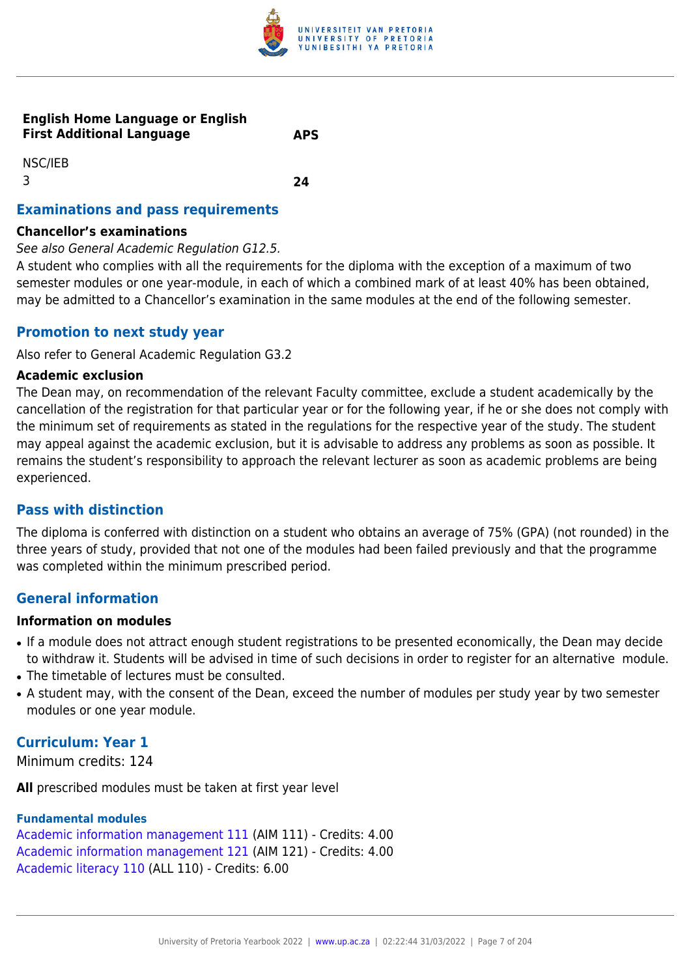

#### **English Home Language or English First Additional Language APS**

NSC/IEB 3 **24**

# **Examinations and pass requirements**

#### **Chancellor's examinations**

See also General Academic Regulation G12.5.

A student who complies with all the requirements for the diploma with the exception of a maximum of two semester modules or one year-module, in each of which a combined mark of at least 40% has been obtained, may be admitted to a Chancellor's examination in the same modules at the end of the following semester.

## **Promotion to next study year**

Also refer to General Academic Regulation G3.2

#### **Academic exclusion**

The Dean may, on recommendation of the relevant Faculty committee, exclude a student academically by the cancellation of the registration for that particular year or for the following year, if he or she does not comply with the minimum set of requirements as stated in the regulations for the respective year of the study. The student may appeal against the academic exclusion, but it is advisable to address any problems as soon as possible. It remains the student's responsibility to approach the relevant lecturer as soon as academic problems are being experienced.

#### **Pass with distinction**

The diploma is conferred with distinction on a student who obtains an average of 75% (GPA) (not rounded) in the three years of study, provided that not one of the modules had been failed previously and that the programme was completed within the minimum prescribed period.

# **General information**

#### **Information on modules**

- If a module does not attract enough student registrations to be presented economically, the Dean may decide to withdraw it. Students will be advised in time of such decisions in order to register for an alternative module.
- The timetable of lectures must be consulted.
- A student may, with the consent of the Dean, exceed the number of modules per study year by two semester modules or one year module.

# **Curriculum: Year 1**

Minimum credits: 124

**All** prescribed modules must be taken at first year level

#### **Fundamental modules**

[Academic information management 111](https://www.up.ac.za/yearbooks/2022/modules/view/AIM 111) (AIM 111) - Credits: 4.00 [Academic information management 121](https://www.up.ac.za/yearbooks/2022/modules/view/AIM 121) (AIM 121) - Credits: 4.00 [Academic literacy 110](https://www.up.ac.za/yearbooks/2022/modules/view/ALL 110) (ALL 110) - Credits: 6.00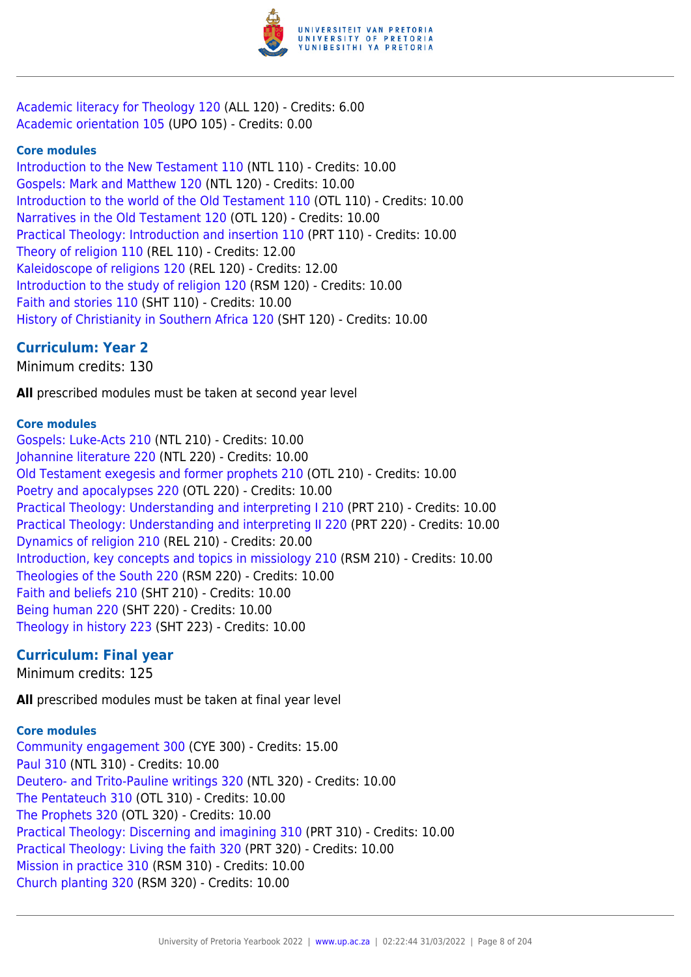

[Academic literacy for Theology 120](https://www.up.ac.za/yearbooks/2022/modules/view/ALL 120) (ALL 120) - Credits: 6.00 [Academic orientation 105](https://www.up.ac.za/yearbooks/2022/modules/view/UPO 105) (UPO 105) - Credits: 0.00

#### **Core modules**

[Introduction to the New Testament 110](https://www.up.ac.za/yearbooks/2022/modules/view/NTL 110) (NTL 110) - Credits: 10.00 [Gospels: Mark and Matthew 120](https://www.up.ac.za/yearbooks/2022/modules/view/NTL 120) (NTL 120) - Credits: 10.00 [Introduction to the world of the Old Testament 110](https://www.up.ac.za/yearbooks/2022/modules/view/OTL 110) (OTL 110) - Credits: 10.00 [Narratives in the Old Testament 120](https://www.up.ac.za/yearbooks/2022/modules/view/OTL 120) (OTL 120) - Credits: 10.00 [Practical Theology: Introduction and insertion 110](https://www.up.ac.za/yearbooks/2022/modules/view/PRT 110) (PRT 110) - Credits: 10.00 [Theory of religion 110](https://www.up.ac.za/yearbooks/2022/modules/view/REL 110) (REL 110) - Credits: 12.00 [Kaleidoscope of religions 120](https://www.up.ac.za/yearbooks/2022/modules/view/REL 120) (REL 120) - Credits: 12.00 [Introduction to the study of religion 120](https://www.up.ac.za/yearbooks/2022/modules/view/RSM 120) (RSM 120) - Credits: 10.00 [Faith and stories 110](https://www.up.ac.za/yearbooks/2022/modules/view/SHT 110) (SHT 110) - Credits: 10.00 [History of Christianity in Southern Africa 120](https://www.up.ac.za/yearbooks/2022/modules/view/SHT 120) (SHT 120) - Credits: 10.00

# **Curriculum: Year 2**

Minimum credits: 130

**All** prescribed modules must be taken at second year level

#### **Core modules**

[Gospels: Luke-Acts 210](https://www.up.ac.za/yearbooks/2022/modules/view/NTL 210) (NTL 210) - Credits: 10.00 [Johannine literature 220](https://www.up.ac.za/yearbooks/2022/modules/view/NTL 220) (NTL 220) - Credits: 10.00 [Old Testament exegesis and former prophets 210](https://www.up.ac.za/yearbooks/2022/modules/view/OTL 210) (OTL 210) - Credits: 10.00 [Poetry and apocalypses 220](https://www.up.ac.za/yearbooks/2022/modules/view/OTL 220) (OTL 220) - Credits: 10.00 [Practical Theology: Understanding and interpreting I 210](https://www.up.ac.za/yearbooks/2022/modules/view/PRT 210) (PRT 210) - Credits: 10.00 [Practical Theology: Understanding and interpreting II 220](https://www.up.ac.za/yearbooks/2022/modules/view/PRT 220) (PRT 220) - Credits: 10.00 [Dynamics of religion 210](https://www.up.ac.za/yearbooks/2022/modules/view/REL 210) (REL 210) - Credits: 20.00 [Introduction, key concepts and topics in missiology 210](https://www.up.ac.za/yearbooks/2022/modules/view/RSM 210) (RSM 210) - Credits: 10.00 [Theologies of the South 220](https://www.up.ac.za/yearbooks/2022/modules/view/RSM 220) (RSM 220) - Credits: 10.00 [Faith and beliefs 210](https://www.up.ac.za/yearbooks/2022/modules/view/SHT 210) (SHT 210) - Credits: 10.00 [Being human 220](https://www.up.ac.za/yearbooks/2022/modules/view/SHT 220) (SHT 220) - Credits: 10.00 [Theology in history 223](https://www.up.ac.za/yearbooks/2022/modules/view/SHT 223) (SHT 223) - Credits: 10.00

#### **Curriculum: Final year**

Minimum credits: 125

**All** prescribed modules must be taken at final year level

# **Core modules**

[Community engagement 300](https://www.up.ac.za/yearbooks/2022/modules/view/CYE 300) (CYE 300) - Credits: 15.00 [Paul 310](https://www.up.ac.za/yearbooks/2022/modules/view/NTL 310) (NTL 310) - Credits: 10.00 [Deutero- and Trito-Pauline writings 320](https://www.up.ac.za/yearbooks/2022/modules/view/NTL 320) (NTL 320) - Credits: 10.00 [The Pentateuch 310](https://www.up.ac.za/yearbooks/2022/modules/view/OTL 310) (OTL 310) - Credits: 10.00 [The Prophets 320](https://www.up.ac.za/yearbooks/2022/modules/view/OTL 320) (OTL 320) - Credits: 10.00 [Practical Theology: Discerning and imagining 310](https://www.up.ac.za/yearbooks/2022/modules/view/PRT 310) (PRT 310) - Credits: 10.00 [Practical Theology: Living the faith 320](https://www.up.ac.za/yearbooks/2022/modules/view/PRT 320) (PRT 320) - Credits: 10.00 [Mission in practice 310](https://www.up.ac.za/yearbooks/2022/modules/view/RSM 310) (RSM 310) - Credits: 10.00 [Church planting 320](https://www.up.ac.za/yearbooks/2022/modules/view/RSM 320) (RSM 320) - Credits: 10.00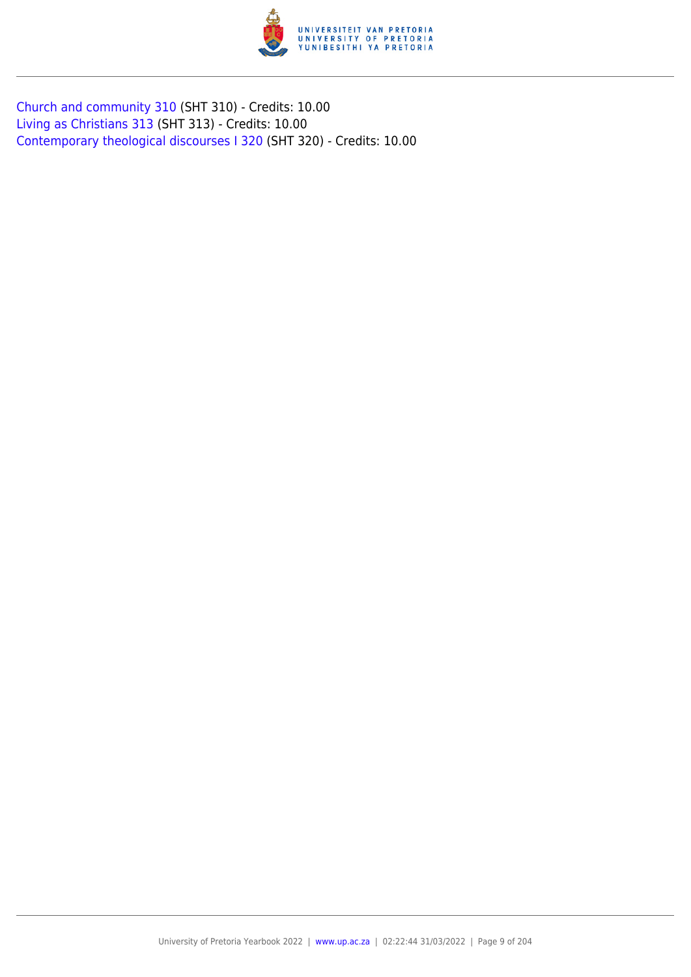

[Church and community 310](https://www.up.ac.za/yearbooks/2022/modules/view/SHT 310) (SHT 310) - Credits: 10.00 [Living as Christians 313](https://www.up.ac.za/yearbooks/2022/modules/view/SHT 313) (SHT 313) - Credits: 10.00 [Contemporary theological discourses I 320](https://www.up.ac.za/yearbooks/2022/modules/view/SHT 320) (SHT 320) - Credits: 10.00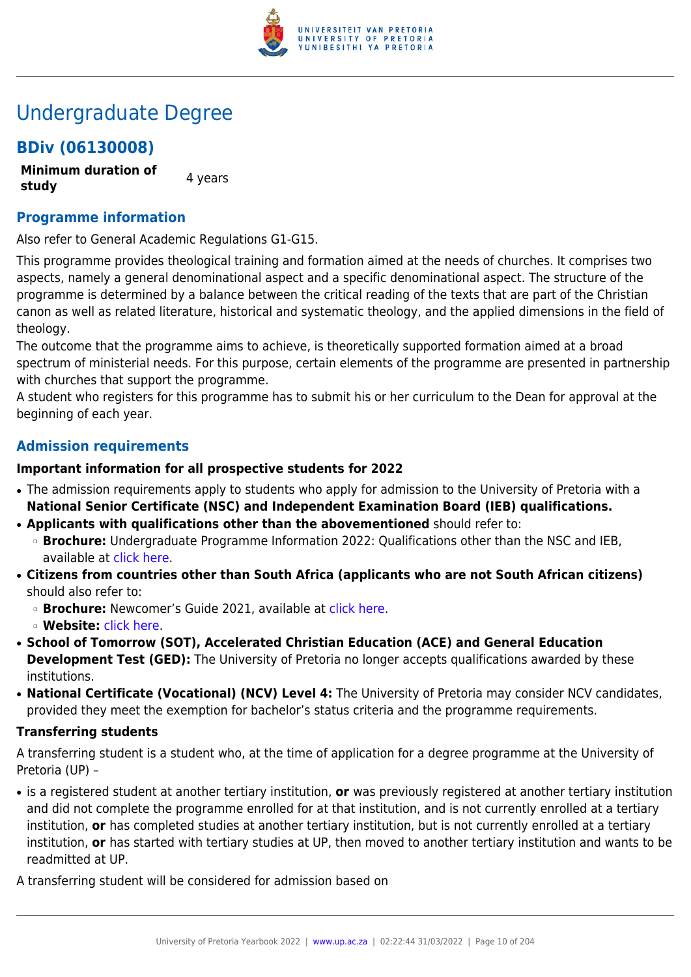

# Undergraduate Degree

# **BDiv (06130008)**

**Minimum duration of study** 4 years

# **Programme information**

Also refer to General Academic Regulations G1-G15.

This programme provides theological training and formation aimed at the needs of churches. It comprises two aspects, namely a general denominational aspect and a specific denominational aspect. The structure of the programme is determined by a balance between the critical reading of the texts that are part of the Christian canon as well as related literature, historical and systematic theology, and the applied dimensions in the field of theology.

The outcome that the programme aims to achieve, is theoretically supported formation aimed at a broad spectrum of ministerial needs. For this purpose, certain elements of the programme are presented in partnership with churches that support the programme.

A student who registers for this programme has to submit his or her curriculum to the Dean for approval at the beginning of each year.

# **Admission requirements**

#### **Important information for all prospective students for 2022**

- The admission requirements apply to students who apply for admission to the University of Pretoria with a **National Senior Certificate (NSC) and Independent Examination Board (IEB) qualifications.**
- **Applicants with qualifications other than the abovementioned** should refer to:
	- ❍ **Brochure:** Undergraduate Programme Information 2022: Qualifications other than the NSC and IEB, available at [click here.](https://www.up.ac.za/students/article/2749263/admission-information)
- **Citizens from countries other than South Africa (applicants who are not South African citizens)** should also refer to:
	- ❍ **Brochure:** Newcomer's Guide 2021, available at [click here.](https://www.up.ac.za/students/article/2749263/admission-information)
	- ❍ **Website:** [click here](http://www.up.ac.za/international-cooperation-division).
- **School of Tomorrow (SOT), Accelerated Christian Education (ACE) and General Education Development Test (GED):** The University of Pretoria no longer accepts qualifications awarded by these institutions.
- **National Certificate (Vocational) (NCV) Level 4:** The University of Pretoria may consider NCV candidates, provided they meet the exemption for bachelor's status criteria and the programme requirements.

#### **Transferring students**

A transferring student is a student who, at the time of application for a degree programme at the University of Pretoria (UP) –

● is a registered student at another tertiary institution, **or** was previously registered at another tertiary institution and did not complete the programme enrolled for at that institution, and is not currently enrolled at a tertiary institution, **or** has completed studies at another tertiary institution, but is not currently enrolled at a tertiary institution, **or** has started with tertiary studies at UP, then moved to another tertiary institution and wants to be readmitted at UP.

A transferring student will be considered for admission based on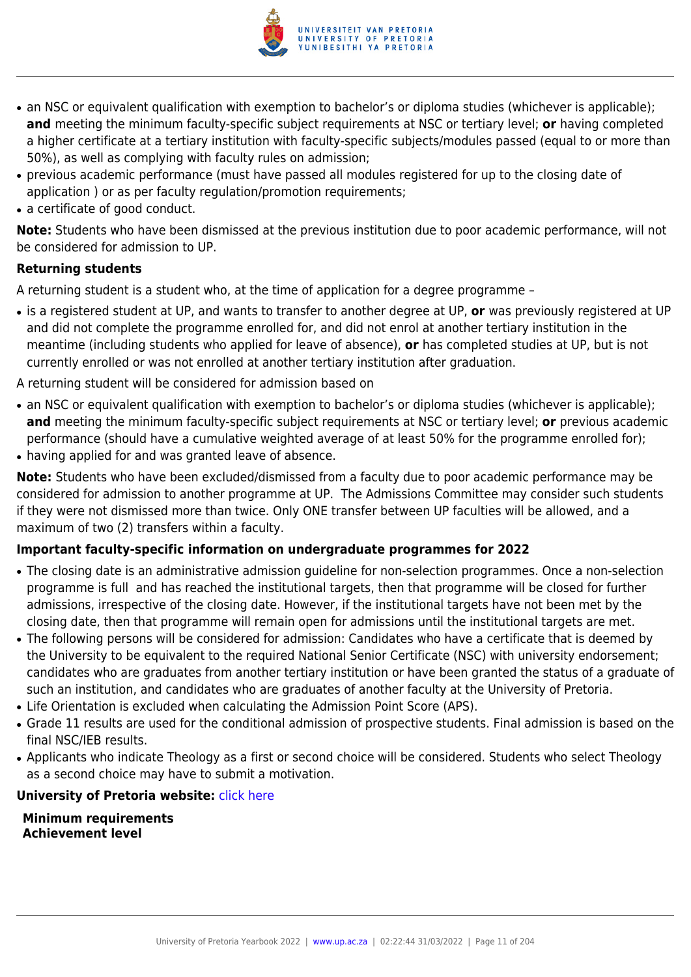

- an NSC or equivalent qualification with exemption to bachelor's or diploma studies (whichever is applicable); **and** meeting the minimum faculty-specific subject requirements at NSC or tertiary level; **or** having completed a higher certificate at a tertiary institution with faculty-specific subjects/modules passed (equal to or more than 50%), as well as complying with faculty rules on admission;
- previous academic performance (must have passed all modules registered for up to the closing date of application ) or as per faculty regulation/promotion requirements;
- a certificate of good conduct.

**Note:** Students who have been dismissed at the previous institution due to poor academic performance, will not be considered for admission to UP.

# **Returning students**

A returning student is a student who, at the time of application for a degree programme –

- is a registered student at UP, and wants to transfer to another degree at UP, **or** was previously registered at UP and did not complete the programme enrolled for, and did not enrol at another tertiary institution in the meantime (including students who applied for leave of absence), **or** has completed studies at UP, but is not currently enrolled or was not enrolled at another tertiary institution after graduation.
- A returning student will be considered for admission based on
- an NSC or equivalent qualification with exemption to bachelor's or diploma studies (whichever is applicable); **and** meeting the minimum faculty-specific subject requirements at NSC or tertiary level; **or** previous academic performance (should have a cumulative weighted average of at least 50% for the programme enrolled for);
- having applied for and was granted leave of absence.

**Note:** Students who have been excluded/dismissed from a faculty due to poor academic performance may be considered for admission to another programme at UP. The Admissions Committee may consider such students if they were not dismissed more than twice. Only ONE transfer between UP faculties will be allowed, and a maximum of two (2) transfers within a faculty.

#### **Important faculty-specific information on undergraduate programmes for 2022**

- The closing date is an administrative admission guideline for non-selection programmes. Once a non-selection programme is full and has reached the institutional targets, then that programme will be closed for further admissions, irrespective of the closing date. However, if the institutional targets have not been met by the closing date, then that programme will remain open for admissions until the institutional targets are met.
- The following persons will be considered for admission: Candidates who have a certificate that is deemed by the University to be equivalent to the required National Senior Certificate (NSC) with university endorsement; candidates who are graduates from another tertiary institution or have been granted the status of a graduate of such an institution, and candidates who are graduates of another faculty at the University of Pretoria.
- Life Orientation is excluded when calculating the Admission Point Score (APS).
- Grade 11 results are used for the conditional admission of prospective students. Final admission is based on the final NSC/IEB results.
- Applicants who indicate Theology as a first or second choice will be considered. Students who select Theology as a second choice may have to submit a motivation.

#### **University of Pretoria website: [click here](http://www.up.ac.za/theology)**

**Minimum requirements Achievement level**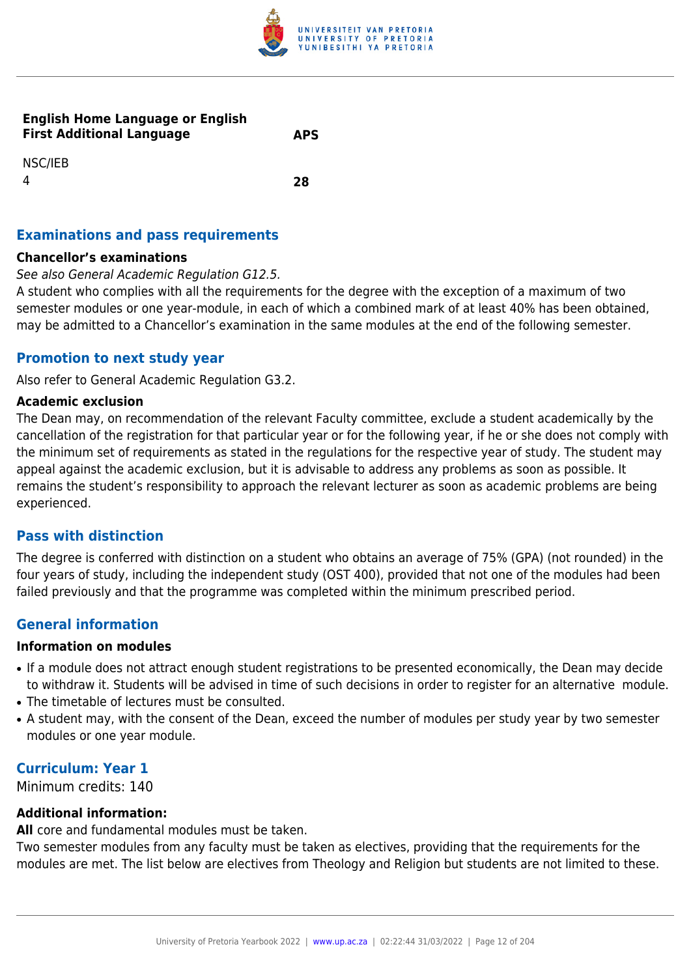

#### **English Home Language or English First Additional Language APS**

NSC/IEB 4 **28**

# **Examinations and pass requirements**

#### **Chancellor's examinations**

#### See also General Academic Regulation G12.5.

A student who complies with all the requirements for the degree with the exception of a maximum of two semester modules or one year-module, in each of which a combined mark of at least 40% has been obtained, may be admitted to a Chancellor's examination in the same modules at the end of the following semester.

# **Promotion to next study year**

Also refer to General Academic Regulation G3.2.

#### **Academic exclusion**

The Dean may, on recommendation of the relevant Faculty committee, exclude a student academically by the cancellation of the registration for that particular year or for the following year, if he or she does not comply with the minimum set of requirements as stated in the regulations for the respective year of study. The student may appeal against the academic exclusion, but it is advisable to address any problems as soon as possible. It remains the student's responsibility to approach the relevant lecturer as soon as academic problems are being experienced.

# **Pass with distinction**

The degree is conferred with distinction on a student who obtains an average of 75% (GPA) (not rounded) in the four years of study, including the independent study (OST 400), provided that not one of the modules had been failed previously and that the programme was completed within the minimum prescribed period.

# **General information**

#### **Information on modules**

- If a module does not attract enough student registrations to be presented economically, the Dean may decide to withdraw it. Students will be advised in time of such decisions in order to register for an alternative module.
- The timetable of lectures must be consulted.
- A student may, with the consent of the Dean, exceed the number of modules per study year by two semester modules or one year module.

# **Curriculum: Year 1**

Minimum credits: 140

#### **Additional information:**

**All** core and fundamental modules must be taken.

Two semester modules from any faculty must be taken as electives, providing that the requirements for the modules are met. The list below are electives from Theology and Religion but students are not limited to these.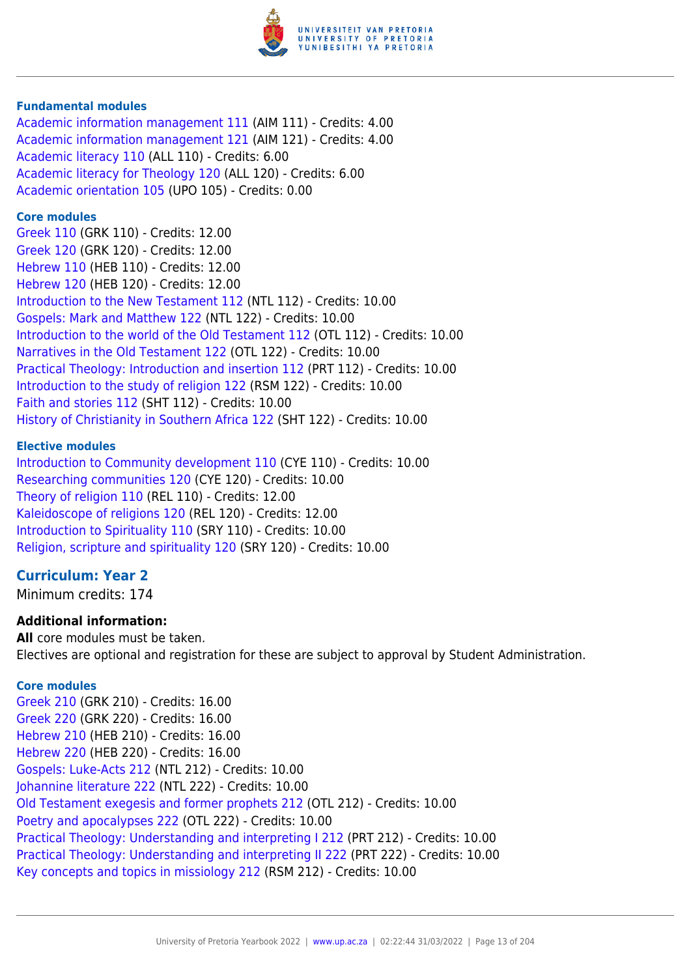

#### **Fundamental modules**

[Academic information management 111](https://www.up.ac.za/yearbooks/2022/modules/view/AIM 111) (AIM 111) - Credits: 4.00 [Academic information management 121](https://www.up.ac.za/yearbooks/2022/modules/view/AIM 121) (AIM 121) - Credits: 4.00 [Academic literacy 110](https://www.up.ac.za/yearbooks/2022/modules/view/ALL 110) (ALL 110) - Credits: 6.00 [Academic literacy for Theology 120](https://www.up.ac.za/yearbooks/2022/modules/view/ALL 120) (ALL 120) - Credits: 6.00 [Academic orientation 105](https://www.up.ac.za/yearbooks/2022/modules/view/UPO 105) (UPO 105) - Credits: 0.00

#### **Core modules**

[Greek 110](https://www.up.ac.za/yearbooks/2022/modules/view/GRK 110) (GRK 110) - Credits: 12.00 [Greek 120](https://www.up.ac.za/yearbooks/2022/modules/view/GRK 120) (GRK 120) - Credits: 12.00 [Hebrew 110](https://www.up.ac.za/yearbooks/2022/modules/view/HEB 110) (HEB 110) - Credits: 12.00 [Hebrew 120](https://www.up.ac.za/yearbooks/2022/modules/view/HEB 120) (HEB 120) - Credits: 12.00 [Introduction to the New Testament 112](https://www.up.ac.za/yearbooks/2022/modules/view/NTL 112) (NTL 112) - Credits: 10.00 [Gospels: Mark and Matthew 122](https://www.up.ac.za/yearbooks/2022/modules/view/NTL 122) (NTL 122) - Credits: 10.00 [Introduction to the world of the Old Testament 112](https://www.up.ac.za/yearbooks/2022/modules/view/OTL 112) (OTL 112) - Credits: 10.00 [Narratives in the Old Testament 122](https://www.up.ac.za/yearbooks/2022/modules/view/OTL 122) (OTL 122) - Credits: 10.00 [Practical Theology: Introduction and insertion 112](https://www.up.ac.za/yearbooks/2022/modules/view/PRT 112) (PRT 112) - Credits: 10.00 [Introduction to the study of religion 122](https://www.up.ac.za/yearbooks/2022/modules/view/RSM 122) (RSM 122) - Credits: 10.00 [Faith and stories 112](https://www.up.ac.za/yearbooks/2022/modules/view/SHT 112) (SHT 112) - Credits: 10.00 [History of Christianity in Southern Africa 122](https://www.up.ac.za/yearbooks/2022/modules/view/SHT 122) (SHT 122) - Credits: 10.00

#### **Elective modules**

[Introduction to Community development 110](https://www.up.ac.za/yearbooks/2022/modules/view/CYE 110) (CYE 110) - Credits: 10.00 [Researching communities 120](https://www.up.ac.za/yearbooks/2022/modules/view/CYE 120) (CYE 120) - Credits: 10.00 [Theory of religion 110](https://www.up.ac.za/yearbooks/2022/modules/view/REL 110) (REL 110) - Credits: 12.00 [Kaleidoscope of religions 120](https://www.up.ac.za/yearbooks/2022/modules/view/REL 120) (REL 120) - Credits: 12.00 [Introduction to Spirituality 110](https://www.up.ac.za/yearbooks/2022/modules/view/SRY 110) (SRY 110) - Credits: 10.00 [Religion, scripture and spirituality 120](https://www.up.ac.za/yearbooks/2022/modules/view/SRY 120) (SRY 120) - Credits: 10.00

#### **Curriculum: Year 2**

Minimum credits: 174

#### **Additional information:**

**All** core modules must be taken. Electives are optional and registration for these are subject to approval by Student Administration.

#### **Core modules**

[Greek 210](https://www.up.ac.za/yearbooks/2022/modules/view/GRK 210) (GRK 210) - Credits: 16.00 [Greek 220](https://www.up.ac.za/yearbooks/2022/modules/view/GRK 220) (GRK 220) - Credits: 16.00 [Hebrew 210](https://www.up.ac.za/yearbooks/2022/modules/view/HEB 210) (HEB 210) - Credits: 16.00 [Hebrew 220](https://www.up.ac.za/yearbooks/2022/modules/view/HEB 220) (HEB 220) - Credits: 16.00 [Gospels: Luke-Acts 212](https://www.up.ac.za/yearbooks/2022/modules/view/NTL 212) (NTL 212) - Credits: 10.00 [Johannine literature 222](https://www.up.ac.za/yearbooks/2022/modules/view/NTL 222) (NTL 222) - Credits: 10.00 [Old Testament exegesis and former prophets 212](https://www.up.ac.za/yearbooks/2022/modules/view/OTL 212) (OTL 212) - Credits: 10.00 [Poetry and apocalypses 222](https://www.up.ac.za/yearbooks/2022/modules/view/OTL 222) (OTL 222) - Credits: 10.00 [Practical Theology: Understanding and interpreting I 212](https://www.up.ac.za/yearbooks/2022/modules/view/PRT 212) (PRT 212) - Credits: 10.00 [Practical Theology: Understanding and interpreting II 222](https://www.up.ac.za/yearbooks/2022/modules/view/PRT 222) (PRT 222) - Credits: 10.00 [Key concepts and topics in missiology 212](https://www.up.ac.za/yearbooks/2022/modules/view/RSM 212) (RSM 212) - Credits: 10.00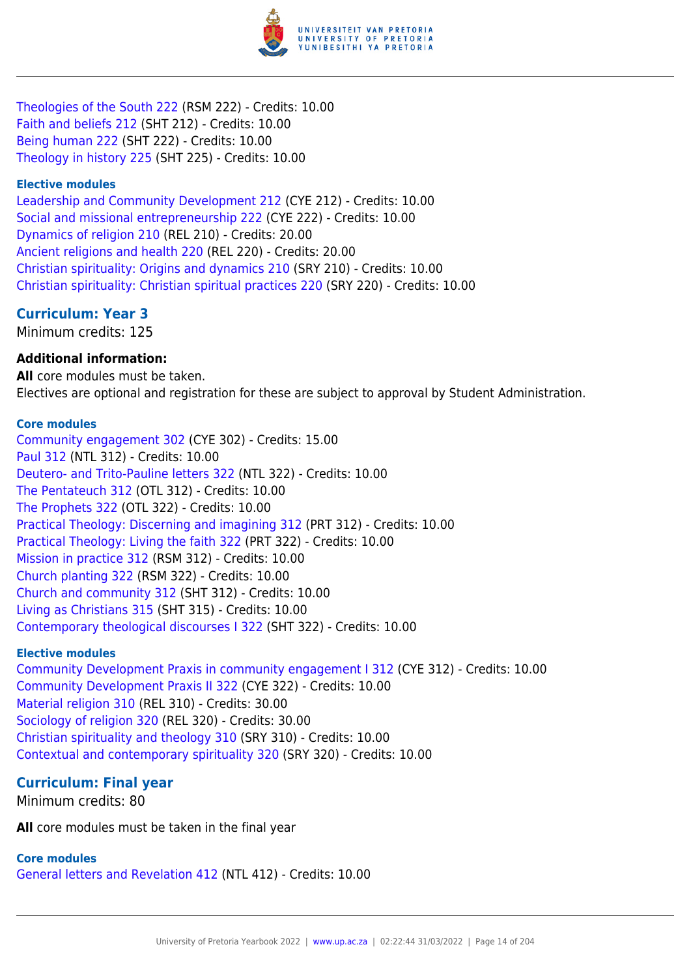

[Theologies of the South 222](https://www.up.ac.za/yearbooks/2022/modules/view/RSM 222) (RSM 222) - Credits: 10.00 [Faith and beliefs 212](https://www.up.ac.za/yearbooks/2022/modules/view/SHT 212) (SHT 212) - Credits: 10.00 [Being human 222](https://www.up.ac.za/yearbooks/2022/modules/view/SHT 222) (SHT 222) - Credits: 10.00 [Theology in history 225](https://www.up.ac.za/yearbooks/2022/modules/view/SHT 225) (SHT 225) - Credits: 10.00

#### **Elective modules**

[Leadership and Community Development 212](https://www.up.ac.za/yearbooks/2022/modules/view/CYE 212) (CYE 212) - Credits: 10.00 [Social and missional entrepreneurship 222](https://www.up.ac.za/yearbooks/2022/modules/view/CYE 222) (CYE 222) - Credits: 10.00 [Dynamics of religion 210](https://www.up.ac.za/yearbooks/2022/modules/view/REL 210) (REL 210) - Credits: 20.00 [Ancient religions and health 220](https://www.up.ac.za/yearbooks/2022/modules/view/REL 220) (REL 220) - Credits: 20.00 [Christian spirituality: Origins and dynamics 210](https://www.up.ac.za/yearbooks/2022/modules/view/SRY 210) (SRY 210) - Credits: 10.00 [Christian spirituality: Christian spiritual practices 220](https://www.up.ac.za/yearbooks/2022/modules/view/SRY 220) (SRY 220) - Credits: 10.00

## **Curriculum: Year 3**

Minimum credits: 125

#### **Additional information:**

**All** core modules must be taken. Electives are optional and registration for these are subject to approval by Student Administration.

#### **Core modules**

[Community engagement 302](https://www.up.ac.za/yearbooks/2022/modules/view/CYE 302) (CYE 302) - Credits: 15.00 [Paul 312](https://www.up.ac.za/yearbooks/2022/modules/view/NTL 312) (NTL 312) - Credits: 10.00 [Deutero- and Trito-Pauline letters 322](https://www.up.ac.za/yearbooks/2022/modules/view/NTL 322) (NTL 322) - Credits: 10.00 [The Pentateuch 312](https://www.up.ac.za/yearbooks/2022/modules/view/OTL 312) (OTL 312) - Credits: 10.00 [The Prophets 322](https://www.up.ac.za/yearbooks/2022/modules/view/OTL 322) (OTL 322) - Credits: 10.00 [Practical Theology: Discerning and imagining 312](https://www.up.ac.za/yearbooks/2022/modules/view/PRT 312) (PRT 312) - Credits: 10.00 [Practical Theology: Living the faith 322](https://www.up.ac.za/yearbooks/2022/modules/view/PRT 322) (PRT 322) - Credits: 10.00 [Mission in practice 312](https://www.up.ac.za/yearbooks/2022/modules/view/RSM 312) (RSM 312) - Credits: 10.00 [Church planting 322](https://www.up.ac.za/yearbooks/2022/modules/view/RSM 322) (RSM 322) - Credits: 10.00 [Church and community 312](https://www.up.ac.za/yearbooks/2022/modules/view/SHT 312) (SHT 312) - Credits: 10.00 [Living as Christians 315](https://www.up.ac.za/yearbooks/2022/modules/view/SHT 315) (SHT 315) - Credits: 10.00 [Contemporary theological discourses I 322](https://www.up.ac.za/yearbooks/2022/modules/view/SHT 322) (SHT 322) - Credits: 10.00

#### **Elective modules**

[Community Development Praxis in community engagement I 312](https://www.up.ac.za/yearbooks/2022/modules/view/CYE 312) (CYE 312) - Credits: 10.00 [Community Development Praxis II 322](https://www.up.ac.za/yearbooks/2022/modules/view/CYE 322) (CYE 322) - Credits: 10.00 [Material religion 310](https://www.up.ac.za/yearbooks/2022/modules/view/REL 310) (REL 310) - Credits: 30.00 [Sociology of religion 320](https://www.up.ac.za/yearbooks/2022/modules/view/REL 320) (REL 320) - Credits: 30.00 [Christian spirituality and theology 310](https://www.up.ac.za/yearbooks/2022/modules/view/SRY 310) (SRY 310) - Credits: 10.00 [Contextual and contemporary spirituality 320](https://www.up.ac.za/yearbooks/2022/modules/view/SRY 320) (SRY 320) - Credits: 10.00

# **Curriculum: Final year**

Minimum credits: 80

**All** core modules must be taken in the final year

#### **Core modules**

[General letters and Revelation 412](https://www.up.ac.za/yearbooks/2022/modules/view/NTL 412) (NTL 412) - Credits: 10.00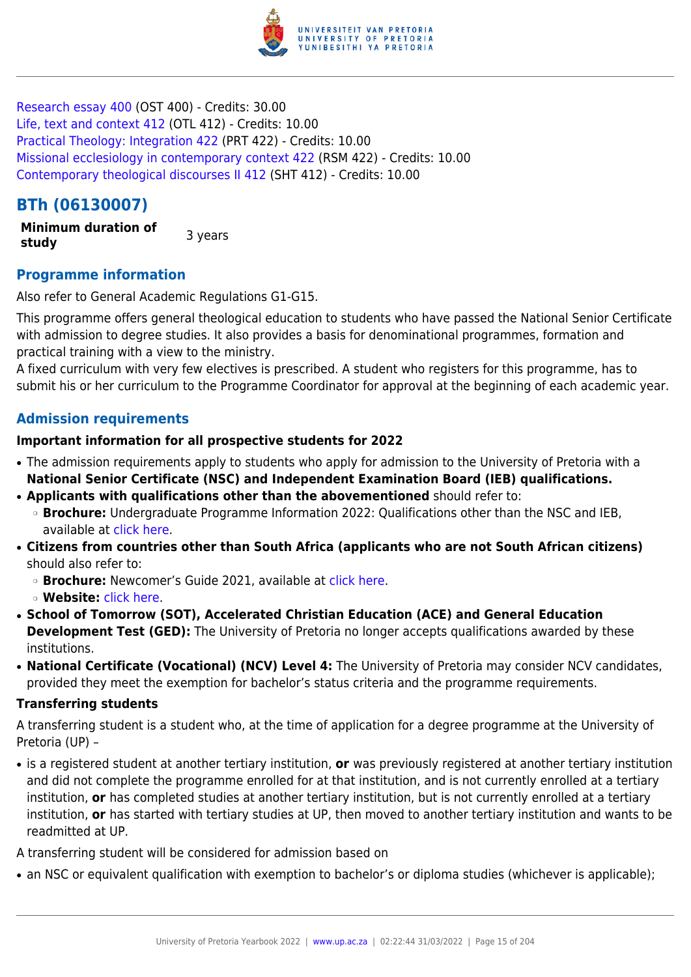

[Research essay 400](https://www.up.ac.za/yearbooks/2022/modules/view/OST 400) (OST 400) - Credits: 30.00 [Life, text and context 412](https://www.up.ac.za/yearbooks/2022/modules/view/OTL 412) (OTL 412) - Credits: 10.00 [Practical Theology: Integration 422](https://www.up.ac.za/yearbooks/2022/modules/view/PRT 422) (PRT 422) - Credits: 10.00 [Missional ecclesiology in contemporary context 422](https://www.up.ac.za/yearbooks/2022/modules/view/RSM 422) (RSM 422) - Credits: 10.00 [Contemporary theological discourses II 412](https://www.up.ac.za/yearbooks/2022/modules/view/SHT 412) (SHT 412) - Credits: 10.00

# **BTh (06130007)**

**Minimum duration of study 3** years

# **Programme information**

Also refer to General Academic Regulations G1-G15.

This programme offers general theological education to students who have passed the National Senior Certificate with admission to degree studies. It also provides a basis for denominational programmes, formation and practical training with a view to the ministry.

A fixed curriculum with very few electives is prescribed. A student who registers for this programme, has to submit his or her curriculum to the Programme Coordinator for approval at the beginning of each academic year.

# **Admission requirements**

## **Important information for all prospective students for 2022**

- The admission requirements apply to students who apply for admission to the University of Pretoria with a **National Senior Certificate (NSC) and Independent Examination Board (IEB) qualifications.**
- **Applicants with qualifications other than the abovementioned** should refer to:
	- ❍ **Brochure:** Undergraduate Programme Information 2022: Qualifications other than the NSC and IEB, available at [click here.](https://www.up.ac.za/students/article/2749263/admission-information)
- **Citizens from countries other than South Africa (applicants who are not South African citizens)** should also refer to:
	- ❍ **Brochure:** Newcomer's Guide 2021, available at [click here.](https://www.up.ac.za/students/article/2749263/admission-information)
	- ❍ **Website:** [click here](http://www.up.ac.za/international-cooperation-division).
- **School of Tomorrow (SOT), Accelerated Christian Education (ACE) and General Education Development Test (GED):** The University of Pretoria no longer accepts qualifications awarded by these institutions.
- **National Certificate (Vocational) (NCV) Level 4:** The University of Pretoria may consider NCV candidates, provided they meet the exemption for bachelor's status criteria and the programme requirements.

#### **Transferring students**

A transferring student is a student who, at the time of application for a degree programme at the University of Pretoria (UP) –

● is a registered student at another tertiary institution, **or** was previously registered at another tertiary institution and did not complete the programme enrolled for at that institution, and is not currently enrolled at a tertiary institution, **or** has completed studies at another tertiary institution, but is not currently enrolled at a tertiary institution, **or** has started with tertiary studies at UP, then moved to another tertiary institution and wants to be readmitted at UP.

A transferring student will be considered for admission based on

• an NSC or equivalent qualification with exemption to bachelor's or diploma studies (whichever is applicable);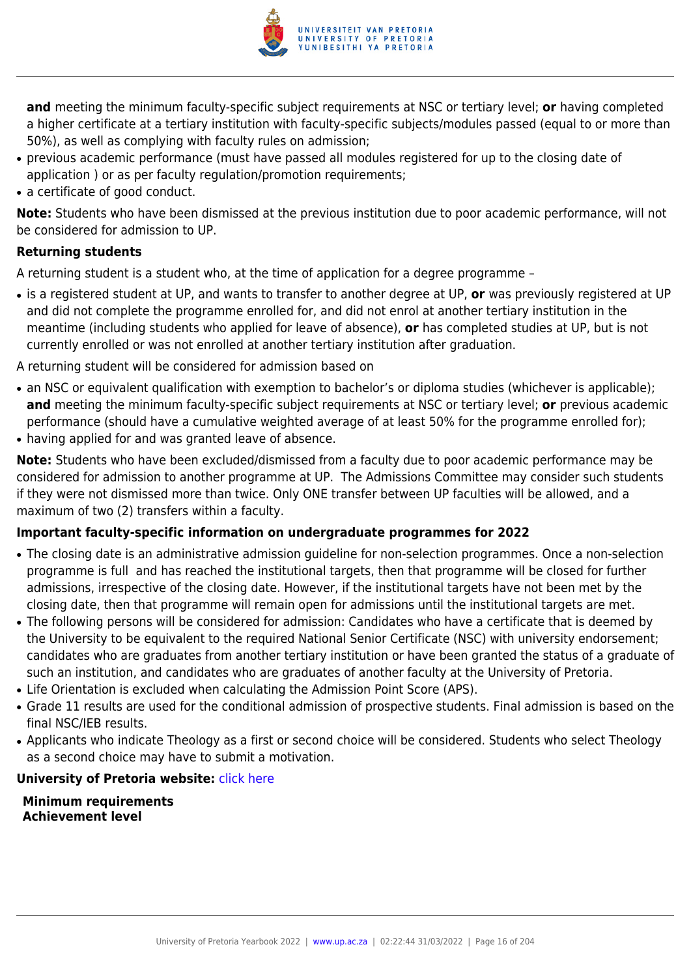

**and** meeting the minimum faculty-specific subject requirements at NSC or tertiary level; **or** having completed a higher certificate at a tertiary institution with faculty-specific subjects/modules passed (equal to or more than 50%), as well as complying with faculty rules on admission;

- previous academic performance (must have passed all modules registered for up to the closing date of application ) or as per faculty regulation/promotion requirements;
- a certificate of good conduct.

**Note:** Students who have been dismissed at the previous institution due to poor academic performance, will not be considered for admission to UP.

# **Returning students**

A returning student is a student who, at the time of application for a degree programme –

- is a registered student at UP, and wants to transfer to another degree at UP, **or** was previously registered at UP and did not complete the programme enrolled for, and did not enrol at another tertiary institution in the meantime (including students who applied for leave of absence), **or** has completed studies at UP, but is not currently enrolled or was not enrolled at another tertiary institution after graduation.
- A returning student will be considered for admission based on
- an NSC or equivalent qualification with exemption to bachelor's or diploma studies (whichever is applicable); **and** meeting the minimum faculty-specific subject requirements at NSC or tertiary level; **or** previous academic performance (should have a cumulative weighted average of at least 50% for the programme enrolled for);
- having applied for and was granted leave of absence.

**Note:** Students who have been excluded/dismissed from a faculty due to poor academic performance may be considered for admission to another programme at UP. The Admissions Committee may consider such students if they were not dismissed more than twice. Only ONE transfer between UP faculties will be allowed, and a maximum of two (2) transfers within a faculty.

# **Important faculty-specific information on undergraduate programmes for 2022**

- The closing date is an administrative admission guideline for non-selection programmes. Once a non-selection programme is full and has reached the institutional targets, then that programme will be closed for further admissions, irrespective of the closing date. However, if the institutional targets have not been met by the closing date, then that programme will remain open for admissions until the institutional targets are met.
- The following persons will be considered for admission: Candidates who have a certificate that is deemed by the University to be equivalent to the required National Senior Certificate (NSC) with university endorsement; candidates who are graduates from another tertiary institution or have been granted the status of a graduate of such an institution, and candidates who are graduates of another faculty at the University of Pretoria.
- Life Orientation is excluded when calculating the Admission Point Score (APS).
- Grade 11 results are used for the conditional admission of prospective students. Final admission is based on the final NSC/IEB results.
- Applicants who indicate Theology as a first or second choice will be considered. Students who select Theology as a second choice may have to submit a motivation.

#### **University of Pretoria website: [click here](http://www.up.ac.za/theology)**

**Minimum requirements Achievement level**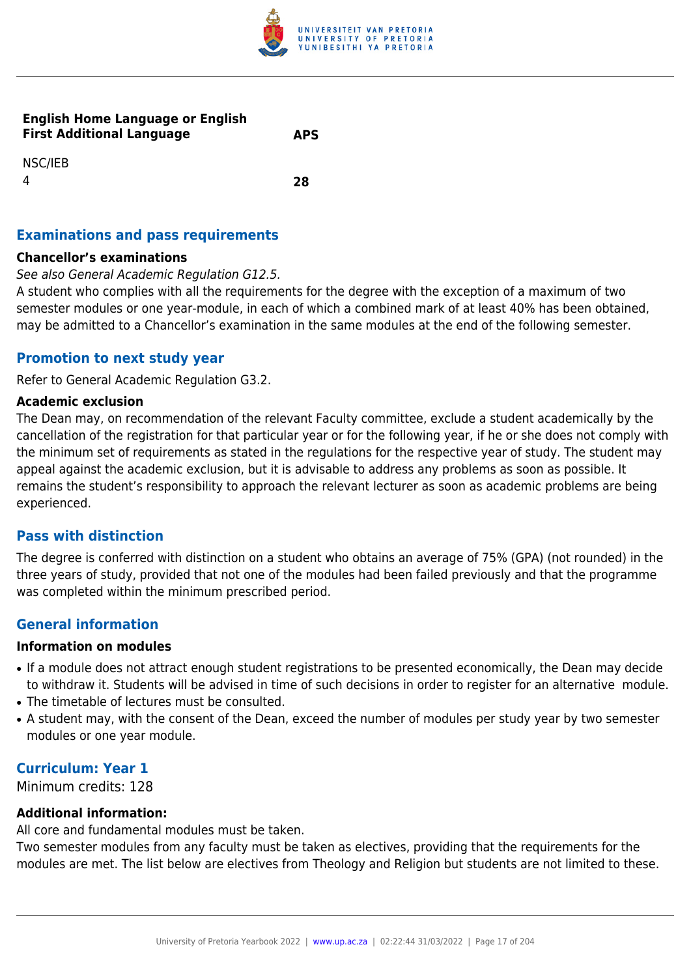

#### **English Home Language or English First Additional Language APS**

NSC/IEB 4 **28**

# **Examinations and pass requirements**

#### **Chancellor's examinations**

#### See also General Academic Regulation G12.5.

A student who complies with all the requirements for the degree with the exception of a maximum of two semester modules or one year-module, in each of which a combined mark of at least 40% has been obtained, may be admitted to a Chancellor's examination in the same modules at the end of the following semester.

## **Promotion to next study year**

Refer to General Academic Regulation G3.2.

#### **Academic exclusion**

The Dean may, on recommendation of the relevant Faculty committee, exclude a student academically by the cancellation of the registration for that particular year or for the following year, if he or she does not comply with the minimum set of requirements as stated in the regulations for the respective year of study. The student may appeal against the academic exclusion, but it is advisable to address any problems as soon as possible. It remains the student's responsibility to approach the relevant lecturer as soon as academic problems are being experienced.

#### **Pass with distinction**

The degree is conferred with distinction on a student who obtains an average of 75% (GPA) (not rounded) in the three years of study, provided that not one of the modules had been failed previously and that the programme was completed within the minimum prescribed period.

# **General information**

#### **Information on modules**

- If a module does not attract enough student registrations to be presented economically, the Dean may decide to withdraw it. Students will be advised in time of such decisions in order to register for an alternative module.
- The timetable of lectures must be consulted.
- A student may, with the consent of the Dean, exceed the number of modules per study year by two semester modules or one year module.

## **Curriculum: Year 1**

Minimum credits: 128

#### **Additional information:**

All core and fundamental modules must be taken.

Two semester modules from any faculty must be taken as electives, providing that the requirements for the modules are met. The list below are electives from Theology and Religion but students are not limited to these.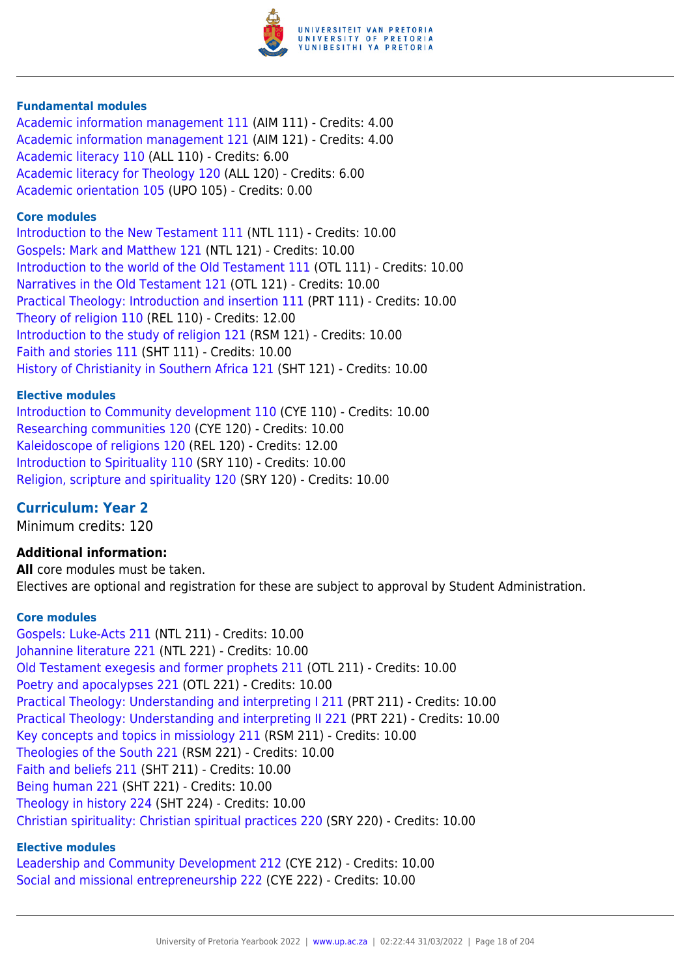

#### **Fundamental modules**

[Academic information management 111](https://www.up.ac.za/yearbooks/2022/modules/view/AIM 111) (AIM 111) - Credits: 4.00 [Academic information management 121](https://www.up.ac.za/yearbooks/2022/modules/view/AIM 121) (AIM 121) - Credits: 4.00 [Academic literacy 110](https://www.up.ac.za/yearbooks/2022/modules/view/ALL 110) (ALL 110) - Credits: 6.00 [Academic literacy for Theology 120](https://www.up.ac.za/yearbooks/2022/modules/view/ALL 120) (ALL 120) - Credits: 6.00 [Academic orientation 105](https://www.up.ac.za/yearbooks/2022/modules/view/UPO 105) (UPO 105) - Credits: 0.00

#### **Core modules**

[Introduction to the New Testament 111](https://www.up.ac.za/yearbooks/2022/modules/view/NTL 111) (NTL 111) - Credits: 10.00 [Gospels: Mark and Matthew 121](https://www.up.ac.za/yearbooks/2022/modules/view/NTL 121) (NTL 121) - Credits: 10.00 [Introduction to the world of the Old Testament 111](https://www.up.ac.za/yearbooks/2022/modules/view/OTL 111) (OTL 111) - Credits: 10.00 [Narratives in the Old Testament 121](https://www.up.ac.za/yearbooks/2022/modules/view/OTL 121) (OTL 121) - Credits: 10.00 [Practical Theology: Introduction and insertion 111](https://www.up.ac.za/yearbooks/2022/modules/view/PRT 111) (PRT 111) - Credits: 10.00 [Theory of religion 110](https://www.up.ac.za/yearbooks/2022/modules/view/REL 110) (REL 110) - Credits: 12.00 [Introduction to the study of religion 121](https://www.up.ac.za/yearbooks/2022/modules/view/RSM 121) (RSM 121) - Credits: 10.00 [Faith and stories 111](https://www.up.ac.za/yearbooks/2022/modules/view/SHT 111) (SHT 111) - Credits: 10.00 [History of Christianity in Southern Africa 121](https://www.up.ac.za/yearbooks/2022/modules/view/SHT 121) (SHT 121) - Credits: 10.00

#### **Elective modules**

[Introduction to Community development 110](https://www.up.ac.za/yearbooks/2022/modules/view/CYE 110) (CYE 110) - Credits: 10.00 [Researching communities 120](https://www.up.ac.za/yearbooks/2022/modules/view/CYE 120) (CYE 120) - Credits: 10.00 [Kaleidoscope of religions 120](https://www.up.ac.za/yearbooks/2022/modules/view/REL 120) (REL 120) - Credits: 12.00 [Introduction to Spirituality 110](https://www.up.ac.za/yearbooks/2022/modules/view/SRY 110) (SRY 110) - Credits: 10.00 [Religion, scripture and spirituality 120](https://www.up.ac.za/yearbooks/2022/modules/view/SRY 120) (SRY 120) - Credits: 10.00

#### **Curriculum: Year 2**

Minimum credits: 120

#### **Additional information:**

**All** core modules must be taken. Electives are optional and registration for these are subject to approval by Student Administration.

#### **Core modules**

[Gospels: Luke-Acts 211](https://www.up.ac.za/yearbooks/2022/modules/view/NTL 211) (NTL 211) - Credits: 10.00 [Johannine literature 221](https://www.up.ac.za/yearbooks/2022/modules/view/NTL 221) (NTL 221) - Credits: 10.00 [Old Testament exegesis and former prophets 211](https://www.up.ac.za/yearbooks/2022/modules/view/OTL 211) (OTL 211) - Credits: 10.00 [Poetry and apocalypses 221](https://www.up.ac.za/yearbooks/2022/modules/view/OTL 221) (OTL 221) - Credits: 10.00 [Practical Theology: Understanding and interpreting I 211](https://www.up.ac.za/yearbooks/2022/modules/view/PRT 211) (PRT 211) - Credits: 10.00 [Practical Theology: Understanding and interpreting II 221](https://www.up.ac.za/yearbooks/2022/modules/view/PRT 221) (PRT 221) - Credits: 10.00 [Key concepts and topics in missiology 211](https://www.up.ac.za/yearbooks/2022/modules/view/RSM 211) (RSM 211) - Credits: 10.00 [Theologies of the South 221](https://www.up.ac.za/yearbooks/2022/modules/view/RSM 221) (RSM 221) - Credits: 10.00 [Faith and beliefs 211](https://www.up.ac.za/yearbooks/2022/modules/view/SHT 211) (SHT 211) - Credits: 10.00 [Being human 221](https://www.up.ac.za/yearbooks/2022/modules/view/SHT 221) (SHT 221) - Credits: 10.00 [Theology in history 224](https://www.up.ac.za/yearbooks/2022/modules/view/SHT 224) (SHT 224) - Credits: 10.00 [Christian spirituality: Christian spiritual practices 220](https://www.up.ac.za/yearbooks/2022/modules/view/SRY 220) (SRY 220) - Credits: 10.00

#### **Elective modules**

[Leadership and Community Development 212](https://www.up.ac.za/yearbooks/2022/modules/view/CYE 212) (CYE 212) - Credits: 10.00 [Social and missional entrepreneurship 222](https://www.up.ac.za/yearbooks/2022/modules/view/CYE 222) (CYE 222) - Credits: 10.00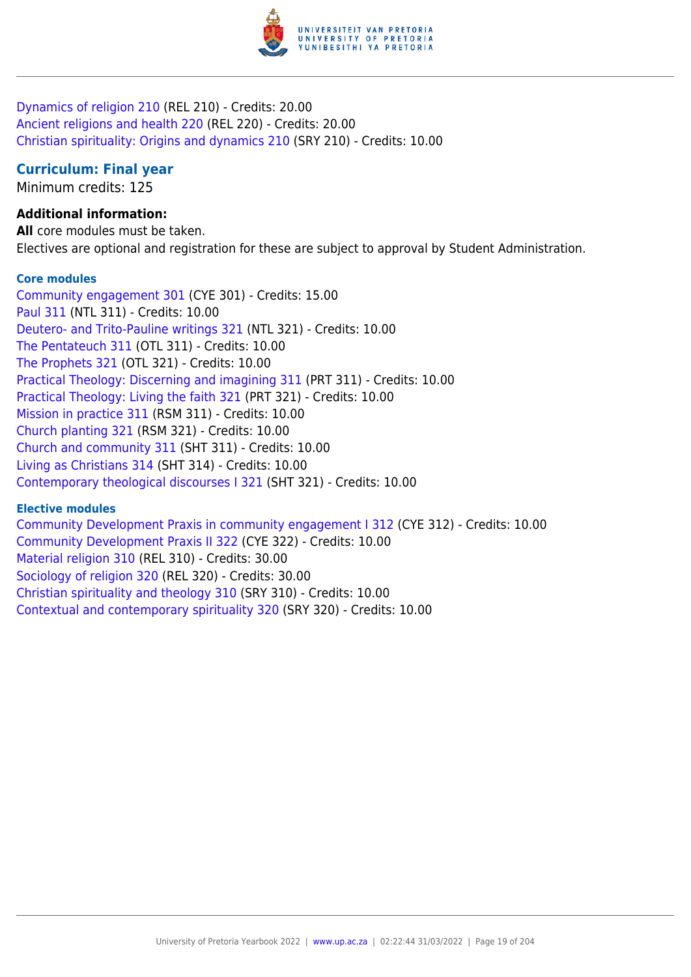

[Dynamics of religion 210](https://www.up.ac.za/yearbooks/2022/modules/view/REL 210) (REL 210) - Credits: 20.00 [Ancient religions and health 220](https://www.up.ac.za/yearbooks/2022/modules/view/REL 220) (REL 220) - Credits: 20.00 [Christian spirituality: Origins and dynamics 210](https://www.up.ac.za/yearbooks/2022/modules/view/SRY 210) (SRY 210) - Credits: 10.00

# **Curriculum: Final year**

Minimum credits: 125

# **Additional information:**

**All** core modules must be taken. Electives are optional and registration for these are subject to approval by Student Administration.

#### **Core modules**

[Community engagement 301](https://www.up.ac.za/yearbooks/2022/modules/view/CYE 301) (CYE 301) - Credits: 15.00 [Paul 311](https://www.up.ac.za/yearbooks/2022/modules/view/NTL 311) (NTL 311) - Credits: 10.00 [Deutero- and Trito-Pauline writings 321](https://www.up.ac.za/yearbooks/2022/modules/view/NTL 321) (NTL 321) - Credits: 10.00 [The Pentateuch 311](https://www.up.ac.za/yearbooks/2022/modules/view/OTL 311) (OTL 311) - Credits: 10.00 [The Prophets 321](https://www.up.ac.za/yearbooks/2022/modules/view/OTL 321) (OTL 321) - Credits: 10.00 [Practical Theology: Discerning and imagining 311](https://www.up.ac.za/yearbooks/2022/modules/view/PRT 311) (PRT 311) - Credits: 10.00 [Practical Theology: Living the faith 321](https://www.up.ac.za/yearbooks/2022/modules/view/PRT 321) (PRT 321) - Credits: 10.00 [Mission in practice 311](https://www.up.ac.za/yearbooks/2022/modules/view/RSM 311) (RSM 311) - Credits: 10.00 [Church planting 321](https://www.up.ac.za/yearbooks/2022/modules/view/RSM 321) (RSM 321) - Credits: 10.00 [Church and community 311](https://www.up.ac.za/yearbooks/2022/modules/view/SHT 311) (SHT 311) - Credits: 10.00 [Living as Christians 314](https://www.up.ac.za/yearbooks/2022/modules/view/SHT 314) (SHT 314) - Credits: 10.00 [Contemporary theological discourses I 321](https://www.up.ac.za/yearbooks/2022/modules/view/SHT 321) (SHT 321) - Credits: 10.00

#### **Elective modules**

[Community Development Praxis in community engagement I 312](https://www.up.ac.za/yearbooks/2022/modules/view/CYE 312) (CYE 312) - Credits: 10.00 [Community Development Praxis II 322](https://www.up.ac.za/yearbooks/2022/modules/view/CYE 322) (CYE 322) - Credits: 10.00 [Material religion 310](https://www.up.ac.za/yearbooks/2022/modules/view/REL 310) (REL 310) - Credits: 30.00 [Sociology of religion 320](https://www.up.ac.za/yearbooks/2022/modules/view/REL 320) (REL 320) - Credits: 30.00 [Christian spirituality and theology 310](https://www.up.ac.za/yearbooks/2022/modules/view/SRY 310) (SRY 310) - Credits: 10.00 [Contextual and contemporary spirituality 320](https://www.up.ac.za/yearbooks/2022/modules/view/SRY 320) (SRY 320) - Credits: 10.00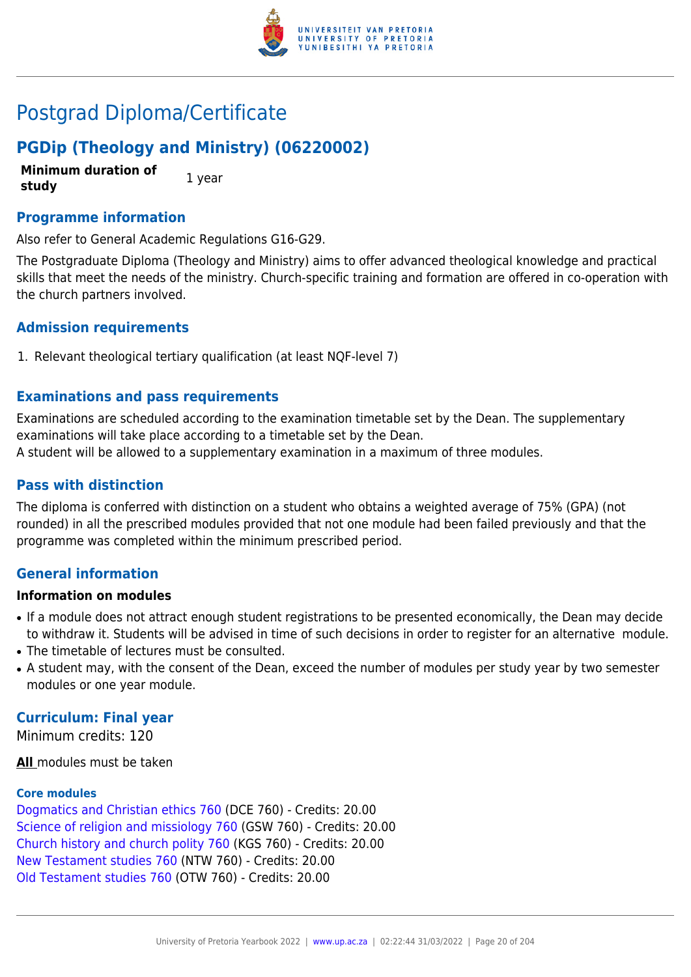

# Postgrad Diploma/Certificate

# **PGDip (Theology and Ministry) (06220002)**

**Minimum duration of study** 1 year

### **Programme information**

Also refer to General Academic Regulations G16-G29.

The Postgraduate Diploma (Theology and Ministry) aims to offer advanced theological knowledge and practical skills that meet the needs of the ministry. Church-specific training and formation are offered in co-operation with the church partners involved.

## **Admission requirements**

1. Relevant theological tertiary qualification (at least NQF-level 7)

## **Examinations and pass requirements**

Examinations are scheduled according to the examination timetable set by the Dean. The supplementary examinations will take place according to a timetable set by the Dean. A student will be allowed to a supplementary examination in a maximum of three modules.

### **Pass with distinction**

The diploma is conferred with distinction on a student who obtains a weighted average of 75% (GPA) (not rounded) in all the prescribed modules provided that not one module had been failed previously and that the programme was completed within the minimum prescribed period.

# **General information**

#### **Information on modules**

- If a module does not attract enough student registrations to be presented economically, the Dean may decide to withdraw it. Students will be advised in time of such decisions in order to register for an alternative module.
- The timetable of lectures must be consulted.
- A student may, with the consent of the Dean, exceed the number of modules per study year by two semester modules or one year module.

#### **Curriculum: Final year**

Minimum credits: 120

**All** modules must be taken

#### **Core modules**

[Dogmatics and Christian ethics 760](https://www.up.ac.za/yearbooks/2022/modules/view/DCE 760) (DCE 760) - Credits: 20.00 [Science of religion and missiology 760](https://www.up.ac.za/yearbooks/2022/modules/view/GSW 760) (GSW 760) - Credits: 20.00 [Church history and church polity 760](https://www.up.ac.za/yearbooks/2022/modules/view/KGS 760) (KGS 760) - Credits: 20.00 [New Testament studies 760](https://www.up.ac.za/yearbooks/2022/modules/view/NTW 760) (NTW 760) - Credits: 20.00 [Old Testament studies 760](https://www.up.ac.za/yearbooks/2022/modules/view/OTW 760) (OTW 760) - Credits: 20.00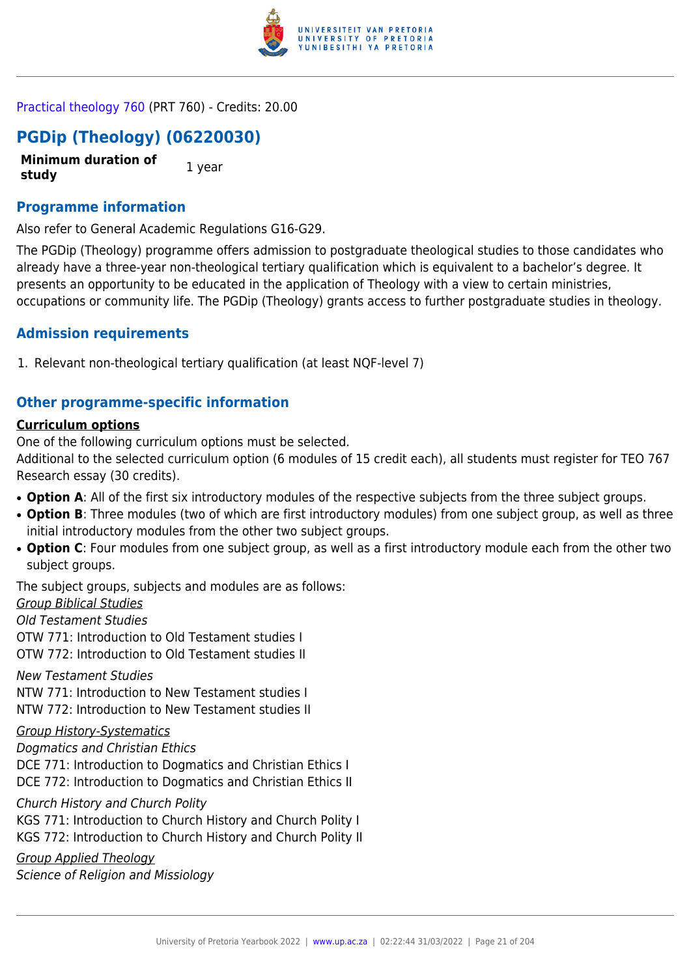

[Practical theology 760](https://www.up.ac.za/yearbooks/2022/modules/view/PRT 760) (PRT 760) - Credits: 20.00

# **PGDip (Theology) (06220030)**

**Minimum duration of study** 1 year

# **Programme information**

Also refer to General Academic Regulations G16-G29.

The PGDip (Theology) programme offers admission to postgraduate theological studies to those candidates who already have a three-year non-theological tertiary qualification which is equivalent to a bachelor's degree. It presents an opportunity to be educated in the application of Theology with a view to certain ministries, occupations or community life. The PGDip (Theology) grants access to further postgraduate studies in theology.

# **Admission requirements**

1. Relevant non-theological tertiary qualification (at least NQF-level 7)

# **Other programme-specific information**

# **Curriculum options**

One of the following curriculum options must be selected.

Additional to the selected curriculum option (6 modules of 15 credit each), all students must register for TEO 767 Research essay (30 credits).

- **Option A**: All of the first six introductory modules of the respective subjects from the three subject groups.
- Option B: Three modules (two of which are first introductory modules) from one subject group, as well as three initial introductory modules from the other two subject groups.
- Option C: Four modules from one subject group, as well as a first introductory module each from the other two subject groups.

The subject groups, subjects and modules are as follows: Group Biblical Studies

Old Testament Studies

OTW 771: Introduction to Old Testament studies I OTW 772: Introduction to Old Testament studies II

New Testament Studies NTW 771: Introduction to New Testament studies I NTW 772: Introduction to New Testament studies II

# Group History-Systematics

Dogmatics and Christian Ethics DCE 771: Introduction to Dogmatics and Christian Ethics I DCE 772: Introduction to Dogmatics and Christian Ethics II

Church History and Church Polity

KGS 771: Introduction to Church History and Church Polity I KGS 772: Introduction to Church History and Church Polity II

Group Applied Theology Science of Religion and Missiology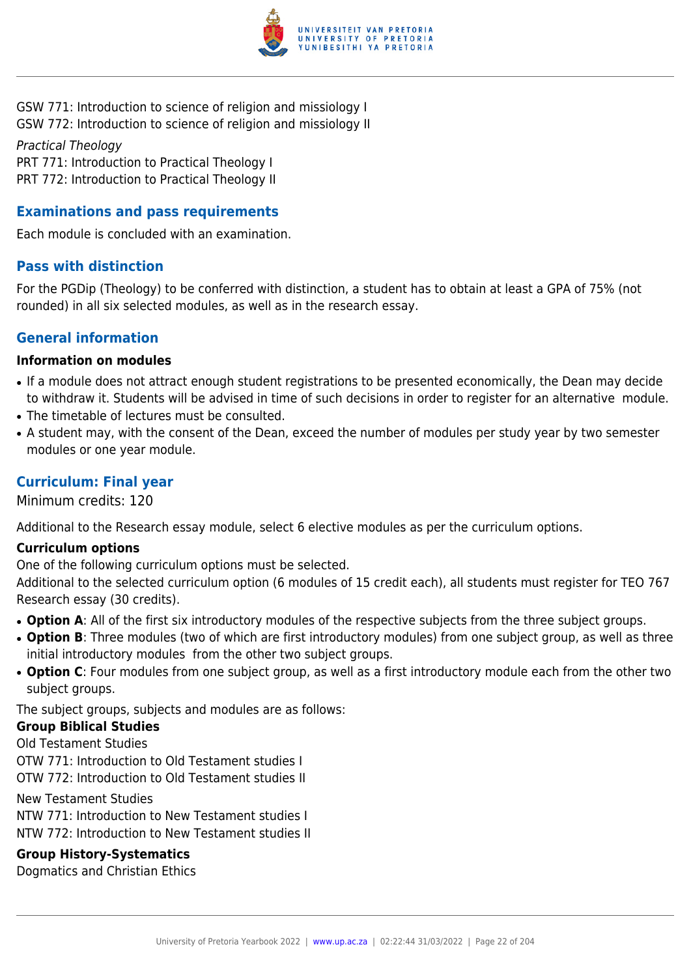

GSW 771: Introduction to science of religion and missiology I GSW 772: Introduction to science of religion and missiology II

Practical Theology PRT 771: Introduction to Practical Theology I PRT 772: Introduction to Practical Theology II

# **Examinations and pass requirements**

Each module is concluded with an examination.

## **Pass with distinction**

For the PGDip (Theology) to be conferred with distinction, a student has to obtain at least a GPA of 75% (not rounded) in all six selected modules, as well as in the research essay.

## **General information**

#### **Information on modules**

- If a module does not attract enough student registrations to be presented economically, the Dean may decide to withdraw it. Students will be advised in time of such decisions in order to register for an alternative module.
- The timetable of lectures must be consulted.
- A student may, with the consent of the Dean, exceed the number of modules per study year by two semester modules or one year module.

# **Curriculum: Final year**

Minimum credits: 120

Additional to the Research essay module, select 6 elective modules as per the curriculum options.

#### **Curriculum options**

One of the following curriculum options must be selected.

Additional to the selected curriculum option (6 modules of 15 credit each), all students must register for TEO 767 Research essay (30 credits).

- **Option A**: All of the first six introductory modules of the respective subjects from the three subject groups.
- Option B: Three modules (two of which are first introductory modules) from one subject group, as well as three initial introductory modules from the other two subject groups.
- Option C: Four modules from one subject group, as well as a first introductory module each from the other two subject groups.

The subject groups, subjects and modules are as follows:

#### **Group Biblical Studies**

Old Testament Studies

OTW 771: Introduction to Old Testament studies I OTW 772: Introduction to Old Testament studies II

New Testament Studies

NTW 771: Introduction to New Testament studies I NTW 772: Introduction to New Testament studies II

# **Group History-Systematics**

Dogmatics and Christian Ethics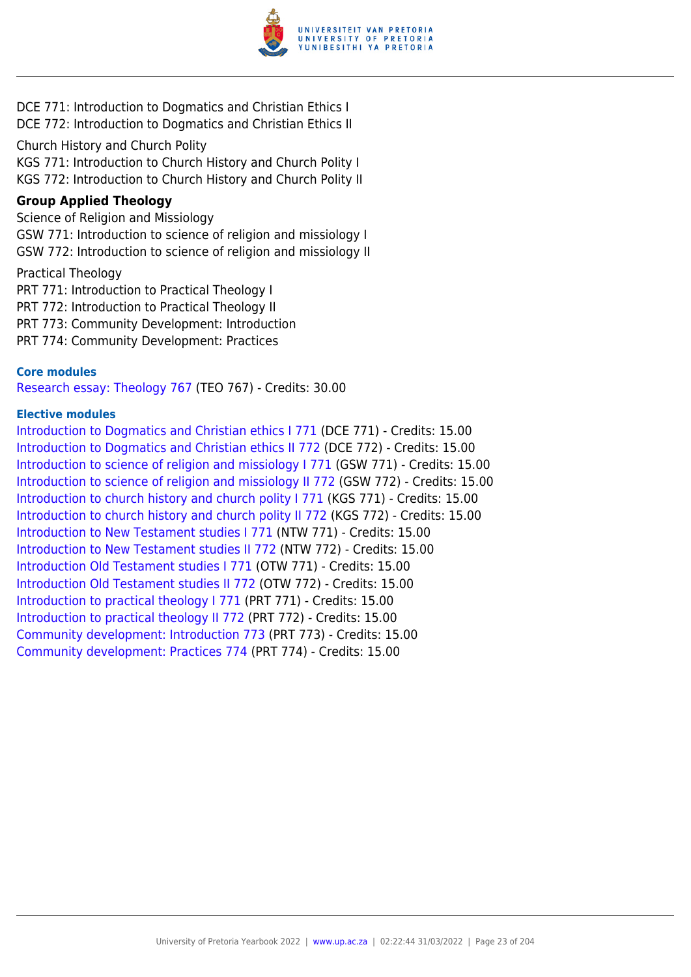

DCE 771: Introduction to Dogmatics and Christian Ethics I DCE 772: Introduction to Dogmatics and Christian Ethics II

Church History and Church Polity

KGS 771: Introduction to Church History and Church Polity I KGS 772: Introduction to Church History and Church Polity II

#### **Group Applied Theology**

Science of Religion and Missiology GSW 771: Introduction to science of religion and missiology I GSW 772: Introduction to science of religion and missiology II

Practical Theology

PRT 771: Introduction to Practical Theology I PRT 772: Introduction to Practical Theology II PRT 773: Community Development: Introduction

PRT 774: Community Development: Practices

#### **Core modules**

[Research essay: Theology 767](https://www.up.ac.za/yearbooks/2022/modules/view/TEO 767) (TEO 767) - Credits: 30.00

#### **Elective modules**

[Introduction to Dogmatics and Christian ethics I 771](https://www.up.ac.za/yearbooks/2022/modules/view/DCE 771) (DCE 771) - Credits: 15.00 [Introduction to Dogmatics and Christian ethics II 772](https://www.up.ac.za/yearbooks/2022/modules/view/DCE 772) (DCE 772) - Credits: 15.00 [Introduction to science of religion and missiology I 771](https://www.up.ac.za/yearbooks/2022/modules/view/GSW 771) (GSW 771) - Credits: 15.00 [Introduction to science of religion and missiology II 772](https://www.up.ac.za/yearbooks/2022/modules/view/GSW 772) (GSW 772) - Credits: 15.00 [Introduction to church history and church polity I 771](https://www.up.ac.za/yearbooks/2022/modules/view/KGS 771) (KGS 771) - Credits: 15.00 [Introduction to church history and church polity II 772](https://www.up.ac.za/yearbooks/2022/modules/view/KGS 772) (KGS 772) - Credits: 15.00 [Introduction to New Testament studies I 771](https://www.up.ac.za/yearbooks/2022/modules/view/NTW 771) (NTW 771) - Credits: 15.00 [Introduction to New Testament studies II 772](https://www.up.ac.za/yearbooks/2022/modules/view/NTW 772) (NTW 772) - Credits: 15.00 [Introduction Old Testament studies I 771](https://www.up.ac.za/yearbooks/2022/modules/view/OTW 771) (OTW 771) - Credits: 15.00 [Introduction Old Testament studies II 772](https://www.up.ac.za/yearbooks/2022/modules/view/OTW 772) (OTW 772) - Credits: 15.00 [Introduction to practical theology I 771](https://www.up.ac.za/yearbooks/2022/modules/view/PRT 771) (PRT 771) - Credits: 15.00 [Introduction to practical theology II 772](https://www.up.ac.za/yearbooks/2022/modules/view/PRT 772) (PRT 772) - Credits: 15.00 [Community development: Introduction 773](https://www.up.ac.za/yearbooks/2022/modules/view/PRT 773) (PRT 773) - Credits: 15.00 [Community development: Practices 774](https://www.up.ac.za/yearbooks/2022/modules/view/PRT 774) (PRT 774) - Credits: 15.00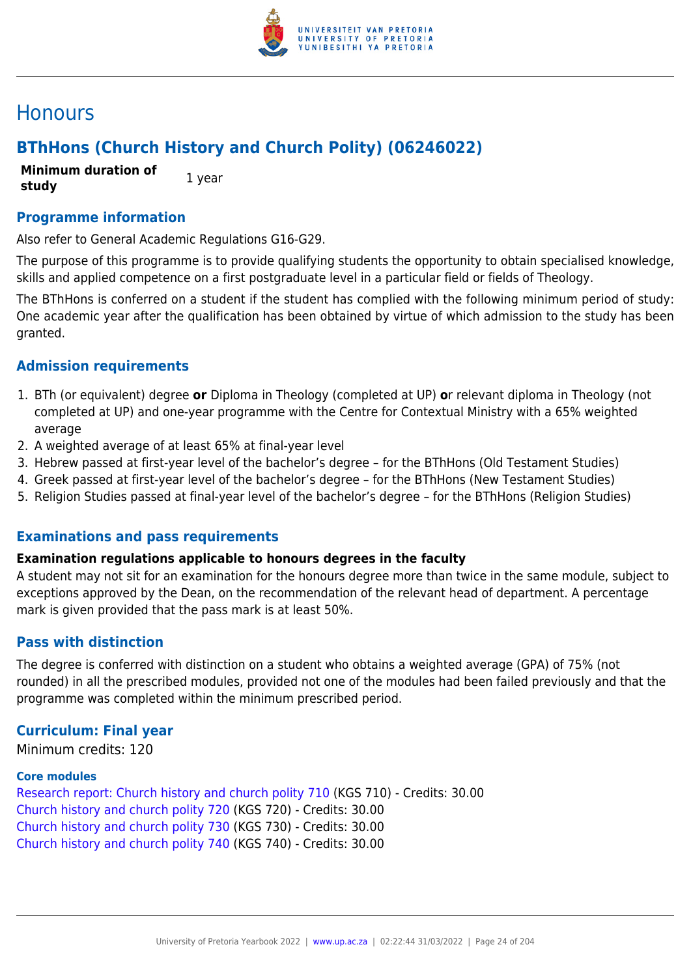

# **Honours**

# **BThHons (Church History and Church Polity) (06246022)**

**Minimum duration of study** 1 year

**Programme information**

Also refer to General Academic Regulations G16-G29.

The purpose of this programme is to provide qualifying students the opportunity to obtain specialised knowledge, skills and applied competence on a first postgraduate level in a particular field or fields of Theology.

The BThHons is conferred on a student if the student has complied with the following minimum period of study: One academic year after the qualification has been obtained by virtue of which admission to the study has been granted.

## **Admission requirements**

- 1. BTh (or equivalent) degree **or** Diploma in Theology (completed at UP) **o**r relevant diploma in Theology (not completed at UP) and one-year programme with the Centre for Contextual Ministry with a 65% weighted average
- 2. A weighted average of at least 65% at final-year level
- 3. Hebrew passed at first-year level of the bachelor's degree for the BThHons (Old Testament Studies)
- 4. Greek passed at first-year level of the bachelor's degree for the BThHons (New Testament Studies)
- 5. Religion Studies passed at final-year level of the bachelor's degree for the BThHons (Religion Studies)

#### **Examinations and pass requirements**

#### **Examination regulations applicable to honours degrees in the faculty**

A student may not sit for an examination for the honours degree more than twice in the same module, subject to exceptions approved by the Dean, on the recommendation of the relevant head of department. A percentage mark is given provided that the pass mark is at least 50%.

# **Pass with distinction**

The degree is conferred with distinction on a student who obtains a weighted average (GPA) of 75% (not rounded) in all the prescribed modules, provided not one of the modules had been failed previously and that the programme was completed within the minimum prescribed period.

#### **Curriculum: Final year**

Minimum credits: 120

#### **Core modules**

[Research report: Church history and church polity 710](https://www.up.ac.za/yearbooks/2022/modules/view/KGS 710) (KGS 710) - Credits: 30.00 [Church history and church polity 720](https://www.up.ac.za/yearbooks/2022/modules/view/KGS 720) (KGS 720) - Credits: 30.00 [Church history and church polity 730](https://www.up.ac.za/yearbooks/2022/modules/view/KGS 730) (KGS 730) - Credits: 30.00 [Church history and church polity 740](https://www.up.ac.za/yearbooks/2022/modules/view/KGS 740) (KGS 740) - Credits: 30.00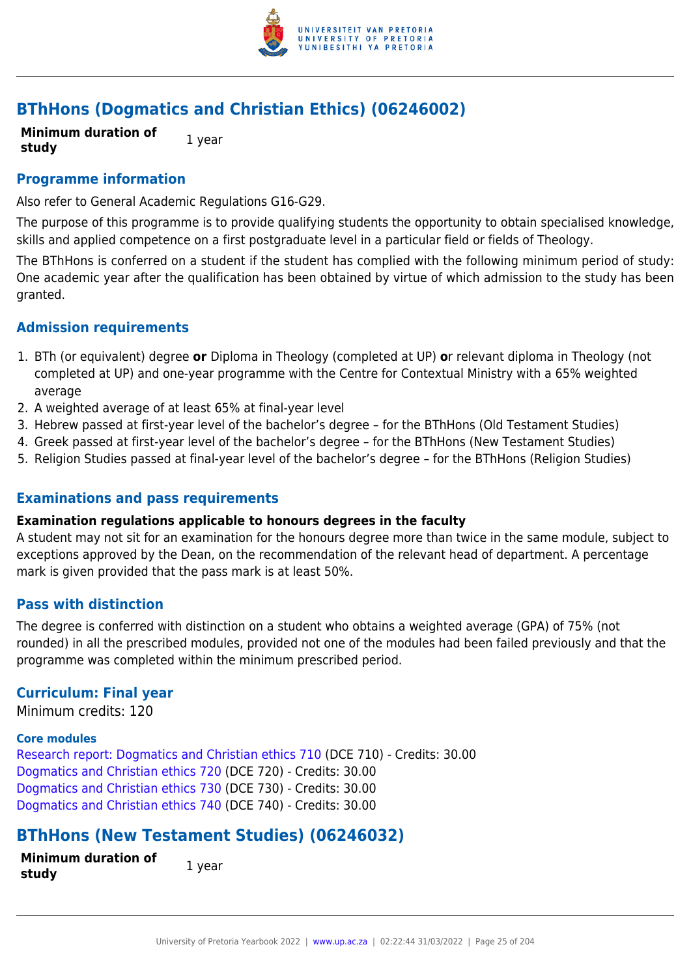

# **BThHons (Dogmatics and Christian Ethics) (06246002)**

**Minimum duration of study** 1 year

### **Programme information**

Also refer to General Academic Regulations G16-G29.

The purpose of this programme is to provide qualifying students the opportunity to obtain specialised knowledge, skills and applied competence on a first postgraduate level in a particular field or fields of Theology.

The BThHons is conferred on a student if the student has complied with the following minimum period of study: One academic year after the qualification has been obtained by virtue of which admission to the study has been granted.

## **Admission requirements**

- 1. BTh (or equivalent) degree **or** Diploma in Theology (completed at UP) **o**r relevant diploma in Theology (not completed at UP) and one-year programme with the Centre for Contextual Ministry with a 65% weighted average
- 2. A weighted average of at least 65% at final-year level
- 3. Hebrew passed at first-year level of the bachelor's degree for the BThHons (Old Testament Studies)
- 4. Greek passed at first-year level of the bachelor's degree for the BThHons (New Testament Studies)
- 5. Religion Studies passed at final-year level of the bachelor's degree for the BThHons (Religion Studies)

#### **Examinations and pass requirements**

#### **Examination regulations applicable to honours degrees in the faculty**

A student may not sit for an examination for the honours degree more than twice in the same module, subject to exceptions approved by the Dean, on the recommendation of the relevant head of department. A percentage mark is given provided that the pass mark is at least 50%.

#### **Pass with distinction**

The degree is conferred with distinction on a student who obtains a weighted average (GPA) of 75% (not rounded) in all the prescribed modules, provided not one of the modules had been failed previously and that the programme was completed within the minimum prescribed period.

#### **Curriculum: Final year**

Minimum credits: 120

#### **Core modules**

[Research report: Dogmatics and Christian ethics 710](https://www.up.ac.za/yearbooks/2022/modules/view/DCE 710) (DCE 710) - Credits: 30.00 [Dogmatics and Christian ethics 720](https://www.up.ac.za/yearbooks/2022/modules/view/DCE 720) (DCE 720) - Credits: 30.00 [Dogmatics and Christian ethics 730](https://www.up.ac.za/yearbooks/2022/modules/view/DCE 730) (DCE 730) - Credits: 30.00 [Dogmatics and Christian ethics 740](https://www.up.ac.za/yearbooks/2022/modules/view/DCE 740) (DCE 740) - Credits: 30.00

# **BThHons (New Testament Studies) (06246032)**

| <b>Minimum duration of</b> |  | 1 year |
|----------------------------|--|--------|
| study                      |  |        |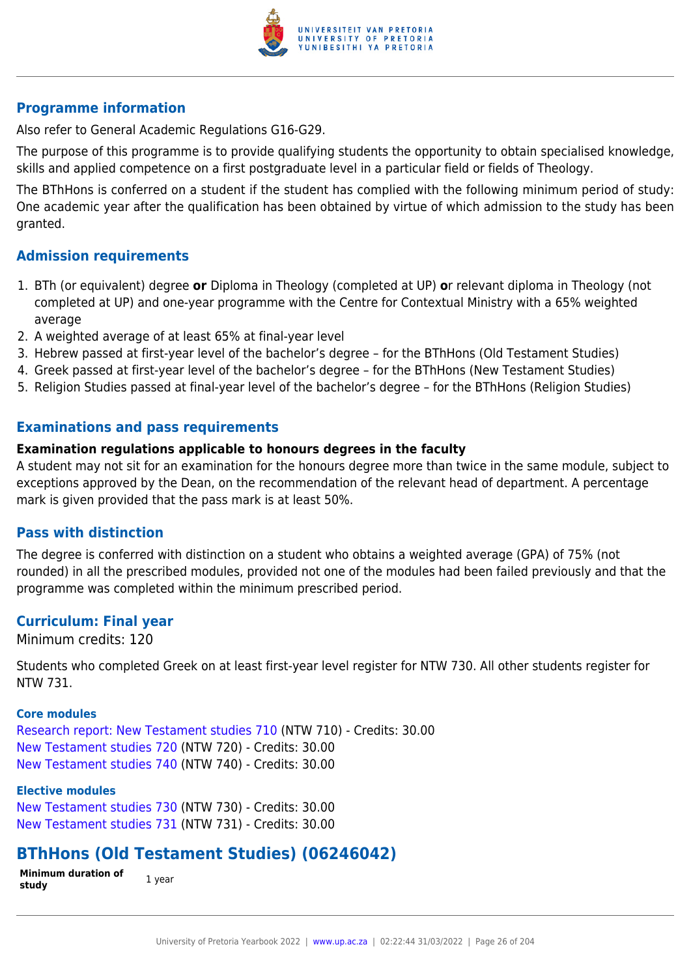

Also refer to General Academic Regulations G16-G29.

The purpose of this programme is to provide qualifying students the opportunity to obtain specialised knowledge, skills and applied competence on a first postgraduate level in a particular field or fields of Theology.

The BThHons is conferred on a student if the student has complied with the following minimum period of study: One academic year after the qualification has been obtained by virtue of which admission to the study has been granted.

## **Admission requirements**

- 1. BTh (or equivalent) degree **or** Diploma in Theology (completed at UP) **o**r relevant diploma in Theology (not completed at UP) and one-year programme with the Centre for Contextual Ministry with a 65% weighted average
- 2. A weighted average of at least 65% at final-year level
- 3. Hebrew passed at first-year level of the bachelor's degree for the BThHons (Old Testament Studies)
- 4. Greek passed at first-year level of the bachelor's degree for the BThHons (New Testament Studies)
- 5. Religion Studies passed at final-year level of the bachelor's degree for the BThHons (Religion Studies)

# **Examinations and pass requirements**

#### **Examination regulations applicable to honours degrees in the faculty**

A student may not sit for an examination for the honours degree more than twice in the same module, subject to exceptions approved by the Dean, on the recommendation of the relevant head of department. A percentage mark is given provided that the pass mark is at least 50%.

# **Pass with distinction**

The degree is conferred with distinction on a student who obtains a weighted average (GPA) of 75% (not rounded) in all the prescribed modules, provided not one of the modules had been failed previously and that the programme was completed within the minimum prescribed period.

#### **Curriculum: Final year**

Minimum credits: 120

Students who completed Greek on at least first-year level register for NTW 730. All other students register for NTW 731.

#### **Core modules**

[Research report: New Testament studies 710](https://www.up.ac.za/yearbooks/2022/modules/view/NTW 710) (NTW 710) - Credits: 30.00 [New Testament studies 720](https://www.up.ac.za/yearbooks/2022/modules/view/NTW 720) (NTW 720) - Credits: 30.00 [New Testament studies 740](https://www.up.ac.za/yearbooks/2022/modules/view/NTW 740) (NTW 740) - Credits: 30.00

#### **Elective modules**

[New Testament studies 730](https://www.up.ac.za/yearbooks/2022/modules/view/NTW 730) (NTW 730) - Credits: 30.00 [New Testament studies 731](https://www.up.ac.za/yearbooks/2022/modules/view/NTW 731) (NTW 731) - Credits: 30.00

# **BThHons (Old Testament Studies) (06246042)**

**Minimum duration of study 1** year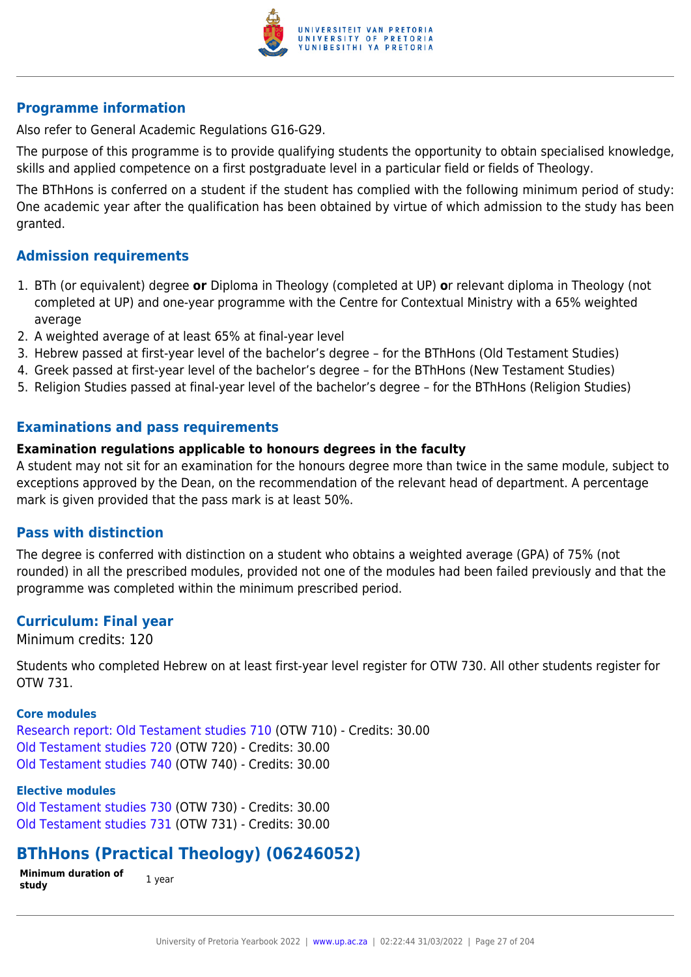

Also refer to General Academic Regulations G16-G29.

The purpose of this programme is to provide qualifying students the opportunity to obtain specialised knowledge, skills and applied competence on a first postgraduate level in a particular field or fields of Theology.

The BThHons is conferred on a student if the student has complied with the following minimum period of study: One academic year after the qualification has been obtained by virtue of which admission to the study has been granted.

## **Admission requirements**

- 1. BTh (or equivalent) degree **or** Diploma in Theology (completed at UP) **o**r relevant diploma in Theology (not completed at UP) and one-year programme with the Centre for Contextual Ministry with a 65% weighted average
- 2. A weighted average of at least 65% at final-year level
- 3. Hebrew passed at first-year level of the bachelor's degree for the BThHons (Old Testament Studies)
- 4. Greek passed at first-year level of the bachelor's degree for the BThHons (New Testament Studies)
- 5. Religion Studies passed at final-year level of the bachelor's degree for the BThHons (Religion Studies)

# **Examinations and pass requirements**

#### **Examination regulations applicable to honours degrees in the faculty**

A student may not sit for an examination for the honours degree more than twice in the same module, subject to exceptions approved by the Dean, on the recommendation of the relevant head of department. A percentage mark is given provided that the pass mark is at least 50%.

# **Pass with distinction**

The degree is conferred with distinction on a student who obtains a weighted average (GPA) of 75% (not rounded) in all the prescribed modules, provided not one of the modules had been failed previously and that the programme was completed within the minimum prescribed period.

#### **Curriculum: Final year**

Minimum credits: 120

Students who completed Hebrew on at least first-year level register for OTW 730. All other students register for OTW 731.

#### **Core modules**

[Research report: Old Testament studies 710](https://www.up.ac.za/yearbooks/2022/modules/view/OTW 710) (OTW 710) - Credits: 30.00 [Old Testament studies 720](https://www.up.ac.za/yearbooks/2022/modules/view/OTW 720) (OTW 720) - Credits: 30.00 [Old Testament studies 740](https://www.up.ac.za/yearbooks/2022/modules/view/OTW 740) (OTW 740) - Credits: 30.00

#### **Elective modules**

[Old Testament studies 730](https://www.up.ac.za/yearbooks/2022/modules/view/OTW 730) (OTW 730) - Credits: 30.00 [Old Testament studies 731](https://www.up.ac.za/yearbooks/2022/modules/view/OTW 731) (OTW 731) - Credits: 30.00

# **BThHons (Practical Theology) (06246052)**

**Minimum duration of study 1** year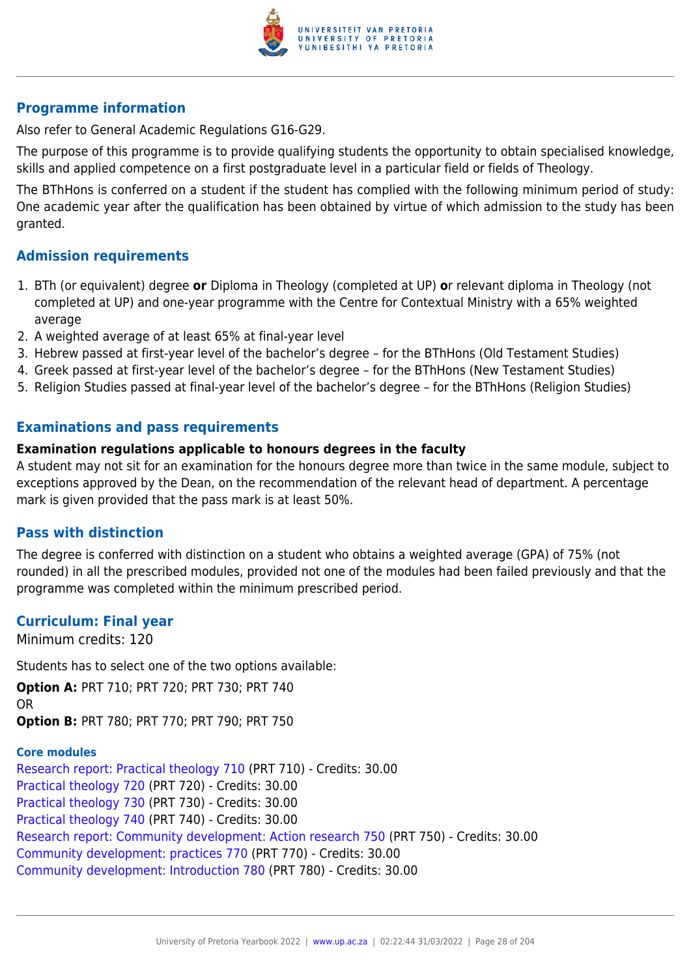

Also refer to General Academic Regulations G16-G29.

The purpose of this programme is to provide qualifying students the opportunity to obtain specialised knowledge, skills and applied competence on a first postgraduate level in a particular field or fields of Theology.

The BThHons is conferred on a student if the student has complied with the following minimum period of study: One academic year after the qualification has been obtained by virtue of which admission to the study has been granted.

## **Admission requirements**

- 1. BTh (or equivalent) degree **or** Diploma in Theology (completed at UP) **o**r relevant diploma in Theology (not completed at UP) and one-year programme with the Centre for Contextual Ministry with a 65% weighted average
- 2. A weighted average of at least 65% at final-year level
- 3. Hebrew passed at first-year level of the bachelor's degree for the BThHons (Old Testament Studies)
- 4. Greek passed at first-year level of the bachelor's degree for the BThHons (New Testament Studies)
- 5. Religion Studies passed at final-year level of the bachelor's degree for the BThHons (Religion Studies)

# **Examinations and pass requirements**

#### **Examination regulations applicable to honours degrees in the faculty**

A student may not sit for an examination for the honours degree more than twice in the same module, subject to exceptions approved by the Dean, on the recommendation of the relevant head of department. A percentage mark is given provided that the pass mark is at least 50%.

# **Pass with distinction**

The degree is conferred with distinction on a student who obtains a weighted average (GPA) of 75% (not rounded) in all the prescribed modules, provided not one of the modules had been failed previously and that the programme was completed within the minimum prescribed period.

#### **Curriculum: Final year**

Minimum credits: 120

Students has to select one of the two options available:

**Option A:** PRT 710; PRT 720; PRT 730; PRT 740 OR **Option B:** PRT 780; PRT 770; PRT 790; PRT 750

**Core modules** [Research report: Practical theology 710](https://www.up.ac.za/yearbooks/2022/modules/view/PRT 710) (PRT 710) - Credits: 30.00 [Practical theology 720](https://www.up.ac.za/yearbooks/2022/modules/view/PRT 720) (PRT 720) - Credits: 30.00 [Practical theology 730](https://www.up.ac.za/yearbooks/2022/modules/view/PRT 730) (PRT 730) - Credits: 30.00 [Practical theology 740](https://www.up.ac.za/yearbooks/2022/modules/view/PRT 740) (PRT 740) - Credits: 30.00 [Research report: Community development: Action research 750](https://www.up.ac.za/yearbooks/2022/modules/view/PRT 750) (PRT 750) - Credits: 30.00 [Community development: practices 770](https://www.up.ac.za/yearbooks/2022/modules/view/PRT 770) (PRT 770) - Credits: 30.00 [Community development: Introduction 780](https://www.up.ac.za/yearbooks/2022/modules/view/PRT 780) (PRT 780) - Credits: 30.00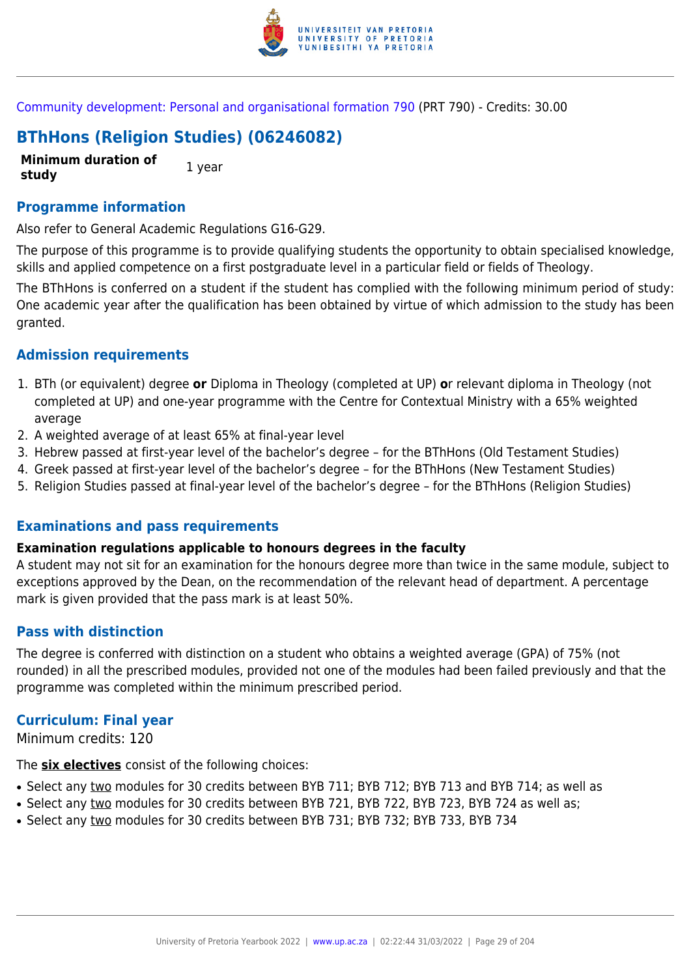

[Community development: Personal and organisational formation 790](https://www.up.ac.za/yearbooks/2022/modules/view/PRT 790) (PRT 790) - Credits: 30.00

# **BThHons (Religion Studies) (06246082)**

**Minimum duration of study** 1 year

#### **Programme information**

Also refer to General Academic Regulations G16-G29.

The purpose of this programme is to provide qualifying students the opportunity to obtain specialised knowledge, skills and applied competence on a first postgraduate level in a particular field or fields of Theology.

The BThHons is conferred on a student if the student has complied with the following minimum period of study: One academic year after the qualification has been obtained by virtue of which admission to the study has been granted.

#### **Admission requirements**

- 1. BTh (or equivalent) degree **or** Diploma in Theology (completed at UP) **o**r relevant diploma in Theology (not completed at UP) and one-year programme with the Centre for Contextual Ministry with a 65% weighted average
- 2. A weighted average of at least 65% at final-year level
- 3. Hebrew passed at first-year level of the bachelor's degree for the BThHons (Old Testament Studies)
- 4. Greek passed at first-year level of the bachelor's degree for the BThHons (New Testament Studies)
- 5. Religion Studies passed at final-year level of the bachelor's degree for the BThHons (Religion Studies)

#### **Examinations and pass requirements**

#### **Examination regulations applicable to honours degrees in the faculty**

A student may not sit for an examination for the honours degree more than twice in the same module, subject to exceptions approved by the Dean, on the recommendation of the relevant head of department. A percentage mark is given provided that the pass mark is at least 50%.

#### **Pass with distinction**

The degree is conferred with distinction on a student who obtains a weighted average (GPA) of 75% (not rounded) in all the prescribed modules, provided not one of the modules had been failed previously and that the programme was completed within the minimum prescribed period.

# **Curriculum: Final year**

Minimum credits: 120

The **six electives** consist of the following choices:

- Select any two modules for 30 credits between BYB 711; BYB 712; BYB 713 and BYB 714; as well as
- Select any two modules for 30 credits between BYB 721, BYB 722, BYB 723, BYB 724 as well as;
- Select any two modules for 30 credits between BYB 731; BYB 732; BYB 733, BYB 734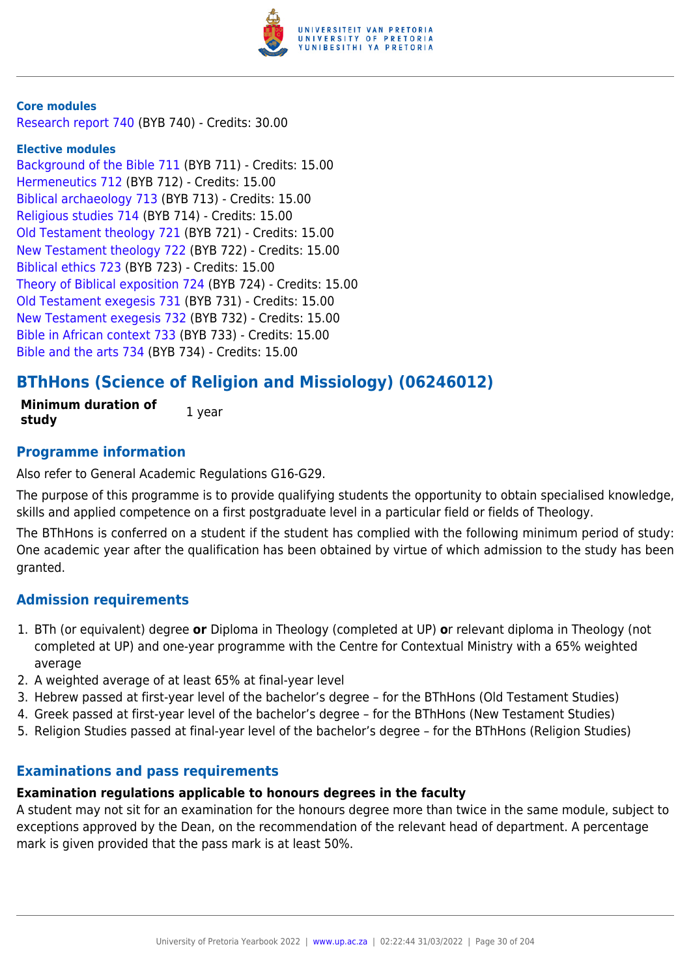

#### **Core modules**

[Research report 740](https://www.up.ac.za/yearbooks/2022/modules/view/BYB 740) (BYB 740) - Credits: 30.00

#### **Elective modules**

[Background of the Bible 711](https://www.up.ac.za/yearbooks/2022/modules/view/BYB 711) (BYB 711) - Credits: 15.00 [Hermeneutics 712](https://www.up.ac.za/yearbooks/2022/modules/view/BYB 712) (BYB 712) - Credits: 15.00 [Biblical archaeology 713](https://www.up.ac.za/yearbooks/2022/modules/view/BYB 713) (BYB 713) - Credits: 15.00 [Religious studies 714](https://www.up.ac.za/yearbooks/2022/modules/view/BYB 714) (BYB 714) - Credits: 15.00 [Old Testament theology 721](https://www.up.ac.za/yearbooks/2022/modules/view/BYB 721) (BYB 721) - Credits: 15.00 [New Testament theology 722](https://www.up.ac.za/yearbooks/2022/modules/view/BYB 722) (BYB 722) - Credits: 15.00 [Biblical ethics 723](https://www.up.ac.za/yearbooks/2022/modules/view/BYB 723) (BYB 723) - Credits: 15.00 [Theory of Biblical exposition 724](https://www.up.ac.za/yearbooks/2022/modules/view/BYB 724) (BYB 724) - Credits: 15.00 [Old Testament exegesis 731](https://www.up.ac.za/yearbooks/2022/modules/view/BYB 731) (BYB 731) - Credits: 15.00 [New Testament exegesis 732](https://www.up.ac.za/yearbooks/2022/modules/view/BYB 732) (BYB 732) - Credits: 15.00 [Bible in African context 733](https://www.up.ac.za/yearbooks/2022/modules/view/BYB 733) (BYB 733) - Credits: 15.00 [Bible and the arts 734](https://www.up.ac.za/yearbooks/2022/modules/view/BYB 734) (BYB 734) - Credits: 15.00

# **BThHons (Science of Religion and Missiology) (06246012)**

**Minimum duration of study** 1 year

#### **Programme information**

Also refer to General Academic Regulations G16-G29.

The purpose of this programme is to provide qualifying students the opportunity to obtain specialised knowledge, skills and applied competence on a first postgraduate level in a particular field or fields of Theology.

The BThHons is conferred on a student if the student has complied with the following minimum period of study: One academic year after the qualification has been obtained by virtue of which admission to the study has been granted.

#### **Admission requirements**

- 1. BTh (or equivalent) degree **or** Diploma in Theology (completed at UP) **o**r relevant diploma in Theology (not completed at UP) and one-year programme with the Centre for Contextual Ministry with a 65% weighted average
- 2. A weighted average of at least 65% at final-year level
- 3. Hebrew passed at first-year level of the bachelor's degree for the BThHons (Old Testament Studies)
- 4. Greek passed at first-year level of the bachelor's degree for the BThHons (New Testament Studies)
- 5. Religion Studies passed at final-year level of the bachelor's degree for the BThHons (Religion Studies)

#### **Examinations and pass requirements**

#### **Examination regulations applicable to honours degrees in the faculty**

A student may not sit for an examination for the honours degree more than twice in the same module, subject to exceptions approved by the Dean, on the recommendation of the relevant head of department. A percentage mark is given provided that the pass mark is at least 50%.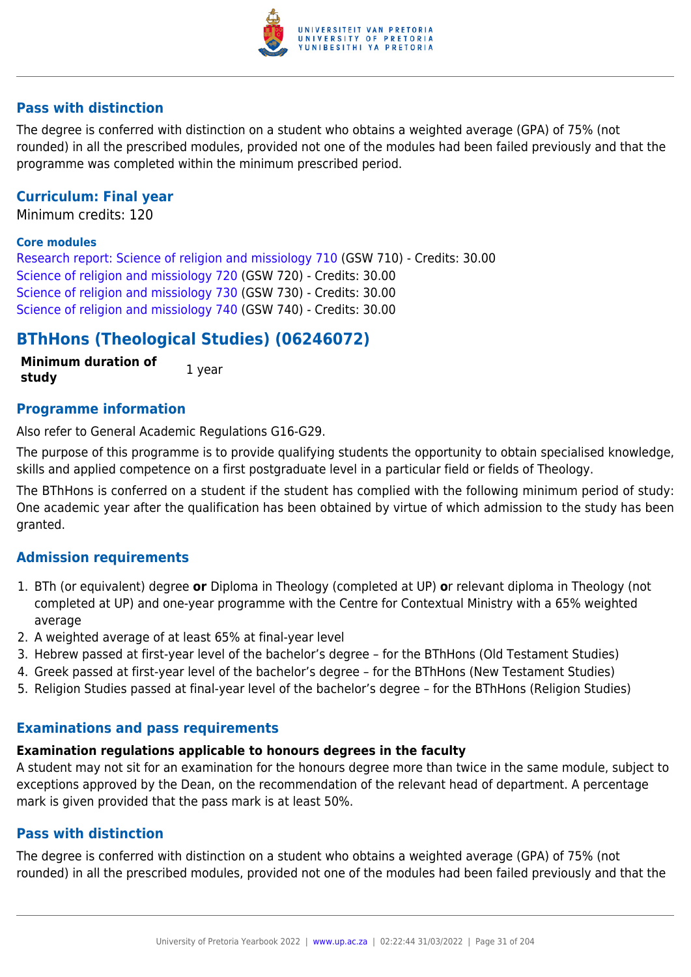

# **Pass with distinction**

The degree is conferred with distinction on a student who obtains a weighted average (GPA) of 75% (not rounded) in all the prescribed modules, provided not one of the modules had been failed previously and that the programme was completed within the minimum prescribed period.

# **Curriculum: Final year**

Minimum credits: 120

#### **Core modules**

[Research report: Science of religion and missiology 710](https://www.up.ac.za/yearbooks/2022/modules/view/GSW 710) (GSW 710) - Credits: 30.00 [Science of religion and missiology 720](https://www.up.ac.za/yearbooks/2022/modules/view/GSW 720) (GSW 720) - Credits: 30.00 [Science of religion and missiology 730](https://www.up.ac.za/yearbooks/2022/modules/view/GSW 730) (GSW 730) - Credits: 30.00 [Science of religion and missiology 740](https://www.up.ac.za/yearbooks/2022/modules/view/GSW 740) (GSW 740) - Credits: 30.00

# **BThHons (Theological Studies) (06246072)**

**Minimum duration of study** 1 year

#### **Programme information**

Also refer to General Academic Regulations G16-G29.

The purpose of this programme is to provide qualifying students the opportunity to obtain specialised knowledge, skills and applied competence on a first postgraduate level in a particular field or fields of Theology.

The BThHons is conferred on a student if the student has complied with the following minimum period of study: One academic year after the qualification has been obtained by virtue of which admission to the study has been granted.

#### **Admission requirements**

- 1. BTh (or equivalent) degree **or** Diploma in Theology (completed at UP) **o**r relevant diploma in Theology (not completed at UP) and one-year programme with the Centre for Contextual Ministry with a 65% weighted average
- 2. A weighted average of at least 65% at final-year level
- 3. Hebrew passed at first-year level of the bachelor's degree for the BThHons (Old Testament Studies)
- 4. Greek passed at first-year level of the bachelor's degree for the BThHons (New Testament Studies)
- 5. Religion Studies passed at final-year level of the bachelor's degree for the BThHons (Religion Studies)

#### **Examinations and pass requirements**

# **Examination regulations applicable to honours degrees in the faculty**

A student may not sit for an examination for the honours degree more than twice in the same module, subject to exceptions approved by the Dean, on the recommendation of the relevant head of department. A percentage mark is given provided that the pass mark is at least 50%.

#### **Pass with distinction**

The degree is conferred with distinction on a student who obtains a weighted average (GPA) of 75% (not rounded) in all the prescribed modules, provided not one of the modules had been failed previously and that the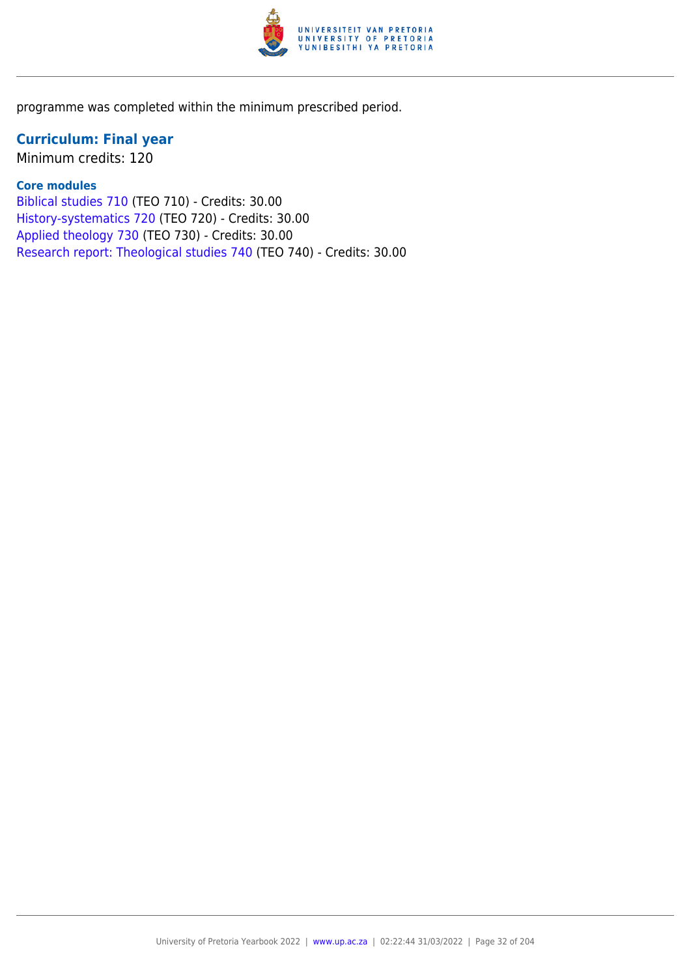

programme was completed within the minimum prescribed period.

# **Curriculum: Final year**

Minimum credits: 120

# **Core modules**

[Biblical studies 710](https://www.up.ac.za/yearbooks/2022/modules/view/TEO 710) (TEO 710) - Credits: 30.00 [History-systematics 720](https://www.up.ac.za/yearbooks/2022/modules/view/TEO 720) (TEO 720) - Credits: 30.00 [Applied theology 730](https://www.up.ac.za/yearbooks/2022/modules/view/TEO 730) (TEO 730) - Credits: 30.00 [Research report: Theological studies 740](https://www.up.ac.za/yearbooks/2022/modules/view/TEO 740) (TEO 740) - Credits: 30.00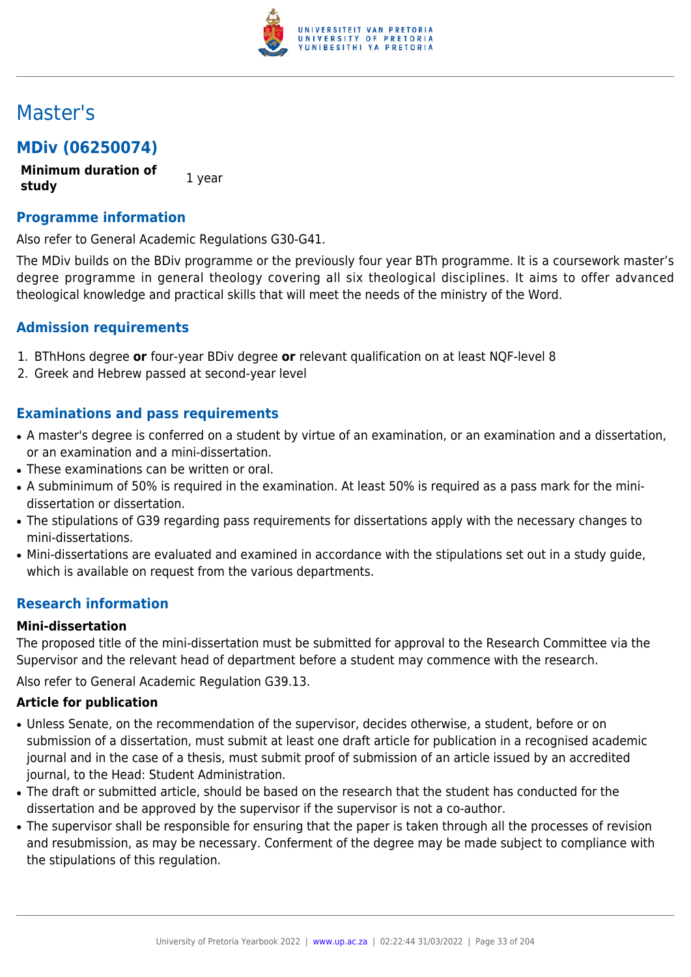

# Master's

# **MDiv (06250074)**

**Minimum duration of study** 1 year

# **Programme information**

Also refer to General Academic Regulations G30-G41.

The MDiv builds on the BDiv programme or the previously four year BTh programme. It is a coursework master's degree programme in general theology covering all six theological disciplines. It aims to offer advanced theological knowledge and practical skills that will meet the needs of the ministry of the Word.

# **Admission requirements**

- 1. BThHons degree **or** four-year BDiv degree **or** relevant qualification on at least NQF-level 8
- 2. Greek and Hebrew passed at second-year level

# **Examinations and pass requirements**

- A master's degree is conferred on a student by virtue of an examination, or an examination and a dissertation, or an examination and a mini-dissertation.
- These examinations can be written or oral.
- A subminimum of 50% is required in the examination. At least 50% is required as a pass mark for the minidissertation or dissertation.
- The stipulations of G39 regarding pass requirements for dissertations apply with the necessary changes to mini-dissertations.
- Mini-dissertations are evaluated and examined in accordance with the stipulations set out in a study guide, which is available on request from the various departments.

# **Research information**

#### **Mini-dissertation**

The proposed title of the mini-dissertation must be submitted for approval to the Research Committee via the Supervisor and the relevant head of department before a student may commence with the research.

Also refer to General Academic Regulation G39.13.

#### **Article for publication**

- Unless Senate, on the recommendation of the supervisor, decides otherwise, a student, before or on submission of a dissertation, must submit at least one draft article for publication in a recognised academic journal and in the case of a thesis, must submit proof of submission of an article issued by an accredited journal, to the Head: Student Administration.
- The draft or submitted article, should be based on the research that the student has conducted for the dissertation and be approved by the supervisor if the supervisor is not a co-author.
- The supervisor shall be responsible for ensuring that the paper is taken through all the processes of revision and resubmission, as may be necessary. Conferment of the degree may be made subject to compliance with the stipulations of this regulation.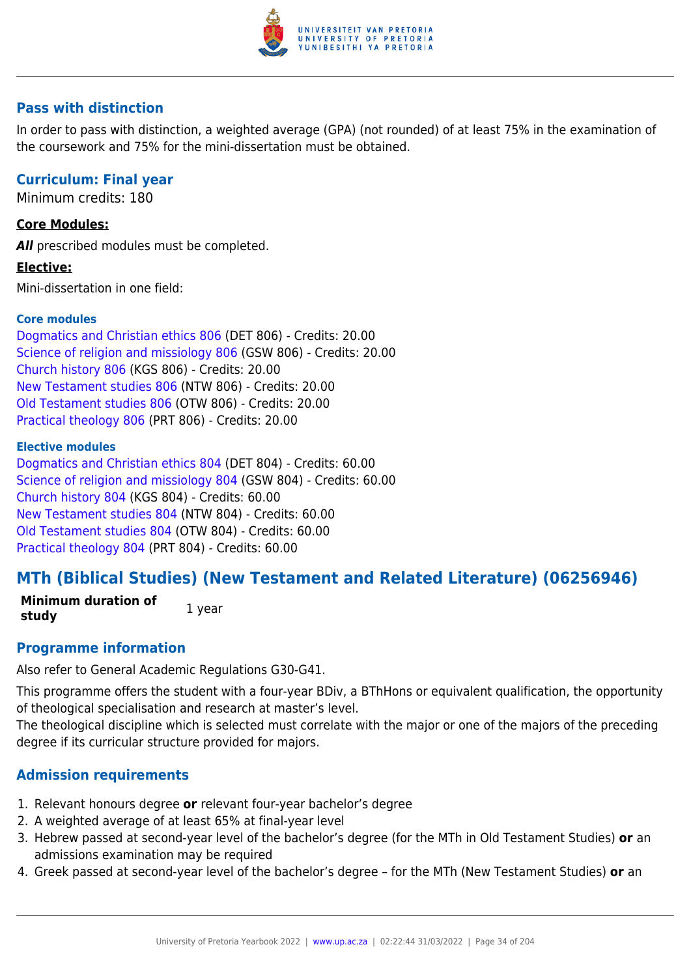

# **Pass with distinction**

In order to pass with distinction, a weighted average (GPA) (not rounded) of at least 75% in the examination of the coursework and 75% for the mini-dissertation must be obtained.

# **Curriculum: Final year**

Minimum credits: 180

# **Core Modules:**

**All** prescribed modules must be completed.

#### **Elective:**

Mini-dissertation in one field:

## **Core modules**

[Dogmatics and Christian ethics 806](https://www.up.ac.za/yearbooks/2022/modules/view/DET 806) (DET 806) - Credits: 20.00 [Science of religion and missiology 806](https://www.up.ac.za/yearbooks/2022/modules/view/GSW 806) (GSW 806) - Credits: 20.00 [Church history 806](https://www.up.ac.za/yearbooks/2022/modules/view/KGS 806) (KGS 806) - Credits: 20.00 [New Testament studies 806](https://www.up.ac.za/yearbooks/2022/modules/view/NTW 806) (NTW 806) - Credits: 20.00 [Old Testament studies 806](https://www.up.ac.za/yearbooks/2022/modules/view/OTW 806) (OTW 806) - Credits: 20.00 [Practical theology 806](https://www.up.ac.za/yearbooks/2022/modules/view/PRT 806) (PRT 806) - Credits: 20.00

#### **Elective modules**

[Dogmatics and Christian ethics 804](https://www.up.ac.za/yearbooks/2022/modules/view/DET 804) (DET 804) - Credits: 60.00 [Science of religion and missiology 804](https://www.up.ac.za/yearbooks/2022/modules/view/GSW 804) (GSW 804) - Credits: 60.00 [Church history 804](https://www.up.ac.za/yearbooks/2022/modules/view/KGS 804) (KGS 804) - Credits: 60.00 [New Testament studies 804](https://www.up.ac.za/yearbooks/2022/modules/view/NTW 804) (NTW 804) - Credits: 60.00 [Old Testament studies 804](https://www.up.ac.za/yearbooks/2022/modules/view/OTW 804) (OTW 804) - Credits: 60.00 [Practical theology 804](https://www.up.ac.za/yearbooks/2022/modules/view/PRT 804) (PRT 804) - Credits: 60.00

# **MTh (Biblical Studies) (New Testament and Related Literature) (06256946)**

**Minimum duration of study** 1 year

# **Programme information**

Also refer to General Academic Regulations G30-G41.

This programme offers the student with a four-year BDiv, a BThHons or equivalent qualification, the opportunity of theological specialisation and research at master's level.

The theological discipline which is selected must correlate with the major or one of the majors of the preceding degree if its curricular structure provided for majors.

# **Admission requirements**

- 1. Relevant honours degree **or** relevant four-year bachelor's degree
- 2. A weighted average of at least 65% at final-year level
- 3. Hebrew passed at second-year level of the bachelor's degree (for the MTh in Old Testament Studies) **or** an admissions examination may be required
- 4. Greek passed at second-year level of the bachelor's degree for the MTh (New Testament Studies) **or** an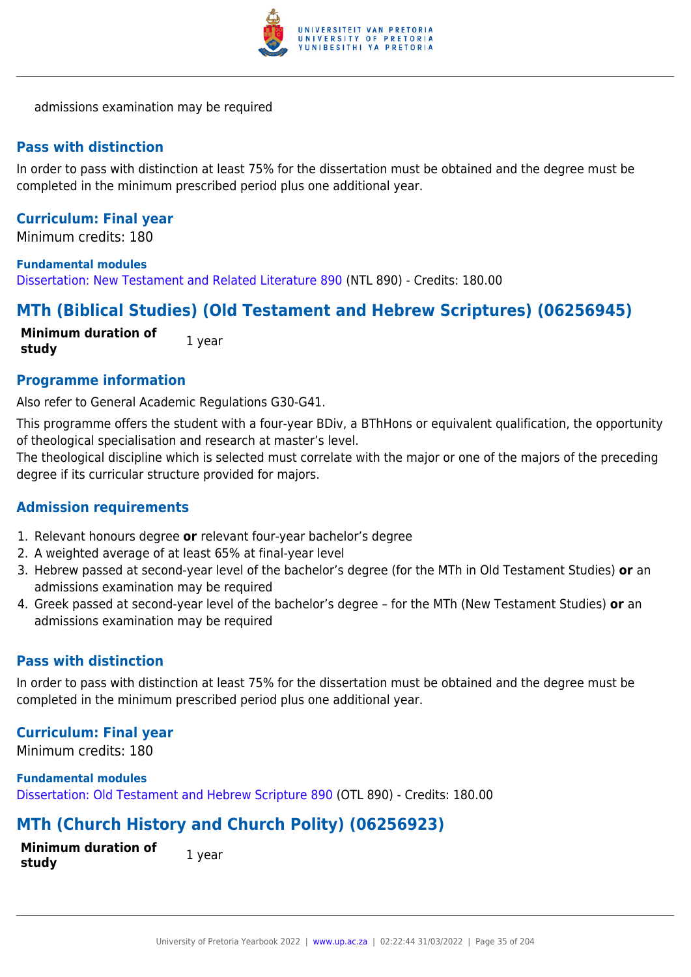

admissions examination may be required

### **Pass with distinction**

In order to pass with distinction at least 75% for the dissertation must be obtained and the degree must be completed in the minimum prescribed period plus one additional year.

# **Curriculum: Final year**

Minimum credits: 180

#### **Fundamental modules**

[Dissertation: New Testament and Related Literature 890](https://www.up.ac.za/yearbooks/2022/modules/view/NTL 890) (NTL 890) - Credits: 180.00

# **MTh (Biblical Studies) (Old Testament and Hebrew Scriptures) (06256945)**

**Minimum duration of study** 1 year

**Programme information**

Also refer to General Academic Regulations G30-G41.

This programme offers the student with a four-year BDiv, a BThHons or equivalent qualification, the opportunity of theological specialisation and research at master's level.

The theological discipline which is selected must correlate with the major or one of the majors of the preceding degree if its curricular structure provided for majors.

#### **Admission requirements**

- 1. Relevant honours degree **or** relevant four-year bachelor's degree
- 2. A weighted average of at least 65% at final-year level
- 3. Hebrew passed at second-year level of the bachelor's degree (for the MTh in Old Testament Studies) **or** an admissions examination may be required
- 4. Greek passed at second-year level of the bachelor's degree for the MTh (New Testament Studies) **or** an admissions examination may be required

# **Pass with distinction**

In order to pass with distinction at least 75% for the dissertation must be obtained and the degree must be completed in the minimum prescribed period plus one additional year.

#### **Curriculum: Final year**

Minimum credits: 180

**Fundamental modules** [Dissertation: Old Testament and Hebrew Scripture 890](https://www.up.ac.za/yearbooks/2022/modules/view/OTL 890) (OTL 890) - Credits: 180.00

# **MTh (Church History and Church Polity) (06256923)**

**Minimum duration of study 1** year

University of Pretoria Yearbook 2022 | [www.up.ac.za](https://www.up.ac.za/yearbooks/home) | 02:22:44 31/03/2022 | Page 35 of 204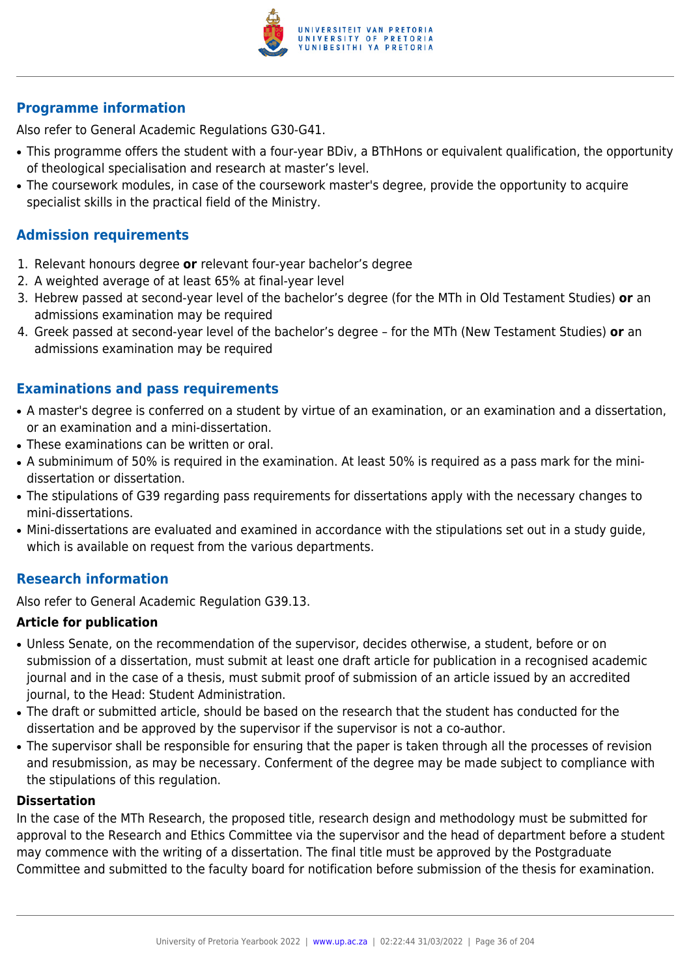

Also refer to General Academic Regulations G30-G41.

- This programme offers the student with a four-year BDiv, a BThHons or equivalent qualification, the opportunity of theological specialisation and research at master's level.
- The coursework modules, in case of the coursework master's degree, provide the opportunity to acquire specialist skills in the practical field of the Ministry.

# **Admission requirements**

- 1. Relevant honours degree **or** relevant four-year bachelor's degree
- 2. A weighted average of at least 65% at final-year level
- 3. Hebrew passed at second-year level of the bachelor's degree (for the MTh in Old Testament Studies) **or** an admissions examination may be required
- 4. Greek passed at second-year level of the bachelor's degree for the MTh (New Testament Studies) **or** an admissions examination may be required

# **Examinations and pass requirements**

- A master's degree is conferred on a student by virtue of an examination, or an examination and a dissertation, or an examination and a mini-dissertation.
- These examinations can be written or oral.
- A subminimum of 50% is required in the examination. At least 50% is required as a pass mark for the minidissertation or dissertation.
- The stipulations of G39 regarding pass requirements for dissertations apply with the necessary changes to mini-dissertations.
- Mini-dissertations are evaluated and examined in accordance with the stipulations set out in a study guide, which is available on request from the various departments.

# **Research information**

Also refer to General Academic Regulation G39.13.

#### **Article for publication**

- Unless Senate, on the recommendation of the supervisor, decides otherwise, a student, before or on submission of a dissertation, must submit at least one draft article for publication in a recognised academic journal and in the case of a thesis, must submit proof of submission of an article issued by an accredited journal, to the Head: Student Administration.
- The draft or submitted article, should be based on the research that the student has conducted for the dissertation and be approved by the supervisor if the supervisor is not a co-author.
- The supervisor shall be responsible for ensuring that the paper is taken through all the processes of revision and resubmission, as may be necessary. Conferment of the degree may be made subject to compliance with the stipulations of this regulation.

#### **Dissertation**

In the case of the MTh Research, the proposed title, research design and methodology must be submitted for approval to the Research and Ethics Committee via the supervisor and the head of department before a student may commence with the writing of a dissertation. The final title must be approved by the Postgraduate Committee and submitted to the faculty board for notification before submission of the thesis for examination.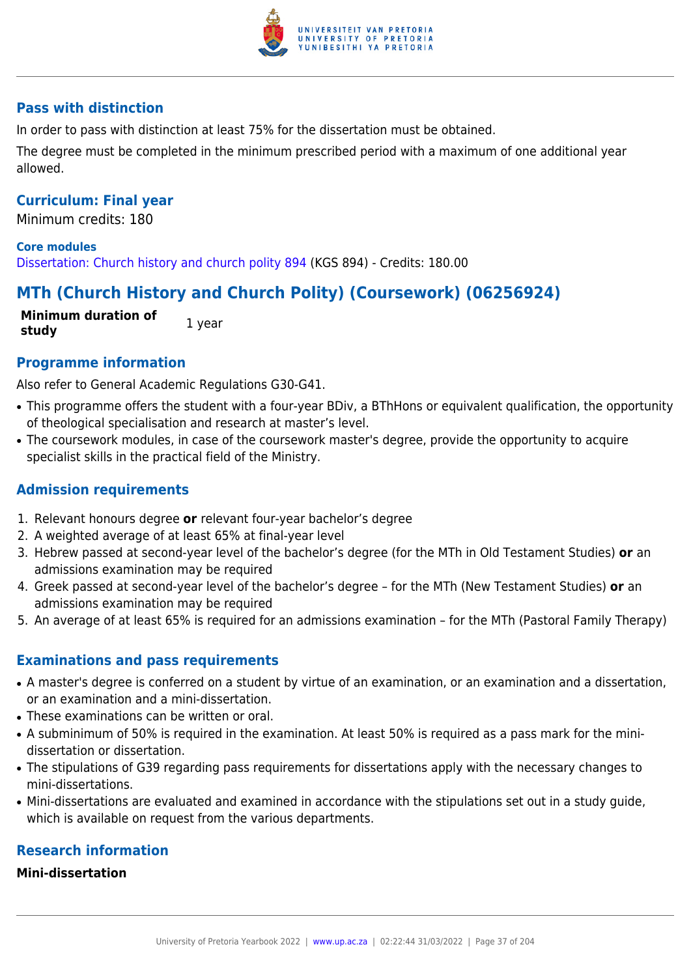

## **Pass with distinction**

In order to pass with distinction at least 75% for the dissertation must be obtained.

The degree must be completed in the minimum prescribed period with a maximum of one additional year allowed.

## **Curriculum: Final year**

Minimum credits: 180

**Core modules** [Dissertation: Church history and church polity 894](https://www.up.ac.za/yearbooks/2022/modules/view/KGS 894) (KGS 894) - Credits: 180.00

# **MTh (Church History and Church Polity) (Coursework) (06256924)**

**Minimum duration of study** 1 year

## **Programme information**

Also refer to General Academic Regulations G30-G41.

- This programme offers the student with a four-year BDiv, a BThHons or equivalent qualification, the opportunity of theological specialisation and research at master's level.
- The coursework modules, in case of the coursework master's degree, provide the opportunity to acquire specialist skills in the practical field of the Ministry.

## **Admission requirements**

- 1. Relevant honours degree **or** relevant four-year bachelor's degree
- 2. A weighted average of at least 65% at final-year level
- 3. Hebrew passed at second-year level of the bachelor's degree (for the MTh in Old Testament Studies) **or** an admissions examination may be required
- 4. Greek passed at second-year level of the bachelor's degree for the MTh (New Testament Studies) **or** an admissions examination may be required
- 5. An average of at least 65% is required for an admissions examination for the MTh (Pastoral Family Therapy)

### **Examinations and pass requirements**

- A master's degree is conferred on a student by virtue of an examination, or an examination and a dissertation, or an examination and a mini-dissertation.
- These examinations can be written or oral.
- A subminimum of 50% is required in the examination. At least 50% is required as a pass mark for the minidissertation or dissertation.
- The stipulations of G39 regarding pass requirements for dissertations apply with the necessary changes to mini-dissertations.
- Mini-dissertations are evaluated and examined in accordance with the stipulations set out in a study quide, which is available on request from the various departments.

## **Research information**

#### **Mini-dissertation**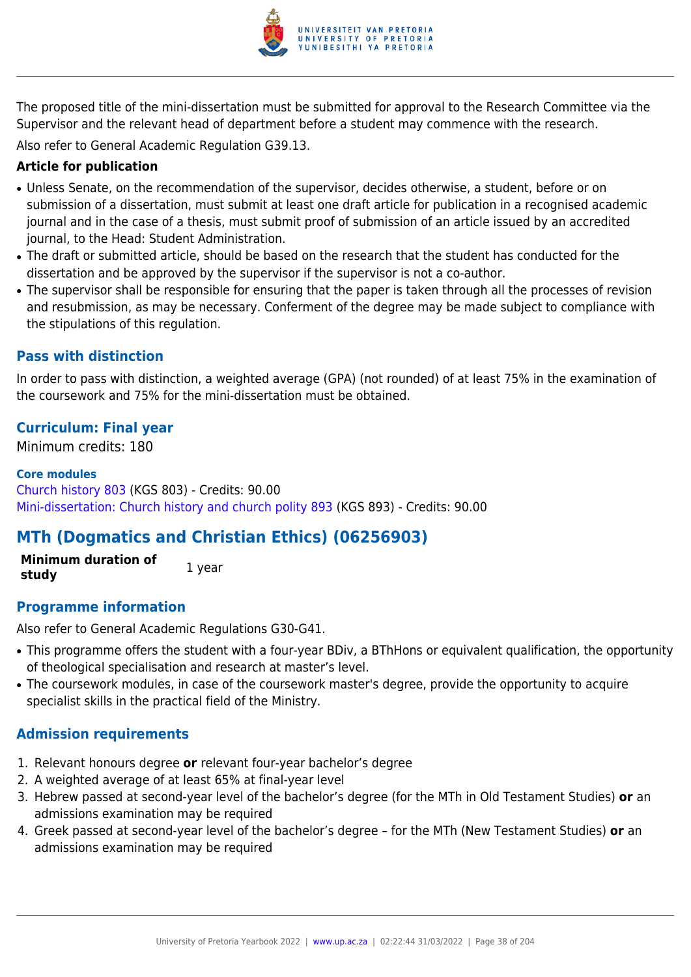

The proposed title of the mini-dissertation must be submitted for approval to the Research Committee via the Supervisor and the relevant head of department before a student may commence with the research.

Also refer to General Academic Regulation G39.13.

## **Article for publication**

- Unless Senate, on the recommendation of the supervisor, decides otherwise, a student, before or on submission of a dissertation, must submit at least one draft article for publication in a recognised academic journal and in the case of a thesis, must submit proof of submission of an article issued by an accredited journal, to the Head: Student Administration.
- The draft or submitted article, should be based on the research that the student has conducted for the dissertation and be approved by the supervisor if the supervisor is not a co-author.
- The supervisor shall be responsible for ensuring that the paper is taken through all the processes of revision and resubmission, as may be necessary. Conferment of the degree may be made subject to compliance with the stipulations of this regulation.

## **Pass with distinction**

In order to pass with distinction, a weighted average (GPA) (not rounded) of at least 75% in the examination of the coursework and 75% for the mini-dissertation must be obtained.

## **Curriculum: Final year**

Minimum credits: 180

### **Core modules**

[Church history 803](https://www.up.ac.za/yearbooks/2022/modules/view/KGS 803) (KGS 803) - Credits: 90.00 [Mini-dissertation: Church history and church polity 893](https://www.up.ac.za/yearbooks/2022/modules/view/KGS 893) (KGS 893) - Credits: 90.00

# **MTh (Dogmatics and Christian Ethics) (06256903)**

**Minimum duration of study** 1 year

## **Programme information**

Also refer to General Academic Regulations G30-G41.

- This programme offers the student with a four-year BDiv, a BThHons or equivalent qualification, the opportunity of theological specialisation and research at master's level.
- The coursework modules, in case of the coursework master's degree, provide the opportunity to acquire specialist skills in the practical field of the Ministry.

## **Admission requirements**

- 1. Relevant honours degree **or** relevant four-year bachelor's degree
- 2. A weighted average of at least 65% at final-year level
- 3. Hebrew passed at second-year level of the bachelor's degree (for the MTh in Old Testament Studies) **or** an admissions examination may be required
- 4. Greek passed at second-year level of the bachelor's degree for the MTh (New Testament Studies) **or** an admissions examination may be required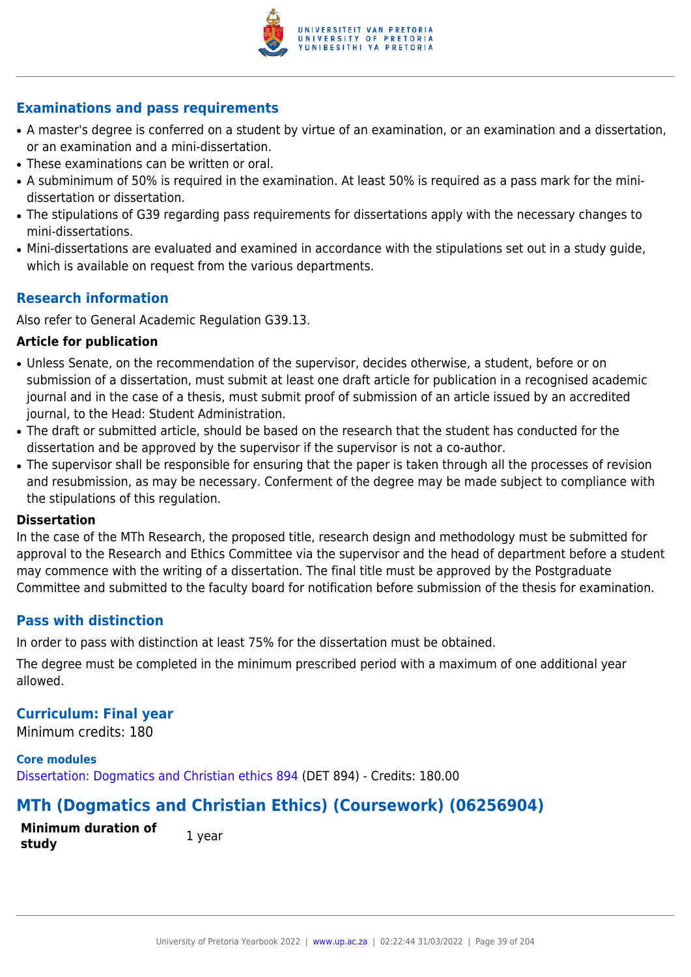

## **Examinations and pass requirements**

- A master's degree is conferred on a student by virtue of an examination, or an examination and a dissertation, or an examination and a mini-dissertation.
- These examinations can be written or oral.
- A subminimum of 50% is required in the examination. At least 50% is required as a pass mark for the minidissertation or dissertation.
- The stipulations of G39 regarding pass requirements for dissertations apply with the necessary changes to mini-dissertations.
- Mini-dissertations are evaluated and examined in accordance with the stipulations set out in a study guide, which is available on request from the various departments.

## **Research information**

Also refer to General Academic Regulation G39.13.

#### **Article for publication**

- Unless Senate, on the recommendation of the supervisor, decides otherwise, a student, before or on submission of a dissertation, must submit at least one draft article for publication in a recognised academic journal and in the case of a thesis, must submit proof of submission of an article issued by an accredited journal, to the Head: Student Administration.
- The draft or submitted article, should be based on the research that the student has conducted for the dissertation and be approved by the supervisor if the supervisor is not a co-author.
- The supervisor shall be responsible for ensuring that the paper is taken through all the processes of revision and resubmission, as may be necessary. Conferment of the degree may be made subject to compliance with the stipulations of this regulation.

#### **Dissertation**

In the case of the MTh Research, the proposed title, research design and methodology must be submitted for approval to the Research and Ethics Committee via the supervisor and the head of department before a student may commence with the writing of a dissertation. The final title must be approved by the Postgraduate Committee and submitted to the faculty board for notification before submission of the thesis for examination.

## **Pass with distinction**

In order to pass with distinction at least 75% for the dissertation must be obtained.

The degree must be completed in the minimum prescribed period with a maximum of one additional year allowed.

### **Curriculum: Final year**

Minimum credits: 180

**Core modules** [Dissertation: Dogmatics and Christian ethics 894](https://www.up.ac.za/yearbooks/2022/modules/view/DET 894) (DET 894) - Credits: 180.00

# **MTh (Dogmatics and Christian Ethics) (Coursework) (06256904)**

**Minimum duration of study** 1 year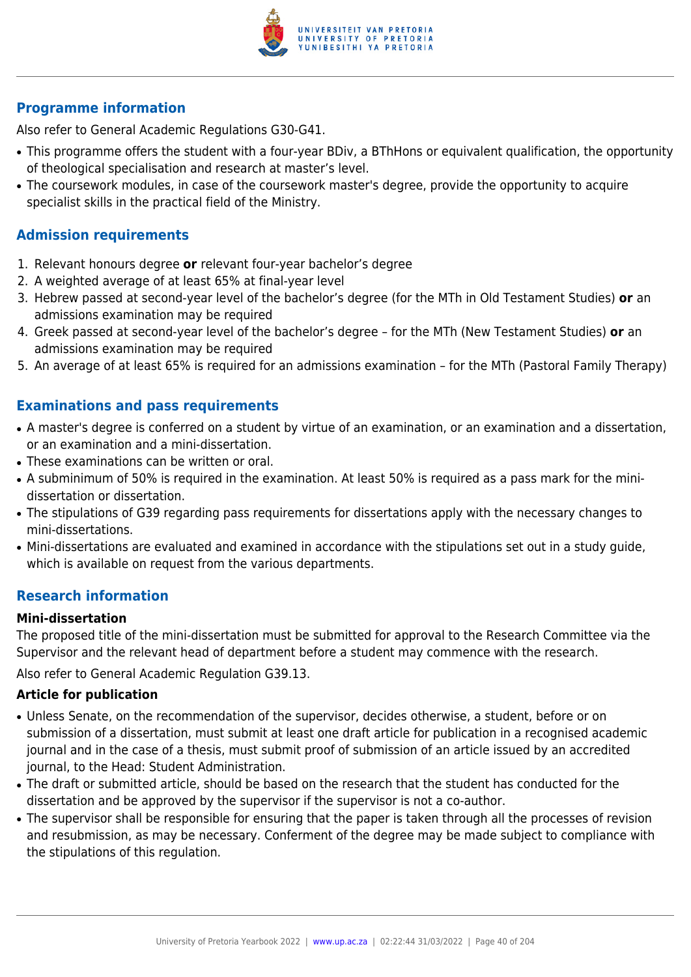

## **Programme information**

Also refer to General Academic Regulations G30-G41.

- This programme offers the student with a four-year BDiv, a BThHons or equivalent qualification, the opportunity of theological specialisation and research at master's level.
- The coursework modules, in case of the coursework master's degree, provide the opportunity to acquire specialist skills in the practical field of the Ministry.

## **Admission requirements**

- 1. Relevant honours degree **or** relevant four-year bachelor's degree
- 2. A weighted average of at least 65% at final-year level
- 3. Hebrew passed at second-year level of the bachelor's degree (for the MTh in Old Testament Studies) **or** an admissions examination may be required
- 4. Greek passed at second-year level of the bachelor's degree for the MTh (New Testament Studies) **or** an admissions examination may be required
- 5. An average of at least 65% is required for an admissions examination for the MTh (Pastoral Family Therapy)

## **Examinations and pass requirements**

- A master's degree is conferred on a student by virtue of an examination, or an examination and a dissertation, or an examination and a mini-dissertation.
- These examinations can be written or oral.
- A subminimum of 50% is required in the examination. At least 50% is required as a pass mark for the minidissertation or dissertation.
- The stipulations of G39 regarding pass requirements for dissertations apply with the necessary changes to mini-dissertations.
- Mini-dissertations are evaluated and examined in accordance with the stipulations set out in a study guide, which is available on request from the various departments.

## **Research information**

### **Mini-dissertation**

The proposed title of the mini-dissertation must be submitted for approval to the Research Committee via the Supervisor and the relevant head of department before a student may commence with the research.

Also refer to General Academic Regulation G39.13.

### **Article for publication**

- Unless Senate, on the recommendation of the supervisor, decides otherwise, a student, before or on submission of a dissertation, must submit at least one draft article for publication in a recognised academic journal and in the case of a thesis, must submit proof of submission of an article issued by an accredited journal, to the Head: Student Administration.
- The draft or submitted article, should be based on the research that the student has conducted for the dissertation and be approved by the supervisor if the supervisor is not a co-author.
- The supervisor shall be responsible for ensuring that the paper is taken through all the processes of revision and resubmission, as may be necessary. Conferment of the degree may be made subject to compliance with the stipulations of this regulation.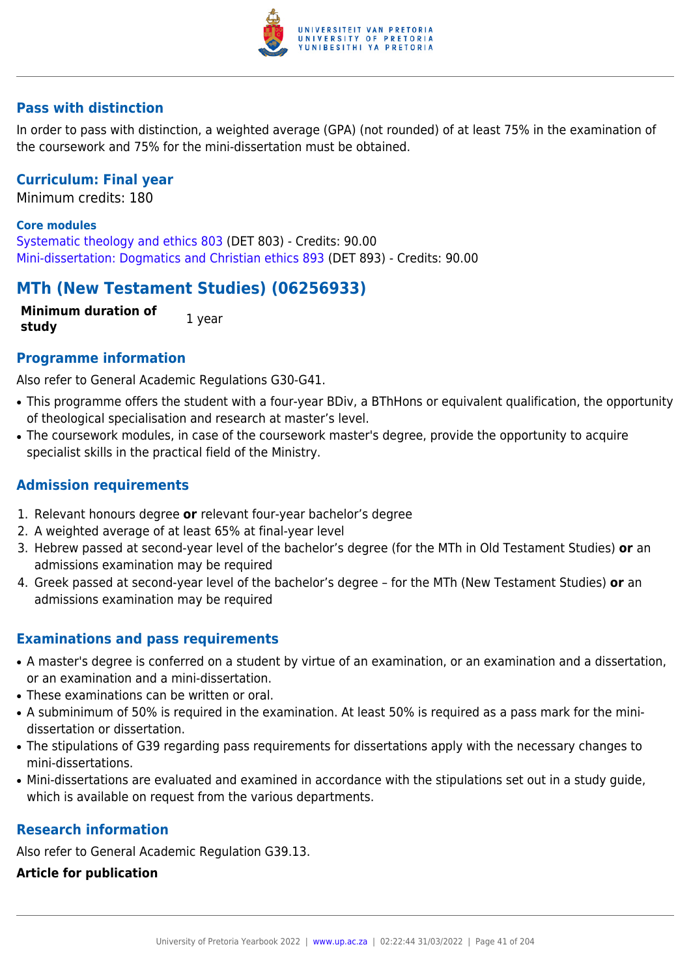

## **Pass with distinction**

In order to pass with distinction, a weighted average (GPA) (not rounded) of at least 75% in the examination of the coursework and 75% for the mini-dissertation must be obtained.

## **Curriculum: Final year**

Minimum credits: 180

#### **Core modules**

[Systematic theology and ethics 803](https://www.up.ac.za/yearbooks/2022/modules/view/DET 803) (DET 803) - Credits: 90.00 [Mini-dissertation: Dogmatics and Christian ethics 893](https://www.up.ac.za/yearbooks/2022/modules/view/DET 893) (DET 893) - Credits: 90.00

## **MTh (New Testament Studies) (06256933)**

**Minimum duration of study** 1 year

## **Programme information**

Also refer to General Academic Regulations G30-G41.

- This programme offers the student with a four-year BDiv, a BThHons or equivalent qualification, the opportunity of theological specialisation and research at master's level.
- The coursework modules, in case of the coursework master's degree, provide the opportunity to acquire specialist skills in the practical field of the Ministry.

## **Admission requirements**

- 1. Relevant honours degree **or** relevant four-year bachelor's degree
- 2. A weighted average of at least 65% at final-year level
- 3. Hebrew passed at second-year level of the bachelor's degree (for the MTh in Old Testament Studies) **or** an admissions examination may be required
- 4. Greek passed at second-year level of the bachelor's degree for the MTh (New Testament Studies) **or** an admissions examination may be required

## **Examinations and pass requirements**

- A master's degree is conferred on a student by virtue of an examination, or an examination and a dissertation, or an examination and a mini-dissertation.
- These examinations can be written or oral.
- A subminimum of 50% is required in the examination. At least 50% is required as a pass mark for the minidissertation or dissertation.
- The stipulations of G39 regarding pass requirements for dissertations apply with the necessary changes to mini-dissertations.
- Mini-dissertations are evaluated and examined in accordance with the stipulations set out in a study guide, which is available on request from the various departments.

## **Research information**

Also refer to General Academic Regulation G39.13.

#### **Article for publication**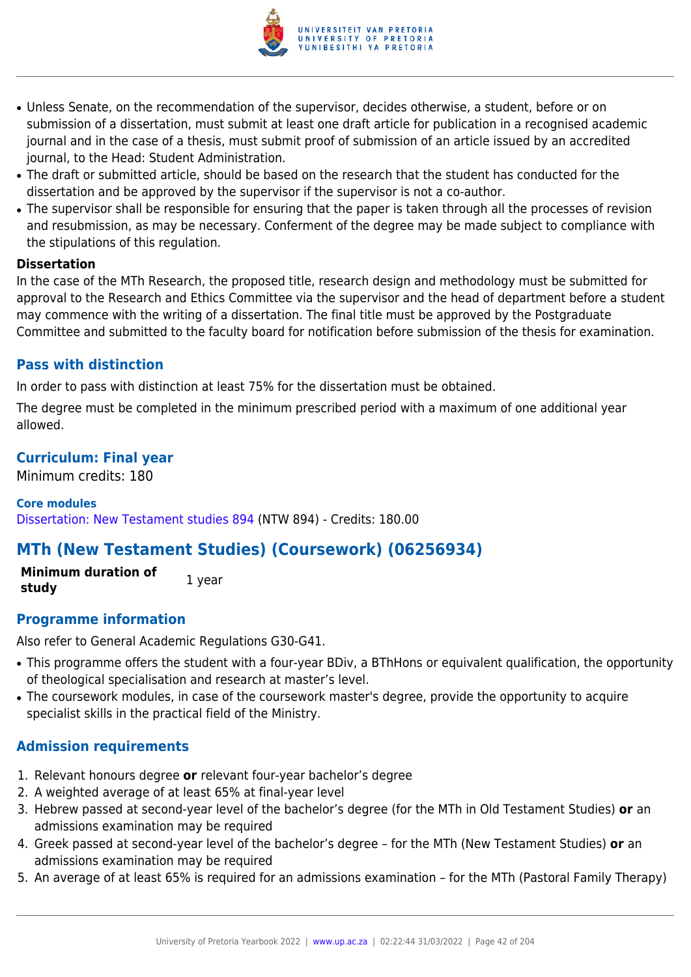

- Unless Senate, on the recommendation of the supervisor, decides otherwise, a student, before or on submission of a dissertation, must submit at least one draft article for publication in a recognised academic journal and in the case of a thesis, must submit proof of submission of an article issued by an accredited journal, to the Head: Student Administration.
- The draft or submitted article, should be based on the research that the student has conducted for the dissertation and be approved by the supervisor if the supervisor is not a co-author.
- The supervisor shall be responsible for ensuring that the paper is taken through all the processes of revision and resubmission, as may be necessary. Conferment of the degree may be made subject to compliance with the stipulations of this regulation.

#### **Dissertation**

In the case of the MTh Research, the proposed title, research design and methodology must be submitted for approval to the Research and Ethics Committee via the supervisor and the head of department before a student may commence with the writing of a dissertation. The final title must be approved by the Postgraduate Committee and submitted to the faculty board for notification before submission of the thesis for examination.

## **Pass with distinction**

In order to pass with distinction at least 75% for the dissertation must be obtained.

The degree must be completed in the minimum prescribed period with a maximum of one additional year allowed.

## **Curriculum: Final year**

Minimum credits: 180

### **Core modules**

[Dissertation: New Testament studies 894](https://www.up.ac.za/yearbooks/2022/modules/view/NTW 894) (NTW 894) - Credits: 180.00

# **MTh (New Testament Studies) (Coursework) (06256934)**

**Minimum duration of study 1** year

## **Programme information**

Also refer to General Academic Regulations G30-G41.

- This programme offers the student with a four-year BDiv, a BThHons or equivalent qualification, the opportunity of theological specialisation and research at master's level.
- The coursework modules, in case of the coursework master's degree, provide the opportunity to acquire specialist skills in the practical field of the Ministry.

## **Admission requirements**

- 1. Relevant honours degree **or** relevant four-year bachelor's degree
- 2. A weighted average of at least 65% at final-year level
- 3. Hebrew passed at second-year level of the bachelor's degree (for the MTh in Old Testament Studies) **or** an admissions examination may be required
- 4. Greek passed at second-year level of the bachelor's degree for the MTh (New Testament Studies) **or** an admissions examination may be required
- 5. An average of at least 65% is required for an admissions examination for the MTh (Pastoral Family Therapy)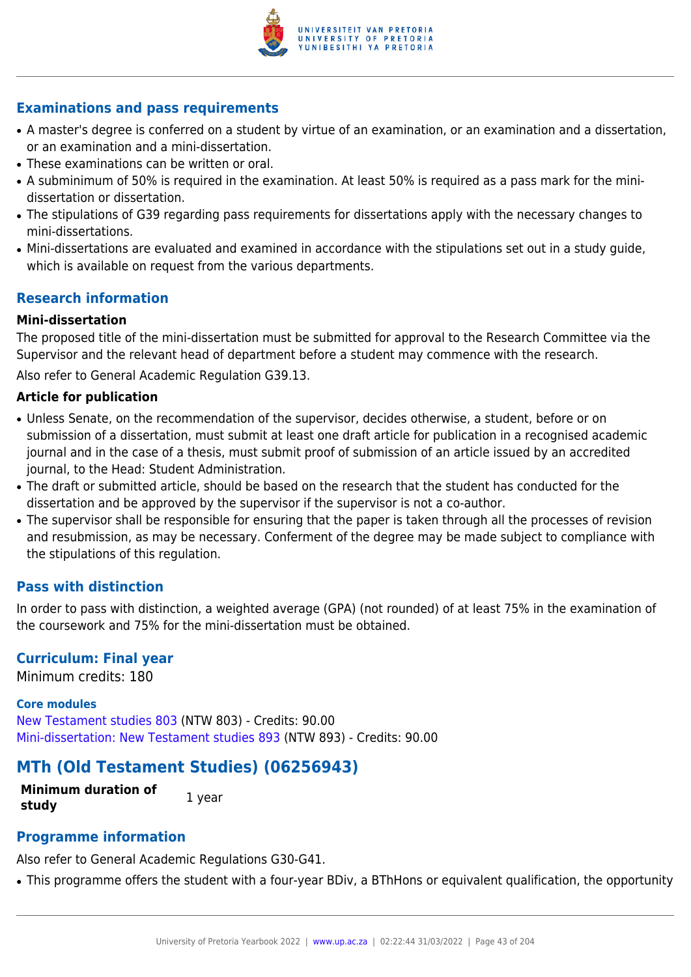

## **Examinations and pass requirements**

- A master's degree is conferred on a student by virtue of an examination, or an examination and a dissertation, or an examination and a mini-dissertation.
- These examinations can be written or oral.
- A subminimum of 50% is required in the examination. At least 50% is required as a pass mark for the minidissertation or dissertation.
- The stipulations of G39 regarding pass requirements for dissertations apply with the necessary changes to mini-dissertations.
- Mini-dissertations are evaluated and examined in accordance with the stipulations set out in a study guide, which is available on request from the various departments.

## **Research information**

### **Mini-dissertation**

The proposed title of the mini-dissertation must be submitted for approval to the Research Committee via the Supervisor and the relevant head of department before a student may commence with the research.

Also refer to General Academic Regulation G39.13.

#### **Article for publication**

- Unless Senate, on the recommendation of the supervisor, decides otherwise, a student, before or on submission of a dissertation, must submit at least one draft article for publication in a recognised academic journal and in the case of a thesis, must submit proof of submission of an article issued by an accredited journal, to the Head: Student Administration.
- The draft or submitted article, should be based on the research that the student has conducted for the dissertation and be approved by the supervisor if the supervisor is not a co-author.
- The supervisor shall be responsible for ensuring that the paper is taken through all the processes of revision and resubmission, as may be necessary. Conferment of the degree may be made subject to compliance with the stipulations of this regulation.

### **Pass with distinction**

In order to pass with distinction, a weighted average (GPA) (not rounded) of at least 75% in the examination of the coursework and 75% for the mini-dissertation must be obtained.

### **Curriculum: Final year**

Minimum credits: 180

#### **Core modules**

[New Testament studies 803](https://www.up.ac.za/yearbooks/2022/modules/view/NTW 803) (NTW 803) - Credits: 90.00 [Mini-dissertation: New Testament studies 893](https://www.up.ac.za/yearbooks/2022/modules/view/NTW 893) (NTW 893) - Credits: 90.00

## **MTh (Old Testament Studies) (06256943)**

**Minimum duration of study 1** year

### **Programme information**

Also refer to General Academic Regulations G30-G41.

• This programme offers the student with a four-year BDiv, a BThHons or equivalent qualification, the opportunity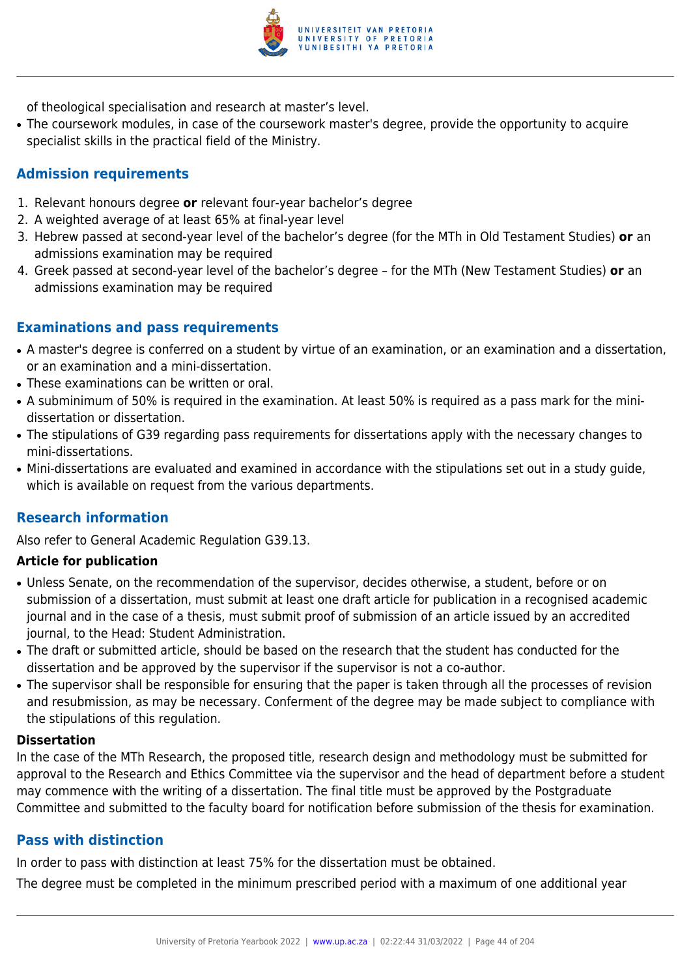

of theological specialisation and research at master's level.

• The coursework modules, in case of the coursework master's degree, provide the opportunity to acquire specialist skills in the practical field of the Ministry.

## **Admission requirements**

- 1. Relevant honours degree **or** relevant four-year bachelor's degree
- 2. A weighted average of at least 65% at final-year level
- 3. Hebrew passed at second-year level of the bachelor's degree (for the MTh in Old Testament Studies) **or** an admissions examination may be required
- 4. Greek passed at second-year level of the bachelor's degree for the MTh (New Testament Studies) **or** an admissions examination may be required

## **Examinations and pass requirements**

- A master's degree is conferred on a student by virtue of an examination, or an examination and a dissertation, or an examination and a mini-dissertation.
- These examinations can be written or oral.
- A subminimum of 50% is required in the examination. At least 50% is required as a pass mark for the minidissertation or dissertation.
- The stipulations of G39 regarding pass requirements for dissertations apply with the necessary changes to mini-dissertations.
- Mini-dissertations are evaluated and examined in accordance with the stipulations set out in a study guide, which is available on request from the various departments.

## **Research information**

Also refer to General Academic Regulation G39.13.

## **Article for publication**

- Unless Senate, on the recommendation of the supervisor, decides otherwise, a student, before or on submission of a dissertation, must submit at least one draft article for publication in a recognised academic journal and in the case of a thesis, must submit proof of submission of an article issued by an accredited journal, to the Head: Student Administration.
- The draft or submitted article, should be based on the research that the student has conducted for the dissertation and be approved by the supervisor if the supervisor is not a co-author.
- The supervisor shall be responsible for ensuring that the paper is taken through all the processes of revision and resubmission, as may be necessary. Conferment of the degree may be made subject to compliance with the stipulations of this regulation.

### **Dissertation**

In the case of the MTh Research, the proposed title, research design and methodology must be submitted for approval to the Research and Ethics Committee via the supervisor and the head of department before a student may commence with the writing of a dissertation. The final title must be approved by the Postgraduate Committee and submitted to the faculty board for notification before submission of the thesis for examination.

## **Pass with distinction**

In order to pass with distinction at least 75% for the dissertation must be obtained.

The degree must be completed in the minimum prescribed period with a maximum of one additional year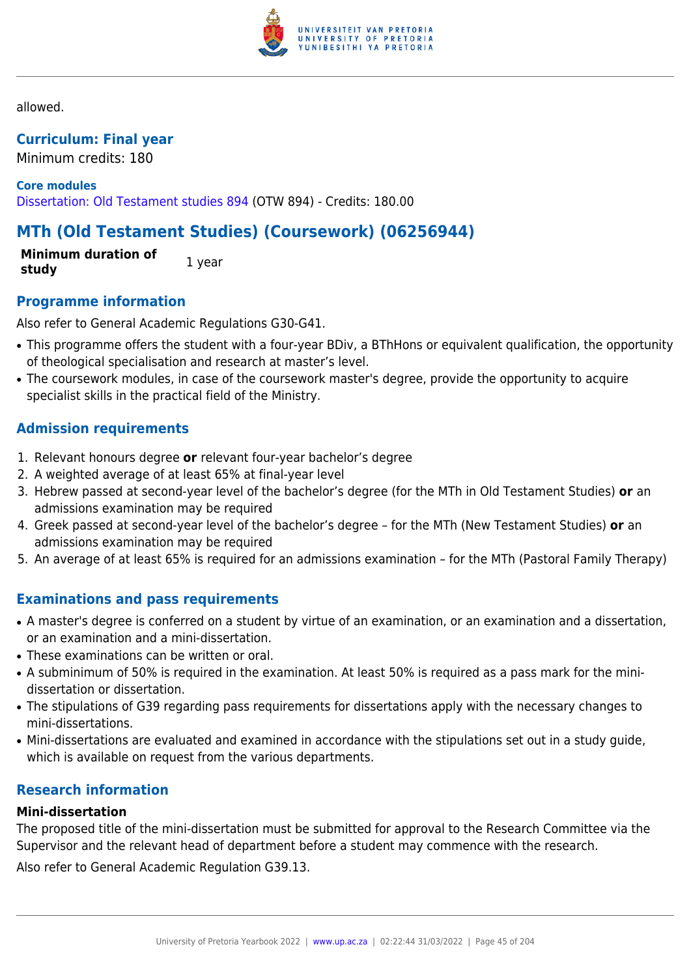

allowed.

## **Curriculum: Final year**

Minimum credits: 180

**Core modules** [Dissertation: Old Testament studies 894](https://www.up.ac.za/yearbooks/2022/modules/view/OTW 894) (OTW 894) - Credits: 180.00

# **MTh (Old Testament Studies) (Coursework) (06256944)**

**Minimum duration of study** 1 year

## **Programme information**

Also refer to General Academic Regulations G30-G41.

- This programme offers the student with a four-year BDiv, a BThHons or equivalent qualification, the opportunity of theological specialisation and research at master's level.
- The coursework modules, in case of the coursework master's degree, provide the opportunity to acquire specialist skills in the practical field of the Ministry.

## **Admission requirements**

- 1. Relevant honours degree **or** relevant four-year bachelor's degree
- 2. A weighted average of at least 65% at final-year level
- 3. Hebrew passed at second-year level of the bachelor's degree (for the MTh in Old Testament Studies) **or** an admissions examination may be required
- 4. Greek passed at second-year level of the bachelor's degree for the MTh (New Testament Studies) **or** an admissions examination may be required
- 5. An average of at least 65% is required for an admissions examination for the MTh (Pastoral Family Therapy)

## **Examinations and pass requirements**

- A master's degree is conferred on a student by virtue of an examination, or an examination and a dissertation, or an examination and a mini-dissertation.
- These examinations can be written or oral.
- A subminimum of 50% is required in the examination. At least 50% is required as a pass mark for the minidissertation or dissertation.
- The stipulations of G39 regarding pass requirements for dissertations apply with the necessary changes to mini-dissertations.
- Mini-dissertations are evaluated and examined in accordance with the stipulations set out in a study guide, which is available on request from the various departments.

## **Research information**

### **Mini-dissertation**

The proposed title of the mini-dissertation must be submitted for approval to the Research Committee via the Supervisor and the relevant head of department before a student may commence with the research.

Also refer to General Academic Regulation G39.13.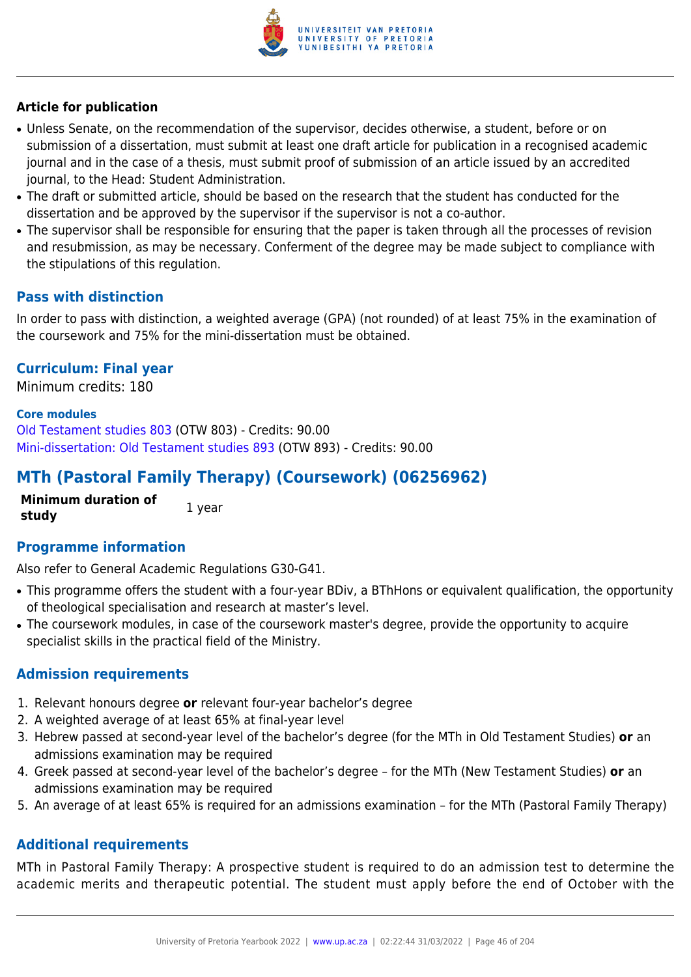

## **Article for publication**

- Unless Senate, on the recommendation of the supervisor, decides otherwise, a student, before or on submission of a dissertation, must submit at least one draft article for publication in a recognised academic journal and in the case of a thesis, must submit proof of submission of an article issued by an accredited journal, to the Head: Student Administration.
- The draft or submitted article, should be based on the research that the student has conducted for the dissertation and be approved by the supervisor if the supervisor is not a co-author.
- The supervisor shall be responsible for ensuring that the paper is taken through all the processes of revision and resubmission, as may be necessary. Conferment of the degree may be made subject to compliance with the stipulations of this regulation.

## **Pass with distinction**

In order to pass with distinction, a weighted average (GPA) (not rounded) of at least 75% in the examination of the coursework and 75% for the mini-dissertation must be obtained.

## **Curriculum: Final year**

Minimum credits: 180

#### **Core modules**

[Old Testament studies 803](https://www.up.ac.za/yearbooks/2022/modules/view/OTW 803) (OTW 803) - Credits: 90.00 [Mini-dissertation: Old Testament studies 893](https://www.up.ac.za/yearbooks/2022/modules/view/OTW 893) (OTW 893) - Credits: 90.00

# **MTh (Pastoral Family Therapy) (Coursework) (06256962)**

**Minimum duration of study** 1 year

### **Programme information**

Also refer to General Academic Regulations G30-G41.

- This programme offers the student with a four-year BDiv, a BThHons or equivalent qualification, the opportunity of theological specialisation and research at master's level.
- The coursework modules, in case of the coursework master's degree, provide the opportunity to acquire specialist skills in the practical field of the Ministry.

## **Admission requirements**

- 1. Relevant honours degree **or** relevant four-year bachelor's degree
- 2. A weighted average of at least 65% at final-year level
- 3. Hebrew passed at second-year level of the bachelor's degree (for the MTh in Old Testament Studies) **or** an admissions examination may be required
- 4. Greek passed at second-year level of the bachelor's degree for the MTh (New Testament Studies) **or** an admissions examination may be required
- 5. An average of at least 65% is required for an admissions examination for the MTh (Pastoral Family Therapy)

## **Additional requirements**

MTh in Pastoral Family Therapy: A prospective student is required to do an admission test to determine the academic merits and therapeutic potential. The student must apply before the end of October with the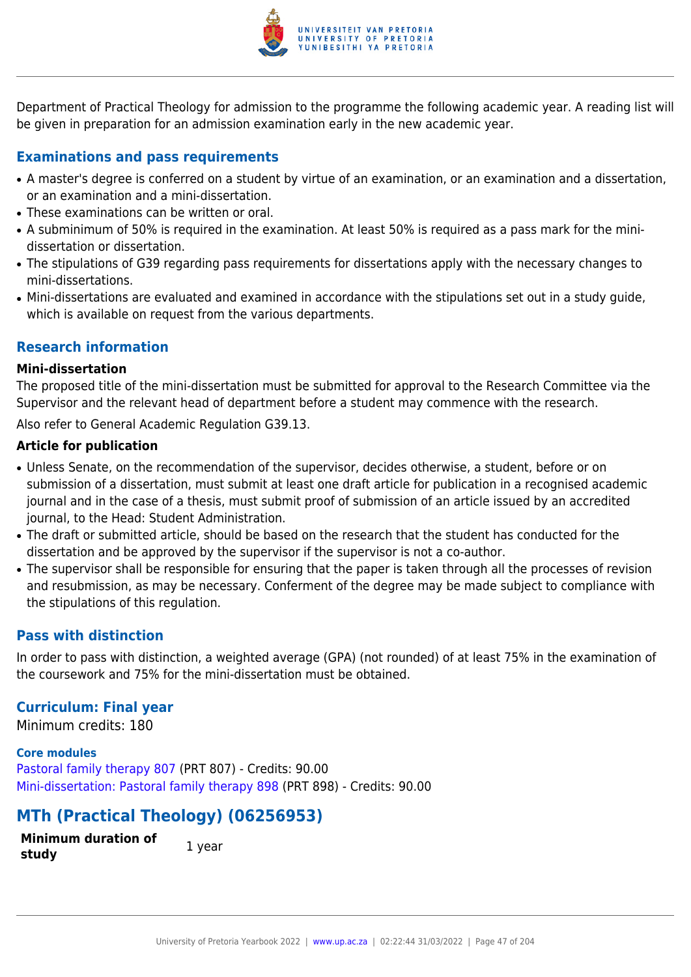

Department of Practical Theology for admission to the programme the following academic year. A reading list will be given in preparation for an admission examination early in the new academic year.

## **Examinations and pass requirements**

- A master's degree is conferred on a student by virtue of an examination, or an examination and a dissertation, or an examination and a mini-dissertation.
- These examinations can be written or oral.
- A subminimum of 50% is required in the examination. At least 50% is required as a pass mark for the minidissertation or dissertation.
- The stipulations of G39 regarding pass requirements for dissertations apply with the necessary changes to mini-dissertations.
- Mini-dissertations are evaluated and examined in accordance with the stipulations set out in a study quide, which is available on request from the various departments.

## **Research information**

#### **Mini-dissertation**

The proposed title of the mini-dissertation must be submitted for approval to the Research Committee via the Supervisor and the relevant head of department before a student may commence with the research.

Also refer to General Academic Regulation G39.13.

#### **Article for publication**

- Unless Senate, on the recommendation of the supervisor, decides otherwise, a student, before or on submission of a dissertation, must submit at least one draft article for publication in a recognised academic journal and in the case of a thesis, must submit proof of submission of an article issued by an accredited journal, to the Head: Student Administration.
- The draft or submitted article, should be based on the research that the student has conducted for the dissertation and be approved by the supervisor if the supervisor is not a co-author.
- The supervisor shall be responsible for ensuring that the paper is taken through all the processes of revision and resubmission, as may be necessary. Conferment of the degree may be made subject to compliance with the stipulations of this regulation.

## **Pass with distinction**

In order to pass with distinction, a weighted average (GPA) (not rounded) of at least 75% in the examination of the coursework and 75% for the mini-dissertation must be obtained.

## **Curriculum: Final year**

Minimum credits: 180

#### **Core modules**

[Pastoral family therapy 807](https://www.up.ac.za/yearbooks/2022/modules/view/PRT 807) (PRT 807) - Credits: 90.00 [Mini-dissertation: Pastoral family therapy 898](https://www.up.ac.za/yearbooks/2022/modules/view/PRT 898) (PRT 898) - Credits: 90.00

# **MTh (Practical Theology) (06256953)**

**Minimum duration of study 1** year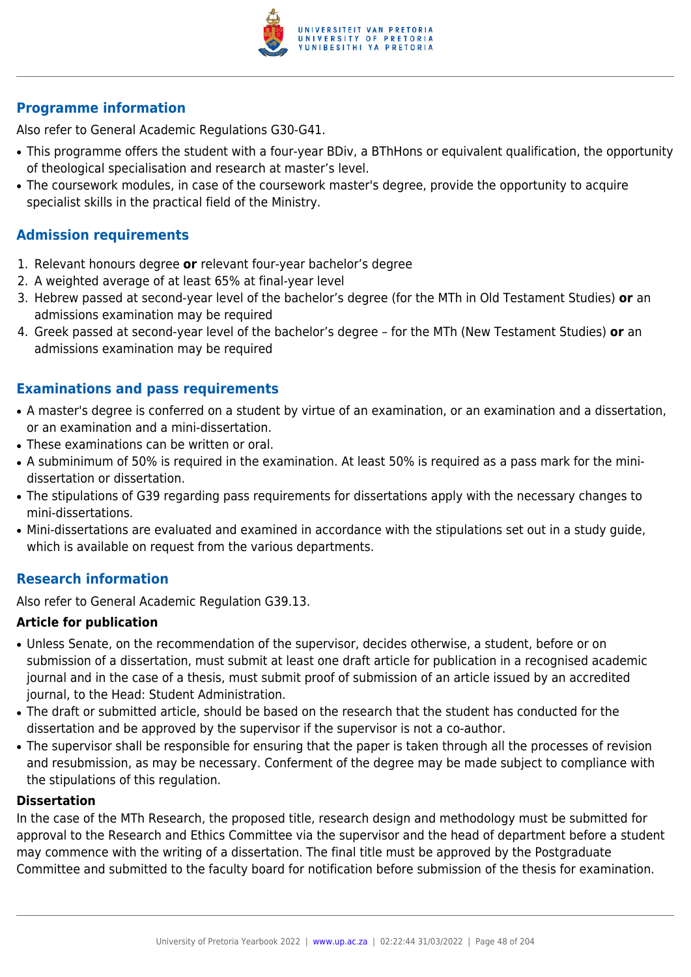

## **Programme information**

Also refer to General Academic Regulations G30-G41.

- This programme offers the student with a four-year BDiv, a BThHons or equivalent qualification, the opportunity of theological specialisation and research at master's level.
- The coursework modules, in case of the coursework master's degree, provide the opportunity to acquire specialist skills in the practical field of the Ministry.

## **Admission requirements**

- 1. Relevant honours degree **or** relevant four-year bachelor's degree
- 2. A weighted average of at least 65% at final-year level
- 3. Hebrew passed at second-year level of the bachelor's degree (for the MTh in Old Testament Studies) **or** an admissions examination may be required
- 4. Greek passed at second-year level of the bachelor's degree for the MTh (New Testament Studies) **or** an admissions examination may be required

## **Examinations and pass requirements**

- A master's degree is conferred on a student by virtue of an examination, or an examination and a dissertation, or an examination and a mini-dissertation.
- These examinations can be written or oral.
- A subminimum of 50% is required in the examination. At least 50% is required as a pass mark for the minidissertation or dissertation.
- The stipulations of G39 regarding pass requirements for dissertations apply with the necessary changes to mini-dissertations.
- Mini-dissertations are evaluated and examined in accordance with the stipulations set out in a study guide, which is available on request from the various departments.

## **Research information**

Also refer to General Academic Regulation G39.13.

### **Article for publication**

- Unless Senate, on the recommendation of the supervisor, decides otherwise, a student, before or on submission of a dissertation, must submit at least one draft article for publication in a recognised academic journal and in the case of a thesis, must submit proof of submission of an article issued by an accredited journal, to the Head: Student Administration.
- The draft or submitted article, should be based on the research that the student has conducted for the dissertation and be approved by the supervisor if the supervisor is not a co-author.
- The supervisor shall be responsible for ensuring that the paper is taken through all the processes of revision and resubmission, as may be necessary. Conferment of the degree may be made subject to compliance with the stipulations of this regulation.

### **Dissertation**

In the case of the MTh Research, the proposed title, research design and methodology must be submitted for approval to the Research and Ethics Committee via the supervisor and the head of department before a student may commence with the writing of a dissertation. The final title must be approved by the Postgraduate Committee and submitted to the faculty board for notification before submission of the thesis for examination.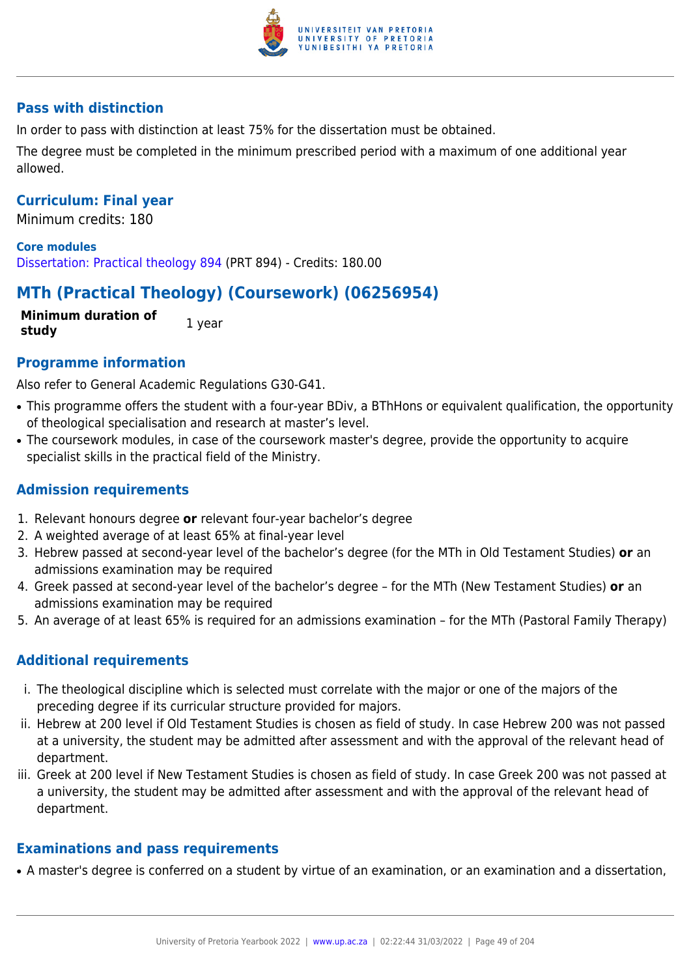

## **Pass with distinction**

In order to pass with distinction at least 75% for the dissertation must be obtained.

The degree must be completed in the minimum prescribed period with a maximum of one additional year allowed.

### **Curriculum: Final year**

Minimum credits: 180

**Core modules** [Dissertation: Practical theology 894](https://www.up.ac.za/yearbooks/2022/modules/view/PRT 894) (PRT 894) - Credits: 180.00

# **MTh (Practical Theology) (Coursework) (06256954)**

**Minimum duration of study** 1 year

### **Programme information**

Also refer to General Academic Regulations G30-G41.

- This programme offers the student with a four-year BDiv, a BThHons or equivalent qualification, the opportunity of theological specialisation and research at master's level.
- The coursework modules, in case of the coursework master's degree, provide the opportunity to acquire specialist skills in the practical field of the Ministry.

## **Admission requirements**

- 1. Relevant honours degree **or** relevant four-year bachelor's degree
- 2. A weighted average of at least 65% at final-year level
- 3. Hebrew passed at second-year level of the bachelor's degree (for the MTh in Old Testament Studies) **or** an admissions examination may be required
- 4. Greek passed at second-year level of the bachelor's degree for the MTh (New Testament Studies) **or** an admissions examination may be required
- 5. An average of at least 65% is required for an admissions examination for the MTh (Pastoral Family Therapy)

## **Additional requirements**

- i. The theological discipline which is selected must correlate with the major or one of the majors of the preceding degree if its curricular structure provided for majors.
- ii. Hebrew at 200 level if Old Testament Studies is chosen as field of study. In case Hebrew 200 was not passed at a university, the student may be admitted after assessment and with the approval of the relevant head of department.
- iii. Greek at 200 level if New Testament Studies is chosen as field of study. In case Greek 200 was not passed at a university, the student may be admitted after assessment and with the approval of the relevant head of department.

### **Examinations and pass requirements**

• A master's degree is conferred on a student by virtue of an examination, or an examination and a dissertation,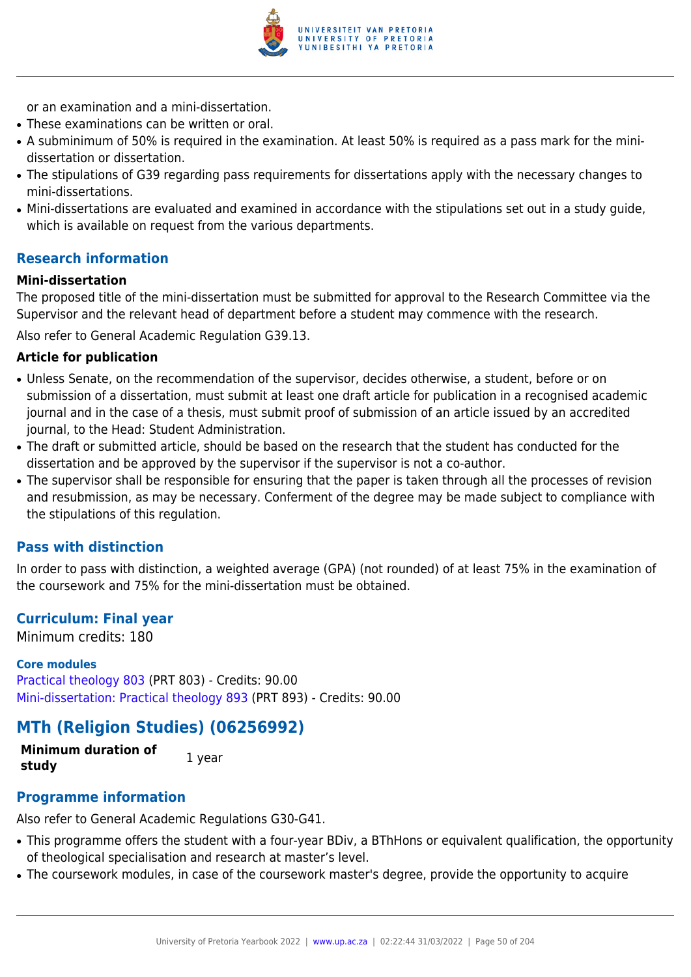

or an examination and a mini-dissertation.

- These examinations can be written or oral.
- A subminimum of 50% is required in the examination. At least 50% is required as a pass mark for the minidissertation or dissertation.
- The stipulations of G39 regarding pass requirements for dissertations apply with the necessary changes to mini-dissertations.
- Mini-dissertations are evaluated and examined in accordance with the stipulations set out in a study quide, which is available on request from the various departments.

## **Research information**

#### **Mini-dissertation**

The proposed title of the mini-dissertation must be submitted for approval to the Research Committee via the Supervisor and the relevant head of department before a student may commence with the research.

Also refer to General Academic Regulation G39.13.

#### **Article for publication**

- Unless Senate, on the recommendation of the supervisor, decides otherwise, a student, before or on submission of a dissertation, must submit at least one draft article for publication in a recognised academic journal and in the case of a thesis, must submit proof of submission of an article issued by an accredited journal, to the Head: Student Administration.
- The draft or submitted article, should be based on the research that the student has conducted for the dissertation and be approved by the supervisor if the supervisor is not a co-author.
- The supervisor shall be responsible for ensuring that the paper is taken through all the processes of revision and resubmission, as may be necessary. Conferment of the degree may be made subject to compliance with the stipulations of this regulation.

### **Pass with distinction**

In order to pass with distinction, a weighted average (GPA) (not rounded) of at least 75% in the examination of the coursework and 75% for the mini-dissertation must be obtained.

### **Curriculum: Final year**

Minimum credits: 180

#### **Core modules**

[Practical theology 803](https://www.up.ac.za/yearbooks/2022/modules/view/PRT 803) (PRT 803) - Credits: 90.00 [Mini-dissertation: Practical theology 893](https://www.up.ac.za/yearbooks/2022/modules/view/PRT 893) (PRT 893) - Credits: 90.00

## **MTh (Religion Studies) (06256992)**

**Minimum duration of study** 1 year

## **Programme information**

Also refer to General Academic Regulations G30-G41.

- This programme offers the student with a four-year BDiv, a BThHons or equivalent qualification, the opportunity of theological specialisation and research at master's level.
- The coursework modules, in case of the coursework master's degree, provide the opportunity to acquire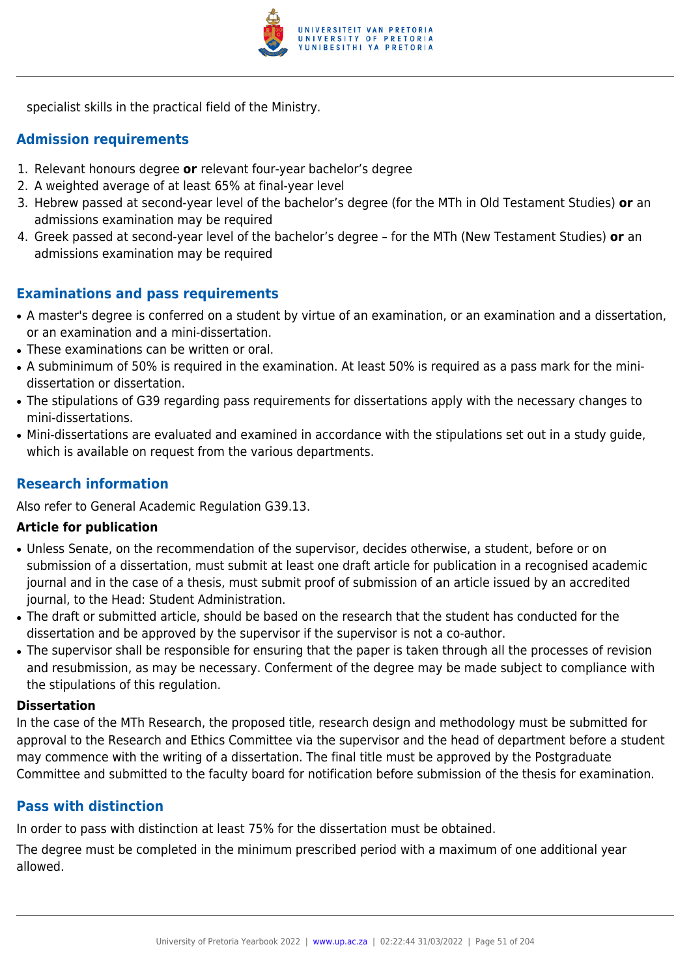

specialist skills in the practical field of the Ministry.

## **Admission requirements**

- 1. Relevant honours degree **or** relevant four-year bachelor's degree
- 2. A weighted average of at least 65% at final-year level
- 3. Hebrew passed at second-year level of the bachelor's degree (for the MTh in Old Testament Studies) **or** an admissions examination may be required
- 4. Greek passed at second-year level of the bachelor's degree for the MTh (New Testament Studies) **or** an admissions examination may be required

## **Examinations and pass requirements**

- A master's degree is conferred on a student by virtue of an examination, or an examination and a dissertation, or an examination and a mini-dissertation.
- These examinations can be written or oral.
- A subminimum of 50% is required in the examination. At least 50% is required as a pass mark for the minidissertation or dissertation.
- The stipulations of G39 regarding pass requirements for dissertations apply with the necessary changes to mini-dissertations.
- Mini-dissertations are evaluated and examined in accordance with the stipulations set out in a study guide, which is available on request from the various departments.

## **Research information**

Also refer to General Academic Regulation G39.13.

### **Article for publication**

- Unless Senate, on the recommendation of the supervisor, decides otherwise, a student, before or on submission of a dissertation, must submit at least one draft article for publication in a recognised academic journal and in the case of a thesis, must submit proof of submission of an article issued by an accredited journal, to the Head: Student Administration.
- The draft or submitted article, should be based on the research that the student has conducted for the dissertation and be approved by the supervisor if the supervisor is not a co-author.
- The supervisor shall be responsible for ensuring that the paper is taken through all the processes of revision and resubmission, as may be necessary. Conferment of the degree may be made subject to compliance with the stipulations of this regulation.

#### **Dissertation**

In the case of the MTh Research, the proposed title, research design and methodology must be submitted for approval to the Research and Ethics Committee via the supervisor and the head of department before a student may commence with the writing of a dissertation. The final title must be approved by the Postgraduate Committee and submitted to the faculty board for notification before submission of the thesis for examination.

## **Pass with distinction**

In order to pass with distinction at least 75% for the dissertation must be obtained.

The degree must be completed in the minimum prescribed period with a maximum of one additional year allowed.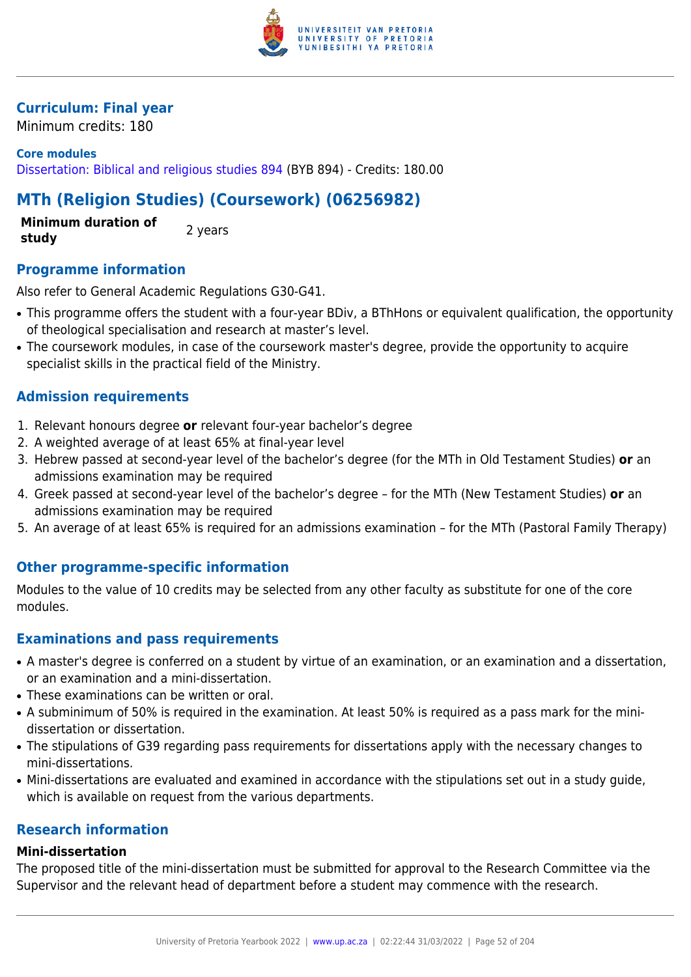

## **Curriculum: Final year**

Minimum credits: 180

## **Core modules** [Dissertation: Biblical and religious studies 894](https://www.up.ac.za/yearbooks/2022/modules/view/BYB 894) (BYB 894) - Credits: 180.00

# **MTh (Religion Studies) (Coursework) (06256982)**

**Minimum duration of study 2** years

## **Programme information**

Also refer to General Academic Regulations G30-G41.

- This programme offers the student with a four-year BDiv, a BThHons or equivalent qualification, the opportunity of theological specialisation and research at master's level.
- The coursework modules, in case of the coursework master's degree, provide the opportunity to acquire specialist skills in the practical field of the Ministry.

## **Admission requirements**

- 1. Relevant honours degree **or** relevant four-year bachelor's degree
- 2. A weighted average of at least 65% at final-year level
- 3. Hebrew passed at second-year level of the bachelor's degree (for the MTh in Old Testament Studies) **or** an admissions examination may be required
- 4. Greek passed at second-year level of the bachelor's degree for the MTh (New Testament Studies) **or** an admissions examination may be required
- 5. An average of at least 65% is required for an admissions examination for the MTh (Pastoral Family Therapy)

## **Other programme-specific information**

Modules to the value of 10 credits may be selected from any other faculty as substitute for one of the core modules.

## **Examinations and pass requirements**

- A master's degree is conferred on a student by virtue of an examination, or an examination and a dissertation, or an examination and a mini-dissertation.
- These examinations can be written or oral.
- A subminimum of 50% is required in the examination. At least 50% is required as a pass mark for the minidissertation or dissertation.
- The stipulations of G39 regarding pass requirements for dissertations apply with the necessary changes to mini-dissertations.
- Mini-dissertations are evaluated and examined in accordance with the stipulations set out in a study guide, which is available on request from the various departments.

## **Research information**

### **Mini-dissertation**

The proposed title of the mini-dissertation must be submitted for approval to the Research Committee via the Supervisor and the relevant head of department before a student may commence with the research.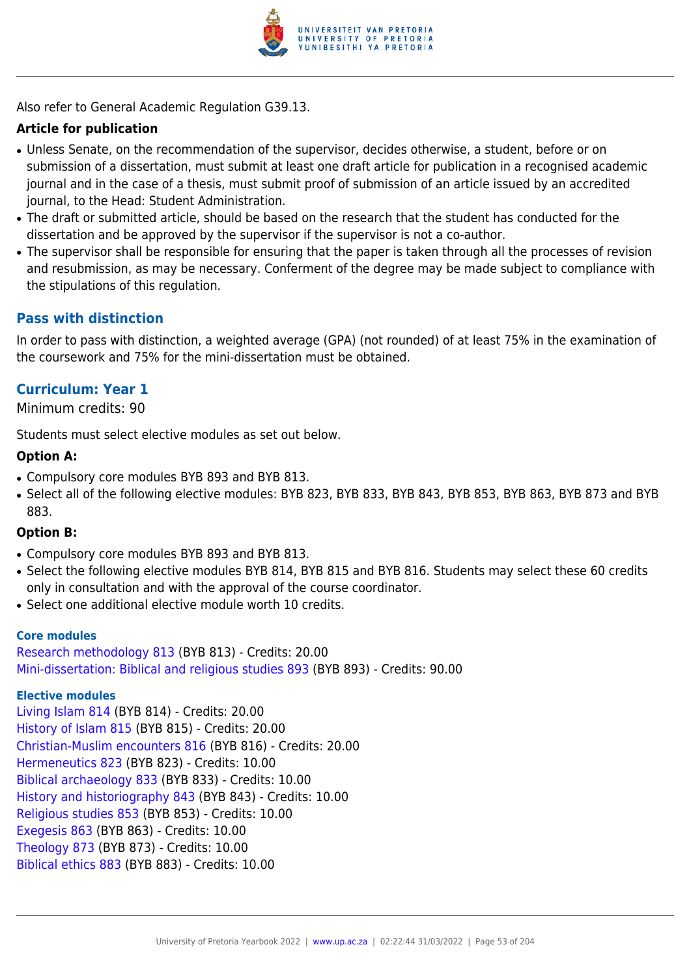

Also refer to General Academic Regulation G39.13.

## **Article for publication**

- Unless Senate, on the recommendation of the supervisor, decides otherwise, a student, before or on submission of a dissertation, must submit at least one draft article for publication in a recognised academic journal and in the case of a thesis, must submit proof of submission of an article issued by an accredited journal, to the Head: Student Administration.
- The draft or submitted article, should be based on the research that the student has conducted for the dissertation and be approved by the supervisor if the supervisor is not a co-author.
- The supervisor shall be responsible for ensuring that the paper is taken through all the processes of revision and resubmission, as may be necessary. Conferment of the degree may be made subject to compliance with the stipulations of this regulation.

## **Pass with distinction**

In order to pass with distinction, a weighted average (GPA) (not rounded) of at least 75% in the examination of the coursework and 75% for the mini-dissertation must be obtained.

## **Curriculum: Year 1**

Minimum credits: 90

Students must select elective modules as set out below.

### **Option A:**

- Compulsory core modules BYB 893 and BYB 813.
- Select all of the following elective modules: BYB 823, BYB 833, BYB 843, BYB 853, BYB 863, BYB 873 and BYB 883.

### **Option B:**

- Compulsory core modules BYB 893 and BYB 813.
- Select the following elective modules BYB 814, BYB 815 and BYB 816. Students may select these 60 credits only in consultation and with the approval of the course coordinator.
- Select one additional elective module worth 10 credits.

#### **Core modules**

[Research methodology 813](https://www.up.ac.za/yearbooks/2022/modules/view/BYB 813) (BYB 813) - Credits: 20.00 [Mini-dissertation: Biblical and religious studies 893](https://www.up.ac.za/yearbooks/2022/modules/view/BYB 893) (BYB 893) - Credits: 90.00

#### **Elective modules**

[Living Islam 814](https://www.up.ac.za/yearbooks/2022/modules/view/BYB 814) (BYB 814) - Credits: 20.00 [History of Islam 815](https://www.up.ac.za/yearbooks/2022/modules/view/BYB 815) (BYB 815) - Credits: 20.00 [Christian-Muslim encounters 816](https://www.up.ac.za/yearbooks/2022/modules/view/BYB 816) (BYB 816) - Credits: 20.00 [Hermeneutics 823](https://www.up.ac.za/yearbooks/2022/modules/view/BYB 823) (BYB 823) - Credits: 10.00 [Biblical archaeology 833](https://www.up.ac.za/yearbooks/2022/modules/view/BYB 833) (BYB 833) - Credits: 10.00 [History and historiography 843](https://www.up.ac.za/yearbooks/2022/modules/view/BYB 843) (BYB 843) - Credits: 10.00 [Religious studies 853](https://www.up.ac.za/yearbooks/2022/modules/view/BYB 853) (BYB 853) - Credits: 10.00 [Exegesis 863](https://www.up.ac.za/yearbooks/2022/modules/view/BYB 863) (BYB 863) - Credits: 10.00 [Theology 873](https://www.up.ac.za/yearbooks/2022/modules/view/BYB 873) (BYB 873) - Credits: 10.00 [Biblical ethics 883](https://www.up.ac.za/yearbooks/2022/modules/view/BYB 883) (BYB 883) - Credits: 10.00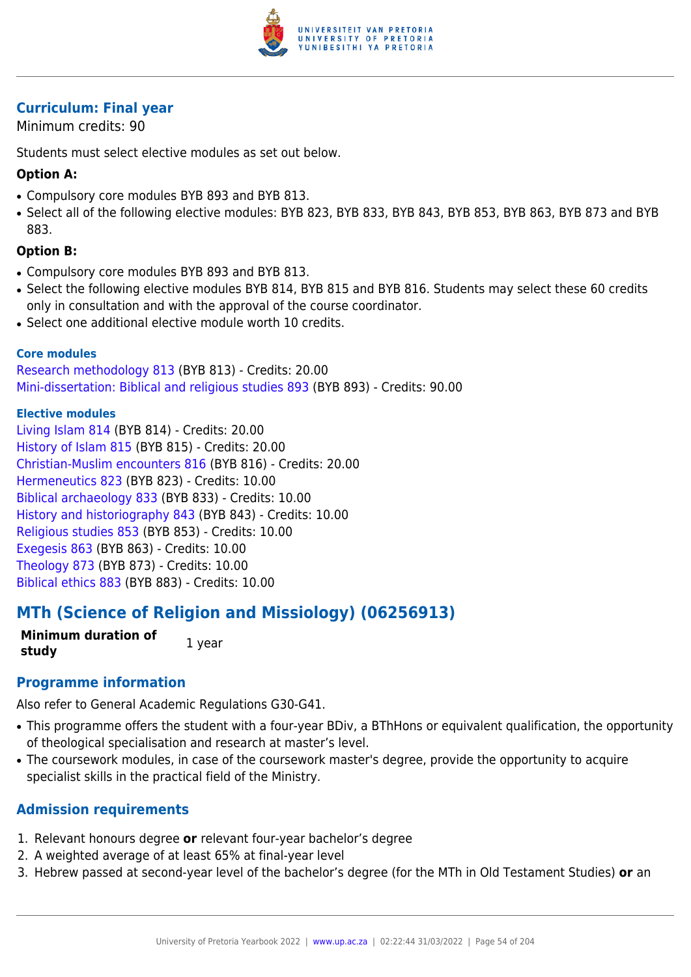

## **Curriculum: Final year**

Minimum credits: 90

Students must select elective modules as set out below.

## **Option A:**

- Compulsory core modules BYB 893 and BYB 813.
- Select all of the following elective modules: BYB 823, BYB 833, BYB 843, BYB 853, BYB 863, BYB 873 and BYB 883.

## **Option B:**

- Compulsory core modules BYB 893 and BYB 813.
- Select the following elective modules BYB 814, BYB 815 and BYB 816. Students may select these 60 credits only in consultation and with the approval of the course coordinator.
- Select one additional elective module worth 10 credits.

#### **Core modules**

[Research methodology 813](https://www.up.ac.za/yearbooks/2022/modules/view/BYB 813) (BYB 813) - Credits: 20.00 [Mini-dissertation: Biblical and religious studies 893](https://www.up.ac.za/yearbooks/2022/modules/view/BYB 893) (BYB 893) - Credits: 90.00

#### **Elective modules**

[Living Islam 814](https://www.up.ac.za/yearbooks/2022/modules/view/BYB 814) (BYB 814) - Credits: 20.00 [History of Islam 815](https://www.up.ac.za/yearbooks/2022/modules/view/BYB 815) (BYB 815) - Credits: 20.00 [Christian-Muslim encounters 816](https://www.up.ac.za/yearbooks/2022/modules/view/BYB 816) (BYB 816) - Credits: 20.00 [Hermeneutics 823](https://www.up.ac.za/yearbooks/2022/modules/view/BYB 823) (BYB 823) - Credits: 10.00 [Biblical archaeology 833](https://www.up.ac.za/yearbooks/2022/modules/view/BYB 833) (BYB 833) - Credits: 10.00 [History and historiography 843](https://www.up.ac.za/yearbooks/2022/modules/view/BYB 843) (BYB 843) - Credits: 10.00 [Religious studies 853](https://www.up.ac.za/yearbooks/2022/modules/view/BYB 853) (BYB 853) - Credits: 10.00 [Exegesis 863](https://www.up.ac.za/yearbooks/2022/modules/view/BYB 863) (BYB 863) - Credits: 10.00 [Theology 873](https://www.up.ac.za/yearbooks/2022/modules/view/BYB 873) (BYB 873) - Credits: 10.00 [Biblical ethics 883](https://www.up.ac.za/yearbooks/2022/modules/view/BYB 883) (BYB 883) - Credits: 10.00

## **MTh (Science of Religion and Missiology) (06256913)**

**Minimum duration of study** 1 year

## **Programme information**

Also refer to General Academic Regulations G30-G41.

- This programme offers the student with a four-year BDiv, a BThHons or equivalent qualification, the opportunity of theological specialisation and research at master's level.
- The coursework modules, in case of the coursework master's degree, provide the opportunity to acquire specialist skills in the practical field of the Ministry.

## **Admission requirements**

- 1. Relevant honours degree **or** relevant four-year bachelor's degree
- 2. A weighted average of at least 65% at final-year level
- 3. Hebrew passed at second-year level of the bachelor's degree (for the MTh in Old Testament Studies) **or** an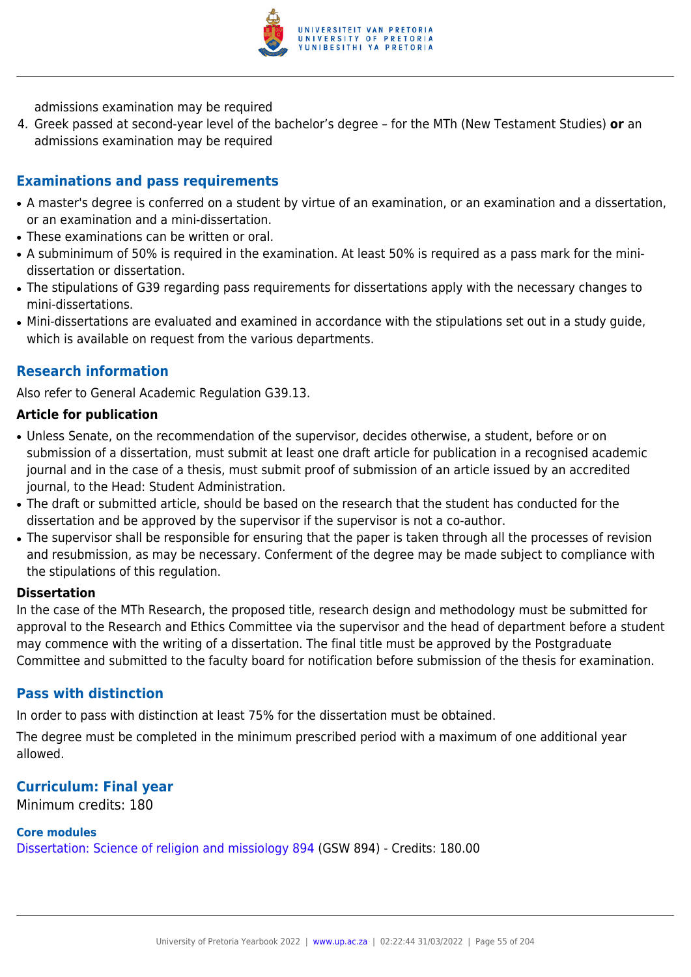

admissions examination may be required

4. Greek passed at second-year level of the bachelor's degree – for the MTh (New Testament Studies) **or** an admissions examination may be required

## **Examinations and pass requirements**

- A master's degree is conferred on a student by virtue of an examination, or an examination and a dissertation, or an examination and a mini-dissertation.
- These examinations can be written or oral.
- A subminimum of 50% is required in the examination. At least 50% is required as a pass mark for the minidissertation or dissertation.
- The stipulations of G39 regarding pass requirements for dissertations apply with the necessary changes to mini-dissertations.
- Mini-dissertations are evaluated and examined in accordance with the stipulations set out in a study guide, which is available on request from the various departments.

## **Research information**

Also refer to General Academic Regulation G39.13.

### **Article for publication**

- Unless Senate, on the recommendation of the supervisor, decides otherwise, a student, before or on submission of a dissertation, must submit at least one draft article for publication in a recognised academic journal and in the case of a thesis, must submit proof of submission of an article issued by an accredited journal, to the Head: Student Administration.
- The draft or submitted article, should be based on the research that the student has conducted for the dissertation and be approved by the supervisor if the supervisor is not a co-author.
- The supervisor shall be responsible for ensuring that the paper is taken through all the processes of revision and resubmission, as may be necessary. Conferment of the degree may be made subject to compliance with the stipulations of this regulation.

#### **Dissertation**

In the case of the MTh Research, the proposed title, research design and methodology must be submitted for approval to the Research and Ethics Committee via the supervisor and the head of department before a student may commence with the writing of a dissertation. The final title must be approved by the Postgraduate Committee and submitted to the faculty board for notification before submission of the thesis for examination.

### **Pass with distinction**

In order to pass with distinction at least 75% for the dissertation must be obtained.

The degree must be completed in the minimum prescribed period with a maximum of one additional year allowed.

## **Curriculum: Final year**

Minimum credits: 180

## **Core modules**

[Dissertation: Science of religion and missiology 894](https://www.up.ac.za/yearbooks/2022/modules/view/GSW 894) (GSW 894) - Credits: 180.00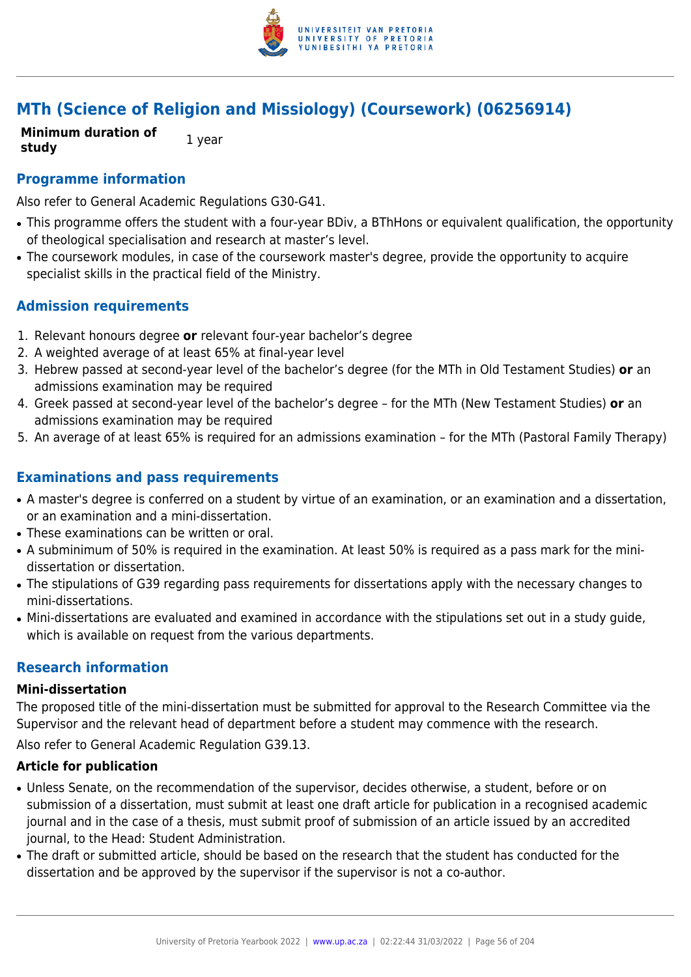

# **MTh (Science of Religion and Missiology) (Coursework) (06256914)**

**Minimum duration of study** 1 year

## **Programme information**

Also refer to General Academic Regulations G30-G41.

- This programme offers the student with a four-year BDiv, a BThHons or equivalent qualification, the opportunity of theological specialisation and research at master's level.
- The coursework modules, in case of the coursework master's degree, provide the opportunity to acquire specialist skills in the practical field of the Ministry.

## **Admission requirements**

- 1. Relevant honours degree **or** relevant four-year bachelor's degree
- 2. A weighted average of at least 65% at final-year level
- 3. Hebrew passed at second-year level of the bachelor's degree (for the MTh in Old Testament Studies) **or** an admissions examination may be required
- 4. Greek passed at second-year level of the bachelor's degree for the MTh (New Testament Studies) **or** an admissions examination may be required
- 5. An average of at least 65% is required for an admissions examination for the MTh (Pastoral Family Therapy)

## **Examinations and pass requirements**

- A master's degree is conferred on a student by virtue of an examination, or an examination and a dissertation, or an examination and a mini-dissertation.
- These examinations can be written or oral.
- A subminimum of 50% is required in the examination. At least 50% is required as a pass mark for the minidissertation or dissertation.
- The stipulations of G39 regarding pass requirements for dissertations apply with the necessary changes to mini-dissertations.
- Mini-dissertations are evaluated and examined in accordance with the stipulations set out in a study guide, which is available on request from the various departments.

### **Research information**

#### **Mini-dissertation**

The proposed title of the mini-dissertation must be submitted for approval to the Research Committee via the Supervisor and the relevant head of department before a student may commence with the research.

Also refer to General Academic Regulation G39.13.

#### **Article for publication**

- Unless Senate, on the recommendation of the supervisor, decides otherwise, a student, before or on submission of a dissertation, must submit at least one draft article for publication in a recognised academic journal and in the case of a thesis, must submit proof of submission of an article issued by an accredited journal, to the Head: Student Administration.
- The draft or submitted article, should be based on the research that the student has conducted for the dissertation and be approved by the supervisor if the supervisor is not a co-author.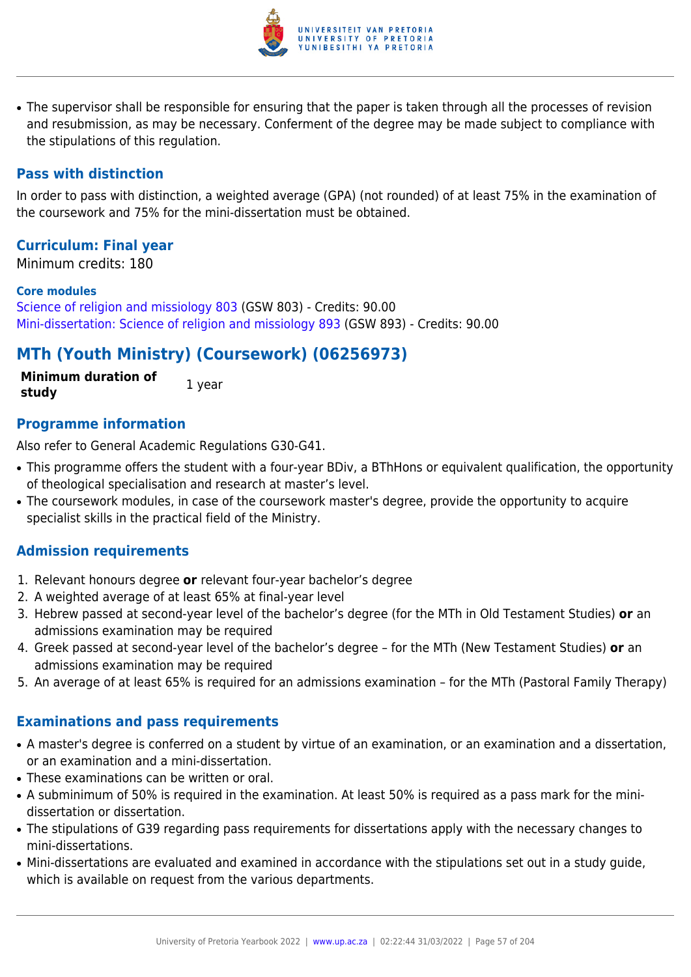

• The supervisor shall be responsible for ensuring that the paper is taken through all the processes of revision and resubmission, as may be necessary. Conferment of the degree may be made subject to compliance with the stipulations of this regulation.

## **Pass with distinction**

In order to pass with distinction, a weighted average (GPA) (not rounded) of at least 75% in the examination of the coursework and 75% for the mini-dissertation must be obtained.

## **Curriculum: Final year**

Minimum credits: 180

#### **Core modules**

[Science of religion and missiology 803](https://www.up.ac.za/yearbooks/2022/modules/view/GSW 803) (GSW 803) - Credits: 90.00 [Mini-dissertation: Science of religion and missiology 893](https://www.up.ac.za/yearbooks/2022/modules/view/GSW 893) (GSW 893) - Credits: 90.00

# **MTh (Youth Ministry) (Coursework) (06256973)**

**Minimum duration of study** 1 year

## **Programme information**

Also refer to General Academic Regulations G30-G41.

- This programme offers the student with a four-year BDiv, a BThHons or equivalent qualification, the opportunity of theological specialisation and research at master's level.
- The coursework modules, in case of the coursework master's degree, provide the opportunity to acquire specialist skills in the practical field of the Ministry.

## **Admission requirements**

- 1. Relevant honours degree **or** relevant four-year bachelor's degree
- 2. A weighted average of at least 65% at final-year level
- 3. Hebrew passed at second-year level of the bachelor's degree (for the MTh in Old Testament Studies) **or** an admissions examination may be required
- 4. Greek passed at second-year level of the bachelor's degree for the MTh (New Testament Studies) **or** an admissions examination may be required
- 5. An average of at least 65% is required for an admissions examination for the MTh (Pastoral Family Therapy)

### **Examinations and pass requirements**

- A master's degree is conferred on a student by virtue of an examination, or an examination and a dissertation, or an examination and a mini-dissertation.
- These examinations can be written or oral.
- A subminimum of 50% is required in the examination. At least 50% is required as a pass mark for the minidissertation or dissertation.
- The stipulations of G39 regarding pass requirements for dissertations apply with the necessary changes to mini-dissertations.
- Mini-dissertations are evaluated and examined in accordance with the stipulations set out in a study guide, which is available on request from the various departments.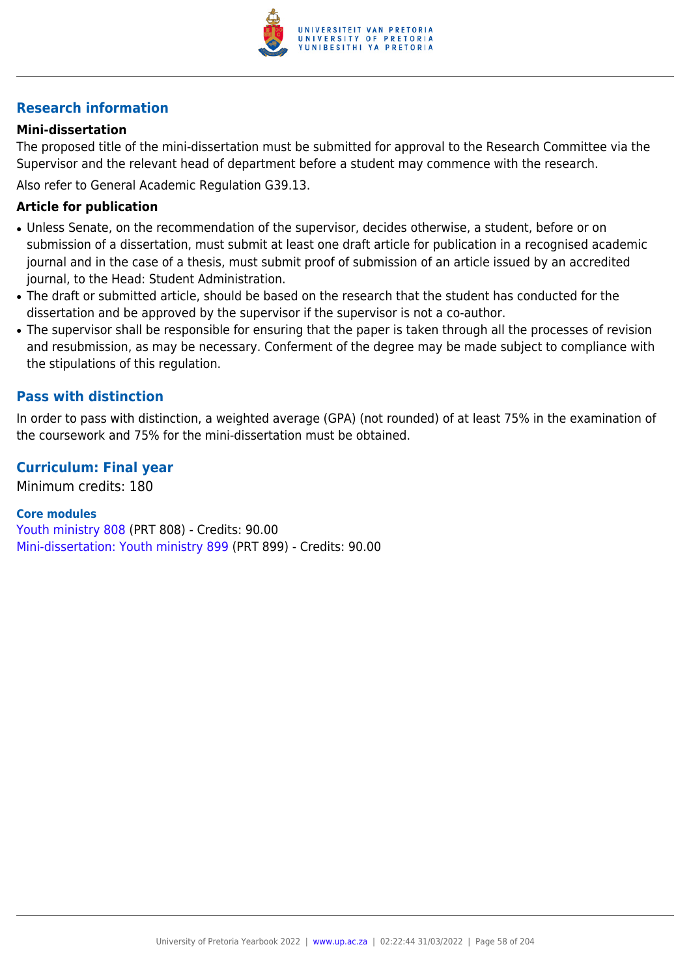

## **Research information**

### **Mini-dissertation**

The proposed title of the mini-dissertation must be submitted for approval to the Research Committee via the Supervisor and the relevant head of department before a student may commence with the research. Also refer to General Academic Regulation G39.13.

#### **Article for publication**

- Unless Senate, on the recommendation of the supervisor, decides otherwise, a student, before or on submission of a dissertation, must submit at least one draft article for publication in a recognised academic journal and in the case of a thesis, must submit proof of submission of an article issued by an accredited journal, to the Head: Student Administration.
- The draft or submitted article, should be based on the research that the student has conducted for the dissertation and be approved by the supervisor if the supervisor is not a co-author.
- The supervisor shall be responsible for ensuring that the paper is taken through all the processes of revision and resubmission, as may be necessary. Conferment of the degree may be made subject to compliance with the stipulations of this regulation.

### **Pass with distinction**

In order to pass with distinction, a weighted average (GPA) (not rounded) of at least 75% in the examination of the coursework and 75% for the mini-dissertation must be obtained.

### **Curriculum: Final year**

Minimum credits: 180

#### **Core modules**

[Youth ministry 808](https://www.up.ac.za/yearbooks/2022/modules/view/PRT 808) (PRT 808) - Credits: 90.00 [Mini-dissertation: Youth ministry 899](https://www.up.ac.za/yearbooks/2022/modules/view/PRT 899) (PRT 899) - Credits: 90.00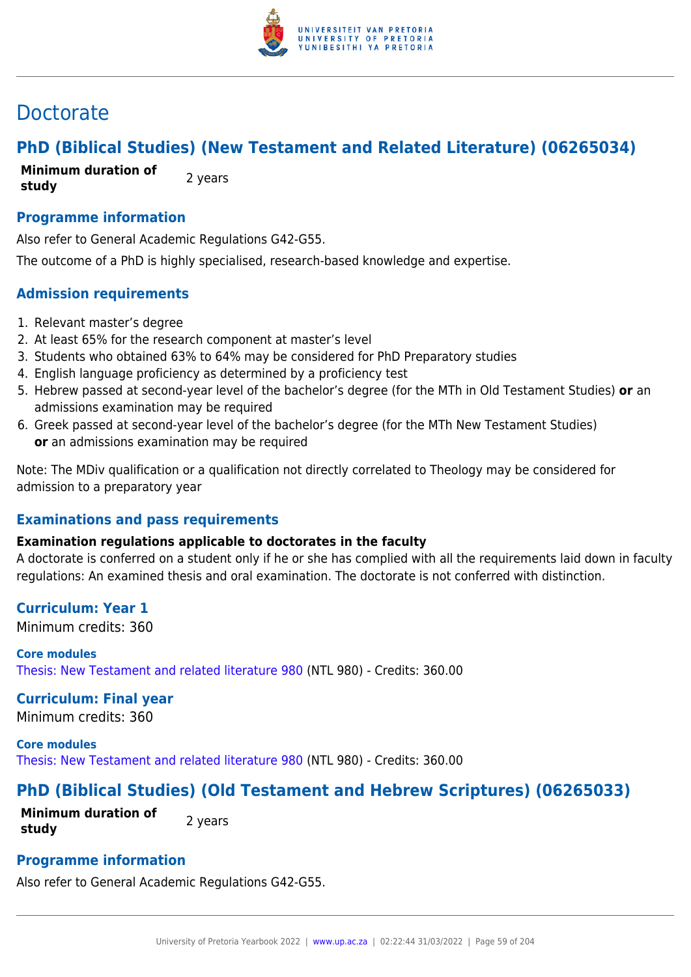

# Doctorate

# **PhD (Biblical Studies) (New Testament and Related Literature) (06265034)**

**Minimum duration of study** 2 years

## **Programme information**

Also refer to General Academic Regulations G42-G55.

The outcome of a PhD is highly specialised, research-based knowledge and expertise.

## **Admission requirements**

- 1. Relevant master's degree
- 2. At least 65% for the research component at master's level
- 3. Students who obtained 63% to 64% may be considered for PhD Preparatory studies
- 4. English language proficiency as determined by a proficiency test
- 5. Hebrew passed at second-year level of the bachelor's degree (for the MTh in Old Testament Studies) **or** an admissions examination may be required
- 6. Greek passed at second-year level of the bachelor's degree (for the MTh New Testament Studies) **or** an admissions examination may be required

Note: The MDiv qualification or a qualification not directly correlated to Theology may be considered for admission to a preparatory year

## **Examinations and pass requirements**

## **Examination regulations applicable to doctorates in the faculty**

A doctorate is conferred on a student only if he or she has complied with all the requirements laid down in faculty regulations: An examined thesis and oral examination. The doctorate is not conferred with distinction.

## **Curriculum: Year 1**

Minimum credits: 360

**Core modules** [Thesis: New Testament and related literature 980](https://www.up.ac.za/yearbooks/2022/modules/view/NTL 980) (NTL 980) - Credits: 360.00

## **Curriculum: Final year**

Minimum credits: 360

**Core modules** [Thesis: New Testament and related literature 980](https://www.up.ac.za/yearbooks/2022/modules/view/NTL 980) (NTL 980) - Credits: 360.00

# **PhD (Biblical Studies) (Old Testament and Hebrew Scriptures) (06265033)**

**Minimum duration of study 2** years

# **Programme information**

Also refer to General Academic Regulations G42-G55.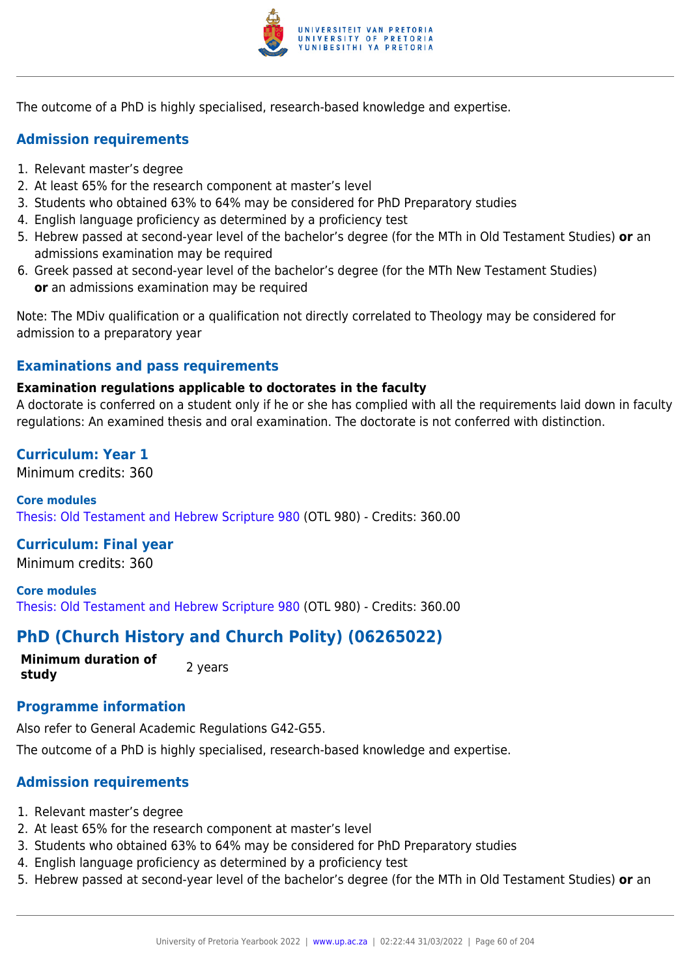

The outcome of a PhD is highly specialised, research-based knowledge and expertise.

## **Admission requirements**

- 1. Relevant master's degree
- 2. At least 65% for the research component at master's level
- 3. Students who obtained 63% to 64% may be considered for PhD Preparatory studies
- 4. English language proficiency as determined by a proficiency test
- 5. Hebrew passed at second-year level of the bachelor's degree (for the MTh in Old Testament Studies) **or** an admissions examination may be required
- 6. Greek passed at second-year level of the bachelor's degree (for the MTh New Testament Studies) **or** an admissions examination may be required

Note: The MDiv qualification or a qualification not directly correlated to Theology may be considered for admission to a preparatory year

# **Examinations and pass requirements**

## **Examination regulations applicable to doctorates in the faculty**

A doctorate is conferred on a student only if he or she has complied with all the requirements laid down in faculty regulations: An examined thesis and oral examination. The doctorate is not conferred with distinction.

## **Curriculum: Year 1**

Minimum credits: 360

**Core modules** [Thesis: Old Testament and Hebrew Scripture 980](https://www.up.ac.za/yearbooks/2022/modules/view/OTL 980) (OTL 980) - Credits: 360.00

## **Curriculum: Final year**

Minimum credits: 360

**Core modules** [Thesis: Old Testament and Hebrew Scripture 980](https://www.up.ac.za/yearbooks/2022/modules/view/OTL 980) (OTL 980) - Credits: 360.00

# **PhD (Church History and Church Polity) (06265022)**

**Minimum duration of study** 2 years

## **Programme information**

Also refer to General Academic Regulations G42-G55. The outcome of a PhD is highly specialised, research-based knowledge and expertise.

## **Admission requirements**

- 1. Relevant master's degree
- 2. At least 65% for the research component at master's level
- 3. Students who obtained 63% to 64% may be considered for PhD Preparatory studies
- 4. English language proficiency as determined by a proficiency test
- 5. Hebrew passed at second-year level of the bachelor's degree (for the MTh in Old Testament Studies) **or** an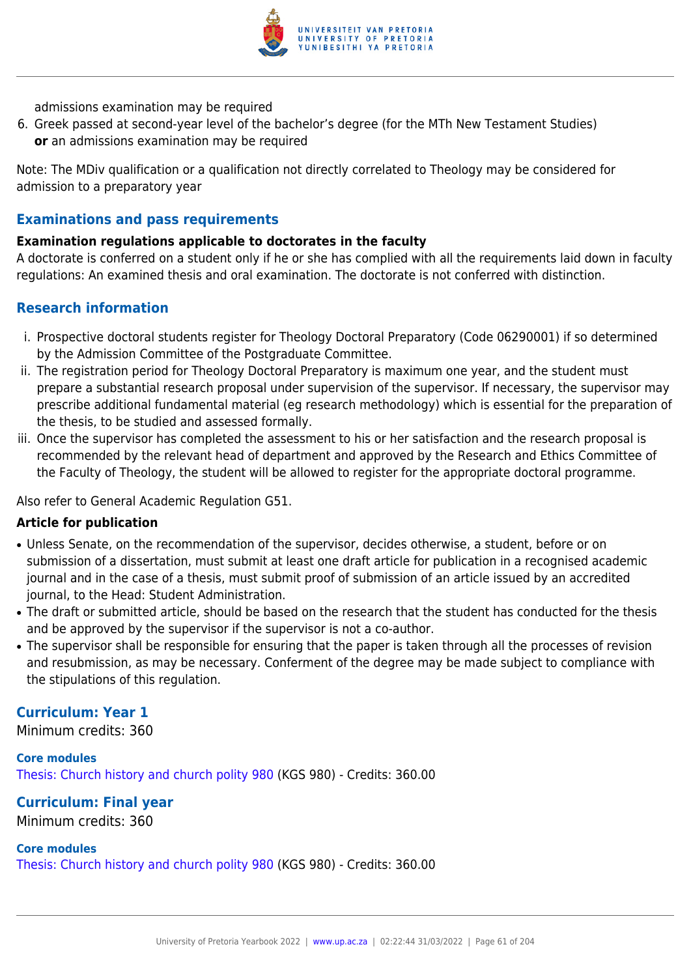

admissions examination may be required

6. Greek passed at second-year level of the bachelor's degree (for the MTh New Testament Studies) **or** an admissions examination may be required

Note: The MDiv qualification or a qualification not directly correlated to Theology may be considered for admission to a preparatory year

## **Examinations and pass requirements**

## **Examination regulations applicable to doctorates in the faculty**

A doctorate is conferred on a student only if he or she has complied with all the requirements laid down in faculty regulations: An examined thesis and oral examination. The doctorate is not conferred with distinction.

## **Research information**

- i. Prospective doctoral students register for Theology Doctoral Preparatory (Code 06290001) if so determined by the Admission Committee of the Postgraduate Committee.
- ii. The registration period for Theology Doctoral Preparatory is maximum one year, and the student must prepare a substantial research proposal under supervision of the supervisor. If necessary, the supervisor may prescribe additional fundamental material (eg research methodology) which is essential for the preparation of the thesis, to be studied and assessed formally.
- iii. Once the supervisor has completed the assessment to his or her satisfaction and the research proposal is recommended by the relevant head of department and approved by the Research and Ethics Committee of the Faculty of Theology, the student will be allowed to register for the appropriate doctoral programme.

Also refer to General Academic Regulation G51.

### **Article for publication**

- Unless Senate, on the recommendation of the supervisor, decides otherwise, a student, before or on submission of a dissertation, must submit at least one draft article for publication in a recognised academic journal and in the case of a thesis, must submit proof of submission of an article issued by an accredited journal, to the Head: Student Administration.
- The draft or submitted article, should be based on the research that the student has conducted for the thesis and be approved by the supervisor if the supervisor is not a co-author.
- The supervisor shall be responsible for ensuring that the paper is taken through all the processes of revision and resubmission, as may be necessary. Conferment of the degree may be made subject to compliance with the stipulations of this regulation.

## **Curriculum: Year 1**

Minimum credits: 360

**Core modules** [Thesis: Church history and church polity 980](https://www.up.ac.za/yearbooks/2022/modules/view/KGS 980) (KGS 980) - Credits: 360.00

## **Curriculum: Final year**

Minimum credits: 360

### **Core modules**

[Thesis: Church history and church polity 980](https://www.up.ac.za/yearbooks/2022/modules/view/KGS 980) (KGS 980) - Credits: 360.00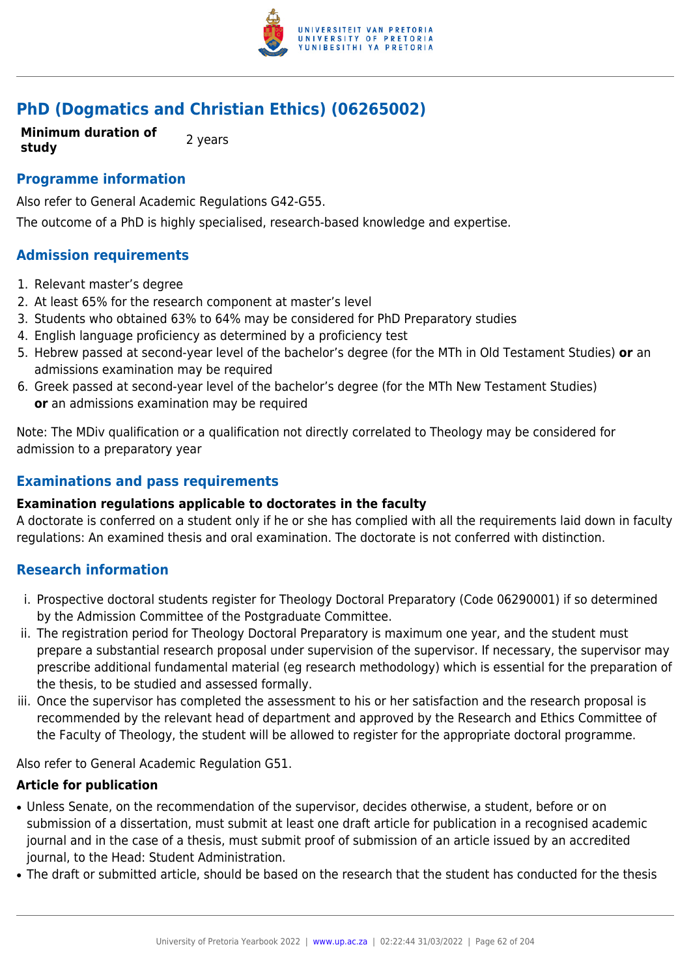

# **PhD (Dogmatics and Christian Ethics) (06265002)**

**Minimum duration of study** 2 years

## **Programme information**

Also refer to General Academic Regulations G42-G55.

The outcome of a PhD is highly specialised, research-based knowledge and expertise.

## **Admission requirements**

- 1. Relevant master's degree
- 2. At least 65% for the research component at master's level
- 3. Students who obtained 63% to 64% may be considered for PhD Preparatory studies
- 4. English language proficiency as determined by a proficiency test
- 5. Hebrew passed at second-year level of the bachelor's degree (for the MTh in Old Testament Studies) **or** an admissions examination may be required
- 6. Greek passed at second-year level of the bachelor's degree (for the MTh New Testament Studies) **or** an admissions examination may be required

Note: The MDiv qualification or a qualification not directly correlated to Theology may be considered for admission to a preparatory year

## **Examinations and pass requirements**

### **Examination regulations applicable to doctorates in the faculty**

A doctorate is conferred on a student only if he or she has complied with all the requirements laid down in faculty regulations: An examined thesis and oral examination. The doctorate is not conferred with distinction.

## **Research information**

- i. Prospective doctoral students register for Theology Doctoral Preparatory (Code 06290001) if so determined by the Admission Committee of the Postgraduate Committee.
- ii. The registration period for Theology Doctoral Preparatory is maximum one year, and the student must prepare a substantial research proposal under supervision of the supervisor. If necessary, the supervisor may prescribe additional fundamental material (eg research methodology) which is essential for the preparation of the thesis, to be studied and assessed formally.
- iii. Once the supervisor has completed the assessment to his or her satisfaction and the research proposal is recommended by the relevant head of department and approved by the Research and Ethics Committee of the Faculty of Theology, the student will be allowed to register for the appropriate doctoral programme.

Also refer to General Academic Regulation G51.

### **Article for publication**

- Unless Senate, on the recommendation of the supervisor, decides otherwise, a student, before or on submission of a dissertation, must submit at least one draft article for publication in a recognised academic journal and in the case of a thesis, must submit proof of submission of an article issued by an accredited journal, to the Head: Student Administration.
- The draft or submitted article, should be based on the research that the student has conducted for the thesis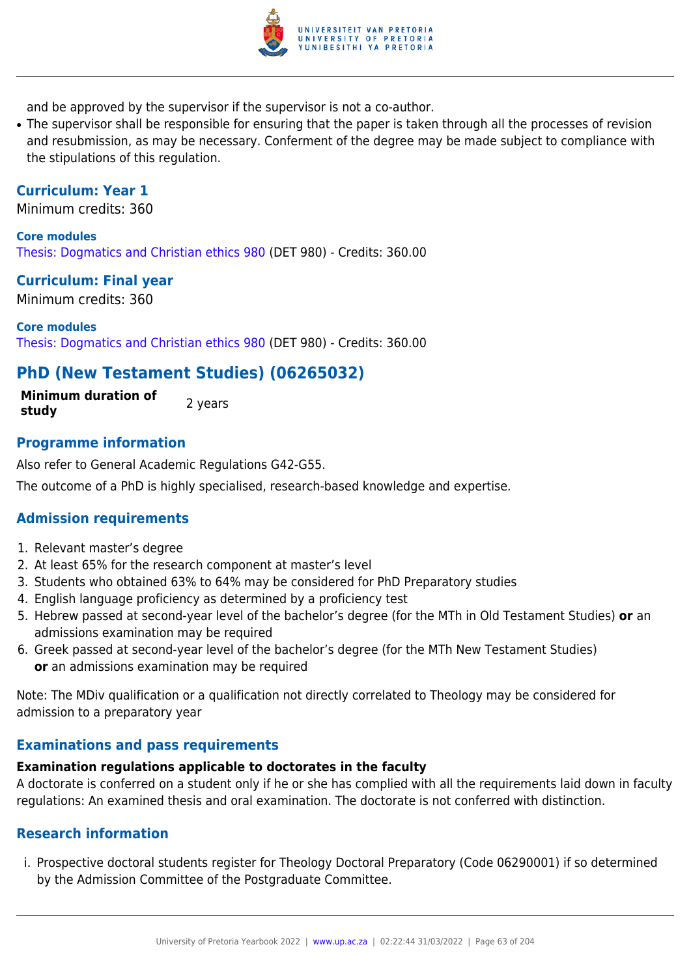

and be approved by the supervisor if the supervisor is not a co-author.

• The supervisor shall be responsible for ensuring that the paper is taken through all the processes of revision and resubmission, as may be necessary. Conferment of the degree may be made subject to compliance with the stipulations of this regulation.

## **Curriculum: Year 1**

Minimum credits: 360

**Core modules** [Thesis: Dogmatics and Christian ethics 980](https://www.up.ac.za/yearbooks/2022/modules/view/DET 980) (DET 980) - Credits: 360.00

### **Curriculum: Final year**

Minimum credits: 360

**Core modules** [Thesis: Dogmatics and Christian ethics 980](https://www.up.ac.za/yearbooks/2022/modules/view/DET 980) (DET 980) - Credits: 360.00

## **PhD (New Testament Studies) (06265032)**

**Minimum duration of study 2** years

## **Programme information**

Also refer to General Academic Regulations G42-G55.

The outcome of a PhD is highly specialised, research-based knowledge and expertise.

## **Admission requirements**

- 1. Relevant master's degree
- 2. At least 65% for the research component at master's level
- 3. Students who obtained 63% to 64% may be considered for PhD Preparatory studies
- 4. English language proficiency as determined by a proficiency test
- 5. Hebrew passed at second-year level of the bachelor's degree (for the MTh in Old Testament Studies) **or** an admissions examination may be required
- 6. Greek passed at second-year level of the bachelor's degree (for the MTh New Testament Studies) **or** an admissions examination may be required

Note: The MDiv qualification or a qualification not directly correlated to Theology may be considered for admission to a preparatory year

### **Examinations and pass requirements**

## **Examination regulations applicable to doctorates in the faculty**

A doctorate is conferred on a student only if he or she has complied with all the requirements laid down in faculty regulations: An examined thesis and oral examination. The doctorate is not conferred with distinction.

## **Research information**

i. Prospective doctoral students register for Theology Doctoral Preparatory (Code 06290001) if so determined by the Admission Committee of the Postgraduate Committee.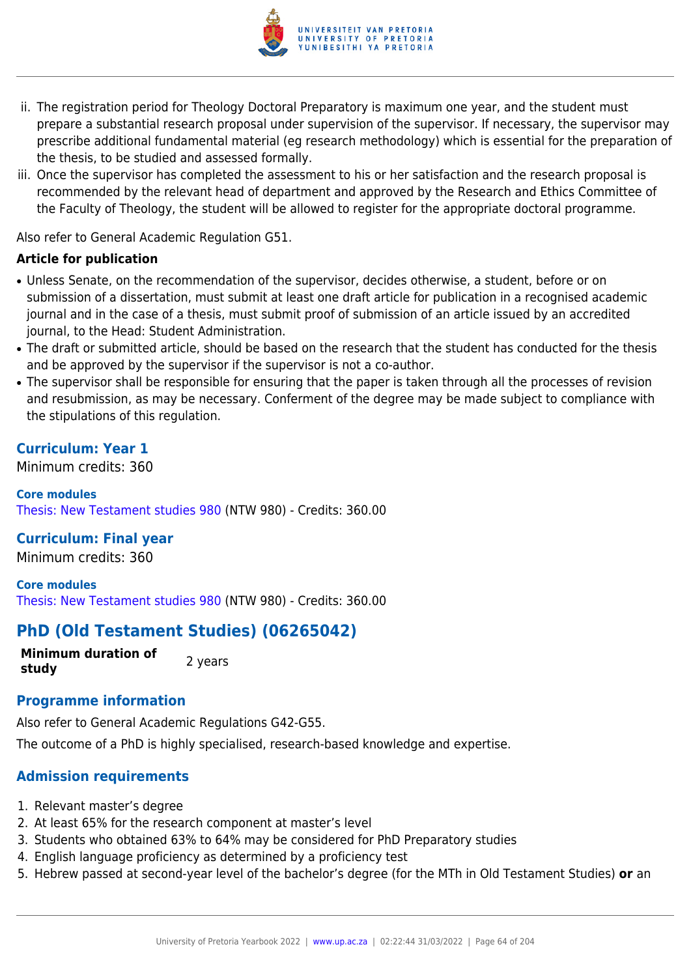

- ii. The registration period for Theology Doctoral Preparatory is maximum one year, and the student must prepare a substantial research proposal under supervision of the supervisor. If necessary, the supervisor may prescribe additional fundamental material (eg research methodology) which is essential for the preparation of the thesis, to be studied and assessed formally.
- iii. Once the supervisor has completed the assessment to his or her satisfaction and the research proposal is recommended by the relevant head of department and approved by the Research and Ethics Committee of the Faculty of Theology, the student will be allowed to register for the appropriate doctoral programme.

Also refer to General Academic Regulation G51.

### **Article for publication**

- Unless Senate, on the recommendation of the supervisor, decides otherwise, a student, before or on submission of a dissertation, must submit at least one draft article for publication in a recognised academic journal and in the case of a thesis, must submit proof of submission of an article issued by an accredited journal, to the Head: Student Administration.
- The draft or submitted article, should be based on the research that the student has conducted for the thesis and be approved by the supervisor if the supervisor is not a co-author.
- The supervisor shall be responsible for ensuring that the paper is taken through all the processes of revision and resubmission, as may be necessary. Conferment of the degree may be made subject to compliance with the stipulations of this regulation.

## **Curriculum: Year 1**

Minimum credits: 360

**Core modules** [Thesis: New Testament studies 980](https://www.up.ac.za/yearbooks/2022/modules/view/NTW 980) (NTW 980) - Credits: 360.00

## **Curriculum: Final year**

Minimum credits: 360

**Core modules** [Thesis: New Testament studies 980](https://www.up.ac.za/yearbooks/2022/modules/view/NTW 980) (NTW 980) - Credits: 360.00

# **PhD (Old Testament Studies) (06265042)**

**Minimum duration of study** 2 years

### **Programme information**

Also refer to General Academic Regulations G42-G55.

The outcome of a PhD is highly specialised, research-based knowledge and expertise.

## **Admission requirements**

- 1. Relevant master's degree
- 2. At least 65% for the research component at master's level
- 3. Students who obtained 63% to 64% may be considered for PhD Preparatory studies
- 4. English language proficiency as determined by a proficiency test
- 5. Hebrew passed at second-year level of the bachelor's degree (for the MTh in Old Testament Studies) **or** an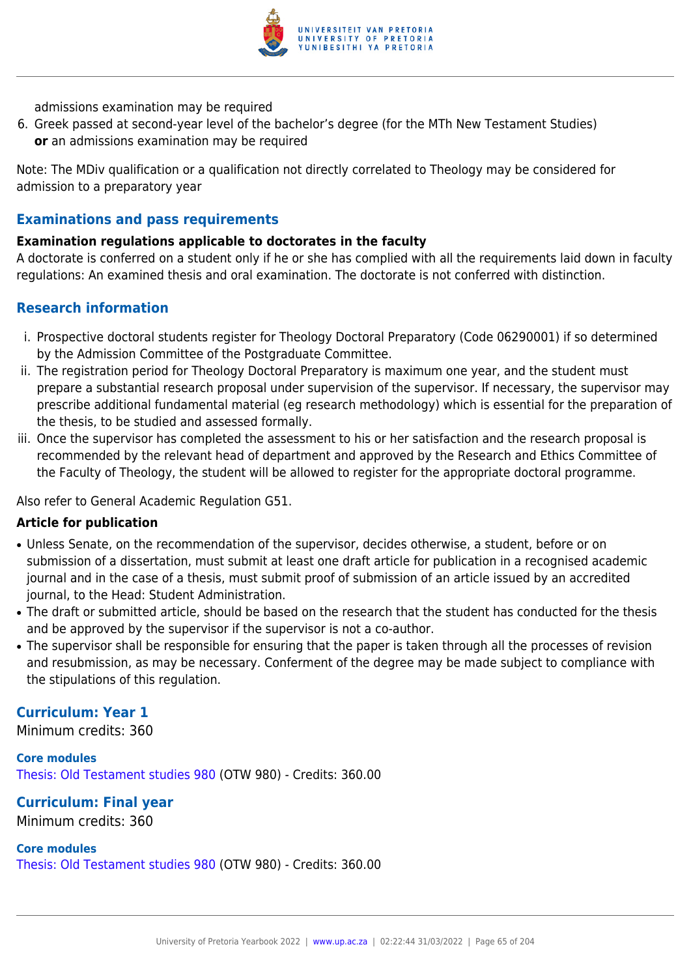

admissions examination may be required

6. Greek passed at second-year level of the bachelor's degree (for the MTh New Testament Studies) **or** an admissions examination may be required

Note: The MDiv qualification or a qualification not directly correlated to Theology may be considered for admission to a preparatory year

## **Examinations and pass requirements**

## **Examination regulations applicable to doctorates in the faculty**

A doctorate is conferred on a student only if he or she has complied with all the requirements laid down in faculty regulations: An examined thesis and oral examination. The doctorate is not conferred with distinction.

## **Research information**

- i. Prospective doctoral students register for Theology Doctoral Preparatory (Code 06290001) if so determined by the Admission Committee of the Postgraduate Committee.
- ii. The registration period for Theology Doctoral Preparatory is maximum one year, and the student must prepare a substantial research proposal under supervision of the supervisor. If necessary, the supervisor may prescribe additional fundamental material (eg research methodology) which is essential for the preparation of the thesis, to be studied and assessed formally.
- iii. Once the supervisor has completed the assessment to his or her satisfaction and the research proposal is recommended by the relevant head of department and approved by the Research and Ethics Committee of the Faculty of Theology, the student will be allowed to register for the appropriate doctoral programme.

Also refer to General Academic Regulation G51.

### **Article for publication**

- Unless Senate, on the recommendation of the supervisor, decides otherwise, a student, before or on submission of a dissertation, must submit at least one draft article for publication in a recognised academic journal and in the case of a thesis, must submit proof of submission of an article issued by an accredited journal, to the Head: Student Administration.
- The draft or submitted article, should be based on the research that the student has conducted for the thesis and be approved by the supervisor if the supervisor is not a co-author.
- The supervisor shall be responsible for ensuring that the paper is taken through all the processes of revision and resubmission, as may be necessary. Conferment of the degree may be made subject to compliance with the stipulations of this regulation.

## **Curriculum: Year 1**

Minimum credits: 360

**Core modules** [Thesis: Old Testament studies 980](https://www.up.ac.za/yearbooks/2022/modules/view/OTW 980) (OTW 980) - Credits: 360.00

## **Curriculum: Final year**

Minimum credits: 360

#### **Core modules**

[Thesis: Old Testament studies 980](https://www.up.ac.za/yearbooks/2022/modules/view/OTW 980) (OTW 980) - Credits: 360.00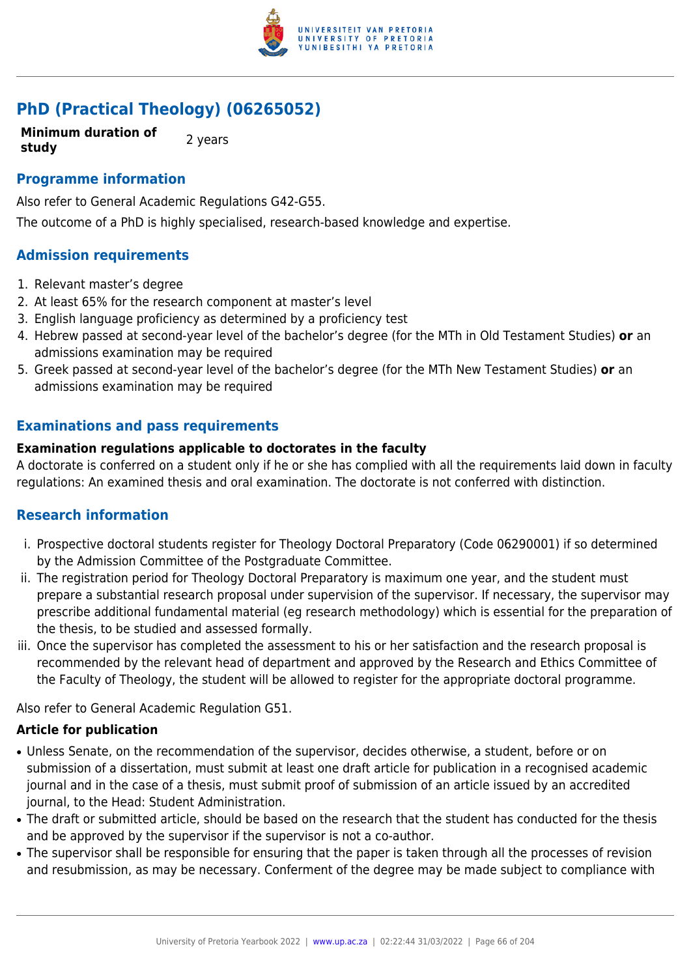

# **PhD (Practical Theology) (06265052)**

**Minimum duration of study** 2 years

### **Programme information**

Also refer to General Academic Regulations G42-G55.

The outcome of a PhD is highly specialised, research-based knowledge and expertise.

## **Admission requirements**

- 1. Relevant master's degree
- 2. At least 65% for the research component at master's level
- 3. English language proficiency as determined by a proficiency test
- 4. Hebrew passed at second-year level of the bachelor's degree (for the MTh in Old Testament Studies) **or** an admissions examination may be required
- 5. Greek passed at second-year level of the bachelor's degree (for the MTh New Testament Studies) **or** an admissions examination may be required

## **Examinations and pass requirements**

#### **Examination regulations applicable to doctorates in the faculty**

A doctorate is conferred on a student only if he or she has complied with all the requirements laid down in faculty regulations: An examined thesis and oral examination. The doctorate is not conferred with distinction.

### **Research information**

- i. Prospective doctoral students register for Theology Doctoral Preparatory (Code 06290001) if so determined by the Admission Committee of the Postgraduate Committee.
- ii. The registration period for Theology Doctoral Preparatory is maximum one year, and the student must prepare a substantial research proposal under supervision of the supervisor. If necessary, the supervisor may prescribe additional fundamental material (eg research methodology) which is essential for the preparation of the thesis, to be studied and assessed formally.
- iii. Once the supervisor has completed the assessment to his or her satisfaction and the research proposal is recommended by the relevant head of department and approved by the Research and Ethics Committee of the Faculty of Theology, the student will be allowed to register for the appropriate doctoral programme.

Also refer to General Academic Regulation G51.

### **Article for publication**

- Unless Senate, on the recommendation of the supervisor, decides otherwise, a student, before or on submission of a dissertation, must submit at least one draft article for publication in a recognised academic journal and in the case of a thesis, must submit proof of submission of an article issued by an accredited journal, to the Head: Student Administration.
- The draft or submitted article, should be based on the research that the student has conducted for the thesis and be approved by the supervisor if the supervisor is not a co-author.
- The supervisor shall be responsible for ensuring that the paper is taken through all the processes of revision and resubmission, as may be necessary. Conferment of the degree may be made subject to compliance with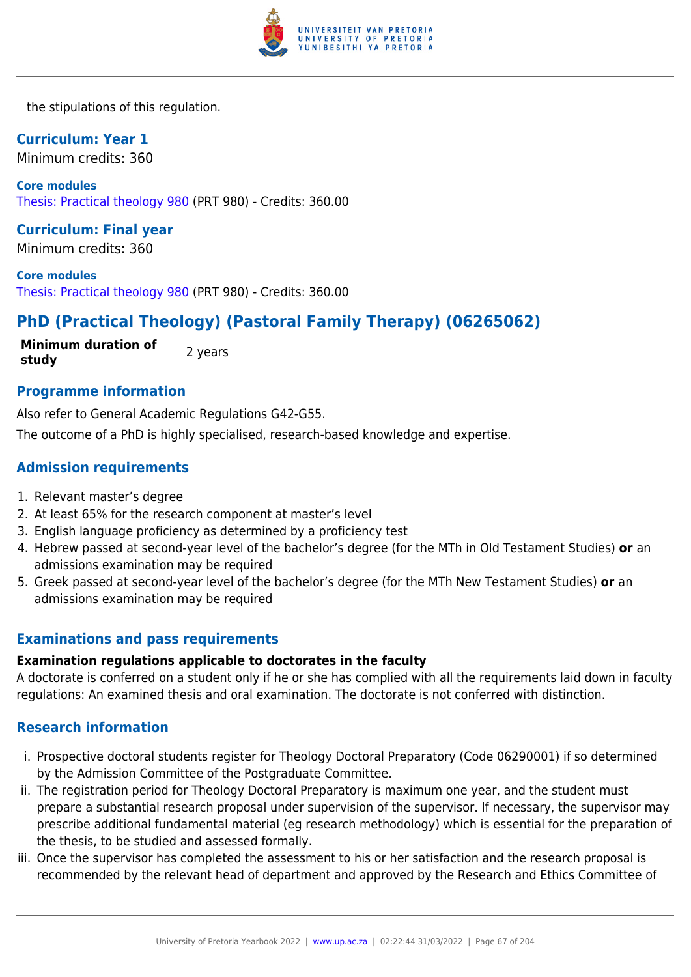

the stipulations of this regulation.

## **Curriculum: Year 1**

Minimum credits: 360

**Core modules** [Thesis: Practical theology 980](https://www.up.ac.za/yearbooks/2022/modules/view/PRT 980) (PRT 980) - Credits: 360.00

**Curriculum: Final year** Minimum credits: 360

**Core modules** [Thesis: Practical theology 980](https://www.up.ac.za/yearbooks/2022/modules/view/PRT 980) (PRT 980) - Credits: 360.00

# **PhD (Practical Theology) (Pastoral Family Therapy) (06265062)**

**Minimum duration of study** 2 years

## **Programme information**

Also refer to General Academic Regulations G42-G55.

The outcome of a PhD is highly specialised, research-based knowledge and expertise.

## **Admission requirements**

- 1. Relevant master's degree
- 2. At least 65% for the research component at master's level
- 3. English language proficiency as determined by a proficiency test
- 4. Hebrew passed at second-year level of the bachelor's degree (for the MTh in Old Testament Studies) **or** an admissions examination may be required
- 5. Greek passed at second-year level of the bachelor's degree (for the MTh New Testament Studies) **or** an admissions examination may be required

## **Examinations and pass requirements**

#### **Examination regulations applicable to doctorates in the faculty**

A doctorate is conferred on a student only if he or she has complied with all the requirements laid down in faculty regulations: An examined thesis and oral examination. The doctorate is not conferred with distinction.

## **Research information**

- i. Prospective doctoral students register for Theology Doctoral Preparatory (Code 06290001) if so determined by the Admission Committee of the Postgraduate Committee.
- ii. The registration period for Theology Doctoral Preparatory is maximum one year, and the student must prepare a substantial research proposal under supervision of the supervisor. If necessary, the supervisor may prescribe additional fundamental material (eg research methodology) which is essential for the preparation of the thesis, to be studied and assessed formally.
- iii. Once the supervisor has completed the assessment to his or her satisfaction and the research proposal is recommended by the relevant head of department and approved by the Research and Ethics Committee of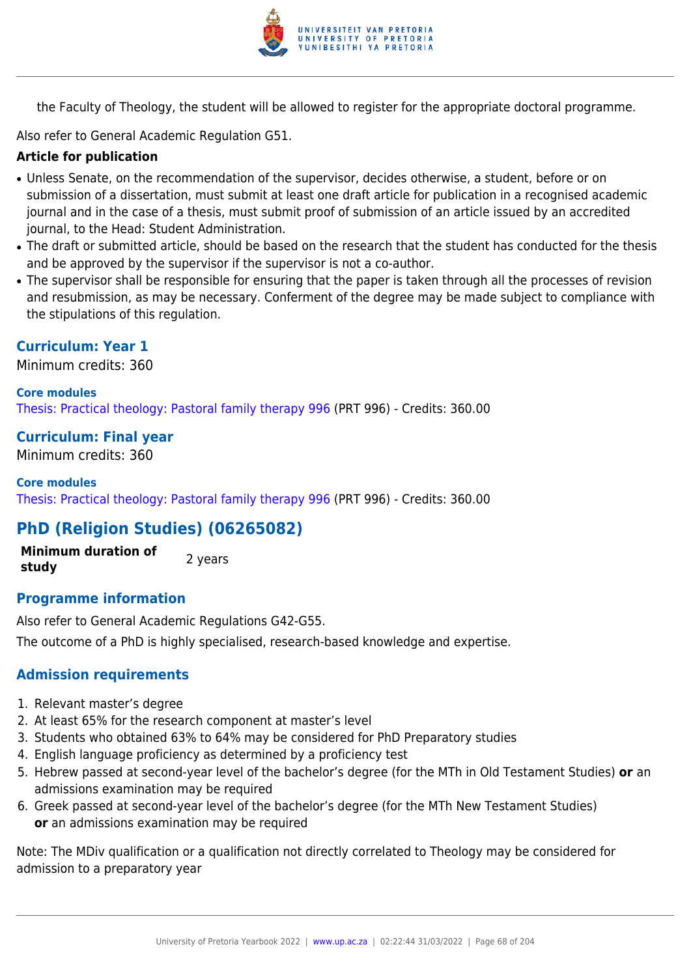

the Faculty of Theology, the student will be allowed to register for the appropriate doctoral programme.

Also refer to General Academic Regulation G51.

### **Article for publication**

- Unless Senate, on the recommendation of the supervisor, decides otherwise, a student, before or on submission of a dissertation, must submit at least one draft article for publication in a recognised academic journal and in the case of a thesis, must submit proof of submission of an article issued by an accredited journal, to the Head: Student Administration.
- The draft or submitted article, should be based on the research that the student has conducted for the thesis and be approved by the supervisor if the supervisor is not a co-author.
- The supervisor shall be responsible for ensuring that the paper is taken through all the processes of revision and resubmission, as may be necessary. Conferment of the degree may be made subject to compliance with the stipulations of this regulation.

#### **Curriculum: Year 1**

Minimum credits: 360

#### **Core modules**

[Thesis: Practical theology: Pastoral family therapy 996](https://www.up.ac.za/yearbooks/2022/modules/view/PRT 996) (PRT 996) - Credits: 360.00

#### **Curriculum: Final year**

Minimum credits: 360

#### **Core modules**

[Thesis: Practical theology: Pastoral family therapy 996](https://www.up.ac.za/yearbooks/2022/modules/view/PRT 996) (PRT 996) - Credits: 360.00

## **PhD (Religion Studies) (06265082)**

**Minimum duration of study** 2 years

### **Programme information**

Also refer to General Academic Regulations G42-G55. The outcome of a PhD is highly specialised, research-based knowledge and expertise.

### **Admission requirements**

- 1. Relevant master's degree
- 2. At least 65% for the research component at master's level
- 3. Students who obtained 63% to 64% may be considered for PhD Preparatory studies
- 4. English language proficiency as determined by a proficiency test
- 5. Hebrew passed at second-year level of the bachelor's degree (for the MTh in Old Testament Studies) **or** an admissions examination may be required
- 6. Greek passed at second-year level of the bachelor's degree (for the MTh New Testament Studies) **or** an admissions examination may be required

Note: The MDiv qualification or a qualification not directly correlated to Theology may be considered for admission to a preparatory year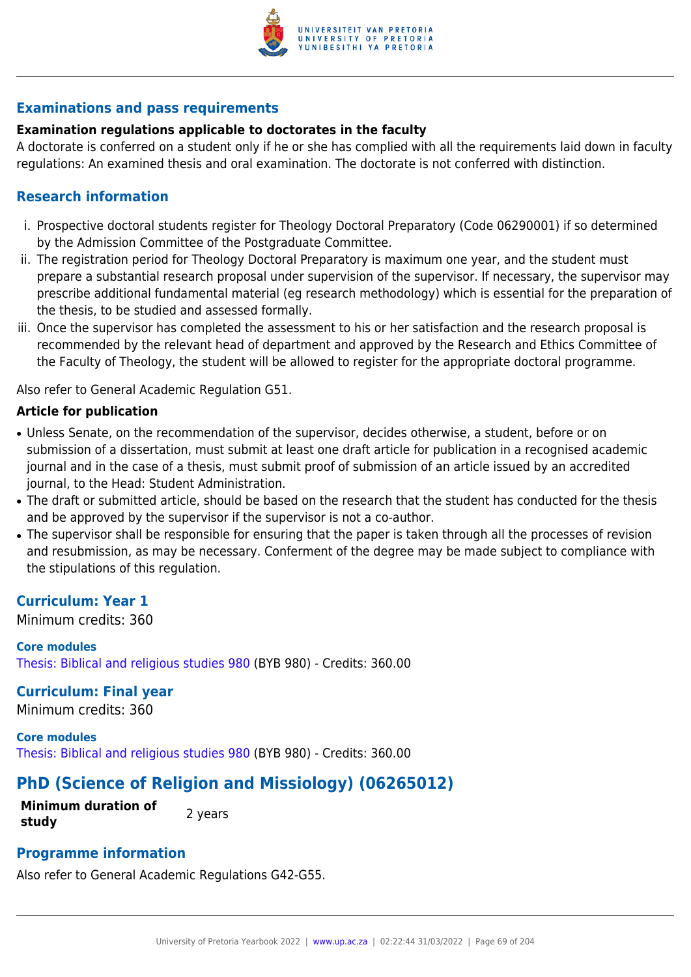

## **Examinations and pass requirements**

## **Examination regulations applicable to doctorates in the faculty**

A doctorate is conferred on a student only if he or she has complied with all the requirements laid down in faculty regulations: An examined thesis and oral examination. The doctorate is not conferred with distinction.

## **Research information**

- i. Prospective doctoral students register for Theology Doctoral Preparatory (Code 06290001) if so determined by the Admission Committee of the Postgraduate Committee.
- ii. The registration period for Theology Doctoral Preparatory is maximum one year, and the student must prepare a substantial research proposal under supervision of the supervisor. If necessary, the supervisor may prescribe additional fundamental material (eg research methodology) which is essential for the preparation of the thesis, to be studied and assessed formally.
- iii. Once the supervisor has completed the assessment to his or her satisfaction and the research proposal is recommended by the relevant head of department and approved by the Research and Ethics Committee of the Faculty of Theology, the student will be allowed to register for the appropriate doctoral programme.

Also refer to General Academic Regulation G51.

## **Article for publication**

- Unless Senate, on the recommendation of the supervisor, decides otherwise, a student, before or on submission of a dissertation, must submit at least one draft article for publication in a recognised academic journal and in the case of a thesis, must submit proof of submission of an article issued by an accredited journal, to the Head: Student Administration.
- The draft or submitted article, should be based on the research that the student has conducted for the thesis and be approved by the supervisor if the supervisor is not a co-author.
- The supervisor shall be responsible for ensuring that the paper is taken through all the processes of revision and resubmission, as may be necessary. Conferment of the degree may be made subject to compliance with the stipulations of this regulation.

## **Curriculum: Year 1**

Minimum credits: 360

**Core modules** [Thesis: Biblical and religious studies 980](https://www.up.ac.za/yearbooks/2022/modules/view/BYB 980) (BYB 980) - Credits: 360.00

## **Curriculum: Final year**

Minimum credits: 360

**Core modules** [Thesis: Biblical and religious studies 980](https://www.up.ac.za/yearbooks/2022/modules/view/BYB 980) (BYB 980) - Credits: 360.00

# **PhD (Science of Religion and Missiology) (06265012)**

**Minimum duration of study** 2 years

## **Programme information**

Also refer to General Academic Regulations G42-G55.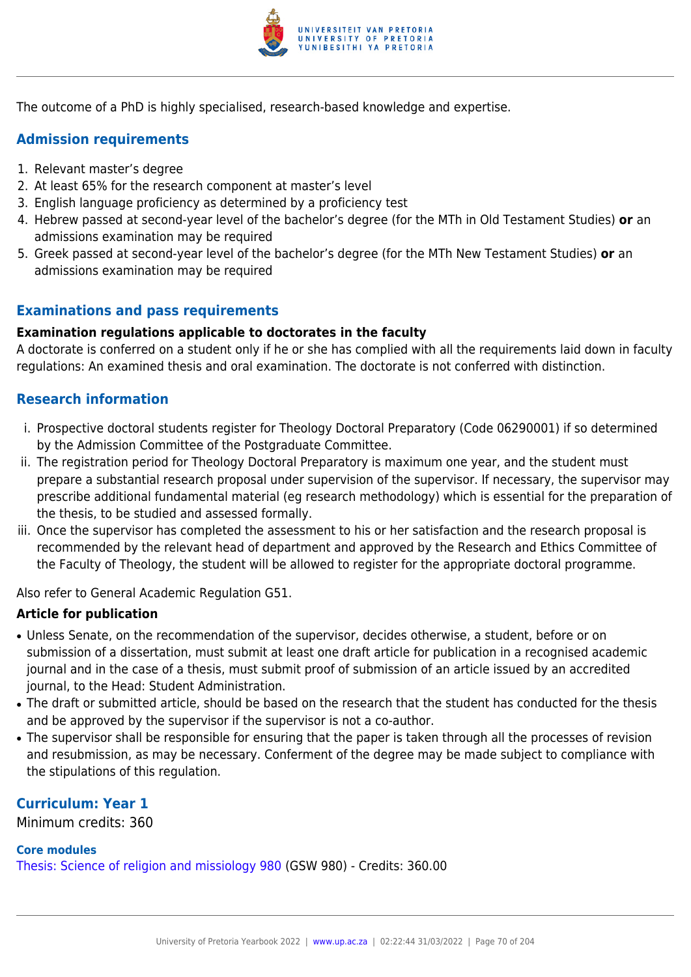

The outcome of a PhD is highly specialised, research-based knowledge and expertise.

# **Admission requirements**

- 1. Relevant master's degree
- 2. At least 65% for the research component at master's level
- 3. English language proficiency as determined by a proficiency test
- 4. Hebrew passed at second-year level of the bachelor's degree (for the MTh in Old Testament Studies) **or** an admissions examination may be required
- 5. Greek passed at second-year level of the bachelor's degree (for the MTh New Testament Studies) **or** an admissions examination may be required

# **Examinations and pass requirements**

## **Examination regulations applicable to doctorates in the faculty**

A doctorate is conferred on a student only if he or she has complied with all the requirements laid down in faculty regulations: An examined thesis and oral examination. The doctorate is not conferred with distinction.

# **Research information**

- i. Prospective doctoral students register for Theology Doctoral Preparatory (Code 06290001) if so determined by the Admission Committee of the Postgraduate Committee.
- ii. The registration period for Theology Doctoral Preparatory is maximum one year, and the student must prepare a substantial research proposal under supervision of the supervisor. If necessary, the supervisor may prescribe additional fundamental material (eg research methodology) which is essential for the preparation of the thesis, to be studied and assessed formally.
- iii. Once the supervisor has completed the assessment to his or her satisfaction and the research proposal is recommended by the relevant head of department and approved by the Research and Ethics Committee of the Faculty of Theology, the student will be allowed to register for the appropriate doctoral programme.

Also refer to General Academic Regulation G51.

## **Article for publication**

- Unless Senate, on the recommendation of the supervisor, decides otherwise, a student, before or on submission of a dissertation, must submit at least one draft article for publication in a recognised academic journal and in the case of a thesis, must submit proof of submission of an article issued by an accredited journal, to the Head: Student Administration.
- The draft or submitted article, should be based on the research that the student has conducted for the thesis and be approved by the supervisor if the supervisor is not a co-author.
- The supervisor shall be responsible for ensuring that the paper is taken through all the processes of revision and resubmission, as may be necessary. Conferment of the degree may be made subject to compliance with the stipulations of this regulation.

# **Curriculum: Year 1**

Minimum credits: 360

## **Core modules**

[Thesis: Science of religion and missiology 980](https://www.up.ac.za/yearbooks/2022/modules/view/GSW 980) (GSW 980) - Credits: 360.00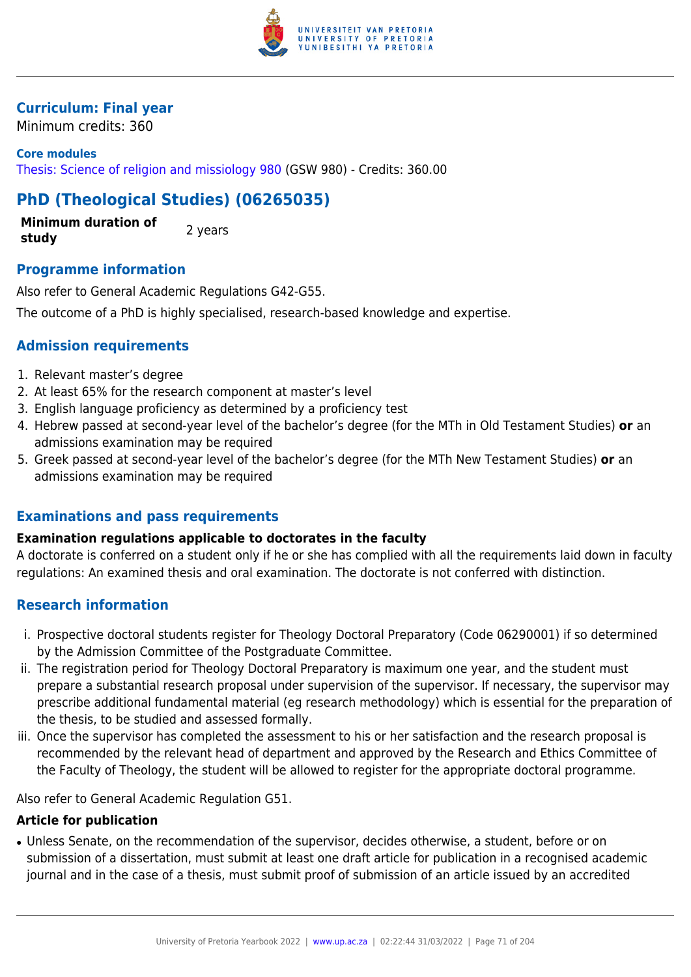

## **Curriculum: Final year**

Minimum credits: 360

**Core modules** [Thesis: Science of religion and missiology 980](https://www.up.ac.za/yearbooks/2022/modules/view/GSW 980) (GSW 980) - Credits: 360.00

# **PhD (Theological Studies) (06265035)**

**Minimum duration of study** 2 years

## **Programme information**

Also refer to General Academic Regulations G42-G55.

The outcome of a PhD is highly specialised, research-based knowledge and expertise.

## **Admission requirements**

- 1. Relevant master's degree
- 2. At least 65% for the research component at master's level
- 3. English language proficiency as determined by a proficiency test
- 4. Hebrew passed at second-year level of the bachelor's degree (for the MTh in Old Testament Studies) **or** an admissions examination may be required
- 5. Greek passed at second-year level of the bachelor's degree (for the MTh New Testament Studies) **or** an admissions examination may be required

## **Examinations and pass requirements**

### **Examination regulations applicable to doctorates in the faculty**

A doctorate is conferred on a student only if he or she has complied with all the requirements laid down in faculty regulations: An examined thesis and oral examination. The doctorate is not conferred with distinction.

## **Research information**

- i. Prospective doctoral students register for Theology Doctoral Preparatory (Code 06290001) if so determined by the Admission Committee of the Postgraduate Committee.
- ii. The registration period for Theology Doctoral Preparatory is maximum one year, and the student must prepare a substantial research proposal under supervision of the supervisor. If necessary, the supervisor may prescribe additional fundamental material (eg research methodology) which is essential for the preparation of the thesis, to be studied and assessed formally.
- iii. Once the supervisor has completed the assessment to his or her satisfaction and the research proposal is recommended by the relevant head of department and approved by the Research and Ethics Committee of the Faculty of Theology, the student will be allowed to register for the appropriate doctoral programme.

Also refer to General Academic Regulation G51.

### **Article for publication**

• Unless Senate, on the recommendation of the supervisor, decides otherwise, a student, before or on submission of a dissertation, must submit at least one draft article for publication in a recognised academic journal and in the case of a thesis, must submit proof of submission of an article issued by an accredited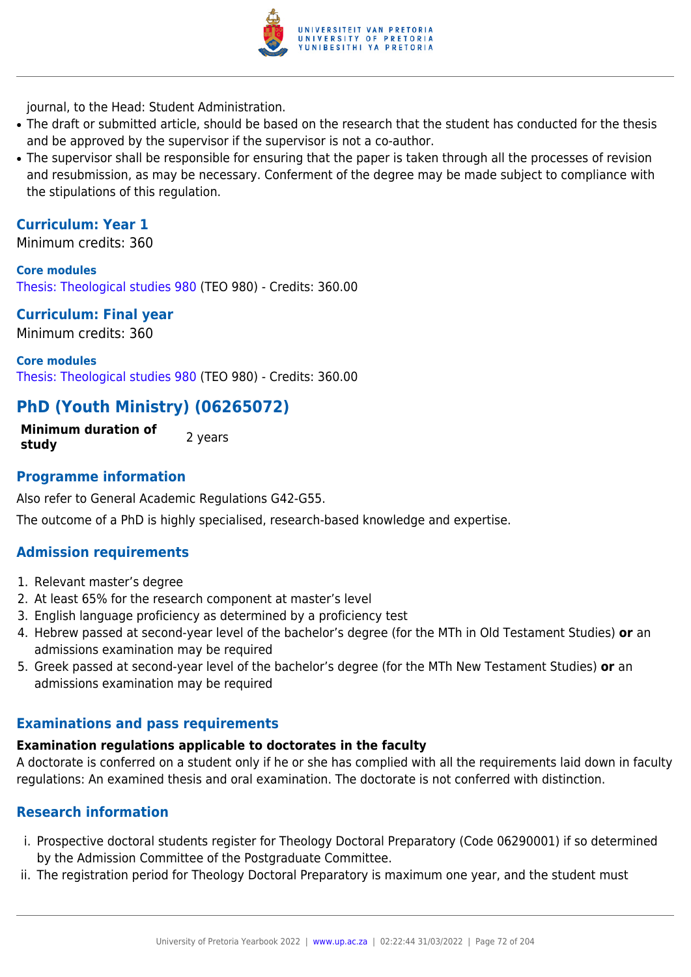

journal, to the Head: Student Administration.

- The draft or submitted article, should be based on the research that the student has conducted for the thesis and be approved by the supervisor if the supervisor is not a co-author.
- The supervisor shall be responsible for ensuring that the paper is taken through all the processes of revision and resubmission, as may be necessary. Conferment of the degree may be made subject to compliance with the stipulations of this regulation.

## **Curriculum: Year 1**

Minimum credits: 360

**Core modules** [Thesis: Theological studies 980](https://www.up.ac.za/yearbooks/2022/modules/view/TEO 980) (TEO 980) - Credits: 360.00

# **Curriculum: Final year**

Minimum credits: 360

**Core modules** [Thesis: Theological studies 980](https://www.up.ac.za/yearbooks/2022/modules/view/TEO 980) (TEO 980) - Credits: 360.00

# **PhD (Youth Ministry) (06265072)**

**Minimum duration of study 2** years

## **Programme information**

Also refer to General Academic Regulations G42-G55.

The outcome of a PhD is highly specialised, research-based knowledge and expertise.

## **Admission requirements**

- 1. Relevant master's degree
- 2. At least 65% for the research component at master's level
- 3. English language proficiency as determined by a proficiency test
- 4. Hebrew passed at second-year level of the bachelor's degree (for the MTh in Old Testament Studies) **or** an admissions examination may be required
- 5. Greek passed at second-year level of the bachelor's degree (for the MTh New Testament Studies) **or** an admissions examination may be required

## **Examinations and pass requirements**

## **Examination regulations applicable to doctorates in the faculty**

A doctorate is conferred on a student only if he or she has complied with all the requirements laid down in faculty regulations: An examined thesis and oral examination. The doctorate is not conferred with distinction.

## **Research information**

- i. Prospective doctoral students register for Theology Doctoral Preparatory (Code 06290001) if so determined by the Admission Committee of the Postgraduate Committee.
- ii. The registration period for Theology Doctoral Preparatory is maximum one year, and the student must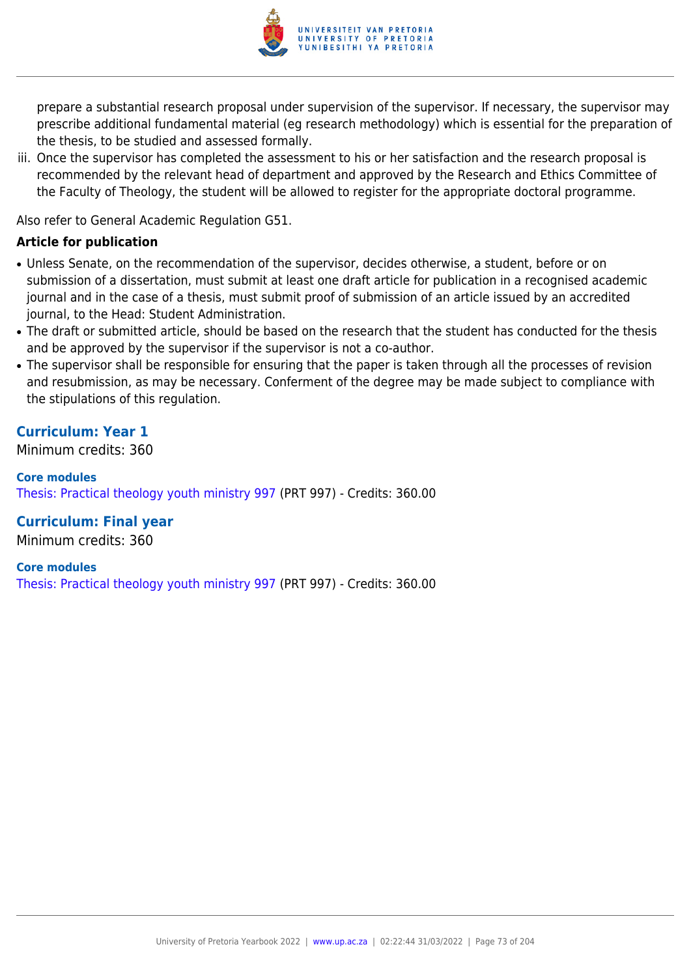

prepare a substantial research proposal under supervision of the supervisor. If necessary, the supervisor may prescribe additional fundamental material (eg research methodology) which is essential for the preparation of the thesis, to be studied and assessed formally.

iii. Once the supervisor has completed the assessment to his or her satisfaction and the research proposal is recommended by the relevant head of department and approved by the Research and Ethics Committee of the Faculty of Theology, the student will be allowed to register for the appropriate doctoral programme.

Also refer to General Academic Regulation G51.

#### **Article for publication**

- Unless Senate, on the recommendation of the supervisor, decides otherwise, a student, before or on submission of a dissertation, must submit at least one draft article for publication in a recognised academic journal and in the case of a thesis, must submit proof of submission of an article issued by an accredited journal, to the Head: Student Administration.
- The draft or submitted article, should be based on the research that the student has conducted for the thesis and be approved by the supervisor if the supervisor is not a co-author.
- The supervisor shall be responsible for ensuring that the paper is taken through all the processes of revision and resubmission, as may be necessary. Conferment of the degree may be made subject to compliance with the stipulations of this regulation.

## **Curriculum: Year 1**

Minimum credits: 360

**Core modules** [Thesis: Practical theology youth ministry 997](https://www.up.ac.za/yearbooks/2022/modules/view/PRT 997) (PRT 997) - Credits: 360.00

**Curriculum: Final year**

Minimum credits: 360

**Core modules**

[Thesis: Practical theology youth ministry 997](https://www.up.ac.za/yearbooks/2022/modules/view/PRT 997) (PRT 997) - Credits: 360.00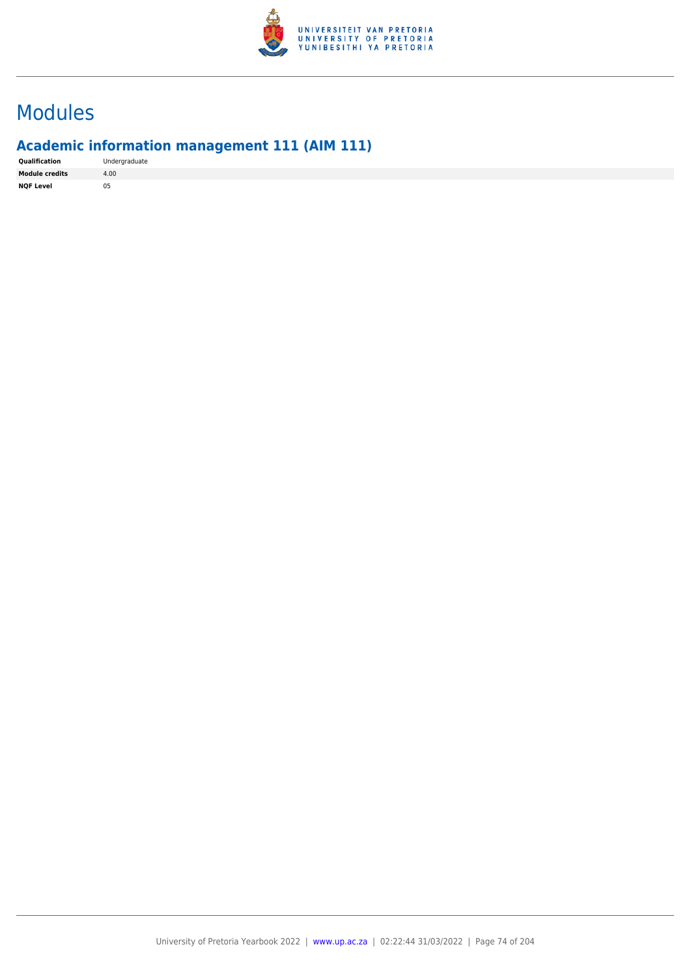

# Modules

## **Academic information management 111 (AIM 111)**

|  | <b>Oualification</b>  | Undergraduate |
|--|-----------------------|---------------|
|  | <b>Module credits</b> | 4.00          |
|  | <b>NOF Level</b>      | 05            |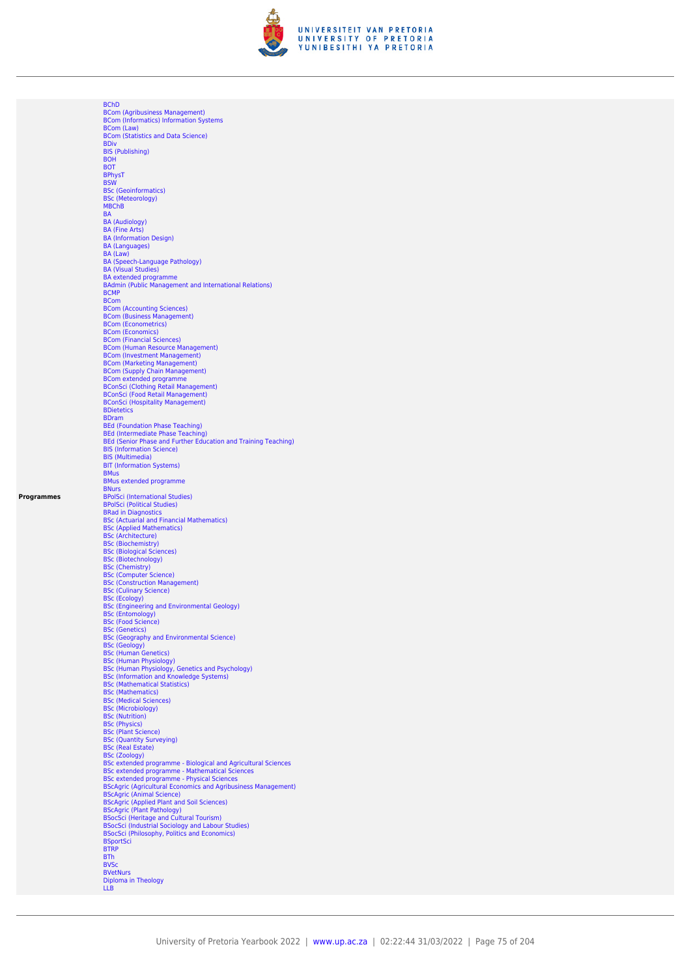

**[BChD](https://www.up.ac.za/yearbooks/2022/programmes/view/06265072)** [BCom \(Agribusiness Management\)](https://www.up.ac.za/yearbooks/2022/programmes/view/06265072) [BCom \(Informatics\) Information Systems](https://www.up.ac.za/yearbooks/2022/programmes/view/06265072) [BCom \(Law\)](https://www.up.ac.za/yearbooks/2022/programmes/view/06265072) [BCom \(Statistics and Data Science\)](https://www.up.ac.za/yearbooks/2022/programmes/view/06265072) [BDiv](https://www.up.ac.za/yearbooks/2022/programmes/view/06265072) [BIS \(Publishing\)](https://www.up.ac.za/yearbooks/2022/programmes/view/06265072) [BOH](https://www.up.ac.za/yearbooks/2022/programmes/view/06265072) [BOT](https://www.up.ac.za/yearbooks/2022/programmes/view/06265072) [BPhysT](https://www.up.ac.za/yearbooks/2022/programmes/view/06265072) [BSW](https://www.up.ac.za/yearbooks/2022/programmes/view/06265072) [BSc \(Geoinformatics\)](https://www.up.ac.za/yearbooks/2022/programmes/view/06265072) [BSc \(Meteorology\)](https://www.up.ac.za/yearbooks/2022/programmes/view/06265072) [MBChB](https://www.up.ac.za/yearbooks/2022/programmes/view/06265072) **[BA](https://www.up.ac.za/yearbooks/2022/programmes/view/06265072)** [BA \(Audiology\)](https://www.up.ac.za/yearbooks/2022/programmes/view/06265072) [BA \(Fine Arts\)](https://www.up.ac.za/yearbooks/2022/programmes/view/06265072) [BA \(Information Design\)](https://www.up.ac.za/yearbooks/2022/programmes/view/06265072) [BA \(Languages\)](https://www.up.ac.za/yearbooks/2022/programmes/view/06265072) [BA \(Law\)](https://www.up.ac.za/yearbooks/2022/programmes/view/06265072) [BA \(Speech-Language Pathology\)](https://www.up.ac.za/yearbooks/2022/programmes/view/06265072) [BA \(Visual Studies\)](https://www.up.ac.za/yearbooks/2022/programmes/view/06265072) [BA extended programme](https://www.up.ac.za/yearbooks/2022/programmes/view/06265072) [BAdmin \(Public Management and International Relations\)](https://www.up.ac.za/yearbooks/2022/programmes/view/06265072) **[BCMP](https://www.up.ac.za/yearbooks/2022/programmes/view/06265072)** [BCom](https://www.up.ac.za/yearbooks/2022/programmes/view/06265072) [BCom \(Accounting Sciences\)](https://www.up.ac.za/yearbooks/2022/programmes/view/06265072) [BCom \(Business Management\)](https://www.up.ac.za/yearbooks/2022/programmes/view/06265072) [BCom \(Econometrics\)](https://www.up.ac.za/yearbooks/2022/programmes/view/06265072) BCom (Economicates)<br>[BCom \(Economics\)](https://www.up.ac.za/yearbooks/2022/programmes/view/06265072)<br>BCom (Financial Sciences) [BCom \(Financial Sciences\)](https://www.up.ac.za/yearbooks/2022/programmes/view/06265072)<br>[BCom \(Human Resource Management\)](https://www.up.ac.za/yearbooks/2022/programmes/view/06265072)<br>[BCom \(Investment Management\)](https://www.up.ac.za/yearbooks/2022/programmes/view/06265072)<br>[BCom \(Marketing Management\)](https://www.up.ac.za/yearbooks/2022/programmes/view/06265072)<br>[BCom \(Supply Chain Management\)](https://www.up.ac.za/yearbooks/2022/programmes/view/06265072)<br>[BCom extended programme](https://www.up.ac.za/yearbooks/2022/programmes/view/06265072)<br>[BConSci \(Food Retail Management\)](https://www.up.ac.za/yearbooks/2022/programmes/view/06265072)<br>BConSci (Food Reta **[BDietetics](https://www.up.ac.za/yearbooks/2022/programmes/view/06265072)** [BDram](https://www.up.ac.za/yearbooks/2022/programmes/view/06265072) [BEd \(Foundation Phase Teaching\)](https://www.up.ac.za/yearbooks/2022/programmes/view/06265072) [BEd \(Intermediate Phase Teaching\)](https://www.up.ac.za/yearbooks/2022/programmes/view/06265072) [BEd \(Senior Phase and Further Education and Training Teaching\)](https://www.up.ac.za/yearbooks/2022/programmes/view/06265072) [BIS \(Information Science\)](https://www.up.ac.za/yearbooks/2022/programmes/view/06265072) [BIS \(Multimedia\)](https://www.up.ac.za/yearbooks/2022/programmes/view/06265072) [BIT \(Information Systems\)](https://www.up.ac.za/yearbooks/2022/programmes/view/06265072) [BMus](https://www.up.ac.za/yearbooks/2022/programmes/view/06265072) [BMus extended programme](https://www.up.ac.za/yearbooks/2022/programmes/view/06265072) **[BNurs](https://www.up.ac.za/yearbooks/2022/programmes/view/06265072)** [BPolSci \(International Studies\)](https://www.up.ac.za/yearbooks/2022/programmes/view/06265072)<br>BPolSci (International Studies)<br>BRolSci (Political Studies)<br>[BSc \(Actuarial and Financial Mathematics\)](https://www.up.ac.za/yearbooks/2022/programmes/view/06265072)<br>[BSc \(Applied Mathematics\)](https://www.up.ac.za/yearbooks/2022/programmes/view/06265072)<br>[BSc \(Biochemistry\)](https://www.up.ac.za/yearbooks/2022/programmes/view/06265072)<br>BSc (Biotogical Sciences)<br>BSc (Biotechnolog [BSc \(Construction Management\)](https://www.up.ac.za/yearbooks/2022/programmes/view/06265072) [BSc \(Culinary Science\)](https://www.up.ac.za/yearbooks/2022/programmes/view/06265072) [BSc \(Ecology\)](https://www.up.ac.za/yearbooks/2022/programmes/view/06265072) [BSc \(Engineering and Environmental Geology\)](https://www.up.ac.za/yearbooks/2022/programmes/view/06265072) [BSc \(Entomology\)](https://www.up.ac.za/yearbooks/2022/programmes/view/06265072) [BSc \(Food Science\)](https://www.up.ac.za/yearbooks/2022/programmes/view/06265072) [BSc \(Genetics\)](https://www.up.ac.za/yearbooks/2022/programmes/view/06265072) [BSc \(Geology\)](https://www.up.ac.za/yearbooks/2022/programmes/view/06265072) and Environmental Science)<br>BSc (Geology)<br>[BSc \(Human Genetics\)](https://www.up.ac.za/yearbooks/2022/programmes/view/06265072)<br>[BSc \(Human Physiology\)](https://www.up.ac.za/yearbooks/2022/programmes/view/06265072)<br>[BSc \(Information and Knowledge Systems\)](https://www.up.ac.za/yearbooks/2022/programmes/view/06265072)<br>BSC (Informatical Statistics)<br>BSC (Mathematical Statistics) [BSc \(Mathematics\)](https://www.up.ac.za/yearbooks/2022/programmes/view/06265072) [BSc \(Medical Sciences\)](https://www.up.ac.za/yearbooks/2022/programmes/view/06265072) [BSc \(Microbiology\)](https://www.up.ac.za/yearbooks/2022/programmes/view/06265072) [BSc \(Nutrition\)](https://www.up.ac.za/yearbooks/2022/programmes/view/06265072) [BSc \(Physics\)](https://www.up.ac.za/yearbooks/2022/programmes/view/06265072) [BSc \(Plant Science\)](https://www.up.ac.za/yearbooks/2022/programmes/view/06265072) [BSc \(Quantity Surveying\)](https://www.up.ac.za/yearbooks/2022/programmes/view/06265072) [BSc \(Real Estate\)](https://www.up.ac.za/yearbooks/2022/programmes/view/06265072) [BSc \(Zoology\)](https://www.up.ac.za/yearbooks/2022/programmes/view/06265072)<br> [BSc extended programme - Biological and Agricultural Sciences](https://www.up.ac.za/yearbooks/2022/programmes/view/06265072)<br> [BSc extended programme - Mathematical Sciences](https://www.up.ac.za/yearbooks/2022/programmes/view/06265072)<br> [BSc extended programme - Physical Sciences](https://www.up.ac.za/yearbooks/2022/programmes/view/06265072)<br>
BScAgric (Agricultural Economics and Agribusiness Ma [BTRP](https://www.up.ac.za/yearbooks/2022/programmes/view/06265072) [BTh](https://www.up.ac.za/yearbooks/2022/programmes/view/06265072) **[BVSc](https://www.up.ac.za/yearbooks/2022/programmes/view/06265072) [BVetNurs](https://www.up.ac.za/yearbooks/2022/programmes/view/06265072)** [Diploma in Theology](https://www.up.ac.za/yearbooks/2022/programmes/view/06265072) [LLB](https://www.up.ac.za/yearbooks/2022/programmes/view/06265072)

**Programmes**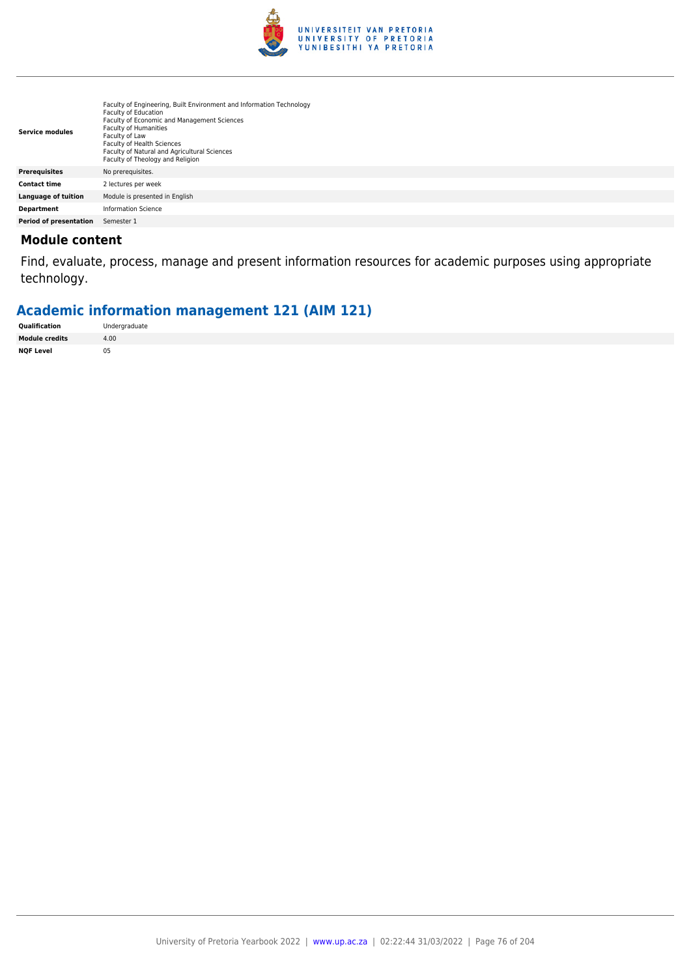

| <b>Service modules</b> | Faculty of Engineering, Built Environment and Information Technology<br><b>Faculty of Education</b><br>Faculty of Economic and Management Sciences<br><b>Faculty of Humanities</b><br>Faculty of Law<br>Faculty of Health Sciences<br>Faculty of Natural and Agricultural Sciences<br>Faculty of Theology and Religion |
|------------------------|------------------------------------------------------------------------------------------------------------------------------------------------------------------------------------------------------------------------------------------------------------------------------------------------------------------------|
| <b>Prerequisites</b>   | No prerequisites.                                                                                                                                                                                                                                                                                                      |
| <b>Contact time</b>    | 2 lectures per week                                                                                                                                                                                                                                                                                                    |
| Language of tuition    | Module is presented in English                                                                                                                                                                                                                                                                                         |
| <b>Department</b>      | Information Science                                                                                                                                                                                                                                                                                                    |
| Period of presentation | Semester 1                                                                                                                                                                                                                                                                                                             |

Find, evaluate, process, manage and present information resources for academic purposes using appropriate technology.

## **Academic information management 121 (AIM 121)**

| Qualification         | Undergraduate |
|-----------------------|---------------|
| <b>Module credits</b> | 4.00          |
| <b>NQF Level</b>      | 05            |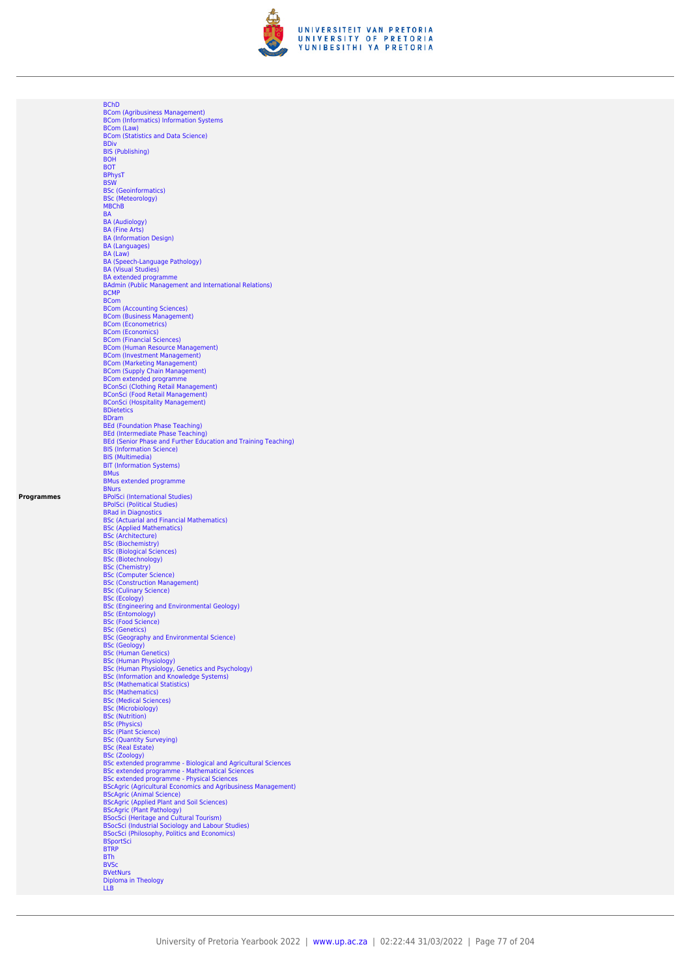

**[BChD](https://www.up.ac.za/yearbooks/2022/programmes/view/06265072)** [BCom \(Agribusiness Management\)](https://www.up.ac.za/yearbooks/2022/programmes/view/06265072) [BCom \(Informatics\) Information Systems](https://www.up.ac.za/yearbooks/2022/programmes/view/06265072) [BCom \(Law\)](https://www.up.ac.za/yearbooks/2022/programmes/view/06265072) [BCom \(Statistics and Data Science\)](https://www.up.ac.za/yearbooks/2022/programmes/view/06265072) [BDiv](https://www.up.ac.za/yearbooks/2022/programmes/view/06265072) [BIS \(Publishing\)](https://www.up.ac.za/yearbooks/2022/programmes/view/06265072) [BOH](https://www.up.ac.za/yearbooks/2022/programmes/view/06265072) [BOT](https://www.up.ac.za/yearbooks/2022/programmes/view/06265072) [BPhysT](https://www.up.ac.za/yearbooks/2022/programmes/view/06265072) [BSW](https://www.up.ac.za/yearbooks/2022/programmes/view/06265072) [BSc \(Geoinformatics\)](https://www.up.ac.za/yearbooks/2022/programmes/view/06265072) [BSc \(Meteorology\)](https://www.up.ac.za/yearbooks/2022/programmes/view/06265072) [MBChB](https://www.up.ac.za/yearbooks/2022/programmes/view/06265072) **[BA](https://www.up.ac.za/yearbooks/2022/programmes/view/06265072)** [BA \(Audiology\)](https://www.up.ac.za/yearbooks/2022/programmes/view/06265072) [BA \(Fine Arts\)](https://www.up.ac.za/yearbooks/2022/programmes/view/06265072) [BA \(Information Design\)](https://www.up.ac.za/yearbooks/2022/programmes/view/06265072) [BA \(Languages\)](https://www.up.ac.za/yearbooks/2022/programmes/view/06265072) [BA \(Law\)](https://www.up.ac.za/yearbooks/2022/programmes/view/06265072) [BA \(Speech-Language Pathology\)](https://www.up.ac.za/yearbooks/2022/programmes/view/06265072) [BA \(Visual Studies\)](https://www.up.ac.za/yearbooks/2022/programmes/view/06265072) [BA extended programme](https://www.up.ac.za/yearbooks/2022/programmes/view/06265072) [BAdmin \(Public Management and International Relations\)](https://www.up.ac.za/yearbooks/2022/programmes/view/06265072) **[BCMP](https://www.up.ac.za/yearbooks/2022/programmes/view/06265072)** [BCom](https://www.up.ac.za/yearbooks/2022/programmes/view/06265072) [BCom \(Accounting Sciences\)](https://www.up.ac.za/yearbooks/2022/programmes/view/06265072) [BCom \(Business Management\)](https://www.up.ac.za/yearbooks/2022/programmes/view/06265072) [BCom \(Econometrics\)](https://www.up.ac.za/yearbooks/2022/programmes/view/06265072) BCom (Economicates)<br>[BCom \(Economics\)](https://www.up.ac.za/yearbooks/2022/programmes/view/06265072)<br>BCom (Financial Sciences) [BCom \(Financial Sciences\)](https://www.up.ac.za/yearbooks/2022/programmes/view/06265072)<br>[BCom \(Human Resource Management\)](https://www.up.ac.za/yearbooks/2022/programmes/view/06265072)<br>[BCom \(Investment Management\)](https://www.up.ac.za/yearbooks/2022/programmes/view/06265072)<br>[BCom \(Marketing Management\)](https://www.up.ac.za/yearbooks/2022/programmes/view/06265072)<br>[BCom \(Supply Chain Management\)](https://www.up.ac.za/yearbooks/2022/programmes/view/06265072)<br>[BCom extended programme](https://www.up.ac.za/yearbooks/2022/programmes/view/06265072)<br>[BConSci \(Food Retail Management\)](https://www.up.ac.za/yearbooks/2022/programmes/view/06265072)<br>BConSci (Food Reta **[BDietetics](https://www.up.ac.za/yearbooks/2022/programmes/view/06265072)** [BDram](https://www.up.ac.za/yearbooks/2022/programmes/view/06265072) [BEd \(Foundation Phase Teaching\)](https://www.up.ac.za/yearbooks/2022/programmes/view/06265072) [BEd \(Intermediate Phase Teaching\)](https://www.up.ac.za/yearbooks/2022/programmes/view/06265072) [BEd \(Senior Phase and Further Education and Training Teaching\)](https://www.up.ac.za/yearbooks/2022/programmes/view/06265072) [BIS \(Information Science\)](https://www.up.ac.za/yearbooks/2022/programmes/view/06265072) [BIS \(Multimedia\)](https://www.up.ac.za/yearbooks/2022/programmes/view/06265072) [BIT \(Information Systems\)](https://www.up.ac.za/yearbooks/2022/programmes/view/06265072) [BMus](https://www.up.ac.za/yearbooks/2022/programmes/view/06265072) [BMus extended programme](https://www.up.ac.za/yearbooks/2022/programmes/view/06265072) **[BNurs](https://www.up.ac.za/yearbooks/2022/programmes/view/06265072)** [BPolSci \(International Studies\)](https://www.up.ac.za/yearbooks/2022/programmes/view/06265072)<br>BPolSci (International Studies)<br>BRolSci (Political Studies)<br>[BSc \(Actuarial and Financial Mathematics\)](https://www.up.ac.za/yearbooks/2022/programmes/view/06265072)<br>[BSc \(Applied Mathematics\)](https://www.up.ac.za/yearbooks/2022/programmes/view/06265072)<br>[BSc \(Biochemistry\)](https://www.up.ac.za/yearbooks/2022/programmes/view/06265072)<br>BSc (Biotogical Sciences)<br>BSc (Biotechnolog [BSc \(Construction Management\)](https://www.up.ac.za/yearbooks/2022/programmes/view/06265072) [BSc \(Culinary Science\)](https://www.up.ac.za/yearbooks/2022/programmes/view/06265072) [BSc \(Ecology\)](https://www.up.ac.za/yearbooks/2022/programmes/view/06265072) [BSc \(Engineering and Environmental Geology\)](https://www.up.ac.za/yearbooks/2022/programmes/view/06265072) [BSc \(Entomology\)](https://www.up.ac.za/yearbooks/2022/programmes/view/06265072) [BSc \(Food Science\)](https://www.up.ac.za/yearbooks/2022/programmes/view/06265072) [BSc \(Genetics\)](https://www.up.ac.za/yearbooks/2022/programmes/view/06265072) [BSc \(Geology\)](https://www.up.ac.za/yearbooks/2022/programmes/view/06265072) and Environmental Science)<br>BSc (Geology)<br>[BSc \(Human Genetics\)](https://www.up.ac.za/yearbooks/2022/programmes/view/06265072)<br>[BSc \(Human Physiology\)](https://www.up.ac.za/yearbooks/2022/programmes/view/06265072)<br>[BSc \(Information and Knowledge Systems\)](https://www.up.ac.za/yearbooks/2022/programmes/view/06265072)<br>BSC (Informatical Statistics)<br>BSC (Mathematical Statistics) [BSc \(Mathematics\)](https://www.up.ac.za/yearbooks/2022/programmes/view/06265072) [BSc \(Medical Sciences\)](https://www.up.ac.za/yearbooks/2022/programmes/view/06265072) [BSc \(Microbiology\)](https://www.up.ac.za/yearbooks/2022/programmes/view/06265072) [BSc \(Nutrition\)](https://www.up.ac.za/yearbooks/2022/programmes/view/06265072) [BSc \(Physics\)](https://www.up.ac.za/yearbooks/2022/programmes/view/06265072) [BSc \(Plant Science\)](https://www.up.ac.za/yearbooks/2022/programmes/view/06265072) [BSc \(Quantity Surveying\)](https://www.up.ac.za/yearbooks/2022/programmes/view/06265072) [BSc \(Real Estate\)](https://www.up.ac.za/yearbooks/2022/programmes/view/06265072) [BSc \(Zoology\)](https://www.up.ac.za/yearbooks/2022/programmes/view/06265072)<br> [BSc extended programme - Biological and Agricultural Sciences](https://www.up.ac.za/yearbooks/2022/programmes/view/06265072)<br> [BSc extended programme - Mathematical Sciences](https://www.up.ac.za/yearbooks/2022/programmes/view/06265072)<br> [BSc extended programme - Physical Sciences](https://www.up.ac.za/yearbooks/2022/programmes/view/06265072)<br>
BScAgric (Agricultural Economics and Agribusiness Ma [BTRP](https://www.up.ac.za/yearbooks/2022/programmes/view/06265072) [BTh](https://www.up.ac.za/yearbooks/2022/programmes/view/06265072) **[BVSc](https://www.up.ac.za/yearbooks/2022/programmes/view/06265072) [BVetNurs](https://www.up.ac.za/yearbooks/2022/programmes/view/06265072)** [Diploma in Theology](https://www.up.ac.za/yearbooks/2022/programmes/view/06265072) [LLB](https://www.up.ac.za/yearbooks/2022/programmes/view/06265072)

**Programmes**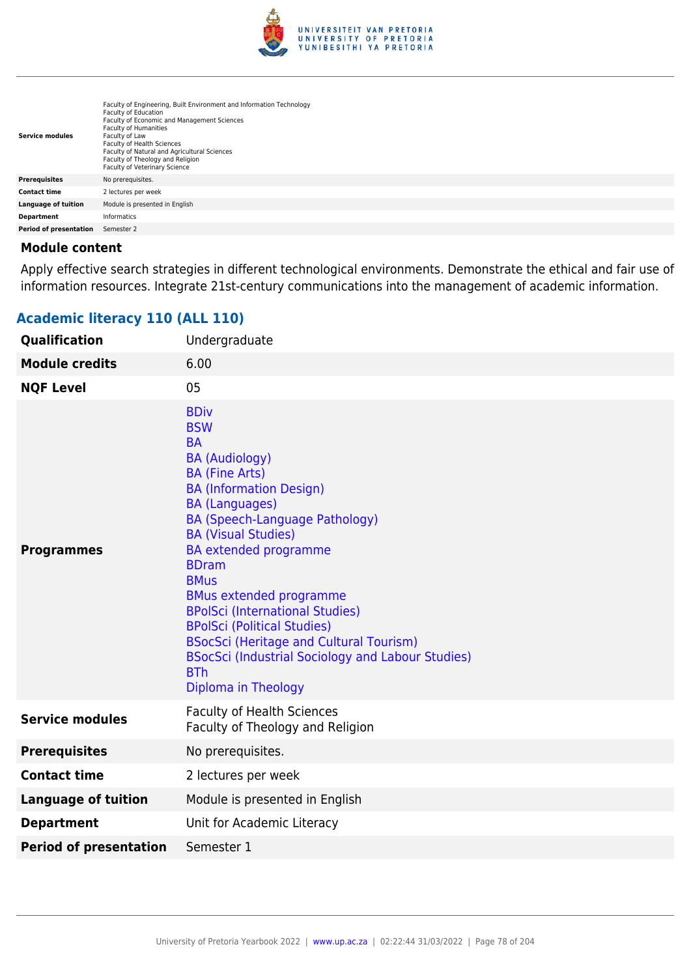

| <b>Service modules</b> | Faculty of Engineering, Built Environment and Information Technology<br><b>Faculty of Education</b><br>Faculty of Economic and Management Sciences<br><b>Faculty of Humanities</b><br>Faculty of Law<br>Faculty of Health Sciences<br>Faculty of Natural and Agricultural Sciences<br>Faculty of Theology and Religion<br><b>Faculty of Veterinary Science</b> |
|------------------------|----------------------------------------------------------------------------------------------------------------------------------------------------------------------------------------------------------------------------------------------------------------------------------------------------------------------------------------------------------------|
| <b>Prerequisites</b>   | No prerequisites.                                                                                                                                                                                                                                                                                                                                              |
| <b>Contact time</b>    | 2 lectures per week                                                                                                                                                                                                                                                                                                                                            |
| Language of tuition    | Module is presented in English                                                                                                                                                                                                                                                                                                                                 |
| <b>Department</b>      | <b>Informatics</b>                                                                                                                                                                                                                                                                                                                                             |
| Period of presentation | Semester 2                                                                                                                                                                                                                                                                                                                                                     |

Apply effective search strategies in different technological environments. Demonstrate the ethical and fair use of information resources. Integrate 21st-century communications into the management of academic information.

| Qualification                 | Undergraduate                                                                                                                                                                                                                                                                                                                                                                                                                                                                                                                                           |
|-------------------------------|---------------------------------------------------------------------------------------------------------------------------------------------------------------------------------------------------------------------------------------------------------------------------------------------------------------------------------------------------------------------------------------------------------------------------------------------------------------------------------------------------------------------------------------------------------|
| <b>Module credits</b>         | 6.00                                                                                                                                                                                                                                                                                                                                                                                                                                                                                                                                                    |
| <b>NQF Level</b>              | 05                                                                                                                                                                                                                                                                                                                                                                                                                                                                                                                                                      |
| <b>Programmes</b>             | <b>BDiv</b><br><b>BSW</b><br><b>BA</b><br><b>BA (Audiology)</b><br><b>BA (Fine Arts)</b><br><b>BA (Information Design)</b><br><b>BA</b> (Languages)<br>BA (Speech-Language Pathology)<br><b>BA (Visual Studies)</b><br><b>BA</b> extended programme<br><b>BDram</b><br><b>BMus</b><br><b>BMus extended programme</b><br><b>BPolSci (International Studies)</b><br><b>BPolSci (Political Studies)</b><br><b>BSocSci (Heritage and Cultural Tourism)</b><br><b>BSocSci (Industrial Sociology and Labour Studies)</b><br><b>BTh</b><br>Diploma in Theology |
| <b>Service modules</b>        | <b>Faculty of Health Sciences</b><br>Faculty of Theology and Religion                                                                                                                                                                                                                                                                                                                                                                                                                                                                                   |
| <b>Prerequisites</b>          | No prerequisites.                                                                                                                                                                                                                                                                                                                                                                                                                                                                                                                                       |
| <b>Contact time</b>           | 2 lectures per week                                                                                                                                                                                                                                                                                                                                                                                                                                                                                                                                     |
| <b>Language of tuition</b>    | Module is presented in English                                                                                                                                                                                                                                                                                                                                                                                                                                                                                                                          |
| <b>Department</b>             | Unit for Academic Literacy                                                                                                                                                                                                                                                                                                                                                                                                                                                                                                                              |
| <b>Period of presentation</b> | Semester 1                                                                                                                                                                                                                                                                                                                                                                                                                                                                                                                                              |

## **Academic literacy 110 (ALL 110)**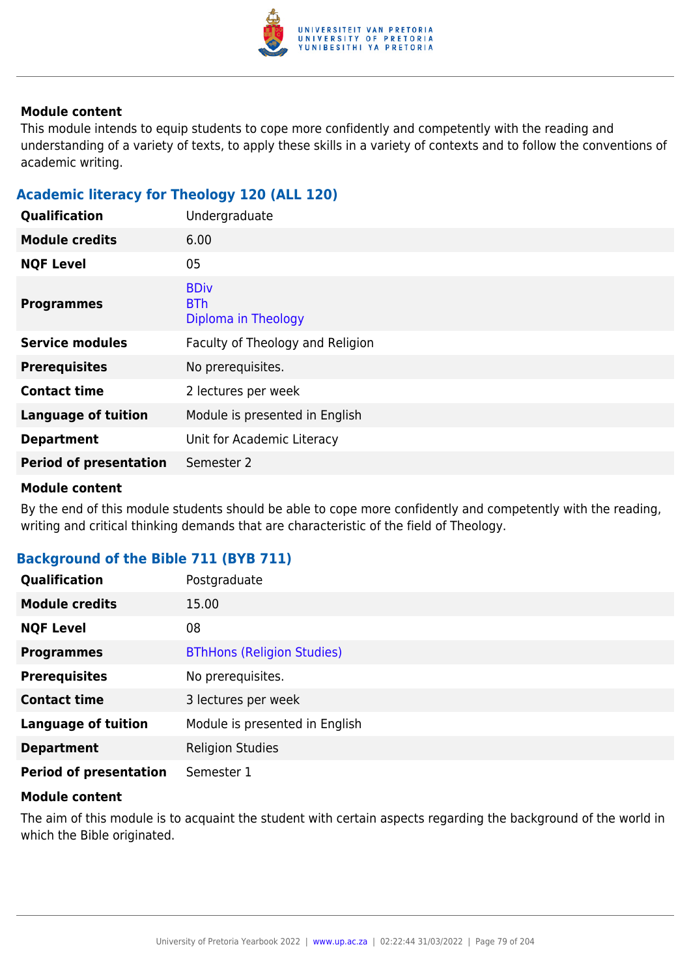

This module intends to equip students to cope more confidently and competently with the reading and understanding of a variety of texts, to apply these skills in a variety of contexts and to follow the conventions of academic writing.

## **Academic literacy for Theology 120 (ALL 120)**

| Qualification                 | Undergraduate                                    |
|-------------------------------|--------------------------------------------------|
| <b>Module credits</b>         | 6.00                                             |
| <b>NQF Level</b>              | 05                                               |
| <b>Programmes</b>             | <b>BDiv</b><br><b>BTh</b><br>Diploma in Theology |
| <b>Service modules</b>        | Faculty of Theology and Religion                 |
| <b>Prerequisites</b>          | No prerequisites.                                |
| <b>Contact time</b>           | 2 lectures per week                              |
| <b>Language of tuition</b>    | Module is presented in English                   |
| <b>Department</b>             | Unit for Academic Literacy                       |
| <b>Period of presentation</b> | Semester 2                                       |

#### **Module content**

By the end of this module students should be able to cope more confidently and competently with the reading, writing and critical thinking demands that are characteristic of the field of Theology.

#### **Background of the Bible 711 (BYB 711)**

| <b>Qualification</b>          | Postgraduate                      |
|-------------------------------|-----------------------------------|
| <b>Module credits</b>         | 15.00                             |
| <b>NQF Level</b>              | 08                                |
| <b>Programmes</b>             | <b>BThHons (Religion Studies)</b> |
| <b>Prerequisites</b>          | No prerequisites.                 |
| <b>Contact time</b>           | 3 lectures per week               |
| <b>Language of tuition</b>    | Module is presented in English    |
| <b>Department</b>             | <b>Religion Studies</b>           |
| <b>Period of presentation</b> | Semester 1                        |

#### **Module content**

The aim of this module is to acquaint the student with certain aspects regarding the background of the world in which the Bible originated.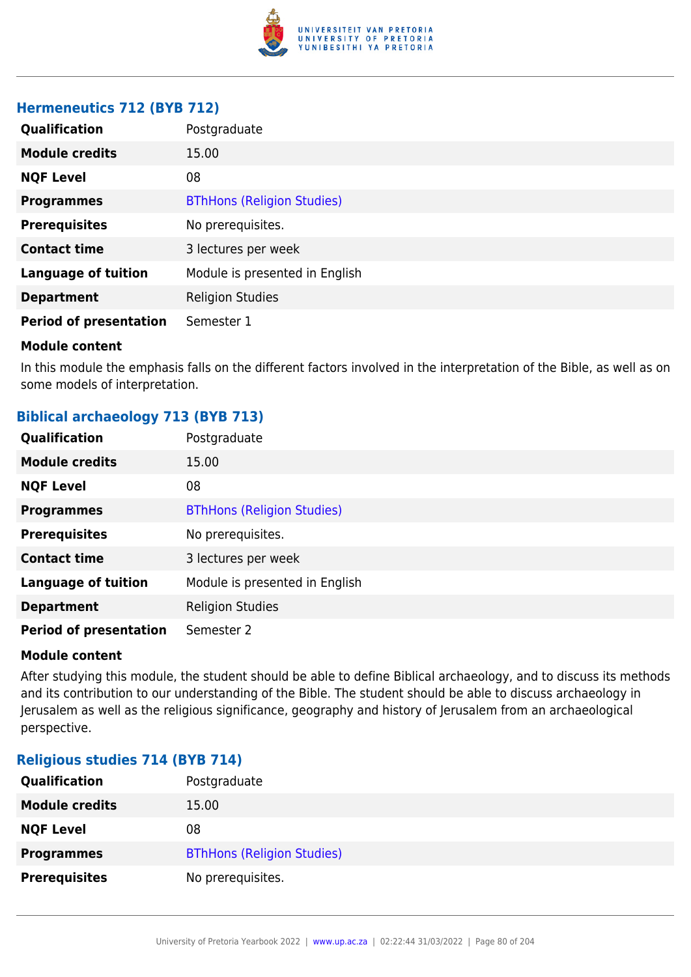

### **Hermeneutics 712 (BYB 712)**

| Qualification                 | Postgraduate                      |
|-------------------------------|-----------------------------------|
| <b>Module credits</b>         | 15.00                             |
| <b>NQF Level</b>              | 08                                |
| <b>Programmes</b>             | <b>BThHons (Religion Studies)</b> |
| <b>Prerequisites</b>          | No prerequisites.                 |
| <b>Contact time</b>           | 3 lectures per week               |
| <b>Language of tuition</b>    | Module is presented in English    |
| <b>Department</b>             | <b>Religion Studies</b>           |
| <b>Period of presentation</b> | Semester 1                        |

#### **Module content**

In this module the emphasis falls on the different factors involved in the interpretation of the Bible, as well as on some models of interpretation.

## **Biblical archaeology 713 (BYB 713)**

| <b>Qualification</b>          | Postgraduate                      |
|-------------------------------|-----------------------------------|
| <b>Module credits</b>         | 15.00                             |
| <b>NQF Level</b>              | 08                                |
| <b>Programmes</b>             | <b>BThHons (Religion Studies)</b> |
| <b>Prerequisites</b>          | No prerequisites.                 |
| <b>Contact time</b>           | 3 lectures per week               |
| <b>Language of tuition</b>    | Module is presented in English    |
| <b>Department</b>             | <b>Religion Studies</b>           |
| <b>Period of presentation</b> | Semester 2                        |

#### **Module content**

After studying this module, the student should be able to define Biblical archaeology, and to discuss its methods and its contribution to our understanding of the Bible. The student should be able to discuss archaeology in Jerusalem as well as the religious significance, geography and history of Jerusalem from an archaeological perspective.

#### **Religious studies 714 (BYB 714)**

| <b>Qualification</b>  | Postgraduate                      |
|-----------------------|-----------------------------------|
| <b>Module credits</b> | 15.00                             |
| <b>NQF Level</b>      | 08                                |
| <b>Programmes</b>     | <b>BThHons (Religion Studies)</b> |
| <b>Prerequisites</b>  | No prerequisites.                 |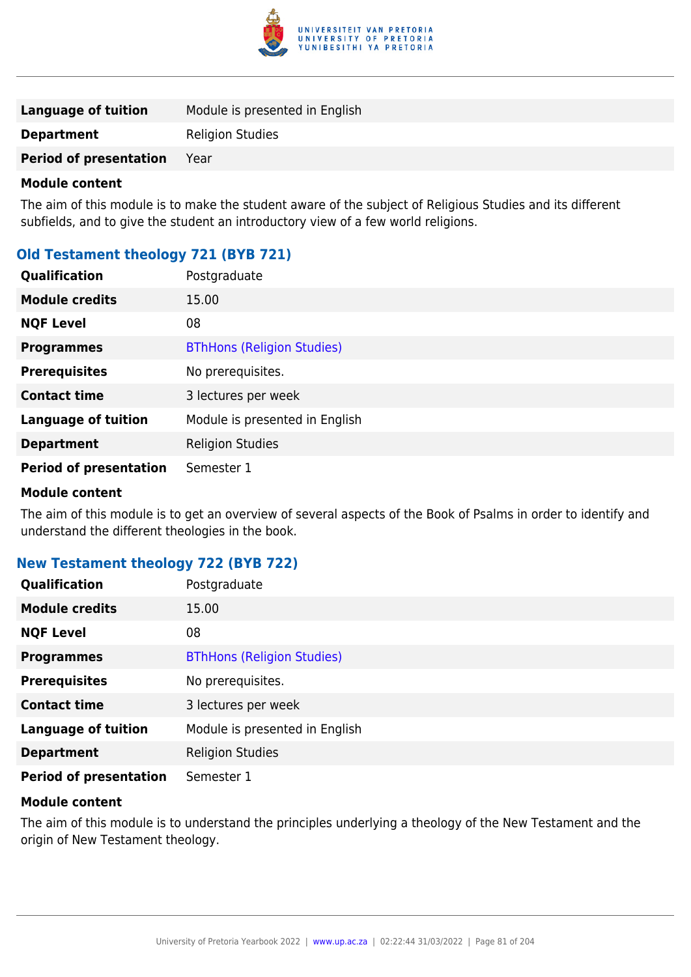

The aim of this module is to make the student aware of the subject of Religious Studies and its different subfields, and to give the student an introductory view of a few world religions.

## **Old Testament theology 721 (BYB 721)**

| <b>Qualification</b>          | Postgraduate                      |
|-------------------------------|-----------------------------------|
| <b>Module credits</b>         | 15.00                             |
| <b>NQF Level</b>              | 08                                |
| <b>Programmes</b>             | <b>BThHons (Religion Studies)</b> |
| <b>Prerequisites</b>          | No prerequisites.                 |
| <b>Contact time</b>           | 3 lectures per week               |
| <b>Language of tuition</b>    | Module is presented in English    |
| <b>Department</b>             | <b>Religion Studies</b>           |
| <b>Period of presentation</b> | Semester 1                        |

#### **Module content**

The aim of this module is to get an overview of several aspects of the Book of Psalms in order to identify and understand the different theologies in the book.

## **New Testament theology 722 (BYB 722)**

| <b>Qualification</b>          | Postgraduate                      |
|-------------------------------|-----------------------------------|
| <b>Module credits</b>         | 15.00                             |
| <b>NQF Level</b>              | 08                                |
| <b>Programmes</b>             | <b>BThHons (Religion Studies)</b> |
| <b>Prerequisites</b>          | No prerequisites.                 |
| <b>Contact time</b>           | 3 lectures per week               |
| <b>Language of tuition</b>    | Module is presented in English    |
| <b>Department</b>             | <b>Religion Studies</b>           |
| <b>Period of presentation</b> | Semester 1                        |

#### **Module content**

The aim of this module is to understand the principles underlying a theology of the New Testament and the origin of New Testament theology.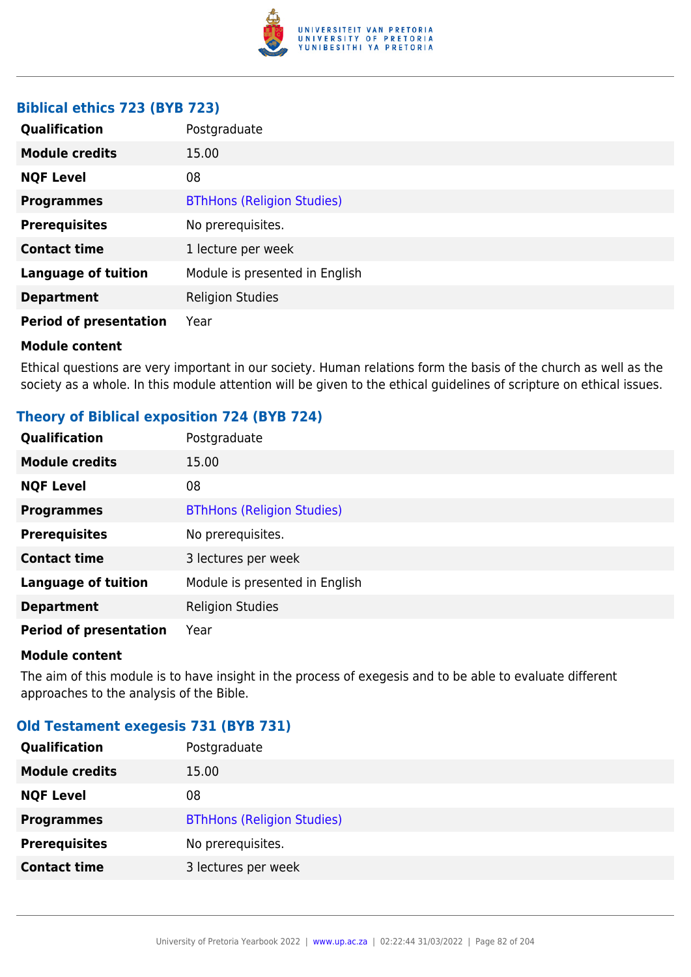

## **Biblical ethics 723 (BYB 723)**

| Qualification                 | Postgraduate                      |
|-------------------------------|-----------------------------------|
| <b>Module credits</b>         | 15.00                             |
| <b>NQF Level</b>              | 08                                |
| <b>Programmes</b>             | <b>BThHons (Religion Studies)</b> |
| <b>Prerequisites</b>          | No prerequisites.                 |
| <b>Contact time</b>           | 1 lecture per week                |
| <b>Language of tuition</b>    | Module is presented in English    |
| <b>Department</b>             | <b>Religion Studies</b>           |
| <b>Period of presentation</b> | Year                              |

#### **Module content**

Ethical questions are very important in our society. Human relations form the basis of the church as well as the society as a whole. In this module attention will be given to the ethical guidelines of scripture on ethical issues.

## **Theory of Biblical exposition 724 (BYB 724)**

| Qualification                 | Postgraduate                      |
|-------------------------------|-----------------------------------|
| <b>Module credits</b>         | 15.00                             |
| <b>NQF Level</b>              | 08                                |
| <b>Programmes</b>             | <b>BThHons (Religion Studies)</b> |
| <b>Prerequisites</b>          | No prerequisites.                 |
| <b>Contact time</b>           | 3 lectures per week               |
| <b>Language of tuition</b>    | Module is presented in English    |
| <b>Department</b>             | <b>Religion Studies</b>           |
| <b>Period of presentation</b> | Year                              |

#### **Module content**

The aim of this module is to have insight in the process of exegesis and to be able to evaluate different approaches to the analysis of the Bible.

## **Old Testament exegesis 731 (BYB 731)**

| Qualification         | Postgraduate                      |
|-----------------------|-----------------------------------|
| <b>Module credits</b> | 15.00                             |
| <b>NQF Level</b>      | 08                                |
| <b>Programmes</b>     | <b>BThHons (Religion Studies)</b> |
| <b>Prerequisites</b>  | No prerequisites.                 |
| <b>Contact time</b>   | 3 lectures per week               |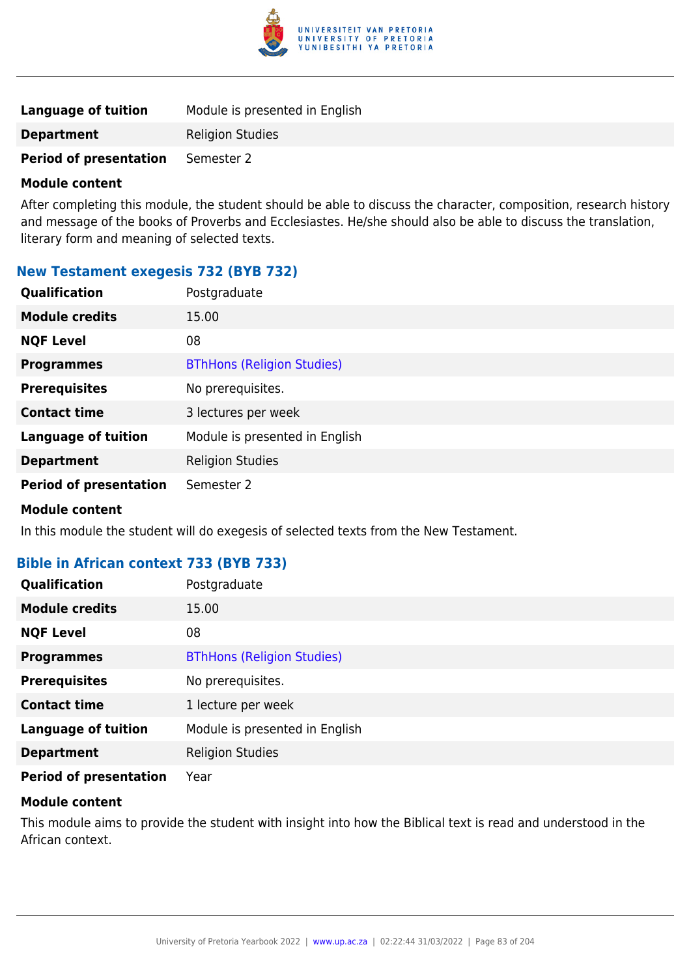

| Language of tuition           | Module is presented in English |
|-------------------------------|--------------------------------|
| <b>Department</b>             | <b>Religion Studies</b>        |
| <b>Period of presentation</b> | Semester 2                     |

After completing this module, the student should be able to discuss the character, composition, research history and message of the books of Proverbs and Ecclesiastes. He/she should also be able to discuss the translation, literary form and meaning of selected texts.

## **New Testament exegesis 732 (BYB 732)**

| Qualification                 | Postgraduate                      |
|-------------------------------|-----------------------------------|
| <b>Module credits</b>         | 15.00                             |
| <b>NQF Level</b>              | 08                                |
| <b>Programmes</b>             | <b>BThHons (Religion Studies)</b> |
| <b>Prerequisites</b>          | No prerequisites.                 |
| <b>Contact time</b>           | 3 lectures per week               |
| <b>Language of tuition</b>    | Module is presented in English    |
| <b>Department</b>             | <b>Religion Studies</b>           |
| <b>Period of presentation</b> | Semester 2                        |

#### **Module content**

In this module the student will do exegesis of selected texts from the New Testament.

## **Bible in African context 733 (BYB 733)**

| Qualification                 | Postgraduate                      |
|-------------------------------|-----------------------------------|
| <b>Module credits</b>         | 15.00                             |
| <b>NQF Level</b>              | 08                                |
| <b>Programmes</b>             | <b>BThHons (Religion Studies)</b> |
| <b>Prerequisites</b>          | No prerequisites.                 |
| <b>Contact time</b>           | 1 lecture per week                |
| <b>Language of tuition</b>    | Module is presented in English    |
| <b>Department</b>             | <b>Religion Studies</b>           |
| <b>Period of presentation</b> | Year                              |

#### **Module content**

This module aims to provide the student with insight into how the Biblical text is read and understood in the African context.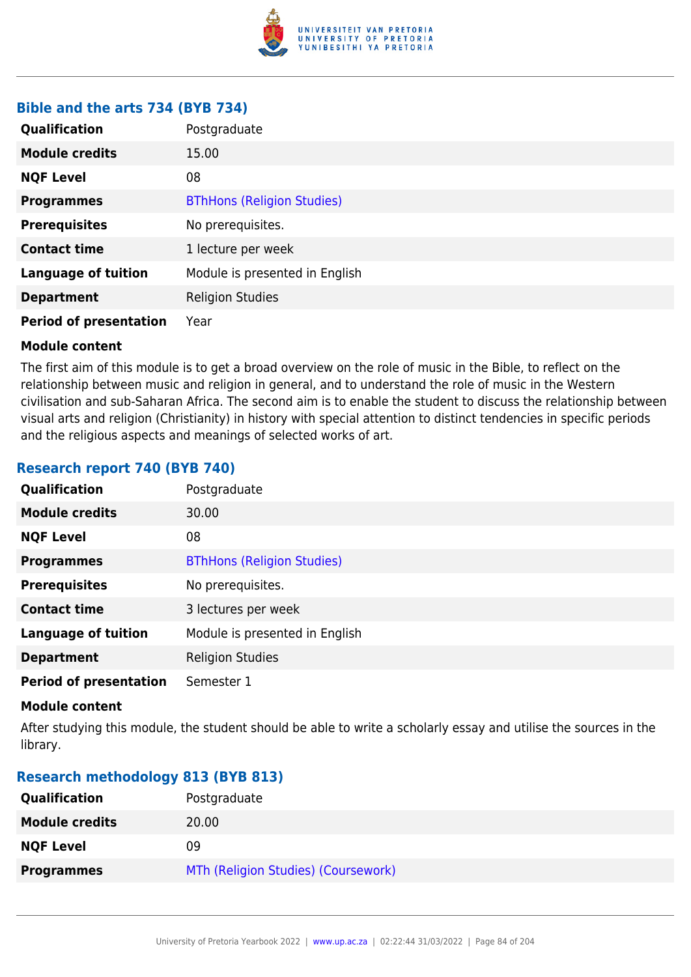

## **Bible and the arts 734 (BYB 734)**

| <b>Qualification</b>          | Postgraduate                      |
|-------------------------------|-----------------------------------|
| <b>Module credits</b>         | 15.00                             |
| <b>NQF Level</b>              | 08                                |
| <b>Programmes</b>             | <b>BThHons (Religion Studies)</b> |
| <b>Prerequisites</b>          | No prerequisites.                 |
| <b>Contact time</b>           | 1 lecture per week                |
| <b>Language of tuition</b>    | Module is presented in English    |
| <b>Department</b>             | <b>Religion Studies</b>           |
| <b>Period of presentation</b> | Year                              |

#### **Module content**

The first aim of this module is to get a broad overview on the role of music in the Bible, to reflect on the relationship between music and religion in general, and to understand the role of music in the Western civilisation and sub-Saharan Africa. The second aim is to enable the student to discuss the relationship between visual arts and religion (Christianity) in history with special attention to distinct tendencies in specific periods and the religious aspects and meanings of selected works of art.

## **Research report 740 (BYB 740)**

| Qualification                 | Postgraduate                      |
|-------------------------------|-----------------------------------|
| <b>Module credits</b>         | 30.00                             |
| <b>NQF Level</b>              | 08                                |
| <b>Programmes</b>             | <b>BThHons (Religion Studies)</b> |
| <b>Prerequisites</b>          | No prerequisites.                 |
| <b>Contact time</b>           | 3 lectures per week               |
| <b>Language of tuition</b>    | Module is presented in English    |
| <b>Department</b>             | <b>Religion Studies</b>           |
| <b>Period of presentation</b> | Semester 1                        |

#### **Module content**

After studying this module, the student should be able to write a scholarly essay and utilise the sources in the library.

## **Research methodology 813 (BYB 813)**

| <b>Qualification</b>  | Postgraduate                        |
|-----------------------|-------------------------------------|
| <b>Module credits</b> | 20.00                               |
| <b>NQF Level</b>      | 09                                  |
| <b>Programmes</b>     | MTh (Religion Studies) (Coursework) |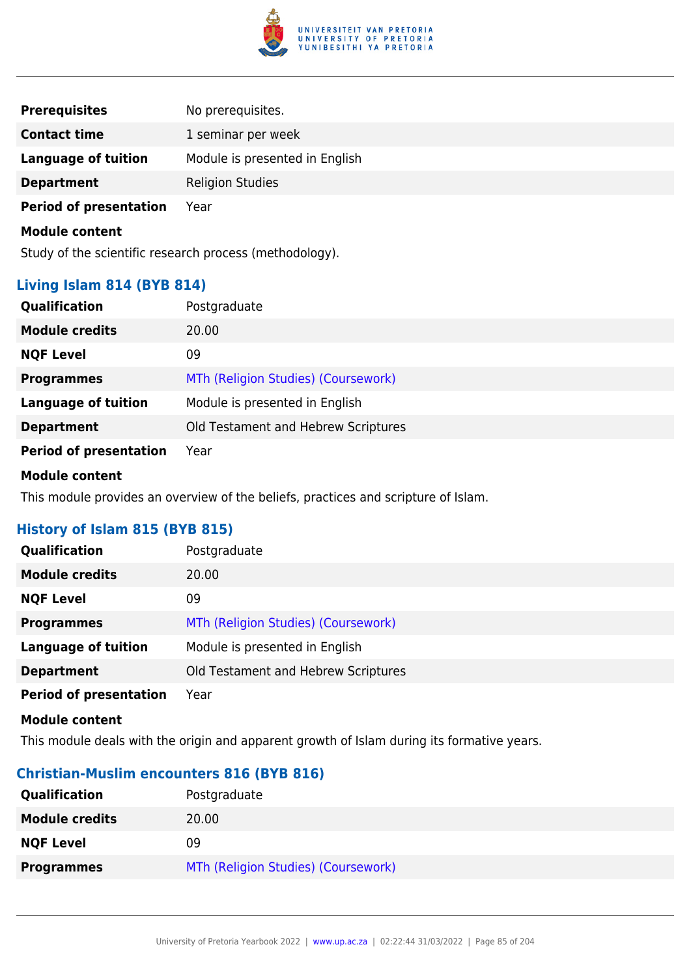

| <b>Prerequisites</b>          | No prerequisites.              |
|-------------------------------|--------------------------------|
| <b>Contact time</b>           | 1 seminar per week             |
| <b>Language of tuition</b>    | Module is presented in English |
| <b>Department</b>             | <b>Religion Studies</b>        |
| <b>Period of presentation</b> | Year                           |
| <b>Module content</b>         |                                |

Study of the scientific research process (methodology).

## **Living Islam 814 (BYB 814)**

| <b>Qualification</b>          | Postgraduate                        |
|-------------------------------|-------------------------------------|
| <b>Module credits</b>         | 20.00                               |
| <b>NQF Level</b>              | 09                                  |
| <b>Programmes</b>             | MTh (Religion Studies) (Coursework) |
| <b>Language of tuition</b>    | Module is presented in English      |
| <b>Department</b>             | Old Testament and Hebrew Scriptures |
| <b>Period of presentation</b> | Year                                |

#### **Module content**

This module provides an overview of the beliefs, practices and scripture of Islam.

## **History of Islam 815 (BYB 815)**

| Qualification                 | Postgraduate                        |
|-------------------------------|-------------------------------------|
| <b>Module credits</b>         | 20.00                               |
| <b>NQF Level</b>              | 09                                  |
| <b>Programmes</b>             | MTh (Religion Studies) (Coursework) |
| <b>Language of tuition</b>    | Module is presented in English      |
| <b>Department</b>             | Old Testament and Hebrew Scriptures |
| <b>Period of presentation</b> | Year                                |

#### **Module content**

This module deals with the origin and apparent growth of Islam during its formative years.

#### **Christian-Muslim encounters 816 (BYB 816)**

| <b>Qualification</b>  | Postgraduate                        |
|-----------------------|-------------------------------------|
| <b>Module credits</b> | 20.00                               |
| <b>NQF Level</b>      | 09                                  |
| <b>Programmes</b>     | MTh (Religion Studies) (Coursework) |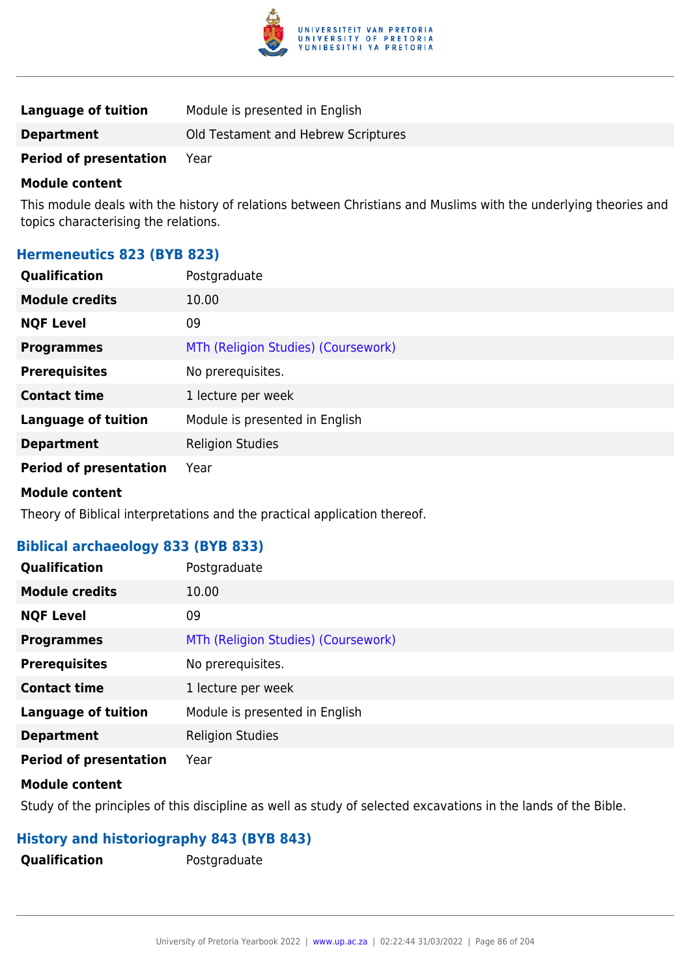

| <b>Language of tuition</b>    | Module is presented in English      |
|-------------------------------|-------------------------------------|
| <b>Department</b>             | Old Testament and Hebrew Scriptures |
| <b>Period of presentation</b> | Year                                |

This module deals with the history of relations between Christians and Muslims with the underlying theories and topics characterising the relations.

## **Hermeneutics 823 (BYB 823)**

| <b>Qualification</b>          | Postgraduate                        |
|-------------------------------|-------------------------------------|
| <b>Module credits</b>         | 10.00                               |
| <b>NQF Level</b>              | 09                                  |
| <b>Programmes</b>             | MTh (Religion Studies) (Coursework) |
| <b>Prerequisites</b>          | No prerequisites.                   |
| <b>Contact time</b>           | 1 lecture per week                  |
| <b>Language of tuition</b>    | Module is presented in English      |
| <b>Department</b>             | <b>Religion Studies</b>             |
| <b>Period of presentation</b> | Year                                |

#### **Module content**

Theory of Biblical interpretations and the practical application thereof.

## **Biblical archaeology 833 (BYB 833)**

| Qualification                 | Postgraduate                        |
|-------------------------------|-------------------------------------|
| <b>Module credits</b>         | 10.00                               |
| <b>NQF Level</b>              | 09                                  |
| <b>Programmes</b>             | MTh (Religion Studies) (Coursework) |
| <b>Prerequisites</b>          | No prerequisites.                   |
| <b>Contact time</b>           | 1 lecture per week                  |
| <b>Language of tuition</b>    | Module is presented in English      |
| <b>Department</b>             | <b>Religion Studies</b>             |
| <b>Period of presentation</b> | Year                                |

#### **Module content**

Study of the principles of this discipline as well as study of selected excavations in the lands of the Bible.

## **History and historiography 843 (BYB 843)**

**Qualification** Postgraduate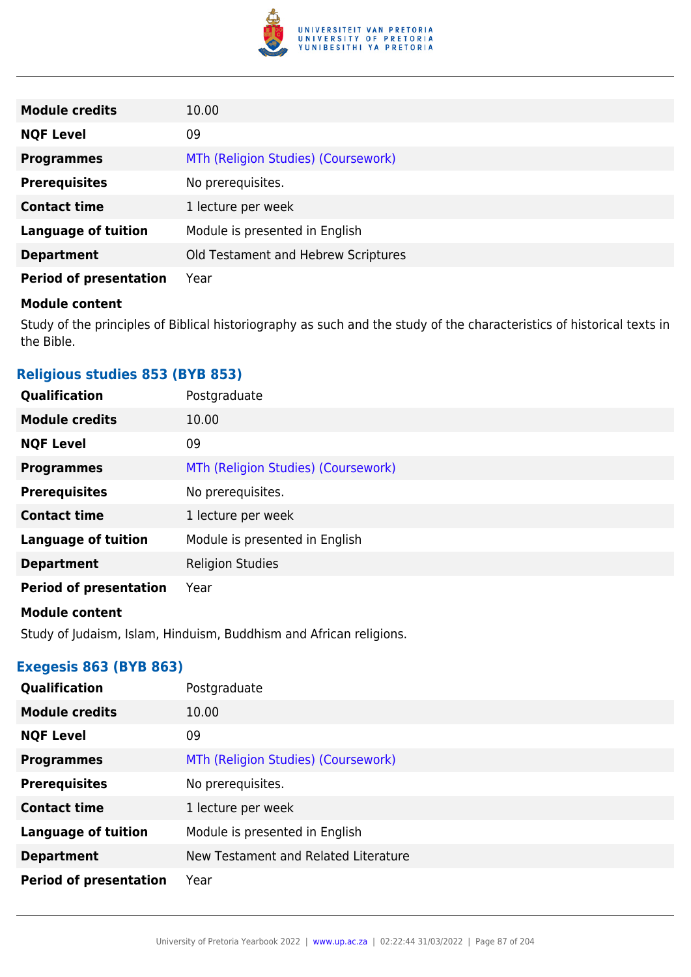

| <b>Module credits</b>         | 10.00                               |
|-------------------------------|-------------------------------------|
| <b>NQF Level</b>              | 09                                  |
| <b>Programmes</b>             | MTh (Religion Studies) (Coursework) |
| <b>Prerequisites</b>          | No prerequisites.                   |
| <b>Contact time</b>           | 1 lecture per week                  |
| <b>Language of tuition</b>    | Module is presented in English      |
| <b>Department</b>             | Old Testament and Hebrew Scriptures |
| <b>Period of presentation</b> | Year                                |

Study of the principles of Biblical historiography as such and the study of the characteristics of historical texts in the Bible.

## **Religious studies 853 (BYB 853)**

| Qualification                 | Postgraduate                        |
|-------------------------------|-------------------------------------|
| <b>Module credits</b>         | 10.00                               |
| <b>NQF Level</b>              | 09                                  |
| <b>Programmes</b>             | MTh (Religion Studies) (Coursework) |
| <b>Prerequisites</b>          | No prerequisites.                   |
| <b>Contact time</b>           | 1 lecture per week                  |
| <b>Language of tuition</b>    | Module is presented in English      |
| <b>Department</b>             | <b>Religion Studies</b>             |
| <b>Period of presentation</b> | Year                                |

#### **Module content**

Study of Judaism, Islam, Hinduism, Buddhism and African religions.

## **Exegesis 863 (BYB 863)**

| Qualification                 | Postgraduate                         |
|-------------------------------|--------------------------------------|
| <b>Module credits</b>         | 10.00                                |
| <b>NQF Level</b>              | 09                                   |
| <b>Programmes</b>             | MTh (Religion Studies) (Coursework)  |
| <b>Prerequisites</b>          | No prerequisites.                    |
| <b>Contact time</b>           | 1 lecture per week                   |
| <b>Language of tuition</b>    | Module is presented in English       |
| <b>Department</b>             | New Testament and Related Literature |
| <b>Period of presentation</b> | Year                                 |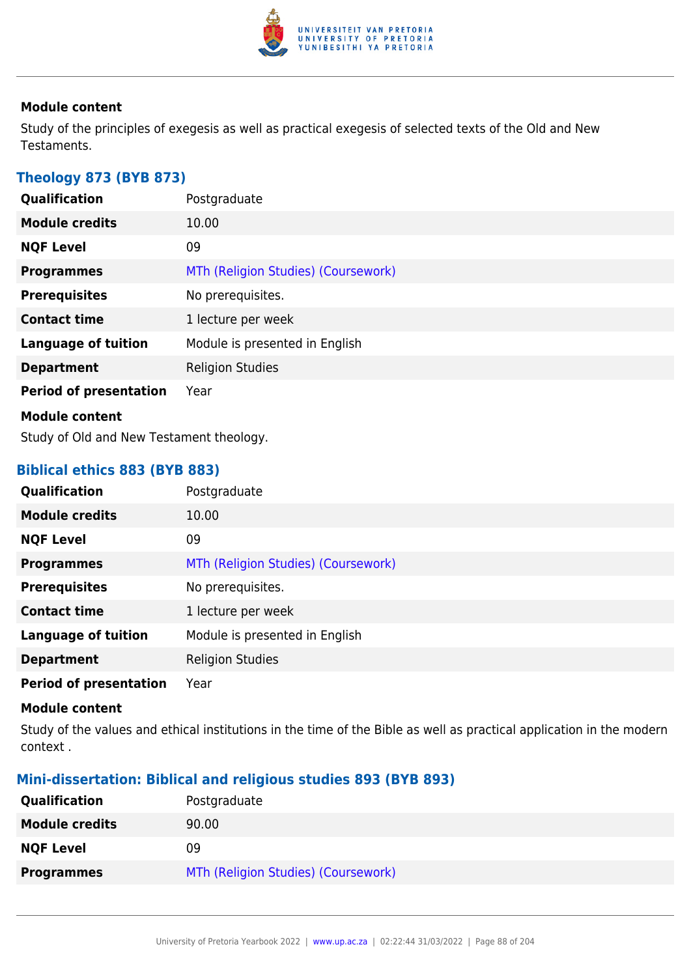

Study of the principles of exegesis as well as practical exegesis of selected texts of the Old and New Testaments.

## **Theology 873 (BYB 873)**

| Qualification                 | Postgraduate                        |
|-------------------------------|-------------------------------------|
| <b>Module credits</b>         | 10.00                               |
| <b>NQF Level</b>              | 09                                  |
| <b>Programmes</b>             | MTh (Religion Studies) (Coursework) |
| <b>Prerequisites</b>          | No prerequisites.                   |
| <b>Contact time</b>           | 1 lecture per week                  |
| <b>Language of tuition</b>    | Module is presented in English      |
| <b>Department</b>             | <b>Religion Studies</b>             |
| <b>Period of presentation</b> | Year                                |
| <b>Module content</b>         |                                     |

Study of Old and New Testament theology.

## **Biblical ethics 883 (BYB 883)**

| Qualification                 | Postgraduate                        |
|-------------------------------|-------------------------------------|
| <b>Module credits</b>         | 10.00                               |
| <b>NQF Level</b>              | 09                                  |
| <b>Programmes</b>             | MTh (Religion Studies) (Coursework) |
| <b>Prerequisites</b>          | No prerequisites.                   |
| <b>Contact time</b>           | 1 lecture per week                  |
| <b>Language of tuition</b>    | Module is presented in English      |
| <b>Department</b>             | <b>Religion Studies</b>             |
| <b>Period of presentation</b> | Year                                |

#### **Module content**

Study of the values and ethical institutions in the time of the Bible as well as practical application in the modern context .

## **Mini-dissertation: Biblical and religious studies 893 (BYB 893)**

| Qualification         | Postgraduate                        |
|-----------------------|-------------------------------------|
| <b>Module credits</b> | 90.00                               |
| <b>NQF Level</b>      | 09                                  |
| <b>Programmes</b>     | MTh (Religion Studies) (Coursework) |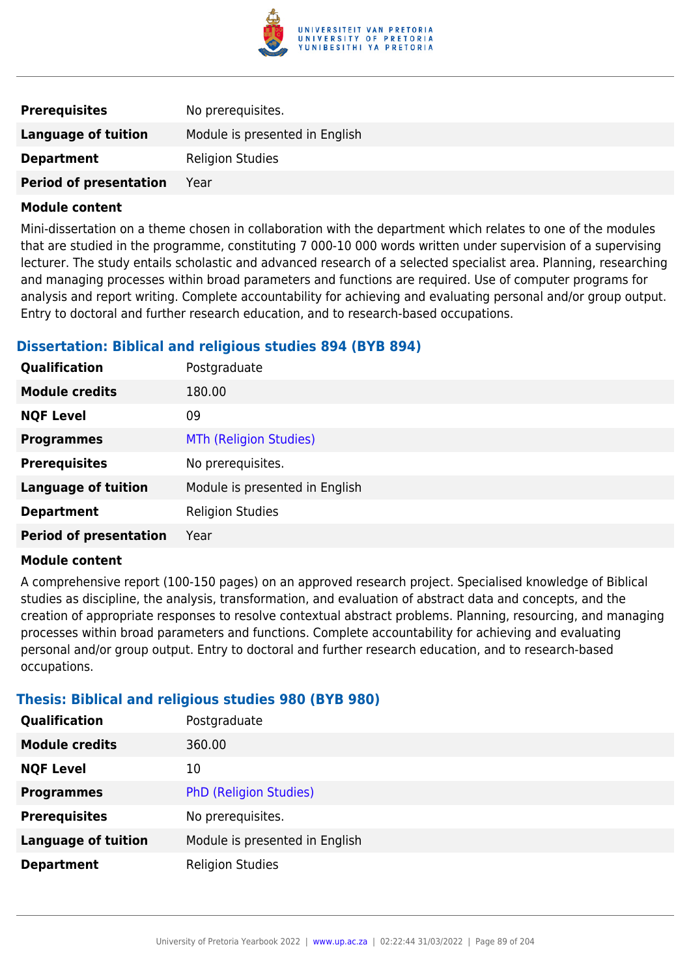

| <b>Prerequisites</b>          | No prerequisites.              |
|-------------------------------|--------------------------------|
| Language of tuition           | Module is presented in English |
| <b>Department</b>             | <b>Religion Studies</b>        |
| <b>Period of presentation</b> | Year                           |

Mini-dissertation on a theme chosen in collaboration with the department which relates to one of the modules that are studied in the programme, constituting 7 000-10 000 words written under supervision of a supervising lecturer. The study entails scholastic and advanced research of a selected specialist area. Planning, researching and managing processes within broad parameters and functions are required. Use of computer programs for analysis and report writing. Complete accountability for achieving and evaluating personal and/or group output. Entry to doctoral and further research education, and to research-based occupations.

## **Dissertation: Biblical and religious studies 894 (BYB 894)**

| Qualification                 | Postgraduate                   |
|-------------------------------|--------------------------------|
| <b>Module credits</b>         | 180.00                         |
| <b>NQF Level</b>              | 09                             |
| <b>Programmes</b>             | <b>MTh (Religion Studies)</b>  |
| <b>Prerequisites</b>          | No prerequisites.              |
| <b>Language of tuition</b>    | Module is presented in English |
| <b>Department</b>             | <b>Religion Studies</b>        |
| <b>Period of presentation</b> | Year                           |

#### **Module content**

A comprehensive report (100-150 pages) on an approved research project. Specialised knowledge of Biblical studies as discipline, the analysis, transformation, and evaluation of abstract data and concepts, and the creation of appropriate responses to resolve contextual abstract problems. Planning, resourcing, and managing processes within broad parameters and functions. Complete accountability for achieving and evaluating personal and/or group output. Entry to doctoral and further research education, and to research-based occupations.

## **Thesis: Biblical and religious studies 980 (BYB 980)**

| <b>Qualification</b>       | Postgraduate                   |
|----------------------------|--------------------------------|
| <b>Module credits</b>      | 360.00                         |
| <b>NQF Level</b>           | 10                             |
| <b>Programmes</b>          | <b>PhD (Religion Studies)</b>  |
| <b>Prerequisites</b>       | No prerequisites.              |
| <b>Language of tuition</b> | Module is presented in English |
| <b>Department</b>          | <b>Religion Studies</b>        |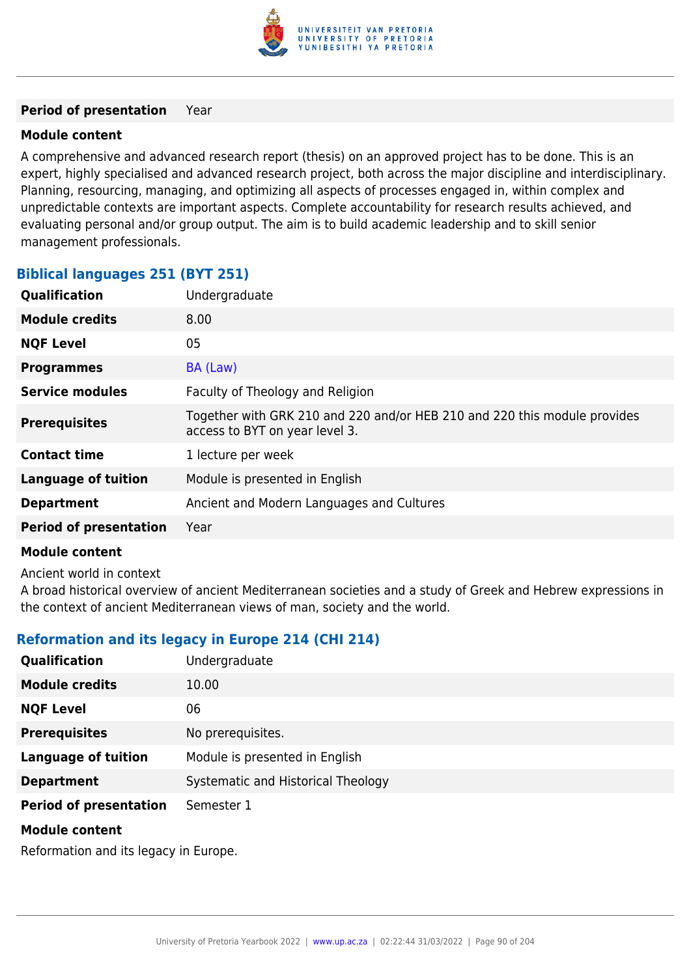

#### **Period of presentation** Year

#### **Module content**

A comprehensive and advanced research report (thesis) on an approved project has to be done. This is an expert, highly specialised and advanced research project, both across the major discipline and interdisciplinary. Planning, resourcing, managing, and optimizing all aspects of processes engaged in, within complex and unpredictable contexts are important aspects. Complete accountability for research results achieved, and evaluating personal and/or group output. The aim is to build academic leadership and to skill senior management professionals.

## **Biblical languages 251 (BYT 251)**

| <b>Qualification</b>          | Undergraduate                                                                                               |
|-------------------------------|-------------------------------------------------------------------------------------------------------------|
| <b>Module credits</b>         | 8.00                                                                                                        |
| <b>NQF Level</b>              | 05                                                                                                          |
| <b>Programmes</b>             | BA (Law)                                                                                                    |
| <b>Service modules</b>        | Faculty of Theology and Religion                                                                            |
| <b>Prerequisites</b>          | Together with GRK 210 and 220 and/or HEB 210 and 220 this module provides<br>access to BYT on year level 3. |
| <b>Contact time</b>           | 1 lecture per week                                                                                          |
| <b>Language of tuition</b>    | Module is presented in English                                                                              |
| <b>Department</b>             | Ancient and Modern Languages and Cultures                                                                   |
| <b>Period of presentation</b> | Year                                                                                                        |

#### **Module content**

Ancient world in context

A broad historical overview of ancient Mediterranean societies and a study of Greek and Hebrew expressions in the context of ancient Mediterranean views of man, society and the world.

## **Reformation and its legacy in Europe 214 (CHI 214)**

| Qualification                 | Undergraduate                      |
|-------------------------------|------------------------------------|
| <b>Module credits</b>         | 10.00                              |
| <b>NQF Level</b>              | 06                                 |
| <b>Prerequisites</b>          | No prerequisites.                  |
| <b>Language of tuition</b>    | Module is presented in English     |
| <b>Department</b>             | Systematic and Historical Theology |
| <b>Period of presentation</b> | Semester 1                         |
| <b>Module content</b>         |                                    |

Reformation and its legacy in Europe.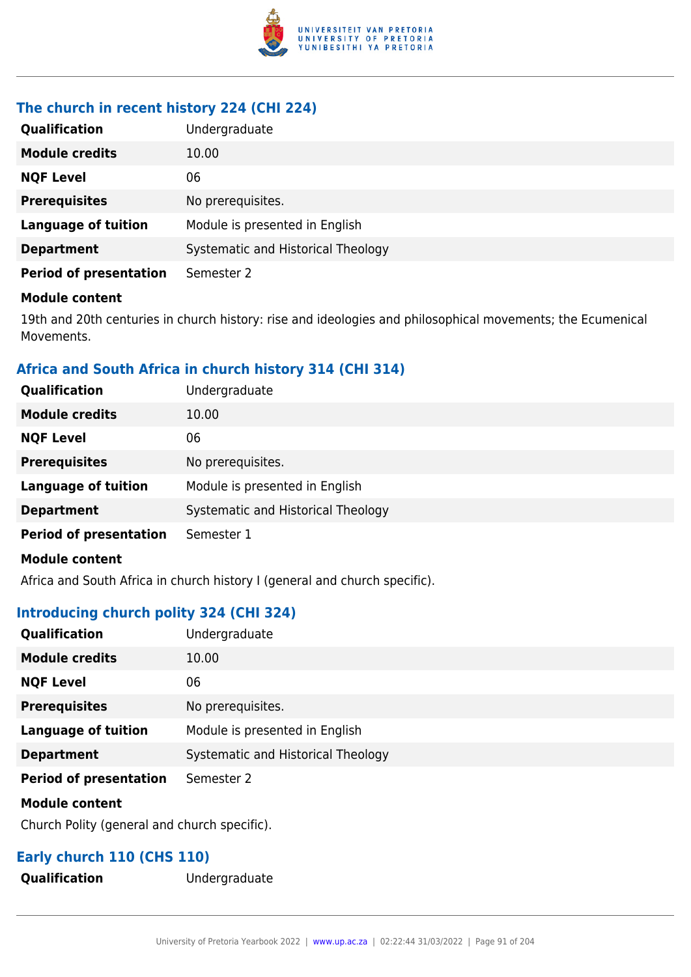

## **The church in recent history 224 (CHI 224)**

| Qualification                 | Undergraduate                      |
|-------------------------------|------------------------------------|
| <b>Module credits</b>         | 10.00                              |
| <b>NQF Level</b>              | 06                                 |
| <b>Prerequisites</b>          | No prerequisites.                  |
| <b>Language of tuition</b>    | Module is presented in English     |
| <b>Department</b>             | Systematic and Historical Theology |
| <b>Period of presentation</b> | Semester 2                         |

#### **Module content**

19th and 20th centuries in church history: rise and ideologies and philosophical movements; the Ecumenical Movements.

## **Africa and South Africa in church history 314 (CHI 314)**

| Qualification                 | Undergraduate                      |
|-------------------------------|------------------------------------|
| <b>Module credits</b>         | 10.00                              |
| <b>NQF Level</b>              | 06                                 |
| <b>Prerequisites</b>          | No prerequisites.                  |
| <b>Language of tuition</b>    | Module is presented in English     |
| <b>Department</b>             | Systematic and Historical Theology |
| <b>Period of presentation</b> | Semester 1                         |
| <b>Module content</b>         |                                    |

Africa and South Africa in church history I (general and church specific).

## **Introducing church polity 324 (CHI 324)**

| Qualification                 | Undergraduate                      |
|-------------------------------|------------------------------------|
| <b>Module credits</b>         | 10.00                              |
| <b>NQF Level</b>              | 06                                 |
| <b>Prerequisites</b>          | No prerequisites.                  |
| <b>Language of tuition</b>    | Module is presented in English     |
| <b>Department</b>             | Systematic and Historical Theology |
| <b>Period of presentation</b> | Semester 2                         |
| <b>Module content</b>         |                                    |

Church Polity (general and church specific).

## **Early church 110 (CHS 110)**

**Qualification** Undergraduate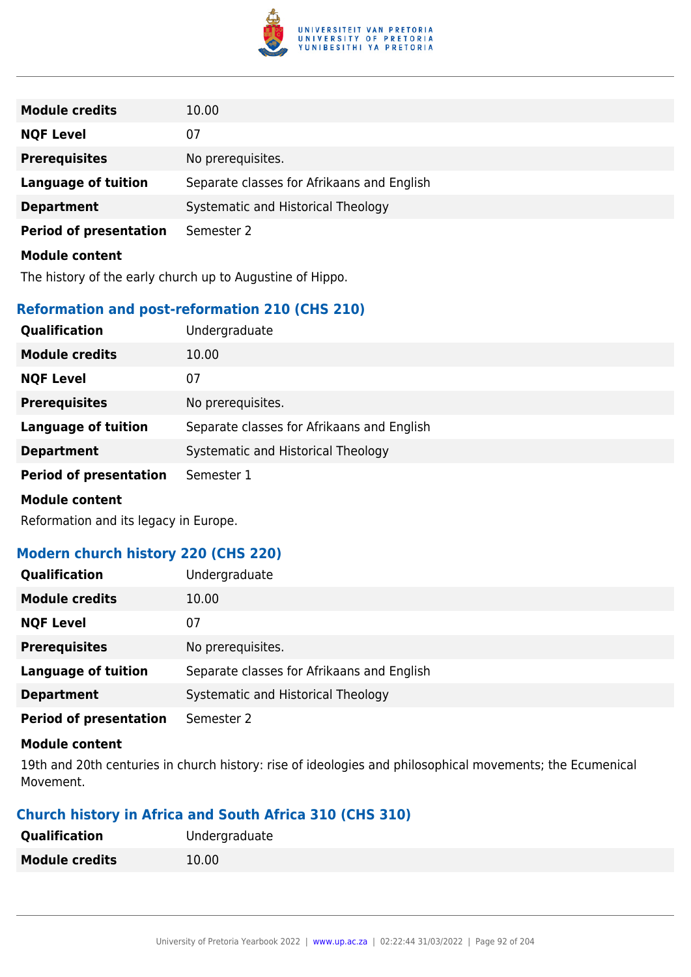

| <b>Module credits</b>         | 10.00                                      |
|-------------------------------|--------------------------------------------|
| <b>NQF Level</b>              | 07                                         |
| <b>Prerequisites</b>          | No prerequisites.                          |
| <b>Language of tuition</b>    | Separate classes for Afrikaans and English |
| <b>Department</b>             | Systematic and Historical Theology         |
| <b>Period of presentation</b> | Semester 2                                 |
| <b>Module content</b>         |                                            |

The history of the early church up to Augustine of Hippo.

## **Reformation and post-reformation 210 (CHS 210)**

| Qualification                 | Undergraduate                              |
|-------------------------------|--------------------------------------------|
| <b>Module credits</b>         | 10.00                                      |
| <b>NQF Level</b>              | 07                                         |
| <b>Prerequisites</b>          | No prerequisites.                          |
| <b>Language of tuition</b>    | Separate classes for Afrikaans and English |
| <b>Department</b>             | Systematic and Historical Theology         |
| <b>Period of presentation</b> | Semester 1                                 |
| .                             |                                            |

#### **Module content**

Reformation and its legacy in Europe.

## **Modern church history 220 (CHS 220)**

| <b>Qualification</b>          | Undergraduate                              |
|-------------------------------|--------------------------------------------|
| <b>Module credits</b>         | 10.00                                      |
| <b>NQF Level</b>              | 07                                         |
| <b>Prerequisites</b>          | No prerequisites.                          |
| <b>Language of tuition</b>    | Separate classes for Afrikaans and English |
| <b>Department</b>             | Systematic and Historical Theology         |
| <b>Period of presentation</b> | Semester 2                                 |

#### **Module content**

19th and 20th centuries in church history: rise of ideologies and philosophical movements; the Ecumenical Movement.

## **Church history in Africa and South Africa 310 (CHS 310)**

| <b>Qualification</b>  | Undergraduate |
|-----------------------|---------------|
| <b>Module credits</b> | 10.00         |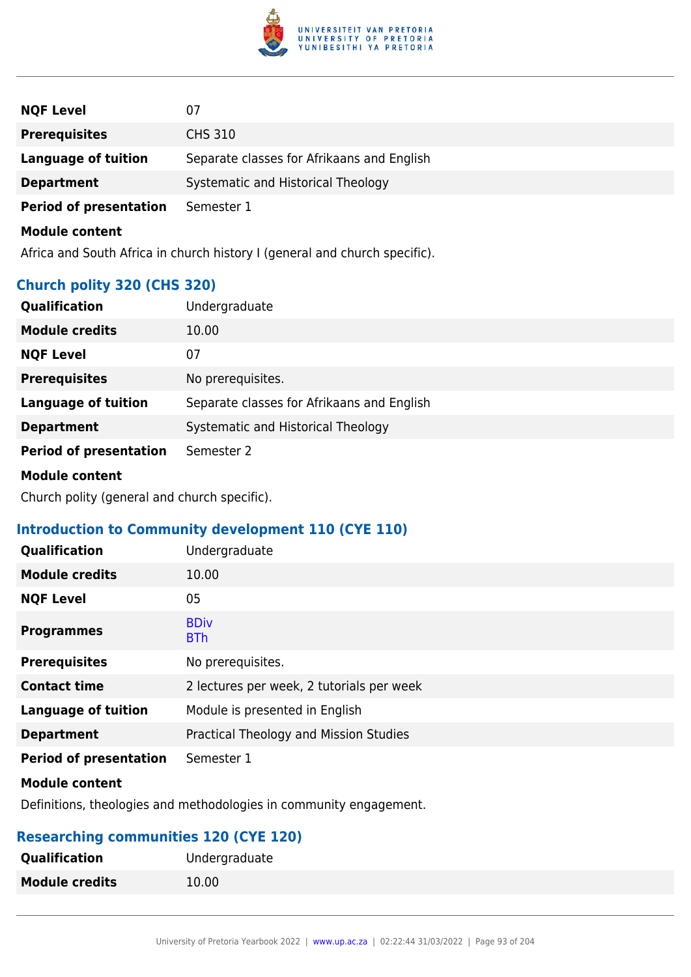

| <b>NQF Level</b>              | 07                                         |
|-------------------------------|--------------------------------------------|
| <b>Prerequisites</b>          | <b>CHS 310</b>                             |
| <b>Language of tuition</b>    | Separate classes for Afrikaans and English |
| <b>Department</b>             | Systematic and Historical Theology         |
| <b>Period of presentation</b> | Semester 1                                 |
| <b>Module content</b>         |                                            |

Africa and South Africa in church history I (general and church specific).

## **Church polity 320 (CHS 320)**

| <b>Qualification</b>          | Undergraduate                              |
|-------------------------------|--------------------------------------------|
| <b>Module credits</b>         | 10.00                                      |
| <b>NQF Level</b>              | 07                                         |
| <b>Prerequisites</b>          | No prerequisites.                          |
| <b>Language of tuition</b>    | Separate classes for Afrikaans and English |
| <b>Department</b>             | Systematic and Historical Theology         |
| <b>Period of presentation</b> | Semester 2                                 |

#### **Module content**

Church polity (general and church specific).

## **Introduction to Community development 110 (CYE 110)**

| Qualification                 | Undergraduate                             |
|-------------------------------|-------------------------------------------|
| <b>Module credits</b>         | 10.00                                     |
| <b>NQF Level</b>              | 05                                        |
| <b>Programmes</b>             | <b>BDiv</b><br><b>BTh</b>                 |
| <b>Prerequisites</b>          | No prerequisites.                         |
| <b>Contact time</b>           | 2 lectures per week, 2 tutorials per week |
| <b>Language of tuition</b>    | Module is presented in English            |
| <b>Department</b>             | Practical Theology and Mission Studies    |
| <b>Period of presentation</b> | Semester 1                                |

#### **Module content**

Definitions, theologies and methodologies in community engagement.

## **Researching communities 120 (CYE 120)**

| <b>Qualification</b>  | Undergraduate |
|-----------------------|---------------|
| <b>Module credits</b> | 10.00         |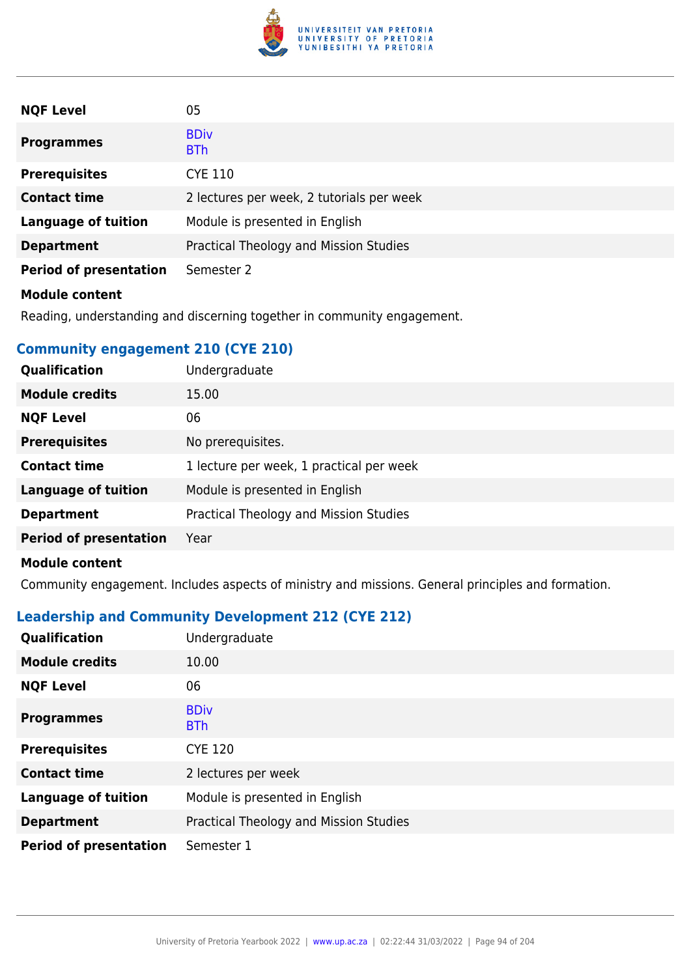

| <b>NQF Level</b>              | 05                                        |
|-------------------------------|-------------------------------------------|
| <b>Programmes</b>             | <b>BDiv</b><br><b>BTh</b>                 |
| <b>Prerequisites</b>          | <b>CYE 110</b>                            |
| <b>Contact time</b>           | 2 lectures per week, 2 tutorials per week |
| <b>Language of tuition</b>    | Module is presented in English            |
| <b>Department</b>             | Practical Theology and Mission Studies    |
| <b>Period of presentation</b> | Semester 2                                |
| <b>Module content</b>         |                                           |

Reading, understanding and discerning together in community engagement.

## **Community engagement 210 (CYE 210)**

| Qualification                 | Undergraduate                            |
|-------------------------------|------------------------------------------|
| <b>Module credits</b>         | 15.00                                    |
| <b>NQF Level</b>              | 06                                       |
| <b>Prerequisites</b>          | No prerequisites.                        |
| <b>Contact time</b>           | 1 lecture per week, 1 practical per week |
| <b>Language of tuition</b>    | Module is presented in English           |
| <b>Department</b>             | Practical Theology and Mission Studies   |
| <b>Period of presentation</b> | Year                                     |
| <b>Module content</b>         |                                          |

Community engagement. Includes aspects of ministry and missions. General principles and formation.

## **Leadership and Community Development 212 (CYE 212)**

| Qualification                 | Undergraduate                          |
|-------------------------------|----------------------------------------|
| <b>Module credits</b>         | 10.00                                  |
| <b>NQF Level</b>              | 06                                     |
| <b>Programmes</b>             | <b>BDiv</b><br><b>BTh</b>              |
| <b>Prerequisites</b>          | <b>CYE 120</b>                         |
| <b>Contact time</b>           | 2 lectures per week                    |
| <b>Language of tuition</b>    | Module is presented in English         |
| <b>Department</b>             | Practical Theology and Mission Studies |
| <b>Period of presentation</b> | Semester 1                             |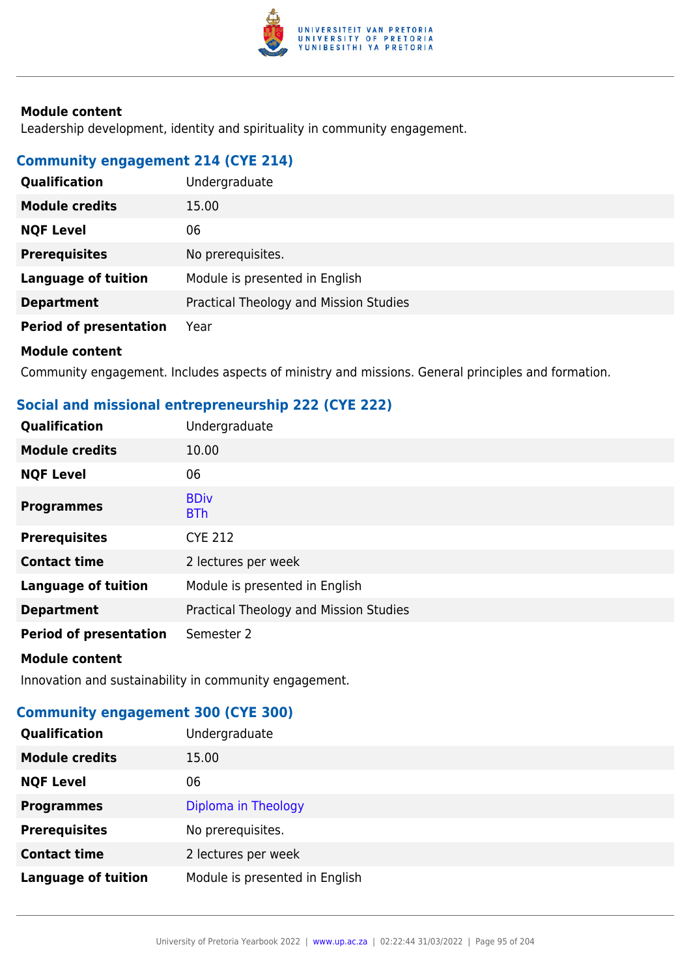

Leadership development, identity and spirituality in community engagement.

## **Community engagement 214 (CYE 214)**

| Qualification                 | Undergraduate                          |
|-------------------------------|----------------------------------------|
| <b>Module credits</b>         | 15.00                                  |
| <b>NQF Level</b>              | 06                                     |
| <b>Prerequisites</b>          | No prerequisites.                      |
| <b>Language of tuition</b>    | Module is presented in English         |
| <b>Department</b>             | Practical Theology and Mission Studies |
| <b>Period of presentation</b> | Year                                   |
|                               |                                        |

### **Module content**

Community engagement. Includes aspects of ministry and missions. General principles and formation.

## **Social and missional entrepreneurship 222 (CYE 222)**

| Qualification                 | Undergraduate                          |
|-------------------------------|----------------------------------------|
| <b>Module credits</b>         | 10.00                                  |
| <b>NQF Level</b>              | 06                                     |
| <b>Programmes</b>             | <b>BDiv</b><br><b>BTh</b>              |
| <b>Prerequisites</b>          | <b>CYE 212</b>                         |
| <b>Contact time</b>           | 2 lectures per week                    |
| <b>Language of tuition</b>    | Module is presented in English         |
| <b>Department</b>             | Practical Theology and Mission Studies |
| <b>Period of presentation</b> | Semester 2                             |
| <b>Module content</b>         |                                        |

Innovation and sustainability in community engagement.

## **Community engagement 300 (CYE 300)**

| Qualification              | Undergraduate                  |
|----------------------------|--------------------------------|
| <b>Module credits</b>      | 15.00                          |
| <b>NQF Level</b>           | 06                             |
| <b>Programmes</b>          | Diploma in Theology            |
| <b>Prerequisites</b>       | No prerequisites.              |
| <b>Contact time</b>        | 2 lectures per week            |
| <b>Language of tuition</b> | Module is presented in English |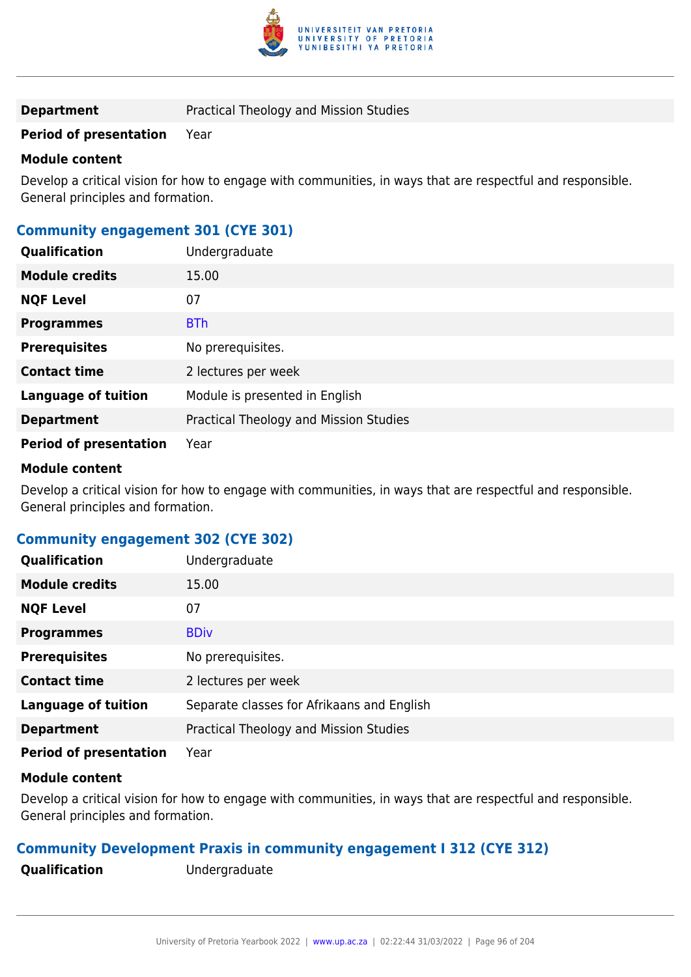

**Department** Practical Theology and Mission Studies

### **Period of presentation** Year

#### **Module content**

Develop a critical vision for how to engage with communities, in ways that are respectful and responsible. General principles and formation.

## **Community engagement 301 (CYE 301)**

| Qualification                 | Undergraduate                          |
|-------------------------------|----------------------------------------|
| <b>Module credits</b>         | 15.00                                  |
| <b>NQF Level</b>              | 07                                     |
| <b>Programmes</b>             | <b>BTh</b>                             |
| <b>Prerequisites</b>          | No prerequisites.                      |
| <b>Contact time</b>           | 2 lectures per week                    |
| <b>Language of tuition</b>    | Module is presented in English         |
| <b>Department</b>             | Practical Theology and Mission Studies |
| <b>Period of presentation</b> | Year                                   |

#### **Module content**

Develop a critical vision for how to engage with communities, in ways that are respectful and responsible. General principles and formation.

## **Community engagement 302 (CYE 302)**

| Qualification                 | Undergraduate                              |
|-------------------------------|--------------------------------------------|
| <b>Module credits</b>         | 15.00                                      |
| <b>NQF Level</b>              | 07                                         |
| <b>Programmes</b>             | <b>BDiv</b>                                |
| <b>Prerequisites</b>          | No prerequisites.                          |
| <b>Contact time</b>           | 2 lectures per week                        |
| <b>Language of tuition</b>    | Separate classes for Afrikaans and English |
| <b>Department</b>             | Practical Theology and Mission Studies     |
| <b>Period of presentation</b> | Year                                       |

#### **Module content**

Develop a critical vision for how to engage with communities, in ways that are respectful and responsible. General principles and formation.

#### **Community Development Praxis in community engagement I 312 (CYE 312)**

**Qualification** Undergraduate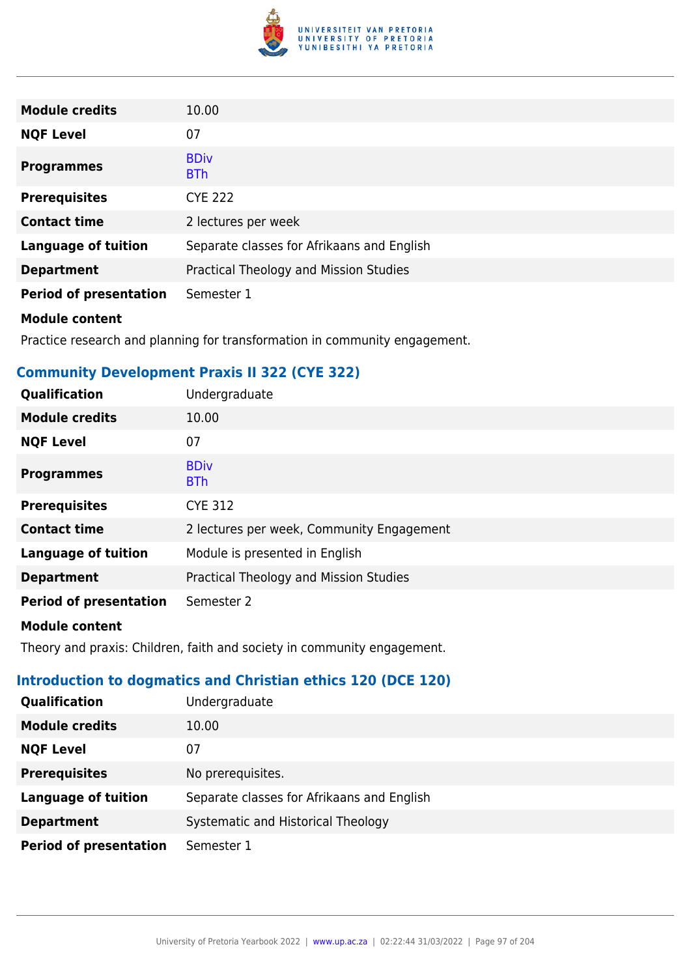

| <b>Module credits</b>         | 10.00                                      |
|-------------------------------|--------------------------------------------|
| <b>NQF Level</b>              | 07                                         |
| <b>Programmes</b>             | <b>BDiv</b><br><b>BTh</b>                  |
| <b>Prerequisites</b>          | <b>CYE 222</b>                             |
| <b>Contact time</b>           | 2 lectures per week                        |
| <b>Language of tuition</b>    | Separate classes for Afrikaans and English |
| <b>Department</b>             | Practical Theology and Mission Studies     |
| <b>Period of presentation</b> | Semester 1                                 |

Practice research and planning for transformation in community engagement.

## **Community Development Praxis II 322 (CYE 322)**

| Qualification                 | Undergraduate                             |
|-------------------------------|-------------------------------------------|
| <b>Module credits</b>         | 10.00                                     |
| <b>NQF Level</b>              | 07                                        |
| <b>Programmes</b>             | <b>BDiv</b><br><b>BTh</b>                 |
| <b>Prerequisites</b>          | <b>CYE 312</b>                            |
| <b>Contact time</b>           | 2 lectures per week, Community Engagement |
| <b>Language of tuition</b>    | Module is presented in English            |
| <b>Department</b>             | Practical Theology and Mission Studies    |
| <b>Period of presentation</b> | Semester 2                                |
|                               |                                           |

#### **Module content**

Theory and praxis: Children, faith and society in community engagement.

## **Introduction to dogmatics and Christian ethics 120 (DCE 120)**

| <b>Qualification</b>          | Undergraduate                              |
|-------------------------------|--------------------------------------------|
| <b>Module credits</b>         | 10.00                                      |
| <b>NQF Level</b>              | 07                                         |
| <b>Prerequisites</b>          | No prerequisites.                          |
| <b>Language of tuition</b>    | Separate classes for Afrikaans and English |
| <b>Department</b>             | Systematic and Historical Theology         |
| <b>Period of presentation</b> | Semester 1                                 |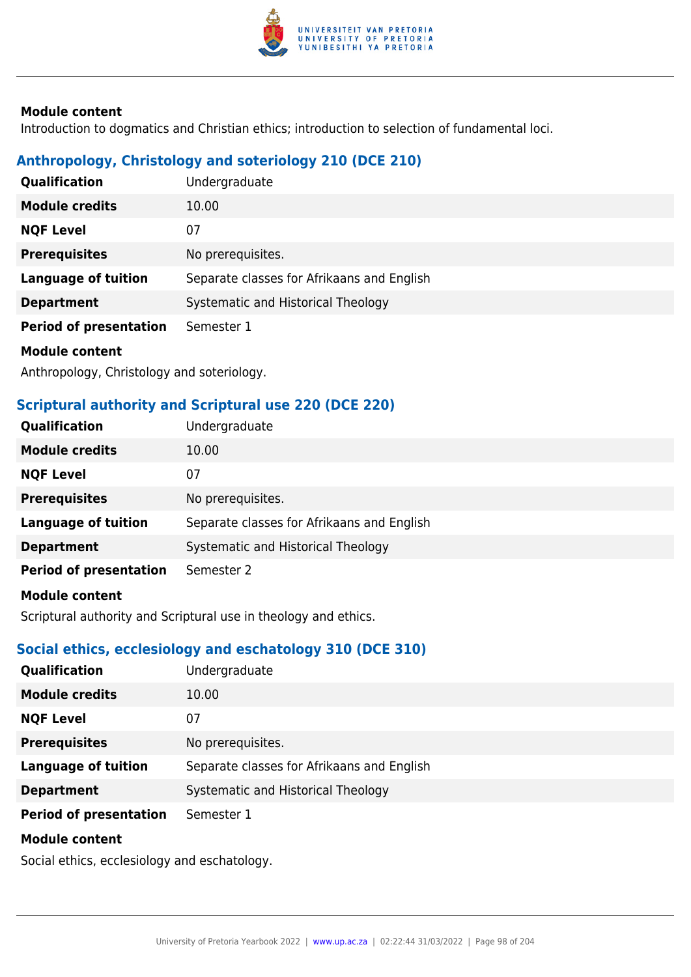

Introduction to dogmatics and Christian ethics; introduction to selection of fundamental loci.

## **Anthropology, Christology and soteriology 210 (DCE 210)**

| <b>Qualification</b>          | Undergraduate                              |
|-------------------------------|--------------------------------------------|
| <b>Module credits</b>         | 10.00                                      |
| <b>NQF Level</b>              | 07                                         |
| <b>Prerequisites</b>          | No prerequisites.                          |
| <b>Language of tuition</b>    | Separate classes for Afrikaans and English |
| <b>Department</b>             | Systematic and Historical Theology         |
| <b>Period of presentation</b> | Semester 1                                 |
| Maddele aankank               |                                            |

**Module content**

Anthropology, Christology and soteriology.

## **Scriptural authority and Scriptural use 220 (DCE 220)**

| Qualification                 | Undergraduate                              |
|-------------------------------|--------------------------------------------|
| <b>Module credits</b>         | 10.00                                      |
| <b>NQF Level</b>              | 07                                         |
| <b>Prerequisites</b>          | No prerequisites.                          |
| <b>Language of tuition</b>    | Separate classes for Afrikaans and English |
| <b>Department</b>             | Systematic and Historical Theology         |
| <b>Period of presentation</b> | Semester 2                                 |
| <b>Module content</b>         |                                            |

Scriptural authority and Scriptural use in theology and ethics.

## **Social ethics, ecclesiology and eschatology 310 (DCE 310)**

| <b>Qualification</b>          | Undergraduate                              |
|-------------------------------|--------------------------------------------|
| <b>Module credits</b>         | 10.00                                      |
| <b>NQF Level</b>              | 07                                         |
| <b>Prerequisites</b>          | No prerequisites.                          |
| <b>Language of tuition</b>    | Separate classes for Afrikaans and English |
| <b>Department</b>             | Systematic and Historical Theology         |
| <b>Period of presentation</b> | Semester 1                                 |
| <b>Module content</b>         |                                            |

Social ethics, ecclesiology and eschatology.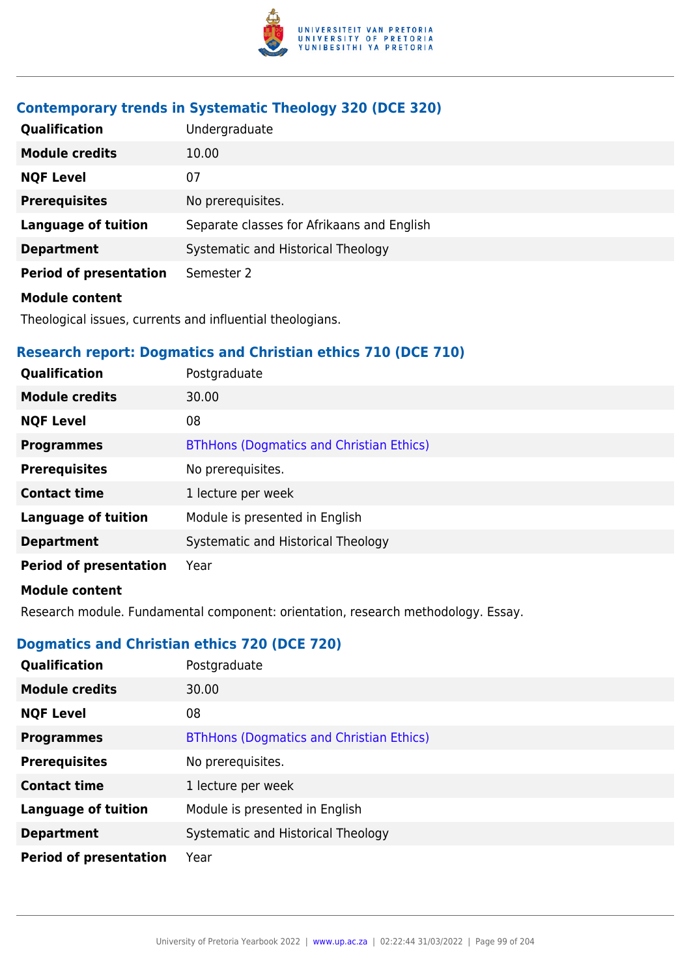

## **Contemporary trends in Systematic Theology 320 (DCE 320)**

| Qualification                 | Undergraduate                              |
|-------------------------------|--------------------------------------------|
| <b>Module credits</b>         | 10.00                                      |
| <b>NQF Level</b>              | 07                                         |
| <b>Prerequisites</b>          | No prerequisites.                          |
| <b>Language of tuition</b>    | Separate classes for Afrikaans and English |
| <b>Department</b>             | Systematic and Historical Theology         |
| <b>Period of presentation</b> | Semester 2                                 |
| <b>Module content</b>         |                                            |

Theological issues, currents and influential theologians.

## **Research report: Dogmatics and Christian ethics 710 (DCE 710)**

| <b>Qualification</b>          | Postgraduate                                    |
|-------------------------------|-------------------------------------------------|
| <b>Module credits</b>         | 30.00                                           |
| <b>NQF Level</b>              | 08                                              |
| <b>Programmes</b>             | <b>BThHons (Dogmatics and Christian Ethics)</b> |
| <b>Prerequisites</b>          | No prerequisites.                               |
| <b>Contact time</b>           | 1 lecture per week                              |
| <b>Language of tuition</b>    | Module is presented in English                  |
| <b>Department</b>             | Systematic and Historical Theology              |
| <b>Period of presentation</b> | Year                                            |
| Madula aantant                |                                                 |

#### **Module content**

Research module. Fundamental component: orientation, research methodology. Essay.

## **Dogmatics and Christian ethics 720 (DCE 720)**

| Qualification                 | Postgraduate                                    |
|-------------------------------|-------------------------------------------------|
| <b>Module credits</b>         | 30.00                                           |
| <b>NQF Level</b>              | 08                                              |
| <b>Programmes</b>             | <b>BThHons (Dogmatics and Christian Ethics)</b> |
| <b>Prerequisites</b>          | No prerequisites.                               |
| <b>Contact time</b>           | 1 lecture per week                              |
| <b>Language of tuition</b>    | Module is presented in English                  |
| <b>Department</b>             | Systematic and Historical Theology              |
| <b>Period of presentation</b> | Year                                            |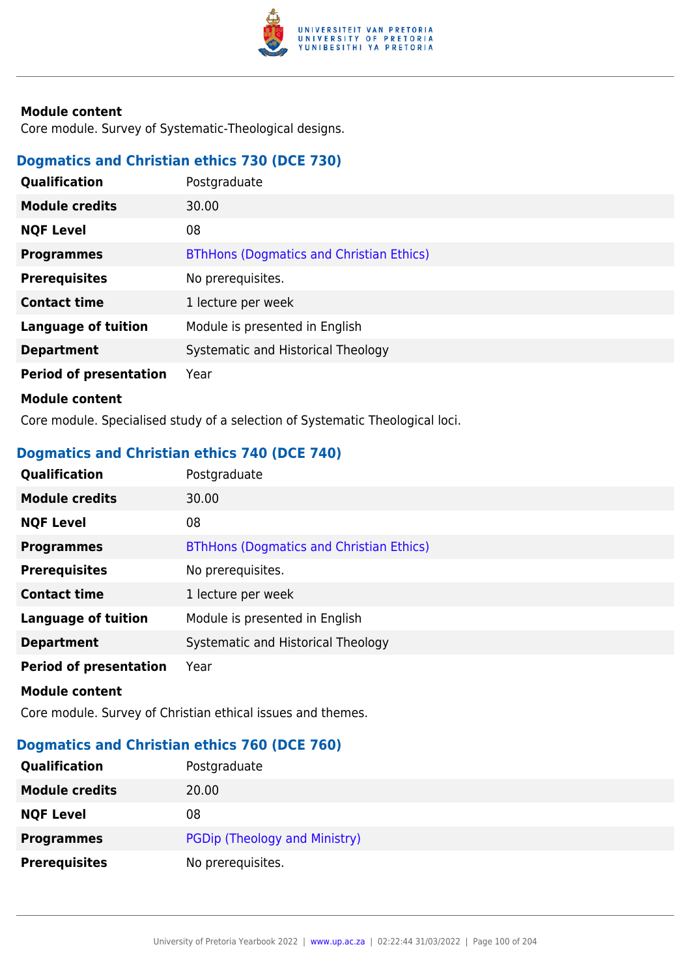

Core module. Survey of Systematic-Theological designs.

## **Dogmatics and Christian ethics 730 (DCE 730)**

| <b>Qualification</b>          | Postgraduate                                    |
|-------------------------------|-------------------------------------------------|
| <b>Module credits</b>         | 30.00                                           |
| <b>NQF Level</b>              | 08                                              |
| <b>Programmes</b>             | <b>BThHons (Dogmatics and Christian Ethics)</b> |
| <b>Prerequisites</b>          | No prerequisites.                               |
| <b>Contact time</b>           | 1 lecture per week                              |
| <b>Language of tuition</b>    | Module is presented in English                  |
| <b>Department</b>             | Systematic and Historical Theology              |
| <b>Period of presentation</b> | Year                                            |
| <b>Module content</b>         |                                                 |
|                               |                                                 |

Core module. Specialised study of a selection of Systematic Theological loci.

## **Dogmatics and Christian ethics 740 (DCE 740)**

| Qualification                 | Postgraduate                                    |
|-------------------------------|-------------------------------------------------|
| <b>Module credits</b>         | 30.00                                           |
| <b>NQF Level</b>              | 08                                              |
| <b>Programmes</b>             | <b>BThHons (Dogmatics and Christian Ethics)</b> |
| <b>Prerequisites</b>          | No prerequisites.                               |
| <b>Contact time</b>           | 1 lecture per week                              |
| <b>Language of tuition</b>    | Module is presented in English                  |
| <b>Department</b>             | Systematic and Historical Theology              |
| <b>Period of presentation</b> | Year                                            |
|                               |                                                 |

#### **Module content**

Core module. Survey of Christian ethical issues and themes.

## **Dogmatics and Christian ethics 760 (DCE 760)**

| Qualification         | Postgraduate                  |
|-----------------------|-------------------------------|
| <b>Module credits</b> | 20.00                         |
| <b>NQF Level</b>      | 08                            |
| <b>Programmes</b>     | PGDip (Theology and Ministry) |
| <b>Prerequisites</b>  | No prerequisites.             |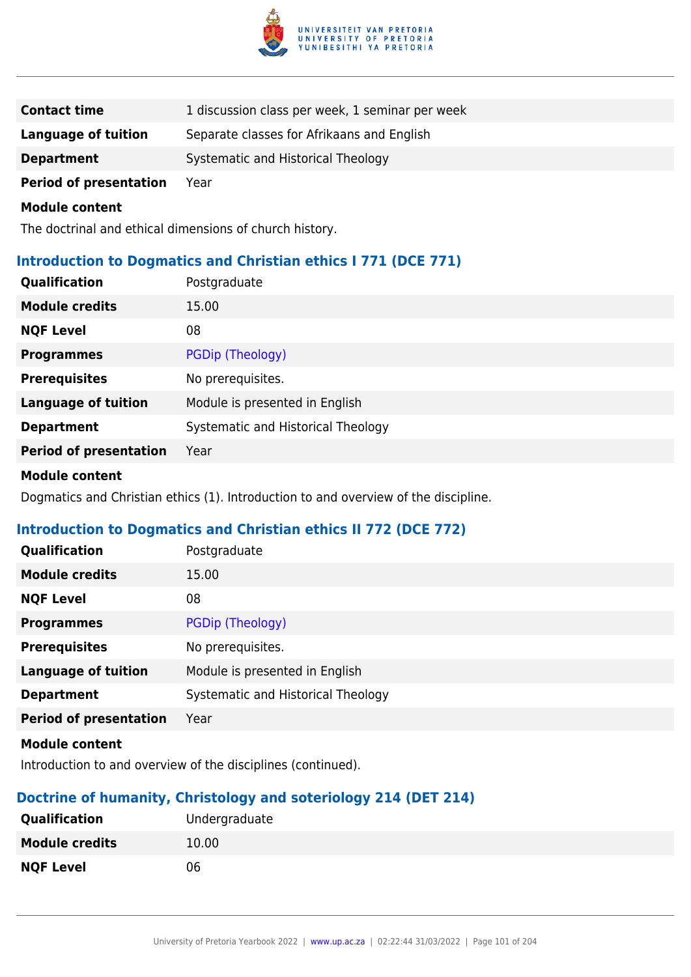

| <b>Contact time</b>           | 1 discussion class per week, 1 seminar per week |
|-------------------------------|-------------------------------------------------|
| Language of tuition           | Separate classes for Afrikaans and English      |
| <b>Department</b>             | Systematic and Historical Theology              |
| <b>Period of presentation</b> | Year                                            |

The doctrinal and ethical dimensions of church history.

## **Introduction to Dogmatics and Christian ethics I 771 (DCE 771)**

| Qualification                 | Postgraduate                       |
|-------------------------------|------------------------------------|
| <b>Module credits</b>         | 15.00                              |
| <b>NQF Level</b>              | 08                                 |
| <b>Programmes</b>             | PGDip (Theology)                   |
| <b>Prerequisites</b>          | No prerequisites.                  |
| <b>Language of tuition</b>    | Module is presented in English     |
| <b>Department</b>             | Systematic and Historical Theology |
| <b>Period of presentation</b> | Year                               |
|                               |                                    |

#### **Module content**

Dogmatics and Christian ethics (1). Introduction to and overview of the discipline.

## **Introduction to Dogmatics and Christian ethics II 772 (DCE 772)**

| Qualification                 | Postgraduate                       |
|-------------------------------|------------------------------------|
| <b>Module credits</b>         | 15.00                              |
| <b>NQF Level</b>              | 08                                 |
| <b>Programmes</b>             | PGDip (Theology)                   |
| <b>Prerequisites</b>          | No prerequisites.                  |
| <b>Language of tuition</b>    | Module is presented in English     |
| <b>Department</b>             | Systematic and Historical Theology |
| <b>Period of presentation</b> | Year                               |
| Module content                |                                    |

Introduction to and overview of the disciplines (continued).

## **Doctrine of humanity, Christology and soteriology 214 (DET 214)**

| <b>Qualification</b>  | Undergraduate |
|-----------------------|---------------|
| <b>Module credits</b> | 10.00         |
| <b>NQF Level</b>      | 06            |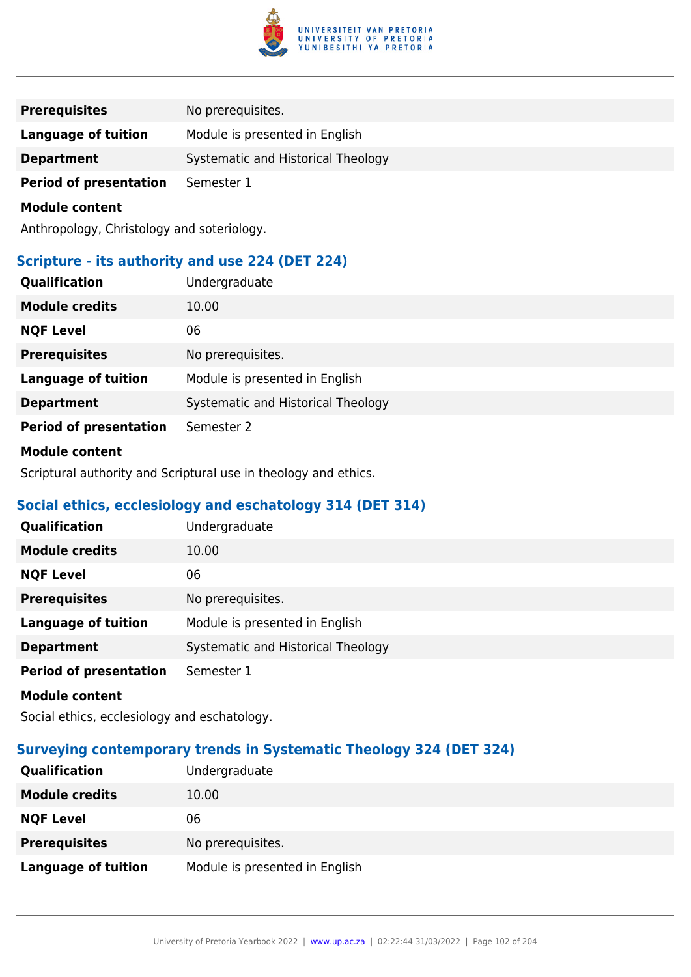

| <b>Prerequisites</b>          | No prerequisites.                  |
|-------------------------------|------------------------------------|
| Language of tuition           | Module is presented in English     |
| <b>Department</b>             | Systematic and Historical Theology |
| <b>Period of presentation</b> | Semester 1                         |

Anthropology, Christology and soteriology.

## **Scripture - its authority and use 224 (DET 224)**

| Qualification                 | Undergraduate                      |
|-------------------------------|------------------------------------|
| <b>Module credits</b>         | 10.00                              |
| <b>NQF Level</b>              | 06                                 |
| <b>Prerequisites</b>          | No prerequisites.                  |
| <b>Language of tuition</b>    | Module is presented in English     |
| <b>Department</b>             | Systematic and Historical Theology |
| <b>Period of presentation</b> | Semester 2                         |
| .                             |                                    |

#### **Module content**

Scriptural authority and Scriptural use in theology and ethics.

## **Social ethics, ecclesiology and eschatology 314 (DET 314)**

| Qualification                 | Undergraduate                      |
|-------------------------------|------------------------------------|
| <b>Module credits</b>         | 10.00                              |
| <b>NQF Level</b>              | 06                                 |
| <b>Prerequisites</b>          | No prerequisites.                  |
| <b>Language of tuition</b>    | Module is presented in English     |
| <b>Department</b>             | Systematic and Historical Theology |
| <b>Period of presentation</b> | Semester 1                         |
| <b>Module content</b>         |                                    |

Social ethics, ecclesiology and eschatology.

## **Surveying contemporary trends in Systematic Theology 324 (DET 324)**

| <b>Qualification</b>       | Undergraduate                  |
|----------------------------|--------------------------------|
| <b>Module credits</b>      | 10.00                          |
| <b>NQF Level</b>           | 06                             |
| <b>Prerequisites</b>       | No prerequisites.              |
| <b>Language of tuition</b> | Module is presented in English |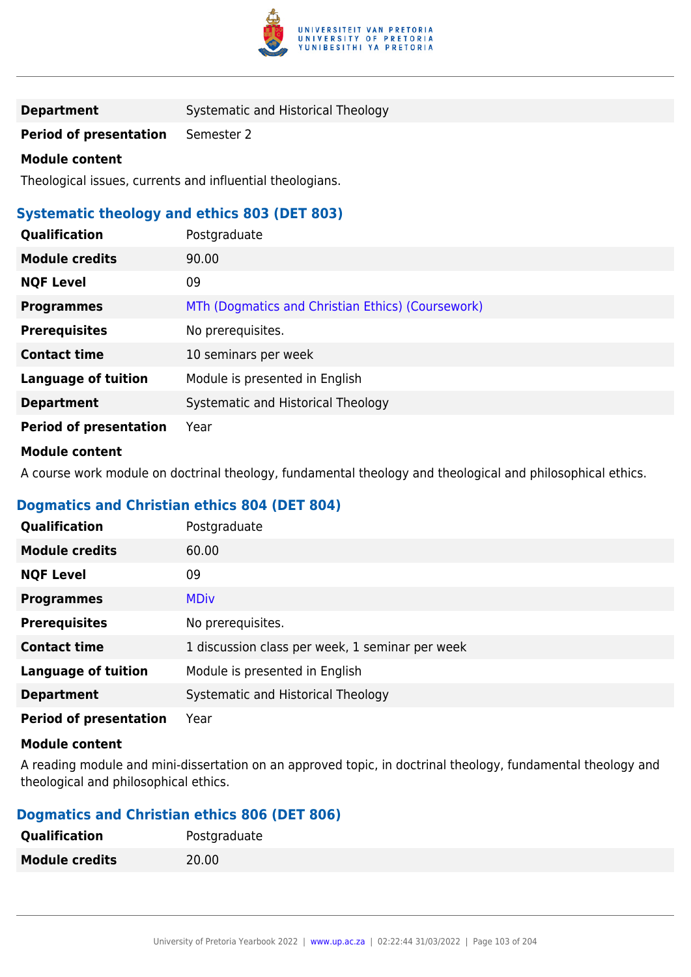

**Department** Systematic and Historical Theology

**Period of presentation** Semester 2

#### **Module content**

Theological issues, currents and influential theologians.

## **Systematic theology and ethics 803 (DET 803)**

| <b>Qualification</b>          | Postgraduate                                      |
|-------------------------------|---------------------------------------------------|
| <b>Module credits</b>         | 90.00                                             |
| <b>NQF Level</b>              | 09                                                |
| <b>Programmes</b>             | MTh (Dogmatics and Christian Ethics) (Coursework) |
| <b>Prerequisites</b>          | No prerequisites.                                 |
| <b>Contact time</b>           | 10 seminars per week                              |
| <b>Language of tuition</b>    | Module is presented in English                    |
| <b>Department</b>             | Systematic and Historical Theology                |
| <b>Period of presentation</b> | Year                                              |

#### **Module content**

A course work module on doctrinal theology, fundamental theology and theological and philosophical ethics.

## **Dogmatics and Christian ethics 804 (DET 804)**

| Qualification                 | Postgraduate                                    |
|-------------------------------|-------------------------------------------------|
| <b>Module credits</b>         | 60.00                                           |
| <b>NQF Level</b>              | 09                                              |
| <b>Programmes</b>             | <b>MDiv</b>                                     |
| <b>Prerequisites</b>          | No prerequisites.                               |
| <b>Contact time</b>           | 1 discussion class per week, 1 seminar per week |
| <b>Language of tuition</b>    | Module is presented in English                  |
| <b>Department</b>             | Systematic and Historical Theology              |
| <b>Period of presentation</b> | Year                                            |

#### **Module content**

A reading module and mini-dissertation on an approved topic, in doctrinal theology, fundamental theology and theological and philosophical ethics.

#### **Dogmatics and Christian ethics 806 (DET 806)**

| <b>Qualification</b>  | Postgraduate |
|-----------------------|--------------|
| <b>Module credits</b> | 20.00        |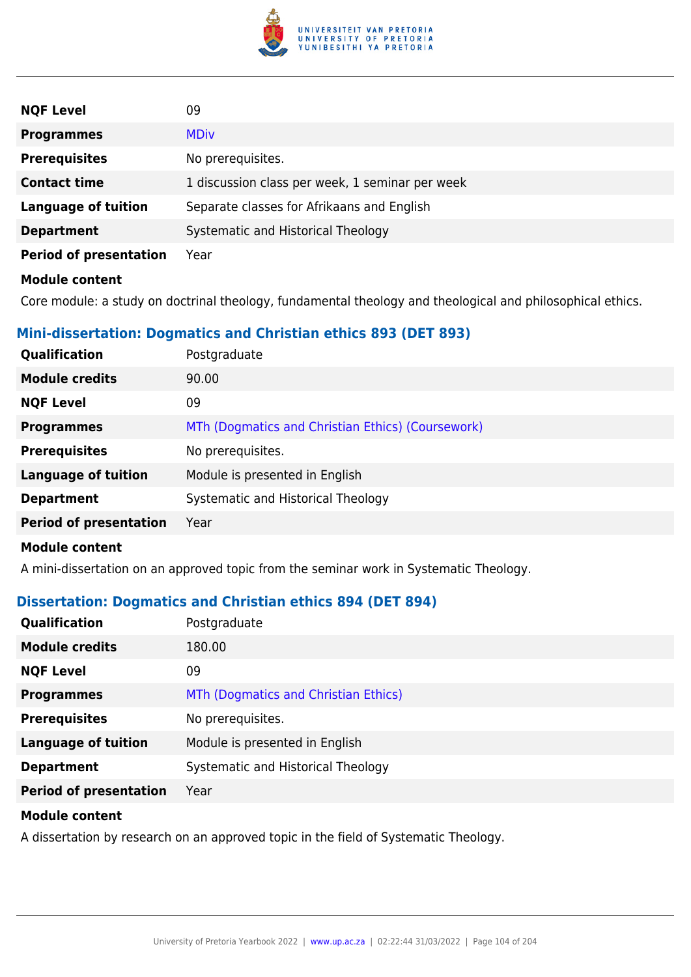

| 09                                              |
|-------------------------------------------------|
| <b>MDiv</b>                                     |
| No prerequisites.                               |
| 1 discussion class per week, 1 seminar per week |
| Separate classes for Afrikaans and English      |
| Systematic and Historical Theology              |
| Year                                            |
|                                                 |
|                                                 |

Core module: a study on doctrinal theology, fundamental theology and theological and philosophical ethics.

## **Mini-dissertation: Dogmatics and Christian ethics 893 (DET 893)**

| Qualification                 | Postgraduate                                      |
|-------------------------------|---------------------------------------------------|
| <b>Module credits</b>         | 90.00                                             |
| <b>NQF Level</b>              | 09                                                |
| <b>Programmes</b>             | MTh (Dogmatics and Christian Ethics) (Coursework) |
| <b>Prerequisites</b>          | No prerequisites.                                 |
| <b>Language of tuition</b>    | Module is presented in English                    |
| <b>Department</b>             | Systematic and Historical Theology                |
| <b>Period of presentation</b> | Year                                              |
| .                             |                                                   |

#### **Module content**

A mini-dissertation on an approved topic from the seminar work in Systematic Theology.

## **Dissertation: Dogmatics and Christian ethics 894 (DET 894)**

| Qualification                 | Postgraduate                         |
|-------------------------------|--------------------------------------|
| <b>Module credits</b>         | 180.00                               |
| <b>NQF Level</b>              | 09                                   |
| <b>Programmes</b>             | MTh (Dogmatics and Christian Ethics) |
| <b>Prerequisites</b>          | No prerequisites.                    |
| <b>Language of tuition</b>    | Module is presented in English       |
| <b>Department</b>             | Systematic and Historical Theology   |
| <b>Period of presentation</b> | Year                                 |

#### **Module content**

A dissertation by research on an approved topic in the field of Systematic Theology.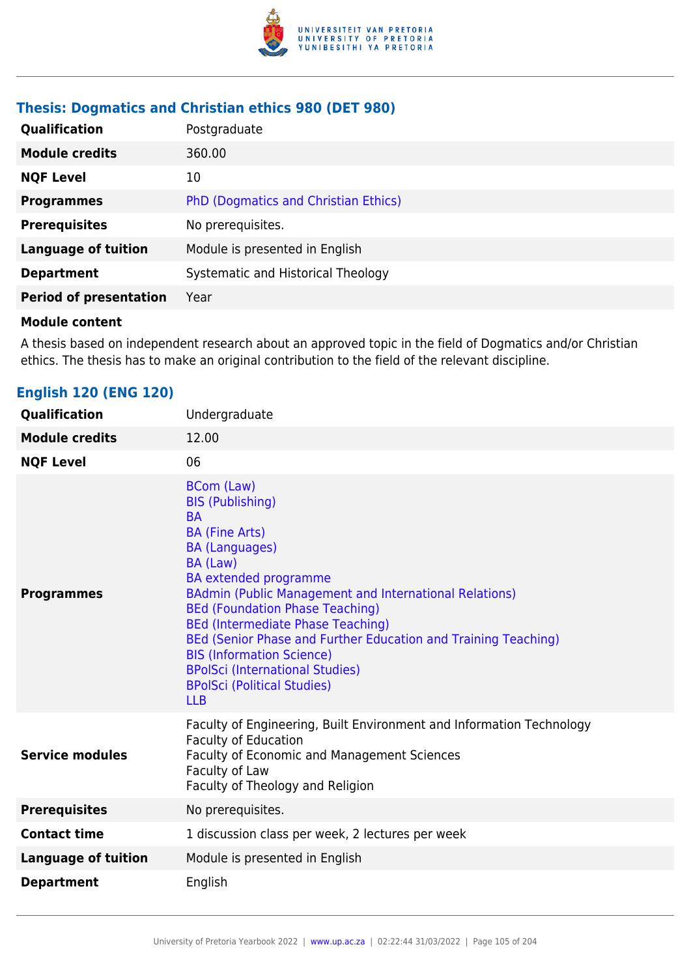

## **Thesis: Dogmatics and Christian ethics 980 (DET 980)**

| <b>Qualification</b>          | Postgraduate                         |
|-------------------------------|--------------------------------------|
| <b>Module credits</b>         | 360.00                               |
| <b>NQF Level</b>              | 10                                   |
| <b>Programmes</b>             | PhD (Dogmatics and Christian Ethics) |
| <b>Prerequisites</b>          | No prerequisites.                    |
| <b>Language of tuition</b>    | Module is presented in English       |
| <b>Department</b>             | Systematic and Historical Theology   |
| <b>Period of presentation</b> | Year                                 |

#### **Module content**

A thesis based on independent research about an approved topic in the field of Dogmatics and/or Christian ethics. The thesis has to make an original contribution to the field of the relevant discipline.

## **English 120 (ENG 120)**

| Qualification              | Undergraduate                                                                                                                                                                                                                                                                                                                                                                                                                                                                                               |
|----------------------------|-------------------------------------------------------------------------------------------------------------------------------------------------------------------------------------------------------------------------------------------------------------------------------------------------------------------------------------------------------------------------------------------------------------------------------------------------------------------------------------------------------------|
| <b>Module credits</b>      | 12.00                                                                                                                                                                                                                                                                                                                                                                                                                                                                                                       |
| <b>NQF Level</b>           | 06                                                                                                                                                                                                                                                                                                                                                                                                                                                                                                          |
| <b>Programmes</b>          | <b>BCom (Law)</b><br><b>BIS (Publishing)</b><br><b>BA</b><br><b>BA (Fine Arts)</b><br><b>BA (Languages)</b><br>BA (Law)<br><b>BA</b> extended programme<br>BAdmin (Public Management and International Relations)<br><b>BEd (Foundation Phase Teaching)</b><br><b>BEd (Intermediate Phase Teaching)</b><br>BEd (Senior Phase and Further Education and Training Teaching)<br><b>BIS (Information Science)</b><br><b>BPolSci (International Studies)</b><br><b>BPolSci (Political Studies)</b><br><b>LLB</b> |
| <b>Service modules</b>     | Faculty of Engineering, Built Environment and Information Technology<br><b>Faculty of Education</b><br><b>Faculty of Economic and Management Sciences</b><br>Faculty of Law<br>Faculty of Theology and Religion                                                                                                                                                                                                                                                                                             |
| <b>Prerequisites</b>       | No prerequisites.                                                                                                                                                                                                                                                                                                                                                                                                                                                                                           |
| <b>Contact time</b>        | 1 discussion class per week, 2 lectures per week                                                                                                                                                                                                                                                                                                                                                                                                                                                            |
| <b>Language of tuition</b> | Module is presented in English                                                                                                                                                                                                                                                                                                                                                                                                                                                                              |
| <b>Department</b>          | English                                                                                                                                                                                                                                                                                                                                                                                                                                                                                                     |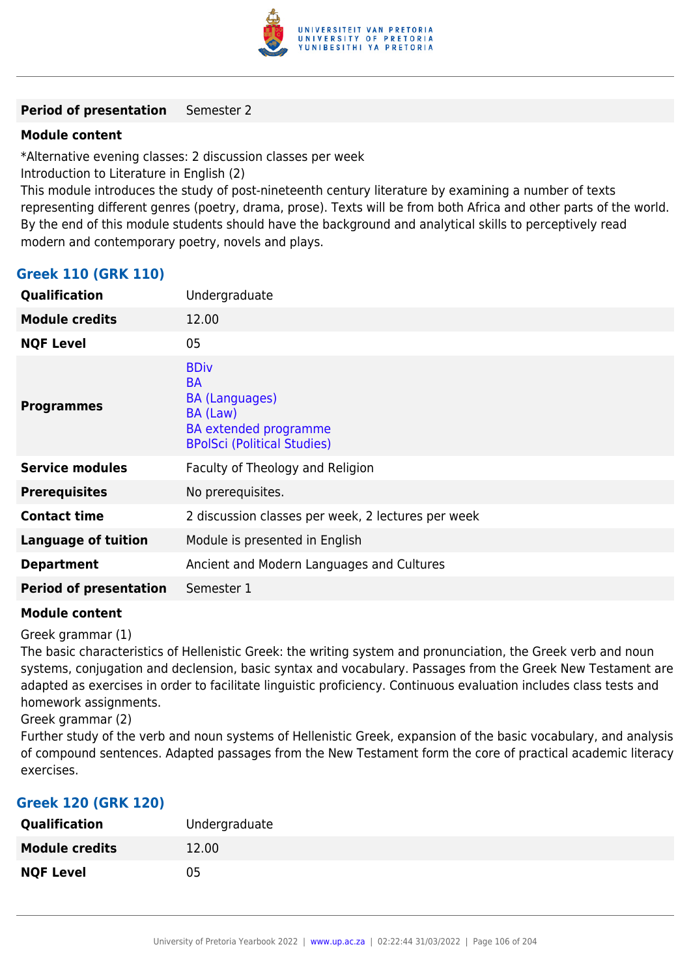

#### **Period of presentation** Semester 2

#### **Module content**

\*Alternative evening classes: 2 discussion classes per week

Introduction to Literature in English (2)

This module introduces the study of post-nineteenth century literature by examining a number of texts representing different genres (poetry, drama, prose). Texts will be from both Africa and other parts of the world. By the end of this module students should have the background and analytical skills to perceptively read modern and contemporary poetry, novels and plays.

## **Greek 110 (GRK 110)**

| Qualification                 | Undergraduate                                                                                                                       |
|-------------------------------|-------------------------------------------------------------------------------------------------------------------------------------|
| <b>Module credits</b>         | 12.00                                                                                                                               |
| <b>NQF Level</b>              | 05                                                                                                                                  |
| <b>Programmes</b>             | <b>BDiv</b><br><b>BA</b><br><b>BA (Languages)</b><br>BA (Law)<br><b>BA</b> extended programme<br><b>BPolSci (Political Studies)</b> |
| <b>Service modules</b>        | Faculty of Theology and Religion                                                                                                    |
| <b>Prerequisites</b>          | No prerequisites.                                                                                                                   |
| <b>Contact time</b>           | 2 discussion classes per week, 2 lectures per week                                                                                  |
| <b>Language of tuition</b>    | Module is presented in English                                                                                                      |
| <b>Department</b>             | Ancient and Modern Languages and Cultures                                                                                           |
| <b>Period of presentation</b> | Semester 1                                                                                                                          |

#### **Module content**

Greek grammar (1)

The basic characteristics of Hellenistic Greek: the writing system and pronunciation, the Greek verb and noun systems, conjugation and declension, basic syntax and vocabulary. Passages from the Greek New Testament are adapted as exercises in order to facilitate linguistic proficiency. Continuous evaluation includes class tests and homework assignments.

Greek grammar (2)

Further study of the verb and noun systems of Hellenistic Greek, expansion of the basic vocabulary, and analysis of compound sentences. Adapted passages from the New Testament form the core of practical academic literacy exercises.

#### **Greek 120 (GRK 120)**

| <b>Qualification</b>  | Undergraduate |
|-----------------------|---------------|
| <b>Module credits</b> | 12.00         |
| <b>NQF Level</b>      | 05            |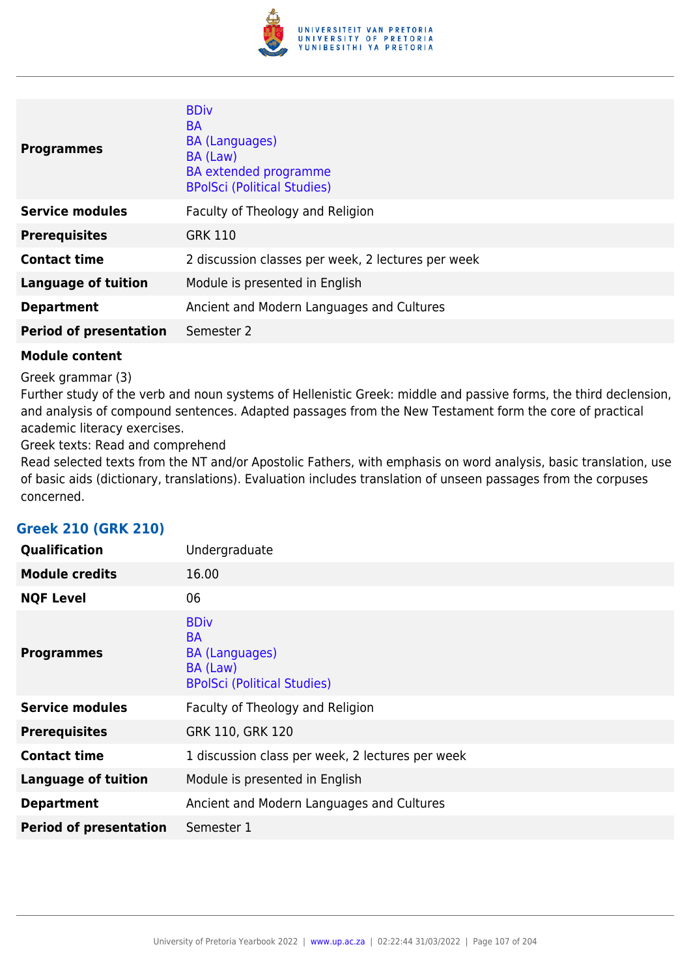

| <b>Programmes</b>             | <b>BDiv</b><br><b>BA</b><br><b>BA (Languages)</b><br>BA (Law)<br><b>BA</b> extended programme<br><b>BPolSci (Political Studies)</b> |
|-------------------------------|-------------------------------------------------------------------------------------------------------------------------------------|
| <b>Service modules</b>        | Faculty of Theology and Religion                                                                                                    |
| <b>Prerequisites</b>          | <b>GRK 110</b>                                                                                                                      |
| <b>Contact time</b>           | 2 discussion classes per week, 2 lectures per week                                                                                  |
| <b>Language of tuition</b>    | Module is presented in English                                                                                                      |
| <b>Department</b>             | Ancient and Modern Languages and Cultures                                                                                           |
| <b>Period of presentation</b> | Semester 2                                                                                                                          |

Greek grammar (3)

Further study of the verb and noun systems of Hellenistic Greek: middle and passive forms, the third declension, and analysis of compound sentences. Adapted passages from the New Testament form the core of practical academic literacy exercises.

Greek texts: Read and comprehend

Read selected texts from the NT and/or Apostolic Fathers, with emphasis on word analysis, basic translation, use of basic aids (dictionary, translations). Evaluation includes translation of unseen passages from the corpuses concerned.

## **Greek 210 (GRK 210)**

| Qualification                 | Undergraduate                                                                                       |
|-------------------------------|-----------------------------------------------------------------------------------------------------|
| <b>Module credits</b>         | 16.00                                                                                               |
| <b>NQF Level</b>              | 06                                                                                                  |
| <b>Programmes</b>             | <b>BDiv</b><br><b>BA</b><br><b>BA (Languages)</b><br>BA (Law)<br><b>BPolSci (Political Studies)</b> |
| <b>Service modules</b>        | Faculty of Theology and Religion                                                                    |
| <b>Prerequisites</b>          | GRK 110, GRK 120                                                                                    |
| <b>Contact time</b>           | 1 discussion class per week, 2 lectures per week                                                    |
| <b>Language of tuition</b>    | Module is presented in English                                                                      |
| <b>Department</b>             | Ancient and Modern Languages and Cultures                                                           |
| <b>Period of presentation</b> | Semester 1                                                                                          |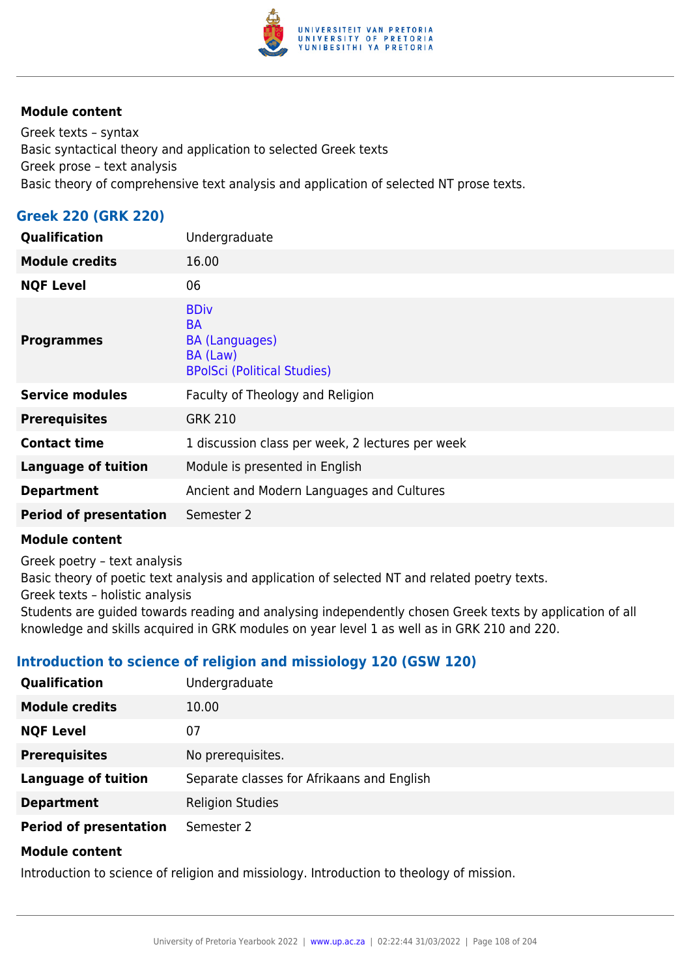

Greek texts – syntax Basic syntactical theory and application to selected Greek texts Greek prose – text analysis Basic theory of comprehensive text analysis and application of selected NT prose texts.

## **Greek 220 (GRK 220)**

| Qualification                 | Undergraduate                                                                                       |
|-------------------------------|-----------------------------------------------------------------------------------------------------|
| <b>Module credits</b>         | 16.00                                                                                               |
| <b>NQF Level</b>              | 06                                                                                                  |
| <b>Programmes</b>             | <b>BDiv</b><br><b>BA</b><br><b>BA (Languages)</b><br>BA (Law)<br><b>BPolSci (Political Studies)</b> |
| <b>Service modules</b>        | Faculty of Theology and Religion                                                                    |
| <b>Prerequisites</b>          | <b>GRK 210</b>                                                                                      |
| <b>Contact time</b>           | 1 discussion class per week, 2 lectures per week                                                    |
| <b>Language of tuition</b>    | Module is presented in English                                                                      |
| <b>Department</b>             | Ancient and Modern Languages and Cultures                                                           |
| <b>Period of presentation</b> | Semester 2                                                                                          |

#### **Module content**

Greek poetry – text analysis

Basic theory of poetic text analysis and application of selected NT and related poetry texts.

Greek texts – holistic analysis

Students are guided towards reading and analysing independently chosen Greek texts by application of all knowledge and skills acquired in GRK modules on year level 1 as well as in GRK 210 and 220.

## **Introduction to science of religion and missiology 120 (GSW 120)**

| <b>Qualification</b>          | Undergraduate                              |
|-------------------------------|--------------------------------------------|
| <b>Module credits</b>         | 10.00                                      |
| <b>NQF Level</b>              | 07                                         |
| <b>Prerequisites</b>          | No prerequisites.                          |
| <b>Language of tuition</b>    | Separate classes for Afrikaans and English |
| <b>Department</b>             | <b>Religion Studies</b>                    |
| <b>Period of presentation</b> | Semester 2                                 |
| <b>Madula assista</b>         |                                            |

#### **Module content**

Introduction to science of religion and missiology. Introduction to theology of mission.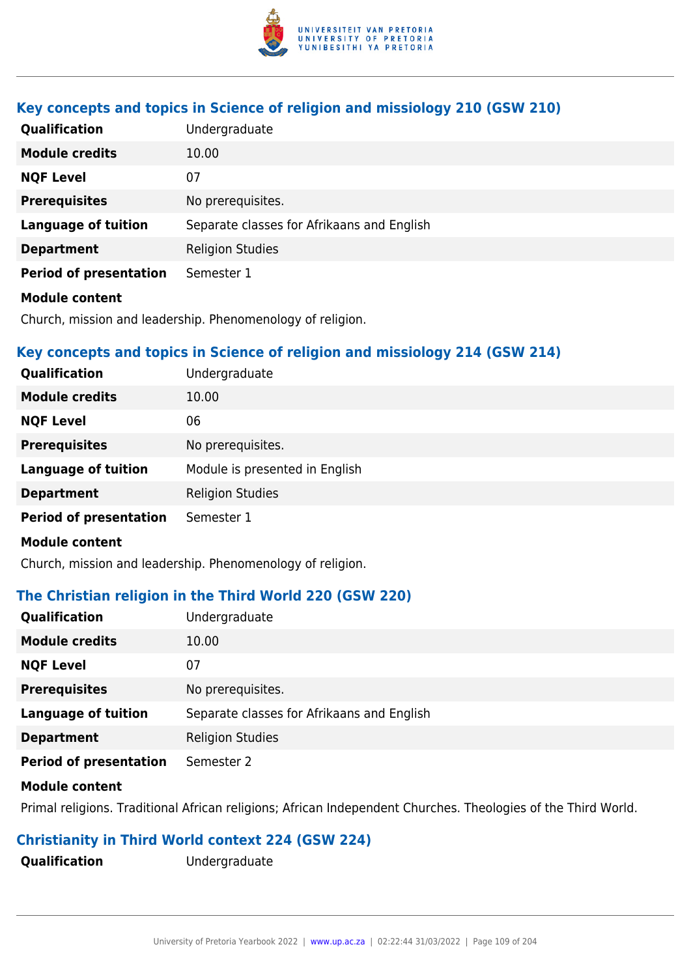

# **Key concepts and topics in Science of religion and missiology 210 (GSW 210)**

| <b>Qualification</b>          | Undergraduate                              |
|-------------------------------|--------------------------------------------|
| <b>Module credits</b>         | 10.00                                      |
| <b>NQF Level</b>              | 07                                         |
| <b>Prerequisites</b>          | No prerequisites.                          |
| <b>Language of tuition</b>    | Separate classes for Afrikaans and English |
| <b>Department</b>             | <b>Religion Studies</b>                    |
| <b>Period of presentation</b> | Semester 1                                 |
| <b>Module content</b>         |                                            |

Church, mission and leadership. Phenomenology of religion.

# **Key concepts and topics in Science of religion and missiology 214 (GSW 214)**

| <b>Qualification</b>          | Undergraduate                  |
|-------------------------------|--------------------------------|
| <b>Module credits</b>         | 10.00                          |
| <b>NQF Level</b>              | 06                             |
| <b>Prerequisites</b>          | No prerequisites.              |
| <b>Language of tuition</b>    | Module is presented in English |
| <b>Department</b>             | <b>Religion Studies</b>        |
| <b>Period of presentation</b> | Semester 1                     |
| <b>Module content</b>         |                                |

Church, mission and leadership. Phenomenology of religion.

### **The Christian religion in the Third World 220 (GSW 220)**

| Qualification                 | Undergraduate                              |
|-------------------------------|--------------------------------------------|
| <b>Module credits</b>         | 10.00                                      |
| <b>NQF Level</b>              | 07                                         |
| <b>Prerequisites</b>          | No prerequisites.                          |
| <b>Language of tuition</b>    | Separate classes for Afrikaans and English |
| <b>Department</b>             | <b>Religion Studies</b>                    |
| <b>Period of presentation</b> | Semester 2                                 |
| <b>Module content</b>         |                                            |

### Primal religions. Traditional African religions; African Independent Churches. Theologies of the Third World.

# **Christianity in Third World context 224 (GSW 224)**

**Qualification** Undergraduate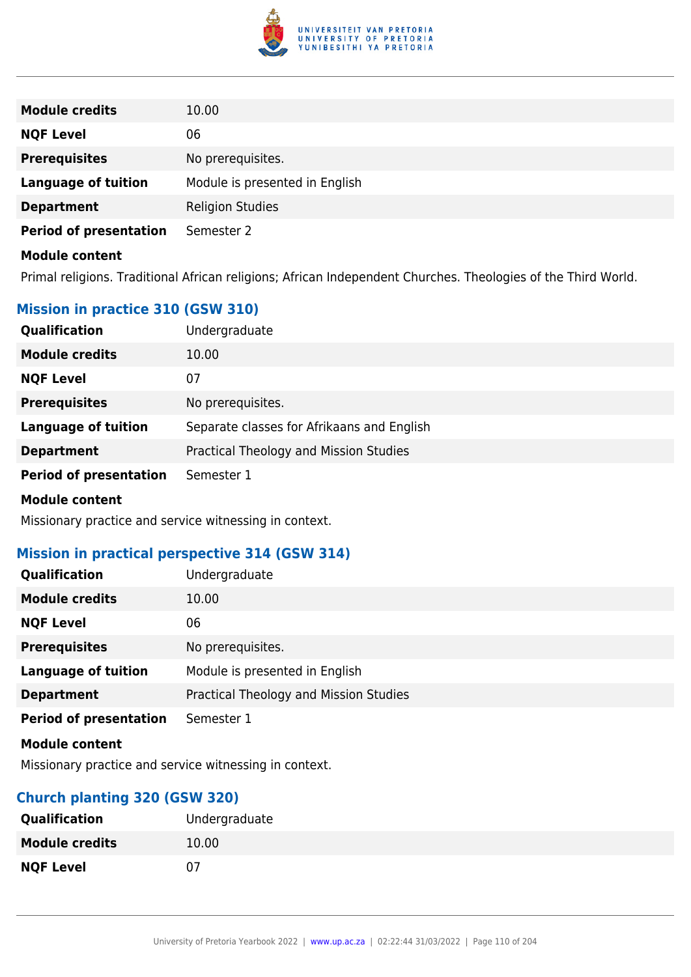

| <b>Module credits</b>         | 10.00                          |
|-------------------------------|--------------------------------|
| <b>NQF Level</b>              | 06                             |
| <b>Prerequisites</b>          | No prerequisites.              |
| <b>Language of tuition</b>    | Module is presented in English |
| <b>Department</b>             | <b>Religion Studies</b>        |
| <b>Period of presentation</b> | Semester 2                     |
| <b>Module content</b>         |                                |

Primal religions. Traditional African religions; African Independent Churches. Theologies of the Third World.

# **Mission in practice 310 (GSW 310)**

| Qualification                 | Undergraduate                              |
|-------------------------------|--------------------------------------------|
| <b>Module credits</b>         | 10.00                                      |
| <b>NQF Level</b>              | 07                                         |
| <b>Prerequisites</b>          | No prerequisites.                          |
| <b>Language of tuition</b>    | Separate classes for Afrikaans and English |
| <b>Department</b>             | Practical Theology and Mission Studies     |
| <b>Period of presentation</b> | Semester 1                                 |
| <b>Madula assista</b>         |                                            |

#### **Module content**

Missionary practice and service witnessing in context.

### **Mission in practical perspective 314 (GSW 314)**

| <b>Qualification</b>          | Undergraduate                          |
|-------------------------------|----------------------------------------|
| <b>Module credits</b>         | 10.00                                  |
| <b>NQF Level</b>              | 06                                     |
| <b>Prerequisites</b>          | No prerequisites.                      |
| <b>Language of tuition</b>    | Module is presented in English         |
| <b>Department</b>             | Practical Theology and Mission Studies |
| <b>Period of presentation</b> | Semester 1                             |
| <b>Module content</b>         |                                        |

Missionary practice and service witnessing in context.

# **Church planting 320 (GSW 320)**

| <b>Qualification</b>  | Undergraduate |
|-----------------------|---------------|
| <b>Module credits</b> | 10.00         |
| <b>NQF Level</b>      | 07            |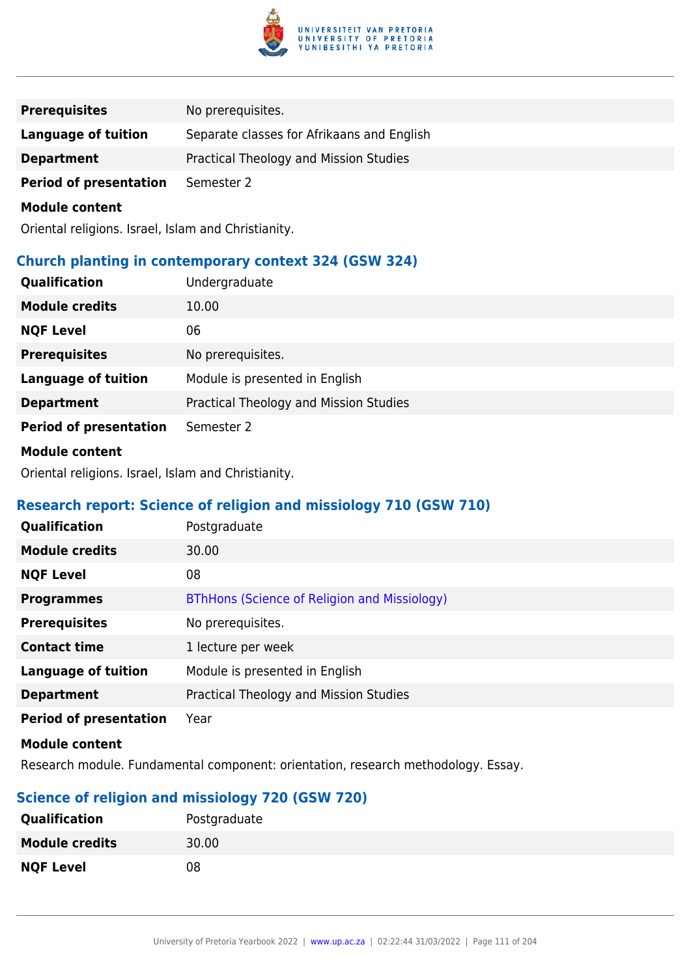

| No prerequisites.                          |
|--------------------------------------------|
| Separate classes for Afrikaans and English |
| Practical Theology and Mission Studies     |
| Semester 2                                 |
|                                            |

Oriental religions. Israel, Islam and Christianity.

### **Church planting in contemporary context 324 (GSW 324)**

| <b>Qualification</b>          | Undergraduate                          |
|-------------------------------|----------------------------------------|
| <b>Module credits</b>         | 10.00                                  |
| <b>NQF Level</b>              | 06                                     |
| <b>Prerequisites</b>          | No prerequisites.                      |
| <b>Language of tuition</b>    | Module is presented in English         |
| <b>Department</b>             | Practical Theology and Mission Studies |
| <b>Period of presentation</b> | Semester 2                             |
| <b>Module content</b>         |                                        |

Oriental religions. Israel, Islam and Christianity.

# **Research report: Science of religion and missiology 710 (GSW 710)**

| Qualification                 | Postgraduate                                 |
|-------------------------------|----------------------------------------------|
| <b>Module credits</b>         | 30.00                                        |
| <b>NQF Level</b>              | 08                                           |
| <b>Programmes</b>             | BThHons (Science of Religion and Missiology) |
| <b>Prerequisites</b>          | No prerequisites.                            |
| <b>Contact time</b>           | 1 lecture per week                           |
| <b>Language of tuition</b>    | Module is presented in English               |
| <b>Department</b>             | Practical Theology and Mission Studies       |
| <b>Period of presentation</b> | Year                                         |

### **Module content**

Research module. Fundamental component: orientation, research methodology. Essay.

# **Science of religion and missiology 720 (GSW 720)**

| <b>Qualification</b>  | Postgraduate |
|-----------------------|--------------|
| <b>Module credits</b> | 30.00        |
| <b>NQF Level</b>      | 08           |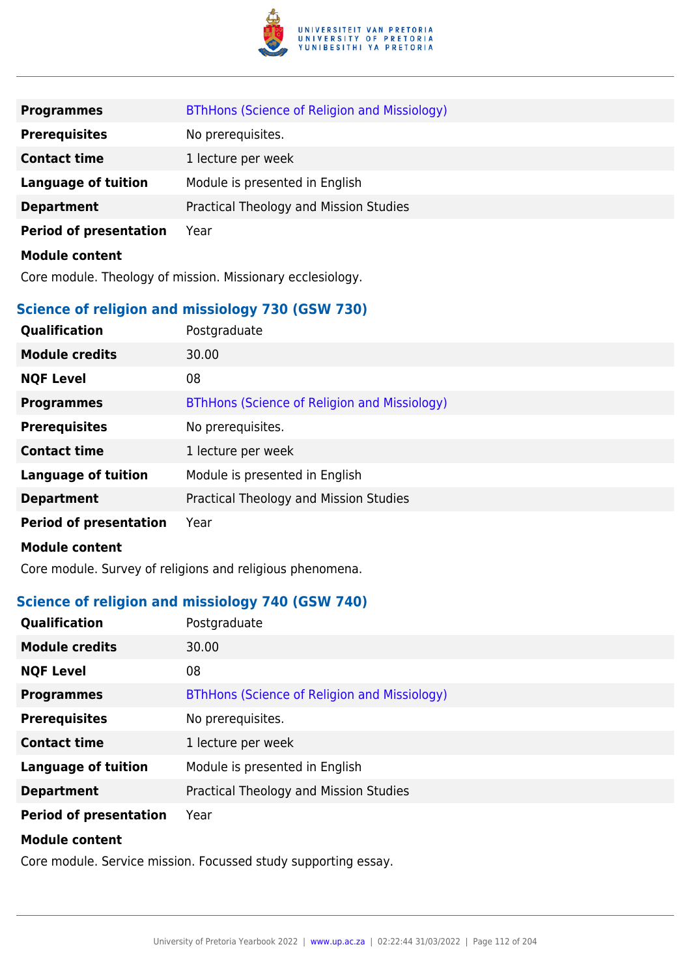

| <b>Programmes</b>                                          | BThHons (Science of Religion and Missiology) |
|------------------------------------------------------------|----------------------------------------------|
| <b>Prerequisites</b>                                       | No prerequisites.                            |
| <b>Contact time</b>                                        | 1 lecture per week                           |
| <b>Language of tuition</b>                                 | Module is presented in English               |
| <b>Department</b>                                          | Practical Theology and Mission Studies       |
| <b>Period of presentation</b>                              | Year                                         |
| <b>Module content</b>                                      |                                              |
| Core module. Theology of mission. Missionary ecclesiology. |                                              |

### **Science of religion and missiology 730 (GSW 730)**

| Qualification                 | Postgraduate                                 |
|-------------------------------|----------------------------------------------|
| <b>Module credits</b>         | 30.00                                        |
| <b>NQF Level</b>              | 08                                           |
| <b>Programmes</b>             | BThHons (Science of Religion and Missiology) |
| <b>Prerequisites</b>          | No prerequisites.                            |
| <b>Contact time</b>           | 1 lecture per week                           |
| <b>Language of tuition</b>    | Module is presented in English               |
| <b>Department</b>             | Practical Theology and Mission Studies       |
| <b>Period of presentation</b> | Year                                         |

#### **Module content**

Core module. Survey of religions and religious phenomena.

# **Science of religion and missiology 740 (GSW 740)**

| <b>Qualification</b>          | Postgraduate                                 |
|-------------------------------|----------------------------------------------|
| <b>Module credits</b>         | 30.00                                        |
| <b>NQF Level</b>              | 08                                           |
| <b>Programmes</b>             | BThHons (Science of Religion and Missiology) |
| <b>Prerequisites</b>          | No prerequisites.                            |
| <b>Contact time</b>           | 1 lecture per week                           |
| <b>Language of tuition</b>    | Module is presented in English               |
| <b>Department</b>             | Practical Theology and Mission Studies       |
| <b>Period of presentation</b> | Year                                         |
| <b>Module content</b>         |                                              |

Core module. Service mission. Focussed study supporting essay.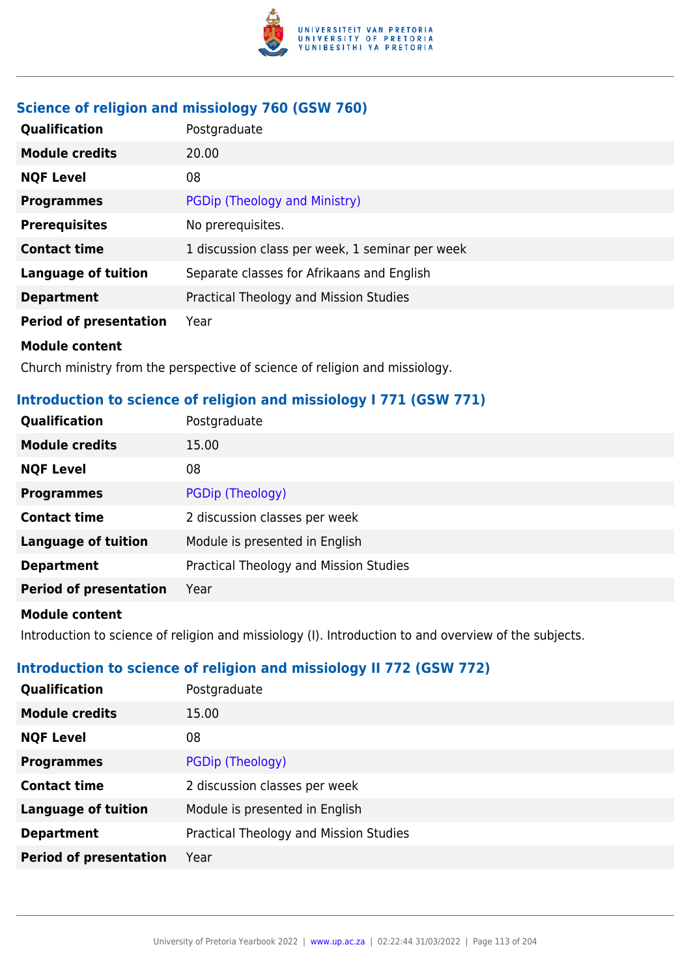

# **Science of religion and missiology 760 (GSW 760)**

| <b>Qualification</b>          | Postgraduate                                    |
|-------------------------------|-------------------------------------------------|
| <b>Module credits</b>         | 20.00                                           |
| <b>NQF Level</b>              | 08                                              |
| <b>Programmes</b>             | PGDip (Theology and Ministry)                   |
| <b>Prerequisites</b>          | No prerequisites.                               |
| <b>Contact time</b>           | 1 discussion class per week, 1 seminar per week |
| <b>Language of tuition</b>    | Separate classes for Afrikaans and English      |
| <b>Department</b>             | Practical Theology and Mission Studies          |
| <b>Period of presentation</b> | Year                                            |
| <b>Module content</b>         |                                                 |

Church ministry from the perspective of science of religion and missiology.

# **Introduction to science of religion and missiology I 771 (GSW 771)**

| <b>Qualification</b>          | Postgraduate                           |
|-------------------------------|----------------------------------------|
| <b>Module credits</b>         | 15.00                                  |
| <b>NQF Level</b>              | 08                                     |
| <b>Programmes</b>             | PGDip (Theology)                       |
| <b>Contact time</b>           | 2 discussion classes per week          |
| <b>Language of tuition</b>    | Module is presented in English         |
| <b>Department</b>             | Practical Theology and Mission Studies |
| <b>Period of presentation</b> | Year                                   |
|                               |                                        |

### **Module content**

Introduction to science of religion and missiology (I). Introduction to and overview of the subjects.

# **Introduction to science of religion and missiology II 772 (GSW 772)**

| <b>Qualification</b>          | Postgraduate                           |
|-------------------------------|----------------------------------------|
| <b>Module credits</b>         | 15.00                                  |
| <b>NQF Level</b>              | 08                                     |
| <b>Programmes</b>             | PGDip (Theology)                       |
| <b>Contact time</b>           | 2 discussion classes per week          |
| <b>Language of tuition</b>    | Module is presented in English         |
| <b>Department</b>             | Practical Theology and Mission Studies |
| <b>Period of presentation</b> | Year                                   |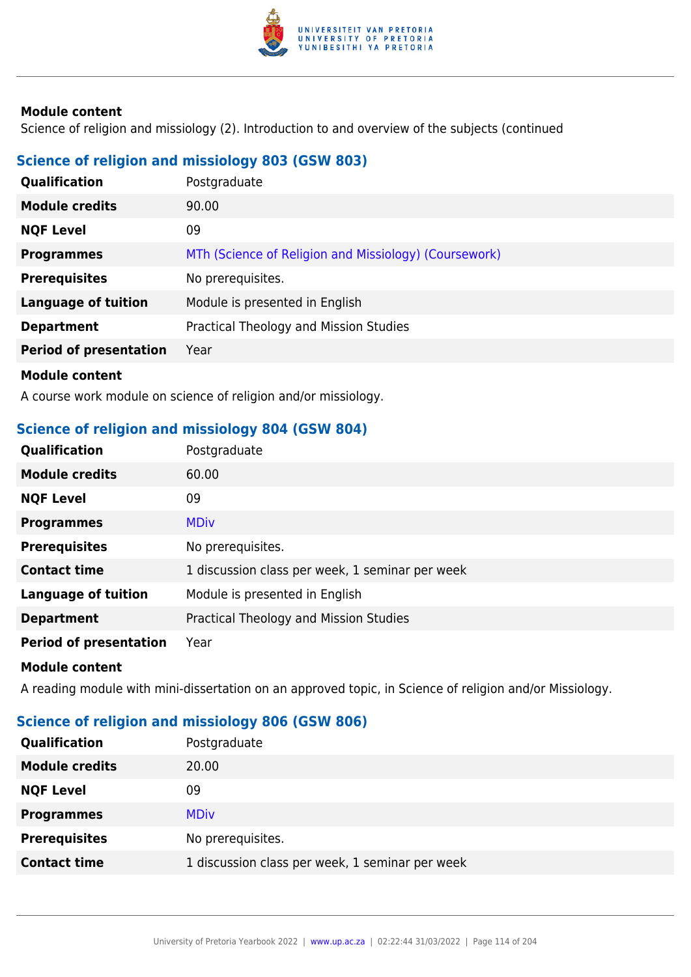

Science of religion and missiology (2). Introduction to and overview of the subjects (continued

# **Science of religion and missiology 803 (GSW 803)**

| <b>Qualification</b>          | Postgraduate                                          |
|-------------------------------|-------------------------------------------------------|
| <b>Module credits</b>         | 90.00                                                 |
| <b>NQF Level</b>              | 09                                                    |
| <b>Programmes</b>             | MTh (Science of Religion and Missiology) (Coursework) |
| <b>Prerequisites</b>          | No prerequisites.                                     |
| <b>Language of tuition</b>    | Module is presented in English                        |
| <b>Department</b>             | Practical Theology and Mission Studies                |
| <b>Period of presentation</b> | Year                                                  |
| <b>Madula assistant</b>       |                                                       |

**Module content**

A course work module on science of religion and/or missiology.

# **Science of religion and missiology 804 (GSW 804)**

| Qualification                 | Postgraduate                                    |
|-------------------------------|-------------------------------------------------|
| <b>Module credits</b>         | 60.00                                           |
| <b>NQF Level</b>              | 09                                              |
| <b>Programmes</b>             | <b>MDiv</b>                                     |
| <b>Prerequisites</b>          | No prerequisites.                               |
| <b>Contact time</b>           | 1 discussion class per week, 1 seminar per week |
| <b>Language of tuition</b>    | Module is presented in English                  |
| <b>Department</b>             | Practical Theology and Mission Studies          |
| <b>Period of presentation</b> | Year                                            |
| <b>Module content</b>         |                                                 |

A reading module with mini-dissertation on an approved topic, in Science of religion and/or Missiology.

# **Science of religion and missiology 806 (GSW 806)**

| <b>Qualification</b>  | Postgraduate                                    |
|-----------------------|-------------------------------------------------|
| <b>Module credits</b> | 20.00                                           |
| <b>NQF Level</b>      | 09                                              |
| <b>Programmes</b>     | <b>MDiv</b>                                     |
| <b>Prerequisites</b>  | No prerequisites.                               |
| <b>Contact time</b>   | 1 discussion class per week, 1 seminar per week |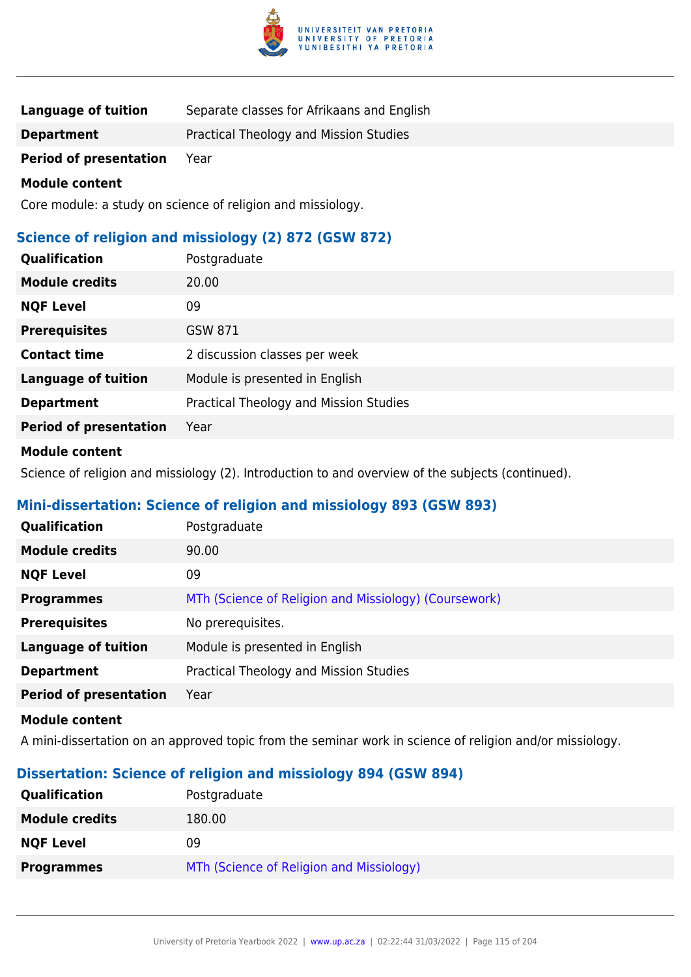

| <b>Language of tuition</b> | Separate classes for Afrikaans and English |  |
|----------------------------|--------------------------------------------|--|
|                            |                                            |  |

**Department** Practical Theology and Mission Studies

**Period of presentation** Year

#### **Module content**

Core module: a study on science of religion and missiology.

# **Science of religion and missiology (2) 872 (GSW 872)**

| <b>Module credits</b><br>20.00                               | Qualification    | Postgraduate |
|--------------------------------------------------------------|------------------|--------------|
|                                                              |                  |              |
|                                                              | <b>NQF Level</b> | 09           |
| <b>Prerequisites</b><br>GSW 871                              |                  |              |
| <b>Contact time</b><br>2 discussion classes per week         |                  |              |
| <b>Language of tuition</b><br>Module is presented in English |                  |              |
| Practical Theology and Mission Studies<br><b>Department</b>  |                  |              |
| <b>Period of presentation</b><br>Year                        |                  |              |

### **Module content**

Science of religion and missiology (2). Introduction to and overview of the subjects (continued).

# **Mini-dissertation: Science of religion and missiology 893 (GSW 893)**

| <b>Qualification</b>          | Postgraduate                                          |
|-------------------------------|-------------------------------------------------------|
| <b>Module credits</b>         | 90.00                                                 |
| <b>NQF Level</b>              | 09                                                    |
| <b>Programmes</b>             | MTh (Science of Religion and Missiology) (Coursework) |
| <b>Prerequisites</b>          | No prerequisites.                                     |
| <b>Language of tuition</b>    | Module is presented in English                        |
| <b>Department</b>             | Practical Theology and Mission Studies                |
| <b>Period of presentation</b> | Year                                                  |

#### **Module content**

A mini-dissertation on an approved topic from the seminar work in science of religion and/or missiology.

# **Dissertation: Science of religion and missiology 894 (GSW 894)**

| <b>Qualification</b>  | Postgraduate                             |
|-----------------------|------------------------------------------|
| <b>Module credits</b> | 180.00                                   |
| <b>NQF Level</b>      | 09                                       |
| <b>Programmes</b>     | MTh (Science of Religion and Missiology) |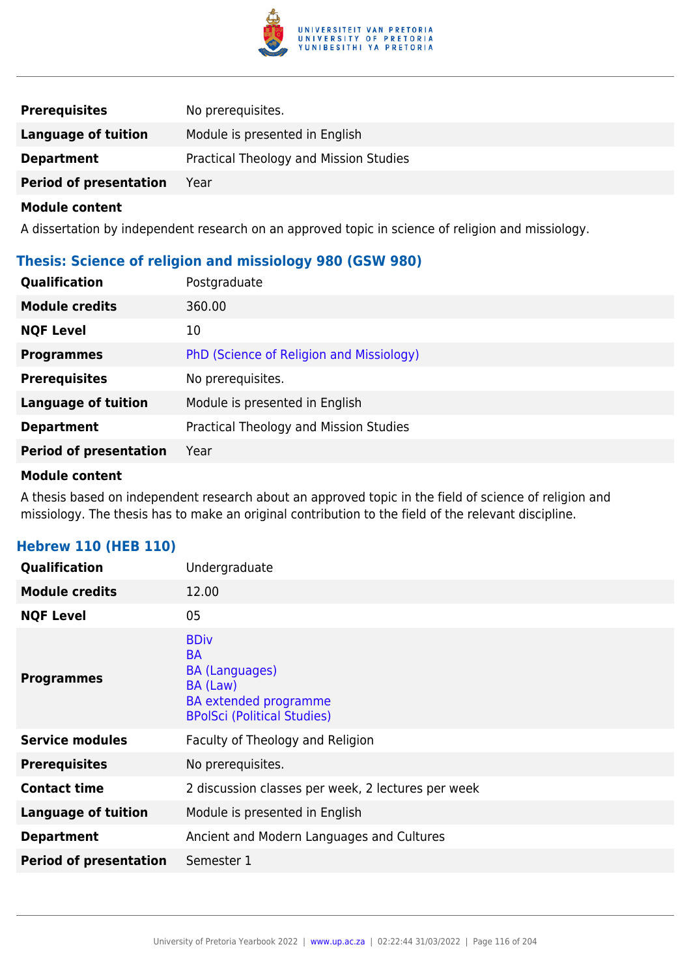

| <b>Prerequisites</b>          | No prerequisites.                      |
|-------------------------------|----------------------------------------|
| Language of tuition           | Module is presented in English         |
| <b>Department</b>             | Practical Theology and Mission Studies |
| <b>Period of presentation</b> | Year                                   |

A dissertation by independent research on an approved topic in science of religion and missiology.

# **Thesis: Science of religion and missiology 980 (GSW 980)**

| Qualification                 | Postgraduate                             |
|-------------------------------|------------------------------------------|
| <b>Module credits</b>         | 360.00                                   |
| <b>NQF Level</b>              | 10                                       |
| <b>Programmes</b>             | PhD (Science of Religion and Missiology) |
| <b>Prerequisites</b>          | No prerequisites.                        |
| <b>Language of tuition</b>    | Module is presented in English           |
| <b>Department</b>             | Practical Theology and Mission Studies   |
| <b>Period of presentation</b> | Year                                     |

#### **Module content**

A thesis based on independent research about an approved topic in the field of science of religion and missiology. The thesis has to make an original contribution to the field of the relevant discipline.

# **Hebrew 110 (HEB 110)**

| <b>Qualification</b>          | Undergraduate                                                                                                                |
|-------------------------------|------------------------------------------------------------------------------------------------------------------------------|
| <b>Module credits</b>         | 12.00                                                                                                                        |
| <b>NQF Level</b>              | 05                                                                                                                           |
| <b>Programmes</b>             | <b>BDiv</b><br><b>BA</b><br><b>BA (Languages)</b><br>BA (Law)<br>BA extended programme<br><b>BPolSci (Political Studies)</b> |
| <b>Service modules</b>        | Faculty of Theology and Religion                                                                                             |
| <b>Prerequisites</b>          | No prerequisites.                                                                                                            |
| <b>Contact time</b>           | 2 discussion classes per week, 2 lectures per week                                                                           |
| <b>Language of tuition</b>    | Module is presented in English                                                                                               |
| <b>Department</b>             | Ancient and Modern Languages and Cultures                                                                                    |
| <b>Period of presentation</b> | Semester 1                                                                                                                   |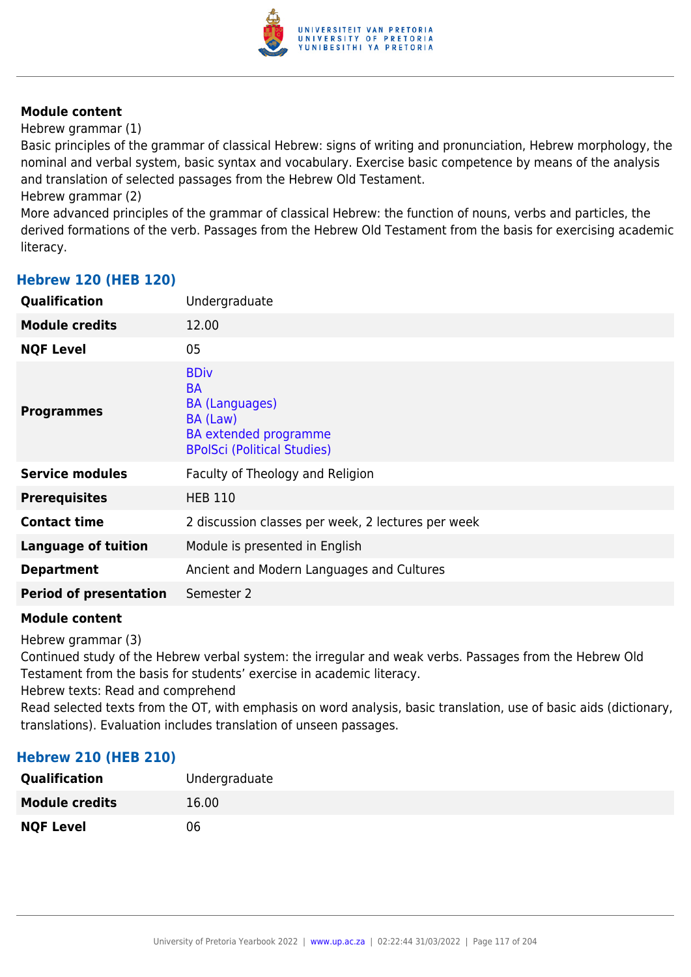

Hebrew grammar (1)

Basic principles of the grammar of classical Hebrew: signs of writing and pronunciation, Hebrew morphology, the nominal and verbal system, basic syntax and vocabulary. Exercise basic competence by means of the analysis and translation of selected passages from the Hebrew Old Testament.

Hebrew grammar (2)

More advanced principles of the grammar of classical Hebrew: the function of nouns, verbs and particles, the derived formations of the verb. Passages from the Hebrew Old Testament from the basis for exercising academic literacy.

| <b>Qualification</b>          | Undergraduate                                                                                                                       |
|-------------------------------|-------------------------------------------------------------------------------------------------------------------------------------|
| <b>Module credits</b>         | 12.00                                                                                                                               |
| <b>NQF Level</b>              | 05                                                                                                                                  |
| <b>Programmes</b>             | <b>BDiv</b><br><b>BA</b><br><b>BA (Languages)</b><br>BA (Law)<br><b>BA</b> extended programme<br><b>BPolSci (Political Studies)</b> |
| <b>Service modules</b>        | Faculty of Theology and Religion                                                                                                    |
| <b>Prerequisites</b>          | <b>HEB 110</b>                                                                                                                      |
| <b>Contact time</b>           | 2 discussion classes per week, 2 lectures per week                                                                                  |
| <b>Language of tuition</b>    | Module is presented in English                                                                                                      |
| <b>Department</b>             | Ancient and Modern Languages and Cultures                                                                                           |
| <b>Period of presentation</b> | Semester 2                                                                                                                          |
|                               |                                                                                                                                     |

# **Hebrew 120 (HEB 120)**

# **Module content**

Hebrew grammar (3)

Continued study of the Hebrew verbal system: the irregular and weak verbs. Passages from the Hebrew Old Testament from the basis for students' exercise in academic literacy.

Hebrew texts: Read and comprehend

Read selected texts from the OT, with emphasis on word analysis, basic translation, use of basic aids (dictionary, translations). Evaluation includes translation of unseen passages.

# **Hebrew 210 (HEB 210)**

| <b>Qualification</b>  | Undergraduate |
|-----------------------|---------------|
| <b>Module credits</b> | 16.00         |
| <b>NQF Level</b>      | 06            |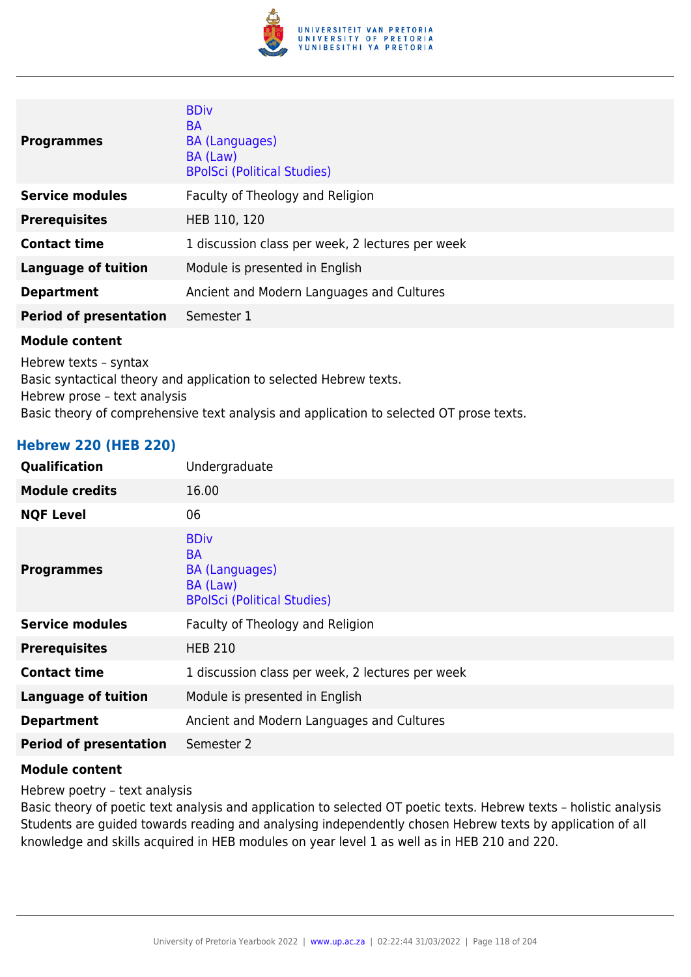

| <b>Programmes</b>             | <b>BDiv</b><br><b>BA</b><br><b>BA</b> (Languages)<br>BA (Law)<br><b>BPolSci (Political Studies)</b> |
|-------------------------------|-----------------------------------------------------------------------------------------------------|
| <b>Service modules</b>        | Faculty of Theology and Religion                                                                    |
| <b>Prerequisites</b>          | HEB 110, 120                                                                                        |
| <b>Contact time</b>           | 1 discussion class per week, 2 lectures per week                                                    |
| <b>Language of tuition</b>    | Module is presented in English                                                                      |
| <b>Department</b>             | Ancient and Modern Languages and Cultures                                                           |
| <b>Period of presentation</b> | Semester 1                                                                                          |

Hebrew texts – syntax Basic syntactical theory and application to selected Hebrew texts. Hebrew prose – text analysis Basic theory of comprehensive text analysis and application to selected OT prose texts.

#### **Hebrew 220 (HEB 220)**

| Qualification                 | Undergraduate                                                                                       |
|-------------------------------|-----------------------------------------------------------------------------------------------------|
| <b>Module credits</b>         | 16.00                                                                                               |
| <b>NQF Level</b>              | 06                                                                                                  |
| <b>Programmes</b>             | <b>BDiv</b><br><b>BA</b><br><b>BA (Languages)</b><br>BA (Law)<br><b>BPolSci (Political Studies)</b> |
| <b>Service modules</b>        | Faculty of Theology and Religion                                                                    |
| <b>Prerequisites</b>          | <b>HEB 210</b>                                                                                      |
| <b>Contact time</b>           | 1 discussion class per week, 2 lectures per week                                                    |
| <b>Language of tuition</b>    | Module is presented in English                                                                      |
| <b>Department</b>             | Ancient and Modern Languages and Cultures                                                           |
| <b>Period of presentation</b> | Semester 2                                                                                          |
|                               |                                                                                                     |

#### **Module content**

Hebrew poetry – text analysis

Basic theory of poetic text analysis and application to selected OT poetic texts. Hebrew texts – holistic analysis Students are guided towards reading and analysing independently chosen Hebrew texts by application of all knowledge and skills acquired in HEB modules on year level 1 as well as in HEB 210 and 220.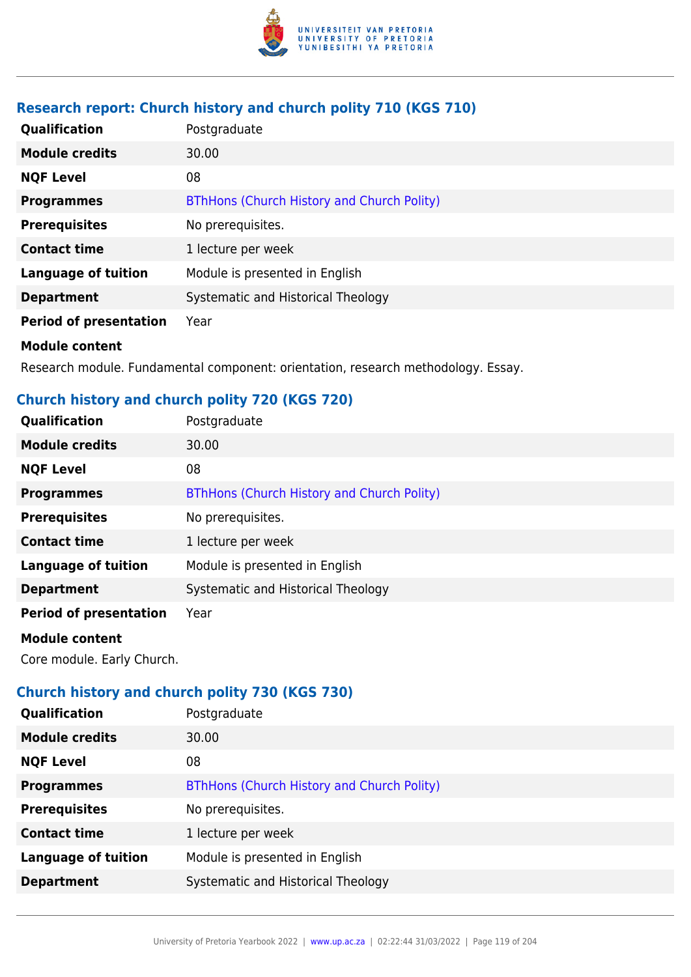

# **Research report: Church history and church polity 710 (KGS 710)**

| Qualification                 | Postgraduate                               |
|-------------------------------|--------------------------------------------|
| <b>Module credits</b>         | 30.00                                      |
| <b>NQF Level</b>              | 08                                         |
| <b>Programmes</b>             | BThHons (Church History and Church Polity) |
| <b>Prerequisites</b>          | No prerequisites.                          |
| <b>Contact time</b>           | 1 lecture per week                         |
| <b>Language of tuition</b>    | Module is presented in English             |
| <b>Department</b>             | Systematic and Historical Theology         |
| <b>Period of presentation</b> | Year                                       |
| <b>Module content</b>         |                                            |

Research module. Fundamental component: orientation, research methodology. Essay.

# **Church history and church polity 720 (KGS 720)**

| Qualification                 | Postgraduate                               |
|-------------------------------|--------------------------------------------|
| <b>Module credits</b>         | 30.00                                      |
| <b>NQF Level</b>              | 08                                         |
| <b>Programmes</b>             | BThHons (Church History and Church Polity) |
| <b>Prerequisites</b>          | No prerequisites.                          |
| <b>Contact time</b>           | 1 lecture per week                         |
| <b>Language of tuition</b>    | Module is presented in English             |
| <b>Department</b>             | Systematic and Historical Theology         |
| <b>Period of presentation</b> | Year                                       |
| <b>Module content</b>         |                                            |

Core module. Early Church.

# **Church history and church polity 730 (KGS 730)**

| <b>Qualification</b>       | Postgraduate                               |
|----------------------------|--------------------------------------------|
| <b>Module credits</b>      | 30.00                                      |
| <b>NQF Level</b>           | 08                                         |
| <b>Programmes</b>          | BThHons (Church History and Church Polity) |
| <b>Prerequisites</b>       | No prerequisites.                          |
| <b>Contact time</b>        | 1 lecture per week                         |
| <b>Language of tuition</b> | Module is presented in English             |
| <b>Department</b>          | Systematic and Historical Theology         |
|                            |                                            |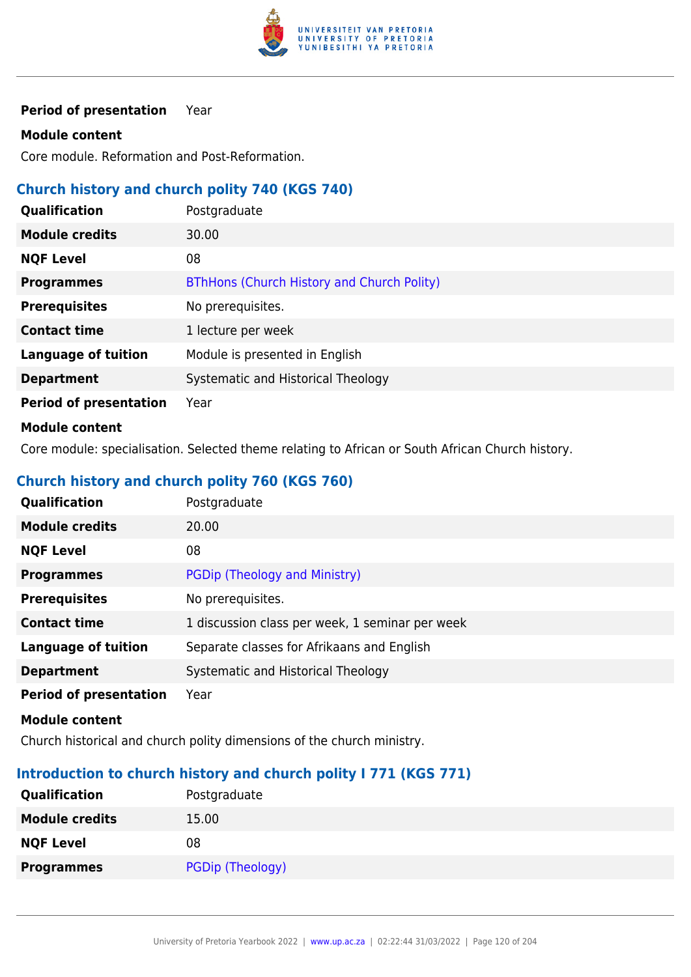

**Period of presentation** Year

### **Module content**

Core module. Reformation and Post-Reformation.

### **Church history and church polity 740 (KGS 740)**

| Qualification                 | Postgraduate                               |
|-------------------------------|--------------------------------------------|
| <b>Module credits</b>         | 30.00                                      |
| <b>NQF Level</b>              | 08                                         |
| <b>Programmes</b>             | BThHons (Church History and Church Polity) |
| <b>Prerequisites</b>          | No prerequisites.                          |
| <b>Contact time</b>           | 1 lecture per week                         |
| <b>Language of tuition</b>    | Module is presented in English             |
| <b>Department</b>             | Systematic and Historical Theology         |
| <b>Period of presentation</b> | Year                                       |
| .                             |                                            |

### **Module content**

Core module: specialisation. Selected theme relating to African or South African Church history.

# **Church history and church polity 760 (KGS 760)**

| <b>Qualification</b>          | Postgraduate                                    |
|-------------------------------|-------------------------------------------------|
| <b>Module credits</b>         | 20.00                                           |
| <b>NQF Level</b>              | 08                                              |
| <b>Programmes</b>             | PGDip (Theology and Ministry)                   |
| <b>Prerequisites</b>          | No prerequisites.                               |
| <b>Contact time</b>           | 1 discussion class per week, 1 seminar per week |
| <b>Language of tuition</b>    | Separate classes for Afrikaans and English      |
| <b>Department</b>             | Systematic and Historical Theology              |
| <b>Period of presentation</b> | Year                                            |

**Module content**

Church historical and church polity dimensions of the church ministry.

# **Introduction to church history and church polity I 771 (KGS 771)**

| Qualification         | Postgraduate     |
|-----------------------|------------------|
| <b>Module credits</b> | 15.00            |
| <b>NQF Level</b>      | 08               |
| <b>Programmes</b>     | PGDip (Theology) |
|                       |                  |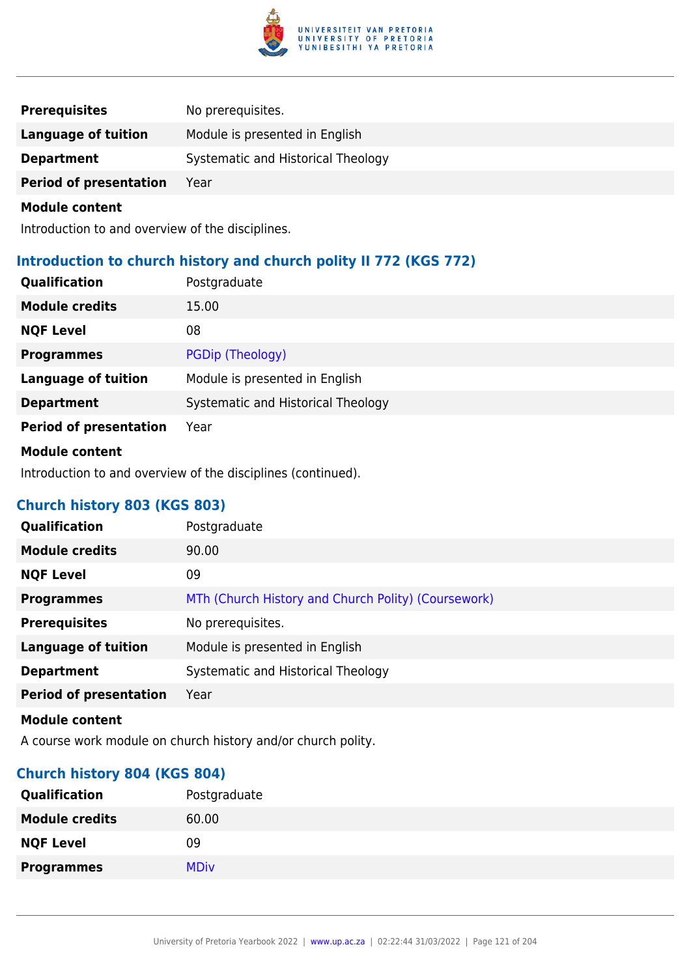

| <b>Prerequisites</b>          | No prerequisites.                  |
|-------------------------------|------------------------------------|
| Language of tuition           | Module is presented in English     |
| <b>Department</b>             | Systematic and Historical Theology |
| <b>Period of presentation</b> | Year                               |

Introduction to and overview of the disciplines.

# **Introduction to church history and church polity II 772 (KGS 772)**

| <b>Qualification</b>          | Postgraduate                       |
|-------------------------------|------------------------------------|
| <b>Module credits</b>         | 15.00                              |
| <b>NQF Level</b>              | 08                                 |
| <b>Programmes</b>             | PGDip (Theology)                   |
| <b>Language of tuition</b>    | Module is presented in English     |
| <b>Department</b>             | Systematic and Historical Theology |
| <b>Period of presentation</b> | Year                               |
| <b>Module content</b>         |                                    |

Introduction to and overview of the disciplines (continued).

# **Church history 803 (KGS 803)**

| Qualification                 | Postgraduate                                        |
|-------------------------------|-----------------------------------------------------|
| <b>Module credits</b>         | 90.00                                               |
| <b>NQF Level</b>              | 09                                                  |
| <b>Programmes</b>             | MTh (Church History and Church Polity) (Coursework) |
| <b>Prerequisites</b>          | No prerequisites.                                   |
| <b>Language of tuition</b>    | Module is presented in English                      |
| <b>Department</b>             | Systematic and Historical Theology                  |
| <b>Period of presentation</b> | Year                                                |
|                               |                                                     |

#### **Module content**

A course work module on church history and/or church polity.

# **Church history 804 (KGS 804)**

| <b>Qualification</b>  | Postgraduate |
|-----------------------|--------------|
| <b>Module credits</b> | 60.00        |
| <b>NQF Level</b>      | 09           |
| <b>Programmes</b>     | <b>MDiv</b>  |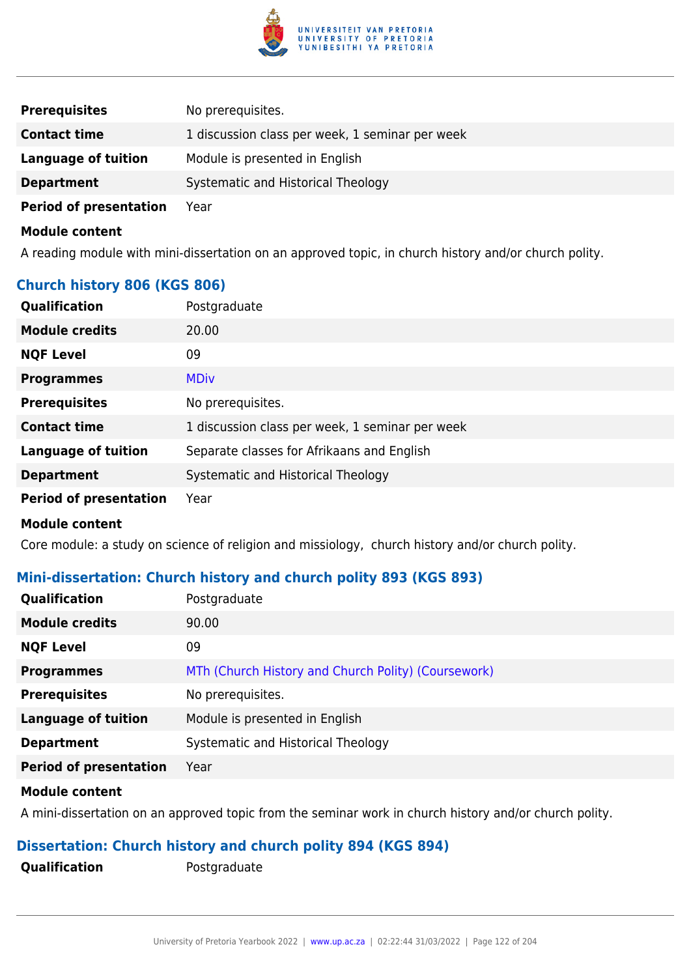

| <b>Prerequisites</b>          | No prerequisites.                               |
|-------------------------------|-------------------------------------------------|
| <b>Contact time</b>           | 1 discussion class per week, 1 seminar per week |
| Language of tuition           | Module is presented in English                  |
| <b>Department</b>             | Systematic and Historical Theology              |
| <b>Period of presentation</b> | Year                                            |

A reading module with mini-dissertation on an approved topic, in church history and/or church polity.

# **Church history 806 (KGS 806)**

| Qualification                 | Postgraduate                                    |
|-------------------------------|-------------------------------------------------|
| <b>Module credits</b>         | 20.00                                           |
| <b>NQF Level</b>              | 09                                              |
| <b>Programmes</b>             | <b>MDiv</b>                                     |
| <b>Prerequisites</b>          | No prerequisites.                               |
| <b>Contact time</b>           | 1 discussion class per week, 1 seminar per week |
| <b>Language of tuition</b>    | Separate classes for Afrikaans and English      |
| <b>Department</b>             | Systematic and Historical Theology              |
| <b>Period of presentation</b> | Year                                            |
| <b>Module content</b>         |                                                 |

Core module: a study on science of religion and missiology, church history and/or church polity.

# **Mini-dissertation: Church history and church polity 893 (KGS 893)**

| <b>Qualification</b>          | Postgraduate                                        |
|-------------------------------|-----------------------------------------------------|
| <b>Module credits</b>         | 90.00                                               |
| <b>NQF Level</b>              | 09                                                  |
| <b>Programmes</b>             | MTh (Church History and Church Polity) (Coursework) |
| <b>Prerequisites</b>          | No prerequisites.                                   |
| <b>Language of tuition</b>    | Module is presented in English                      |
| <b>Department</b>             | Systematic and Historical Theology                  |
| <b>Period of presentation</b> | Year                                                |
|                               |                                                     |

### **Module content**

A mini-dissertation on an approved topic from the seminar work in church history and/or church polity.

# **Dissertation: Church history and church polity 894 (KGS 894)**

**Qualification** Postgraduate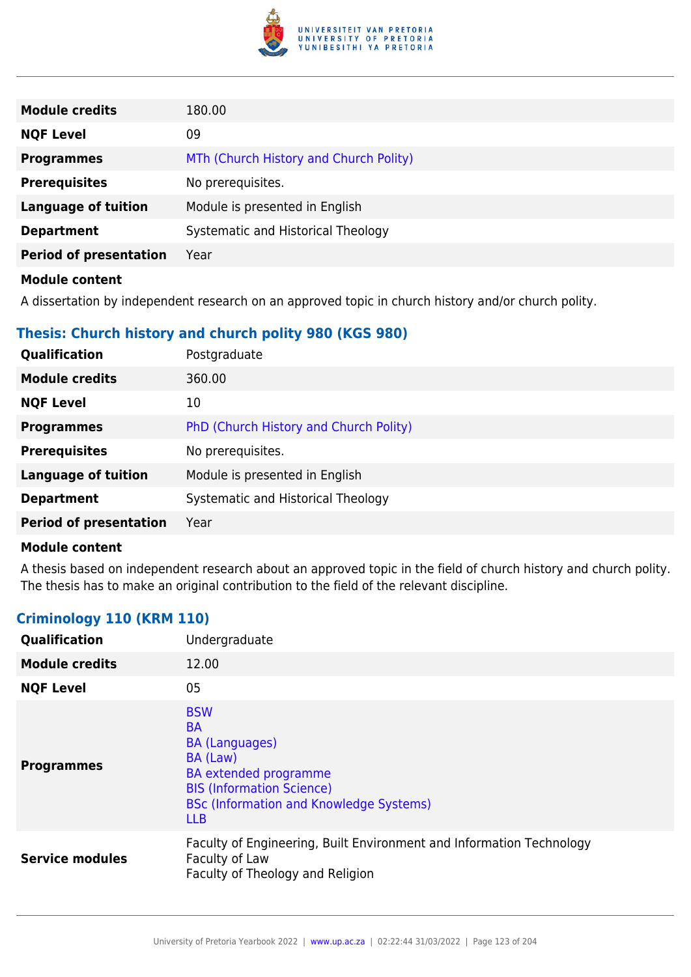

| <b>Module credits</b>         | 180.00                                 |
|-------------------------------|----------------------------------------|
| <b>NQF Level</b>              | 09                                     |
| <b>Programmes</b>             | MTh (Church History and Church Polity) |
| <b>Prerequisites</b>          | No prerequisites.                      |
| <b>Language of tuition</b>    | Module is presented in English         |
| <b>Department</b>             | Systematic and Historical Theology     |
| <b>Period of presentation</b> | Year                                   |
|                               |                                        |

A dissertation by independent research on an approved topic in church history and/or church polity.

# **Thesis: Church history and church polity 980 (KGS 980)**

| <b>Qualification</b>          | Postgraduate                           |
|-------------------------------|----------------------------------------|
| <b>Module credits</b>         | 360.00                                 |
| <b>NQF Level</b>              | 10                                     |
| <b>Programmes</b>             | PhD (Church History and Church Polity) |
| <b>Prerequisites</b>          | No prerequisites.                      |
| <b>Language of tuition</b>    | Module is presented in English         |
| <b>Department</b>             | Systematic and Historical Theology     |
| <b>Period of presentation</b> | Year                                   |

#### **Module content**

A thesis based on independent research about an approved topic in the field of church history and church polity. The thesis has to make an original contribution to the field of the relevant discipline.

# **Criminology 110 (KRM 110)**

| Qualification          | Undergraduate                                                                                                                                                                                    |
|------------------------|--------------------------------------------------------------------------------------------------------------------------------------------------------------------------------------------------|
| <b>Module credits</b>  | 12.00                                                                                                                                                                                            |
| <b>NQF Level</b>       | 05                                                                                                                                                                                               |
| <b>Programmes</b>      | <b>BSW</b><br><b>BA</b><br><b>BA</b> (Languages)<br>BA (Law)<br><b>BA</b> extended programme<br><b>BIS (Information Science)</b><br><b>BSc (Information and Knowledge Systems)</b><br><b>LLB</b> |
| <b>Service modules</b> | Faculty of Engineering, Built Environment and Information Technology<br>Faculty of Law<br>Faculty of Theology and Religion                                                                       |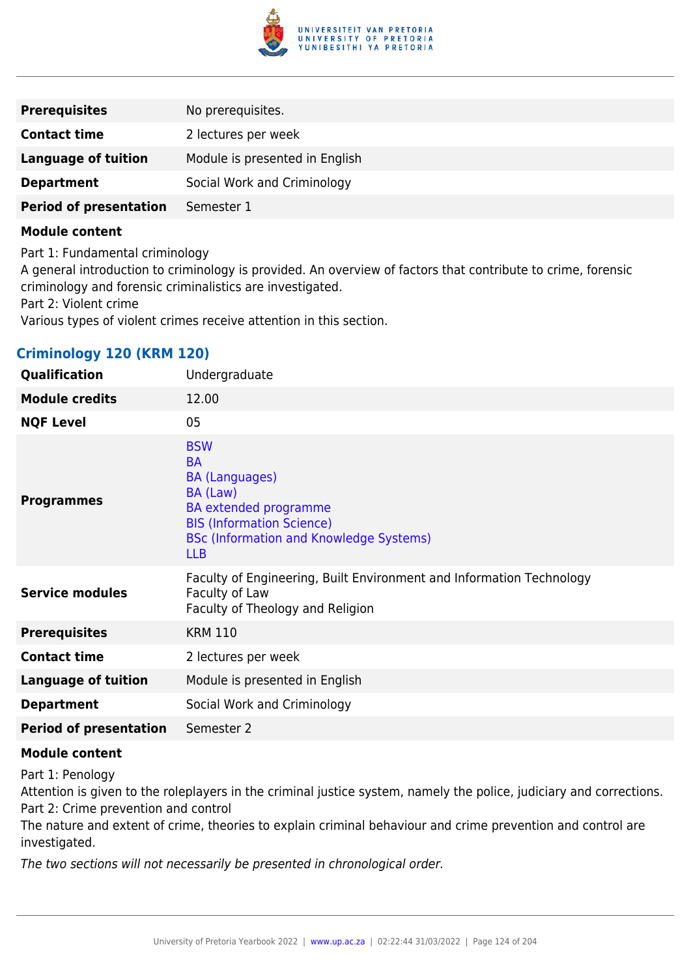

| <b>Prerequisites</b>          | No prerequisites.              |
|-------------------------------|--------------------------------|
| <b>Contact time</b>           | 2 lectures per week            |
| <b>Language of tuition</b>    | Module is presented in English |
| <b>Department</b>             | Social Work and Criminology    |
| <b>Period of presentation</b> | Semester 1                     |

Part 1: Fundamental criminology A general introduction to criminology is provided. An overview of factors that contribute to crime, forensic criminology and forensic criminalistics are investigated. Part 2: Violent crime Various types of violent crimes receive attention in this section.

# **Criminology 120 (KRM 120)**

| Qualification                 | Undergraduate                                                                                                                                                                                    |
|-------------------------------|--------------------------------------------------------------------------------------------------------------------------------------------------------------------------------------------------|
| <b>Module credits</b>         | 12.00                                                                                                                                                                                            |
| <b>NQF Level</b>              | 05                                                                                                                                                                                               |
| <b>Programmes</b>             | <b>BSW</b><br><b>BA</b><br><b>BA (Languages)</b><br>BA (Law)<br><b>BA</b> extended programme<br><b>BIS (Information Science)</b><br><b>BSc (Information and Knowledge Systems)</b><br><b>LLB</b> |
| <b>Service modules</b>        | Faculty of Engineering, Built Environment and Information Technology<br>Faculty of Law<br>Faculty of Theology and Religion                                                                       |
| <b>Prerequisites</b>          | <b>KRM 110</b>                                                                                                                                                                                   |
| <b>Contact time</b>           | 2 lectures per week                                                                                                                                                                              |
| <b>Language of tuition</b>    | Module is presented in English                                                                                                                                                                   |
| <b>Department</b>             | Social Work and Criminology                                                                                                                                                                      |
| <b>Period of presentation</b> | Semester 2                                                                                                                                                                                       |

### **Module content**

Part 1: Penology

Attention is given to the roleplayers in the criminal justice system, namely the police, judiciary and corrections. Part 2: Crime prevention and control

The nature and extent of crime, theories to explain criminal behaviour and crime prevention and control are investigated.

The two sections will not necessarily be presented in chronological order.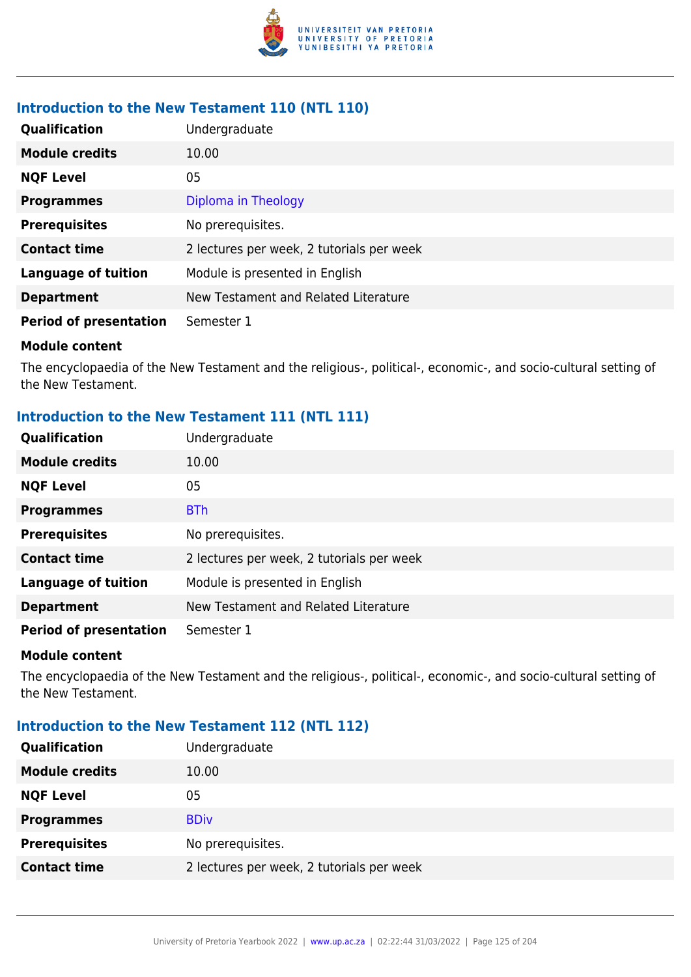

### **Introduction to the New Testament 110 (NTL 110)**

| Qualification                 | Undergraduate                             |
|-------------------------------|-------------------------------------------|
| <b>Module credits</b>         | 10.00                                     |
| <b>NQF Level</b>              | 05                                        |
| <b>Programmes</b>             | Diploma in Theology                       |
| <b>Prerequisites</b>          | No prerequisites.                         |
| <b>Contact time</b>           | 2 lectures per week, 2 tutorials per week |
| <b>Language of tuition</b>    | Module is presented in English            |
| <b>Department</b>             | New Testament and Related Literature      |
| <b>Period of presentation</b> | Semester 1                                |

#### **Module content**

The encyclopaedia of the New Testament and the religious-, political-, economic-, and socio-cultural setting of the New Testament.

# **Introduction to the New Testament 111 (NTL 111)**

| Qualification                 | Undergraduate                             |
|-------------------------------|-------------------------------------------|
| <b>Module credits</b>         | 10.00                                     |
| <b>NQF Level</b>              | 05                                        |
| <b>Programmes</b>             | <b>BTh</b>                                |
| <b>Prerequisites</b>          | No prerequisites.                         |
| <b>Contact time</b>           | 2 lectures per week, 2 tutorials per week |
| <b>Language of tuition</b>    | Module is presented in English            |
| <b>Department</b>             | New Testament and Related Literature      |
| <b>Period of presentation</b> | Semester 1                                |

#### **Module content**

The encyclopaedia of the New Testament and the religious-, political-, economic-, and socio-cultural setting of the New Testament.

### **Introduction to the New Testament 112 (NTL 112)**

| Qualification         | Undergraduate                             |
|-----------------------|-------------------------------------------|
| <b>Module credits</b> | 10.00                                     |
| <b>NQF Level</b>      | 05                                        |
| <b>Programmes</b>     | <b>BDiv</b>                               |
| <b>Prerequisites</b>  | No prerequisites.                         |
| <b>Contact time</b>   | 2 lectures per week, 2 tutorials per week |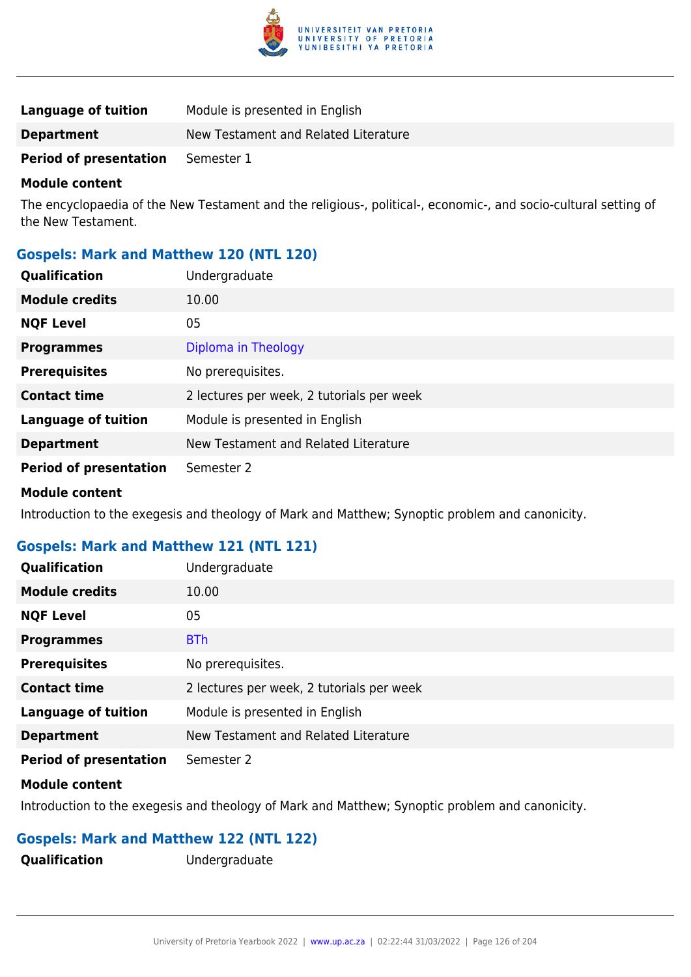

| Language of tuition           | Module is presented in English       |
|-------------------------------|--------------------------------------|
| <b>Department</b>             | New Testament and Related Literature |
| <b>Period of presentation</b> | Semester 1                           |

The encyclopaedia of the New Testament and the religious-, political-, economic-, and socio-cultural setting of the New Testament.

### **Gospels: Mark and Matthew 120 (NTL 120)**

| Qualification                 | Undergraduate                             |
|-------------------------------|-------------------------------------------|
| <b>Module credits</b>         | 10.00                                     |
| <b>NQF Level</b>              | 05                                        |
| <b>Programmes</b>             | Diploma in Theology                       |
| <b>Prerequisites</b>          | No prerequisites.                         |
| <b>Contact time</b>           | 2 lectures per week, 2 tutorials per week |
| <b>Language of tuition</b>    | Module is presented in English            |
| <b>Department</b>             | New Testament and Related Literature      |
| <b>Period of presentation</b> | Semester 2                                |
| <b>Module content</b>         |                                           |

Introduction to the exegesis and theology of Mark and Matthew; Synoptic problem and canonicity.

# **Gospels: Mark and Matthew 121 (NTL 121)**

| <b>Qualification</b>          | Undergraduate                             |
|-------------------------------|-------------------------------------------|
| <b>Module credits</b>         | 10.00                                     |
| <b>NQF Level</b>              | 05                                        |
| <b>Programmes</b>             | <b>BTh</b>                                |
| <b>Prerequisites</b>          | No prerequisites.                         |
| <b>Contact time</b>           | 2 lectures per week, 2 tutorials per week |
| <b>Language of tuition</b>    | Module is presented in English            |
| <b>Department</b>             | New Testament and Related Literature      |
| <b>Period of presentation</b> | Semester 2                                |
| .                             |                                           |

#### **Module content**

Introduction to the exegesis and theology of Mark and Matthew; Synoptic problem and canonicity.

### **Gospels: Mark and Matthew 122 (NTL 122)**

**Qualification** Undergraduate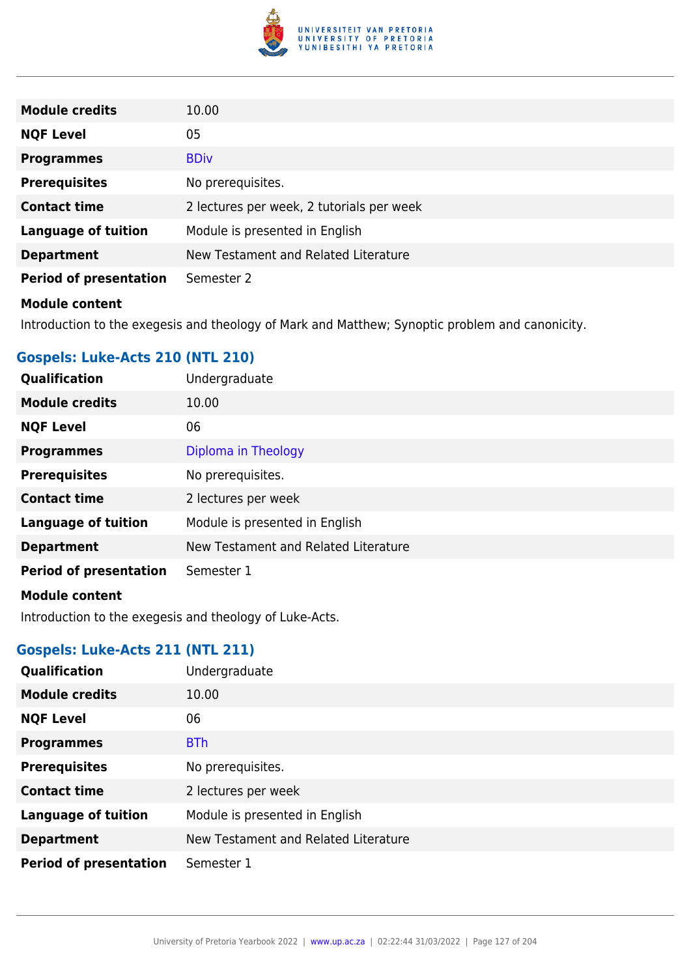

| <b>Module credits</b>         | 10.00                                     |
|-------------------------------|-------------------------------------------|
| <b>NQF Level</b>              | 05                                        |
| <b>Programmes</b>             | <b>BDiv</b>                               |
| <b>Prerequisites</b>          | No prerequisites.                         |
| <b>Contact time</b>           | 2 lectures per week, 2 tutorials per week |
| <b>Language of tuition</b>    | Module is presented in English            |
| <b>Department</b>             | New Testament and Related Literature      |
| <b>Period of presentation</b> | Semester 2                                |
| <b>Module content</b>         |                                           |

Introduction to the exegesis and theology of Mark and Matthew; Synoptic problem and canonicity.

# **Gospels: Luke-Acts 210 (NTL 210)**

| Qualification                 | Undergraduate                        |
|-------------------------------|--------------------------------------|
| <b>Module credits</b>         | 10.00                                |
| <b>NQF Level</b>              | 06                                   |
| <b>Programmes</b>             | Diploma in Theology                  |
| <b>Prerequisites</b>          | No prerequisites.                    |
| <b>Contact time</b>           | 2 lectures per week                  |
| <b>Language of tuition</b>    | Module is presented in English       |
| <b>Department</b>             | New Testament and Related Literature |
| <b>Period of presentation</b> | Semester 1                           |
| <b>Module content</b>         |                                      |

Introduction to the exegesis and theology of Luke-Acts.

# **Gospels: Luke-Acts 211 (NTL 211)**

| Qualification                 | Undergraduate                        |
|-------------------------------|--------------------------------------|
| <b>Module credits</b>         | 10.00                                |
| <b>NQF Level</b>              | 06                                   |
| <b>Programmes</b>             | <b>BTh</b>                           |
| <b>Prerequisites</b>          | No prerequisites.                    |
| <b>Contact time</b>           | 2 lectures per week                  |
| <b>Language of tuition</b>    | Module is presented in English       |
| <b>Department</b>             | New Testament and Related Literature |
| <b>Period of presentation</b> | Semester 1                           |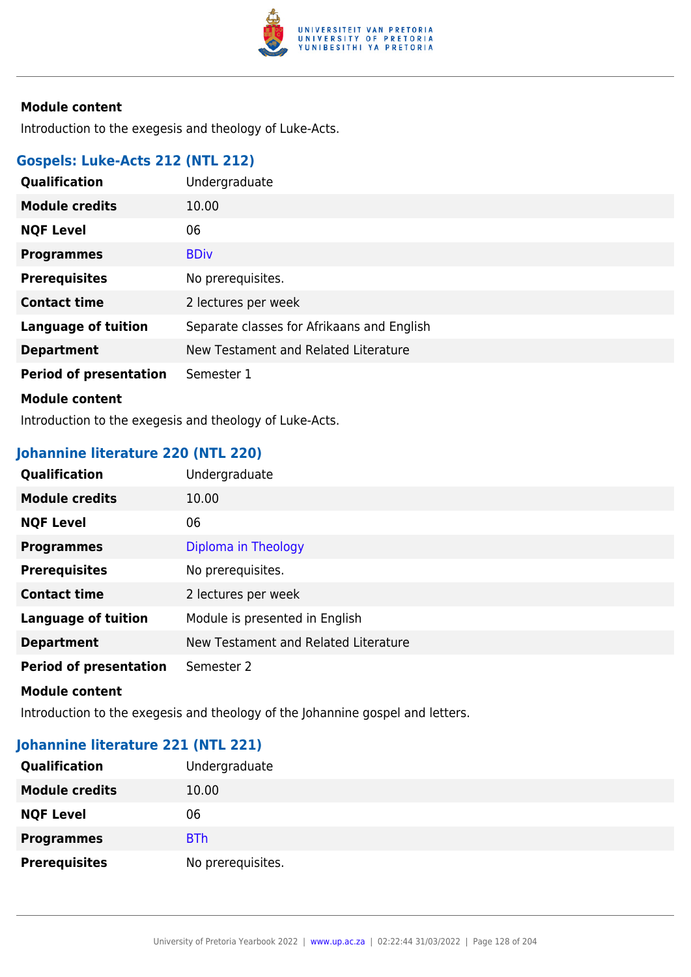

Introduction to the exegesis and theology of Luke-Acts.

# **Gospels: Luke-Acts 212 (NTL 212)**

| Qualification                 | Undergraduate                              |
|-------------------------------|--------------------------------------------|
| <b>Module credits</b>         | 10.00                                      |
| <b>NQF Level</b>              | 06                                         |
| <b>Programmes</b>             | <b>BDiv</b>                                |
| <b>Prerequisites</b>          | No prerequisites.                          |
| <b>Contact time</b>           | 2 lectures per week                        |
| <b>Language of tuition</b>    | Separate classes for Afrikaans and English |
| <b>Department</b>             | New Testament and Related Literature       |
| <b>Period of presentation</b> | Semester 1                                 |
| <b>Module content</b>         |                                            |

Introduction to the exegesis and theology of Luke-Acts.

# **Johannine literature 220 (NTL 220)**

| <b>Qualification</b>          | Undergraduate                        |
|-------------------------------|--------------------------------------|
| <b>Module credits</b>         | 10.00                                |
| <b>NQF Level</b>              | 06                                   |
| <b>Programmes</b>             | Diploma in Theology                  |
| <b>Prerequisites</b>          | No prerequisites.                    |
| <b>Contact time</b>           | 2 lectures per week                  |
| <b>Language of tuition</b>    | Module is presented in English       |
| <b>Department</b>             | New Testament and Related Literature |
| <b>Period of presentation</b> | Semester 2                           |

#### **Module content**

Introduction to the exegesis and theology of the Johannine gospel and letters.

# **Johannine literature 221 (NTL 221)**

| <b>Qualification</b>  | Undergraduate     |
|-----------------------|-------------------|
| <b>Module credits</b> | 10.00             |
| <b>NQF Level</b>      | 06                |
| <b>Programmes</b>     | <b>BTh</b>        |
| <b>Prerequisites</b>  | No prerequisites. |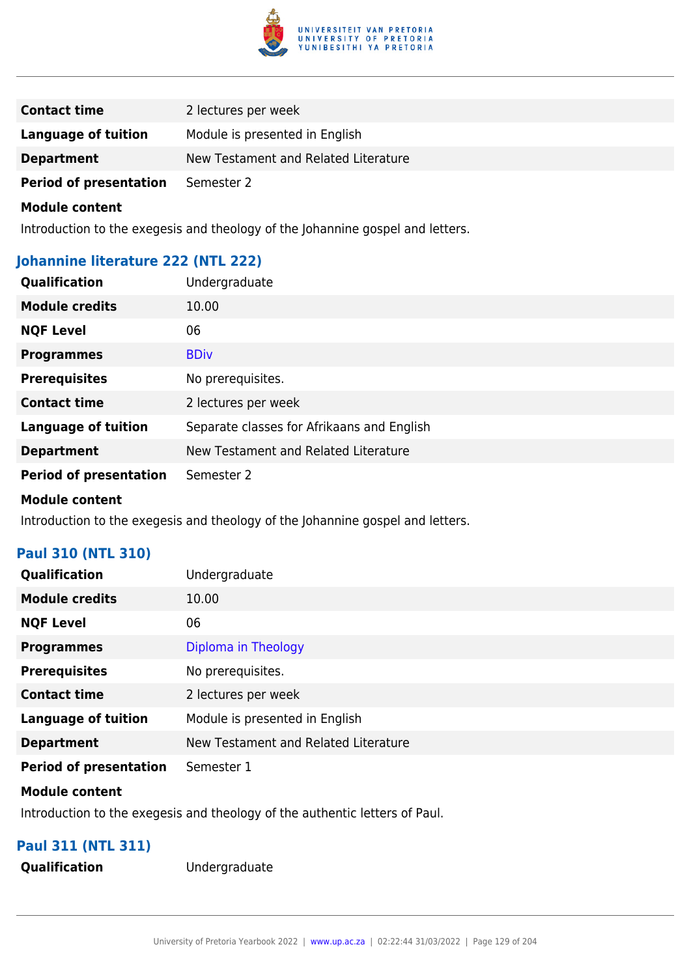

| <b>Contact time</b>           | 2 lectures per week                  |
|-------------------------------|--------------------------------------|
| Language of tuition           | Module is presented in English       |
| <b>Department</b>             | New Testament and Related Literature |
| <b>Period of presentation</b> | Semester 2                           |

Introduction to the exegesis and theology of the Johannine gospel and letters.

### **Johannine literature 222 (NTL 222)**

| Qualification                 | Undergraduate                              |
|-------------------------------|--------------------------------------------|
| <b>Module credits</b>         | 10.00                                      |
| <b>NQF Level</b>              | 06                                         |
| <b>Programmes</b>             | <b>BDiv</b>                                |
| <b>Prerequisites</b>          | No prerequisites.                          |
| <b>Contact time</b>           | 2 lectures per week                        |
| <b>Language of tuition</b>    | Separate classes for Afrikaans and English |
| <b>Department</b>             | New Testament and Related Literature       |
| <b>Period of presentation</b> | Semester 2                                 |

#### **Module content**

Introduction to the exegesis and theology of the Johannine gospel and letters.

### **Paul 310 (NTL 310)**

| Qualification                 | Undergraduate                        |
|-------------------------------|--------------------------------------|
| <b>Module credits</b>         | 10.00                                |
| <b>NQF Level</b>              | 06                                   |
| <b>Programmes</b>             | Diploma in Theology                  |
| <b>Prerequisites</b>          | No prerequisites.                    |
| <b>Contact time</b>           | 2 lectures per week                  |
| <b>Language of tuition</b>    | Module is presented in English       |
| <b>Department</b>             | New Testament and Related Literature |
| <b>Period of presentation</b> | Semester 1                           |

#### **Module content**

Introduction to the exegesis and theology of the authentic letters of Paul.

# **Paul 311 (NTL 311)**

**Qualification** Undergraduate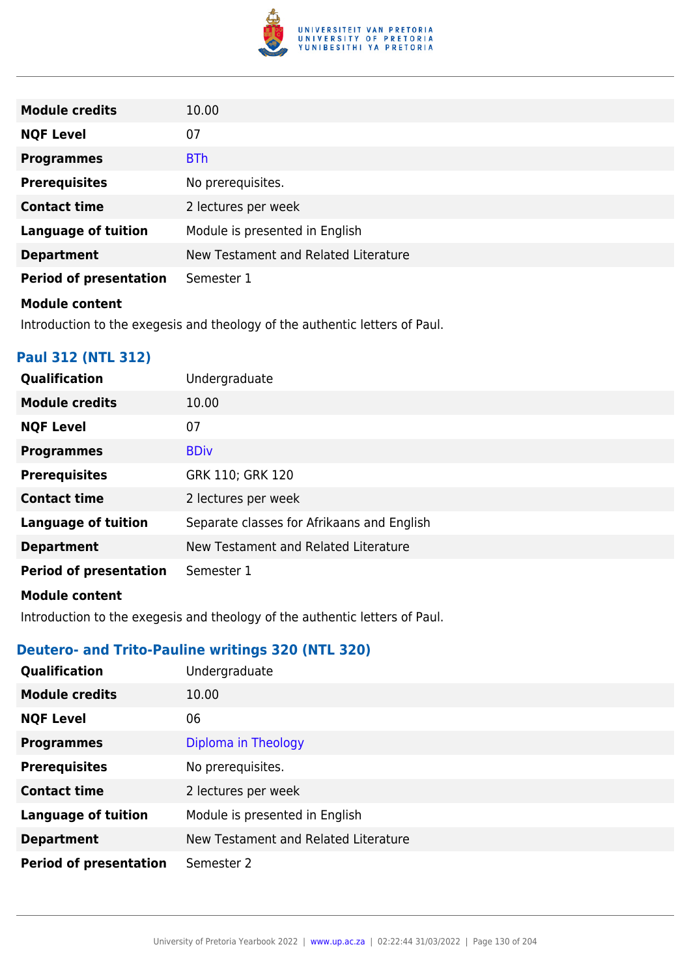

| <b>Module credits</b>                                                       | 10.00                                |
|-----------------------------------------------------------------------------|--------------------------------------|
| <b>NQF Level</b>                                                            | 07                                   |
| <b>Programmes</b>                                                           | <b>BTh</b>                           |
| <b>Prerequisites</b>                                                        | No prerequisites.                    |
| <b>Contact time</b>                                                         | 2 lectures per week                  |
| <b>Language of tuition</b>                                                  | Module is presented in English       |
| <b>Department</b>                                                           | New Testament and Related Literature |
| <b>Period of presentation</b>                                               | Semester 1                           |
| <b>Module content</b>                                                       |                                      |
| Introduction to the exegesis and theology of the authentic letters of Paul. |                                      |

# **Paul 312 (NTL 312)**

| Qualification                 | Undergraduate                              |
|-------------------------------|--------------------------------------------|
| <b>Module credits</b>         | 10.00                                      |
| <b>NQF Level</b>              | 07                                         |
| <b>Programmes</b>             | <b>BDiv</b>                                |
| <b>Prerequisites</b>          | GRK 110; GRK 120                           |
| <b>Contact time</b>           | 2 lectures per week                        |
| <b>Language of tuition</b>    | Separate classes for Afrikaans and English |
| <b>Department</b>             | New Testament and Related Literature       |
| <b>Period of presentation</b> | Semester 1                                 |
| <b>Module content</b>         |                                            |

Introduction to the exegesis and theology of the authentic letters of Paul.

# **Deutero- and Trito-Pauline writings 320 (NTL 320)**

| Qualification                 | Undergraduate                        |
|-------------------------------|--------------------------------------|
| <b>Module credits</b>         | 10.00                                |
| <b>NQF Level</b>              | 06                                   |
| <b>Programmes</b>             | Diploma in Theology                  |
| <b>Prerequisites</b>          | No prerequisites.                    |
| <b>Contact time</b>           | 2 lectures per week                  |
| <b>Language of tuition</b>    | Module is presented in English       |
| <b>Department</b>             | New Testament and Related Literature |
| <b>Period of presentation</b> | Semester 2                           |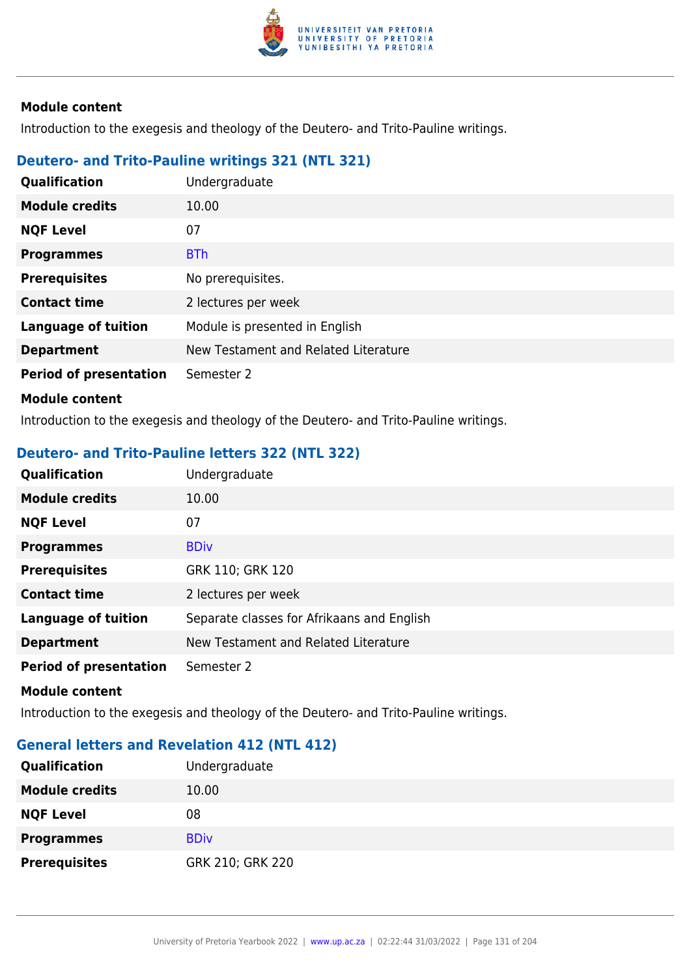

Introduction to the exegesis and theology of the Deutero- and Trito-Pauline writings.

# **Deutero- and Trito-Pauline writings 321 (NTL 321)**

| <b>Qualification</b>          | Undergraduate                        |
|-------------------------------|--------------------------------------|
| <b>Module credits</b>         | 10.00                                |
| <b>NQF Level</b>              | 07                                   |
| <b>Programmes</b>             | <b>BTh</b>                           |
| <b>Prerequisites</b>          | No prerequisites.                    |
| <b>Contact time</b>           | 2 lectures per week                  |
| <b>Language of tuition</b>    | Module is presented in English       |
| <b>Department</b>             | New Testament and Related Literature |
| <b>Period of presentation</b> | Semester 2                           |
| <b>Module content</b>         |                                      |

Introduction to the exegesis and theology of the Deutero- and Trito-Pauline writings.

### **Deutero- and Trito-Pauline letters 322 (NTL 322)**

| Qualification                 | Undergraduate                              |
|-------------------------------|--------------------------------------------|
| <b>Module credits</b>         | 10.00                                      |
| <b>NQF Level</b>              | 07                                         |
| <b>Programmes</b>             | <b>BDiv</b>                                |
| <b>Prerequisites</b>          | GRK 110; GRK 120                           |
| <b>Contact time</b>           | 2 lectures per week                        |
| <b>Language of tuition</b>    | Separate classes for Afrikaans and English |
| <b>Department</b>             | New Testament and Related Literature       |
| <b>Period of presentation</b> | Semester 2                                 |

#### **Module content**

Introduction to the exegesis and theology of the Deutero- and Trito-Pauline writings.

### **General letters and Revelation 412 (NTL 412)**

| <b>Qualification</b>  | Undergraduate    |
|-----------------------|------------------|
| <b>Module credits</b> | 10.00            |
| <b>NQF Level</b>      | 08               |
| <b>Programmes</b>     | <b>BDiv</b>      |
| <b>Prerequisites</b>  | GRK 210; GRK 220 |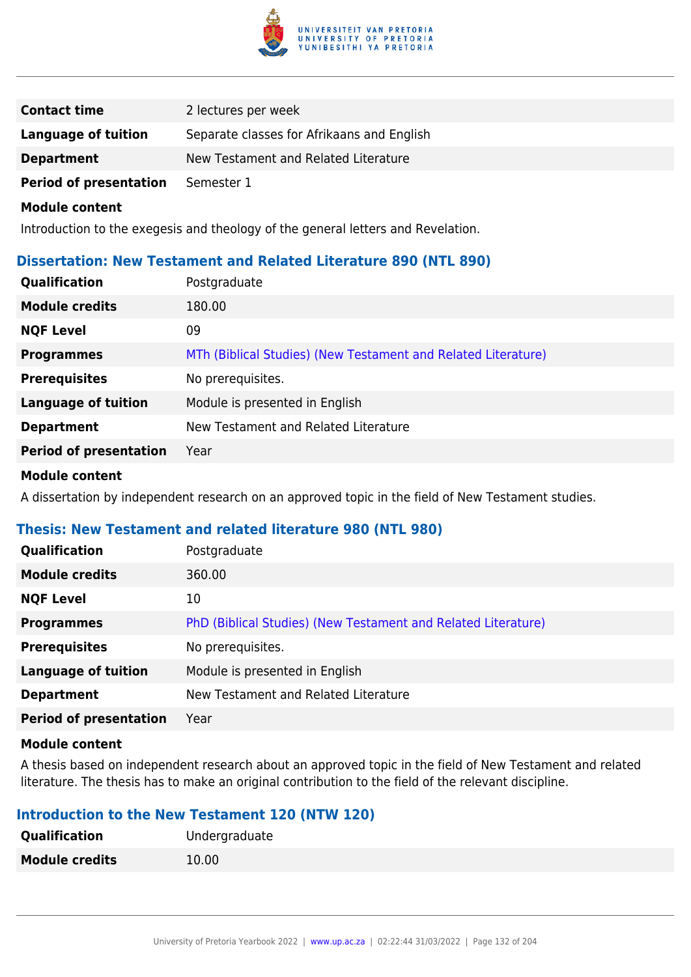

| <b>Contact time</b>           | 2 lectures per week                        |
|-------------------------------|--------------------------------------------|
| Language of tuition           | Separate classes for Afrikaans and English |
| <b>Department</b>             | New Testament and Related Literature       |
| <b>Period of presentation</b> | Semester 1                                 |

Introduction to the exegesis and theology of the general letters and Revelation.

### **Dissertation: New Testament and Related Literature 890 (NTL 890)**

| <b>Qualification</b>          | Postgraduate                                                  |
|-------------------------------|---------------------------------------------------------------|
| <b>Module credits</b>         | 180.00                                                        |
| <b>NQF Level</b>              | 09                                                            |
| <b>Programmes</b>             | MTh (Biblical Studies) (New Testament and Related Literature) |
| <b>Prerequisites</b>          | No prerequisites.                                             |
| <b>Language of tuition</b>    | Module is presented in English                                |
| <b>Department</b>             | New Testament and Related Literature                          |
| <b>Period of presentation</b> | Year                                                          |

#### **Module content**

A dissertation by independent research on an approved topic in the field of New Testament studies.

### **Thesis: New Testament and related literature 980 (NTL 980)**

| <b>Qualification</b>          | Postgraduate                                                  |
|-------------------------------|---------------------------------------------------------------|
| <b>Module credits</b>         | 360.00                                                        |
| <b>NQF Level</b>              | 10                                                            |
| <b>Programmes</b>             | PhD (Biblical Studies) (New Testament and Related Literature) |
| <b>Prerequisites</b>          | No prerequisites.                                             |
| <b>Language of tuition</b>    | Module is presented in English                                |
| <b>Department</b>             | New Testament and Related Literature                          |
| <b>Period of presentation</b> | Year                                                          |
|                               |                                                               |

#### **Module content**

A thesis based on independent research about an approved topic in the field of New Testament and related literature. The thesis has to make an original contribution to the field of the relevant discipline.

### **Introduction to the New Testament 120 (NTW 120)**

| Qualification         | Undergraduate |
|-----------------------|---------------|
| <b>Module credits</b> | 10.00         |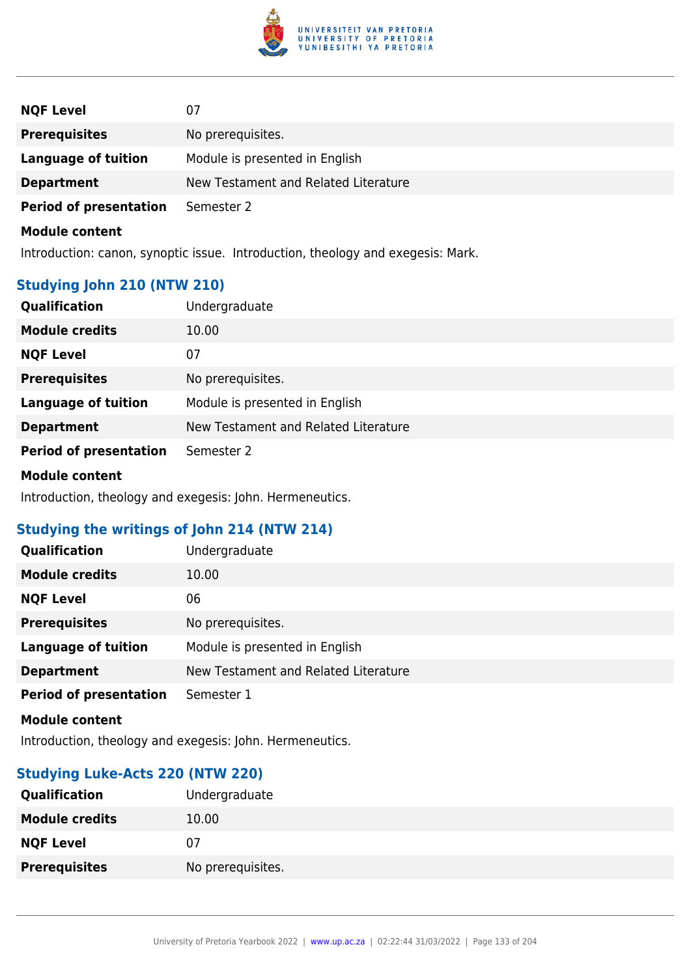

| <b>NQF Level</b>              | 07                                   |
|-------------------------------|--------------------------------------|
| <b>Prerequisites</b>          | No prerequisites.                    |
| Language of tuition           | Module is presented in English       |
| <b>Department</b>             | New Testament and Related Literature |
| <b>Period of presentation</b> | Semester 2                           |
|                               |                                      |

Introduction: canon, synoptic issue. Introduction, theology and exegesis: Mark.

# **Studying John 210 (NTW 210)**

| <b>Qualification</b>          | Undergraduate                        |
|-------------------------------|--------------------------------------|
| <b>Module credits</b>         | 10.00                                |
| <b>NQF Level</b>              | 07                                   |
| <b>Prerequisites</b>          | No prerequisites.                    |
| <b>Language of tuition</b>    | Module is presented in English       |
| <b>Department</b>             | New Testament and Related Literature |
| <b>Period of presentation</b> | Semester 2                           |
| -- - - - - -                  |                                      |

**Module content**

Introduction, theology and exegesis: John. Hermeneutics.

# **Studying the writings of John 214 (NTW 214)**

| <b>Qualification</b>          | Undergraduate                        |
|-------------------------------|--------------------------------------|
| <b>Module credits</b>         | 10.00                                |
| <b>NQF Level</b>              | 06                                   |
| <b>Prerequisites</b>          | No prerequisites.                    |
| <b>Language of tuition</b>    | Module is presented in English       |
| <b>Department</b>             | New Testament and Related Literature |
| <b>Period of presentation</b> | Semester 1                           |

**Module content**

Introduction, theology and exegesis: John. Hermeneutics.

# **Studying Luke-Acts 220 (NTW 220)**

| <b>Qualification</b>  | Undergraduate     |
|-----------------------|-------------------|
| <b>Module credits</b> | 10.00             |
| <b>NQF Level</b>      | 07                |
| <b>Prerequisites</b>  | No prerequisites. |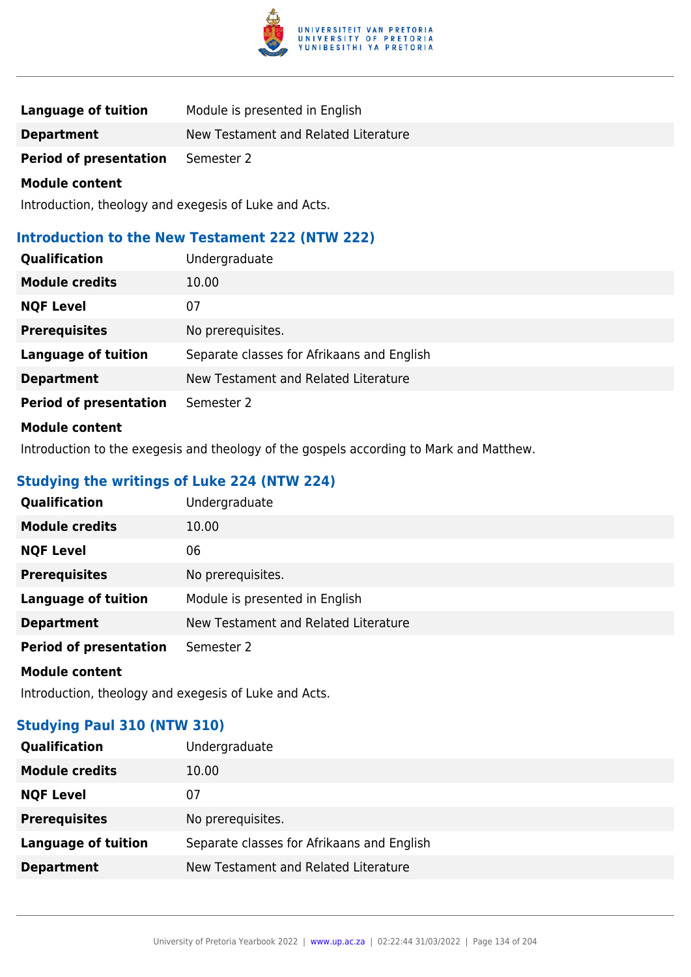

| <b>Language of tuition</b>    | Module is presented in English       |
|-------------------------------|--------------------------------------|
| <b>Department</b>             | New Testament and Related Literature |
| <b>Period of presentation</b> | Semester 2                           |

Introduction, theology and exegesis of Luke and Acts.

# **Introduction to the New Testament 222 (NTW 222)**

| <b>Qualification</b>          | Undergraduate                              |
|-------------------------------|--------------------------------------------|
| <b>Module credits</b>         | 10.00                                      |
| <b>NQF Level</b>              | 07                                         |
| <b>Prerequisites</b>          | No prerequisites.                          |
| <b>Language of tuition</b>    | Separate classes for Afrikaans and English |
| <b>Department</b>             | New Testament and Related Literature       |
| <b>Period of presentation</b> | Semester 2                                 |
| .                             |                                            |

### **Module content**

Introduction to the exegesis and theology of the gospels according to Mark and Matthew.

# **Studying the writings of Luke 224 (NTW 224)**

| <b>Qualification</b>          | Undergraduate                        |
|-------------------------------|--------------------------------------|
| <b>Module credits</b>         | 10.00                                |
| <b>NQF Level</b>              | 06                                   |
| <b>Prerequisites</b>          | No prerequisites.                    |
| <b>Language of tuition</b>    | Module is presented in English       |
| <b>Department</b>             | New Testament and Related Literature |
| <b>Period of presentation</b> | Semester 2                           |
| <b>Module content</b>         |                                      |

Introduction, theology and exegesis of Luke and Acts.

# **Studying Paul 310 (NTW 310)**

| <b>Qualification</b>       | Undergraduate                              |
|----------------------------|--------------------------------------------|
| <b>Module credits</b>      | 10.00                                      |
| <b>NQF Level</b>           | 07                                         |
| <b>Prerequisites</b>       | No prerequisites.                          |
| <b>Language of tuition</b> | Separate classes for Afrikaans and English |
| <b>Department</b>          | New Testament and Related Literature       |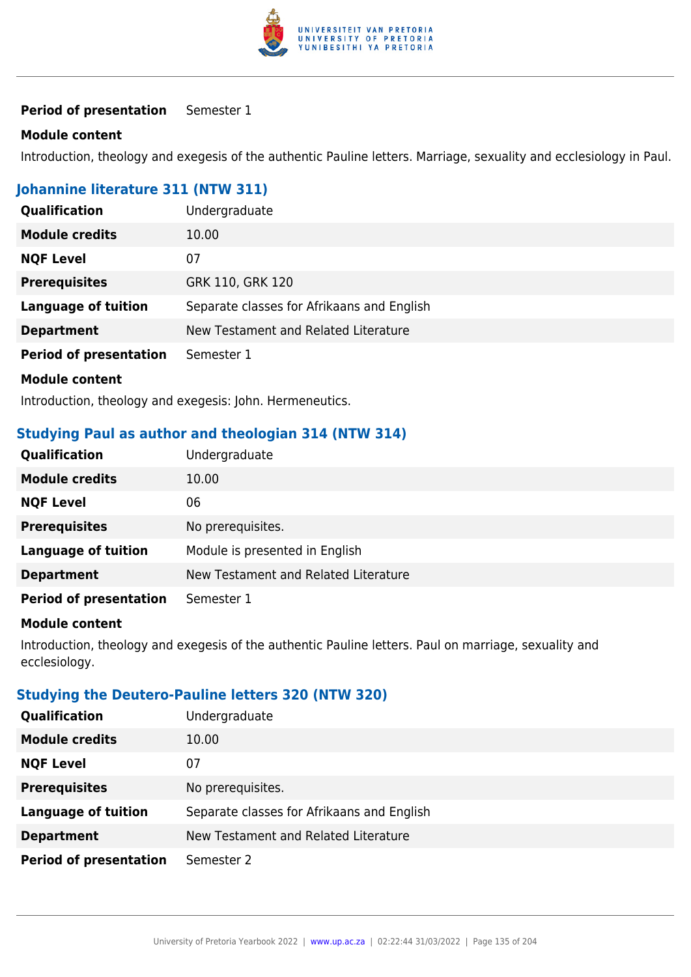

### **Period of presentation** Semester 1

#### **Module content**

Introduction, theology and exegesis of the authentic Pauline letters. Marriage, sexuality and ecclesiology in Paul.

# **Johannine literature 311 (NTW 311)**

| Qualification                 | Undergraduate                                                                                                  |
|-------------------------------|----------------------------------------------------------------------------------------------------------------|
| <b>Module credits</b>         | 10.00                                                                                                          |
| <b>NQF Level</b>              | 07                                                                                                             |
| <b>Prerequisites</b>          | GRK 110, GRK 120                                                                                               |
| <b>Language of tuition</b>    | Separate classes for Afrikaans and English                                                                     |
| <b>Department</b>             | New Testament and Related Literature                                                                           |
| <b>Period of presentation</b> | Semester 1                                                                                                     |
| <b>Module content</b>         |                                                                                                                |
|                               | the first official descriptions of a construction of the constant of the first official construction of the co |

Introduction, theology and exegesis: John. Hermeneutics.

# **Studying Paul as author and theologian 314 (NTW 314)**

| <b>Qualification</b>          | Undergraduate                        |
|-------------------------------|--------------------------------------|
| <b>Module credits</b>         | 10.00                                |
| <b>NQF Level</b>              | 06                                   |
| <b>Prerequisites</b>          | No prerequisites.                    |
| <b>Language of tuition</b>    | Module is presented in English       |
| <b>Department</b>             | New Testament and Related Literature |
| <b>Period of presentation</b> | Semester 1                           |

#### **Module content**

Introduction, theology and exegesis of the authentic Pauline letters. Paul on marriage, sexuality and ecclesiology.

### **Studying the Deutero-Pauline letters 320 (NTW 320)**

| <b>Qualification</b>          | Undergraduate                              |
|-------------------------------|--------------------------------------------|
| <b>Module credits</b>         | 10.00                                      |
| <b>NQF Level</b>              | 07                                         |
| <b>Prerequisites</b>          | No prerequisites.                          |
| <b>Language of tuition</b>    | Separate classes for Afrikaans and English |
| <b>Department</b>             | New Testament and Related Literature       |
| <b>Period of presentation</b> | Semester 2                                 |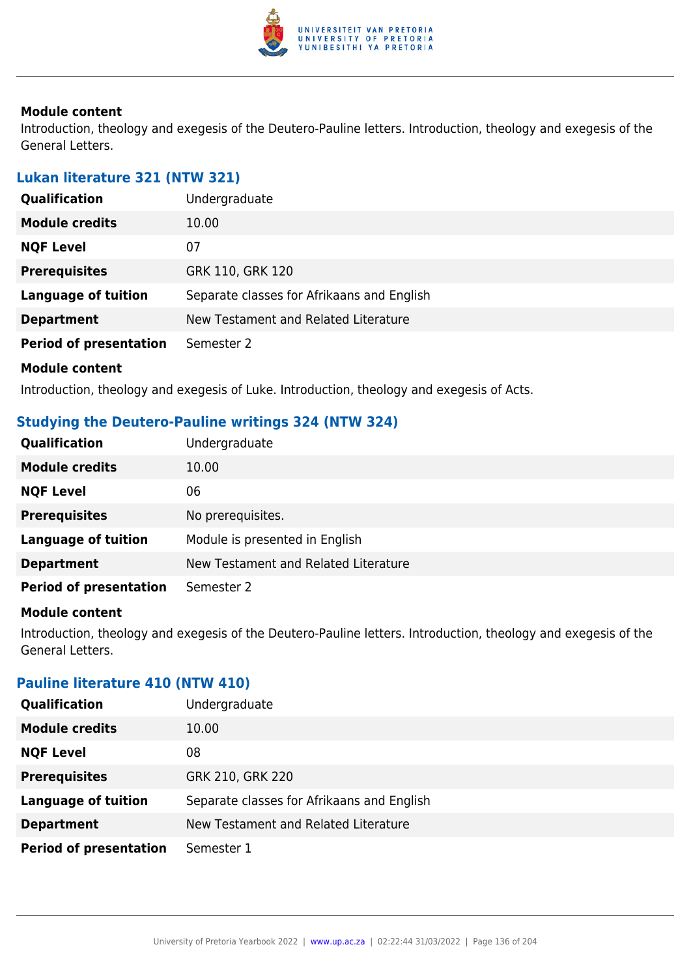

Introduction, theology and exegesis of the Deutero-Pauline letters. Introduction, theology and exegesis of the General Letters.

### **Lukan literature 321 (NTW 321)**

| <b>Qualification</b>          | Undergraduate                              |
|-------------------------------|--------------------------------------------|
| <b>Module credits</b>         | 10.00                                      |
| <b>NQF Level</b>              | 07                                         |
| <b>Prerequisites</b>          | GRK 110, GRK 120                           |
| <b>Language of tuition</b>    | Separate classes for Afrikaans and English |
| <b>Department</b>             | New Testament and Related Literature       |
| <b>Period of presentation</b> | Semester 2                                 |
| <b>Module content</b>         |                                            |

Introduction, theology and exegesis of Luke. Introduction, theology and exegesis of Acts.

### **Studying the Deutero-Pauline writings 324 (NTW 324)**

| <b>Qualification</b>          | Undergraduate                        |
|-------------------------------|--------------------------------------|
| <b>Module credits</b>         | 10.00                                |
| <b>NQF Level</b>              | 06                                   |
| <b>Prerequisites</b>          | No prerequisites.                    |
| <b>Language of tuition</b>    | Module is presented in English       |
| <b>Department</b>             | New Testament and Related Literature |
| <b>Period of presentation</b> | Semester 2                           |

#### **Module content**

Introduction, theology and exegesis of the Deutero-Pauline letters. Introduction, theology and exegesis of the General Letters.

### **Pauline literature 410 (NTW 410)**

| <b>Qualification</b>          | Undergraduate                              |
|-------------------------------|--------------------------------------------|
| <b>Module credits</b>         | 10.00                                      |
| <b>NQF Level</b>              | 08                                         |
| <b>Prerequisites</b>          | GRK 210, GRK 220                           |
| <b>Language of tuition</b>    | Separate classes for Afrikaans and English |
| <b>Department</b>             | New Testament and Related Literature       |
| <b>Period of presentation</b> | Semester 1                                 |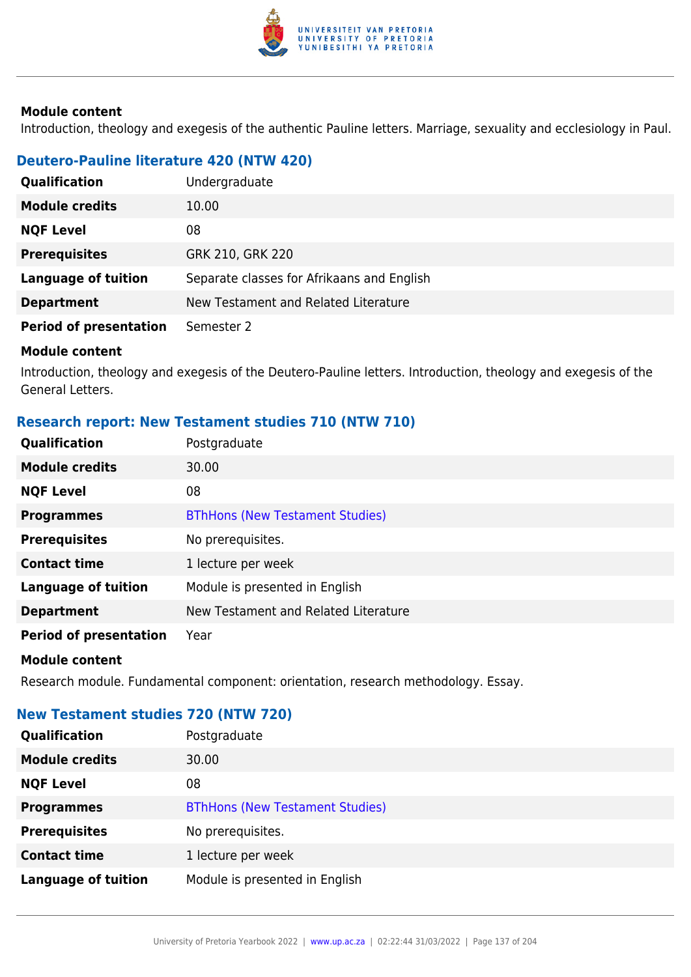

Introduction, theology and exegesis of the authentic Pauline letters. Marriage, sexuality and ecclesiology in Paul.

# **Deutero-Pauline literature 420 (NTW 420)**

| <b>Qualification</b>          | Undergraduate                              |
|-------------------------------|--------------------------------------------|
| <b>Module credits</b>         | 10.00                                      |
| <b>NQF Level</b>              | 08                                         |
| <b>Prerequisites</b>          | GRK 210, GRK 220                           |
| <b>Language of tuition</b>    | Separate classes for Afrikaans and English |
| <b>Department</b>             | New Testament and Related Literature       |
| <b>Period of presentation</b> | Semester 2                                 |

#### **Module content**

Introduction, theology and exegesis of the Deutero-Pauline letters. Introduction, theology and exegesis of the General Letters.

# **Research report: New Testament studies 710 (NTW 710)**

| Qualification                 | Postgraduate                           |
|-------------------------------|----------------------------------------|
| <b>Module credits</b>         | 30.00                                  |
| <b>NQF Level</b>              | 08                                     |
| <b>Programmes</b>             | <b>BThHons (New Testament Studies)</b> |
| <b>Prerequisites</b>          | No prerequisites.                      |
| <b>Contact time</b>           | 1 lecture per week                     |
| <b>Language of tuition</b>    | Module is presented in English         |
| <b>Department</b>             | New Testament and Related Literature   |
| <b>Period of presentation</b> | Year                                   |
| <b>Module content</b>         |                                        |

Research module. Fundamental component: orientation, research methodology. Essay.

# **New Testament studies 720 (NTW 720)**

| <b>Qualification</b>       | Postgraduate                           |
|----------------------------|----------------------------------------|
| <b>Module credits</b>      | 30.00                                  |
| <b>NQF Level</b>           | 08                                     |
| <b>Programmes</b>          | <b>BThHons (New Testament Studies)</b> |
| <b>Prerequisites</b>       | No prerequisites.                      |
| <b>Contact time</b>        | 1 lecture per week                     |
| <b>Language of tuition</b> | Module is presented in English         |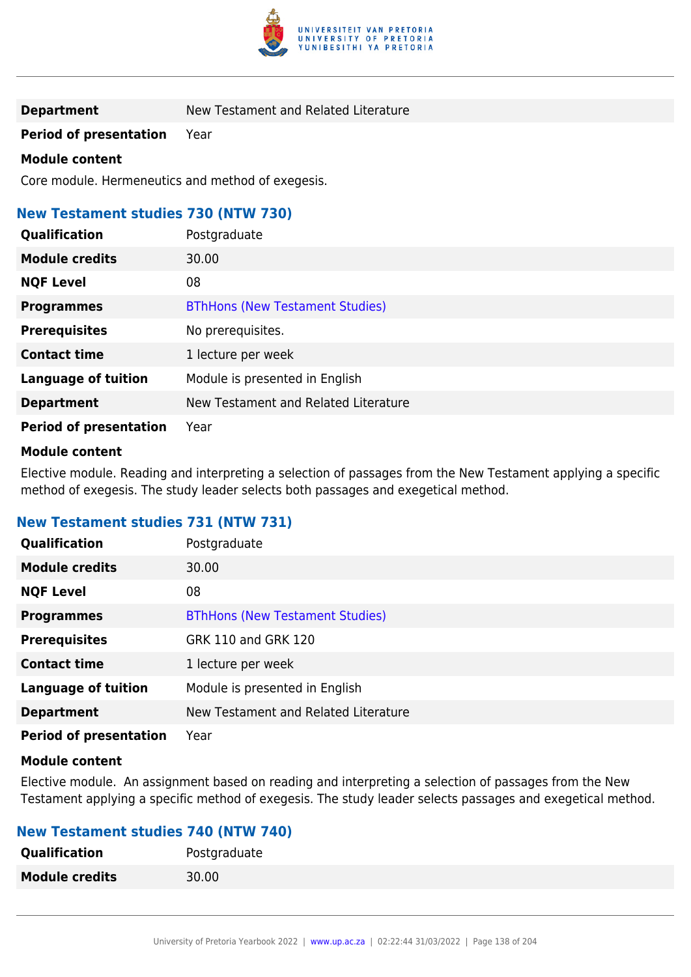

**Department** New Testament and Related Literature

**Period of presentation** Year

#### **Module content**

Core module. Hermeneutics and method of exegesis.

# **New Testament studies 730 (NTW 730)**

| Qualification                 | Postgraduate                           |
|-------------------------------|----------------------------------------|
| <b>Module credits</b>         | 30.00                                  |
| <b>NQF Level</b>              | 08                                     |
| <b>Programmes</b>             | <b>BThHons (New Testament Studies)</b> |
| <b>Prerequisites</b>          | No prerequisites.                      |
| <b>Contact time</b>           | 1 lecture per week                     |
| <b>Language of tuition</b>    | Module is presented in English         |
| <b>Department</b>             | New Testament and Related Literature   |
| <b>Period of presentation</b> | Year                                   |

#### **Module content**

Elective module. Reading and interpreting a selection of passages from the New Testament applying a specific method of exegesis. The study leader selects both passages and exegetical method.

# **New Testament studies 731 (NTW 731)**

| <b>Qualification</b>          | Postgraduate                           |
|-------------------------------|----------------------------------------|
| <b>Module credits</b>         | 30.00                                  |
| <b>NQF Level</b>              | 08                                     |
| <b>Programmes</b>             | <b>BThHons (New Testament Studies)</b> |
| <b>Prerequisites</b>          | GRK 110 and GRK 120                    |
| <b>Contact time</b>           | 1 lecture per week                     |
| <b>Language of tuition</b>    | Module is presented in English         |
| <b>Department</b>             | New Testament and Related Literature   |
| <b>Period of presentation</b> | Year                                   |

#### **Module content**

Elective module. An assignment based on reading and interpreting a selection of passages from the New Testament applying a specific method of exegesis. The study leader selects passages and exegetical method.

| <b>New Testament studies 740 (NTW 740)</b> |              |
|--------------------------------------------|--------------|
| <b>Qualification</b>                       | Postgraduate |
| <b>Module credits</b>                      | 30.00        |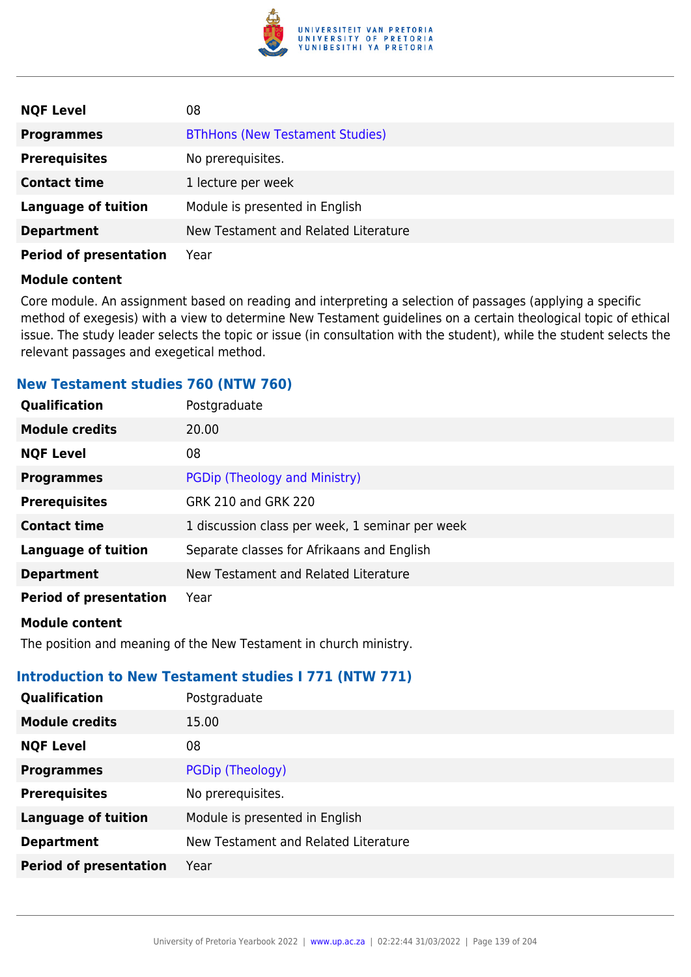

| <b>NQF Level</b>              | 08                                     |
|-------------------------------|----------------------------------------|
| <b>Programmes</b>             | <b>BThHons (New Testament Studies)</b> |
| <b>Prerequisites</b>          | No prerequisites.                      |
| <b>Contact time</b>           | 1 lecture per week                     |
| <b>Language of tuition</b>    | Module is presented in English         |
| <b>Department</b>             | New Testament and Related Literature   |
| <b>Period of presentation</b> | Year                                   |

Core module. An assignment based on reading and interpreting a selection of passages (applying a specific method of exegesis) with a view to determine New Testament guidelines on a certain theological topic of ethical issue. The study leader selects the topic or issue (in consultation with the student), while the student selects the relevant passages and exegetical method.

### **New Testament studies 760 (NTW 760)**

| Qualification                 | Postgraduate                                    |
|-------------------------------|-------------------------------------------------|
| <b>Module credits</b>         | 20.00                                           |
| <b>NQF Level</b>              | 08                                              |
| <b>Programmes</b>             | PGDip (Theology and Ministry)                   |
| <b>Prerequisites</b>          | GRK 210 and GRK 220                             |
| <b>Contact time</b>           | 1 discussion class per week, 1 seminar per week |
| <b>Language of tuition</b>    | Separate classes for Afrikaans and English      |
| <b>Department</b>             | New Testament and Related Literature            |
| <b>Period of presentation</b> | Year                                            |
|                               |                                                 |

#### **Module content**

The position and meaning of the New Testament in church ministry.

### **Introduction to New Testament studies I 771 (NTW 771)**

| <b>Qualification</b>          | Postgraduate                         |
|-------------------------------|--------------------------------------|
| <b>Module credits</b>         | 15.00                                |
| <b>NQF Level</b>              | 08                                   |
| <b>Programmes</b>             | PGDip (Theology)                     |
| <b>Prerequisites</b>          | No prerequisites.                    |
| <b>Language of tuition</b>    | Module is presented in English       |
| <b>Department</b>             | New Testament and Related Literature |
| <b>Period of presentation</b> | Year                                 |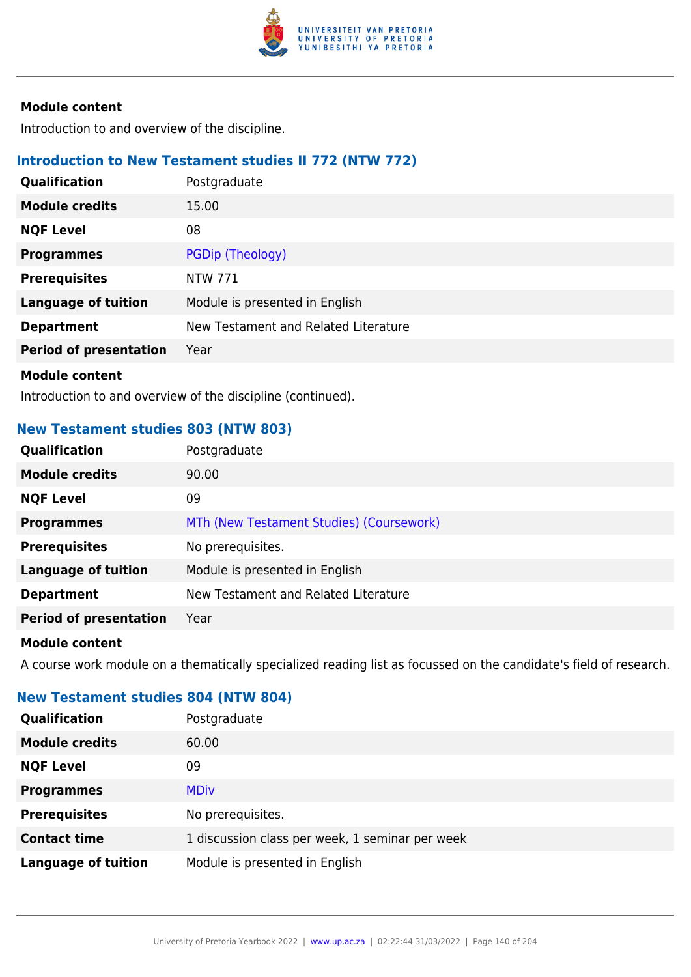

Introduction to and overview of the discipline.

### **Introduction to New Testament studies II 772 (NTW 772)**

| <b>Qualification</b>          | Postgraduate                         |
|-------------------------------|--------------------------------------|
| <b>Module credits</b>         | 15.00                                |
| <b>NQF Level</b>              | 08                                   |
| <b>Programmes</b>             | PGDip (Theology)                     |
| <b>Prerequisites</b>          | <b>NTW 771</b>                       |
| <b>Language of tuition</b>    | Module is presented in English       |
| <b>Department</b>             | New Testament and Related Literature |
| <b>Period of presentation</b> | Year                                 |
| <b>Madula assistant</b>       |                                      |

**Module content**

Introduction to and overview of the discipline (continued).

### **New Testament studies 803 (NTW 803)**

| Qualification                 | Postgraduate                             |
|-------------------------------|------------------------------------------|
| <b>Module credits</b>         | 90.00                                    |
| <b>NQF Level</b>              | 09                                       |
| <b>Programmes</b>             | MTh (New Testament Studies) (Coursework) |
| <b>Prerequisites</b>          | No prerequisites.                        |
| <b>Language of tuition</b>    | Module is presented in English           |
| <b>Department</b>             | New Testament and Related Literature     |
| <b>Period of presentation</b> | Year                                     |
|                               |                                          |

#### **Module content**

A course work module on a thematically specialized reading list as focussed on the candidate's field of research.

# **New Testament studies 804 (NTW 804)**

| <b>Qualification</b>       | Postgraduate                                    |
|----------------------------|-------------------------------------------------|
| <b>Module credits</b>      | 60.00                                           |
| <b>NQF Level</b>           | 09                                              |
| <b>Programmes</b>          | <b>MDiv</b>                                     |
| <b>Prerequisites</b>       | No prerequisites.                               |
| <b>Contact time</b>        | 1 discussion class per week, 1 seminar per week |
| <b>Language of tuition</b> | Module is presented in English                  |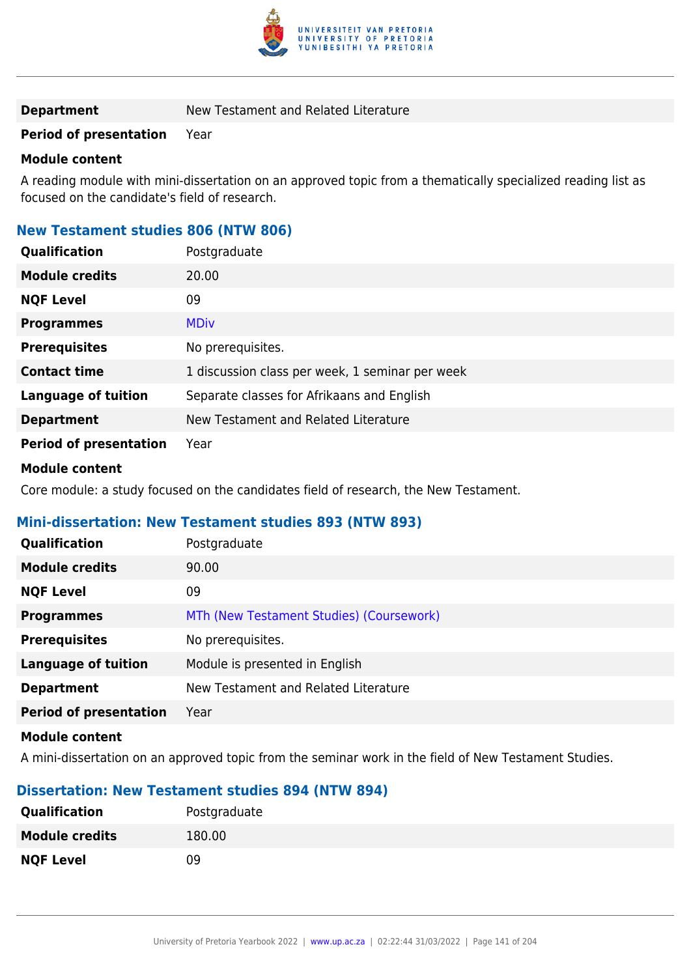

**Department** New Testament and Related Literature

### **Period of presentation** Year

#### **Module content**

A reading module with mini-dissertation on an approved topic from a thematically specialized reading list as focused on the candidate's field of research.

# **New Testament studies 806 (NTW 806)**

| <b>Qualification</b>          | Postgraduate                                    |
|-------------------------------|-------------------------------------------------|
| <b>Module credits</b>         | 20.00                                           |
| <b>NQF Level</b>              | 09                                              |
| <b>Programmes</b>             | <b>MDiv</b>                                     |
| <b>Prerequisites</b>          | No prerequisites.                               |
| <b>Contact time</b>           | 1 discussion class per week, 1 seminar per week |
| <b>Language of tuition</b>    | Separate classes for Afrikaans and English      |
| <b>Department</b>             | New Testament and Related Literature            |
| <b>Period of presentation</b> | Year                                            |

#### **Module content**

Core module: a study focused on the candidates field of research, the New Testament.

### **Mini-dissertation: New Testament studies 893 (NTW 893)**

| Qualification                 | Postgraduate                             |
|-------------------------------|------------------------------------------|
| <b>Module credits</b>         | 90.00                                    |
| <b>NQF Level</b>              | 09                                       |
| <b>Programmes</b>             | MTh (New Testament Studies) (Coursework) |
| <b>Prerequisites</b>          | No prerequisites.                        |
| <b>Language of tuition</b>    | Module is presented in English           |
| <b>Department</b>             | New Testament and Related Literature     |
| <b>Period of presentation</b> | Year                                     |
| <b>Module content</b>         |                                          |

A mini-dissertation on an approved topic from the seminar work in the field of New Testament Studies.

# **Dissertation: New Testament studies 894 (NTW 894)**

| <b>Qualification</b>  | Postgraduate |
|-----------------------|--------------|
| <b>Module credits</b> | 180.00       |
| <b>NQF Level</b>      | 09           |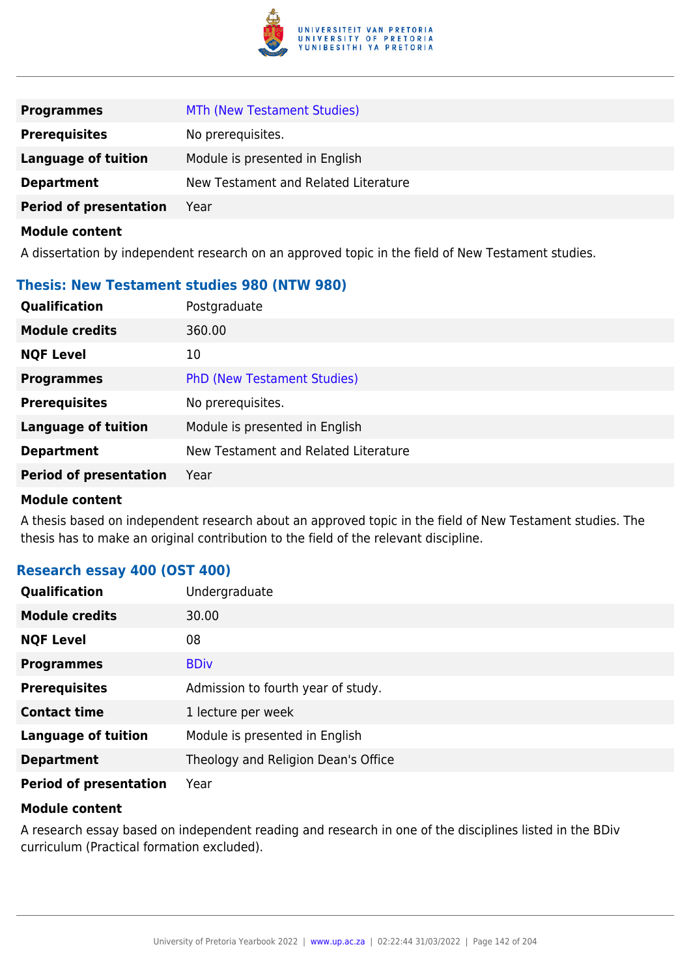

| <b>Programmes</b>             | MTh (New Testament Studies)          |
|-------------------------------|--------------------------------------|
| <b>Prerequisites</b>          | No prerequisites.                    |
| Language of tuition           | Module is presented in English       |
| <b>Department</b>             | New Testament and Related Literature |
| <b>Period of presentation</b> | Year                                 |

A dissertation by independent research on an approved topic in the field of New Testament studies.

### **Thesis: New Testament studies 980 (NTW 980)**

| <b>Qualification</b>          | Postgraduate                         |
|-------------------------------|--------------------------------------|
| <b>Module credits</b>         | 360.00                               |
| <b>NQF Level</b>              | 10                                   |
| <b>Programmes</b>             | <b>PhD (New Testament Studies)</b>   |
| <b>Prerequisites</b>          | No prerequisites.                    |
| <b>Language of tuition</b>    | Module is presented in English       |
| <b>Department</b>             | New Testament and Related Literature |
| <b>Period of presentation</b> | Year                                 |
|                               |                                      |

#### **Module content**

A thesis based on independent research about an approved topic in the field of New Testament studies. The thesis has to make an original contribution to the field of the relevant discipline.

### **Research essay 400 (OST 400)**

| Qualification                 | Undergraduate                       |
|-------------------------------|-------------------------------------|
| <b>Module credits</b>         | 30.00                               |
| <b>NQF Level</b>              | 08                                  |
| <b>Programmes</b>             | <b>BDiv</b>                         |
| <b>Prerequisites</b>          | Admission to fourth year of study.  |
| <b>Contact time</b>           | 1 lecture per week                  |
| <b>Language of tuition</b>    | Module is presented in English      |
| <b>Department</b>             | Theology and Religion Dean's Office |
| <b>Period of presentation</b> | Year                                |

#### **Module content**

A research essay based on independent reading and research in one of the disciplines listed in the BDiv curriculum (Practical formation excluded).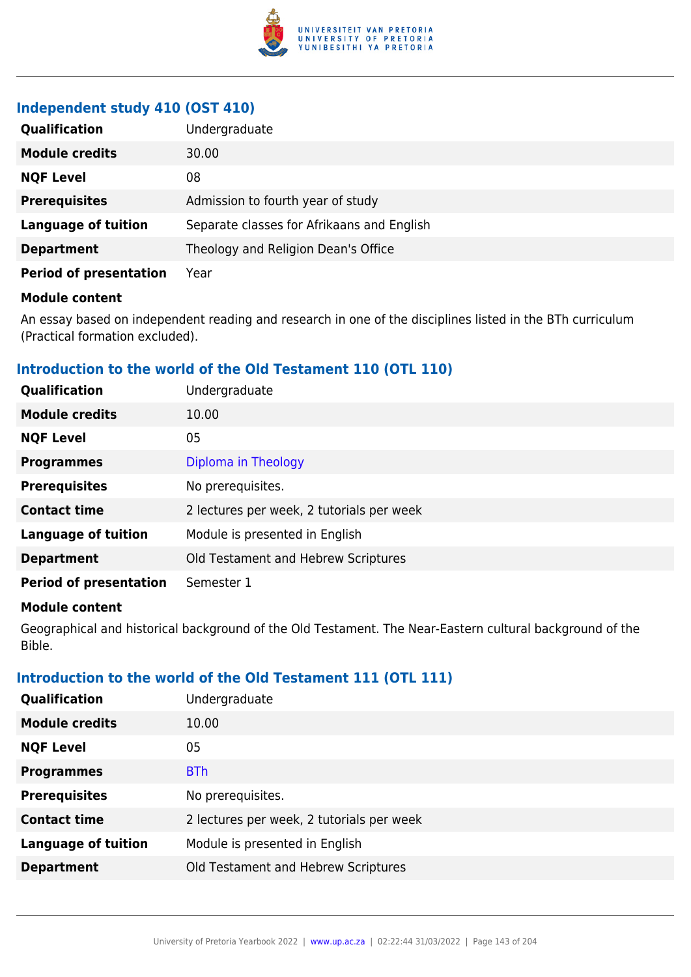

# **Independent study 410 (OST 410)**

| <b>Qualification</b>          | Undergraduate                              |
|-------------------------------|--------------------------------------------|
| <b>Module credits</b>         | 30.00                                      |
| <b>NQF Level</b>              | 08                                         |
| <b>Prerequisites</b>          | Admission to fourth year of study          |
| <b>Language of tuition</b>    | Separate classes for Afrikaans and English |
| <b>Department</b>             | Theology and Religion Dean's Office        |
| <b>Period of presentation</b> | Year                                       |

#### **Module content**

An essay based on independent reading and research in one of the disciplines listed in the BTh curriculum (Practical formation excluded).

# **Introduction to the world of the Old Testament 110 (OTL 110)**

| Qualification                 | Undergraduate                             |
|-------------------------------|-------------------------------------------|
| <b>Module credits</b>         | 10.00                                     |
| <b>NQF Level</b>              | 05                                        |
| <b>Programmes</b>             | Diploma in Theology                       |
| <b>Prerequisites</b>          | No prerequisites.                         |
| <b>Contact time</b>           | 2 lectures per week, 2 tutorials per week |
| <b>Language of tuition</b>    | Module is presented in English            |
| <b>Department</b>             | Old Testament and Hebrew Scriptures       |
| <b>Period of presentation</b> | Semester 1                                |

### **Module content**

Geographical and historical background of the Old Testament. The Near-Eastern cultural background of the Bible.

# **Introduction to the world of the Old Testament 111 (OTL 111)**

| <b>Qualification</b>       | Undergraduate                             |
|----------------------------|-------------------------------------------|
| <b>Module credits</b>      | 10.00                                     |
| <b>NQF Level</b>           | 05                                        |
| <b>Programmes</b>          | <b>BTh</b>                                |
| <b>Prerequisites</b>       | No prerequisites.                         |
| <b>Contact time</b>        | 2 lectures per week, 2 tutorials per week |
| <b>Language of tuition</b> | Module is presented in English            |
| <b>Department</b>          | Old Testament and Hebrew Scriptures       |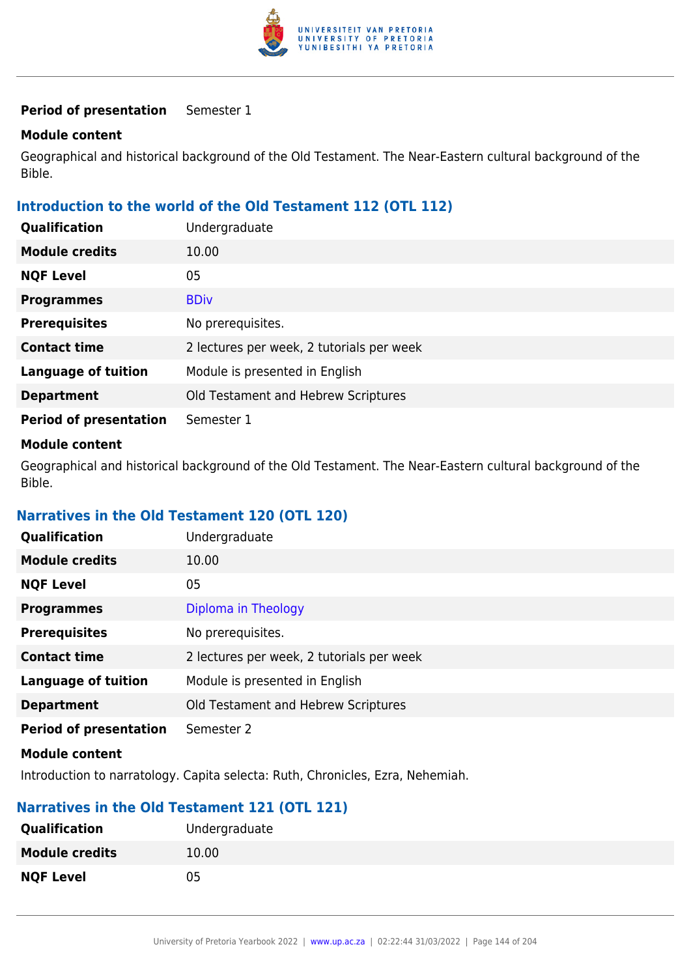

#### **Period of presentation** Semester 1

#### **Module content**

Geographical and historical background of the Old Testament. The Near-Eastern cultural background of the Bible.

### **Introduction to the world of the Old Testament 112 (OTL 112)**

| <b>Qualification</b>          | Undergraduate                             |
|-------------------------------|-------------------------------------------|
| <b>Module credits</b>         | 10.00                                     |
| <b>NQF Level</b>              | 05                                        |
| <b>Programmes</b>             | <b>BDiv</b>                               |
| <b>Prerequisites</b>          | No prerequisites.                         |
| <b>Contact time</b>           | 2 lectures per week, 2 tutorials per week |
| <b>Language of tuition</b>    | Module is presented in English            |
| <b>Department</b>             | Old Testament and Hebrew Scriptures       |
| <b>Period of presentation</b> | Semester 1                                |

#### **Module content**

Geographical and historical background of the Old Testament. The Near-Eastern cultural background of the Bible.

### **Narratives in the Old Testament 120 (OTL 120)**

| <b>Qualification</b>          | Undergraduate                             |
|-------------------------------|-------------------------------------------|
| <b>Module credits</b>         | 10.00                                     |
| <b>NQF Level</b>              | 05                                        |
| <b>Programmes</b>             | Diploma in Theology                       |
| <b>Prerequisites</b>          | No prerequisites.                         |
| <b>Contact time</b>           | 2 lectures per week, 2 tutorials per week |
| <b>Language of tuition</b>    | Module is presented in English            |
| <b>Department</b>             | Old Testament and Hebrew Scriptures       |
| <b>Period of presentation</b> | Semester 2                                |
| Madula aantant                |                                           |

#### **Module content**

Introduction to narratology. Capita selecta: Ruth, Chronicles, Ezra, Nehemiah.

### **Narratives in the Old Testament 121 (OTL 121)**

| <b>Qualification</b>  | Undergraduate |
|-----------------------|---------------|
| <b>Module credits</b> | 10.00         |
| <b>NQF Level</b>      | 05            |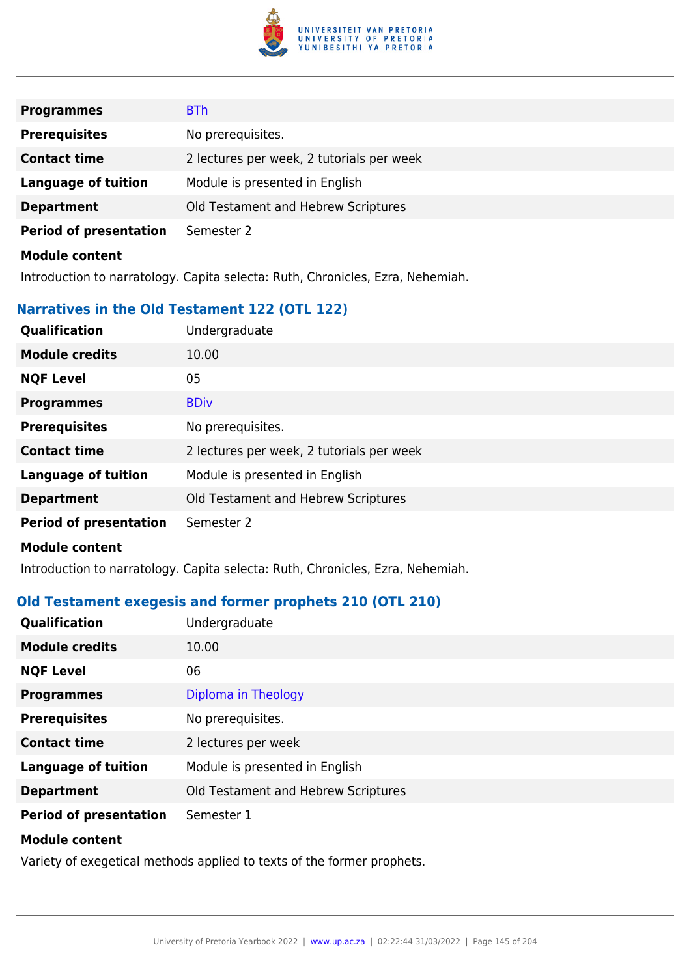

| <b>Programmes</b>             | <b>BTh</b>                                |
|-------------------------------|-------------------------------------------|
| <b>Prerequisites</b>          | No prerequisites.                         |
| <b>Contact time</b>           | 2 lectures per week, 2 tutorials per week |
| <b>Language of tuition</b>    | Module is presented in English            |
| <b>Department</b>             | Old Testament and Hebrew Scriptures       |
| <b>Period of presentation</b> | Semester 2                                |
| <b>Module content</b>         |                                           |

Introduction to narratology. Capita selecta: Ruth, Chronicles, Ezra, Nehemiah.

# **Narratives in the Old Testament 122 (OTL 122)**

| Qualification                 | Undergraduate                             |
|-------------------------------|-------------------------------------------|
| <b>Module credits</b>         | 10.00                                     |
| <b>NQF Level</b>              | 05                                        |
| <b>Programmes</b>             | <b>BDiv</b>                               |
| <b>Prerequisites</b>          | No prerequisites.                         |
| <b>Contact time</b>           | 2 lectures per week, 2 tutorials per week |
| <b>Language of tuition</b>    | Module is presented in English            |
| <b>Department</b>             | Old Testament and Hebrew Scriptures       |
| <b>Period of presentation</b> | Semester 2                                |

#### **Module content**

Introduction to narratology. Capita selecta: Ruth, Chronicles, Ezra, Nehemiah.

# **Old Testament exegesis and former prophets 210 (OTL 210)**

| <b>Qualification</b>          | Undergraduate                       |
|-------------------------------|-------------------------------------|
| <b>Module credits</b>         | 10.00                               |
| <b>NQF Level</b>              | 06                                  |
| <b>Programmes</b>             | Diploma in Theology                 |
| <b>Prerequisites</b>          | No prerequisites.                   |
| <b>Contact time</b>           | 2 lectures per week                 |
| <b>Language of tuition</b>    | Module is presented in English      |
| <b>Department</b>             | Old Testament and Hebrew Scriptures |
| <b>Period of presentation</b> | Semester 1                          |
| <b>Module content</b>         |                                     |

Variety of exegetical methods applied to texts of the former prophets.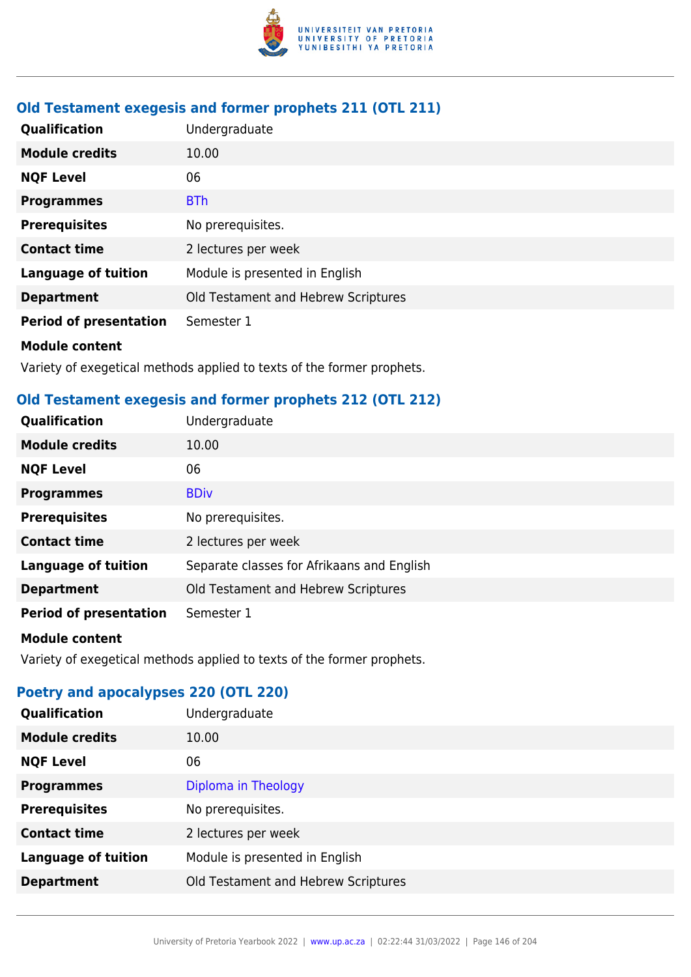

# **Old Testament exegesis and former prophets 211 (OTL 211)**

| <b>Qualification</b>          | Undergraduate                       |
|-------------------------------|-------------------------------------|
| <b>Module credits</b>         | 10.00                               |
| <b>NQF Level</b>              | 06                                  |
| <b>Programmes</b>             | <b>BTh</b>                          |
| <b>Prerequisites</b>          | No prerequisites.                   |
| <b>Contact time</b>           | 2 lectures per week                 |
| <b>Language of tuition</b>    | Module is presented in English      |
| <b>Department</b>             | Old Testament and Hebrew Scriptures |
| <b>Period of presentation</b> | Semester 1                          |
| <b>Module content</b>         |                                     |

Variety of exegetical methods applied to texts of the former prophets.

# **Old Testament exegesis and former prophets 212 (OTL 212)**

| Qualification                 | Undergraduate                              |
|-------------------------------|--------------------------------------------|
| <b>Module credits</b>         | 10.00                                      |
| <b>NQF Level</b>              | 06                                         |
| <b>Programmes</b>             | <b>BDiv</b>                                |
| <b>Prerequisites</b>          | No prerequisites.                          |
| <b>Contact time</b>           | 2 lectures per week                        |
| <b>Language of tuition</b>    | Separate classes for Afrikaans and English |
| <b>Department</b>             | Old Testament and Hebrew Scriptures        |
| <b>Period of presentation</b> | Semester 1                                 |

#### **Module content**

Variety of exegetical methods applied to texts of the former prophets.

# **Poetry and apocalypses 220 (OTL 220)**

| Qualification              | Undergraduate                       |
|----------------------------|-------------------------------------|
| <b>Module credits</b>      | 10.00                               |
| <b>NQF Level</b>           | 06                                  |
| <b>Programmes</b>          | Diploma in Theology                 |
| <b>Prerequisites</b>       | No prerequisites.                   |
| <b>Contact time</b>        | 2 lectures per week                 |
| <b>Language of tuition</b> | Module is presented in English      |
| <b>Department</b>          | Old Testament and Hebrew Scriptures |
|                            |                                     |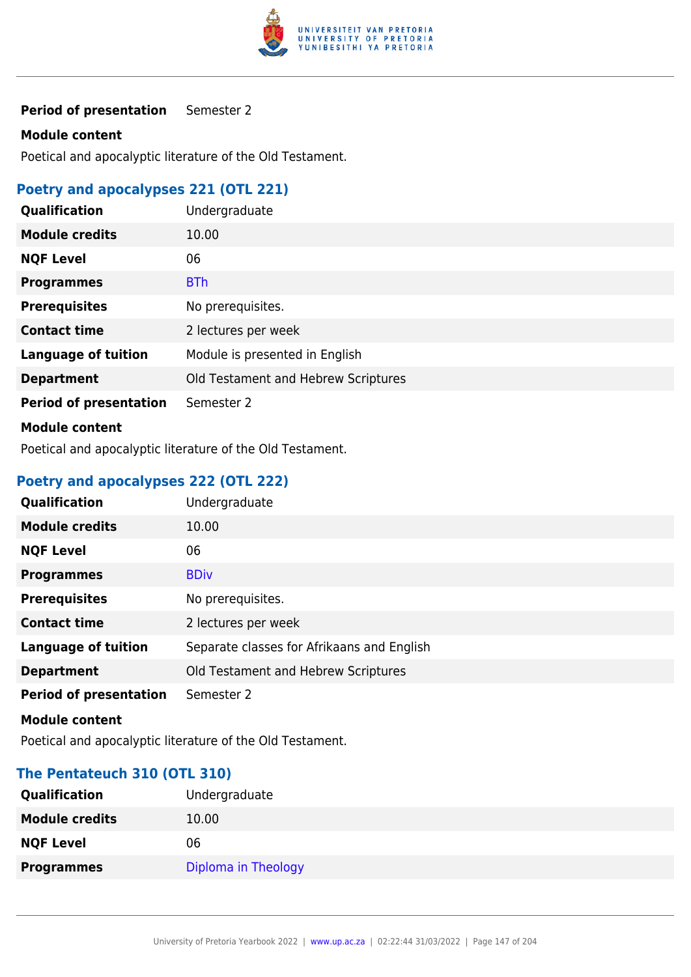

## **Period of presentation** Semester 2

#### **Module content**

Poetical and apocalyptic literature of the Old Testament.

# **Poetry and apocalypses 221 (OTL 221)**

| Qualification                 | Undergraduate                       |
|-------------------------------|-------------------------------------|
| <b>Module credits</b>         | 10.00                               |
| <b>NQF Level</b>              | 06                                  |
| <b>Programmes</b>             | <b>BTh</b>                          |
| <b>Prerequisites</b>          | No prerequisites.                   |
| <b>Contact time</b>           | 2 lectures per week                 |
| <b>Language of tuition</b>    | Module is presented in English      |
| <b>Department</b>             | Old Testament and Hebrew Scriptures |
| <b>Period of presentation</b> | Semester 2                          |
| <b>Module content</b>         |                                     |

Poetical and apocalyptic literature of the Old Testament.

# **Poetry and apocalypses 222 (OTL 222)**

| Qualification                 | Undergraduate                              |
|-------------------------------|--------------------------------------------|
| <b>Module credits</b>         | 10.00                                      |
| <b>NQF Level</b>              | 06                                         |
| <b>Programmes</b>             | <b>BDiv</b>                                |
| <b>Prerequisites</b>          | No prerequisites.                          |
| <b>Contact time</b>           | 2 lectures per week                        |
| <b>Language of tuition</b>    | Separate classes for Afrikaans and English |
| <b>Department</b>             | Old Testament and Hebrew Scriptures        |
| <b>Period of presentation</b> | Semester 2                                 |

#### **Module content**

Poetical and apocalyptic literature of the Old Testament.

## **The Pentateuch 310 (OTL 310)**

| <b>Qualification</b>  | Undergraduate       |
|-----------------------|---------------------|
| <b>Module credits</b> | 10.00               |
| <b>NQF Level</b>      | 06                  |
| <b>Programmes</b>     | Diploma in Theology |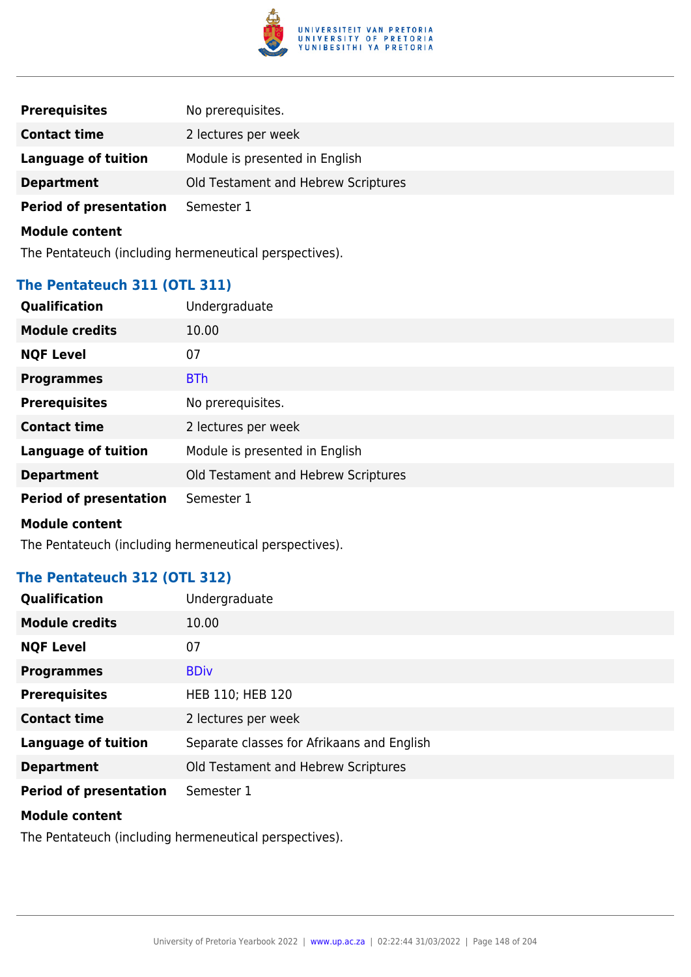

| <b>Prerequisites</b>          | No prerequisites.                   |
|-------------------------------|-------------------------------------|
| <b>Contact time</b>           | 2 lectures per week                 |
| <b>Language of tuition</b>    | Module is presented in English      |
| <b>Department</b>             | Old Testament and Hebrew Scriptures |
| <b>Period of presentation</b> | Semester 1                          |

The Pentateuch (including hermeneutical perspectives).

# **The Pentateuch 311 (OTL 311)**

| Qualification                 | Undergraduate                       |
|-------------------------------|-------------------------------------|
| <b>Module credits</b>         | 10.00                               |
| <b>NQF Level</b>              | 07                                  |
| <b>Programmes</b>             | <b>BTh</b>                          |
| <b>Prerequisites</b>          | No prerequisites.                   |
| <b>Contact time</b>           | 2 lectures per week                 |
| <b>Language of tuition</b>    | Module is presented in English      |
| <b>Department</b>             | Old Testament and Hebrew Scriptures |
| <b>Period of presentation</b> | Semester 1                          |
| <b>Module content</b>         |                                     |

The Pentateuch (including hermeneutical perspectives).

# **The Pentateuch 312 (OTL 312)**

| <b>Qualification</b>          | Undergraduate                              |
|-------------------------------|--------------------------------------------|
| <b>Module credits</b>         | 10.00                                      |
| <b>NQF Level</b>              | 07                                         |
| <b>Programmes</b>             | <b>BDiv</b>                                |
| <b>Prerequisites</b>          | HEB 110; HEB 120                           |
| <b>Contact time</b>           | 2 lectures per week                        |
| <b>Language of tuition</b>    | Separate classes for Afrikaans and English |
| <b>Department</b>             | Old Testament and Hebrew Scriptures        |
| <b>Period of presentation</b> | Semester 1                                 |

#### **Module content**

The Pentateuch (including hermeneutical perspectives).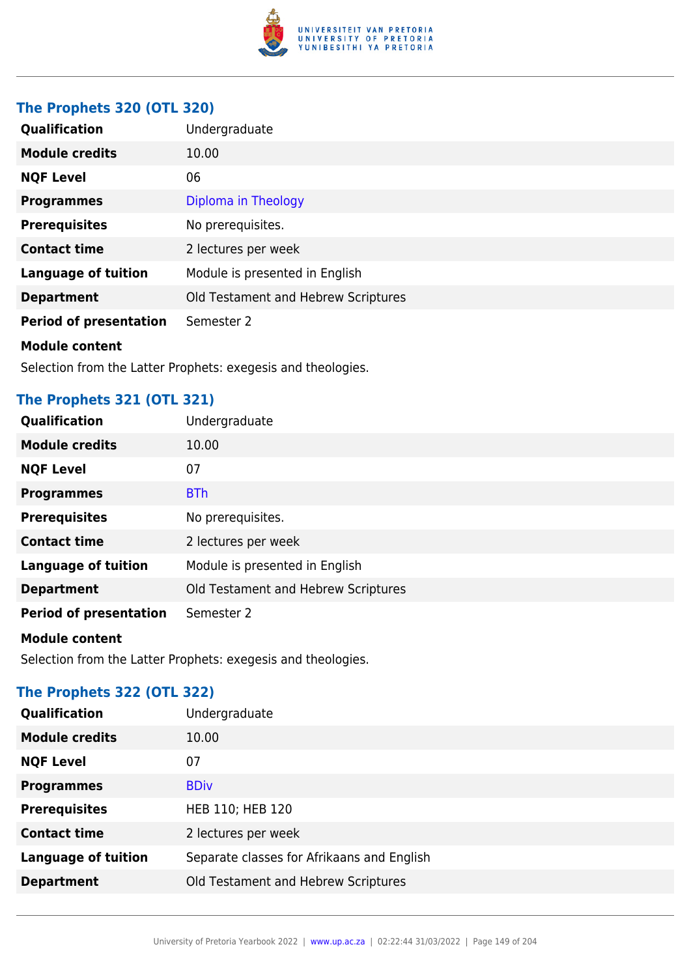

# **The Prophets 320 (OTL 320)**

| Qualification                 | Undergraduate                       |
|-------------------------------|-------------------------------------|
| <b>Module credits</b>         | 10.00                               |
| <b>NQF Level</b>              | 06                                  |
| <b>Programmes</b>             | Diploma in Theology                 |
| <b>Prerequisites</b>          | No prerequisites.                   |
| <b>Contact time</b>           | 2 lectures per week                 |
| <b>Language of tuition</b>    | Module is presented in English      |
| <b>Department</b>             | Old Testament and Hebrew Scriptures |
| <b>Period of presentation</b> | Semester 2                          |
| <b>Module content</b>         |                                     |
|                               |                                     |

Selection from the Latter Prophets: exegesis and theologies.

# **The Prophets 321 (OTL 321)**

| Qualification                 | Undergraduate                       |
|-------------------------------|-------------------------------------|
| <b>Module credits</b>         | 10.00                               |
| <b>NQF Level</b>              | 07                                  |
| <b>Programmes</b>             | <b>BTh</b>                          |
| <b>Prerequisites</b>          | No prerequisites.                   |
| <b>Contact time</b>           | 2 lectures per week                 |
| <b>Language of tuition</b>    | Module is presented in English      |
| <b>Department</b>             | Old Testament and Hebrew Scriptures |
| <b>Period of presentation</b> | Semester 2                          |

# **Module content**

Selection from the Latter Prophets: exegesis and theologies.

# **The Prophets 322 (OTL 322)**

| <b>Module credits</b><br>10.00<br><b>NQF Level</b><br>07<br><b>BDiv</b><br><b>Programmes</b> | Qualification | Undergraduate |
|----------------------------------------------------------------------------------------------|---------------|---------------|
|                                                                                              |               |               |
|                                                                                              |               |               |
|                                                                                              |               |               |
| <b>Prerequisites</b><br>HEB 110; HEB 120                                                     |               |               |
| <b>Contact time</b><br>2 lectures per week                                                   |               |               |
| <b>Language of tuition</b><br>Separate classes for Afrikaans and English                     |               |               |
| Old Testament and Hebrew Scriptures<br><b>Department</b>                                     |               |               |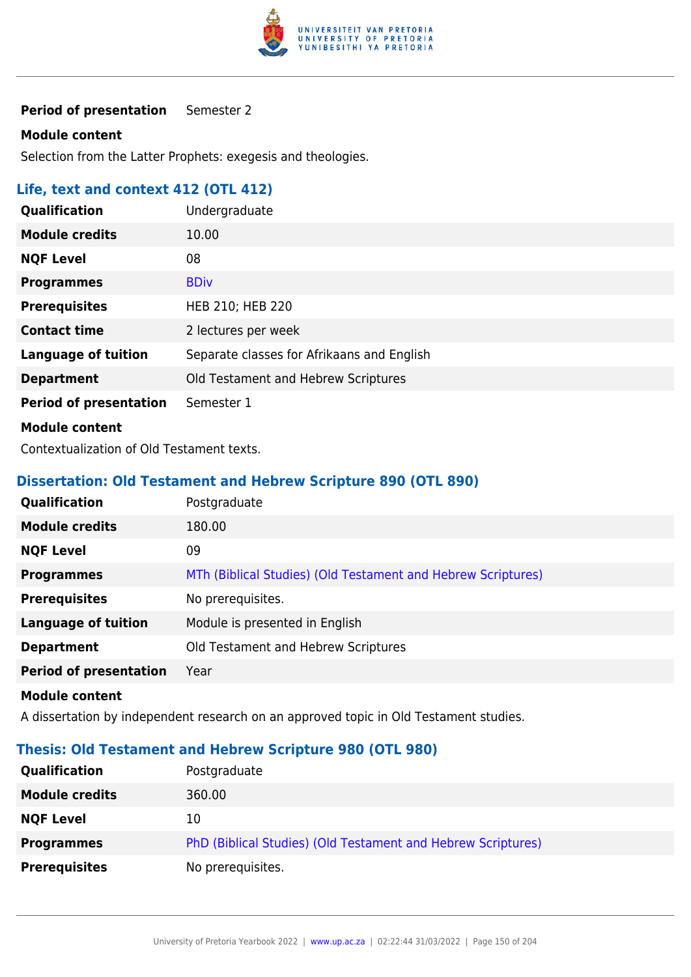

### **Period of presentation** Semester 2

#### **Module content**

Selection from the Latter Prophets: exegesis and theologies.

# **Life, text and context 412 (OTL 412)**

| Qualification                 | Undergraduate                              |
|-------------------------------|--------------------------------------------|
| <b>Module credits</b>         | 10.00                                      |
| <b>NQF Level</b>              | 08                                         |
| <b>Programmes</b>             | <b>BDiv</b>                                |
| <b>Prerequisites</b>          | HEB 210; HEB 220                           |
| <b>Contact time</b>           | 2 lectures per week                        |
| <b>Language of tuition</b>    | Separate classes for Afrikaans and English |
| <b>Department</b>             | Old Testament and Hebrew Scriptures        |
| <b>Period of presentation</b> | Semester 1                                 |
| <b>Module content</b>         |                                            |

Contextualization of Old Testament texts.

# **Dissertation: Old Testament and Hebrew Scripture 890 (OTL 890)**

| <b>Qualification</b>          | Postgraduate                                                 |
|-------------------------------|--------------------------------------------------------------|
| <b>Module credits</b>         | 180.00                                                       |
| <b>NQF Level</b>              | 09                                                           |
| <b>Programmes</b>             | MTh (Biblical Studies) (Old Testament and Hebrew Scriptures) |
| <b>Prerequisites</b>          | No prerequisites.                                            |
| <b>Language of tuition</b>    | Module is presented in English                               |
| <b>Department</b>             | Old Testament and Hebrew Scriptures                          |
| <b>Period of presentation</b> | Year                                                         |

#### **Module content**

A dissertation by independent research on an approved topic in Old Testament studies.

# **Thesis: Old Testament and Hebrew Scripture 980 (OTL 980)**

| <b>Qualification</b>  | Postgraduate                                                 |
|-----------------------|--------------------------------------------------------------|
| <b>Module credits</b> | 360.00                                                       |
| <b>NQF Level</b>      | 10                                                           |
| <b>Programmes</b>     | PhD (Biblical Studies) (Old Testament and Hebrew Scriptures) |
| <b>Prerequisites</b>  | No prerequisites.                                            |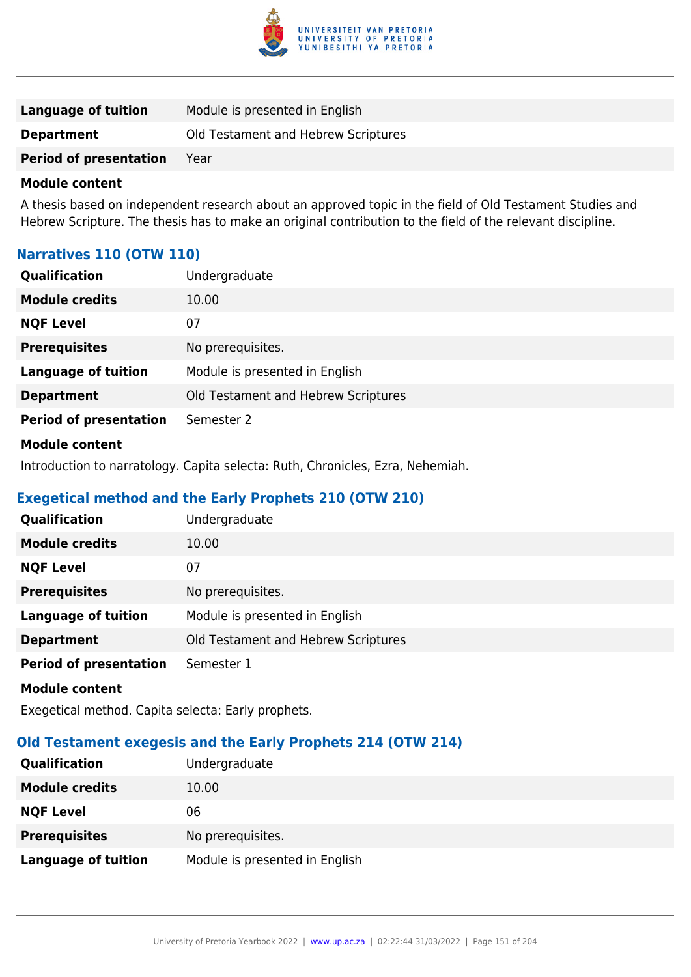

| Language of tuition           | Module is presented in English      |
|-------------------------------|-------------------------------------|
| <b>Department</b>             | Old Testament and Hebrew Scriptures |
| <b>Period of presentation</b> | Year                                |

A thesis based on independent research about an approved topic in the field of Old Testament Studies and Hebrew Scripture. The thesis has to make an original contribution to the field of the relevant discipline.

# **Narratives 110 (OTW 110)**

| Qualification                 | Undergraduate                       |
|-------------------------------|-------------------------------------|
| <b>Module credits</b>         | 10.00                               |
| <b>NQF Level</b>              | 07                                  |
| <b>Prerequisites</b>          | No prerequisites.                   |
| <b>Language of tuition</b>    | Module is presented in English      |
| <b>Department</b>             | Old Testament and Hebrew Scriptures |
| <b>Period of presentation</b> | Semester 2                          |
| <b>Module content</b>         |                                     |

Introduction to narratology. Capita selecta: Ruth, Chronicles, Ezra, Nehemiah.

# **Exegetical method and the Early Prophets 210 (OTW 210)**

| <b>Qualification</b>          | Undergraduate                       |
|-------------------------------|-------------------------------------|
| <b>Module credits</b>         | 10.00                               |
| <b>NQF Level</b>              | 07                                  |
| <b>Prerequisites</b>          | No prerequisites.                   |
| <b>Language of tuition</b>    | Module is presented in English      |
| <b>Department</b>             | Old Testament and Hebrew Scriptures |
| <b>Period of presentation</b> | Semester 1                          |
| <b>Module content</b>         |                                     |

Exegetical method. Capita selecta: Early prophets.

# **Old Testament exegesis and the Early Prophets 214 (OTW 214)**

| <b>Qualification</b>  | Undergraduate                  |
|-----------------------|--------------------------------|
| <b>Module credits</b> | 10.00                          |
| <b>NQF Level</b>      | 06                             |
| <b>Prerequisites</b>  | No prerequisites.              |
| Language of tuition   | Module is presented in English |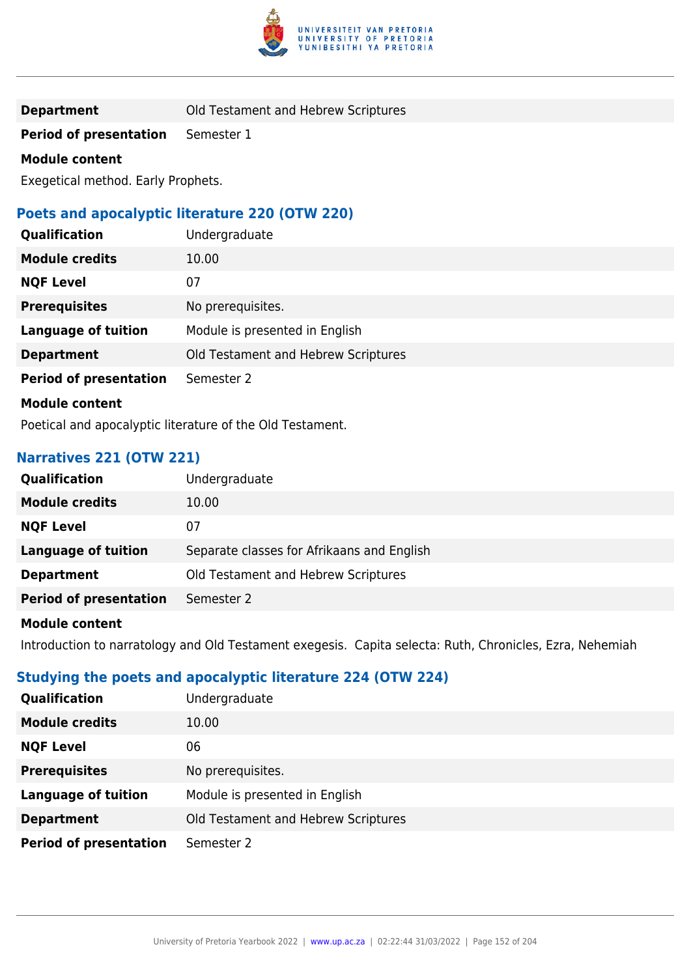

**Period of presentation** Semester 1

#### **Module content**

Exegetical method. Early Prophets.

## **Poets and apocalyptic literature 220 (OTW 220)**

| Qualification                 | Undergraduate                       |
|-------------------------------|-------------------------------------|
| <b>Module credits</b>         | 10.00                               |
| <b>NQF Level</b>              | 07                                  |
| <b>Prerequisites</b>          | No prerequisites.                   |
| <b>Language of tuition</b>    | Module is presented in English      |
| <b>Department</b>             | Old Testament and Hebrew Scriptures |
| <b>Period of presentation</b> | Semester 2                          |
| <b>Module content</b>         |                                     |

Poetical and apocalyptic literature of the Old Testament.

## **Narratives 221 (OTW 221)**

| <b>Qualification</b>          | Undergraduate                              |
|-------------------------------|--------------------------------------------|
| <b>Module credits</b>         | 10.00                                      |
| <b>NQF Level</b>              | 07                                         |
| Language of tuition           | Separate classes for Afrikaans and English |
| <b>Department</b>             | Old Testament and Hebrew Scriptures        |
| <b>Period of presentation</b> | Semester 2                                 |
|                               |                                            |

## **Module content**

Introduction to narratology and Old Testament exegesis. Capita selecta: Ruth, Chronicles, Ezra, Nehemiah

## **Studying the poets and apocalyptic literature 224 (OTW 224)**

| Qualification                 | Undergraduate                       |
|-------------------------------|-------------------------------------|
| <b>Module credits</b>         | 10.00                               |
| <b>NQF Level</b>              | 06                                  |
| <b>Prerequisites</b>          | No prerequisites.                   |
| <b>Language of tuition</b>    | Module is presented in English      |
| <b>Department</b>             | Old Testament and Hebrew Scriptures |
| <b>Period of presentation</b> | Semester 2                          |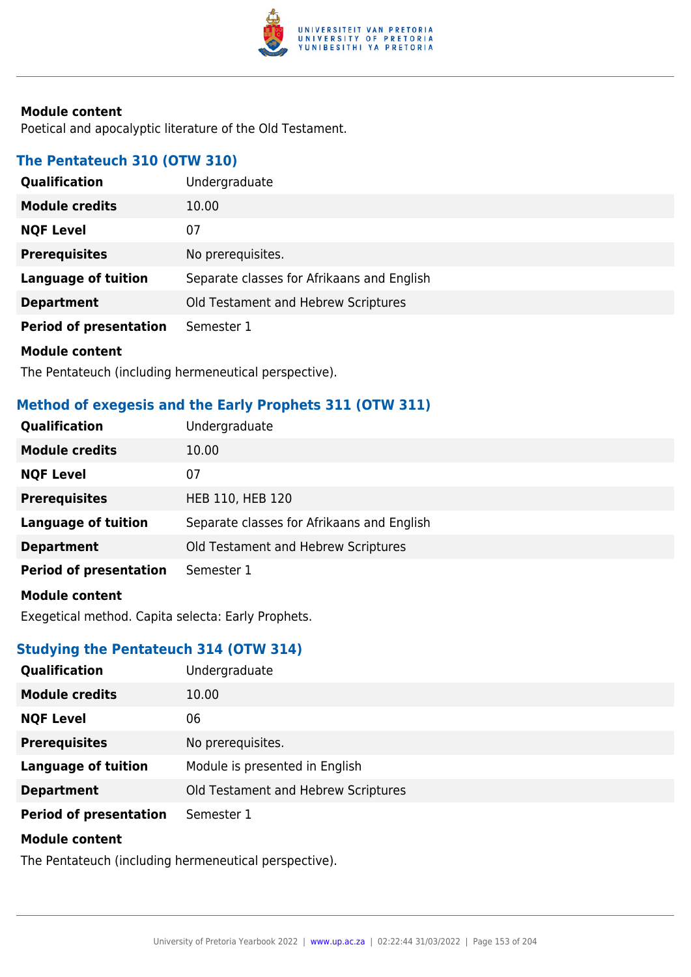

Poetical and apocalyptic literature of the Old Testament.

## **The Pentateuch 310 (OTW 310)**

| Qualification                 | Undergraduate                              |
|-------------------------------|--------------------------------------------|
| <b>Module credits</b>         | 10.00                                      |
| <b>NQF Level</b>              | 07                                         |
| <b>Prerequisites</b>          | No prerequisites.                          |
| <b>Language of tuition</b>    | Separate classes for Afrikaans and English |
| <b>Department</b>             | Old Testament and Hebrew Scriptures        |
| <b>Period of presentation</b> | Semester 1                                 |
| <b>Module content</b>         |                                            |

The Pentateuch (including hermeneutical perspective).

# **Method of exegesis and the Early Prophets 311 (OTW 311)**

| Qualification                 | Undergraduate                              |
|-------------------------------|--------------------------------------------|
| <b>Module credits</b>         | 10.00                                      |
| <b>NQF Level</b>              | 07                                         |
| <b>Prerequisites</b>          | HEB 110, HEB 120                           |
| <b>Language of tuition</b>    | Separate classes for Afrikaans and English |
| <b>Department</b>             | Old Testament and Hebrew Scriptures        |
| <b>Period of presentation</b> | Semester 1                                 |
| <b>Module content</b>         |                                            |
|                               |                                            |

Exegetical method. Capita selecta: Early Prophets.

# **Studying the Pentateuch 314 (OTW 314)**

| Qualification                 | Undergraduate                       |
|-------------------------------|-------------------------------------|
| <b>Module credits</b>         | 10.00                               |
| <b>NQF Level</b>              | 06                                  |
| <b>Prerequisites</b>          | No prerequisites.                   |
| <b>Language of tuition</b>    | Module is presented in English      |
| <b>Department</b>             | Old Testament and Hebrew Scriptures |
| <b>Period of presentation</b> | Semester 1                          |
| <b>Module content</b>         |                                     |

The Pentateuch (including hermeneutical perspective).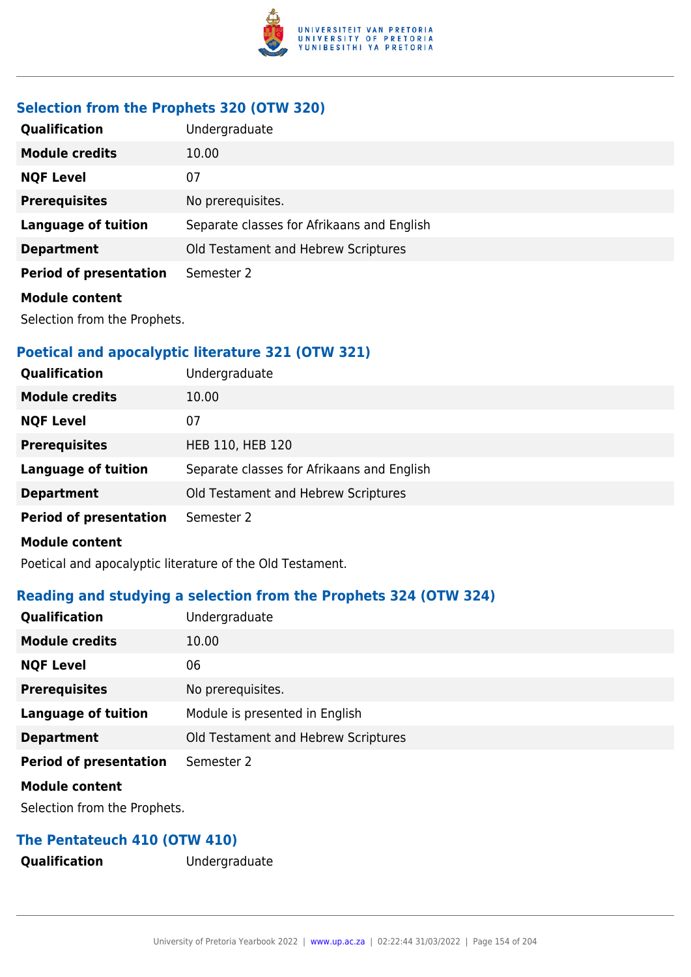

# **Selection from the Prophets 320 (OTW 320)**

| <b>Qualification</b>          | Undergraduate                              |
|-------------------------------|--------------------------------------------|
| <b>Module credits</b>         | 10.00                                      |
| <b>NQF Level</b>              | 07                                         |
| <b>Prerequisites</b>          | No prerequisites.                          |
| Language of tuition           | Separate classes for Afrikaans and English |
| <b>Department</b>             | Old Testament and Hebrew Scriptures        |
| <b>Period of presentation</b> | Semester 2                                 |
| <b>Module content</b>         |                                            |

Selection from the Prophets.

# **Poetical and apocalyptic literature 321 (OTW 321)**

| Qualification                 | Undergraduate                              |
|-------------------------------|--------------------------------------------|
| <b>Module credits</b>         | 10.00                                      |
| <b>NQF Level</b>              | 07                                         |
| <b>Prerequisites</b>          | HEB 110, HEB 120                           |
| <b>Language of tuition</b>    | Separate classes for Afrikaans and English |
| <b>Department</b>             | Old Testament and Hebrew Scriptures        |
| <b>Period of presentation</b> | Semester 2                                 |
| <b>Module content</b>         |                                            |
|                               |                                            |

Poetical and apocalyptic literature of the Old Testament.

# **Reading and studying a selection from the Prophets 324 (OTW 324)**

| Qualification                 | Undergraduate                       |
|-------------------------------|-------------------------------------|
| <b>Module credits</b>         | 10.00                               |
| <b>NQF Level</b>              | 06                                  |
| <b>Prerequisites</b>          | No prerequisites.                   |
| <b>Language of tuition</b>    | Module is presented in English      |
| <b>Department</b>             | Old Testament and Hebrew Scriptures |
| <b>Period of presentation</b> | Semester 2                          |
| <b>Module content</b>         |                                     |

Selection from the Prophets.

# **The Pentateuch 410 (OTW 410)**

**Qualification** Undergraduate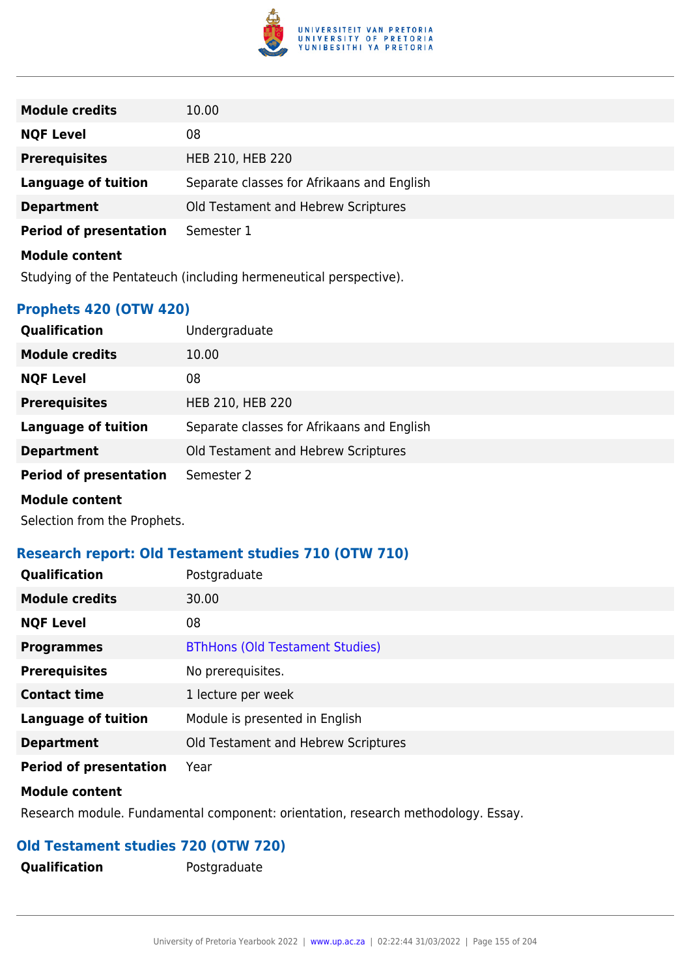

| <b>Module credits</b>                                             | 10.00                                      |
|-------------------------------------------------------------------|--------------------------------------------|
| <b>NQF Level</b>                                                  | 08                                         |
| <b>Prerequisites</b>                                              | HEB 210, HEB 220                           |
| Language of tuition                                               | Separate classes for Afrikaans and English |
| <b>Department</b>                                                 | Old Testament and Hebrew Scriptures        |
| <b>Period of presentation</b>                                     | Semester 1                                 |
| <b>Module content</b>                                             |                                            |
| Studying of the Pentateuch (including hermeneutical perspective). |                                            |

**Prophets 420 (OTW 420)**

| <b>Qualification</b>          | Undergraduate                              |
|-------------------------------|--------------------------------------------|
| <b>Module credits</b>         | 10.00                                      |
| <b>NQF Level</b>              | 08                                         |
| <b>Prerequisites</b>          | HEB 210, HEB 220                           |
| Language of tuition           | Separate classes for Afrikaans and English |
| <b>Department</b>             | Old Testament and Hebrew Scriptures        |
| <b>Period of presentation</b> | Semester 2                                 |
| <b>Module content</b>         |                                            |

Selection from the Prophets.

### **Research report: Old Testament studies 710 (OTW 710)**

| <b>Qualification</b>          | Postgraduate                           |
|-------------------------------|----------------------------------------|
| <b>Module credits</b>         | 30.00                                  |
| <b>NQF Level</b>              | 08                                     |
| <b>Programmes</b>             | <b>BThHons (Old Testament Studies)</b> |
| <b>Prerequisites</b>          | No prerequisites.                      |
| <b>Contact time</b>           | 1 lecture per week                     |
| <b>Language of tuition</b>    | Module is presented in English         |
| <b>Department</b>             | Old Testament and Hebrew Scriptures    |
| <b>Period of presentation</b> | Year                                   |

#### **Module content**

Research module. Fundamental component: orientation, research methodology. Essay.

# **Old Testament studies 720 (OTW 720)**

**Qualification** Postgraduate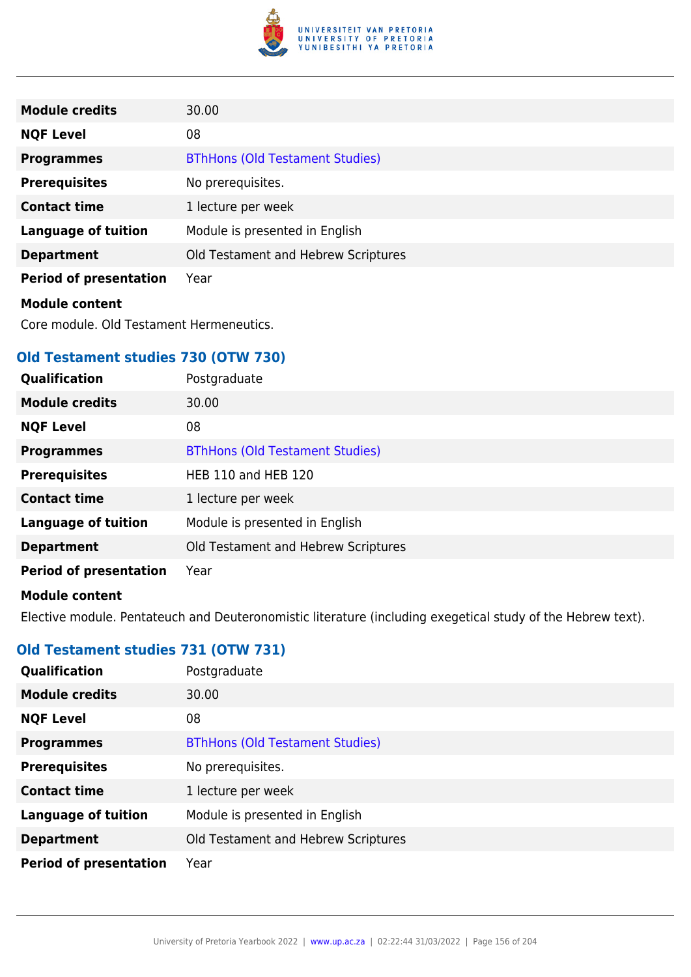

| <b>Module credits</b>                    | 30.00                                  |
|------------------------------------------|----------------------------------------|
| <b>NQF Level</b>                         | 08                                     |
| <b>Programmes</b>                        | <b>BThHons (Old Testament Studies)</b> |
| <b>Prerequisites</b>                     | No prerequisites.                      |
| <b>Contact time</b>                      | 1 lecture per week                     |
| <b>Language of tuition</b>               | Module is presented in English         |
| <b>Department</b>                        | Old Testament and Hebrew Scriptures    |
| <b>Period of presentation</b>            | Year                                   |
| <b>Module content</b>                    |                                        |
| Core module. Old Testament Hermeneutics. |                                        |

# **Old Testament studies 730 (OTW 730)**

| <b>Qualification</b>          | Postgraduate                           |
|-------------------------------|----------------------------------------|
| <b>Module credits</b>         | 30.00                                  |
| <b>NQF Level</b>              | 08                                     |
| <b>Programmes</b>             | <b>BThHons (Old Testament Studies)</b> |
| <b>Prerequisites</b>          | <b>HEB 110 and HEB 120</b>             |
| <b>Contact time</b>           | 1 lecture per week                     |
| <b>Language of tuition</b>    | Module is presented in English         |
| <b>Department</b>             | Old Testament and Hebrew Scriptures    |
| <b>Period of presentation</b> | Year                                   |
| Module contant                |                                        |

#### **Module content**

Elective module. Pentateuch and Deuteronomistic literature (including exegetical study of the Hebrew text).

# **Old Testament studies 731 (OTW 731)**

| Qualification                 | Postgraduate                           |
|-------------------------------|----------------------------------------|
| <b>Module credits</b>         | 30.00                                  |
| <b>NQF Level</b>              | 08                                     |
| <b>Programmes</b>             | <b>BThHons (Old Testament Studies)</b> |
| <b>Prerequisites</b>          | No prerequisites.                      |
| <b>Contact time</b>           | 1 lecture per week                     |
| <b>Language of tuition</b>    | Module is presented in English         |
| <b>Department</b>             | Old Testament and Hebrew Scriptures    |
| <b>Period of presentation</b> | Year                                   |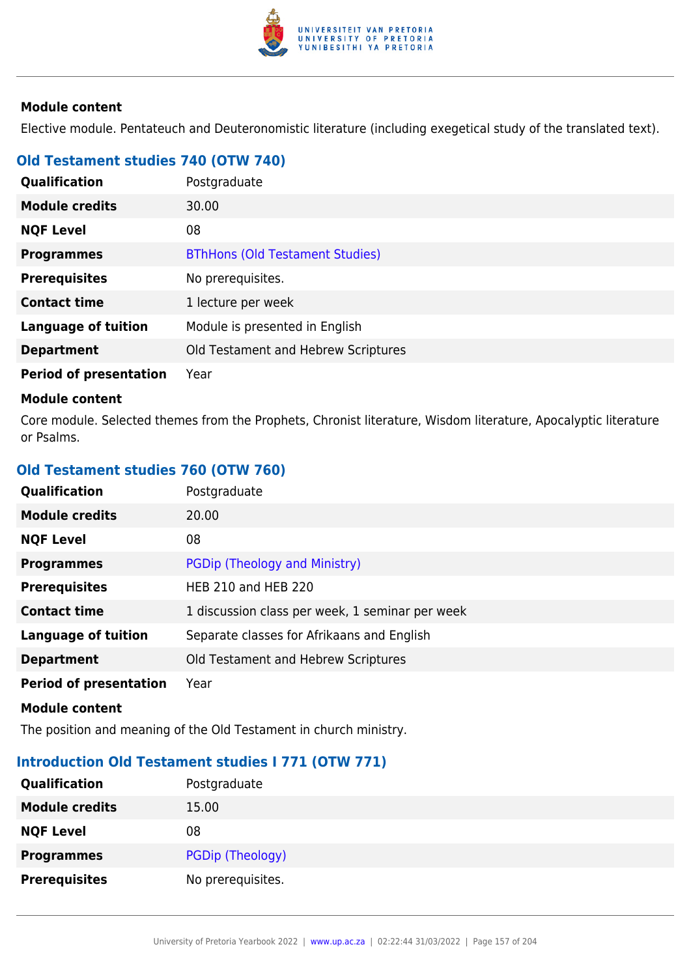

Elective module. Pentateuch and Deuteronomistic literature (including exegetical study of the translated text).

# **Old Testament studies 740 (OTW 740)**

| Qualification                 | Postgraduate                           |
|-------------------------------|----------------------------------------|
| <b>Module credits</b>         | 30.00                                  |
| <b>NQF Level</b>              | 08                                     |
| <b>Programmes</b>             | <b>BThHons (Old Testament Studies)</b> |
| <b>Prerequisites</b>          | No prerequisites.                      |
| <b>Contact time</b>           | 1 lecture per week                     |
| <b>Language of tuition</b>    | Module is presented in English         |
| <b>Department</b>             | Old Testament and Hebrew Scriptures    |
| <b>Period of presentation</b> | Year                                   |

#### **Module content**

Core module. Selected themes from the Prophets, Chronist literature, Wisdom literature, Apocalyptic literature or Psalms.

# **Old Testament studies 760 (OTW 760)**

| Qualification                 | Postgraduate                                    |
|-------------------------------|-------------------------------------------------|
| <b>Module credits</b>         | 20.00                                           |
| <b>NQF Level</b>              | 08                                              |
| <b>Programmes</b>             | PGDip (Theology and Ministry)                   |
| <b>Prerequisites</b>          | <b>HEB 210 and HEB 220</b>                      |
| <b>Contact time</b>           | 1 discussion class per week, 1 seminar per week |
| <b>Language of tuition</b>    | Separate classes for Afrikaans and English      |
| <b>Department</b>             | Old Testament and Hebrew Scriptures             |
| <b>Period of presentation</b> | Year                                            |
| <b>Module content</b>         |                                                 |

The position and meaning of the Old Testament in church ministry.

# **Introduction Old Testament studies I 771 (OTW 771)**

| Qualification         | Postgraduate      |
|-----------------------|-------------------|
| <b>Module credits</b> | 15.00             |
| <b>NQF Level</b>      | 08                |
| <b>Programmes</b>     | PGDip (Theology)  |
| <b>Prerequisites</b>  | No prerequisites. |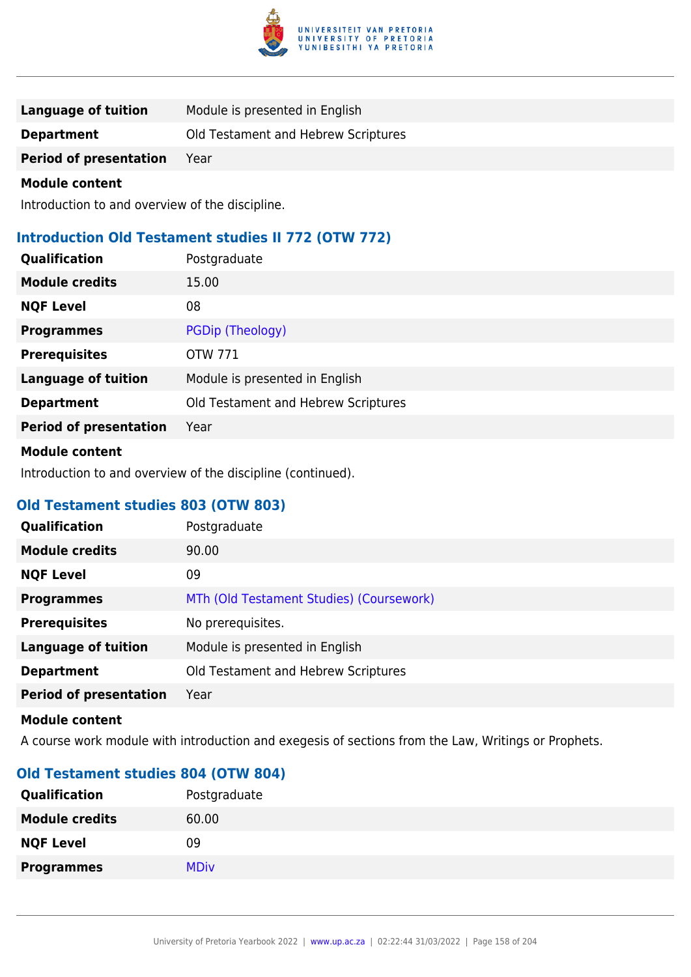

| Language of tuition           | Module is presented in English      |
|-------------------------------|-------------------------------------|
| <b>Department</b>             | Old Testament and Hebrew Scriptures |
| <b>Period of presentation</b> | Year                                |

Introduction to and overview of the discipline.

# **Introduction Old Testament studies II 772 (OTW 772)**

| Qualification                 | Postgraduate                        |
|-------------------------------|-------------------------------------|
| <b>Module credits</b>         | 15.00                               |
| <b>NQF Level</b>              | 08                                  |
| <b>Programmes</b>             | PGDip (Theology)                    |
| <b>Prerequisites</b>          | <b>OTW 771</b>                      |
| <b>Language of tuition</b>    | Module is presented in English      |
| <b>Department</b>             | Old Testament and Hebrew Scriptures |
| <b>Period of presentation</b> | Year                                |
|                               |                                     |

#### **Module content**

Introduction to and overview of the discipline (continued).

### **Old Testament studies 803 (OTW 803)**

| <b>Qualification</b>          | Postgraduate                             |
|-------------------------------|------------------------------------------|
| <b>Module credits</b>         | 90.00                                    |
| <b>NQF Level</b>              | 09                                       |
| <b>Programmes</b>             | MTh (Old Testament Studies) (Coursework) |
| <b>Prerequisites</b>          | No prerequisites.                        |
| <b>Language of tuition</b>    | Module is presented in English           |
| <b>Department</b>             | Old Testament and Hebrew Scriptures      |
| <b>Period of presentation</b> | Year                                     |

#### **Module content**

A course work module with introduction and exegesis of sections from the Law, Writings or Prophets.

## **Old Testament studies 804 (OTW 804)**

| <b>Qualification</b>  | Postgraduate |
|-----------------------|--------------|
| <b>Module credits</b> | 60.00        |
| <b>NQF Level</b>      | 09           |
| <b>Programmes</b>     | <b>MDiv</b>  |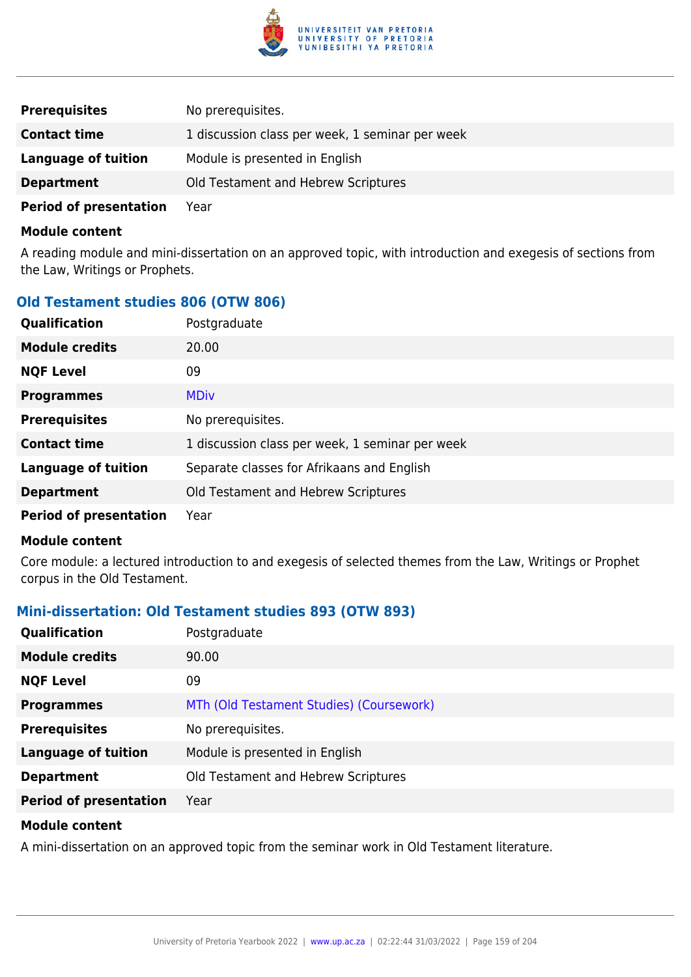

| <b>Prerequisites</b>          | No prerequisites.                               |
|-------------------------------|-------------------------------------------------|
| <b>Contact time</b>           | 1 discussion class per week, 1 seminar per week |
| Language of tuition           | Module is presented in English                  |
| <b>Department</b>             | Old Testament and Hebrew Scriptures             |
| <b>Period of presentation</b> | Year                                            |

A reading module and mini-dissertation on an approved topic, with introduction and exegesis of sections from the Law, Writings or Prophets.

# **Old Testament studies 806 (OTW 806)**

| Qualification                 | Postgraduate                                    |
|-------------------------------|-------------------------------------------------|
| <b>Module credits</b>         | 20.00                                           |
| <b>NQF Level</b>              | 09                                              |
| <b>Programmes</b>             | <b>MDiv</b>                                     |
| <b>Prerequisites</b>          | No prerequisites.                               |
| <b>Contact time</b>           | 1 discussion class per week, 1 seminar per week |
| <b>Language of tuition</b>    | Separate classes for Afrikaans and English      |
| <b>Department</b>             | Old Testament and Hebrew Scriptures             |
| <b>Period of presentation</b> | Year                                            |

#### **Module content**

Core module: a lectured introduction to and exegesis of selected themes from the Law, Writings or Prophet corpus in the Old Testament.

### **Mini-dissertation: Old Testament studies 893 (OTW 893)**

| Qualification                 | Postgraduate                             |
|-------------------------------|------------------------------------------|
| <b>Module credits</b>         | 90.00                                    |
| <b>NQF Level</b>              | 09                                       |
| <b>Programmes</b>             | MTh (Old Testament Studies) (Coursework) |
| <b>Prerequisites</b>          | No prerequisites.                        |
| <b>Language of tuition</b>    | Module is presented in English           |
| <b>Department</b>             | Old Testament and Hebrew Scriptures      |
| <b>Period of presentation</b> | Year                                     |
|                               |                                          |

#### **Module content**

A mini-dissertation on an approved topic from the seminar work in Old Testament literature.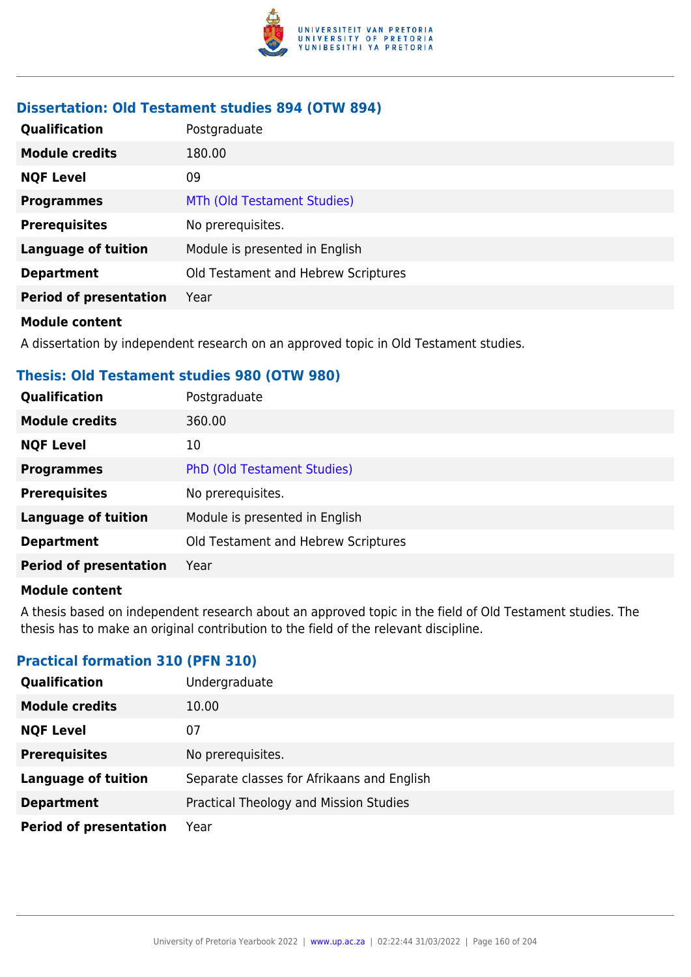

## **Dissertation: Old Testament studies 894 (OTW 894)**

| <b>Qualification</b>          | Postgraduate                        |
|-------------------------------|-------------------------------------|
| <b>Module credits</b>         | 180.00                              |
| <b>NQF Level</b>              | 09                                  |
| <b>Programmes</b>             | MTh (Old Testament Studies)         |
| <b>Prerequisites</b>          | No prerequisites.                   |
| <b>Language of tuition</b>    | Module is presented in English      |
| <b>Department</b>             | Old Testament and Hebrew Scriptures |
| <b>Period of presentation</b> | Year                                |

#### **Module content**

A dissertation by independent research on an approved topic in Old Testament studies.

### **Thesis: Old Testament studies 980 (OTW 980)**

| Qualification                 | Postgraduate                        |
|-------------------------------|-------------------------------------|
| <b>Module credits</b>         | 360.00                              |
| <b>NQF Level</b>              | 10                                  |
| <b>Programmes</b>             | <b>PhD (Old Testament Studies)</b>  |
| <b>Prerequisites</b>          | No prerequisites.                   |
| <b>Language of tuition</b>    | Module is presented in English      |
| <b>Department</b>             | Old Testament and Hebrew Scriptures |
| <b>Period of presentation</b> | Year                                |
|                               |                                     |

#### **Module content**

A thesis based on independent research about an approved topic in the field of Old Testament studies. The thesis has to make an original contribution to the field of the relevant discipline.

### **Practical formation 310 (PFN 310)**

| Qualification                 | Undergraduate                              |
|-------------------------------|--------------------------------------------|
| <b>Module credits</b>         | 10.00                                      |
| <b>NQF Level</b>              | 07                                         |
| <b>Prerequisites</b>          | No prerequisites.                          |
| <b>Language of tuition</b>    | Separate classes for Afrikaans and English |
| <b>Department</b>             | Practical Theology and Mission Studies     |
| <b>Period of presentation</b> | Year                                       |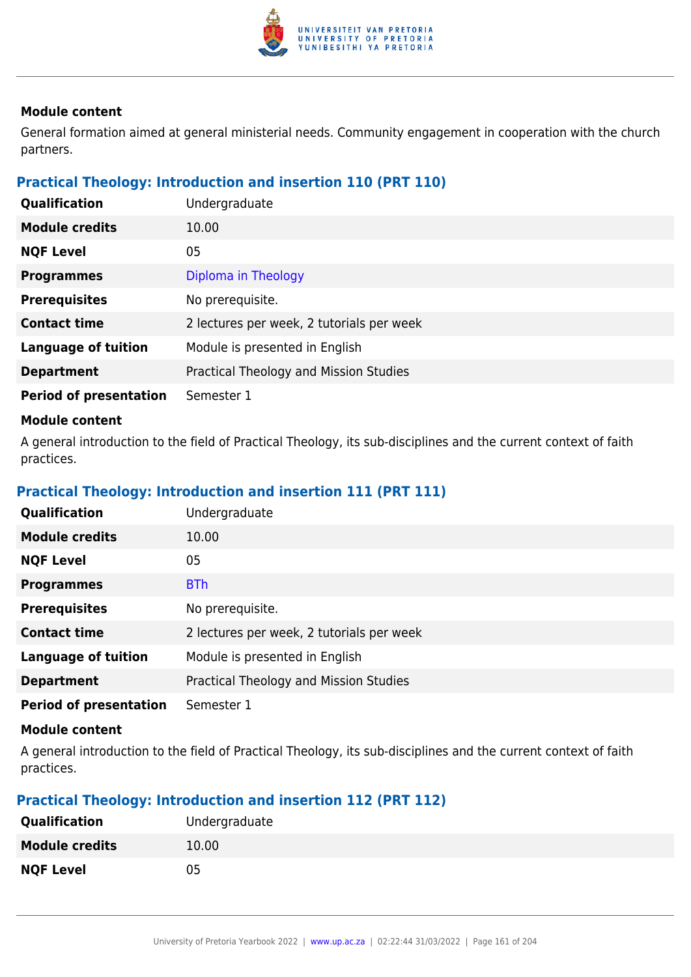

General formation aimed at general ministerial needs. Community engagement in cooperation with the church partners.

## **Practical Theology: Introduction and insertion 110 (PRT 110)**

| Qualification                 | Undergraduate                             |
|-------------------------------|-------------------------------------------|
| <b>Module credits</b>         | 10.00                                     |
| <b>NQF Level</b>              | 05                                        |
| <b>Programmes</b>             | Diploma in Theology                       |
| <b>Prerequisites</b>          | No prerequisite.                          |
| <b>Contact time</b>           | 2 lectures per week, 2 tutorials per week |
| <b>Language of tuition</b>    | Module is presented in English            |
| <b>Department</b>             | Practical Theology and Mission Studies    |
| <b>Period of presentation</b> | Semester 1                                |

#### **Module content**

A general introduction to the field of Practical Theology, its sub-disciplines and the current context of faith practices.

# **Practical Theology: Introduction and insertion 111 (PRT 111)**

| Qualification                 | Undergraduate                             |
|-------------------------------|-------------------------------------------|
| <b>Module credits</b>         | 10.00                                     |
| <b>NQF Level</b>              | 05                                        |
| <b>Programmes</b>             | <b>BTh</b>                                |
| <b>Prerequisites</b>          | No prerequisite.                          |
| <b>Contact time</b>           | 2 lectures per week, 2 tutorials per week |
| <b>Language of tuition</b>    | Module is presented in English            |
| <b>Department</b>             | Practical Theology and Mission Studies    |
| <b>Period of presentation</b> | Semester 1                                |

#### **Module content**

A general introduction to the field of Practical Theology, its sub-disciplines and the current context of faith practices.

# **Practical Theology: Introduction and insertion 112 (PRT 112)**

| <b>Qualification</b>  | Undergraduate |
|-----------------------|---------------|
| <b>Module credits</b> | 10.00         |
| <b>NQF Level</b>      | 05            |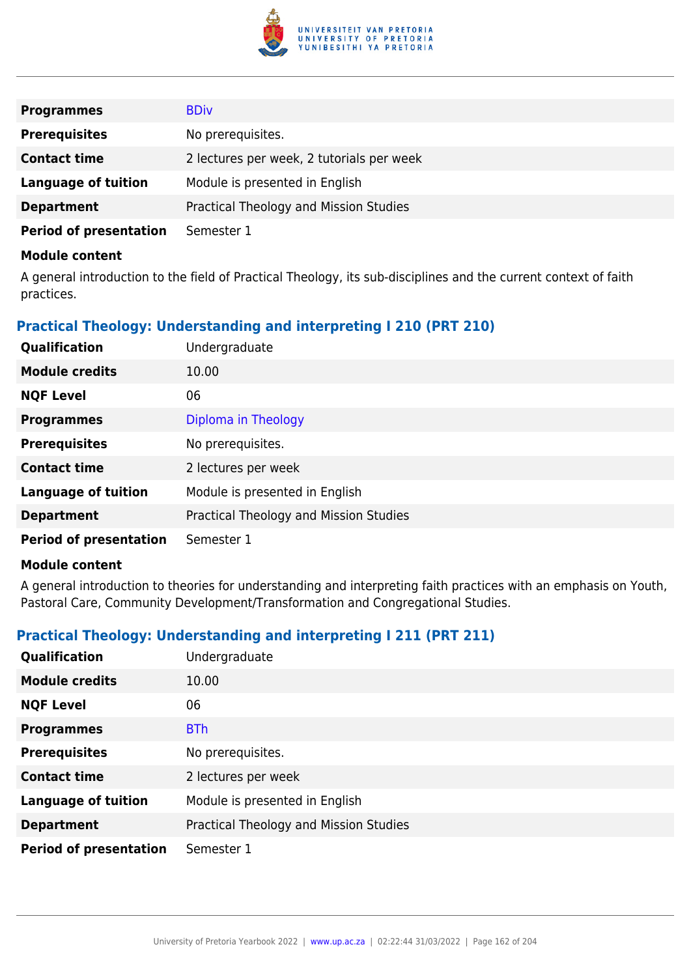

| <b>Programmes</b>             | <b>BDiv</b>                               |
|-------------------------------|-------------------------------------------|
| <b>Prerequisites</b>          | No prerequisites.                         |
| <b>Contact time</b>           | 2 lectures per week, 2 tutorials per week |
| Language of tuition           | Module is presented in English            |
| <b>Department</b>             | Practical Theology and Mission Studies    |
| <b>Period of presentation</b> | Semester 1                                |

A general introduction to the field of Practical Theology, its sub-disciplines and the current context of faith practices.

# **Practical Theology: Understanding and interpreting I 210 (PRT 210)**

| Qualification                 | Undergraduate                          |
|-------------------------------|----------------------------------------|
| <b>Module credits</b>         | 10.00                                  |
| <b>NQF Level</b>              | 06                                     |
| <b>Programmes</b>             | Diploma in Theology                    |
| <b>Prerequisites</b>          | No prerequisites.                      |
| <b>Contact time</b>           | 2 lectures per week                    |
| <b>Language of tuition</b>    | Module is presented in English         |
| <b>Department</b>             | Practical Theology and Mission Studies |
| <b>Period of presentation</b> | Semester 1                             |

#### **Module content**

A general introduction to theories for understanding and interpreting faith practices with an emphasis on Youth, Pastoral Care, Community Development/Transformation and Congregational Studies.

# **Practical Theology: Understanding and interpreting I 211 (PRT 211)**

| Qualification                 | Undergraduate                          |
|-------------------------------|----------------------------------------|
| <b>Module credits</b>         | 10.00                                  |
| <b>NQF Level</b>              | 06                                     |
| <b>Programmes</b>             | <b>BTh</b>                             |
| <b>Prerequisites</b>          | No prerequisites.                      |
| <b>Contact time</b>           | 2 lectures per week                    |
| <b>Language of tuition</b>    | Module is presented in English         |
| <b>Department</b>             | Practical Theology and Mission Studies |
| <b>Period of presentation</b> | Semester 1                             |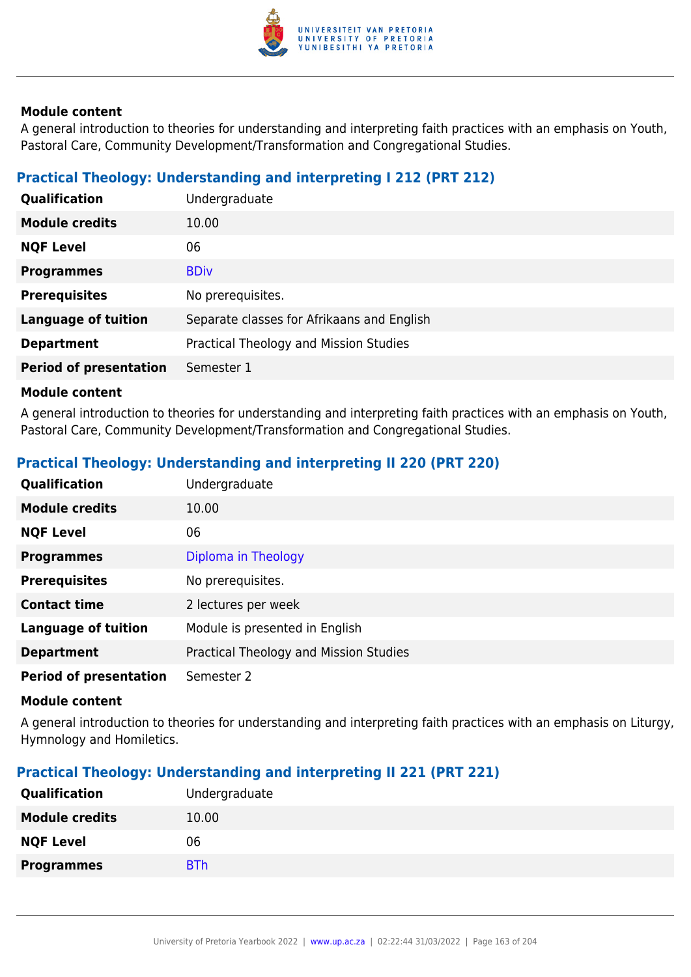

A general introduction to theories for understanding and interpreting faith practices with an emphasis on Youth, Pastoral Care, Community Development/Transformation and Congregational Studies.

# **Practical Theology: Understanding and interpreting I 212 (PRT 212)**

| Qualification                 | Undergraduate                              |
|-------------------------------|--------------------------------------------|
| <b>Module credits</b>         | 10.00                                      |
| <b>NQF Level</b>              | 06                                         |
| <b>Programmes</b>             | <b>BDiv</b>                                |
| <b>Prerequisites</b>          | No prerequisites.                          |
| <b>Language of tuition</b>    | Separate classes for Afrikaans and English |
| <b>Department</b>             | Practical Theology and Mission Studies     |
| <b>Period of presentation</b> | Semester 1                                 |

#### **Module content**

A general introduction to theories for understanding and interpreting faith practices with an emphasis on Youth, Pastoral Care, Community Development/Transformation and Congregational Studies.

# **Practical Theology: Understanding and interpreting II 220 (PRT 220)**

| <b>Qualification</b>          | Undergraduate                          |
|-------------------------------|----------------------------------------|
| <b>Module credits</b>         | 10.00                                  |
| <b>NQF Level</b>              | 06                                     |
| <b>Programmes</b>             | Diploma in Theology                    |
| <b>Prerequisites</b>          | No prerequisites.                      |
| <b>Contact time</b>           | 2 lectures per week                    |
| <b>Language of tuition</b>    | Module is presented in English         |
| <b>Department</b>             | Practical Theology and Mission Studies |
| <b>Period of presentation</b> | Semester 2                             |

#### **Module content**

A general introduction to theories for understanding and interpreting faith practices with an emphasis on Liturgy, Hymnology and Homiletics.

# **Practical Theology: Understanding and interpreting II 221 (PRT 221)**

| Undergraduate |
|---------------|
| 10.00         |
| 06            |
| <b>BTh</b>    |
|               |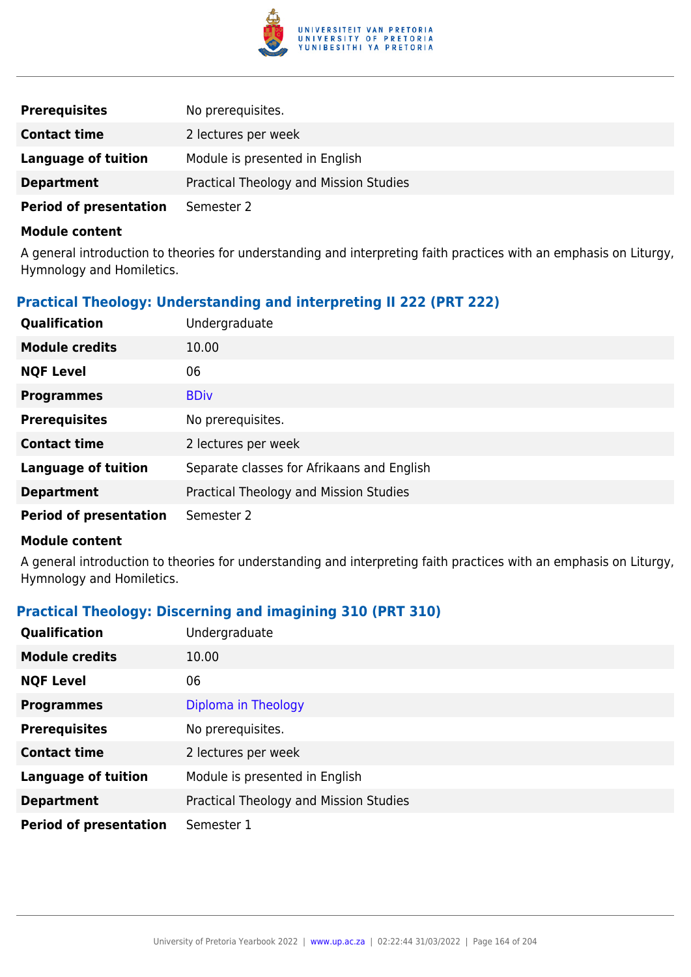

| <b>Prerequisites</b>          | No prerequisites.                      |
|-------------------------------|----------------------------------------|
| <b>Contact time</b>           | 2 lectures per week                    |
| Language of tuition           | Module is presented in English         |
| <b>Department</b>             | Practical Theology and Mission Studies |
| <b>Period of presentation</b> | Semester 2                             |

A general introduction to theories for understanding and interpreting faith practices with an emphasis on Liturgy, Hymnology and Homiletics.

# **Practical Theology: Understanding and interpreting II 222 (PRT 222)**

| Qualification                 | Undergraduate                              |
|-------------------------------|--------------------------------------------|
| <b>Module credits</b>         | 10.00                                      |
| <b>NQF Level</b>              | 06                                         |
| <b>Programmes</b>             | <b>BDiv</b>                                |
| <b>Prerequisites</b>          | No prerequisites.                          |
| <b>Contact time</b>           | 2 lectures per week                        |
| <b>Language of tuition</b>    | Separate classes for Afrikaans and English |
| <b>Department</b>             | Practical Theology and Mission Studies     |
| <b>Period of presentation</b> | Semester 2                                 |

#### **Module content**

A general introduction to theories for understanding and interpreting faith practices with an emphasis on Liturgy, Hymnology and Homiletics.

# **Practical Theology: Discerning and imagining 310 (PRT 310)**

| Qualification                 | Undergraduate                          |
|-------------------------------|----------------------------------------|
| <b>Module credits</b>         | 10.00                                  |
| <b>NQF Level</b>              | 06                                     |
| <b>Programmes</b>             | Diploma in Theology                    |
| <b>Prerequisites</b>          | No prerequisites.                      |
| <b>Contact time</b>           | 2 lectures per week                    |
| <b>Language of tuition</b>    | Module is presented in English         |
| <b>Department</b>             | Practical Theology and Mission Studies |
| <b>Period of presentation</b> | Semester 1                             |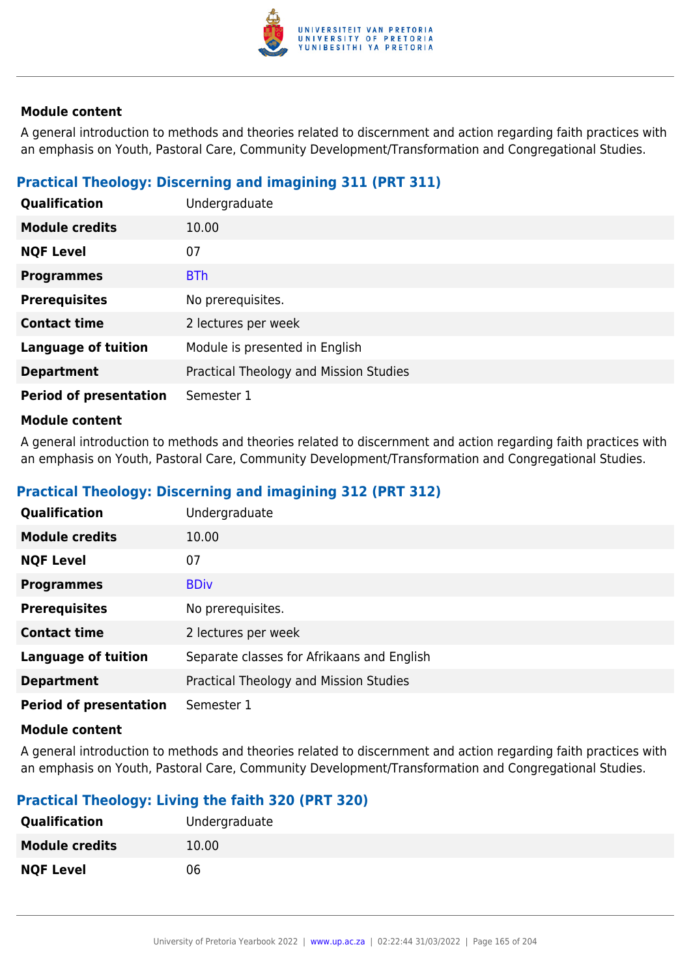

A general introduction to methods and theories related to discernment and action regarding faith practices with an emphasis on Youth, Pastoral Care, Community Development/Transformation and Congregational Studies.

# **Practical Theology: Discerning and imagining 311 (PRT 311)**

| Qualification                 | Undergraduate                          |
|-------------------------------|----------------------------------------|
| <b>Module credits</b>         | 10.00                                  |
| <b>NQF Level</b>              | 07                                     |
| <b>Programmes</b>             | <b>BTh</b>                             |
| <b>Prerequisites</b>          | No prerequisites.                      |
| <b>Contact time</b>           | 2 lectures per week                    |
| <b>Language of tuition</b>    | Module is presented in English         |
| <b>Department</b>             | Practical Theology and Mission Studies |
| <b>Period of presentation</b> | Semester 1                             |

### **Module content**

A general introduction to methods and theories related to discernment and action regarding faith practices with an emphasis on Youth, Pastoral Care, Community Development/Transformation and Congregational Studies.

# **Practical Theology: Discerning and imagining 312 (PRT 312)**

| Qualification                 | Undergraduate                              |
|-------------------------------|--------------------------------------------|
| <b>Module credits</b>         | 10.00                                      |
| <b>NQF Level</b>              | 07                                         |
| <b>Programmes</b>             | <b>BDiv</b>                                |
| <b>Prerequisites</b>          | No prerequisites.                          |
| <b>Contact time</b>           | 2 lectures per week                        |
| <b>Language of tuition</b>    | Separate classes for Afrikaans and English |
| <b>Department</b>             | Practical Theology and Mission Studies     |
| <b>Period of presentation</b> | Semester 1                                 |

#### **Module content**

A general introduction to methods and theories related to discernment and action regarding faith practices with an emphasis on Youth, Pastoral Care, Community Development/Transformation and Congregational Studies.

# **Practical Theology: Living the faith 320 (PRT 320)**

| <b>Qualification</b>  | Undergraduate |
|-----------------------|---------------|
| <b>Module credits</b> | 10.00         |
| <b>NQF Level</b>      | 06            |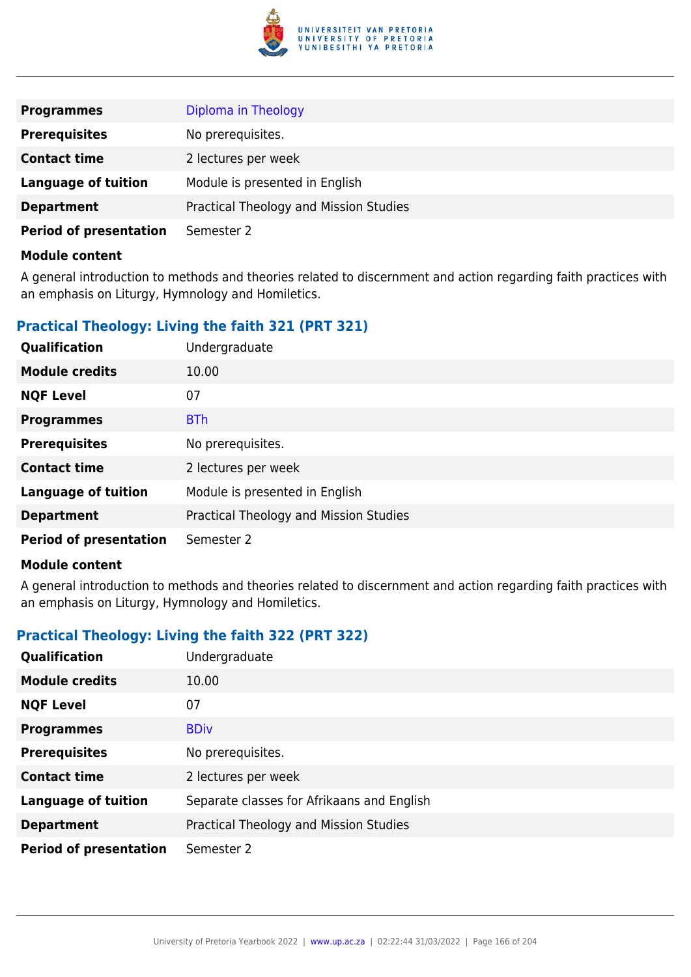

| <b>Programmes</b>             | Diploma in Theology                    |
|-------------------------------|----------------------------------------|
| <b>Prerequisites</b>          | No prerequisites.                      |
| <b>Contact time</b>           | 2 lectures per week                    |
| <b>Language of tuition</b>    | Module is presented in English         |
| <b>Department</b>             | Practical Theology and Mission Studies |
| <b>Period of presentation</b> | Semester 2                             |

A general introduction to methods and theories related to discernment and action regarding faith practices with an emphasis on Liturgy, Hymnology and Homiletics.

# **Practical Theology: Living the faith 321 (PRT 321)**

| Qualification                 | Undergraduate                          |
|-------------------------------|----------------------------------------|
| <b>Module credits</b>         | 10.00                                  |
| <b>NQF Level</b>              | 07                                     |
| <b>Programmes</b>             | <b>BTh</b>                             |
| <b>Prerequisites</b>          | No prerequisites.                      |
| <b>Contact time</b>           | 2 lectures per week                    |
| <b>Language of tuition</b>    | Module is presented in English         |
| <b>Department</b>             | Practical Theology and Mission Studies |
| <b>Period of presentation</b> | Semester 2                             |

#### **Module content**

A general introduction to methods and theories related to discernment and action regarding faith practices with an emphasis on Liturgy, Hymnology and Homiletics.

# **Practical Theology: Living the faith 322 (PRT 322)**

| <b>Qualification</b>          | Undergraduate                              |
|-------------------------------|--------------------------------------------|
| <b>Module credits</b>         | 10.00                                      |
| <b>NQF Level</b>              | 07                                         |
| <b>Programmes</b>             | <b>BDiv</b>                                |
| <b>Prerequisites</b>          | No prerequisites.                          |
| <b>Contact time</b>           | 2 lectures per week                        |
| <b>Language of tuition</b>    | Separate classes for Afrikaans and English |
| <b>Department</b>             | Practical Theology and Mission Studies     |
| <b>Period of presentation</b> | Semester 2                                 |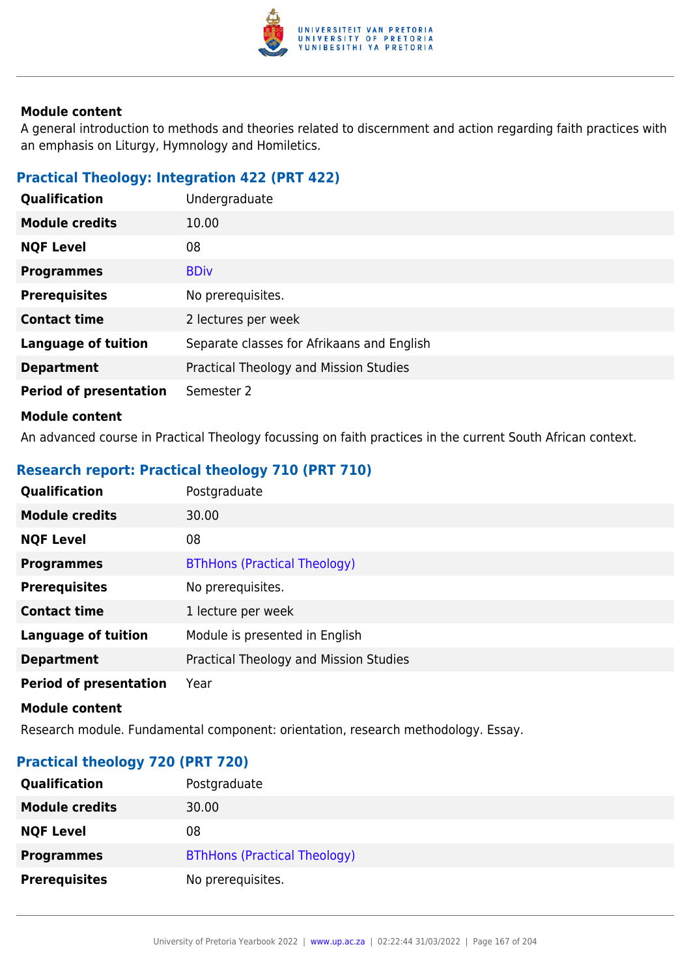

A general introduction to methods and theories related to discernment and action regarding faith practices with an emphasis on Liturgy, Hymnology and Homiletics.

# **Practical Theology: Integration 422 (PRT 422)**

| Qualification                 | Undergraduate                              |
|-------------------------------|--------------------------------------------|
| <b>Module credits</b>         | 10.00                                      |
| <b>NQF Level</b>              | 08                                         |
| <b>Programmes</b>             | <b>BDiv</b>                                |
| <b>Prerequisites</b>          | No prerequisites.                          |
| <b>Contact time</b>           | 2 lectures per week                        |
| <b>Language of tuition</b>    | Separate classes for Afrikaans and English |
| <b>Department</b>             | Practical Theology and Mission Studies     |
| <b>Period of presentation</b> | Semester 2                                 |
| <b>Module content</b>         |                                            |

An advanced course in Practical Theology focussing on faith practices in the current South African context.

# **Research report: Practical theology 710 (PRT 710)**

| Qualification                 | Postgraduate                           |
|-------------------------------|----------------------------------------|
| <b>Module credits</b>         | 30.00                                  |
| <b>NQF Level</b>              | 08                                     |
| <b>Programmes</b>             | <b>BThHons (Practical Theology)</b>    |
| <b>Prerequisites</b>          | No prerequisites.                      |
| <b>Contact time</b>           | 1 lecture per week                     |
| <b>Language of tuition</b>    | Module is presented in English         |
| <b>Department</b>             | Practical Theology and Mission Studies |
| <b>Period of presentation</b> | Year                                   |
| <b>Module content</b>         |                                        |

Research module. Fundamental component: orientation, research methodology. Essay.

# **Practical theology 720 (PRT 720)**

| Qualification         | Postgraduate                        |
|-----------------------|-------------------------------------|
| <b>Module credits</b> | 30.00                               |
| <b>NQF Level</b>      | 08                                  |
| <b>Programmes</b>     | <b>BThHons (Practical Theology)</b> |
| <b>Prerequisites</b>  | No prerequisites.                   |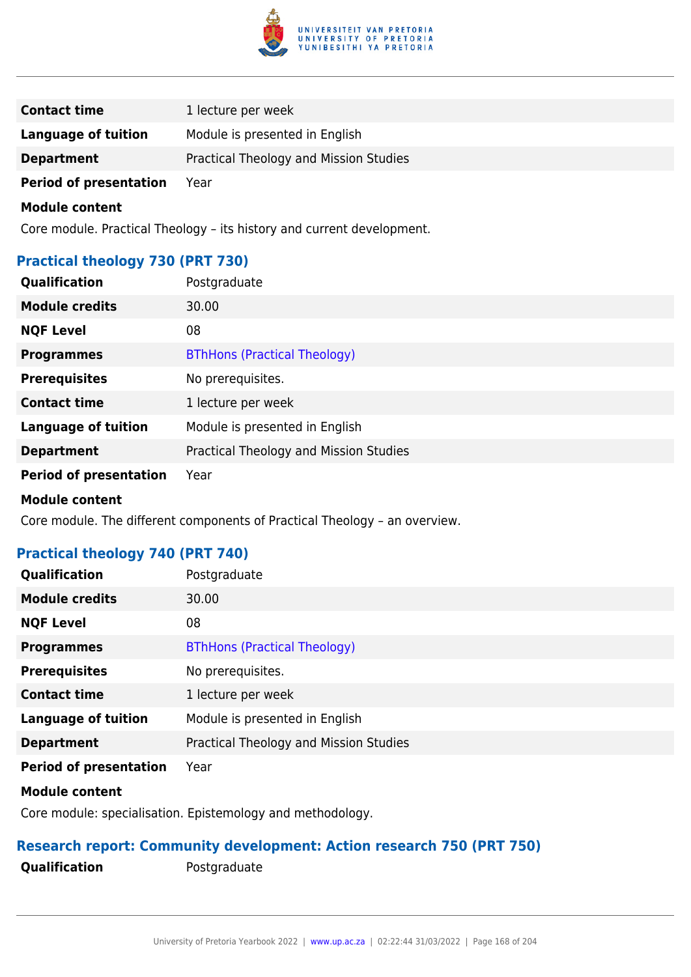

| <b>Contact time</b>           | 1 lecture per week                     |
|-------------------------------|----------------------------------------|
| Language of tuition           | Module is presented in English         |
| <b>Department</b>             | Practical Theology and Mission Studies |
| <b>Period of presentation</b> | Year                                   |

Core module. Practical Theology – its history and current development.

### **Practical theology 730 (PRT 730)**

| <b>Qualification</b>          | Postgraduate                           |
|-------------------------------|----------------------------------------|
| <b>Module credits</b>         | 30.00                                  |
| <b>NQF Level</b>              | 08                                     |
| <b>Programmes</b>             | <b>BThHons (Practical Theology)</b>    |
| <b>Prerequisites</b>          | No prerequisites.                      |
| <b>Contact time</b>           | 1 lecture per week                     |
| <b>Language of tuition</b>    | Module is presented in English         |
| <b>Department</b>             | Practical Theology and Mission Studies |
| <b>Period of presentation</b> | Year                                   |
| <b>Module content</b>         |                                        |

Core module. The different components of Practical Theology – an overview.

# **Practical theology 740 (PRT 740)**

| Qualification                 | Postgraduate                           |
|-------------------------------|----------------------------------------|
| <b>Module credits</b>         | 30.00                                  |
| <b>NQF Level</b>              | 08                                     |
| <b>Programmes</b>             | <b>BThHons (Practical Theology)</b>    |
| <b>Prerequisites</b>          | No prerequisites.                      |
| <b>Contact time</b>           | 1 lecture per week                     |
| <b>Language of tuition</b>    | Module is presented in English         |
| <b>Department</b>             | Practical Theology and Mission Studies |
| <b>Period of presentation</b> | Year                                   |
| <b>Module content</b>         |                                        |

Core module: specialisation. Epistemology and methodology.

# **Research report: Community development: Action research 750 (PRT 750)**

**Qualification** Postgraduate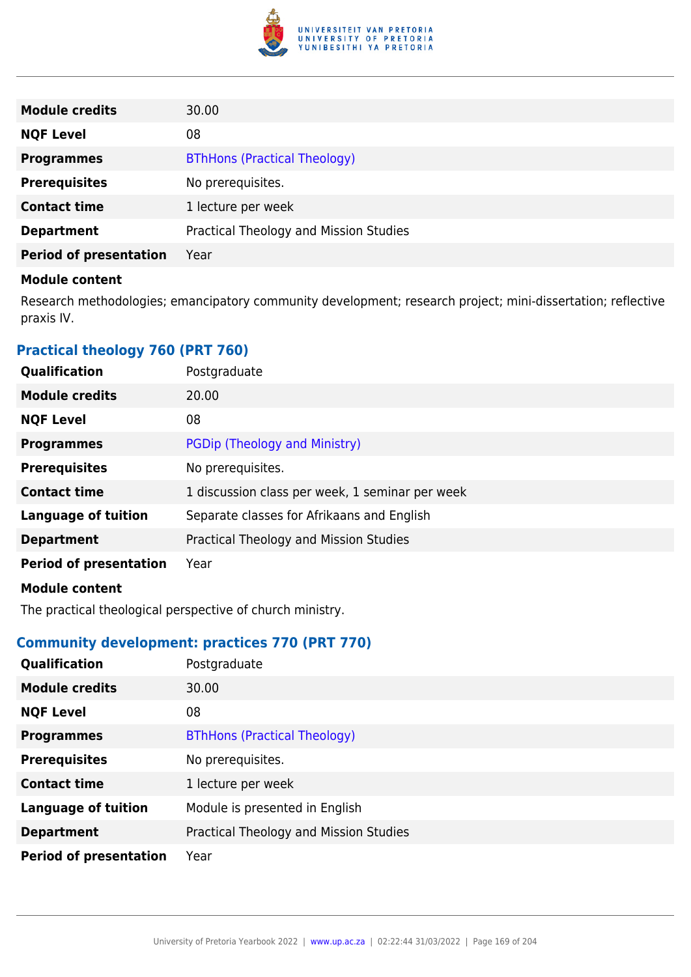

| <b>Module credits</b>         | 30.00                                  |
|-------------------------------|----------------------------------------|
| <b>NQF Level</b>              | 08                                     |
| <b>Programmes</b>             | <b>BThHons (Practical Theology)</b>    |
| <b>Prerequisites</b>          | No prerequisites.                      |
| <b>Contact time</b>           | 1 lecture per week                     |
| <b>Department</b>             | Practical Theology and Mission Studies |
| <b>Period of presentation</b> | Year                                   |

Research methodologies; emancipatory community development; research project; mini-dissertation; reflective praxis IV.

# **Practical theology 760 (PRT 760)**

| Qualification                 | Postgraduate                                    |
|-------------------------------|-------------------------------------------------|
| <b>Module credits</b>         | 20.00                                           |
| <b>NQF Level</b>              | 08                                              |
| <b>Programmes</b>             | PGDip (Theology and Ministry)                   |
| <b>Prerequisites</b>          | No prerequisites.                               |
| <b>Contact time</b>           | 1 discussion class per week, 1 seminar per week |
| <b>Language of tuition</b>    | Separate classes for Afrikaans and English      |
| <b>Department</b>             | Practical Theology and Mission Studies          |
| <b>Period of presentation</b> | Year                                            |
| <b>Module content</b>         |                                                 |

The practical theological perspective of church ministry.

# **Community development: practices 770 (PRT 770)**

| Qualification                 | Postgraduate                           |
|-------------------------------|----------------------------------------|
| <b>Module credits</b>         | 30.00                                  |
| <b>NQF Level</b>              | 08                                     |
| <b>Programmes</b>             | <b>BThHons (Practical Theology)</b>    |
| <b>Prerequisites</b>          | No prerequisites.                      |
| <b>Contact time</b>           | 1 lecture per week                     |
| <b>Language of tuition</b>    | Module is presented in English         |
| <b>Department</b>             | Practical Theology and Mission Studies |
| <b>Period of presentation</b> | Year                                   |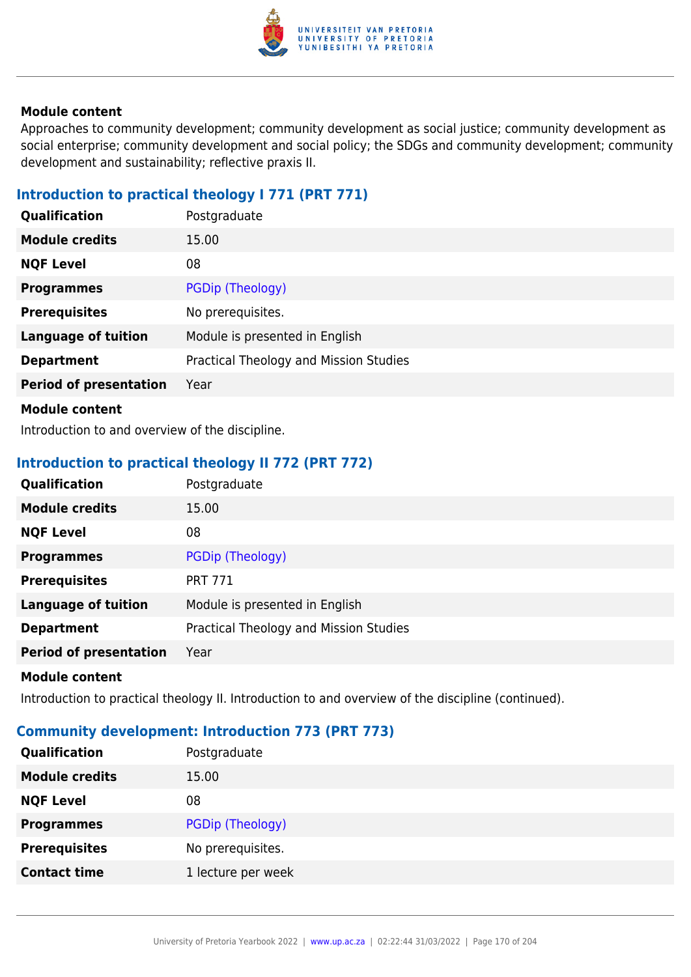

Approaches to community development; community development as social justice; community development as social enterprise; community development and social policy; the SDGs and community development; community development and sustainability; reflective praxis II.

# **Introduction to practical theology I 771 (PRT 771)**

| Qualification                 | Postgraduate                           |
|-------------------------------|----------------------------------------|
| <b>Module credits</b>         | 15.00                                  |
| <b>NQF Level</b>              | 08                                     |
| <b>Programmes</b>             | PGDip (Theology)                       |
| <b>Prerequisites</b>          | No prerequisites.                      |
| <b>Language of tuition</b>    | Module is presented in English         |
| <b>Department</b>             | Practical Theology and Mission Studies |
| <b>Period of presentation</b> | Year                                   |
| <b>Module content</b>         |                                        |

Introduction to and overview of the discipline.

# **Introduction to practical theology II 772 (PRT 772)**

| Qualification                 | Postgraduate                           |
|-------------------------------|----------------------------------------|
| <b>Module credits</b>         | 15.00                                  |
| <b>NQF Level</b>              | 08                                     |
| <b>Programmes</b>             | PGDip (Theology)                       |
| <b>Prerequisites</b>          | <b>PRT 771</b>                         |
| <b>Language of tuition</b>    | Module is presented in English         |
| <b>Department</b>             | Practical Theology and Mission Studies |
| <b>Period of presentation</b> | Year                                   |
|                               |                                        |

#### **Module content**

Introduction to practical theology II. Introduction to and overview of the discipline (continued).

# **Community development: Introduction 773 (PRT 773)**

| Qualification         | Postgraduate       |
|-----------------------|--------------------|
| <b>Module credits</b> | 15.00              |
| <b>NQF Level</b>      | 08                 |
| <b>Programmes</b>     | PGDip (Theology)   |
| <b>Prerequisites</b>  | No prerequisites.  |
| <b>Contact time</b>   | 1 lecture per week |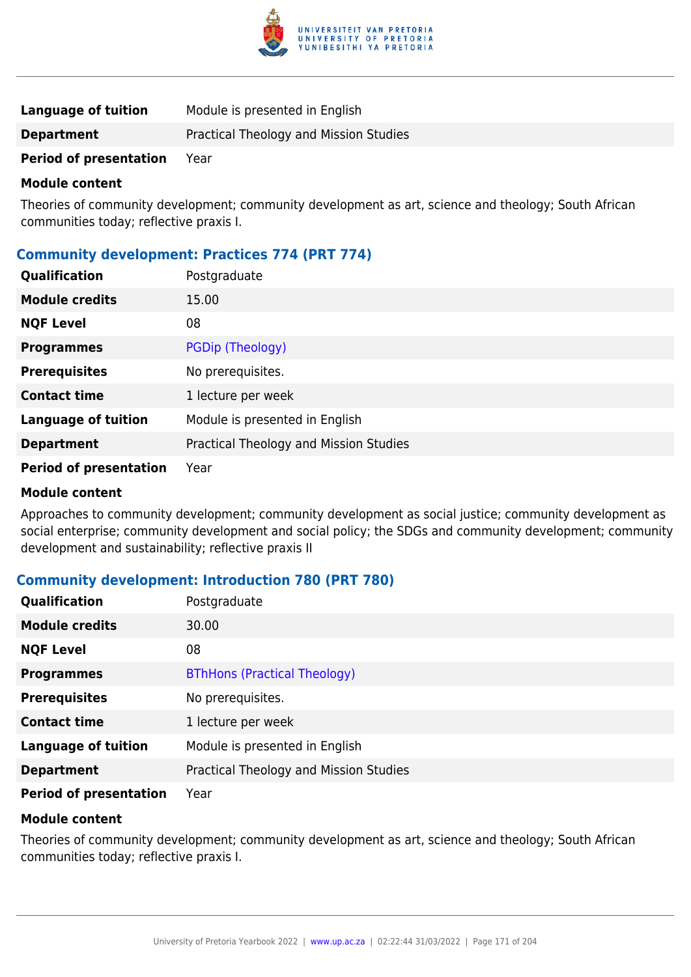

| Language of tuition           | Module is presented in English         |
|-------------------------------|----------------------------------------|
| <b>Department</b>             | Practical Theology and Mission Studies |
| <b>Period of presentation</b> | Year                                   |

Theories of community development; community development as art, science and theology; South African communities today; reflective praxis I.

# **Community development: Practices 774 (PRT 774)**

| Qualification                 | Postgraduate                           |
|-------------------------------|----------------------------------------|
| <b>Module credits</b>         | 15.00                                  |
| <b>NQF Level</b>              | 08                                     |
| <b>Programmes</b>             | PGDip (Theology)                       |
| <b>Prerequisites</b>          | No prerequisites.                      |
| <b>Contact time</b>           | 1 lecture per week                     |
| <b>Language of tuition</b>    | Module is presented in English         |
| <b>Department</b>             | Practical Theology and Mission Studies |
| <b>Period of presentation</b> | Year                                   |

#### **Module content**

Approaches to community development; community development as social justice; community development as social enterprise; community development and social policy; the SDGs and community development; community development and sustainability; reflective praxis II

### **Community development: Introduction 780 (PRT 780)**

| Qualification                 | Postgraduate                           |
|-------------------------------|----------------------------------------|
| <b>Module credits</b>         | 30.00                                  |
| <b>NQF Level</b>              | 08                                     |
| <b>Programmes</b>             | <b>BThHons (Practical Theology)</b>    |
| <b>Prerequisites</b>          | No prerequisites.                      |
| <b>Contact time</b>           | 1 lecture per week                     |
| <b>Language of tuition</b>    | Module is presented in English         |
| <b>Department</b>             | Practical Theology and Mission Studies |
| <b>Period of presentation</b> | Year                                   |

### **Module content**

Theories of community development; community development as art, science and theology; South African communities today; reflective praxis I.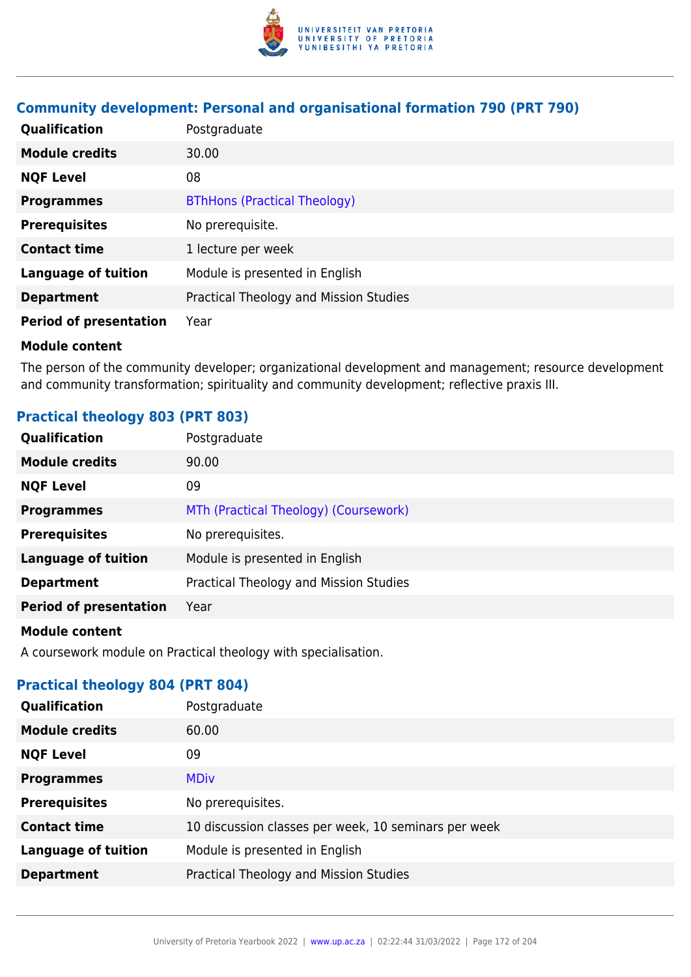

# **Community development: Personal and organisational formation 790 (PRT 790)**

| Qualification                 | Postgraduate                           |
|-------------------------------|----------------------------------------|
| <b>Module credits</b>         | 30.00                                  |
| <b>NQF Level</b>              | 08                                     |
| <b>Programmes</b>             | <b>BThHons (Practical Theology)</b>    |
| <b>Prerequisites</b>          | No prerequisite.                       |
| <b>Contact time</b>           | 1 lecture per week                     |
| <b>Language of tuition</b>    | Module is presented in English         |
| <b>Department</b>             | Practical Theology and Mission Studies |
| <b>Period of presentation</b> | Year                                   |

#### **Module content**

The person of the community developer; organizational development and management; resource development and community transformation; spirituality and community development; reflective praxis III.

# **Practical theology 803 (PRT 803)**

| <b>Qualification</b>          | Postgraduate                           |
|-------------------------------|----------------------------------------|
| <b>Module credits</b>         | 90.00                                  |
| <b>NQF Level</b>              | 09                                     |
| <b>Programmes</b>             | MTh (Practical Theology) (Coursework)  |
| <b>Prerequisites</b>          | No prerequisites.                      |
| <b>Language of tuition</b>    | Module is presented in English         |
| <b>Department</b>             | Practical Theology and Mission Studies |
| <b>Period of presentation</b> | Year                                   |
|                               |                                        |

## **Module content**

A coursework module on Practical theology with specialisation.

# **Practical theology 804 (PRT 804)**

| Qualification              | Postgraduate                                         |
|----------------------------|------------------------------------------------------|
| <b>Module credits</b>      | 60.00                                                |
| <b>NQF Level</b>           | 09                                                   |
| <b>Programmes</b>          | <b>MDiv</b>                                          |
| <b>Prerequisites</b>       | No prerequisites.                                    |
| <b>Contact time</b>        | 10 discussion classes per week, 10 seminars per week |
| <b>Language of tuition</b> | Module is presented in English                       |
| <b>Department</b>          | Practical Theology and Mission Studies               |
|                            |                                                      |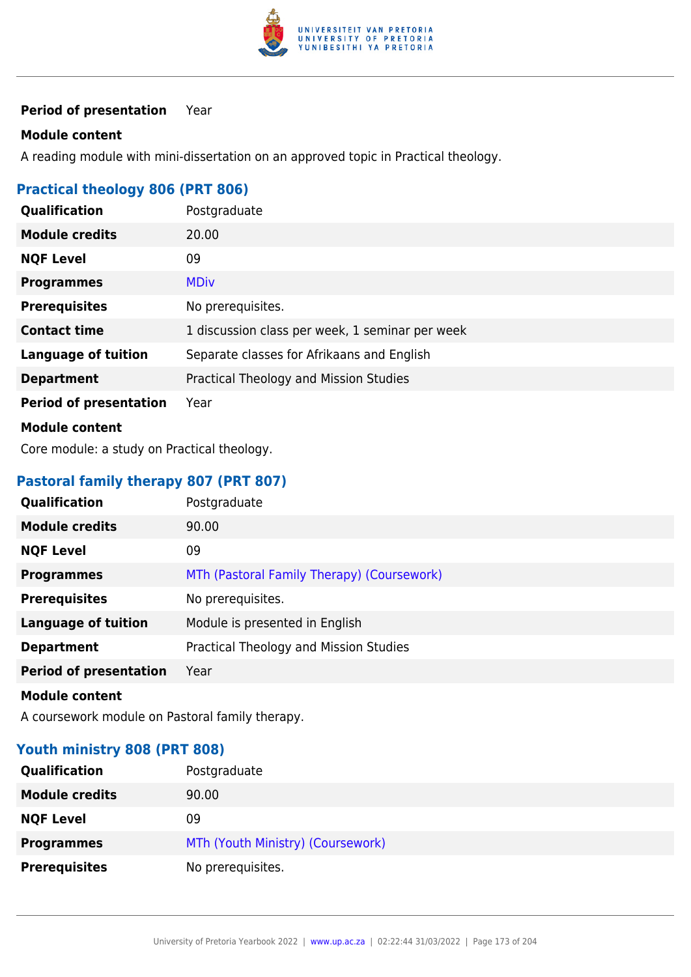

### **Period of presentation** Year

#### **Module content**

A reading module with mini-dissertation on an approved topic in Practical theology.

# **Practical theology 806 (PRT 806)**

| <b>Qualification</b>          | Postgraduate                                    |
|-------------------------------|-------------------------------------------------|
| <b>Module credits</b>         | 20.00                                           |
| <b>NQF Level</b>              | 09                                              |
| <b>Programmes</b>             | <b>MDiv</b>                                     |
| <b>Prerequisites</b>          | No prerequisites.                               |
| <b>Contact time</b>           | 1 discussion class per week, 1 seminar per week |
| <b>Language of tuition</b>    | Separate classes for Afrikaans and English      |
| <b>Department</b>             | Practical Theology and Mission Studies          |
| <b>Period of presentation</b> | Year                                            |
| <b>Module content</b>         |                                                 |

Core module: a study on Practical theology.

# **Pastoral family therapy 807 (PRT 807)**

| Qualification                 | Postgraduate                               |
|-------------------------------|--------------------------------------------|
| <b>Module credits</b>         | 90.00                                      |
| <b>NQF Level</b>              | 09                                         |
| <b>Programmes</b>             | MTh (Pastoral Family Therapy) (Coursework) |
| <b>Prerequisites</b>          | No prerequisites.                          |
| <b>Language of tuition</b>    | Module is presented in English             |
| <b>Department</b>             | Practical Theology and Mission Studies     |
| <b>Period of presentation</b> | Year                                       |
| <b>Module content</b>         |                                            |

A coursework module on Pastoral family therapy.

# **Youth ministry 808 (PRT 808)**

| <b>Qualification</b>  | Postgraduate                      |
|-----------------------|-----------------------------------|
| <b>Module credits</b> | 90.00                             |
| <b>NQF Level</b>      | 09                                |
| <b>Programmes</b>     | MTh (Youth Ministry) (Coursework) |
| <b>Prerequisites</b>  | No prerequisites.                 |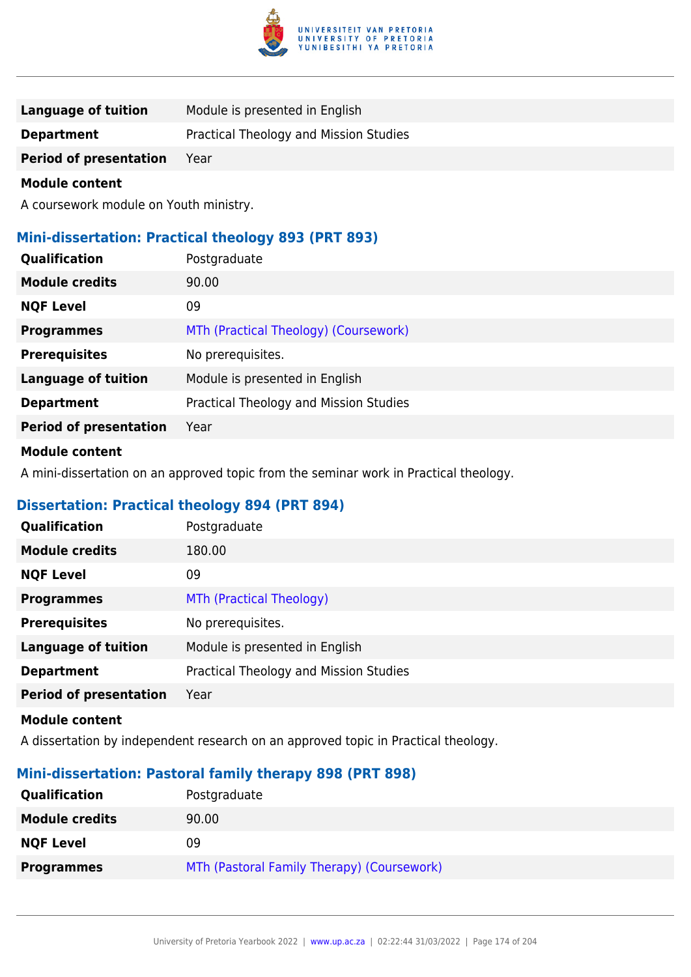

| Language of tuition    | Module is presented in English         |
|------------------------|----------------------------------------|
| <b>Department</b>      | Practical Theology and Mission Studies |
| Period of presentation | Year                                   |

A coursework module on Youth ministry.

## **Mini-dissertation: Practical theology 893 (PRT 893)**

| Qualification                 | Postgraduate                           |
|-------------------------------|----------------------------------------|
| <b>Module credits</b>         | 90.00                                  |
| <b>NQF Level</b>              | 09                                     |
| <b>Programmes</b>             | MTh (Practical Theology) (Coursework)  |
| <b>Prerequisites</b>          | No prerequisites.                      |
| <b>Language of tuition</b>    | Module is presented in English         |
| <b>Department</b>             | Practical Theology and Mission Studies |
| <b>Period of presentation</b> | Year                                   |
|                               |                                        |

## **Module content**

A mini-dissertation on an approved topic from the seminar work in Practical theology.

# **Dissertation: Practical theology 894 (PRT 894)**

| Qualification                 | Postgraduate                           |
|-------------------------------|----------------------------------------|
| <b>Module credits</b>         | 180.00                                 |
| <b>NQF Level</b>              | 09                                     |
| <b>Programmes</b>             | MTh (Practical Theology)               |
| <b>Prerequisites</b>          | No prerequisites.                      |
| <b>Language of tuition</b>    | Module is presented in English         |
| <b>Department</b>             | Practical Theology and Mission Studies |
| <b>Period of presentation</b> | Year                                   |

#### **Module content**

A dissertation by independent research on an approved topic in Practical theology.

# **Mini-dissertation: Pastoral family therapy 898 (PRT 898)**

| Qualification         | Postgraduate                               |
|-----------------------|--------------------------------------------|
| <b>Module credits</b> | 90.00                                      |
| <b>NQF Level</b>      | 09                                         |
| <b>Programmes</b>     | MTh (Pastoral Family Therapy) (Coursework) |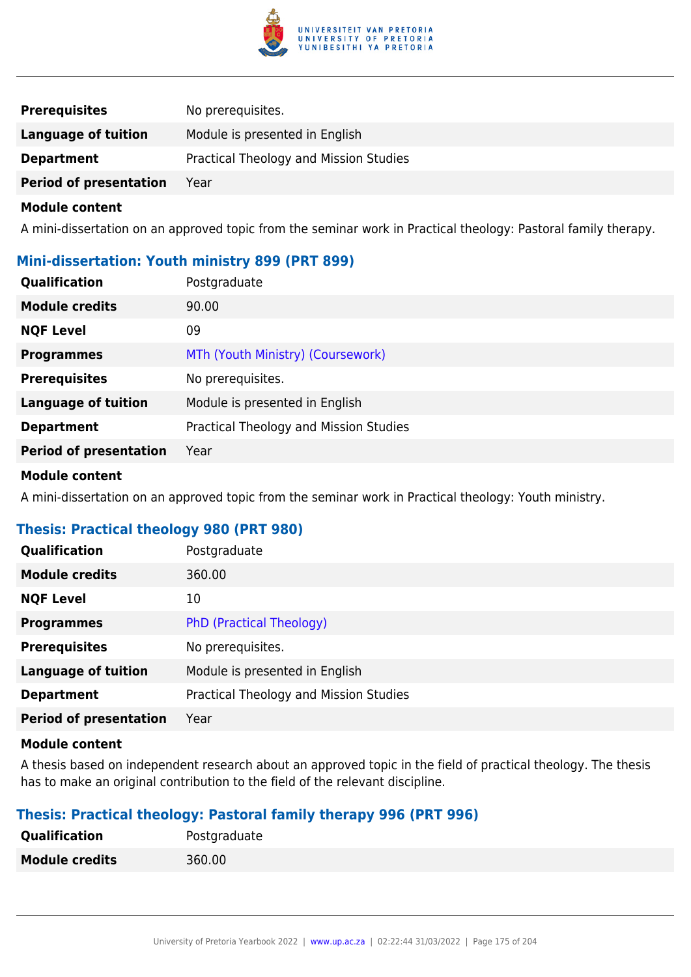

| <b>Prerequisites</b>          | No prerequisites.                      |
|-------------------------------|----------------------------------------|
| Language of tuition           | Module is presented in English         |
| <b>Department</b>             | Practical Theology and Mission Studies |
| <b>Period of presentation</b> | Year                                   |

A mini-dissertation on an approved topic from the seminar work in Practical theology: Pastoral family therapy.

### **Mini-dissertation: Youth ministry 899 (PRT 899)**

| <b>Qualification</b>          | Postgraduate                           |
|-------------------------------|----------------------------------------|
| <b>Module credits</b>         | 90.00                                  |
| <b>NQF Level</b>              | 09                                     |
| <b>Programmes</b>             | MTh (Youth Ministry) (Coursework)      |
| <b>Prerequisites</b>          | No prerequisites.                      |
| <b>Language of tuition</b>    | Module is presented in English         |
| <b>Department</b>             | Practical Theology and Mission Studies |
| <b>Period of presentation</b> | Year                                   |

#### **Module content**

A mini-dissertation on an approved topic from the seminar work in Practical theology: Youth ministry.

## **Thesis: Practical theology 980 (PRT 980)**

| Qualification                 | Postgraduate                           |
|-------------------------------|----------------------------------------|
| <b>Module credits</b>         | 360.00                                 |
| <b>NQF Level</b>              | 10                                     |
| <b>Programmes</b>             | <b>PhD (Practical Theology)</b>        |
| <b>Prerequisites</b>          | No prerequisites.                      |
| <b>Language of tuition</b>    | Module is presented in English         |
| <b>Department</b>             | Practical Theology and Mission Studies |
| <b>Period of presentation</b> | Year                                   |
|                               |                                        |

#### **Module content**

A thesis based on independent research about an approved topic in the field of practical theology. The thesis has to make an original contribution to the field of the relevant discipline.

### **Thesis: Practical theology: Pastoral family therapy 996 (PRT 996)**

| Postgraduate |
|--------------|
| 360.00       |
|              |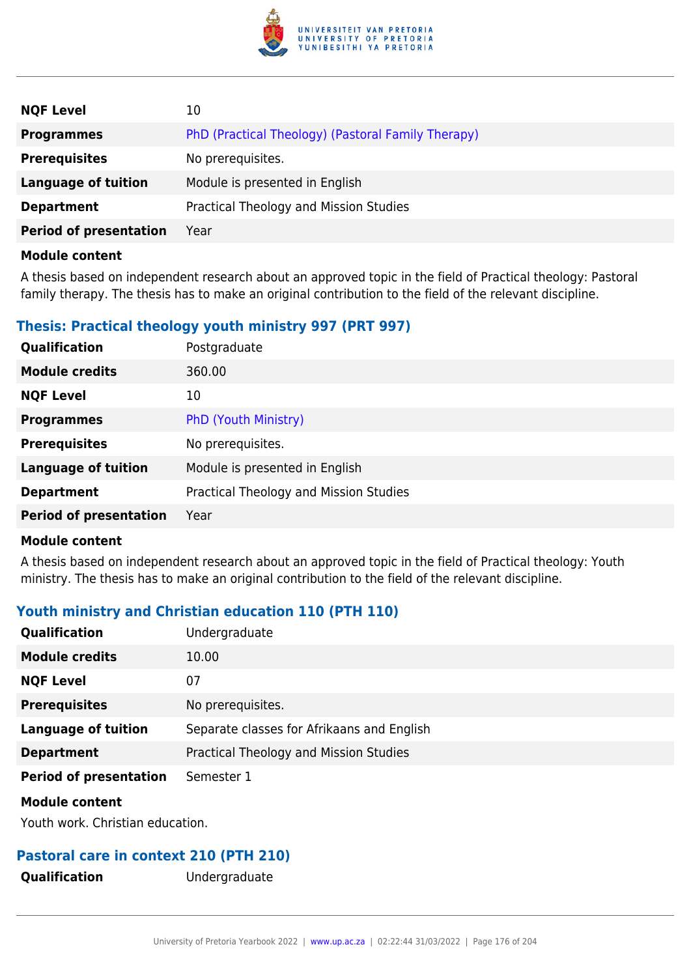

| <b>NQF Level</b>              | 10                                                 |
|-------------------------------|----------------------------------------------------|
| <b>Programmes</b>             | PhD (Practical Theology) (Pastoral Family Therapy) |
| <b>Prerequisites</b>          | No prerequisites.                                  |
| <b>Language of tuition</b>    | Module is presented in English                     |
| <b>Department</b>             | Practical Theology and Mission Studies             |
| <b>Period of presentation</b> | Year                                               |
| .                             |                                                    |

A thesis based on independent research about an approved topic in the field of Practical theology: Pastoral family therapy. The thesis has to make an original contribution to the field of the relevant discipline.

# **Thesis: Practical theology youth ministry 997 (PRT 997)**

| Qualification                 | Postgraduate                           |
|-------------------------------|----------------------------------------|
| <b>Module credits</b>         | 360.00                                 |
| <b>NQF Level</b>              | 10                                     |
| <b>Programmes</b>             | PhD (Youth Ministry)                   |
| <b>Prerequisites</b>          | No prerequisites.                      |
| <b>Language of tuition</b>    | Module is presented in English         |
| <b>Department</b>             | Practical Theology and Mission Studies |
| <b>Period of presentation</b> | Year                                   |
|                               |                                        |

#### **Module content**

A thesis based on independent research about an approved topic in the field of Practical theology: Youth ministry. The thesis has to make an original contribution to the field of the relevant discipline.

# **Youth ministry and Christian education 110 (PTH 110)**

| <b>Qualification</b>          | Undergraduate                              |
|-------------------------------|--------------------------------------------|
| <b>Module credits</b>         | 10.00                                      |
| <b>NQF Level</b>              | 07                                         |
| <b>Prerequisites</b>          | No prerequisites.                          |
| <b>Language of tuition</b>    | Separate classes for Afrikaans and English |
| <b>Department</b>             | Practical Theology and Mission Studies     |
| <b>Period of presentation</b> | Semester 1                                 |
| <b>Module content</b>         |                                            |

Youth work. Christian education.

# **Pastoral care in context 210 (PTH 210)**

**Qualification** Undergraduate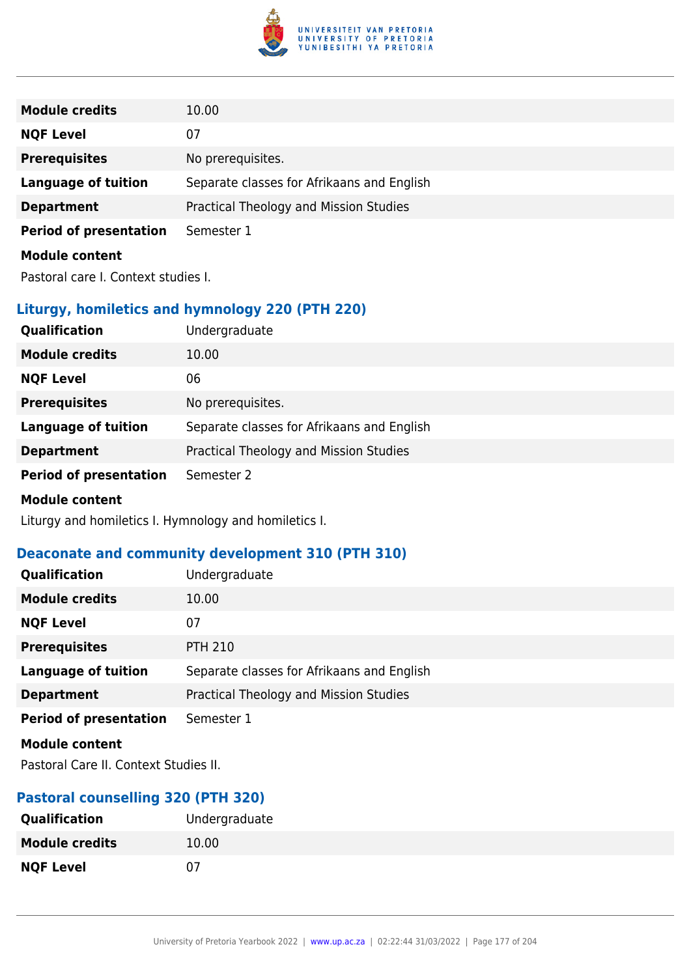

| <b>Module credits</b>         | 10.00                                      |
|-------------------------------|--------------------------------------------|
| <b>NQF Level</b>              | 07                                         |
| <b>Prerequisites</b>          | No prerequisites.                          |
| Language of tuition           | Separate classes for Afrikaans and English |
| <b>Department</b>             | Practical Theology and Mission Studies     |
| <b>Period of presentation</b> | Semester 1                                 |
| <b>Module content</b>         |                                            |

Pastoral care I. Context studies I.

# **Liturgy, homiletics and hymnology 220 (PTH 220)**

| Qualification                 | Undergraduate                              |
|-------------------------------|--------------------------------------------|
| <b>Module credits</b>         | 10.00                                      |
| <b>NQF Level</b>              | 06                                         |
| <b>Prerequisites</b>          | No prerequisites.                          |
| <b>Language of tuition</b>    | Separate classes for Afrikaans and English |
| <b>Department</b>             | Practical Theology and Mission Studies     |
| <b>Period of presentation</b> | Semester 2                                 |
| .                             |                                            |

#### **Module content**

Liturgy and homiletics I. Hymnology and homiletics I.

# **Deaconate and community development 310 (PTH 310)**

| <b>Qualification</b>          | Undergraduate                              |
|-------------------------------|--------------------------------------------|
| <b>Module credits</b>         | 10.00                                      |
| <b>NQF Level</b>              | 07                                         |
| <b>Prerequisites</b>          | <b>PTH 210</b>                             |
| <b>Language of tuition</b>    | Separate classes for Afrikaans and English |
| <b>Department</b>             | Practical Theology and Mission Studies     |
| <b>Period of presentation</b> | Semester 1                                 |
| <b>Module content</b>         |                                            |

Pastoral Care II. Context Studies II.

# **Pastoral counselling 320 (PTH 320)**

| <b>Qualification</b>  | Undergraduate |
|-----------------------|---------------|
| <b>Module credits</b> | 10.00         |
| <b>NQF Level</b>      | 07            |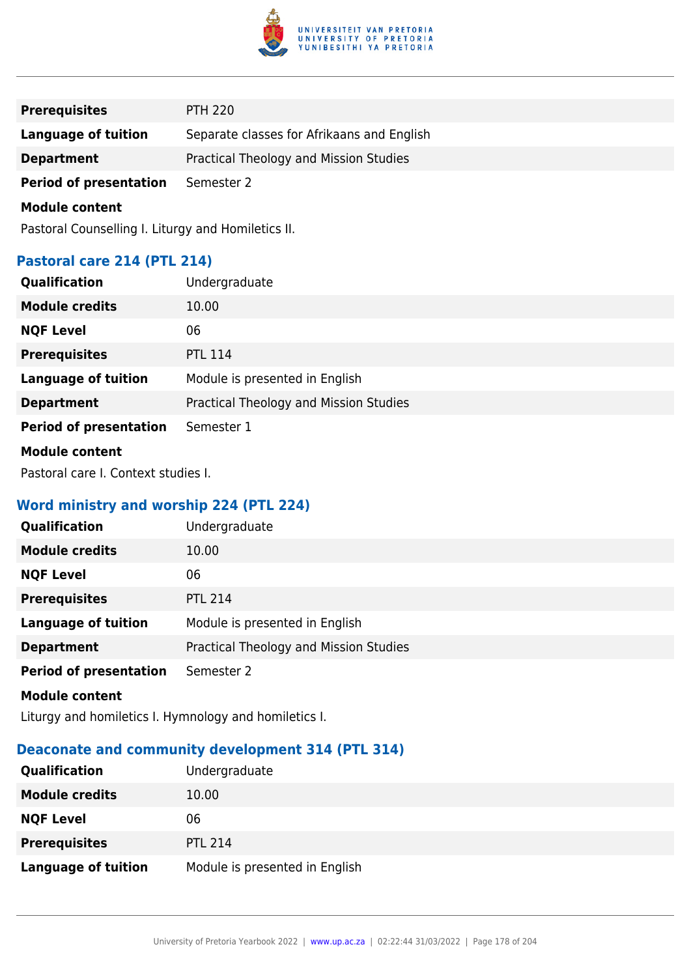

| <b>Prerequisites</b>          | <b>PTH 220</b>                             |
|-------------------------------|--------------------------------------------|
| Language of tuition           | Separate classes for Afrikaans and English |
| <b>Department</b>             | Practical Theology and Mission Studies     |
| <b>Period of presentation</b> | Semester 2                                 |

Pastoral Counselling I. Liturgy and Homiletics II.

# **Pastoral care 214 (PTL 214)**

| Qualification                 | Undergraduate                          |
|-------------------------------|----------------------------------------|
| <b>Module credits</b>         | 10.00                                  |
| <b>NQF Level</b>              | 06                                     |
| <b>Prerequisites</b>          | <b>PTL 114</b>                         |
| <b>Language of tuition</b>    | Module is presented in English         |
| <b>Department</b>             | Practical Theology and Mission Studies |
| <b>Period of presentation</b> | Semester 1                             |
| <b>Module content</b>         |                                        |

Pastoral care I. Context studies I.

# **Word ministry and worship 224 (PTL 224)**

| Qualification                 | Undergraduate                          |
|-------------------------------|----------------------------------------|
| <b>Module credits</b>         | 10.00                                  |
| <b>NQF Level</b>              | 06                                     |
| <b>Prerequisites</b>          | <b>PTL 214</b>                         |
| <b>Language of tuition</b>    | Module is presented in English         |
| <b>Department</b>             | Practical Theology and Mission Studies |
| <b>Period of presentation</b> | Semester 2                             |
| <b>Module content</b>         |                                        |

Liturgy and homiletics I. Hymnology and homiletics I.

# **Deaconate and community development 314 (PTL 314)**

| Qualification              | Undergraduate                  |
|----------------------------|--------------------------------|
| <b>Module credits</b>      | 10.00                          |
| <b>NQF Level</b>           | 06                             |
| <b>Prerequisites</b>       | <b>PTL 214</b>                 |
| <b>Language of tuition</b> | Module is presented in English |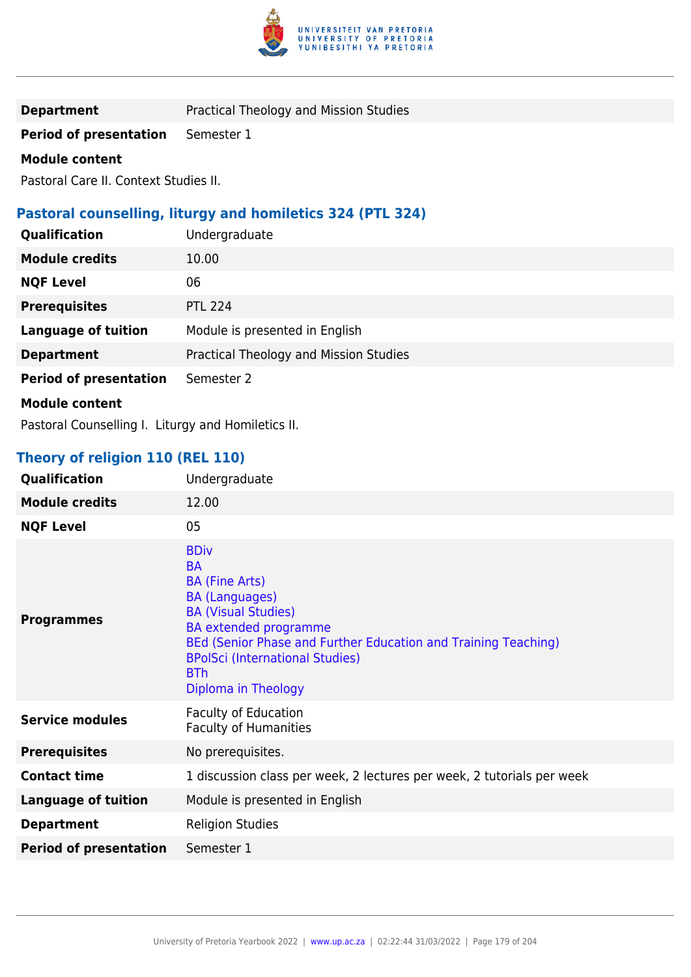

**Department** Practical Theology and Mission Studies

**Period of presentation** Semester 1

## **Module content**

Pastoral Care II. Context Studies II.

# **Pastoral counselling, liturgy and homiletics 324 (PTL 324)**

| Qualification                 | Undergraduate                          |
|-------------------------------|----------------------------------------|
| <b>Module credits</b>         | 10.00                                  |
| <b>NQF Level</b>              | 06                                     |
| <b>Prerequisites</b>          | <b>PTL 224</b>                         |
| <b>Language of tuition</b>    | Module is presented in English         |
| <b>Department</b>             | Practical Theology and Mission Studies |
| <b>Period of presentation</b> | Semester 2                             |
| <b>Module content</b>         |                                        |

Pastoral Counselling I. Liturgy and Homiletics II.

# **Theory of religion 110 (REL 110)**

| Qualification                 | Undergraduate                                                                                                                                                                                                                                                                             |
|-------------------------------|-------------------------------------------------------------------------------------------------------------------------------------------------------------------------------------------------------------------------------------------------------------------------------------------|
| <b>Module credits</b>         | 12.00                                                                                                                                                                                                                                                                                     |
| <b>NQF Level</b>              | 05                                                                                                                                                                                                                                                                                        |
| <b>Programmes</b>             | <b>BDiv</b><br><b>BA</b><br><b>BA (Fine Arts)</b><br><b>BA (Languages)</b><br><b>BA (Visual Studies)</b><br><b>BA</b> extended programme<br>BEd (Senior Phase and Further Education and Training Teaching)<br><b>BPolSci (International Studies)</b><br><b>BTh</b><br>Diploma in Theology |
| <b>Service modules</b>        | <b>Faculty of Education</b><br><b>Faculty of Humanities</b>                                                                                                                                                                                                                               |
| <b>Prerequisites</b>          | No prerequisites.                                                                                                                                                                                                                                                                         |
| <b>Contact time</b>           | 1 discussion class per week, 2 lectures per week, 2 tutorials per week                                                                                                                                                                                                                    |
| <b>Language of tuition</b>    | Module is presented in English                                                                                                                                                                                                                                                            |
| <b>Department</b>             | <b>Religion Studies</b>                                                                                                                                                                                                                                                                   |
| <b>Period of presentation</b> | Semester 1                                                                                                                                                                                                                                                                                |
|                               |                                                                                                                                                                                                                                                                                           |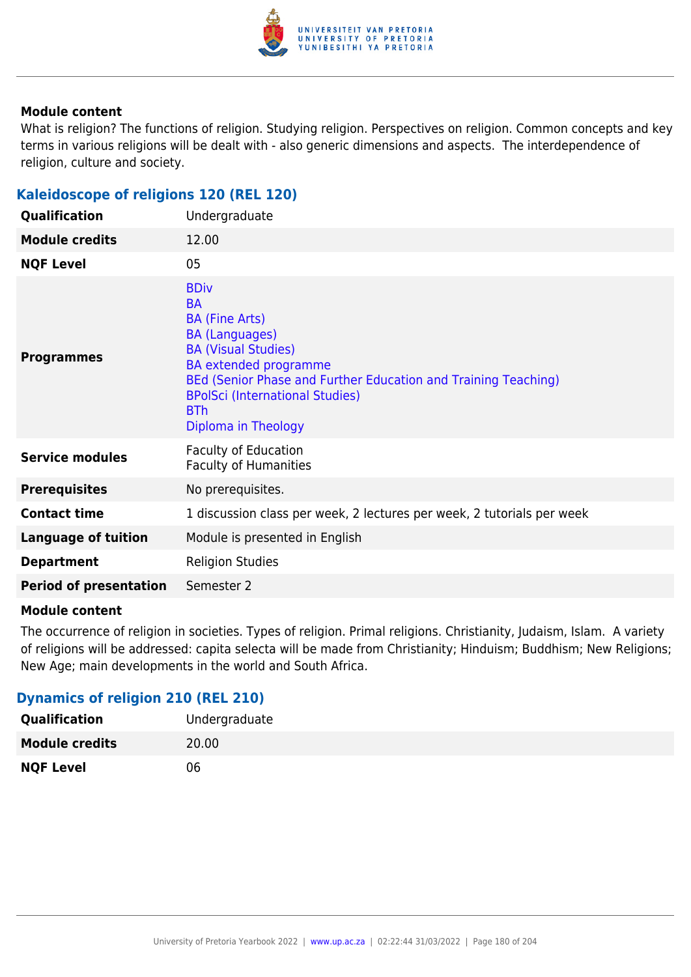

What is religion? The functions of religion. Studying religion. Perspectives on religion. Common concepts and key terms in various religions will be dealt with - also generic dimensions and aspects. The interdependence of religion, culture and society.

## **Kaleidoscope of religions 120 (REL 120)**

| Qualification                 | Undergraduate                                                                                                                                                                                                                                                                             |
|-------------------------------|-------------------------------------------------------------------------------------------------------------------------------------------------------------------------------------------------------------------------------------------------------------------------------------------|
| <b>Module credits</b>         | 12.00                                                                                                                                                                                                                                                                                     |
| <b>NQF Level</b>              | 05                                                                                                                                                                                                                                                                                        |
| <b>Programmes</b>             | <b>BDiv</b><br><b>BA</b><br><b>BA (Fine Arts)</b><br><b>BA (Languages)</b><br><b>BA (Visual Studies)</b><br><b>BA</b> extended programme<br>BEd (Senior Phase and Further Education and Training Teaching)<br><b>BPolSci (International Studies)</b><br><b>BTh</b><br>Diploma in Theology |
| <b>Service modules</b>        | <b>Faculty of Education</b><br><b>Faculty of Humanities</b>                                                                                                                                                                                                                               |
| <b>Prerequisites</b>          | No prerequisites.                                                                                                                                                                                                                                                                         |
| <b>Contact time</b>           | 1 discussion class per week, 2 lectures per week, 2 tutorials per week                                                                                                                                                                                                                    |
| <b>Language of tuition</b>    | Module is presented in English                                                                                                                                                                                                                                                            |
| <b>Department</b>             | <b>Religion Studies</b>                                                                                                                                                                                                                                                                   |
| <b>Period of presentation</b> | Semester 2                                                                                                                                                                                                                                                                                |

#### **Module content**

The occurrence of religion in societies. Types of religion. Primal religions. Christianity, Judaism, Islam. A variety of religions will be addressed: capita selecta will be made from Christianity; Hinduism; Buddhism; New Religions; New Age; main developments in the world and South Africa.

### **Dynamics of religion 210 (REL 210)**

| <b>Qualification</b>  | Undergraduate |
|-----------------------|---------------|
| <b>Module credits</b> | 20.00         |
| <b>NQF Level</b>      | 06            |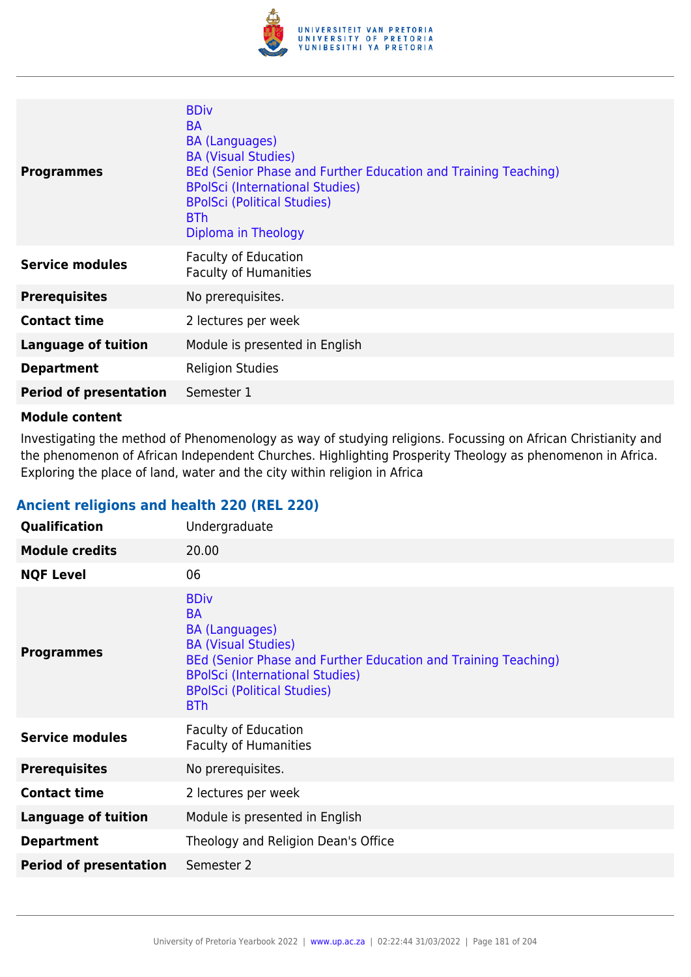

| <b>Programmes</b>             | <b>BDiv</b><br><b>BA</b><br><b>BA (Languages)</b><br><b>BA (Visual Studies)</b><br>BEd (Senior Phase and Further Education and Training Teaching)<br><b>BPolSci (International Studies)</b><br><b>BPolSci (Political Studies)</b><br><b>BTh</b><br>Diploma in Theology |
|-------------------------------|------------------------------------------------------------------------------------------------------------------------------------------------------------------------------------------------------------------------------------------------------------------------|
| <b>Service modules</b>        | <b>Faculty of Education</b><br><b>Faculty of Humanities</b>                                                                                                                                                                                                            |
| <b>Prerequisites</b>          | No prerequisites.                                                                                                                                                                                                                                                      |
| <b>Contact time</b>           | 2 lectures per week                                                                                                                                                                                                                                                    |
| <b>Language of tuition</b>    | Module is presented in English                                                                                                                                                                                                                                         |
| <b>Department</b>             | <b>Religion Studies</b>                                                                                                                                                                                                                                                |
| <b>Period of presentation</b> | Semester 1                                                                                                                                                                                                                                                             |

Investigating the method of Phenomenology as way of studying religions. Focussing on African Christianity and the phenomenon of African Independent Churches. Highlighting Prosperity Theology as phenomenon in Africa. Exploring the place of land, water and the city within religion in Africa

# **Ancient religions and health 220 (REL 220)**

| Qualification                 | Undergraduate                                                                                                                                                                                                                                   |
|-------------------------------|-------------------------------------------------------------------------------------------------------------------------------------------------------------------------------------------------------------------------------------------------|
| <b>Module credits</b>         | 20.00                                                                                                                                                                                                                                           |
| <b>NQF Level</b>              | 06                                                                                                                                                                                                                                              |
| <b>Programmes</b>             | <b>BDiv</b><br><b>BA</b><br><b>BA (Languages)</b><br><b>BA (Visual Studies)</b><br>BEd (Senior Phase and Further Education and Training Teaching)<br><b>BPolSci (International Studies)</b><br><b>BPolSci (Political Studies)</b><br><b>BTh</b> |
| <b>Service modules</b>        | <b>Faculty of Education</b><br><b>Faculty of Humanities</b>                                                                                                                                                                                     |
| <b>Prerequisites</b>          | No prerequisites.                                                                                                                                                                                                                               |
| <b>Contact time</b>           | 2 lectures per week                                                                                                                                                                                                                             |
| <b>Language of tuition</b>    | Module is presented in English                                                                                                                                                                                                                  |
| <b>Department</b>             | Theology and Religion Dean's Office                                                                                                                                                                                                             |
| <b>Period of presentation</b> | Semester 2                                                                                                                                                                                                                                      |
|                               |                                                                                                                                                                                                                                                 |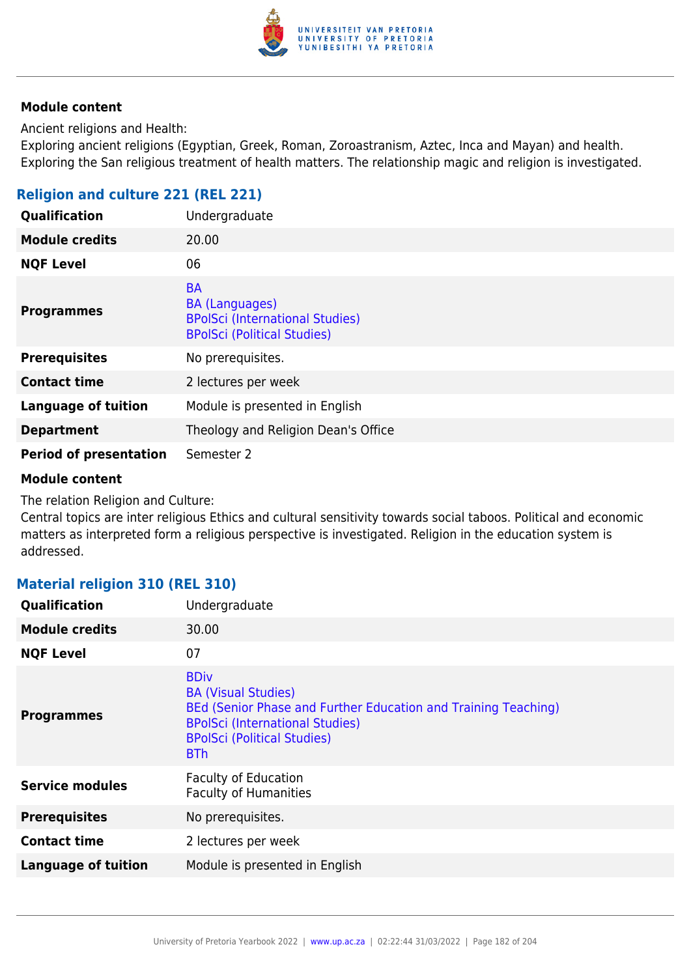

Ancient religions and Health:

Exploring ancient religions (Egyptian, Greek, Roman, Zoroastranism, Aztec, Inca and Mayan) and health. Exploring the San religious treatment of health matters. The relationship magic and religion is investigated.

# **Religion and culture 221 (REL 221)**

| Qualification                 | Undergraduate                                                                                                      |
|-------------------------------|--------------------------------------------------------------------------------------------------------------------|
| <b>Module credits</b>         | 20.00                                                                                                              |
| <b>NQF Level</b>              | 06                                                                                                                 |
| <b>Programmes</b>             | <b>BA</b><br><b>BA (Languages)</b><br><b>BPolSci (International Studies)</b><br><b>BPolSci (Political Studies)</b> |
| <b>Prerequisites</b>          | No prerequisites.                                                                                                  |
| <b>Contact time</b>           | 2 lectures per week                                                                                                |
| <b>Language of tuition</b>    | Module is presented in English                                                                                     |
| <b>Department</b>             | Theology and Religion Dean's Office                                                                                |
| <b>Period of presentation</b> | Semester 2                                                                                                         |

#### **Module content**

The relation Religion and Culture:

Central topics are inter religious Ethics and cultural sensitivity towards social taboos. Political and economic matters as interpreted form a religious perspective is investigated. Religion in the education system is addressed.

## **Material religion 310 (REL 310)**

| Qualification              | Undergraduate                                                                                                                                                                                             |
|----------------------------|-----------------------------------------------------------------------------------------------------------------------------------------------------------------------------------------------------------|
| <b>Module credits</b>      | 30.00                                                                                                                                                                                                     |
| <b>NQF Level</b>           | 07                                                                                                                                                                                                        |
| <b>Programmes</b>          | <b>BDiv</b><br><b>BA (Visual Studies)</b><br>BEd (Senior Phase and Further Education and Training Teaching)<br><b>BPolSci (International Studies)</b><br><b>BPolSci (Political Studies)</b><br><b>BTh</b> |
| <b>Service modules</b>     | <b>Faculty of Education</b><br><b>Faculty of Humanities</b>                                                                                                                                               |
| <b>Prerequisites</b>       | No prerequisites.                                                                                                                                                                                         |
| <b>Contact time</b>        | 2 lectures per week                                                                                                                                                                                       |
| <b>Language of tuition</b> | Module is presented in English                                                                                                                                                                            |
|                            |                                                                                                                                                                                                           |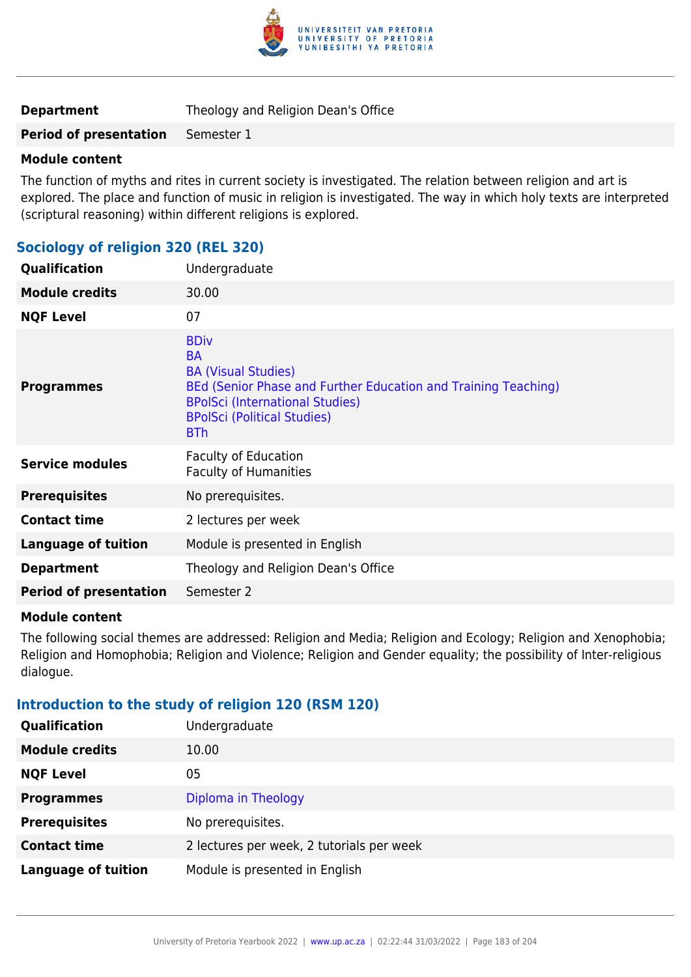

#### **Module content**

The function of myths and rites in current society is investigated. The relation between religion and art is explored. The place and function of music in religion is investigated. The way in which holy texts are interpreted (scriptural reasoning) within different religions is explored.

### **Sociology of religion 320 (REL 320)**

| Undergraduate                                                                                                                                                                                                          |
|------------------------------------------------------------------------------------------------------------------------------------------------------------------------------------------------------------------------|
| 30.00                                                                                                                                                                                                                  |
| 07                                                                                                                                                                                                                     |
| <b>BDiv</b><br><b>BA</b><br><b>BA (Visual Studies)</b><br>BEd (Senior Phase and Further Education and Training Teaching)<br><b>BPolSci (International Studies)</b><br><b>BPolSci (Political Studies)</b><br><b>BTh</b> |
| <b>Faculty of Education</b><br><b>Faculty of Humanities</b>                                                                                                                                                            |
| No prerequisites.                                                                                                                                                                                                      |
| 2 lectures per week                                                                                                                                                                                                    |
| Module is presented in English                                                                                                                                                                                         |
| Theology and Religion Dean's Office                                                                                                                                                                                    |
| Semester 2                                                                                                                                                                                                             |
|                                                                                                                                                                                                                        |

#### **Module content**

The following social themes are addressed: Religion and Media; Religion and Ecology; Religion and Xenophobia; Religion and Homophobia; Religion and Violence; Religion and Gender equality; the possibility of Inter-religious dialogue.

### **Introduction to the study of religion 120 (RSM 120)**

| Qualification              | Undergraduate                             |
|----------------------------|-------------------------------------------|
| <b>Module credits</b>      | 10.00                                     |
| <b>NQF Level</b>           | 05                                        |
| <b>Programmes</b>          | Diploma in Theology                       |
| <b>Prerequisites</b>       | No prerequisites.                         |
| <b>Contact time</b>        | 2 lectures per week, 2 tutorials per week |
| <b>Language of tuition</b> | Module is presented in English            |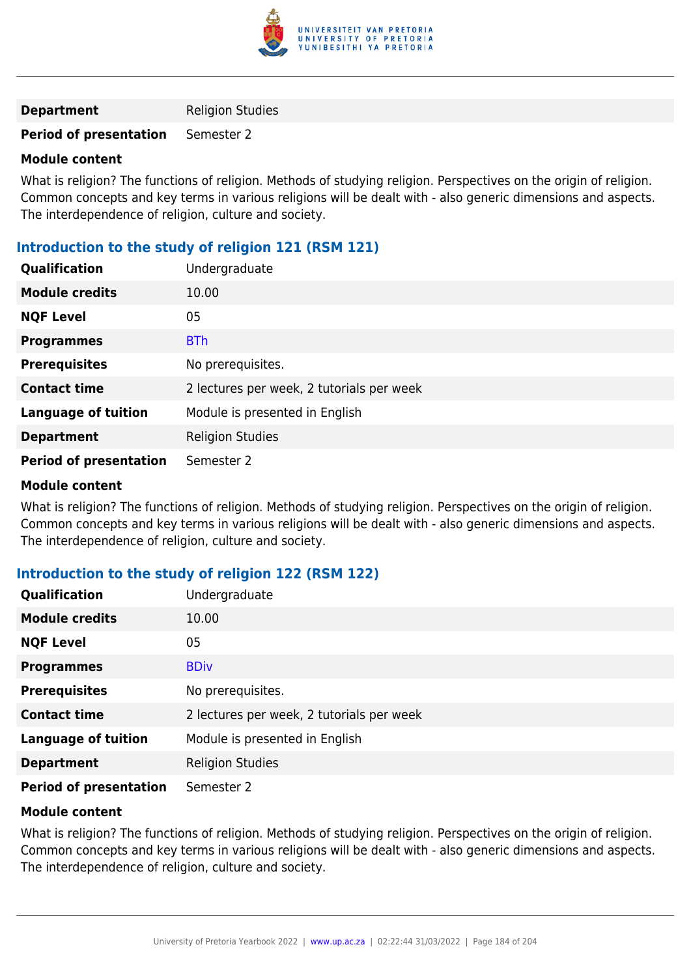

| <b>Department</b> | <b>Religion Studies</b> |
|-------------------|-------------------------|
|-------------------|-------------------------|

#### **Module content**

What is religion? The functions of religion. Methods of studying religion. Perspectives on the origin of religion. Common concepts and key terms in various religions will be dealt with - also generic dimensions and aspects. The interdependence of religion, culture and society.

# **Introduction to the study of religion 121 (RSM 121)**

| Qualification                 | Undergraduate                             |
|-------------------------------|-------------------------------------------|
| <b>Module credits</b>         | 10.00                                     |
| <b>NQF Level</b>              | 05                                        |
| <b>Programmes</b>             | <b>BTh</b>                                |
| <b>Prerequisites</b>          | No prerequisites.                         |
| <b>Contact time</b>           | 2 lectures per week, 2 tutorials per week |
| <b>Language of tuition</b>    | Module is presented in English            |
| <b>Department</b>             | <b>Religion Studies</b>                   |
| <b>Period of presentation</b> | Semester 2                                |

#### **Module content**

What is religion? The functions of religion. Methods of studying religion. Perspectives on the origin of religion. Common concepts and key terms in various religions will be dealt with - also generic dimensions and aspects. The interdependence of religion, culture and society.

## **Introduction to the study of religion 122 (RSM 122)**

| Qualification                 | Undergraduate                             |
|-------------------------------|-------------------------------------------|
| <b>Module credits</b>         | 10.00                                     |
| <b>NQF Level</b>              | 05                                        |
| <b>Programmes</b>             | <b>BDiv</b>                               |
| <b>Prerequisites</b>          | No prerequisites.                         |
| <b>Contact time</b>           | 2 lectures per week, 2 tutorials per week |
| <b>Language of tuition</b>    | Module is presented in English            |
| <b>Department</b>             | <b>Religion Studies</b>                   |
| <b>Period of presentation</b> | Semester 2                                |

### **Module content**

What is religion? The functions of religion. Methods of studying religion. Perspectives on the origin of religion. Common concepts and key terms in various religions will be dealt with - also generic dimensions and aspects. The interdependence of religion, culture and society.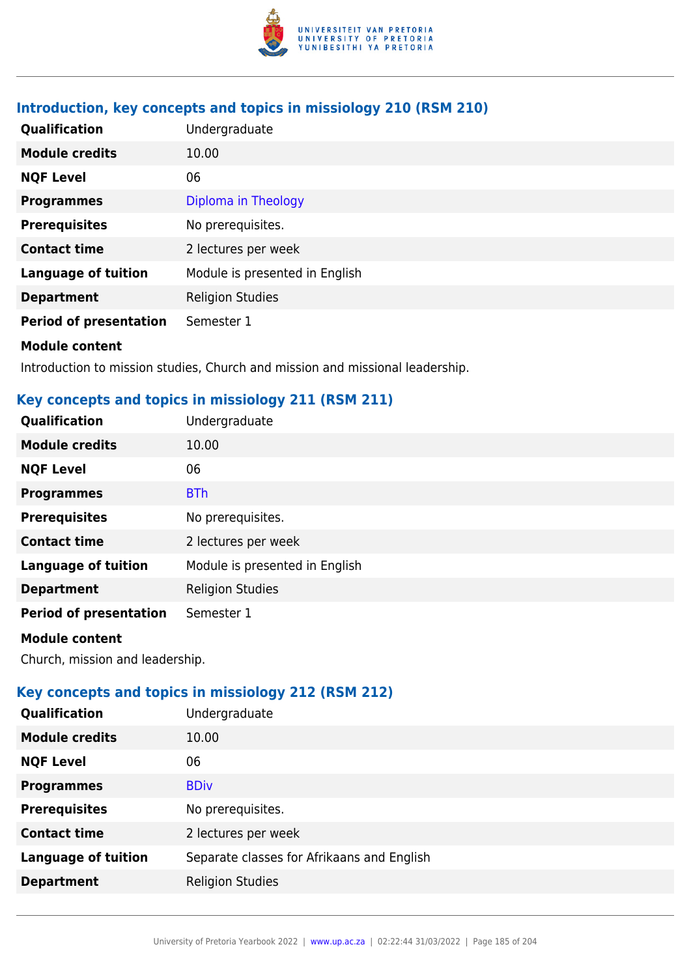

# **Introduction, key concepts and topics in missiology 210 (RSM 210)**

| Qualification                 | Undergraduate                  |
|-------------------------------|--------------------------------|
| <b>Module credits</b>         | 10.00                          |
| <b>NQF Level</b>              | 06                             |
| <b>Programmes</b>             | Diploma in Theology            |
| <b>Prerequisites</b>          | No prerequisites.              |
| <b>Contact time</b>           | 2 lectures per week            |
| <b>Language of tuition</b>    | Module is presented in English |
| <b>Department</b>             | <b>Religion Studies</b>        |
| <b>Period of presentation</b> | Semester 1                     |
| <b>Module content</b>         |                                |

Introduction to mission studies, Church and mission and missional leadership.

## **Key concepts and topics in missiology 211 (RSM 211)**

| Qualification                 | Undergraduate                  |
|-------------------------------|--------------------------------|
| <b>Module credits</b>         | 10.00                          |
| <b>NQF Level</b>              | 06                             |
| <b>Programmes</b>             | <b>BTh</b>                     |
| <b>Prerequisites</b>          | No prerequisites.              |
| <b>Contact time</b>           | 2 lectures per week            |
| <b>Language of tuition</b>    | Module is presented in English |
| <b>Department</b>             | <b>Religion Studies</b>        |
| <b>Period of presentation</b> | Semester 1                     |
|                               |                                |

#### **Module content**

Church, mission and leadership.

# **Key concepts and topics in missiology 212 (RSM 212)**

| <b>Qualification</b>       | Undergraduate                              |
|----------------------------|--------------------------------------------|
| <b>Module credits</b>      | 10.00                                      |
| <b>NQF Level</b>           | 06                                         |
| <b>Programmes</b>          | <b>BDiv</b>                                |
| <b>Prerequisites</b>       | No prerequisites.                          |
| <b>Contact time</b>        | 2 lectures per week                        |
| <b>Language of tuition</b> | Separate classes for Afrikaans and English |
| <b>Department</b>          | <b>Religion Studies</b>                    |
|                            |                                            |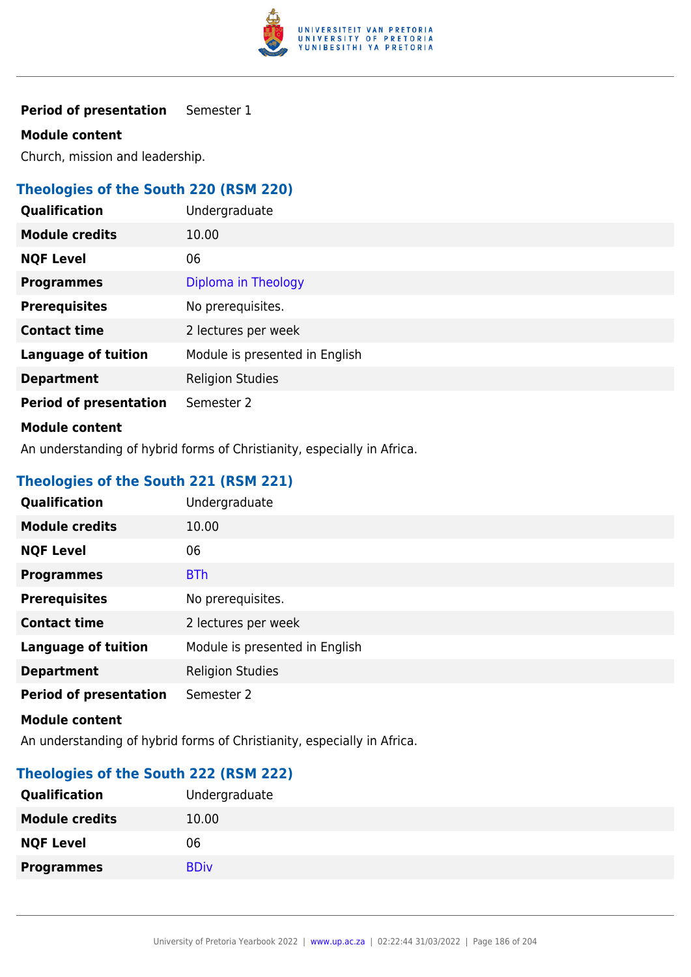

#### **Module content**

Church, mission and leadership.

# **Theologies of the South 220 (RSM 220)**

| Qualification                 | Undergraduate                  |
|-------------------------------|--------------------------------|
| <b>Module credits</b>         | 10.00                          |
| <b>NQF Level</b>              | 06                             |
| <b>Programmes</b>             | Diploma in Theology            |
| <b>Prerequisites</b>          | No prerequisites.              |
| <b>Contact time</b>           | 2 lectures per week            |
| <b>Language of tuition</b>    | Module is presented in English |
| <b>Department</b>             | <b>Religion Studies</b>        |
| <b>Period of presentation</b> | Semester 2                     |
|                               |                                |

### **Module content**

An understanding of hybrid forms of Christianity, especially in Africa.

# **Theologies of the South 221 (RSM 221)**

| Qualification                 | Undergraduate                  |
|-------------------------------|--------------------------------|
| <b>Module credits</b>         | 10.00                          |
| <b>NQF Level</b>              | 06                             |
| <b>Programmes</b>             | <b>BTh</b>                     |
| <b>Prerequisites</b>          | No prerequisites.              |
| <b>Contact time</b>           | 2 lectures per week            |
| <b>Language of tuition</b>    | Module is presented in English |
| <b>Department</b>             | <b>Religion Studies</b>        |
| <b>Period of presentation</b> | Semester 2                     |

#### **Module content**

An understanding of hybrid forms of Christianity, especially in Africa.

## **Theologies of the South 222 (RSM 222)**

| Qualification         | Undergraduate |
|-----------------------|---------------|
| <b>Module credits</b> | 10.00         |
| <b>NQF Level</b>      | 06            |
| <b>Programmes</b>     | <b>BDiv</b>   |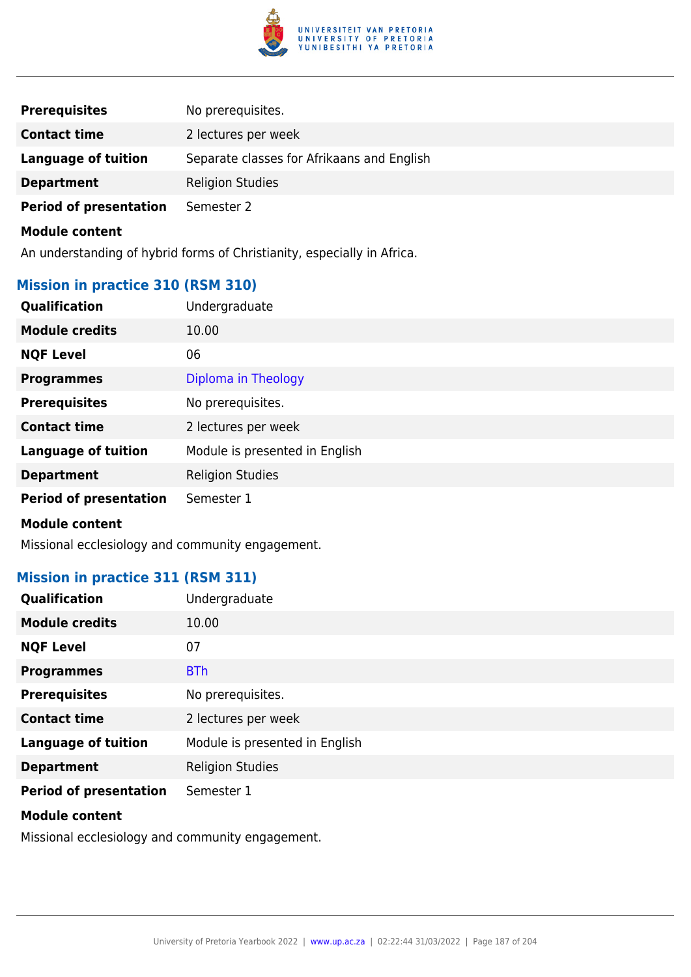

| <b>Prerequisites</b>          | No prerequisites.                          |
|-------------------------------|--------------------------------------------|
| <b>Contact time</b>           | 2 lectures per week                        |
| Language of tuition           | Separate classes for Afrikaans and English |
| <b>Department</b>             | <b>Religion Studies</b>                    |
| <b>Period of presentation</b> | Semester 2                                 |

An understanding of hybrid forms of Christianity, especially in Africa.

# **Mission in practice 310 (RSM 310)**

| <b>Module credits</b><br>10.00<br><b>NQF Level</b><br>06<br>Diploma in Theology<br><b>Programmes</b><br><b>Prerequisites</b><br>No prerequisites.<br><b>Contact time</b><br>2 lectures per week<br><b>Language of tuition</b><br>Module is presented in English<br><b>Religion Studies</b><br><b>Department</b><br><b>Period of presentation</b><br>Semester 1<br><b>Module content</b> | Qualification | Undergraduate |
|-----------------------------------------------------------------------------------------------------------------------------------------------------------------------------------------------------------------------------------------------------------------------------------------------------------------------------------------------------------------------------------------|---------------|---------------|
|                                                                                                                                                                                                                                                                                                                                                                                         |               |               |
|                                                                                                                                                                                                                                                                                                                                                                                         |               |               |
|                                                                                                                                                                                                                                                                                                                                                                                         |               |               |
|                                                                                                                                                                                                                                                                                                                                                                                         |               |               |
|                                                                                                                                                                                                                                                                                                                                                                                         |               |               |
|                                                                                                                                                                                                                                                                                                                                                                                         |               |               |
|                                                                                                                                                                                                                                                                                                                                                                                         |               |               |
|                                                                                                                                                                                                                                                                                                                                                                                         |               |               |
|                                                                                                                                                                                                                                                                                                                                                                                         |               |               |

Missional ecclesiology and community engagement.

## **Mission in practice 311 (RSM 311)**

| <b>Qualification</b>          | Undergraduate                  |
|-------------------------------|--------------------------------|
| <b>Module credits</b>         | 10.00                          |
| <b>NQF Level</b>              | 07                             |
| <b>Programmes</b>             | <b>BTh</b>                     |
| <b>Prerequisites</b>          | No prerequisites.              |
| <b>Contact time</b>           | 2 lectures per week            |
| <b>Language of tuition</b>    | Module is presented in English |
| <b>Department</b>             | <b>Religion Studies</b>        |
| <b>Period of presentation</b> | Semester 1                     |

#### **Module content**

Missional ecclesiology and community engagement.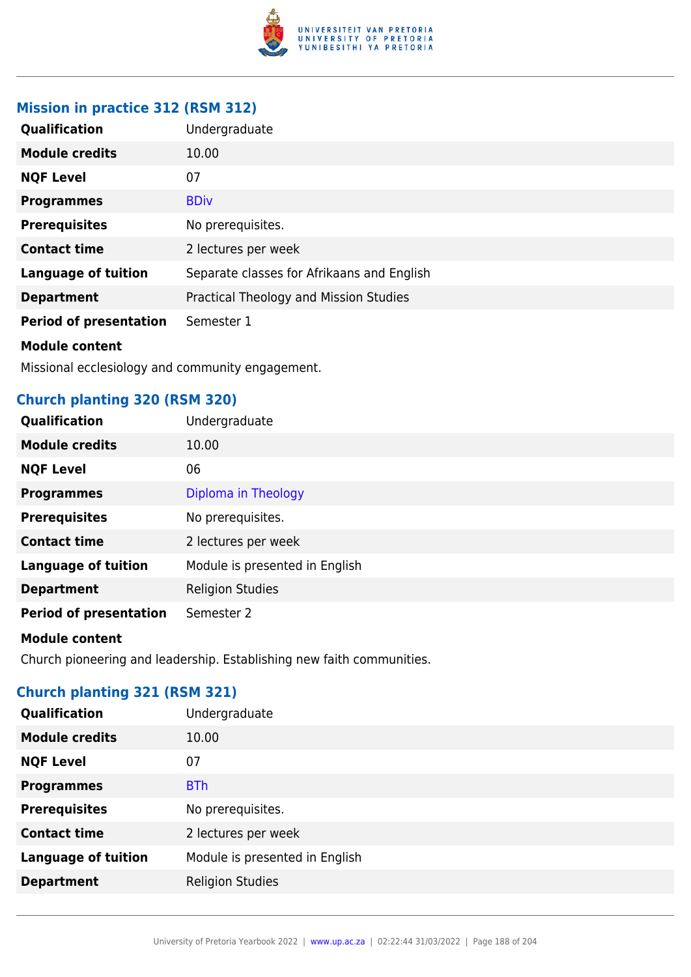

# **Mission in practice 312 (RSM 312)**

| Qualification                 | Undergraduate                              |
|-------------------------------|--------------------------------------------|
| <b>Module credits</b>         | 10.00                                      |
| <b>NQF Level</b>              | 07                                         |
| <b>Programmes</b>             | <b>BDiv</b>                                |
| <b>Prerequisites</b>          | No prerequisites.                          |
| <b>Contact time</b>           | 2 lectures per week                        |
| <b>Language of tuition</b>    | Separate classes for Afrikaans and English |
| <b>Department</b>             | Practical Theology and Mission Studies     |
| <b>Period of presentation</b> | Semester 1                                 |
| <b>Module content</b>         |                                            |

Missional ecclesiology and community engagement.

# **Church planting 320 (RSM 320)**

| Qualification                 | Undergraduate                  |
|-------------------------------|--------------------------------|
| <b>Module credits</b>         | 10.00                          |
| <b>NQF Level</b>              | 06                             |
| <b>Programmes</b>             | Diploma in Theology            |
| <b>Prerequisites</b>          | No prerequisites.              |
| <b>Contact time</b>           | 2 lectures per week            |
| <b>Language of tuition</b>    | Module is presented in English |
| <b>Department</b>             | <b>Religion Studies</b>        |
| <b>Period of presentation</b> | Semester 2                     |

### **Module content**

Church pioneering and leadership. Establishing new faith communities.

# **Church planting 321 (RSM 321)**

| <b>Qualification</b>       | Undergraduate                  |
|----------------------------|--------------------------------|
| <b>Module credits</b>      | 10.00                          |
| <b>NQF Level</b>           | 07                             |
| <b>Programmes</b>          | <b>BTh</b>                     |
| <b>Prerequisites</b>       | No prerequisites.              |
| <b>Contact time</b>        | 2 lectures per week            |
| <b>Language of tuition</b> | Module is presented in English |
| <b>Department</b>          | <b>Religion Studies</b>        |
|                            |                                |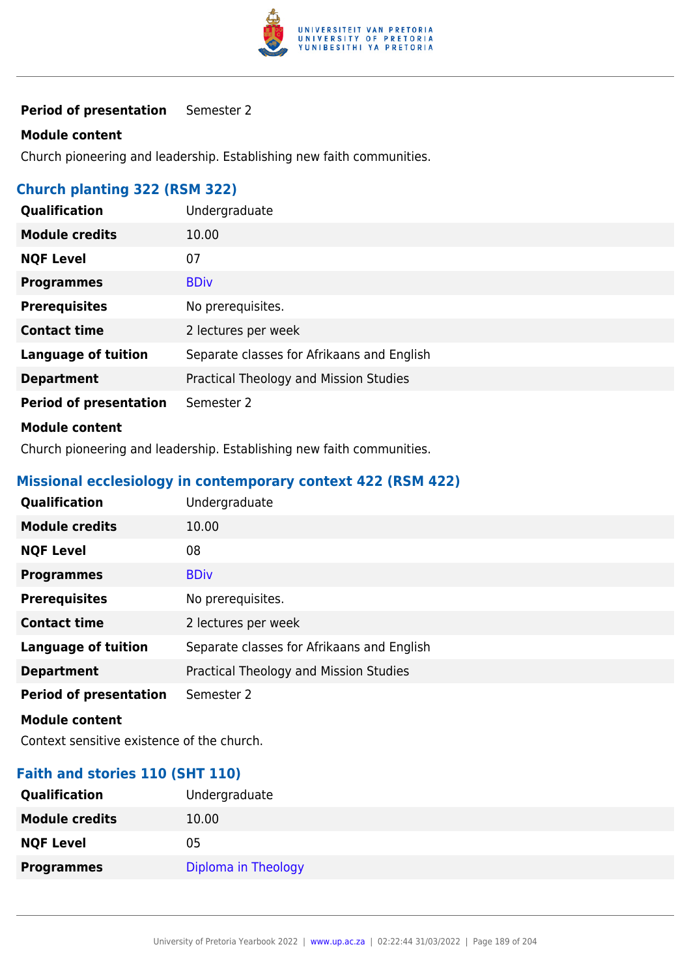

# **Module content**

Church pioneering and leadership. Establishing new faith communities.

# **Church planting 322 (RSM 322)**

| Qualification                 | Undergraduate                              |
|-------------------------------|--------------------------------------------|
| <b>Module credits</b>         | 10.00                                      |
| <b>NQF Level</b>              | 07                                         |
| <b>Programmes</b>             | <b>BDiv</b>                                |
| <b>Prerequisites</b>          | No prerequisites.                          |
| <b>Contact time</b>           | 2 lectures per week                        |
| <b>Language of tuition</b>    | Separate classes for Afrikaans and English |
| <b>Department</b>             | Practical Theology and Mission Studies     |
| <b>Period of presentation</b> | Semester 2                                 |
|                               |                                            |

### **Module content**

Church pioneering and leadership. Establishing new faith communities.

# **Missional ecclesiology in contemporary context 422 (RSM 422)**

| <b>Qualification</b>          | Undergraduate                              |
|-------------------------------|--------------------------------------------|
| <b>Module credits</b>         | 10.00                                      |
| <b>NQF Level</b>              | 08                                         |
| <b>Programmes</b>             | <b>BDiv</b>                                |
| <b>Prerequisites</b>          | No prerequisites.                          |
| <b>Contact time</b>           | 2 lectures per week                        |
| <b>Language of tuition</b>    | Separate classes for Afrikaans and English |
| <b>Department</b>             | Practical Theology and Mission Studies     |
| <b>Period of presentation</b> | Semester 2                                 |

#### **Module content**

Context sensitive existence of the church.

## **Faith and stories 110 (SHT 110)**

| <b>Qualification</b>  | Undergraduate       |
|-----------------------|---------------------|
| <b>Module credits</b> | 10.00               |
| <b>NQF Level</b>      | 05                  |
| <b>Programmes</b>     | Diploma in Theology |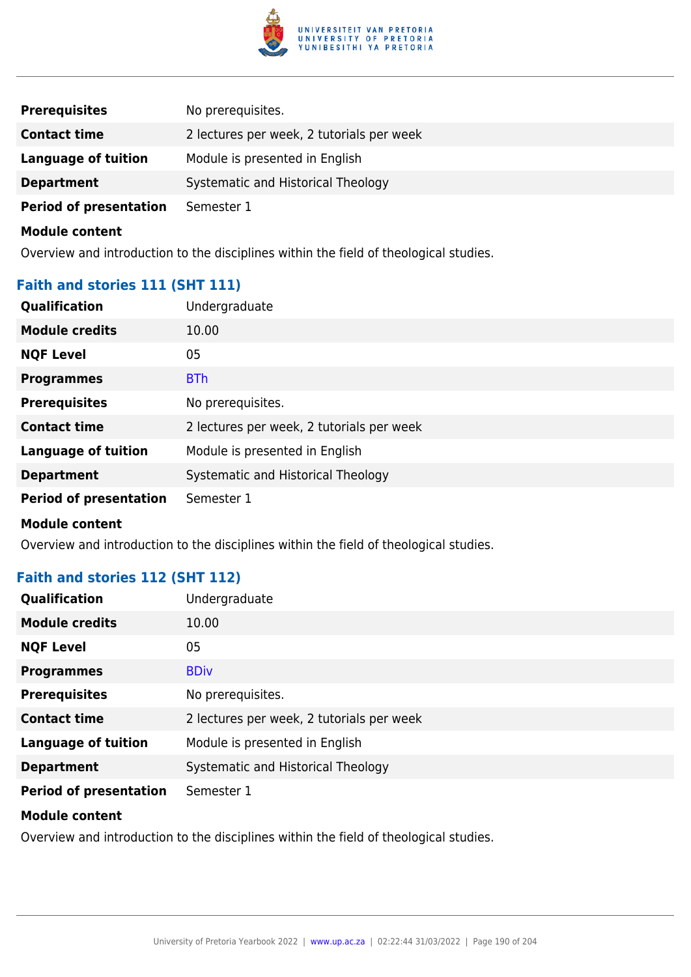

| <b>Prerequisites</b>          | No prerequisites.                         |
|-------------------------------|-------------------------------------------|
| <b>Contact time</b>           | 2 lectures per week, 2 tutorials per week |
| Language of tuition           | Module is presented in English            |
| <b>Department</b>             | Systematic and Historical Theology        |
| <b>Period of presentation</b> | Semester 1                                |

Overview and introduction to the disciplines within the field of theological studies.

# **Faith and stories 111 (SHT 111)**

| Qualification                 | Undergraduate                             |
|-------------------------------|-------------------------------------------|
| <b>Module credits</b>         | 10.00                                     |
| <b>NQF Level</b>              | 05                                        |
| <b>Programmes</b>             | <b>BTh</b>                                |
| <b>Prerequisites</b>          | No prerequisites.                         |
| <b>Contact time</b>           | 2 lectures per week, 2 tutorials per week |
| <b>Language of tuition</b>    | Module is presented in English            |
| <b>Department</b>             | Systematic and Historical Theology        |
| <b>Period of presentation</b> | Semester 1                                |
| <b>Module content</b>         |                                           |

Overview and introduction to the disciplines within the field of theological studies.

# **Faith and stories 112 (SHT 112)**

| <b>Qualification</b>          | Undergraduate                             |
|-------------------------------|-------------------------------------------|
| <b>Module credits</b>         | 10.00                                     |
| <b>NQF Level</b>              | 05                                        |
| <b>Programmes</b>             | <b>BDiv</b>                               |
| <b>Prerequisites</b>          | No prerequisites.                         |
| <b>Contact time</b>           | 2 lectures per week, 2 tutorials per week |
| <b>Language of tuition</b>    | Module is presented in English            |
| <b>Department</b>             | Systematic and Historical Theology        |
| <b>Period of presentation</b> | Semester 1                                |

#### **Module content**

Overview and introduction to the disciplines within the field of theological studies.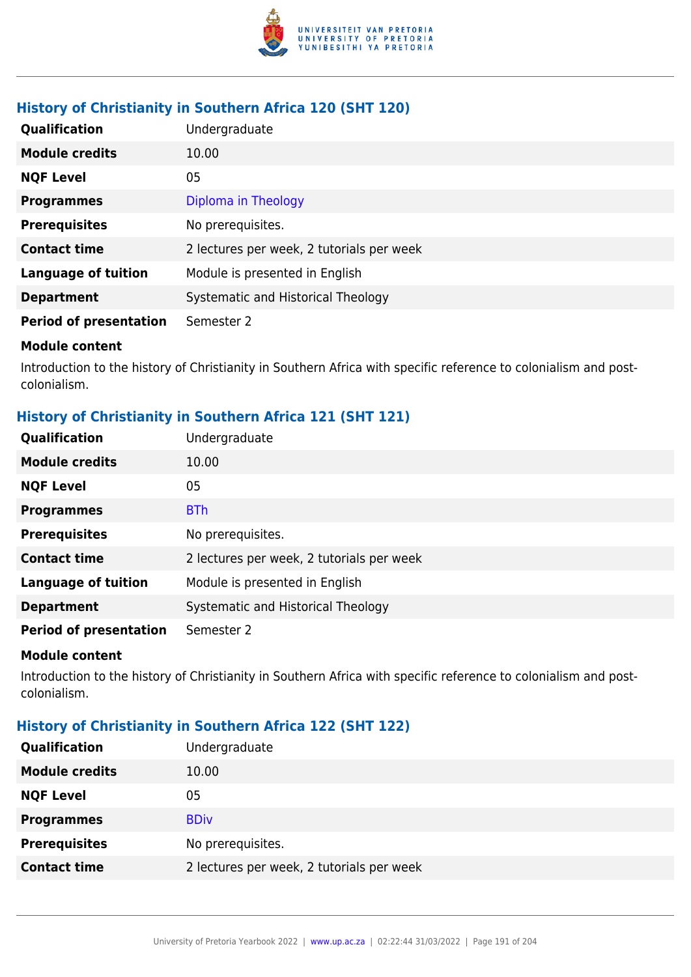

# **History of Christianity in Southern Africa 120 (SHT 120)**

| Qualification                 | Undergraduate                             |
|-------------------------------|-------------------------------------------|
| <b>Module credits</b>         | 10.00                                     |
| <b>NQF Level</b>              | 05                                        |
| <b>Programmes</b>             | Diploma in Theology                       |
| <b>Prerequisites</b>          | No prerequisites.                         |
| <b>Contact time</b>           | 2 lectures per week, 2 tutorials per week |
| <b>Language of tuition</b>    | Module is presented in English            |
| <b>Department</b>             | Systematic and Historical Theology        |
| <b>Period of presentation</b> | Semester 2                                |

#### **Module content**

Introduction to the history of Christianity in Southern Africa with specific reference to colonialism and postcolonialism.

# **History of Christianity in Southern Africa 121 (SHT 121)**

| Qualification                 | Undergraduate                             |
|-------------------------------|-------------------------------------------|
| <b>Module credits</b>         | 10.00                                     |
| <b>NQF Level</b>              | 05                                        |
| <b>Programmes</b>             | <b>BTh</b>                                |
| <b>Prerequisites</b>          | No prerequisites.                         |
| <b>Contact time</b>           | 2 lectures per week, 2 tutorials per week |
| <b>Language of tuition</b>    | Module is presented in English            |
| <b>Department</b>             | Systematic and Historical Theology        |
| <b>Period of presentation</b> | Semester 2                                |

#### **Module content**

Introduction to the history of Christianity in Southern Africa with specific reference to colonialism and postcolonialism.

## **History of Christianity in Southern Africa 122 (SHT 122)**

| Undergraduate                             |
|-------------------------------------------|
| 10.00                                     |
| 05                                        |
| <b>BDiv</b>                               |
| No prerequisites.                         |
| 2 lectures per week, 2 tutorials per week |
|                                           |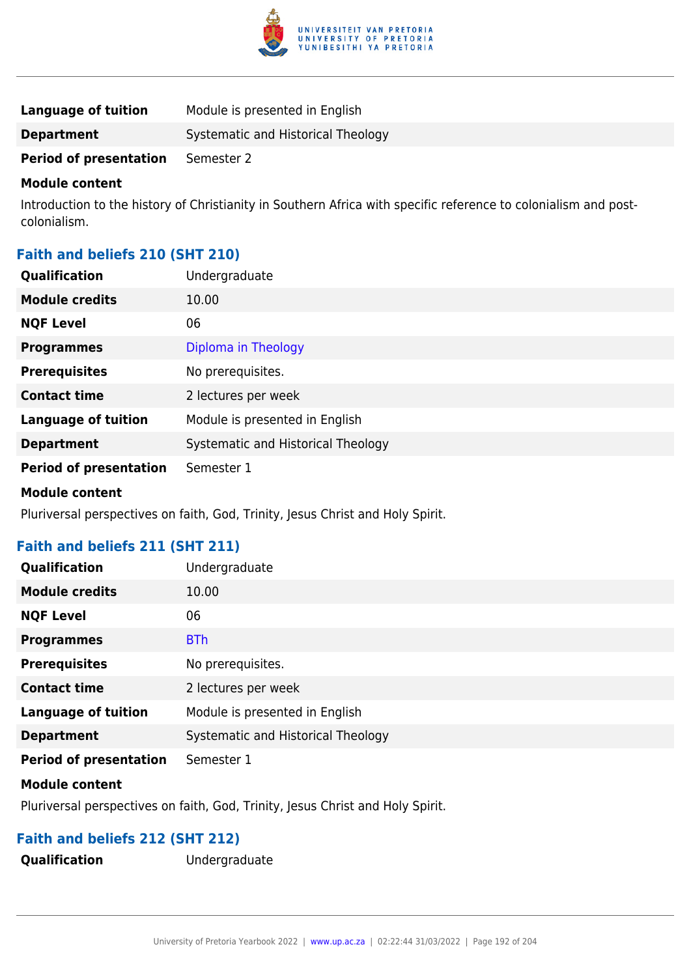

| Language of tuition           | Module is presented in English     |
|-------------------------------|------------------------------------|
| <b>Department</b>             | Systematic and Historical Theology |
| <b>Period of presentation</b> | Semester 2                         |

Introduction to the history of Christianity in Southern Africa with specific reference to colonialism and postcolonialism.

# **Faith and beliefs 210 (SHT 210)**

| <b>Qualification</b>          | Undergraduate                      |
|-------------------------------|------------------------------------|
| <b>Module credits</b>         | 10.00                              |
| <b>NQF Level</b>              | 06                                 |
| <b>Programmes</b>             | Diploma in Theology                |
| <b>Prerequisites</b>          | No prerequisites.                  |
| <b>Contact time</b>           | 2 lectures per week                |
| <b>Language of tuition</b>    | Module is presented in English     |
| <b>Department</b>             | Systematic and Historical Theology |
| <b>Period of presentation</b> | Semester 1                         |
| <b>Module content</b>         |                                    |

Pluriversal perspectives on faith, God, Trinity, Jesus Christ and Holy Spirit.

## **Faith and beliefs 211 (SHT 211)**

| <b>Qualification</b>          | Undergraduate                      |
|-------------------------------|------------------------------------|
| <b>Module credits</b>         | 10.00                              |
| <b>NQF Level</b>              | 06                                 |
| <b>Programmes</b>             | <b>BTh</b>                         |
| <b>Prerequisites</b>          | No prerequisites.                  |
| <b>Contact time</b>           | 2 lectures per week                |
| <b>Language of tuition</b>    | Module is presented in English     |
| <b>Department</b>             | Systematic and Historical Theology |
| <b>Period of presentation</b> | Semester 1                         |

### **Module content**

Pluriversal perspectives on faith, God, Trinity, Jesus Christ and Holy Spirit.

## **Faith and beliefs 212 (SHT 212)**

**Qualification** Undergraduate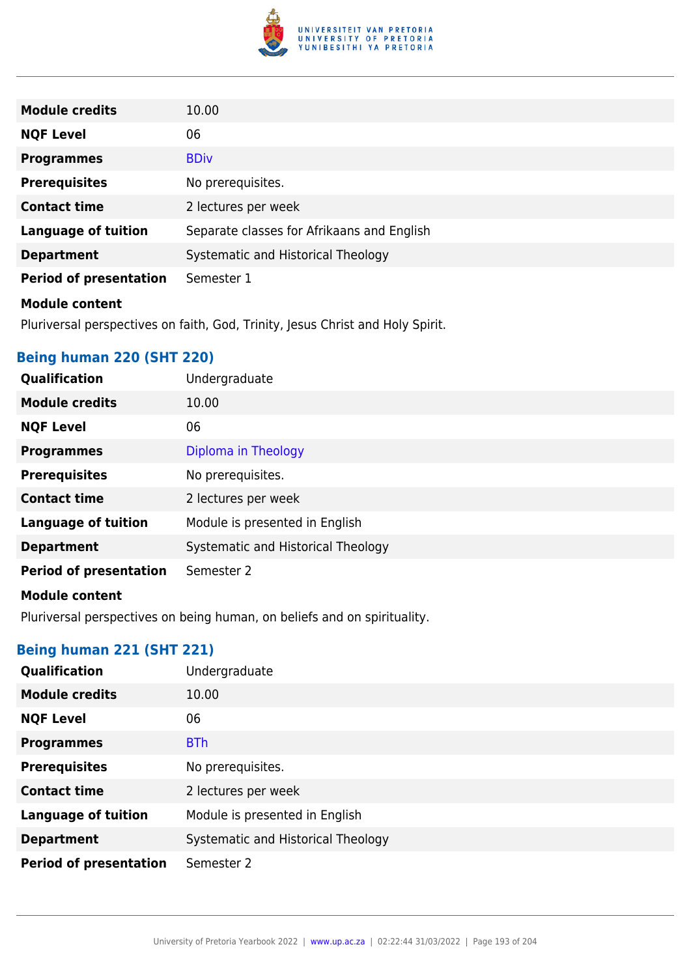

| <b>Module credits</b>                                                          | 10.00                                      |
|--------------------------------------------------------------------------------|--------------------------------------------|
| <b>NQF Level</b>                                                               | 06                                         |
| <b>Programmes</b>                                                              | <b>BDiv</b>                                |
| <b>Prerequisites</b>                                                           | No prerequisites.                          |
| <b>Contact time</b>                                                            | 2 lectures per week                        |
| <b>Language of tuition</b>                                                     | Separate classes for Afrikaans and English |
| <b>Department</b>                                                              | Systematic and Historical Theology         |
| <b>Period of presentation</b>                                                  | Semester 1                                 |
| <b>Module content</b>                                                          |                                            |
| Pluriversal perspectives on faith, God, Trinity, Jesus Christ and Holy Spirit. |                                            |

**Being human 220 (SHT 220)**

| Qualification                 | Undergraduate                      |
|-------------------------------|------------------------------------|
| <b>Module credits</b>         | 10.00                              |
| <b>NQF Level</b>              | 06                                 |
| <b>Programmes</b>             | Diploma in Theology                |
| <b>Prerequisites</b>          | No prerequisites.                  |
| <b>Contact time</b>           | 2 lectures per week                |
| <b>Language of tuition</b>    | Module is presented in English     |
| <b>Department</b>             | Systematic and Historical Theology |
| <b>Period of presentation</b> | Semester 2                         |
| <b>Module content</b>         |                                    |

Pluriversal perspectives on being human, on beliefs and on spirituality.

# **Being human 221 (SHT 221)**

| <b>Qualification</b>          | Undergraduate                      |
|-------------------------------|------------------------------------|
| <b>Module credits</b>         | 10.00                              |
| <b>NQF Level</b>              | 06                                 |
| <b>Programmes</b>             | <b>BTh</b>                         |
| <b>Prerequisites</b>          | No prerequisites.                  |
| <b>Contact time</b>           | 2 lectures per week                |
| <b>Language of tuition</b>    | Module is presented in English     |
| <b>Department</b>             | Systematic and Historical Theology |
| <b>Period of presentation</b> | Semester 2                         |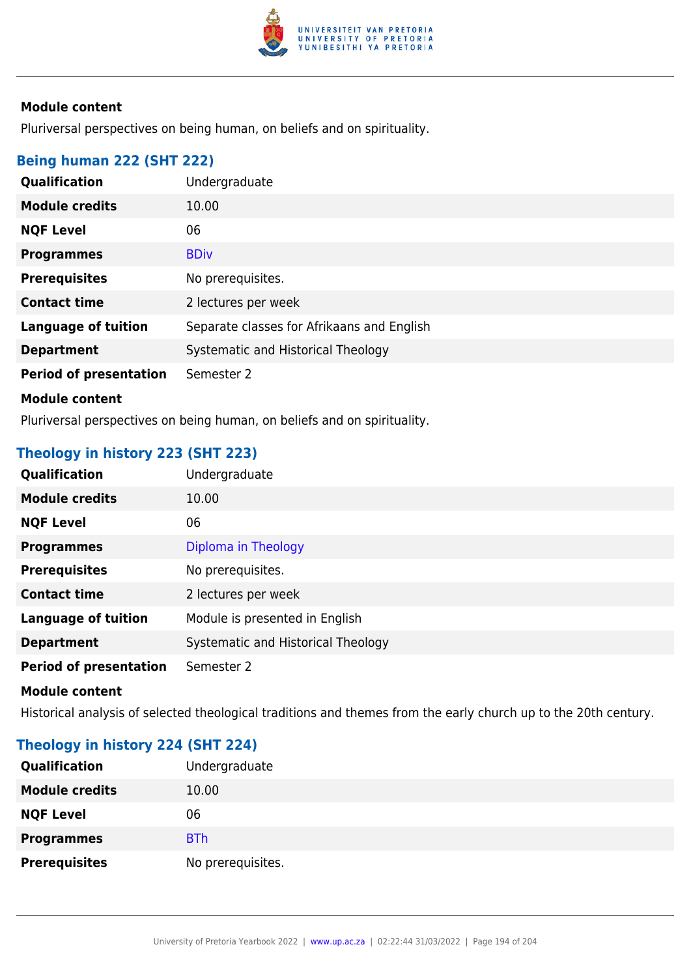

Pluriversal perspectives on being human, on beliefs and on spirituality.

### **Being human 222 (SHT 222)**

| Qualification                 | Undergraduate                              |
|-------------------------------|--------------------------------------------|
| <b>Module credits</b>         | 10.00                                      |
| <b>NQF Level</b>              | 06                                         |
| <b>Programmes</b>             | <b>BDiv</b>                                |
| <b>Prerequisites</b>          | No prerequisites.                          |
| <b>Contact time</b>           | 2 lectures per week                        |
| <b>Language of tuition</b>    | Separate classes for Afrikaans and English |
| <b>Department</b>             | Systematic and Historical Theology         |
| <b>Period of presentation</b> | Semester 2                                 |
| <b>Module content</b>         |                                            |

Pluriversal perspectives on being human, on beliefs and on spirituality.

# **Theology in history 223 (SHT 223)**

| Diploma in Theology                |
|------------------------------------|
| No prerequisites.                  |
| 2 lectures per week                |
| Module is presented in English     |
| Systematic and Historical Theology |
|                                    |
| Undergraduate                      |

#### **Module content**

Historical analysis of selected theological traditions and themes from the early church up to the 20th century.

# **Theology in history 224 (SHT 224)**

| Qualification         | Undergraduate     |
|-----------------------|-------------------|
| <b>Module credits</b> | 10.00             |
| <b>NQF Level</b>      | 06                |
| <b>Programmes</b>     | <b>BTh</b>        |
| <b>Prerequisites</b>  | No prerequisites. |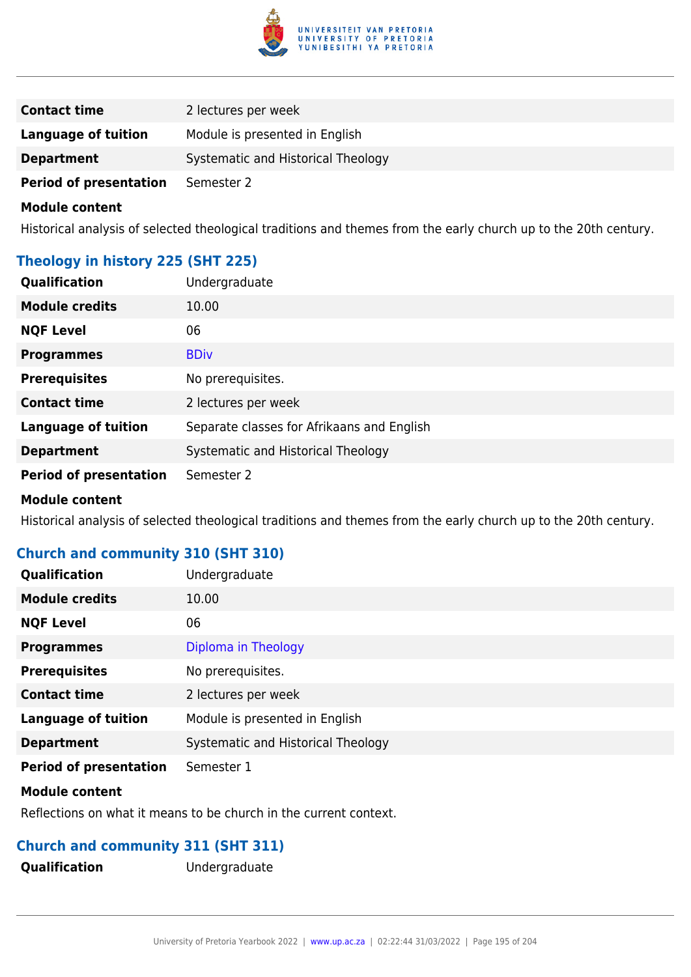

| <b>Contact time</b>           | 2 lectures per week                |
|-------------------------------|------------------------------------|
| Language of tuition           | Module is presented in English     |
| <b>Department</b>             | Systematic and Historical Theology |
| <b>Period of presentation</b> | Semester 2                         |

Historical analysis of selected theological traditions and themes from the early church up to the 20th century.

### **Theology in history 225 (SHT 225)**

| Qualification                 | Undergraduate                              |
|-------------------------------|--------------------------------------------|
| <b>Module credits</b>         | 10.00                                      |
| <b>NQF Level</b>              | 06                                         |
| <b>Programmes</b>             | <b>BDiv</b>                                |
| <b>Prerequisites</b>          | No prerequisites.                          |
| <b>Contact time</b>           | 2 lectures per week                        |
| <b>Language of tuition</b>    | Separate classes for Afrikaans and English |
| <b>Department</b>             | Systematic and Historical Theology         |
| <b>Period of presentation</b> | Semester 2                                 |
|                               |                                            |

#### **Module content**

Historical analysis of selected theological traditions and themes from the early church up to the 20th century.

# **Church and community 310 (SHT 310)**

| Qualification                 | Undergraduate                      |
|-------------------------------|------------------------------------|
| <b>Module credits</b>         | 10.00                              |
| <b>NQF Level</b>              | 06                                 |
| <b>Programmes</b>             | Diploma in Theology                |
| <b>Prerequisites</b>          | No prerequisites.                  |
| <b>Contact time</b>           | 2 lectures per week                |
| <b>Language of tuition</b>    | Module is presented in English     |
| <b>Department</b>             | Systematic and Historical Theology |
| <b>Period of presentation</b> | Semester 1                         |

#### **Module content**

Reflections on what it means to be church in the current context.

## **Church and community 311 (SHT 311)**

**Qualification** Undergraduate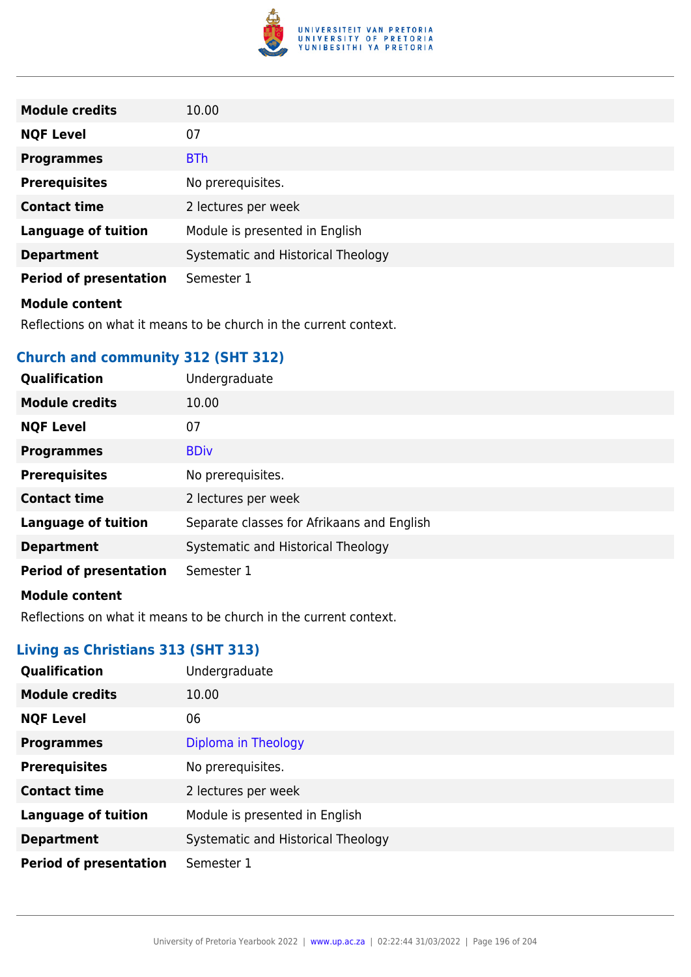

| <b>Module credits</b>         | 10.00                              |
|-------------------------------|------------------------------------|
| <b>NQF Level</b>              | 07                                 |
| <b>Programmes</b>             | <b>BTh</b>                         |
| <b>Prerequisites</b>          | No prerequisites.                  |
| <b>Contact time</b>           | 2 lectures per week                |
| <b>Language of tuition</b>    | Module is presented in English     |
| <b>Department</b>             | Systematic and Historical Theology |
| <b>Period of presentation</b> | Semester 1                         |
| <b>Module content</b>         |                                    |

Reflections on what it means to be church in the current context.

# **Church and community 312 (SHT 312)**

| Qualification                 | Undergraduate                              |
|-------------------------------|--------------------------------------------|
| <b>Module credits</b>         | 10.00                                      |
| <b>NQF Level</b>              | 07                                         |
| <b>Programmes</b>             | <b>BDiv</b>                                |
| <b>Prerequisites</b>          | No prerequisites.                          |
| <b>Contact time</b>           | 2 lectures per week                        |
| <b>Language of tuition</b>    | Separate classes for Afrikaans and English |
| <b>Department</b>             | Systematic and Historical Theology         |
| <b>Period of presentation</b> | Semester 1                                 |
| <b>Module content</b>         |                                            |

Reflections on what it means to be church in the current context.

# **Living as Christians 313 (SHT 313)**

| Qualification                 | Undergraduate                      |
|-------------------------------|------------------------------------|
| <b>Module credits</b>         | 10.00                              |
| <b>NQF Level</b>              | 06                                 |
| <b>Programmes</b>             | Diploma in Theology                |
| <b>Prerequisites</b>          | No prerequisites.                  |
| <b>Contact time</b>           | 2 lectures per week                |
| <b>Language of tuition</b>    | Module is presented in English     |
| <b>Department</b>             | Systematic and Historical Theology |
| <b>Period of presentation</b> | Semester 1                         |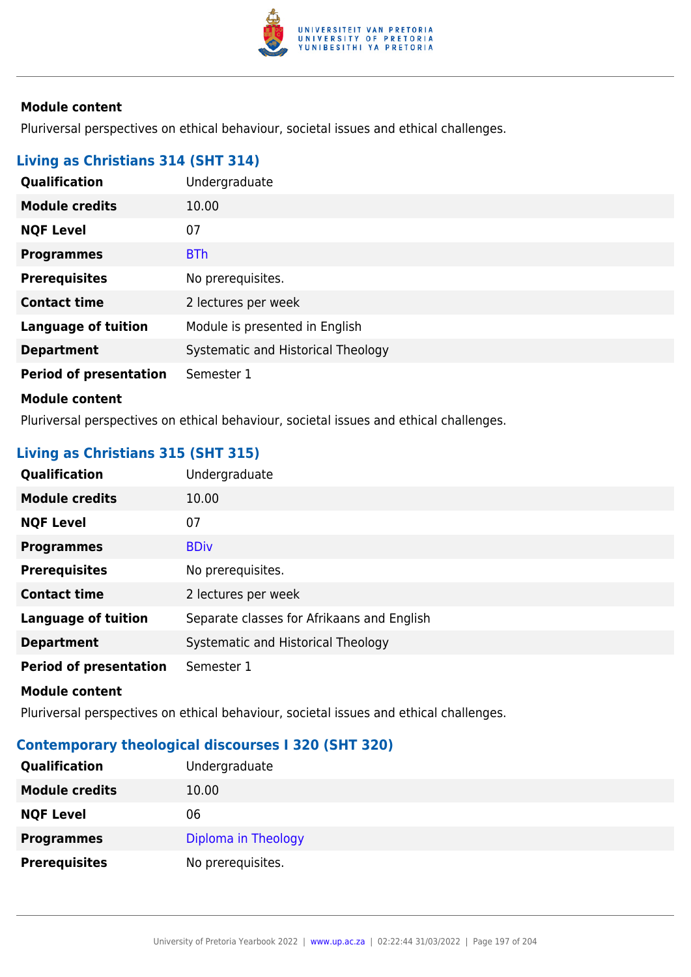

Pluriversal perspectives on ethical behaviour, societal issues and ethical challenges.

# **Living as Christians 314 (SHT 314)**

| Qualification                 | Undergraduate                      |
|-------------------------------|------------------------------------|
| <b>Module credits</b>         | 10.00                              |
| <b>NQF Level</b>              | 07                                 |
| <b>Programmes</b>             | <b>BTh</b>                         |
| <b>Prerequisites</b>          | No prerequisites.                  |
| <b>Contact time</b>           | 2 lectures per week                |
| <b>Language of tuition</b>    | Module is presented in English     |
| <b>Department</b>             | Systematic and Historical Theology |
| <b>Period of presentation</b> | Semester 1                         |
| <b>Module content</b>         |                                    |

Pluriversal perspectives on ethical behaviour, societal issues and ethical challenges.

# **Living as Christians 315 (SHT 315)**

| <b>Qualification</b>          | Undergraduate                              |
|-------------------------------|--------------------------------------------|
| <b>Module credits</b>         | 10.00                                      |
| <b>NQF Level</b>              | 07                                         |
| <b>Programmes</b>             | <b>BDiv</b>                                |
| <b>Prerequisites</b>          | No prerequisites.                          |
| <b>Contact time</b>           | 2 lectures per week                        |
| <b>Language of tuition</b>    | Separate classes for Afrikaans and English |
| <b>Department</b>             | Systematic and Historical Theology         |
| <b>Period of presentation</b> | Semester 1                                 |

#### **Module content**

Pluriversal perspectives on ethical behaviour, societal issues and ethical challenges.

## **Contemporary theological discourses I 320 (SHT 320)**

| <b>Qualification</b>  | Undergraduate       |
|-----------------------|---------------------|
| <b>Module credits</b> | 10.00               |
| <b>NQF Level</b>      | 06                  |
| <b>Programmes</b>     | Diploma in Theology |
| <b>Prerequisites</b>  | No prerequisites.   |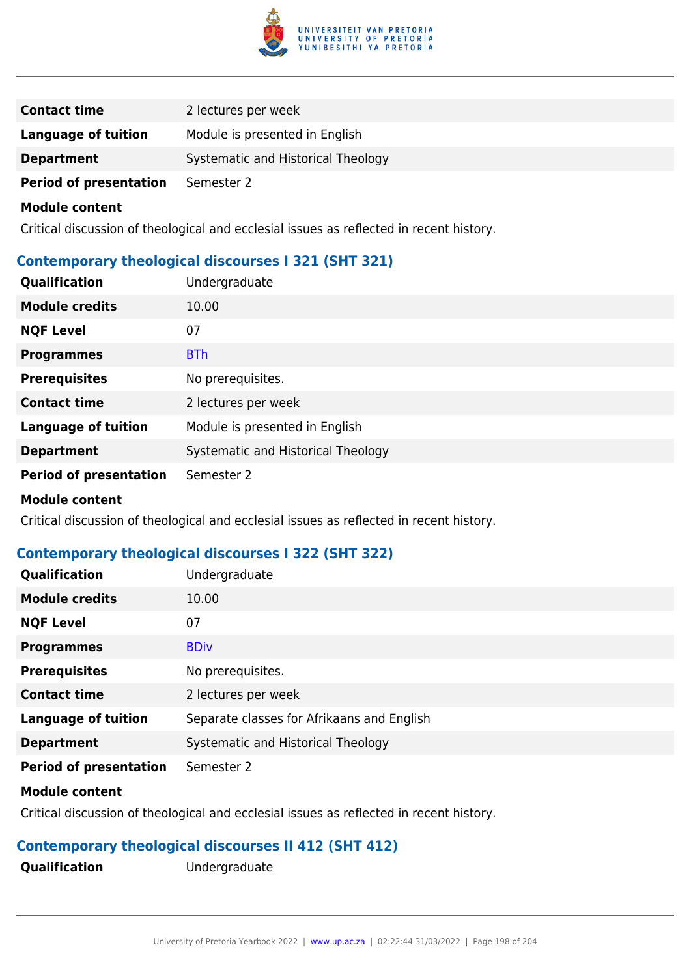

| <b>Contact time</b>           | 2 lectures per week                |
|-------------------------------|------------------------------------|
| Language of tuition           | Module is presented in English     |
| <b>Department</b>             | Systematic and Historical Theology |
| <b>Period of presentation</b> | Semester 2                         |

Critical discussion of theological and ecclesial issues as reflected in recent history.

### **Contemporary theological discourses I 321 (SHT 321)**

| Qualification                 | Undergraduate                      |
|-------------------------------|------------------------------------|
| <b>Module credits</b>         | 10.00                              |
| <b>NQF Level</b>              | 07                                 |
| <b>Programmes</b>             | <b>BTh</b>                         |
| <b>Prerequisites</b>          | No prerequisites.                  |
| <b>Contact time</b>           | 2 lectures per week                |
| <b>Language of tuition</b>    | Module is presented in English     |
| <b>Department</b>             | Systematic and Historical Theology |
| <b>Period of presentation</b> | Semester 2                         |
| .                             |                                    |

# **Module content**

Critical discussion of theological and ecclesial issues as reflected in recent history.

### **Contemporary theological discourses I 322 (SHT 322)**

| Qualification                 | Undergraduate                              |
|-------------------------------|--------------------------------------------|
| <b>Module credits</b>         | 10.00                                      |
| <b>NQF Level</b>              | 07                                         |
| <b>Programmes</b>             | <b>BDiv</b>                                |
| <b>Prerequisites</b>          | No prerequisites.                          |
| <b>Contact time</b>           | 2 lectures per week                        |
| <b>Language of tuition</b>    | Separate classes for Afrikaans and English |
| <b>Department</b>             | Systematic and Historical Theology         |
| <b>Period of presentation</b> | Semester 2                                 |

#### **Module content**

Critical discussion of theological and ecclesial issues as reflected in recent history.

### **Contemporary theological discourses II 412 (SHT 412)**

**Qualification** Undergraduate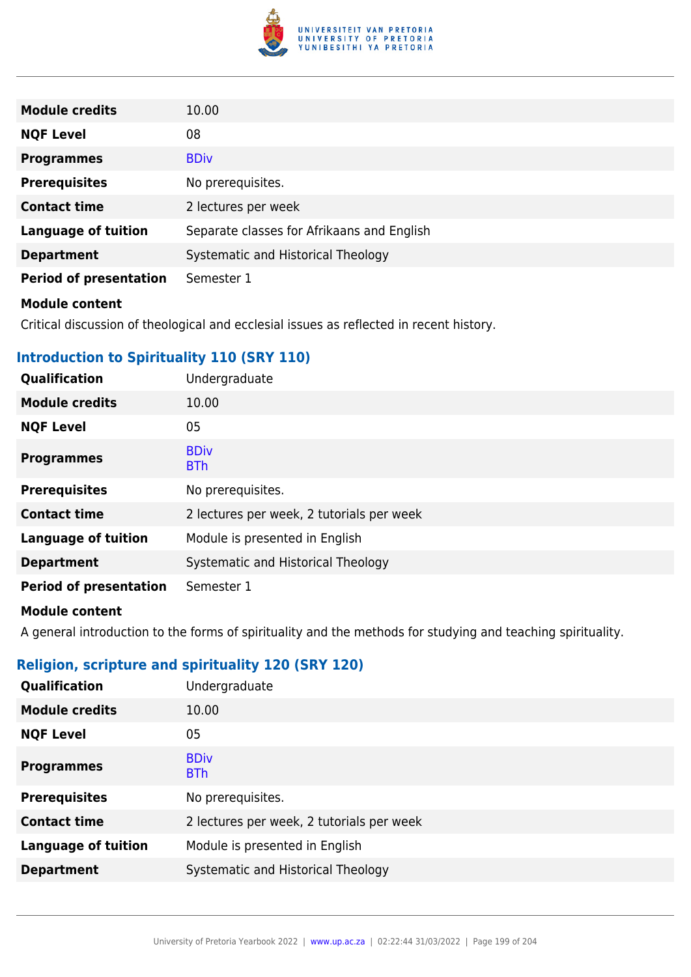

| <b>Module credits</b>         | 10.00                                      |
|-------------------------------|--------------------------------------------|
| <b>NQF Level</b>              | 08                                         |
| <b>Programmes</b>             | <b>BDiv</b>                                |
| <b>Prerequisites</b>          | No prerequisites.                          |
| <b>Contact time</b>           | 2 lectures per week                        |
| <b>Language of tuition</b>    | Separate classes for Afrikaans and English |
| <b>Department</b>             | Systematic and Historical Theology         |
| <b>Period of presentation</b> | Semester 1                                 |
|                               |                                            |

Critical discussion of theological and ecclesial issues as reflected in recent history.

### **Introduction to Spirituality 110 (SRY 110)**

| <b>Qualification</b>          | Undergraduate                             |
|-------------------------------|-------------------------------------------|
| <b>Module credits</b>         | 10.00                                     |
| <b>NQF Level</b>              | 05                                        |
| <b>Programmes</b>             | <b>BDiv</b><br><b>BTh</b>                 |
| <b>Prerequisites</b>          | No prerequisites.                         |
| <b>Contact time</b>           | 2 lectures per week, 2 tutorials per week |
| <b>Language of tuition</b>    | Module is presented in English            |
| <b>Department</b>             | Systematic and Historical Theology        |
| <b>Period of presentation</b> | Semester 1                                |

### **Module content**

A general introduction to the forms of spirituality and the methods for studying and teaching spirituality.

# **Religion, scripture and spirituality 120 (SRY 120)**

| Qualification              | Undergraduate                             |
|----------------------------|-------------------------------------------|
| <b>Module credits</b>      | 10.00                                     |
| <b>NQF Level</b>           | 05                                        |
| <b>Programmes</b>          | <b>BDiv</b><br><b>BTh</b>                 |
| <b>Prerequisites</b>       | No prerequisites.                         |
| <b>Contact time</b>        | 2 lectures per week, 2 tutorials per week |
| <b>Language of tuition</b> | Module is presented in English            |
| <b>Department</b>          | Systematic and Historical Theology        |
|                            |                                           |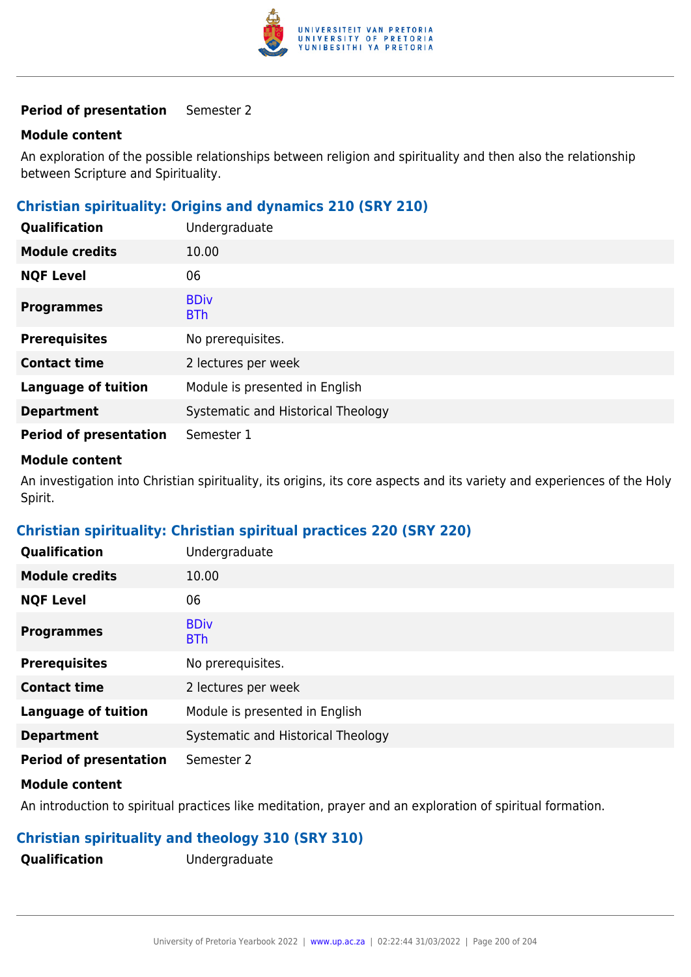

#### **Module content**

An exploration of the possible relationships between religion and spirituality and then also the relationship between Scripture and Spirituality.

# **Christian spirituality: Origins and dynamics 210 (SRY 210)**

| Qualification                 | Undergraduate                      |
|-------------------------------|------------------------------------|
| <b>Module credits</b>         | 10.00                              |
| <b>NQF Level</b>              | 06                                 |
| <b>Programmes</b>             | <b>BDiv</b><br><b>BTh</b>          |
| <b>Prerequisites</b>          | No prerequisites.                  |
| <b>Contact time</b>           | 2 lectures per week                |
| <b>Language of tuition</b>    | Module is presented in English     |
| <b>Department</b>             | Systematic and Historical Theology |
| <b>Period of presentation</b> | Semester 1                         |

#### **Module content**

An investigation into Christian spirituality, its origins, its core aspects and its variety and experiences of the Holy Spirit.

### **Christian spirituality: Christian spiritual practices 220 (SRY 220)**

| Qualification                 | Undergraduate                      |
|-------------------------------|------------------------------------|
| <b>Module credits</b>         | 10.00                              |
| <b>NQF Level</b>              | 06                                 |
| <b>Programmes</b>             | <b>BDiv</b><br><b>BTh</b>          |
| <b>Prerequisites</b>          | No prerequisites.                  |
| <b>Contact time</b>           | 2 lectures per week                |
| <b>Language of tuition</b>    | Module is presented in English     |
| <b>Department</b>             | Systematic and Historical Theology |
| <b>Period of presentation</b> | Semester 2                         |

#### **Module content**

An introduction to spiritual practices like meditation, prayer and an exploration of spiritual formation.

## **Christian spirituality and theology 310 (SRY 310)**

**Qualification** Undergraduate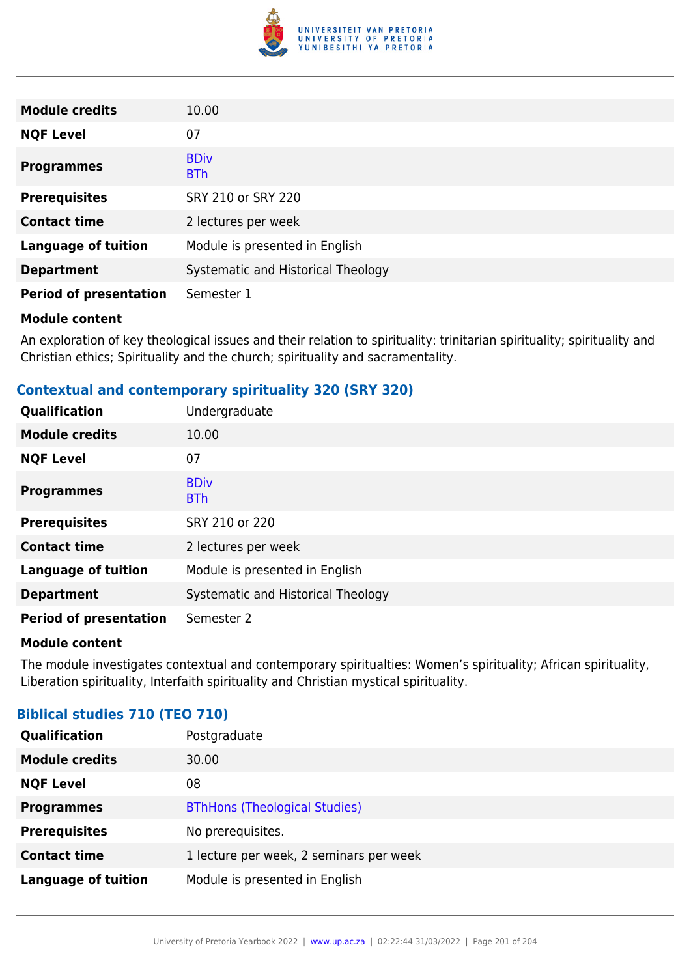

| <b>Module credits</b>         | 10.00                              |
|-------------------------------|------------------------------------|
| <b>NQF Level</b>              | 07                                 |
| <b>Programmes</b>             | <b>BDiv</b><br><b>BTh</b>          |
| <b>Prerequisites</b>          | SRY 210 or SRY 220                 |
| <b>Contact time</b>           | 2 lectures per week                |
| <b>Language of tuition</b>    | Module is presented in English     |
| <b>Department</b>             | Systematic and Historical Theology |
| <b>Period of presentation</b> | Semester 1                         |

An exploration of key theological issues and their relation to spirituality: trinitarian spirituality; spirituality and Christian ethics; Spirituality and the church; spirituality and sacramentality.

### **Contextual and contemporary spirituality 320 (SRY 320)**

| Qualification                 | Undergraduate                      |
|-------------------------------|------------------------------------|
| <b>Module credits</b>         | 10.00                              |
| <b>NQF Level</b>              | 07                                 |
| <b>Programmes</b>             | <b>BDiv</b><br><b>BTh</b>          |
| <b>Prerequisites</b>          | SRY 210 or 220                     |
| <b>Contact time</b>           | 2 lectures per week                |
| <b>Language of tuition</b>    | Module is presented in English     |
| <b>Department</b>             | Systematic and Historical Theology |
| <b>Period of presentation</b> | Semester 2                         |

### **Module content**

The module investigates contextual and contemporary spiritualties: Women's spirituality; African spirituality, Liberation spirituality, Interfaith spirituality and Christian mystical spirituality.

### **Biblical studies 710 (TEO 710)**

| <b>Qualification</b>       | Postgraduate                            |
|----------------------------|-----------------------------------------|
| <b>Module credits</b>      | 30.00                                   |
| <b>NQF Level</b>           | 08                                      |
| <b>Programmes</b>          | <b>BThHons (Theological Studies)</b>    |
| <b>Prerequisites</b>       | No prerequisites.                       |
| <b>Contact time</b>        | 1 lecture per week, 2 seminars per week |
| <b>Language of tuition</b> | Module is presented in English          |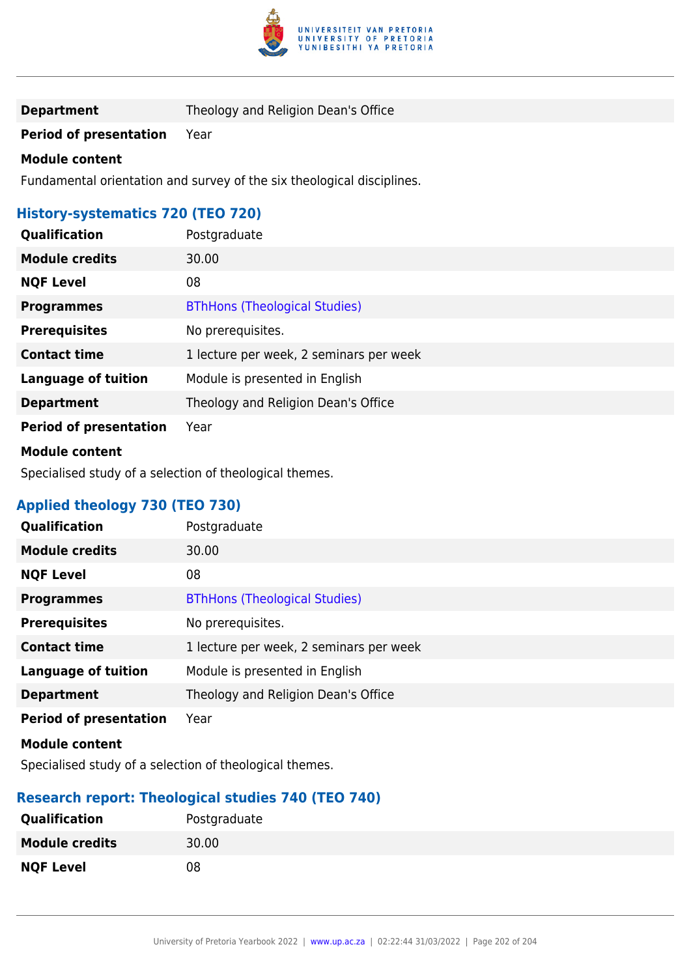

**Department** Theology and Religion Dean's Office

**Period of presentation** Year

#### **Module content**

Fundamental orientation and survey of the six theological disciplines.

# **History-systematics 720 (TEO 720)**

| Qualification                 | Postgraduate                            |
|-------------------------------|-----------------------------------------|
| <b>Module credits</b>         | 30.00                                   |
| <b>NQF Level</b>              | 08                                      |
| <b>Programmes</b>             | <b>BThHons (Theological Studies)</b>    |
| <b>Prerequisites</b>          | No prerequisites.                       |
| <b>Contact time</b>           | 1 lecture per week, 2 seminars per week |
| <b>Language of tuition</b>    | Module is presented in English          |
| <b>Department</b>             | Theology and Religion Dean's Office     |
| <b>Period of presentation</b> | Year                                    |

### **Module content**

Specialised study of a selection of theological themes.

# **Applied theology 730 (TEO 730)**

| Qualification                 | Postgraduate                            |
|-------------------------------|-----------------------------------------|
| <b>Module credits</b>         | 30.00                                   |
| <b>NQF Level</b>              | 08                                      |
| <b>Programmes</b>             | <b>BThHons (Theological Studies)</b>    |
| <b>Prerequisites</b>          | No prerequisites.                       |
| <b>Contact time</b>           | 1 lecture per week, 2 seminars per week |
| <b>Language of tuition</b>    | Module is presented in English          |
| <b>Department</b>             | Theology and Religion Dean's Office     |
| <b>Period of presentation</b> | Year                                    |
| <b>Module content</b>         |                                         |

Specialised study of a selection of theological themes.

### **Research report: Theological studies 740 (TEO 740)**

| <b>Qualification</b>  | Postgraduate |
|-----------------------|--------------|
| <b>Module credits</b> | 30.00        |
| <b>NQF Level</b>      | 08           |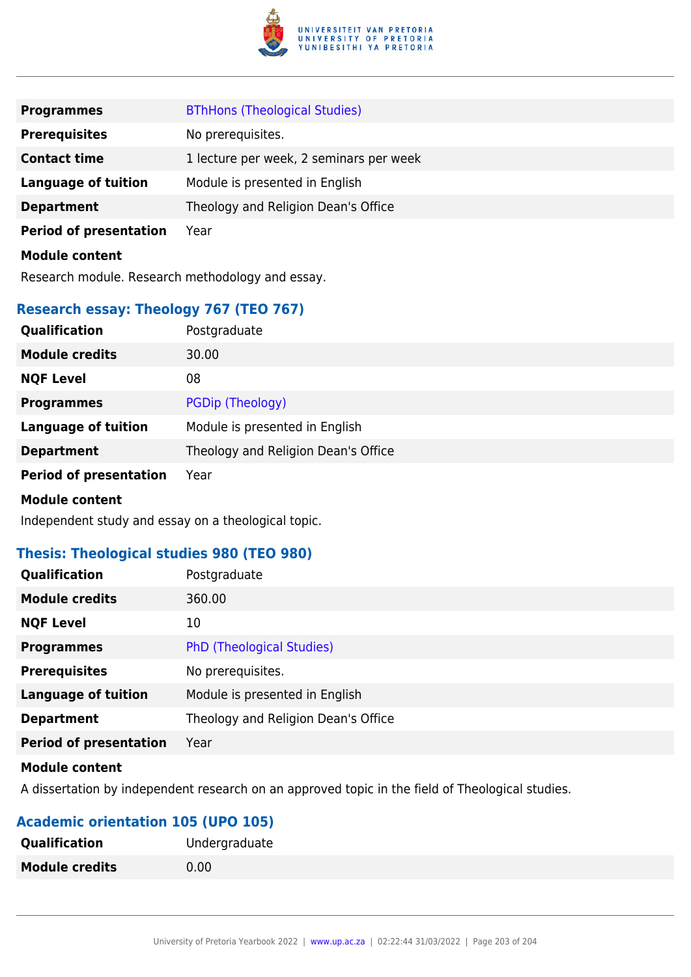

| <b>Programmes</b>             | <b>BThHons (Theological Studies)</b>    |
|-------------------------------|-----------------------------------------|
| <b>Prerequisites</b>          | No prerequisites.                       |
| <b>Contact time</b>           | 1 lecture per week, 2 seminars per week |
| <b>Language of tuition</b>    | Module is presented in English          |
| <b>Department</b>             | Theology and Religion Dean's Office     |
| <b>Period of presentation</b> | Year                                    |
| <b>Module content</b>         |                                         |

Research module. Research methodology and essay.

# **Research essay: Theology 767 (TEO 767)**

| Qualification                 | Postgraduate                        |
|-------------------------------|-------------------------------------|
| <b>Module credits</b>         | 30.00                               |
| <b>NQF Level</b>              | 08                                  |
| <b>Programmes</b>             | PGDip (Theology)                    |
| <b>Language of tuition</b>    | Module is presented in English      |
| <b>Department</b>             | Theology and Religion Dean's Office |
| <b>Period of presentation</b> | Year                                |
| <b>Module content</b>         |                                     |

Independent study and essay on a theological topic.

## **Thesis: Theological studies 980 (TEO 980)**

| Qualification                 | Postgraduate                        |
|-------------------------------|-------------------------------------|
| <b>Module credits</b>         | 360.00                              |
| <b>NQF Level</b>              | 10                                  |
| <b>Programmes</b>             | <b>PhD (Theological Studies)</b>    |
| <b>Prerequisites</b>          | No prerequisites.                   |
| <b>Language of tuition</b>    | Module is presented in English      |
| <b>Department</b>             | Theology and Religion Dean's Office |
| <b>Period of presentation</b> | Year                                |
|                               |                                     |

#### **Module content**

A dissertation by independent research on an approved topic in the field of Theological studies.

# **Academic orientation 105 (UPO 105)**

| <b>Qualification</b>  | Undergraduate |
|-----------------------|---------------|
| <b>Module credits</b> | 0.00          |